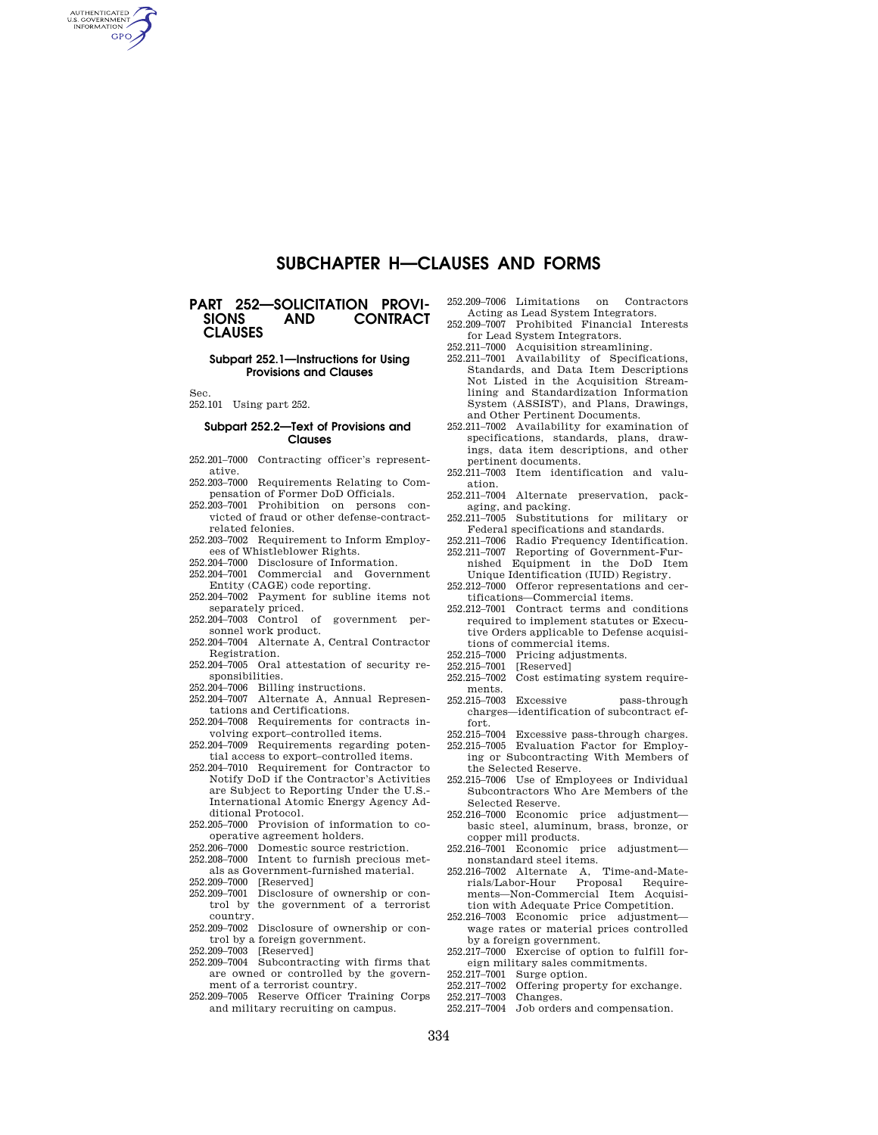# **SUBCHAPTER H—CLAUSES AND FORMS**

# **PART 252-SOLICITATION PROVI-**<br>SIONS AND CONTRACT **CONTRACT CLAUSES**

## **Subpart 252.1—Instructions for Using Provisions and Clauses**

Sec.

AUTHENTICATED **GPO** 

252.101 Using part 252.

# **Subpart 252.2—Text of Provisions and Clauses**

- 252.201–7000 Contracting officer's representative.
- 252.203–7000 Requirements Relating to Compensation of Former DoD Officials.
- 252.203–7001 Prohibition on persons convicted of fraud or other defense-contractrelated felonies.
- 252.203–7002 Requirement to Inform Employees of Whistleblower Rights.
- 
- 252.204–7000 Disclosure of Information. 252.204–7001 Commercial and Government Entity (CAGE) code reporting.
- 252.204–7002 Payment for subline items not separately priced.
- 252.204–7003 Control of government personnel work product.
- 252.204–7004 Alternate A, Central Contractor Registration.
- 252.204–7005 Oral attestation of security responsibilities.
- 252.204–7006 Billing instructions.
- 252.204–7007 Alternate A, Annual Representations and Certifications.
- 252.204–7008 Requirements for contracts involving export–controlled items.
- 252.204–7009 Requirements regarding potential access to export–controlled items.
- 252.204–7010 Requirement for Contractor to Notify DoD if the Contractor's Activities are Subject to Reporting Under the U.S.- International Atomic Energy Agency Additional Protocol.
- 252.205–7000 Provision of information to cooperative agreement holders.
- 252.206–7000 Domestic source restriction.
- 252.208–7000 Intent to furnish precious metals as Government-furnished material.
- 252.209–7000 [Reserved]
- 252.209–7001 Disclosure of ownership or control by the government of a terrorist country.
- 252.209–7002 Disclosure of ownership or control by a foreign government.
- 252.209–7003 [Reserved]
- 252.209–7004 Subcontracting with firms that are owned or controlled by the government of a terrorist country.
- 252.209–7005 Reserve Officer Training Corps and military recruiting on campus.
- 252.209–7006 Limitations on Contractors Acting as Lead System Integrators.
- 252.209–7007 Prohibited Financial Interests for Lead System Integrators.
- 252.211–7000 Acquisition streamlining.
- 252.211–7001 Availability of Specifications, Standards, and Data Item Descriptions Not Listed in the Acquisition Streamlining and Standardization Information System (ASSIST), and Plans, Drawings, and Other Pertinent Documents.
- 252.211–7002 Availability for examination of specifications, standards, plans, drawings, data item descriptions, and other pertinent documents.
- 252.211–7003 Item identification and valuation.
- 252.211–7004 Alternate preservation, packaging, and packing.
- 252.211–7005 Substitutions for military or Federal specifications and standards.
- 252.211–7006 Radio Frequency Identification. 252.211–7007 Reporting of Government-Furnished Equipment in the DoD Item
- Unique Identification (IUID) Registry. 252.212–7000 Offeror representations and cer-
- tifications—Commercial items. 252.212–7001 Contract terms and conditions required to implement statutes or Executive Orders applicable to Defense acquisitions of commercial items.
- 252.215–7000 Pricing adjustments.<br>252.215–7001 [Reserved]
- 252.215–7001
- 252.215–7002 Cost estimating system requirements.
- 252.215–7003 Excessive pass-through charges—identification of subcontract effort.
- 252.215–7004 Excessive pass-through charges.
- 252.215–7005 Evaluation Factor for Employing or Subcontracting With Members of the Selected Reserve.
- 252.215–7006 Use of Employees or Individual Subcontractors Who Are Members of the Selected Reserve.
- 252.216–7000 Economic price adjustment basic steel, aluminum, brass, bronze, or copper mill products.
- 252.216–7001 Economic price adjustment nonstandard steel items.
- 252.216–7002 Alternate A, Time-and-Materials/Labor-Hour Proposal Requirements—Non-Commercial Item Acquisition with Adequate Price Competition.
- 252.216–7003 Economic price adjustment wage rates or material prices controlled by a foreign government.
- 252.217–7000 Exercise of option to fulfill foreign military sales commitments.
- 252.217–7001 Surge option.
- 252.217–7002 Offering property for exchange.
- 252.217–7003 Changes.
- 252.217–7004 Job orders and compensation.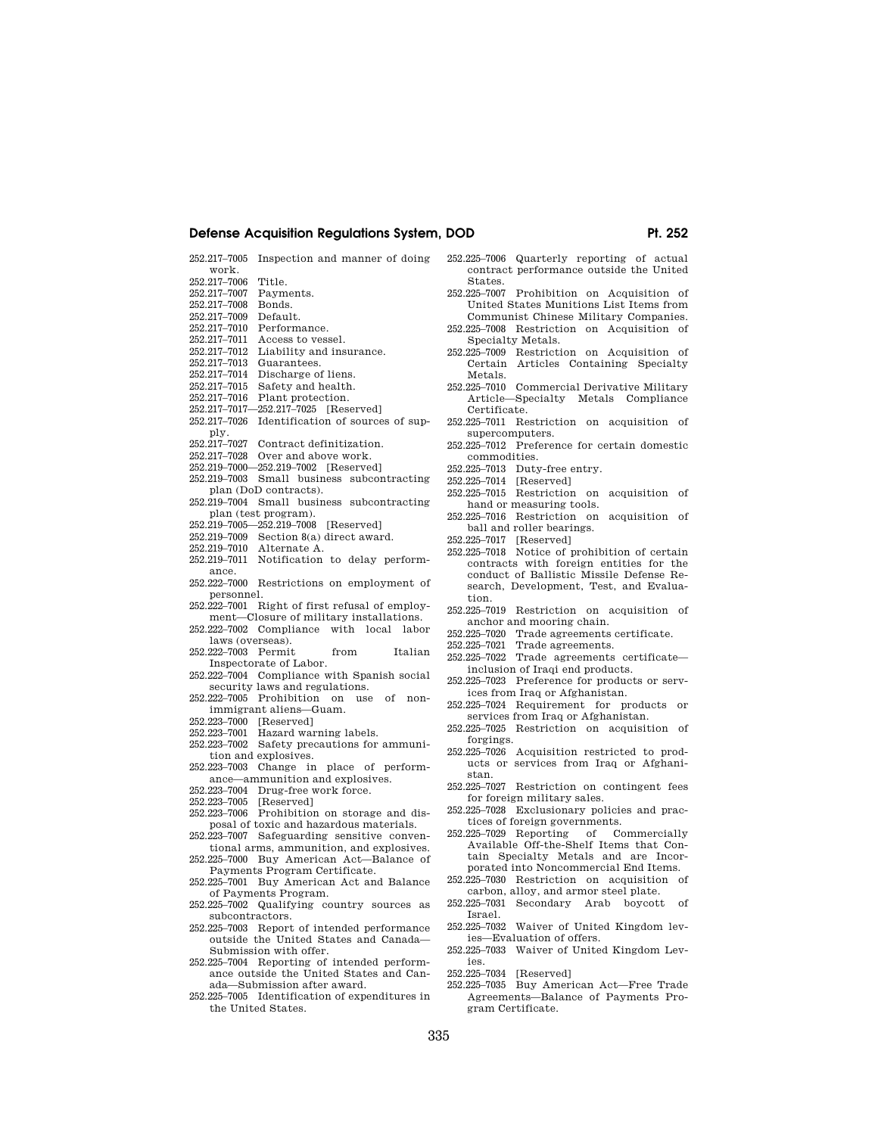# **Defense Acquisition Regulations System, DOD Pt. 252**

252.217–7005 Inspection and manner of doing work.

- 252.217–7006 Title.
- 252.217–7007 Payments.
- 252.217–7008 Bonds.
- 252.217–7009 Default.
- 252.217–7010 Performance.<br>252.217–7011 Access to ves
- Access to vessel.
- 252.217–7012 Liability and insurance.
- 252.217–7013 Guarantees.
- 252.217–7014 Discharge of liens.
- 252.217–7015 Safety and health.
- 252.217–7016 Plant protection.
- 252.217–7017—252.217–7025 [Reserved]
- 252.217–7026 Identification of sources of sup-
- ply.
- 252.217–7027 Contract definitization.
- 252.217–7028 Over and above work.
- 252.219–7000—252.219–7002 [Reserved]
- 252.219–7003 Small business subcontracting plan (DoD contracts).
- 252.219–7004 Small business subcontracting plan (test program).
- 252.219–7005—252.219–7008 [Reserved]
- 252.219–7009 Section 8(a) direct award.
- 252.219–7010 Alternate A.
- 252.219–7011 Notification to delay performance.
- 252.222–7000 Restrictions on employment of personnel.
- 252.222–7001 Right of first refusal of employment—Closure of military installations.
- 252.222–7002 Compliance with local labor laws (overseas).
- 252.222–7003 Permit from Italian Inspectorate of Labor.
- 252.222–7004 Compliance with Spanish social security laws and regulations.
- 252.222–7005 Prohibition on use of nonimmigrant aliens—Guam.
- 252.223–7000 [Reserved]
- 252.223–7001 Hazard warning labels.
- 252.223–7002 Safety precautions for ammunition and explosives.
- 252.223–7003 Change in place of performance—ammunition and explosives.
- 252.223–7004 Drug-free work force.
- 252.223–7005 [Reserved]
- 252.223–7006 Prohibition on storage and disposal of toxic and hazardous materials.
- 252.223–7007 Safeguarding sensitive conventional arms, ammunition, and explosives.
- 252.225–7000 Buy American Act—Balance of Payments Program Certificate.
- 252.225–7001 Buy American Act and Balance of Payments Program.
- 252.225–7002 Qualifying country sources as subcontractors.
- 252.225–7003 Report of intended performance outside the United States and Canada— Submission with offer.
- 252.225–7004 Reporting of intended performance outside the United States and Canada—Submission after award.
- 252.225–7005 Identification of expenditures in the United States.
- 252.225–7006 Quarterly reporting of actual contract performance outside the United States.
- 252.225–7007 Prohibition on Acquisition of United States Munitions List Items from Communist Chinese Military Companies.
- 252.225–7008 Restriction on Acquisition of Specialty Metals.
- 252.225–7009 Restriction on Acquisition of Certain Articles Containing Specialty Metals.
- 252.225–7010 Commercial Derivative Military Article—Specialty Metals Compliance Certificate.
- 252.225–7011 Restriction on acquisition of supercomputers.
- 252.225–7012 Preference for certain domestic commodities.
- 252.225–7013 Duty-free entry.
- 252.225–7014 [Reserved]
- 252.225–7015 Restriction on acquisition of hand or measuring tools.
- 252.225–7016 Restriction on acquisition of ball and roller bearings.
- 252.225–7017 [Reserved]
- 252.225–7018 Notice of prohibition of certain contracts with foreign entities for the conduct of Ballistic Missile Defense Research, Development, Test, and Evaluation.
- 252.225–7019 Restriction on acquisition of anchor and mooring chain.
- 252.225–7020 Trade agreements certificate.
- 252.225–7021 Trade agreements.
- 252.225–7022 Trade agreements certificate inclusion of Iraqi end products.
- 252.225–7023 Preference for products or services from Iraq or Afghanistan.
- 252.225–7024 Requirement for products or services from Iraq or Afghanistan.
- 252.225–7025 Restriction on acquisition of forgings
- 252.225–7026 Acquisition restricted to products or services from Iraq or Afghanistan.
- 252.225–7027 Restriction on contingent fees for foreign military sales.
- 252.225–7028 Exclusionary policies and practices of foreign governments.
- 252.225–7029 Reporting of Commercially Available Off-the-Shelf Items that Contain Specialty Metals and are Incorporated into Noncommercial End Items.
- 252.225–7030 Restriction on acquisition of carbon, alloy, and armor steel plate.
- 252.225–7031 Secondary Arab boycott of Israel.
- 252.225–7032 Waiver of United Kingdom levies—Evaluation of offers.
- 252.225–7033 Waiver of United Kingdom Levies.
- 252.225–7034 [Reserved]
- 252.225–7035 Buy American Act—Free Trade Agreements—Balance of Payments Program Certificate.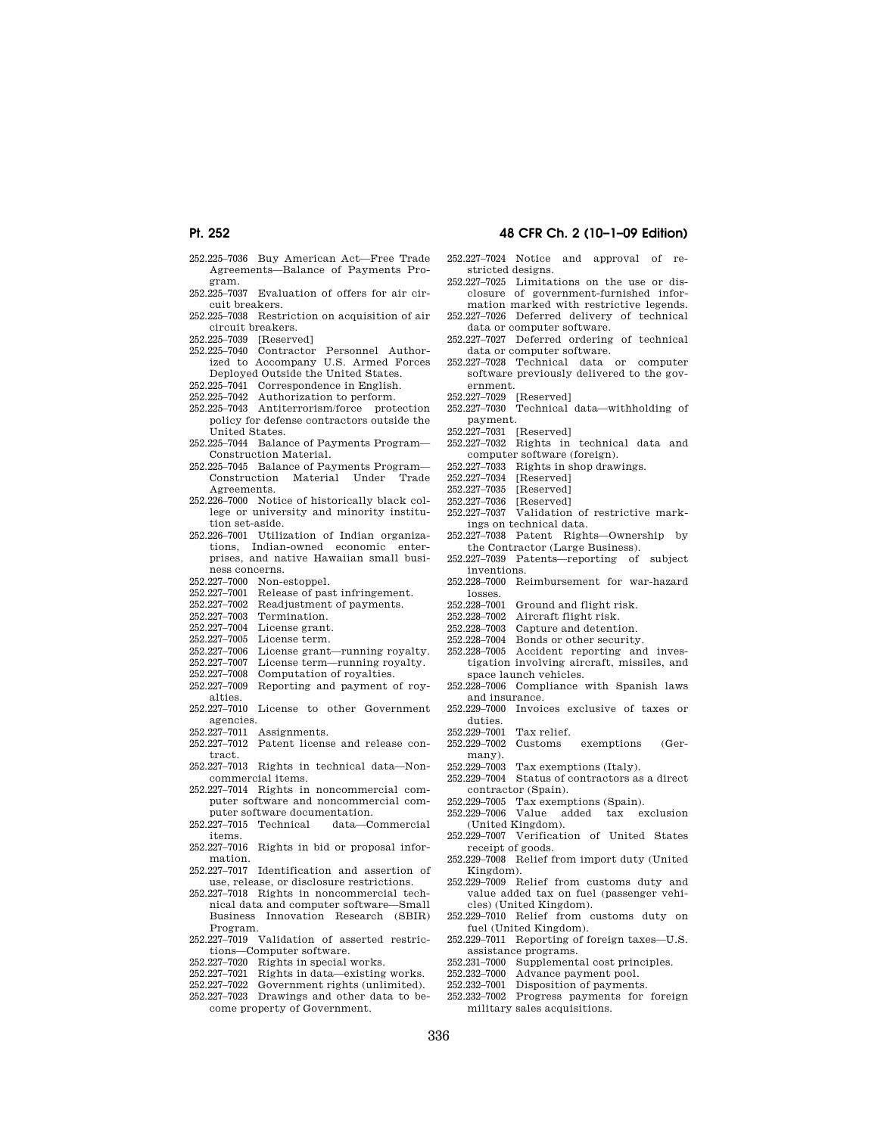- 252.225–7036 Buy American Act—Free Trade Agreements—Balance of Payments Program.
- 252.225–7037 Evaluation of offers for air circuit breakers.
- 252.225–7038 Restriction on acquisition of air circuit breakers.
- 252.225–7039 [Reserved]
- 252.225–7040 Contractor Personnel Authorized to Accompany U.S. Armed Forces Deployed Outside the United States.
- 252.225–7041 Correspondence in English.
- 252.225–7042 Authorization to perform.
- 252.225–7043 Antiterrorism/force protection policy for defense contractors outside the United States.
- 252.225–7044 Balance of Payments Program— Construction Material.
- 252.225–7045 Balance of Payments Program— Construction Material Under Trade Agreements.
- 252.226–7000 Notice of historically black college or university and minority institution set-aside.
- 252.226–7001 Utilization of Indian organizations, Indian-owned economic enterprises, and native Hawaiian small business concerns.
- 252.227–7000 Non-estoppel.
- 252.227–7001 Release of past infringement.
- 252.227–7002 Readjustment of payments.
- 
- 252.227–7003 Termination.
- 252.227–7004 License grant.<br>252.227–7005 License term. License term.
- 252.227–7006 License grant—running royalty.
- 
- 252.227–7007 License term—running royalty.
- 252.227–7008 Computation of royalties.<br>252.227–7009 Benorting and nayment Reporting and payment of roy-
- alties. 252.227–7010 License to other Government
- agencies.
- 252.227–7011 Assignments.
- 252.227–7012 Patent license and release contract.
- 252.227–7013 Rights in technical data—Noncommercial items.
- 252.227–7014 Rights in noncommercial computer software and noncommercial com-
- puter software documentation.<br>227–7015 Technical data—Commercial 252.227-7015 Technical items.
- 252.227–7016 Rights in bid or proposal information.
- 252.227–7017 Identification and assertion of use, release, or disclosure restrictions.
- 252.227–7018 Rights in noncommercial technical data and computer software—Small Business Innovation Research (SBIR) Program.
- 252.227–7019 Validation of asserted restrictions—Computer software.
- 252.227–7020 Rights in special works.
- 252.227–7021 Rights in data—existing works.<br>252.227–7022 Government rights (unlimited)
- Government rights (unlimited).
- 252.227–7023 Drawings and other data to become property of Government.

# **Pt. 252 48 CFR Ch. 2 (10–1–09 Edition)**

- 252.227–7024 Notice and approval of restricted designs.
- 252.227–7025 Limitations on the use or disclosure of government-furnished information marked with restrictive legends.
- 252.227–7026 Deferred delivery of technical data or computer software.
- 252.227–7027 Deferred ordering of technical data or computer software.
- 252.227–7028 Technical data or computer software previously delivered to the government.
- 252.227–7029 [Reserved]
- 252.227–7030 Technical data—withholding of payment.
- 252.227–7031 [Reserved]
- 252.227–7032 Rights in technical data and computer software (foreign).
- 252.227–7033 Rights in shop drawings.
- 252.227–7034 [Reserved]
- 252.227–7035 [Reserved]
- 252.227-7036 [Reserved]<br>252.227-7037 Validation
- Validation of restrictive markings on technical data.
- 252.227–7038 Patent Rights—Ownership by the Contractor (Large Business).
- 252.227–7039 Patents—reporting of subject inventions.
- 252.228–7000 Reimbursement for war-hazard losses.<br>252.228–7001
- Ground and flight risk.
- 252.228–7002 Aircraft flight risk.<br>252.228–7003 Canture and detenti
- Capture and detention.
- 252.228–7004 Bonds or other security.
- 252.228–7005 Accident reporting and investigation involving aircraft, missiles, and space launch vehicles.
- 252.228–7006 Compliance with Spanish laws and insurance.
- 252.229–7000 Invoices exclusive of taxes or duties.
- 252.229–7001 Tax relief.
- 
- 252.229–7002 Customs exemptions (Germany).
- 252.229–7003 Tax exemptions (Italy).
- 252.229–7004 Status of contractors as a direct contractor (Spain).
- 252.229–7005 Tax exemptions (Spain).
- 252.229–7006 Value added tax exclusion (United Kingdom).
- 252.229–7007 Verification of United States receipt of goods.
- 252.229–7008 Relief from import duty (United Kingdom).
- 252.229–7009 Relief from customs duty and value added tax on fuel (passenger vehicles) (United Kingdom).
- 252.229–7010 Relief from customs duty on fuel (United Kingdom).
- 252.229–7011 Reporting of foreign taxes—U.S. assistance programs.
- 252.231–7000 Supplemental cost principles.
- Advance payment pool.
- 252.232–7001 Disposition of payments.
- 252.232–7002 Progress payments for foreign military sales acquisitions.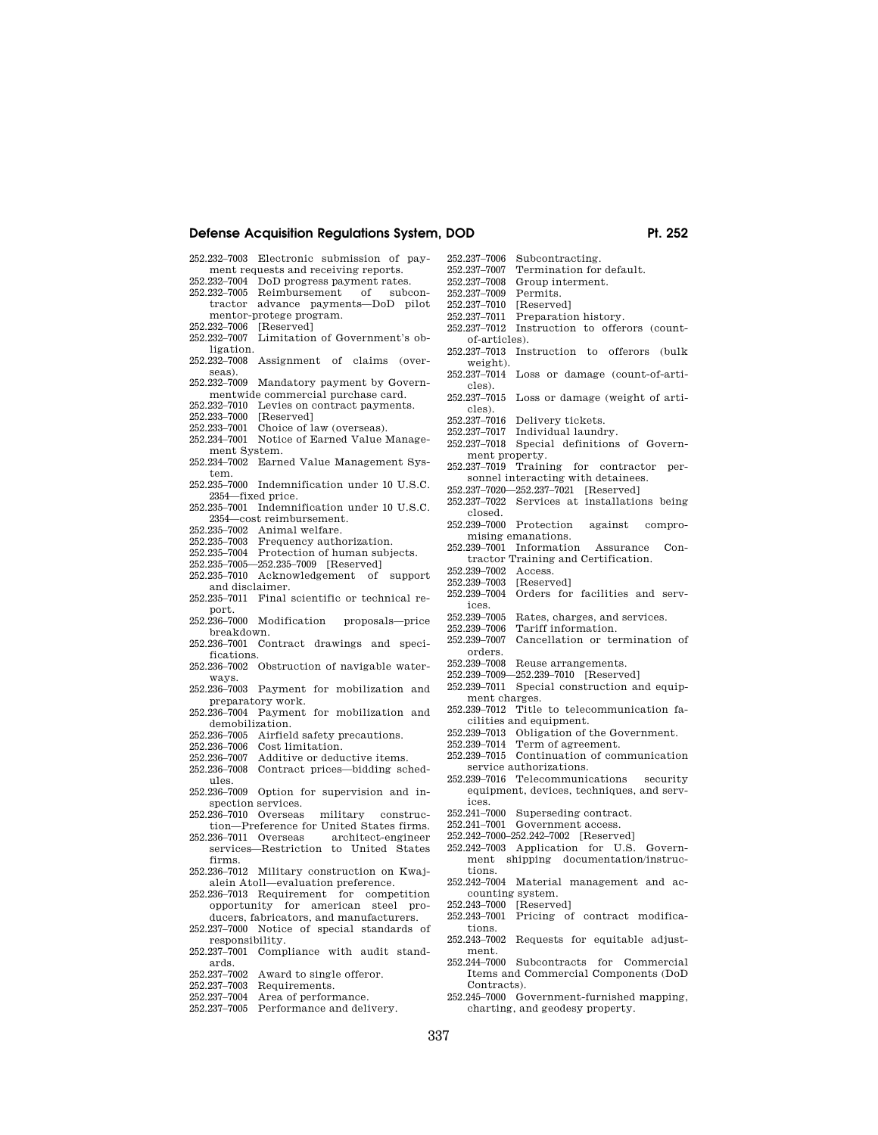# **Defense Acquisition Regulations System, DOD Pt. 252**

252.232–7003 Electronic submission of payment requests and receiving reports.

- 252.232–7004 DoD progress payment rates. 252.232–7005 Reimbursement of subcon-
- tractor advance payments—DoD pilot mentor-protege program.

252.232–7006 [Reserved] 252.232–7007 Limitation of Government's ob-

- 
- ligation. 252.232–7008 Assignment of claims (overseas).
- 252.232–7009 Mandatory payment by Governmentwide commercial purchase card.
- 252.232–7010 Levies on contract payments.
- 252.233–7000 [Reserved]
- 252.233–7001 Choice of law (overseas).
- 252.234–7001 Notice of Earned Value Manage-
- ment System.
- 252.234–7002 Earned Value Management System.
- 252.235–7000 Indemnification under 10 U.S.C. 2354—fixed price.
- 252.235–7001 Indemnification under 10 U.S.C. 2354—cost reimbursement.
- 
- 252.235–7002 Animal welfare. 252.235–7003 Frequency authorization.
- 252.235–7004 Protection of human subjects.
- 252.235–7005—252.235–7009 [Reserved]
- 252.235–7010 Acknowledgement of support and disclaimer.
- 252.235–7011 Final scientific or technical report.
- 252.236–7000 Modification proposals—price breakdown.
- 252.236–7001 Contract drawings and specifications.
- 252.236–7002 Obstruction of navigable waterways.
- 252.236–7003 Payment for mobilization and preparatory work.
- 252.236–7004 Payment for mobilization and demobilization.
- 252.236–7005 Airfield safety precautions.
- 
- 252.236–7006 Cost limitation. Additive or deductive items.
- 252.236–7008 Contract prices—bidding sched-
- ules. 252.236–7009 Option for supervision and inspection services.
- 252.236–7010 Overseas military construc-
- tion—Preference for United States firms. 252.236–7011 Overseas
- services—Restriction to United States firms. 252.236–7012 Military construction on Kwaj-
- alein Atoll—evaluation preference.
- 252.236–7013 Requirement for competition opportunity for american steel pro-
- ducers, fabricators, and manufacturers. 252.237–7000 Notice of special standards of responsibility.
- 252.237–7001 Compliance with audit standards.<br>252,237–7002
- Award to single offeror.
- 252.237–7003 Requirements.
- 252.237–7004 Area of performance.
- 252.237–7005 Performance and delivery.
- 252.237–7006 Subcontracting.<br>252.237–7007 Termination for Termination for default.
- 252.237–7008 Group interment.
- 252.237-7009 Permits.<br>252.237-7010 [Reserver
- [Reserved]
- 252.237–7011 Preparation history.
- 252.237–7012 Instruction to offerors (count-
- of-articles). 252.237–7013 Instruction to offerors (bulk
- weight). 252.237–7014 Loss or damage (count-of-arti-
- cles). 252.237–7015 Loss or damage (weight of arti-
- cles).
- 252.237–7016 Delivery tickets.
- 252.237–7017 Individual laundry.
- 252.237–7018 Special definitions of Government property.
- 252.237–7019 Training for contractor personnel interacting with detainees.
- 252.237–7020—252.237–7021 [Reserved]
- 
- 252.237–7022 Services at installations being closed.
- 252.239–7000 Protection against compromising emanations.
- 252.239–7001 Information Assurance Contractor Training and Certification.
- 252.239–7002 Access.
- 252.239–7003 [Reserved]
- 252.239–7004 Orders for facilities and services.
- 252.239–7005 Rates, charges, and services.
- 252.239–7006 Tariff information.
- 252.239–7007 Cancellation or termination of orders.
- 252.239–7008 Reuse arrangements.
- 252.239–7009—252.239–7010 [Reserved]
- 252.239–7011 Special construction and equipment charges.
- 252.239–7012 Title to telecommunication facilities and equipment.
- 252.239–7013 Obligation of the Government.
- 252.239–7014 Term of agreement.
- 252.239–7015 Continuation of communication
- service authorizations. 252.239–7016 Telecommunications security
- equipment, devices, techniques, and services.
- 252.241–7000 Superseding contract.
- 252.241–7001 Government access.
- 252.242–7000–252.242–7002 [Reserved]
- 252.242–7003 Application for U.S. Government shipping documentation/instructions.
- 252.242–7004 Material management and accounting system.
- 252.243–7000 [Reserved]
- 252.243–7001 Pricing of contract modifications.
- 252.243–7002 Requests for equitable adjustment.
- 252.244–7000 Subcontracts for Commercial Items and Commercial Components (DoD Contracts).
- 252.245–7000 Government-furnished mapping, charting, and geodesy property.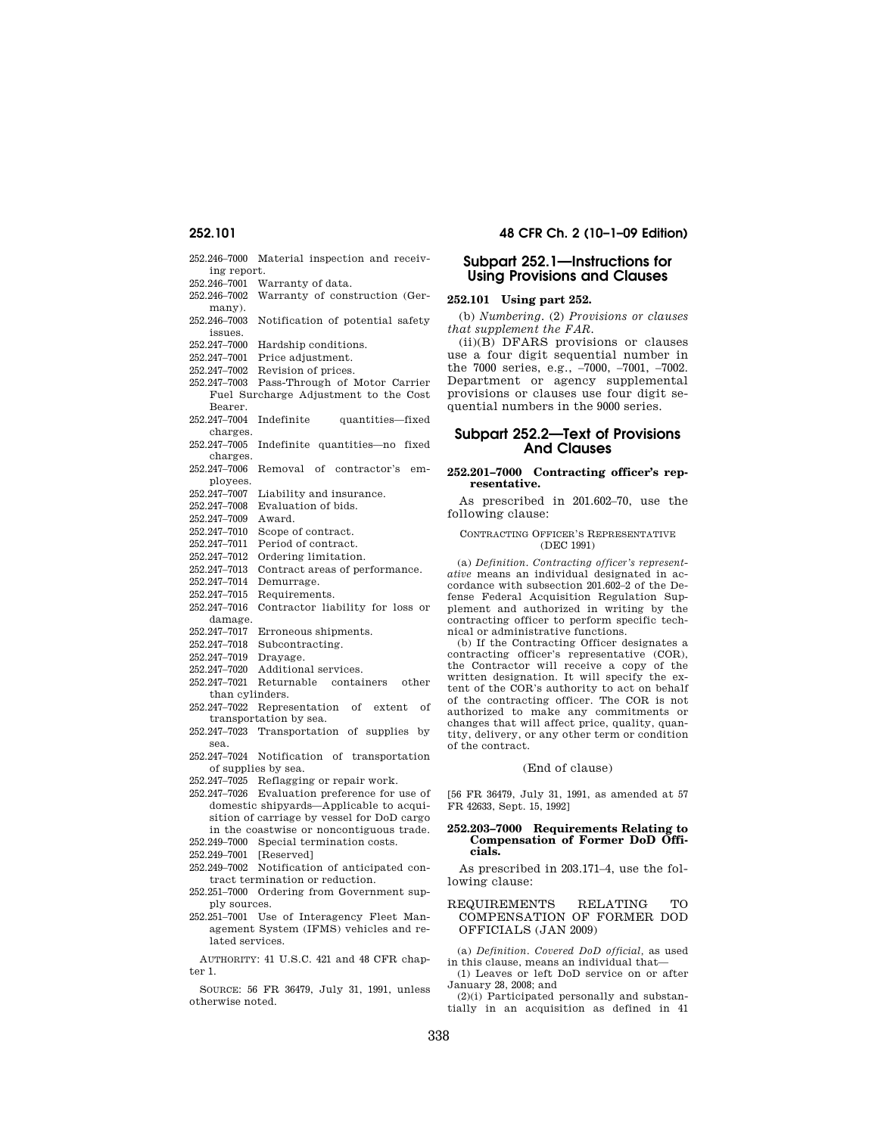252.246–7000 Material inspection and receiving report.

252.246–7001 Warranty of data.

252.246–7002 Warranty of construction (Germany).

252.246–7003 Notification of potential safety issues.

252.247–7000 Hardship conditions.

252.247–7001 Price adjustment.

252.247–7002 Revision of prices.

- 252.247–7003 Pass-Through of Motor Carrier Fuel Surcharge Adjustment to the Cost Bearer.
- 252.247–7004 Indefinite quantities—fixed charges.
- 252.247–7005 Indefinite quantities—no fixed charges.
- 252.247–7006 Removal of contractor's em-
- ployees.
- 252.247–7007 Liability and insurance.
- 252.247–7008 Evaluation of bids.
- 252.247–7009 Award.
- 252.247–7010 Scope of contract.
- 252.247–7011 Period of contract.
- 252.247–7012 Ordering limitation.
- 252.247–7013 Contract areas of performance.
- 252.247–7014 Demurrage.
- 252.247–7015 Requirements.
- 252.247–7016 Contractor liability for loss or damage.
- 252.247–7017 Erroneous shipments.
- 252.247–7018 Subcontracting.
- 252.247–7019 Drayage.
- 252.247–7020 Additional services.
- 252.247–7021 Returnable containers other than cylinders.
- 252.247–7022 Representation of extent of transportation by sea.
- 252.247–7023 Transportation of supplies by sea.
- 252.247–7024 Notification of transportation of supplies by sea.
- 252.247–7025 Reflagging or repair work.
- 252.247–7026 Evaluation preference for use of domestic shipyards—Applicable to acquisition of carriage by vessel for DoD cargo in the coastwise or noncontiguous trade.
- 252.249–7000 Special termination costs.
- 252.249–7001 [Reserved]
- 252.249–7002 Notification of anticipated contract termination or reduction.
- 252.251–7000 Ordering from Government supply sources.
- 252.251–7001 Use of Interagency Fleet Management System (IFMS) vehicles and related services.

AUTHORITY: 41 U.S.C. 421 and 48 CFR chapter 1.

SOURCE: 56 FR 36479, July 31, 1991, unless otherwise noted.

# **252.101 48 CFR Ch. 2 (10–1–09 Edition)**

# **Subpart 252.1—Instructions for Using Provisions and Clauses**

# **252.101 Using part 252.**

(b) *Numbering.* (2) *Provisions or clauses that supplement the FAR.* 

(ii)(B) DFARS provisions or clauses use a four digit sequential number in the 7000 series, e.g., –7000, –7001, –7002. Department or agency supplemental provisions or clauses use four digit sequential numbers in the 9000 series.

# **Subpart 252.2—Text of Provisions And Clauses**

## **252.201–7000 Contracting officer's representative.**

As prescribed in 201.602–70, use the following clause:

## CONTRACTING OFFICER'S REPRESENTATIVE (DEC 1991)

(a) *Definition. Contracting officer's representative* means an individual designated in accordance with subsection 201.602–2 of the Defense Federal Acquisition Regulation Supplement and authorized in writing by the contracting officer to perform specific technical or administrative functions.

(b) If the Contracting Officer designates a contracting officer's representative (COR), the Contractor will receive a copy of the written designation. It will specify the extent of the COR's authority to act on behalf of the contracting officer. The COR is not authorized to make any commitments or changes that will affect price, quality, quantity, delivery, or any other term or condition of the contract.

# (End of clause)

[56 FR 36479, July 31, 1991, as amended at 57 FR 42633, Sept. 15, 1992]

## **252.203–7000 Requirements Relating to Compensation of Former DoD Officials.**

As prescribed in 203.171–4, use the following clause:

# REQUIREMENTS RELATING TO COMPENSATION OF FORMER DOD OFFICIALS (JAN 2009)

(a) *Definition. Covered DoD official,* as used in this clause, means an individual that—

(1) Leaves or left DoD service on or after January 28, 2008; and

(2)(i) Participated personally and substantially in an acquisition as defined in 41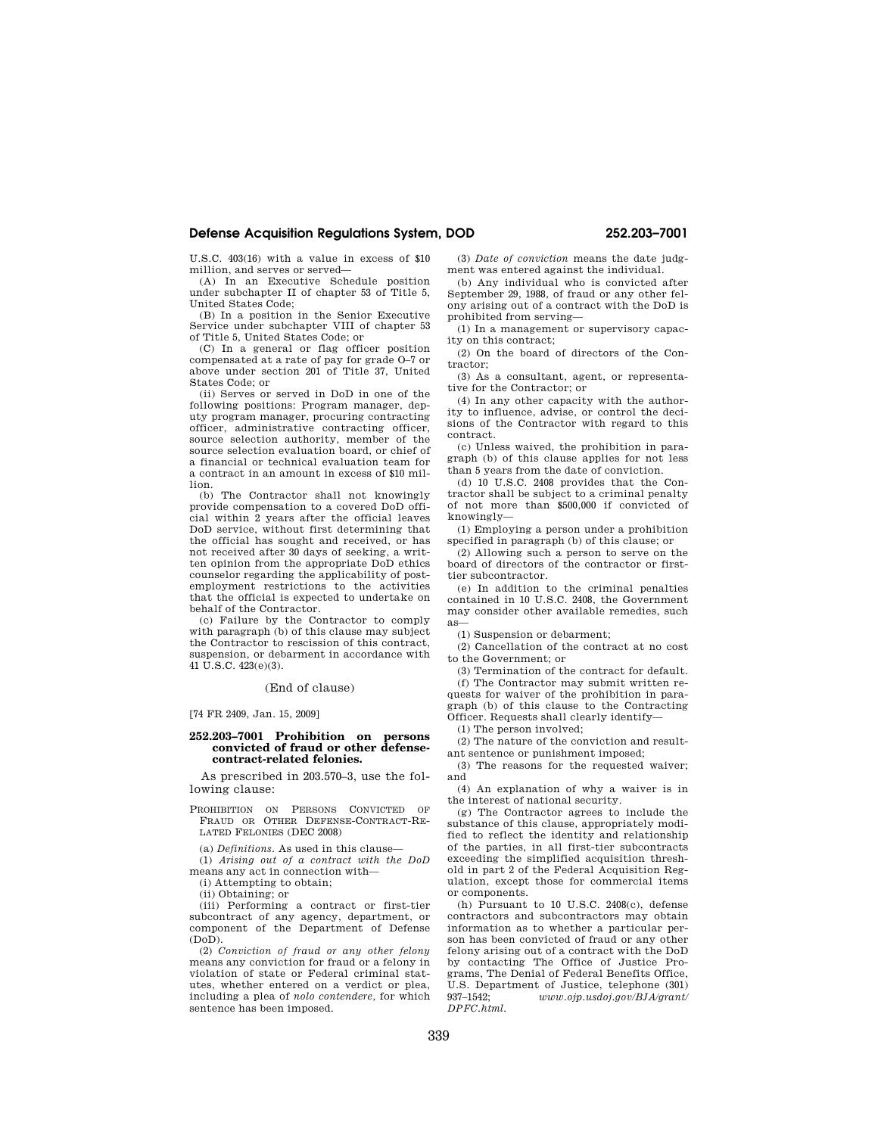# **Defense Acquisition Regulations System, DOD 252.203–7001**

U.S.C. 403(16) with a value in excess of \$10 million, and serves or served—

(A) In an Executive Schedule position under subchapter II of chapter 53 of Title 5, United States Code;

(B) In a position in the Senior Executive Service under subchapter VIII of chapter 53 of Title 5, United States Code; or

(C) In a general or flag officer position compensated at a rate of pay for grade O–7 or above under section 201 of Title 37, United States Code; or

(ii) Serves or served in DoD in one of the following positions: Program manager, deputy program manager, procuring contracting officer, administrative contracting officer, source selection authority, member of the source selection evaluation board, or chief of a financial or technical evaluation team for a contract in an amount in excess of \$10 million.

(b) The Contractor shall not knowingly provide compensation to a covered DoD official within 2 years after the official leaves DoD service, without first determining that the official has sought and received, or has not received after 30 days of seeking, a written opinion from the appropriate DoD ethics counselor regarding the applicability of postemployment restrictions to the activities that the official is expected to undertake on behalf of the Contractor.

(c) Failure by the Contractor to comply with paragraph (b) of this clause may subject the Contractor to rescission of this contract, suspension, or debarment in accordance with 41 U.S.C. 423(e)(3).

(End of clause)

[74 FR 2409, Jan. 15, 2009]

### **252.203–7001 Prohibition on persons convicted of fraud or other defensecontract-related felonies.**

As prescribed in 203.570–3, use the following clause:

## PROHIBITION ON PERSONS CONVICTED OF FRAUD OR OTHER DEFENSE-CONTRACT-RE-LATED FELONIES (DEC 2008)

(a) *Definitions.* As used in this clause—

(1) *Arising out of a contract with the DoD*  means any act in connection with—

(i) Attempting to obtain;

(ii) Obtaining; or

(iii) Performing a contract or first-tier subcontract of any agency, department, or component of the Department of Defense (DoD).

(2) *Conviction of fraud or any other felony*  means any conviction for fraud or a felony in violation of state or Federal criminal statutes, whether entered on a verdict or plea, including a plea of *nolo contendere,* for which sentence has been imposed.

(3) *Date of conviction* means the date judgment was entered against the individual.

(b) Any individual who is convicted after September 29, 1988, of fraud or any other felony arising out of a contract with the DoD is prohibited from serving—

(1) In a management or supervisory capacity on this contract;

(2) On the board of directors of the Contractor;

(3) As a consultant, agent, or representative for the Contractor; or

(4) In any other capacity with the authority to influence, advise, or control the decisions of the Contractor with regard to this contract.

(c) Unless waived, the prohibition in paragraph (b) of this clause applies for not less than 5 years from the date of conviction.

(d) 10 U.S.C. 2408 provides that the Contractor shall be subject to a criminal penalty of not more than \$500,000 if convicted of knowingly—

(1) Employing a person under a prohibition specified in paragraph (b) of this clause; or

(2) Allowing such a person to serve on the board of directors of the contractor or firsttier subcontractor.

(e) In addition to the criminal penalties contained in 10 U.S.C. 2408, the Government may consider other available remedies, such as—

(1) Suspension or debarment;

(2) Cancellation of the contract at no cost to the Government; or

(3) Termination of the contract for default. (f) The Contractor may submit written requests for waiver of the prohibition in paragraph (b) of this clause to the Contracting Officer. Requests shall clearly identify—

(1) The person involved;

(2) The nature of the conviction and resultant sentence or punishment imposed;

(3) The reasons for the requested waiver; and

(4) An explanation of why a waiver is in the interest of national security.

(g) The Contractor agrees to include the substance of this clause, appropriately modified to reflect the identity and relationship of the parties, in all first-tier subcontracts exceeding the simplified acquisition threshold in part 2 of the Federal Acquisition Regulation, except those for commercial items or components.

(h) Pursuant to 10 U.S.C. 2408(c), defense contractors and subcontractors may obtain information as to whether a particular person has been convicted of fraud or any other felony arising out of a contract with the DoD by contacting The Office of Justice Programs, The Denial of Federal Benefits Office, U.S. Department of Justice, telephone (301) 937–1542; *www.ojp.usdoj.gov/BJA/grant/ DPFC.html*.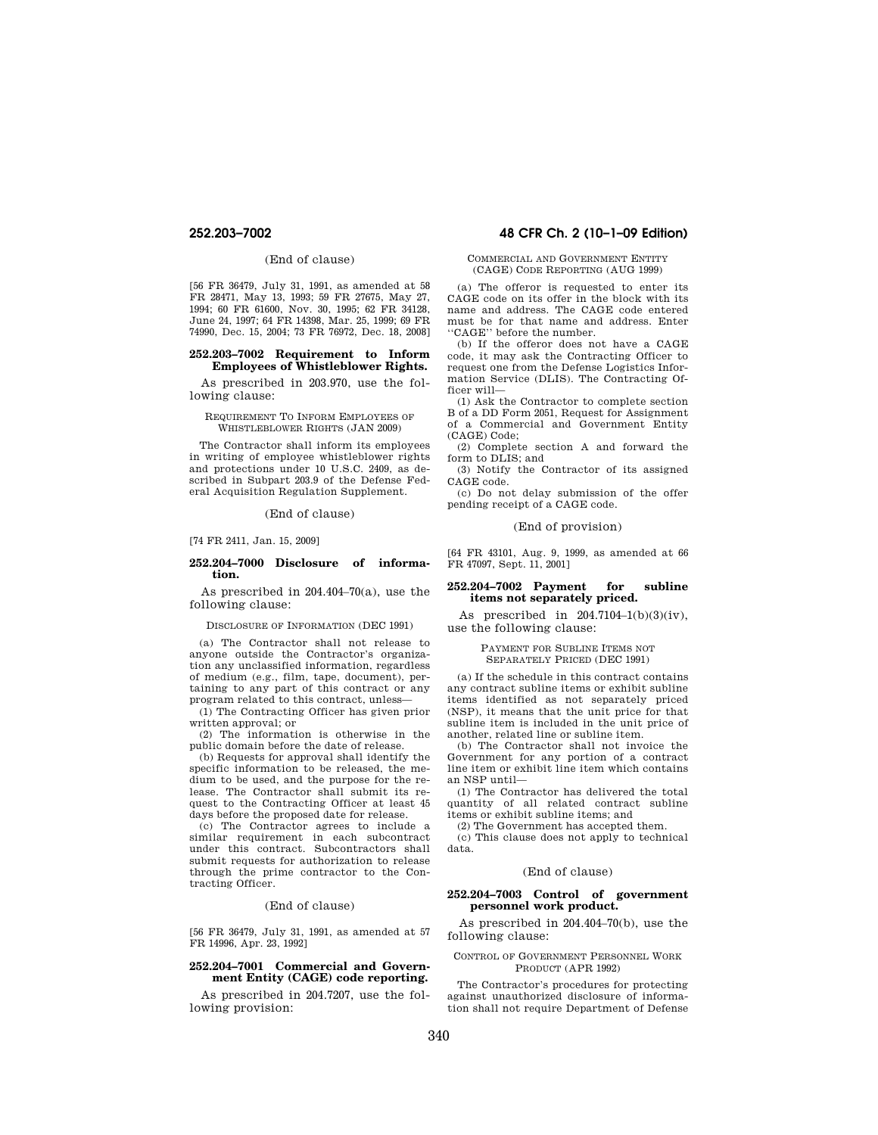# (End of clause)

[56 FR 36479, July 31, 1991, as amended at 58 FR 28471, May 13, 1993; 59 FR 27675, May 27, 1994; 60 FR 61600, Nov. 30, 1995; 62 FR 34128, June 24, 1997; 64 FR 14398, Mar. 25, 1999; 69 FR 74990, Dec. 15, 2004; 73 FR 76972, Dec. 18, 2008]

## **252.203–7002 Requirement to Inform Employees of Whistleblower Rights.**

As prescribed in 203.970, use the following clause:

REQUIREMENT TO INFORM EMPLOYEES OF WHISTLEBLOWER RIGHTS (JAN 2009)

The Contractor shall inform its employees in writing of employee whistleblower rights and protections under 10 U.S.C. 2409, as described in Subpart 203.9 of the Defense Federal Acquisition Regulation Supplement.

(End of clause)

[74 FR 2411, Jan. 15, 2009]

### **252.204–7000 Disclosure of information.**

As prescribed in 204.404–70(a), use the following clause:

DISCLOSURE OF INFORMATION (DEC 1991)

(a) The Contractor shall not release to anyone outside the Contractor's organization any unclassified information, regardless of medium (e.g., film, tape, document), pertaining to any part of this contract or any program related to this contract, unless—

(1) The Contracting Officer has given prior written approval; or

(2) The information is otherwise in the public domain before the date of release.

(b) Requests for approval shall identify the specific information to be released, the medium to be used, and the purpose for the release. The Contractor shall submit its request to the Contracting Officer at least 45 days before the proposed date for release.

(c) The Contractor agrees to include a similar requirement in each subcontract under this contract. Subcontractors shall submit requests for authorization to release through the prime contractor to the Contracting Officer.

## (End of clause)

[56 FR 36479, July 31, 1991, as amended at 57 FR 14996, Apr. 23, 1992]

## **252.204–7001 Commercial and Government Entity (CAGE) code reporting.**

As prescribed in 204.7207, use the following provision:

# **252.203–7002 48 CFR Ch. 2 (10–1–09 Edition)**

## COMMERCIAL AND GOVERNMENT ENTITY (CAGE) CODE REPORTING (AUG 1999)

(a) The offeror is requested to enter its CAGE code on its offer in the block with its name and address. The CAGE code entered must be for that name and address. Enter 'CAGE'' before the number.

(b) If the offeror does not have a CAGE code, it may ask the Contracting Officer to request one from the Defense Logistics Information Service (DLIS). The Contracting Officer will—

(1) Ask the Contractor to complete section B of a DD Form 2051, Request for Assignment of a Commercial and Government Entity (CAGE) Code;

(2) Complete section A and forward the form to DLIS; and

(3) Notify the Contractor of its assigned CAGE code.

(c) Do not delay submission of the offer pending receipt of a CAGE code.

## (End of provision)

[64 FR 43101, Aug. 9, 1999, as amended at 66 FR 47097, Sept. 11, 2001]

# **252.204–7002 Payment for subline items not separately priced.**

As prescribed in 204.7104–1(b)(3)(iv), use the following clause:

> PAYMENT FOR SUBLINE ITEMS NOT SEPARATELY PRICED (DEC 1991)

(a) If the schedule in this contract contains any contract subline items or exhibit subline items identified as not separately priced (NSP), it means that the unit price for that subline item is included in the unit price of another, related line or subline item.

(b) The Contractor shall not invoice the Government for any portion of a contract line item or exhibit line item which contains an NSP until—

(1) The Contractor has delivered the total quantity of all related contract subline items or exhibit subline items; and

(2) The Government has accepted them.

(c) This clause does not apply to technical data.

## (End of clause)

# **252.204–7003 Control of government personnel work product.**

As prescribed in 204.404–70(b), use the following clause:

### CONTROL OF GOVERNMENT PERSONNEL WORK PRODUCT (APR 1992)

The Contractor's procedures for protecting against unauthorized disclosure of information shall not require Department of Defense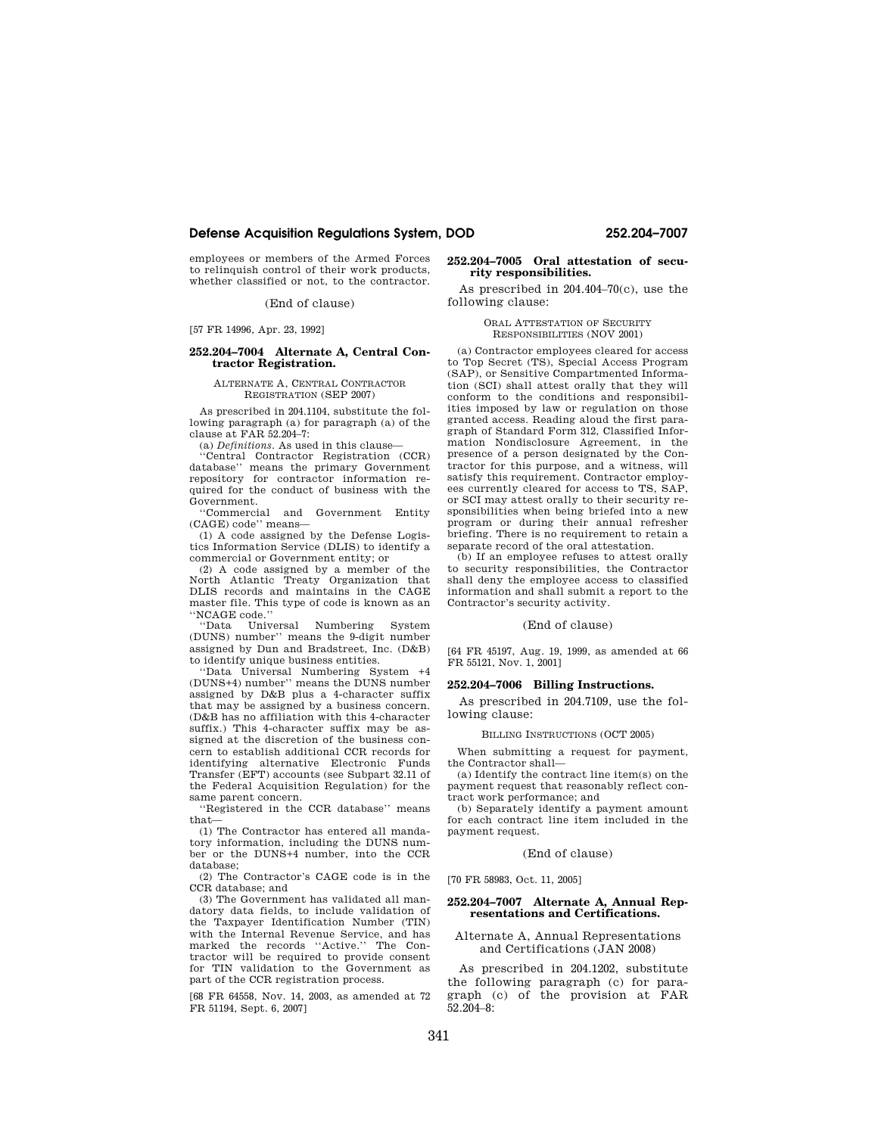# **Defense Acquisition Regulations System, DOD 252.204–7007**

employees or members of the Armed Forces to relinquish control of their work products, whether classified or not, to the contractor.

## (End of clause)

[57 FR 14996, Apr. 23, 1992]

## **252.204–7004 Alternate A, Central Contractor Registration.**

### ALTERNATE A, CENTRAL CONTRACTOR REGISTRATION (SEP 2007)

As prescribed in 204.1104, substitute the following paragraph (a) for paragraph (a) of the clause at FAR 52.204–7:

(a) *Definitions*. As used in this clause-'Central Contractor Registration (CCR) database'' means the primary Government repository for contractor information required for the conduct of business with the

Government. ''Commercial and Government Entity (CAGE) code'' means—

(1) A code assigned by the Defense Logistics Information Service (DLIS) to identify a commercial or Government entity; or

(2) A code assigned by a member of the North Atlantic Treaty Organization that DLIS records and maintains in the CAGE master file. This type of code is known as an ''NCAGE code.''

''Data Universal Numbering System (DUNS) number'' means the 9-digit number assigned by Dun and Bradstreet, Inc. (D&B) to identify unique business entities.

''Data Universal Numbering System +4 (DUNS+4) number'' means the DUNS number assigned by D&B plus a 4-character suffix that may be assigned by a business concern. (D&B has no affiliation with this 4-character suffix.) This 4-character suffix may be assigned at the discretion of the business concern to establish additional CCR records for identifying alternative Electronic Funds Transfer (EFT) accounts (see Subpart 32.11 of the Federal Acquisition Regulation) for the same parent concern.

''Registered in the CCR database'' means that—

(1) The Contractor has entered all mandatory information, including the DUNS number or the DUNS+4 number, into the CCR database;

(2) The Contractor's CAGE code is in the CCR database; and

(3) The Government has validated all mandatory data fields, to include validation of the Taxpayer Identification Number (TIN) with the Internal Revenue Service, and has marked the records ''Active.'' The Contractor will be required to provide consent for TIN validation to the Government as part of the CCR registration process.

[68 FR 64558, Nov. 14, 2003, as amended at 72 FR 51194, Sept. 6, 2007]

# **252.204–7005 Oral attestation of security responsibilities.**

As prescribed in 204.404–70(c), use the following clause:

## ORAL ATTESTATION OF SECURITY RESPONSIBILITIES (NOV 2001)

(a) Contractor employees cleared for access to Top Secret (TS), Special Access Program (SAP), or Sensitive Compartmented Information (SCI) shall attest orally that they will conform to the conditions and responsibilities imposed by law or regulation on those granted access. Reading aloud the first paragraph of Standard Form 312, Classified Information Nondisclosure Agreement, in the presence of a person designated by the Contractor for this purpose, and a witness, will satisfy this requirement. Contractor employees currently cleared for access to TS, SAP, or SCI may attest orally to their security responsibilities when being briefed into a new program or during their annual refresher briefing. There is no requirement to retain a separate record of the oral attestation.

(b) If an employee refuses to attest orally to security responsibilities, the Contractor shall deny the employee access to classified information and shall submit a report to the Contractor's security activity.

## (End of clause)

[64 FR 45197, Aug. 19, 1999, as amended at 66 FR 55121, Nov. 1, 2001]

## **252.204–7006 Billing Instructions.**

As prescribed in 204.7109, use the following clause:

### BILLING INSTRUCTIONS (OCT 2005)

When submitting a request for payment, the Contractor shall—

(a) Identify the contract line item(s) on the payment request that reasonably reflect contract work performance; and

(b) Separately identify a payment amount for each contract line item included in the payment request.

### (End of clause)

[70 FR 58983, Oct. 11, 2005]

### **252.204–7007 Alternate A, Annual Representations and Certifications.**

## Alternate A, Annual Representations and Certifications (JAN 2008)

As prescribed in 204.1202, substitute the following paragraph (c) for paragraph (c) of the provision at FAR  $52.204 - 8:$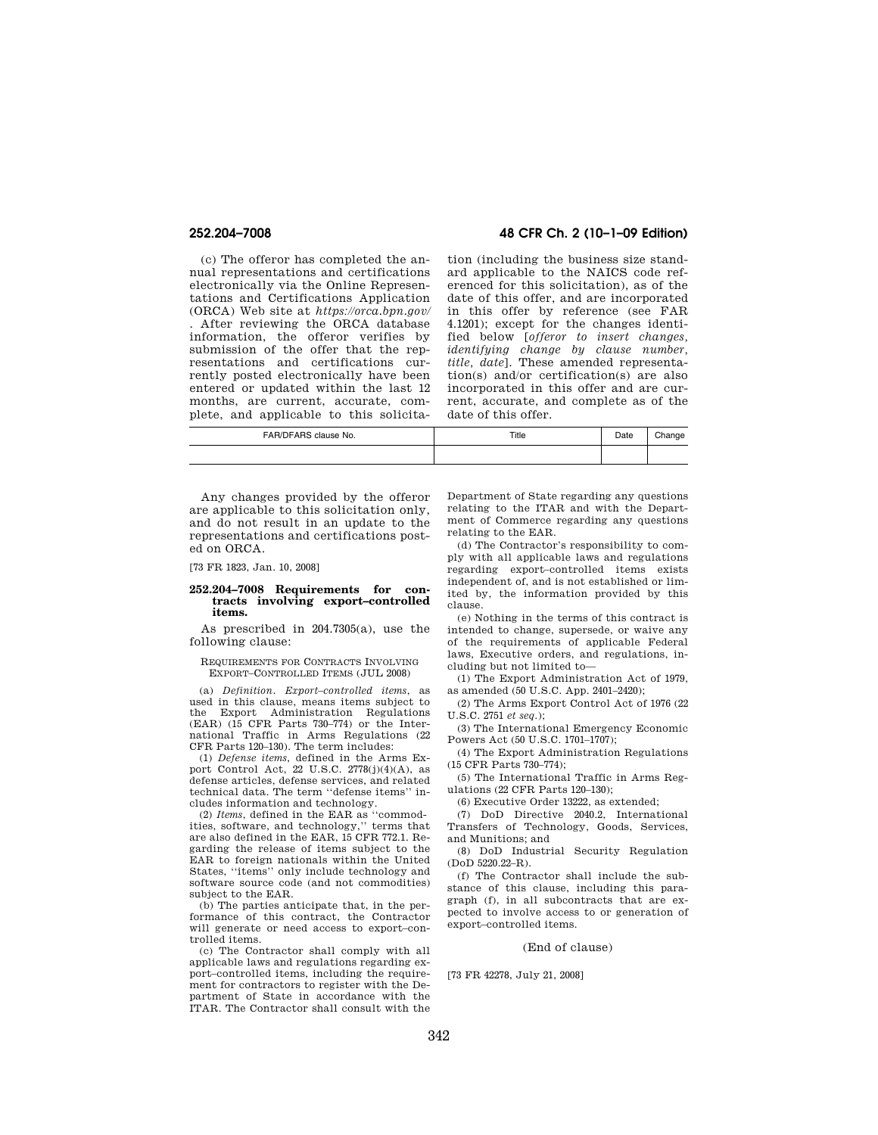(c) The offeror has completed the annual representations and certifications electronically via the Online Representations and Certifications Application (ORCA) Web site at *https://orca.bpn.gov/*  . After reviewing the ORCA database information, the offeror verifies by submission of the offer that the representations and certifications currently posted electronically have been entered or updated within the last 12 months, are current, accurate, complete, and applicable to this solicita-

# **252.204–7008 48 CFR Ch. 2 (10–1–09 Edition)**

tion (including the business size standard applicable to the NAICS code referenced for this solicitation), as of the date of this offer, and are incorporated in this offer by reference (see FAR 4.1201); except for the changes identified below [*offeror to insert changes, identifying change by clause number, title, date*]. These amended representation(s) and/or certification(s) are also incorporated in this offer and are current, accurate, and complete as of the date of this offer.

| FAR/DFARS clause No. | Title | Date | nae |
|----------------------|-------|------|-----|
|                      |       |      |     |

Any changes provided by the offeror are applicable to this solicitation only, and do not result in an update to the representations and certifications posted on ORCA.

[73 FR 1823, Jan. 10, 2008]

## **252.204–7008 Requirements for contracts involving export–controlled items.**

As prescribed in 204.7305(a), use the following clause:

## REQUIREMENTS FOR CONTRACTS INVOLVING EXPORT–CONTROLLED ITEMS (JUL 2008)

(a) *Definition. Export–controlled items*, as used in this clause, means items subject to the Export Administration Regulations (EAR) (15 CFR Parts 730–774) or the International Traffic in Arms Regulations (22 CFR Parts 120–130). The term includes:

(1) *Defense items*, defined in the Arms Ex-port Control Act, 22 U.S.C. 2778(j)(4)(A), as defense articles, defense services, and related technical data. The term ''defense items'' includes information and technology.

(2) *Items*, defined in the EAR as ''commodities, software, and technology,'' terms that are also defined in the EAR, 15 CFR 772.1. Regarding the release of items subject to the EAR to foreign nationals within the United States, ''items'' only include technology and software source code (and not commodities) subject to the EAR.

(b) The parties anticipate that, in the performance of this contract, the Contractor will generate or need access to export–controlled items.

(c) The Contractor shall comply with all applicable laws and regulations regarding export–controlled items, including the requirement for contractors to register with the Department of State in accordance with the ITAR. The Contractor shall consult with the Department of State regarding any questions relating to the ITAR and with the Department of Commerce regarding any questions relating to the EAR.

(d) The Contractor's responsibility to comply with all applicable laws and regulations regarding export–controlled items exists independent of, and is not established or limited by, the information provided by this clause.

(e) Nothing in the terms of this contract is intended to change, supersede, or waive any of the requirements of applicable Federal laws, Executive orders, and regulations, including but not limited to—

(1) The Export Administration Act of 1979, as amended (50 U.S.C. App. 2401–2420);

(2) The Arms Export Control Act of 1976 (22 U.S.C. 2751 *et seq.*);

(3) The International Emergency Economic Powers Act (50 U.S.C. 1701–1707);

(4) The Export Administration Regulations (15 CFR Parts 730–774);

(5) The International Traffic in Arms Regulations (22 CFR Parts 120–130);

(6) Executive Order 13222, as extended;

(7) DoD Directive 2040.2, International Transfers of Technology, Goods, Services, and Munitions; and

(8) DoD Industrial Security Regulation (DoD 5220.22–R).

(f) The Contractor shall include the substance of this clause, including this paragraph (f), in all subcontracts that are expected to involve access to or generation of export–controlled items.

## (End of clause)

[73 FR 42278, July 21, 2008]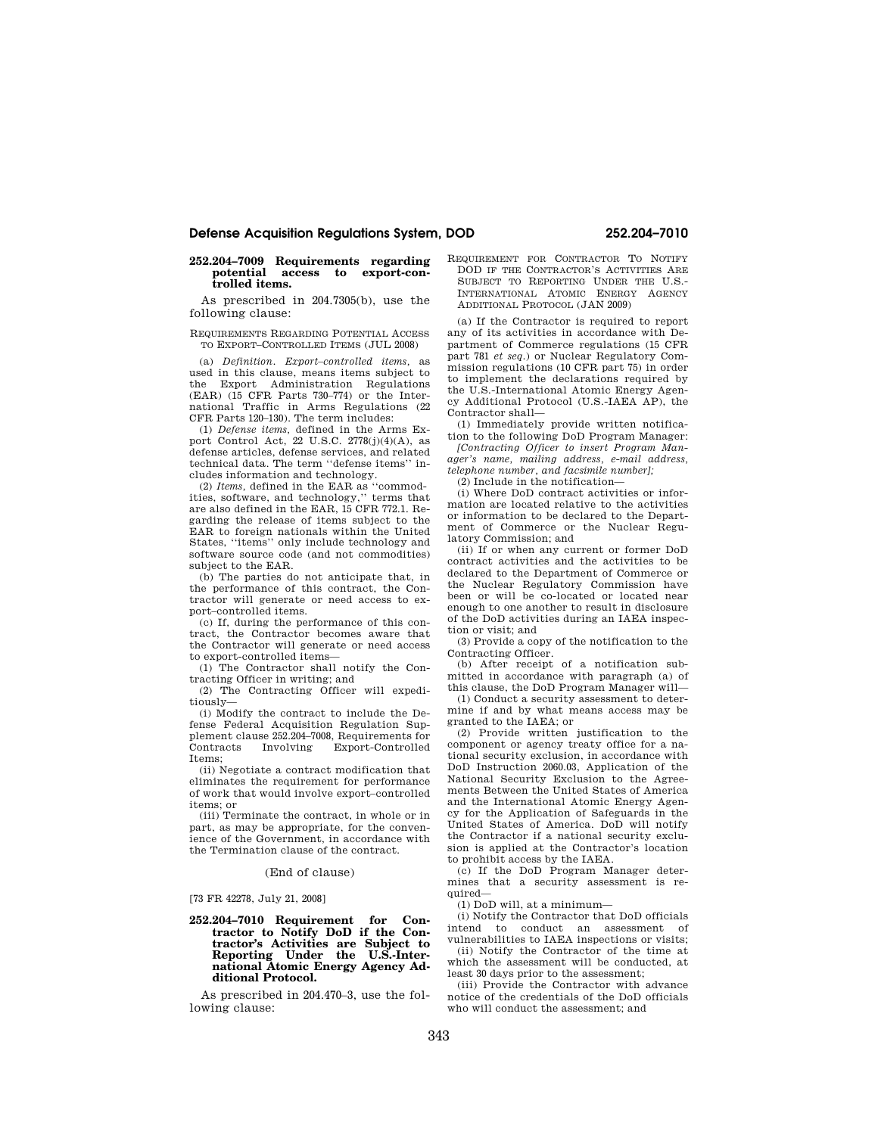# **Defense Acquisition Regulations System, DOD 252.204–7010**

# **252.204–7009 Requirements regarding potential access to export-controlled items.**

As prescribed in 204.7305(b), use the following clause:

## REQUIREMENTS REGARDING POTENTIAL ACCESS TO EXPORT–CONTROLLED ITEMS (JUL 2008)

(a) *Definition. Export–controlled items,* as used in this clause, means items subject to the Export Administration Regulations (EAR) (15 CFR Parts 730–774) or the International Traffic in Arms Regulations (22 CFR Parts 120–130). The term includes:

(1) *Defense items,* defined in the Arms Export Control Act, 22 U.S.C. 2778(j)(4)(A), as defense articles, defense services, and related technical data. The term ''defense items'' includes information and technology.

(2) *Items,* defined in the EAR as ''commod-ities, software, and technology,'' terms that are also defined in the EAR, 15 CFR 772.1. Regarding the release of items subject to the EAR to foreign nationals within the United States, "items" only include technology and software source code (and not commodities) subject to the EAR.

(b) The parties do not anticipate that, in the performance of this contract, the Contractor will generate or need access to export–controlled items.

(c) If, during the performance of this contract, the Contractor becomes aware that the Contractor will generate or need access to export-controlled items—

(1) The Contractor shall notify the Contracting Officer in writing; and

(2) The Contracting Officer will expeditiously—

(i) Modify the contract to include the Defense Federal Acquisition Regulation Supplement clause 252.204–7008, Requirements for Involving Export-Controlled Items;

(ii) Negotiate a contract modification that eliminates the requirement for performance of work that would involve export–controlled items; or

(iii) Terminate the contract, in whole or in part, as may be appropriate, for the convenience of the Government, in accordance with the Termination clause of the contract.

## (End of clause)

## [73 FR 42278, July 21, 2008]

# **252.204–7010 Requirement for Contractor to Notify DoD if the Contractor's Activities are Subject to Reporting Under the U.S.-Inter-national Atomic Energy Agency Additional Protocol.**

As prescribed in 204.470–3, use the following clause:

REQUIREMENT FOR CONTRACTOR TO NOTIFY DOD IF THE CONTRACTOR'S ACTIVITIES ARE SUBJECT TO REPORTING UNDER THE U.S.-INTERNATIONAL ATOMIC ENERGY AGENCY ADDITIONAL PROTOCOL (JAN 2009)

(a) If the Contractor is required to report any of its activities in accordance with Department of Commerce regulations (15 CFR part 781 *et seq.*) or Nuclear Regulatory Commission regulations (10 CFR part 75) in order to implement the declarations required by the U.S.-International Atomic Energy Agency Additional Protocol (U.S.-IAEA AP), the Contractor shall—

(1) Immediately provide written notification to the following DoD Program Manager:

*[Contracting Officer to insert Program Manager's name, mailing address, e-mail address, telephone number, and facsimile number];*  (2) Include in the notification—

(i) Where DoD contract activities or information are located relative to the activities or information to be declared to the Department of Commerce or the Nuclear Regulatory Commission; and

(ii) If or when any current or former DoD contract activities and the activities to be declared to the Department of Commerce or the Nuclear Regulatory Commission have been or will be co-located or located near enough to one another to result in disclosure of the DoD activities during an IAEA inspection or visit; and

(3) Provide a copy of the notification to the Contracting Officer.

(b) After receipt of a notification submitted in accordance with paragraph (a) of this clause, the DoD Program Manager will—

(1) Conduct a security assessment to determine if and by what means access may be granted to the IAEA; or

(2) Provide written justification to the component or agency treaty office for a national security exclusion, in accordance with DoD Instruction 2060.03, Application of the National Security Exclusion to the Agreements Between the United States of America and the International Atomic Energy Agency for the Application of Safeguards in the United States of America. DoD will notify the Contractor if a national security exclusion is applied at the Contractor's location to prohibit access by the IAEA.

(c) If the DoD Program Manager determines that a security assessment is required—

(1) DoD will, at a minimum—

(i) Notify the Contractor that DoD officials intend to conduct an assessment of vulnerabilities to IAEA inspections or visits;

(ii) Notify the Contractor of the time at which the assessment will be conducted, at least 30 days prior to the assessment;

(iii) Provide the Contractor with advance notice of the credentials of the DoD officials who will conduct the assessment; and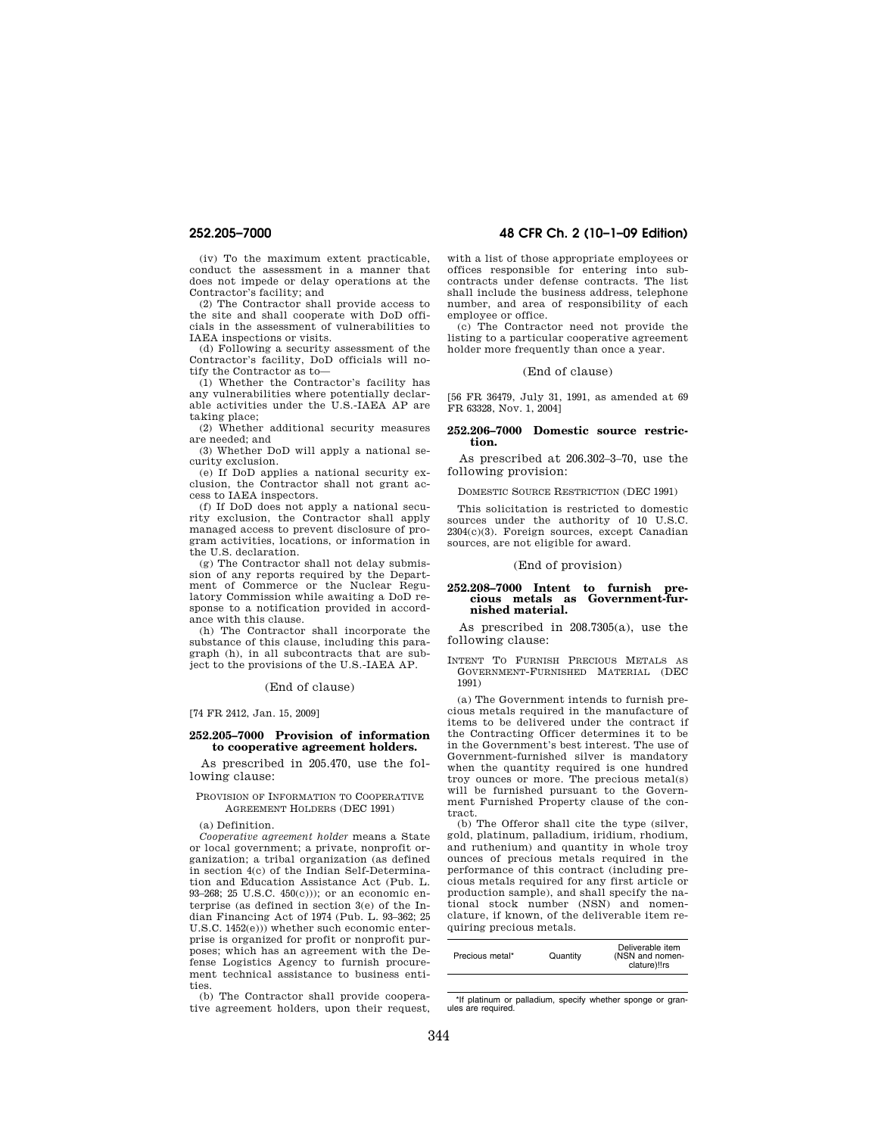(iv) To the maximum extent practicable, conduct the assessment in a manner that does not impede or delay operations at the Contractor's facility; and

(2) The Contractor shall provide access to the site and shall cooperate with DoD officials in the assessment of vulnerabilities to IAEA inspections or visits.

(d) Following a security assessment of the Contractor's facility, DoD officials will notify the Contractor as to—

(1) Whether the Contractor's facility has any vulnerabilities where potentially declarable activities under the U.S.-IAEA AP are taking place;

(2) Whether additional security measures are needed; and

(3) Whether DoD will apply a national security exclusion.

(e) If DoD applies a national security exclusion, the Contractor shall not grant access to IAEA inspectors.

(f) If DoD does not apply a national security exclusion, the Contractor shall apply managed access to prevent disclosure of program activities, locations, or information in the U.S. declaration.

(g) The Contractor shall not delay submission of any reports required by the Department of Commerce or the Nuclear Regulatory Commission while awaiting a DoD response to a notification provided in accordance with this clause.

(h) The Contractor shall incorporate the substance of this clause, including this paragraph (h), in all subcontracts that are subject to the provisions of the U.S.-IAEA AP.

(End of clause)

[74 FR 2412, Jan. 15, 2009]

# **252.205–7000 Provision of information to cooperative agreement holders.**

As prescribed in 205.470, use the following clause:

PROVISION OF INFORMATION TO COOPERATIVE AGREEMENT HOLDERS (DEC 1991)

(a) Definition.

*Cooperative agreement holder* means a State or local government; a private, nonprofit organization; a tribal organization (as defined in section 4(c) of the Indian Self-Determination and Education Assistance Act (Pub. L. 93–268; 25 U.S.C. 450(c))); or an economic enterprise (as defined in section 3(e) of the Indian Financing Act of 1974 (Pub. L. 93–362; 25 U.S.C. 1452(e))) whether such economic enterprise is organized for profit or nonprofit purposes; which has an agreement with the Defense Logistics Agency to furnish procurement technical assistance to business entities.

(b) The Contractor shall provide cooperative agreement holders, upon their request,

# **252.205–7000 48 CFR Ch. 2 (10–1–09 Edition)**

with a list of those appropriate employees or offices responsible for entering into subcontracts under defense contracts. The list shall include the business address, telephone number, and area of responsibility of each employee or office.

(c) The Contractor need not provide the listing to a particular cooperative agreement holder more frequently than once a year.

# (End of clause)

[56 FR 36479, July 31, 1991, as amended at 69 FR 63328, Nov. 1, 2004]

## **252.206–7000 Domestic source restriction.**

As prescribed at 206.302–3–70, use the following provision:

DOMESTIC SOURCE RESTRICTION (DEC 1991)

This solicitation is restricted to domestic sources under the authority of 10 U.S.C. 2304(c)(3). Foreign sources, except Canadian sources, are not eligible for award.

# (End of provision)

## **252.208–7000 Intent to furnish precious metals as Government-furnished material.**

As prescribed in 208.7305(a), use the following clause:

INTENT TO FURNISH PRECIOUS METALS AS GOVERNMENT-FURNISHED MATERIAL (DEC 1991)

(a) The Government intends to furnish precious metals required in the manufacture of items to be delivered under the contract if the Contracting Officer determines it to be in the Government's best interest. The use of Government-furnished silver is mandatory when the quantity required is one hundred troy ounces or more. The precious metal(s) will be furnished pursuant to the Government Furnished Property clause of the contract.

(b) The Offeror shall cite the type (silver, gold, platinum, palladium, iridium, rhodium, and ruthenium) and quantity in whole troy ounces of precious metals required in the performance of this contract (including precious metals required for any first article or production sample), and shall specify the national stock number (NSN) and nomenclature, if known, of the deliverable item requiring precious metals.

| Precious metal* | Quantity | Deliverable item<br>(NSN and nomen-<br>clature)!!rs |
|-----------------|----------|-----------------------------------------------------|
|                 |          |                                                     |

<sup>\*</sup>If platinum or palladium, specify whether sponge or granules are required.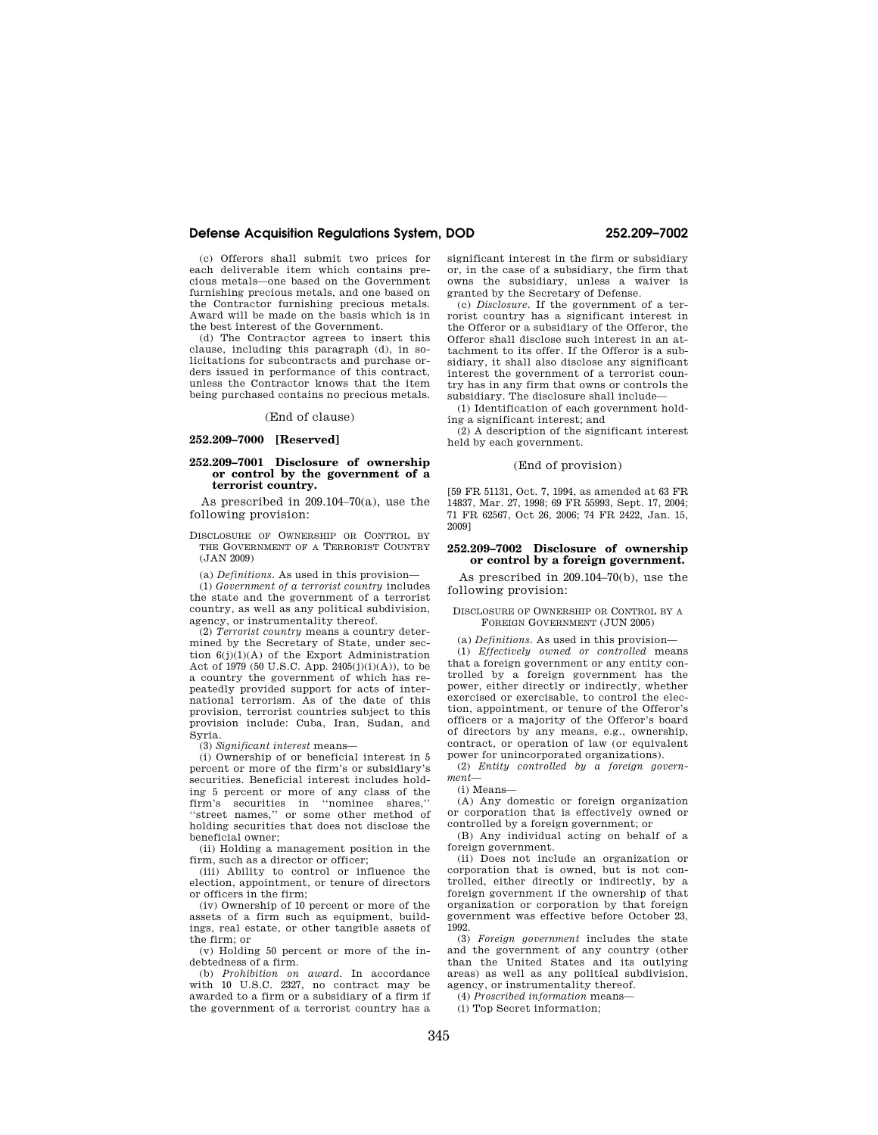# **Defense Acquisition Regulations System, DOD 252.209–7002**

(c) Offerors shall submit two prices for each deliverable item which contains precious metals—one based on the Government furnishing precious metals, and one based on the Contractor furnishing precious metals. Award will be made on the basis which is in the best interest of the Government.

(d) The Contractor agrees to insert this clause, including this paragraph (d), in solicitations for subcontracts and purchase orders issued in performance of this contract, unless the Contractor knows that the item being purchased contains no precious metals.

(End of clause)

# **252.209–7000 [Reserved]**

## **252.209–7001 Disclosure of ownership or control by the government of a terrorist country.**

As prescribed in 209.104–70(a), use the following provision:

DISCLOSURE OF OWNERSHIP OR CONTROL BY THE GOVERNMENT OF A TERRORIST COUNTRY (JAN 2009)

(a) *Definitions.* As used in this provision—

(1) *Government of a terrorist country* includes the state and the government of a terrorist country, as well as any political subdivision, agency, or instrumentality thereof.

(2) *Terrorist country* means a country determined by the Secretary of State, under section  $6(j)(1)(A)$  of the Export Administration Act of 1979 (50 U.S.C. App.  $2405(j)(i)(A)$ ), to be a country the government of which has repeatedly provided support for acts of international terrorism. As of the date of this provision, terrorist countries subject to this provision include: Cuba, Iran, Sudan, and Syria.

(3) *Significant interest* means—

(i) Ownership of or beneficial interest in 5 percent or more of the firm's or subsidiary's securities. Beneficial interest includes holding 5 percent or more of any class of the firm's securities in ''nominee shares,'' 'street names," or some other method of holding securities that does not disclose the beneficial owner;

(ii) Holding a management position in the firm, such as a director or officer;

(iii) Ability to control or influence the election, appointment, or tenure of directors or officers in the firm;

(iv) Ownership of 10 percent or more of the assets of a firm such as equipment, buildings, real estate, or other tangible assets of the firm; or

(v) Holding 50 percent or more of the indebtedness of a firm.

(b) *Prohibition on award.* In accordance with 10 U.S.C. 2327, no contract may be awarded to a firm or a subsidiary of a firm if the government of a terrorist country has a significant interest in the firm or subsidiary or, in the case of a subsidiary, the firm that owns the subsidiary, unless a waiver is granted by the Secretary of Defense.

(c) *Disclosure.* If the government of a terrorist country has a significant interest in the Offeror or a subsidiary of the Offeror, the Offeror shall disclose such interest in an attachment to its offer. If the Offeror is a subsidiary, it shall also disclose any significant interest the government of a terrorist country has in any firm that owns or controls the subsidiary. The disclosure shall include—

(1) Identification of each government holding a significant interest; and

(2) A description of the significant interest held by each government.

## (End of provision)

[59 FR 51131, Oct. 7, 1994, as amended at 63 FR 14837, Mar. 27, 1998; 69 FR 55993, Sept. 17, 2004; 71 FR 62567, Oct 26, 2006; 74 FR 2422, Jan. 15, 2009]

## **252.209–7002 Disclosure of ownership or control by a foreign government.**

As prescribed in 209.104–70(b), use the following provision:

## DISCLOSURE OF OWNERSHIP OR CONTROL BY A FOREIGN GOVERNMENT (JUN 2005)

(a) *Definitions.* As used in this provision—

(1) *Effectively owned or controlled* means that a foreign government or any entity controlled by a foreign government has the power, either directly or indirectly, whether exercised or exercisable, to control the election, appointment, or tenure of the Offeror's officers or a majority of the Offeror's board of directors by any means, e.g., ownership, contract, or operation of law (or equivalent power for unincorporated organizations).

(2) *Entity controlled by a foreign government*—

(i) Means—

(A) Any domestic or foreign organization or corporation that is effectively owned or controlled by a foreign government; or

(B) Any individual acting on behalf of a foreign government.

(ii) Does not include an organization or corporation that is owned, but is not controlled, either directly or indirectly, by a foreign government if the ownership of that organization or corporation by that foreign government was effective before October 23, 1992.

(3) *Foreign government* includes the state and the government of any country (other than the United States and its outlying areas) as well as any political subdivision, agency, or instrumentality thereof.

(4) *Proscribed information* means—

(i) Top Secret information;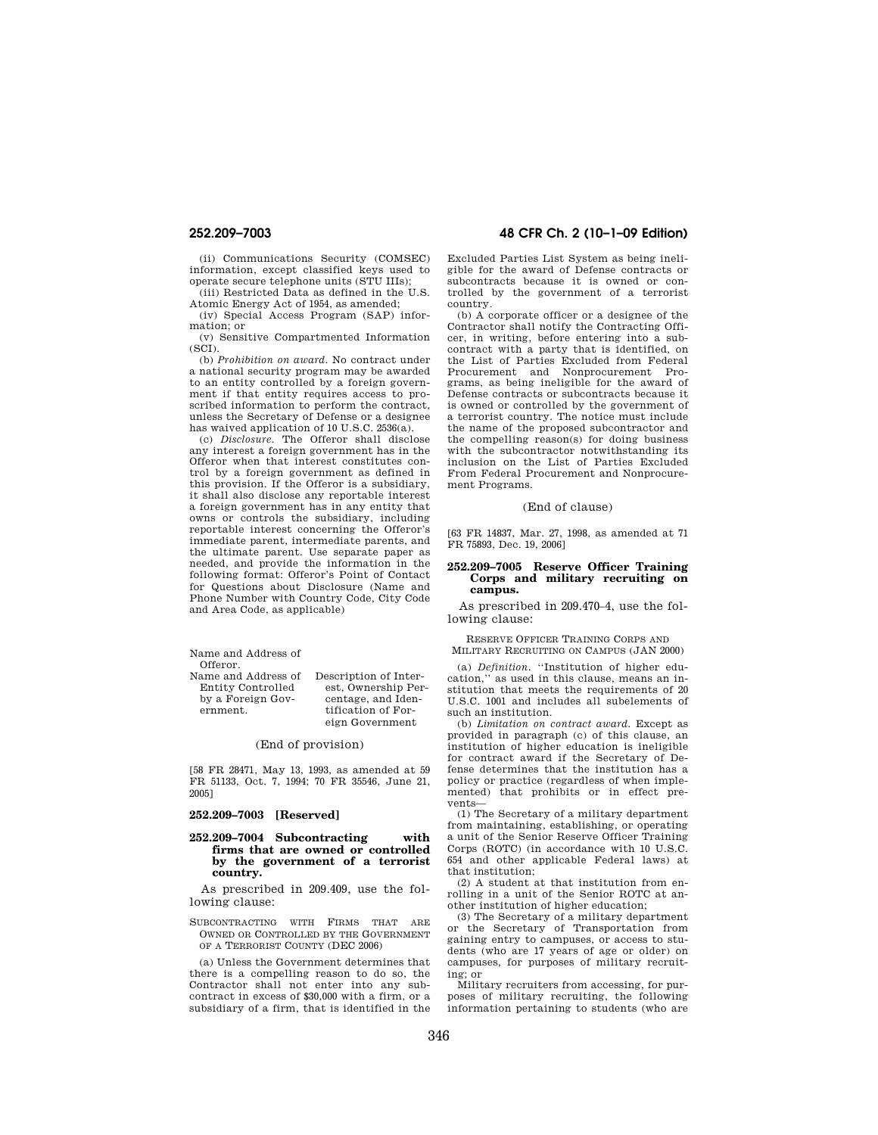(ii) Communications Security (COMSEC) information, except classified keys used to operate secure telephone units (STU IIIs);

(iii) Restricted Data as defined in the U.S. Atomic Energy Act of 1954, as amended;

(iv) Special Access Program (SAP) information; or

(v) Sensitive Compartmented Information (SCI).

(b) *Prohibition on award.* No contract under a national security program may be awarded to an entity controlled by a foreign government if that entity requires access to proscribed information to perform the contract, unless the Secretary of Defense or a designee has waived application of 10 U.S.C. 2536(a).

(c) *Disclosure.* The Offeror shall disclose any interest a foreign government has in the Offeror when that interest constitutes control by a foreign government as defined in this provision. If the Offeror is a subsidiary, it shall also disclose any reportable interest a foreign government has in any entity that owns or controls the subsidiary, including reportable interest concerning the Offeror's immediate parent, intermediate parents, and the ultimate parent. Use separate paper as needed, and provide the information in the following format: Offeror's Point of Contact for Questions about Disclosure (Name and Phone Number with Country Code, City Code and Area Code, as applicable)

Name and Address of Offeror.

Name and Address of Entity Controlled by a Foreign Government. Description of Inter-

(End of provision)

est, Ownership Percentage, and Identification of Foreign Government

[58 FR 28471, May 13, 1993, as amended at 59 FR 51133, Oct. 7, 1994; 70 FR 35546, June 21, 2005]

## **252.209–7003 [Reserved]**

**252.209–7004 Subcontracting with firms that are owned or controlled by the government of a terrorist country.** 

As prescribed in 209.409, use the following clause:

SUBCONTRACTING WITH FIRMS THAT ARE OWNED OR CONTROLLED BY THE GOVERNMENT OF A TERRORIST COUNTY (DEC 2006)

(a) Unless the Government determines that there is a compelling reason to do so, the Contractor shall not enter into any subcontract in excess of \$30,000 with a firm, or a subsidiary of a firm, that is identified in the

# **252.209–7003 48 CFR Ch. 2 (10–1–09 Edition)**

Excluded Parties List System as being ineligible for the award of Defense contracts or subcontracts because it is owned or controlled by the government of a terrorist country.

(b) A corporate officer or a designee of the Contractor shall notify the Contracting Officer, in writing, before entering into a subcontract with a party that is identified, on the List of Parties Excluded from Federal Procurement and Nonprocurement Programs, as being ineligible for the award of Defense contracts or subcontracts because it is owned or controlled by the government of a terrorist country. The notice must include the name of the proposed subcontractor and the compelling reason(s) for doing business with the subcontractor notwithstanding its inclusion on the List of Parties Excluded From Federal Procurement and Nonprocurement Programs.

## (End of clause)

[63 FR 14837, Mar. 27, 1998, as amended at 71 FR 75893, Dec. 19, 2006]

## **252.209–7005 Reserve Officer Training Corps and military recruiting on campus.**

As prescribed in 209.470–4, use the following clause:

RESERVE OFFICER TRAINING CORPS AND MILITARY RECRUITING ON CAMPUS (JAN 2000)

(a) *Definition.* ''Institution of higher education,'' as used in this clause, means an institution that meets the requirements of 20 U.S.C. 1001 and includes all subelements of such an institution.

(b) *Limitation on contract award.* Except as provided in paragraph (c) of this clause, an institution of higher education is ineligible for contract award if the Secretary of Defense determines that the institution has a policy or practice (regardless of when implemented) that prohibits or in effect prevents—

(1) The Secretary of a military department from maintaining, establishing, or operating a unit of the Senior Reserve Officer Training Corps (ROTC) (in accordance with 10 U.S.C. 654 and other applicable Federal laws) at that institution;

(2) A student at that institution from enrolling in a unit of the Senior ROTC at another institution of higher education;

(3) The Secretary of a military department or the Secretary of Transportation from gaining entry to campuses, or access to students (who are 17 years of age or older) on campuses, for purposes of military recruiting; or

Military recruiters from accessing, for purposes of military recruiting, the following information pertaining to students (who are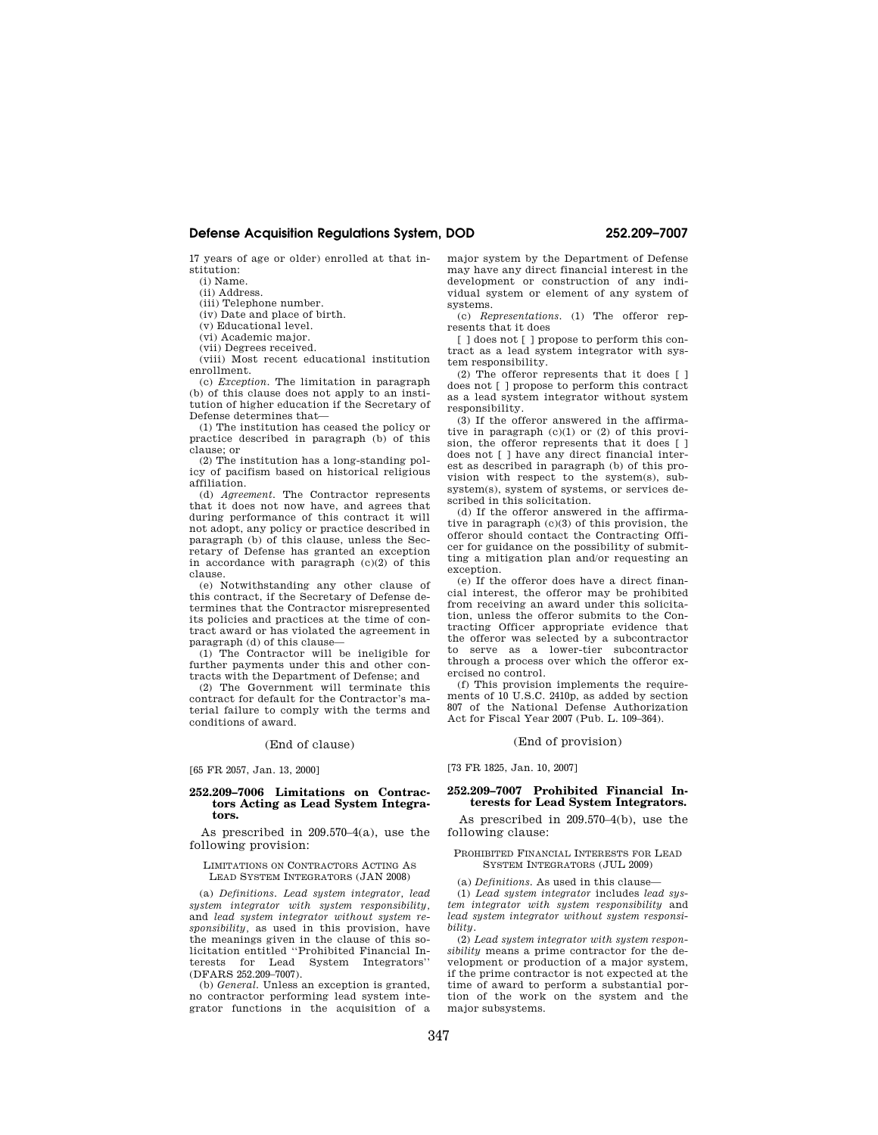# **Defense Acquisition Regulations System, DOD 252.209–7007**

17 years of age or older) enrolled at that institution:

(i) Name. (ii) Address.

(iii) Telephone number.

(iv) Date and place of birth.

(v) Educational level.

(vi) Academic major.

(vii) Degrees received.

(viii) Most recent educational institution enrollment.

(c) *Exception.* The limitation in paragraph (b) of this clause does not apply to an institution of higher education if the Secretary of Defense determines that—

(1) The institution has ceased the policy or practice described in paragraph (b) of this clause; or

(2) The institution has a long-standing policy of pacifism based on historical religious affiliation.

(d) *Agreement.* The Contractor represents that it does not now have, and agrees that during performance of this contract it will not adopt, any policy or practice described in paragraph (b) of this clause, unless the Secretary of Defense has granted an exception in accordance with paragraph (c)(2) of this clause.

(e) Notwithstanding any other clause of this contract, if the Secretary of Defense determines that the Contractor misrepresented its policies and practices at the time of contract award or has violated the agreement in paragraph (d) of this clause—

(1) The Contractor will be ineligible for further payments under this and other contracts with the Department of Defense; and

(2) The Government will terminate this contract for default for the Contractor's material failure to comply with the terms and conditions of award.

(End of clause)

[65 FR 2057, Jan. 13, 2000]

## **252.209–7006 Limitations on Contractors Acting as Lead System Integrators.**

As prescribed in 209.570–4(a), use the following provision:

## LIMITATIONS ON CONTRACTORS ACTING AS LEAD SYSTEM INTEGRATORS (JAN 2008)

(a) *Definitions. Lead system integrator, lead system integrator with system responsibility,*  and *lead system integrator without system responsibility,* as used in this provision, have the meanings given in the clause of this solicitation entitled ''Prohibited Financial Interests for Lead System Integrators'' (DFARS 252.209–7007).

(b) *General.* Unless an exception is granted, no contractor performing lead system integrator functions in the acquisition of a major system by the Department of Defense may have any direct financial interest in the development or construction of any individual system or element of any system of systems.

(c) *Representations.* (1) The offeror represents that it does

[ ] does not [ ] propose to perform this contract as a lead system integrator with system responsibility.

(2) The offeror represents that it does [ ] does not [ ] propose to perform this contract as a lead system integrator without system responsibility.

(3) If the offeror answered in the affirmative in paragraph (c)(1) or (2) of this provision, the offeror represents that it does [ ] does not [ ] have any direct financial interest as described in paragraph (b) of this provision with respect to the system(s), subsystem(s), system of systems, or services described in this solicitation.

(d) If the offeror answered in the affirmative in paragraph (c)(3) of this provision, the offeror should contact the Contracting Officer for guidance on the possibility of submitting a mitigation plan and/or requesting an exception.

(e) If the offeror does have a direct financial interest, the offeror may be prohibited from receiving an award under this solicitation, unless the offeror submits to the Contracting Officer appropriate evidence that the offeror was selected by a subcontractor to serve as a lower-tier subcontractor through a process over which the offeror exercised no control.

(f) This provision implements the requirements of 10 U.S.C. 2410p, as added by section 807 of the National Defense Authorization Act for Fiscal Year 2007 (Pub. L. 109–364).

# (End of provision)

[73 FR 1825, Jan. 10, 2007]

## **252.209–7007 Prohibited Financial Interests for Lead System Integrators.**

As prescribed in 209.570–4(b), use the following clause:

### PROHIBITED FINANCIAL INTERESTS FOR LEAD SYSTEM INTEGRATORS (JUL 2009)

(a) *Definitions.* As used in this clause—

(1) *Lead system integrator* includes *lead system integrator with system responsibility* and *lead system integrator without system responsibility.* 

(2) *Lead system integrator with system responsibility* means a prime contractor for the development or production of a major system, if the prime contractor is not expected at the time of award to perform a substantial portion of the work on the system and the major subsystems.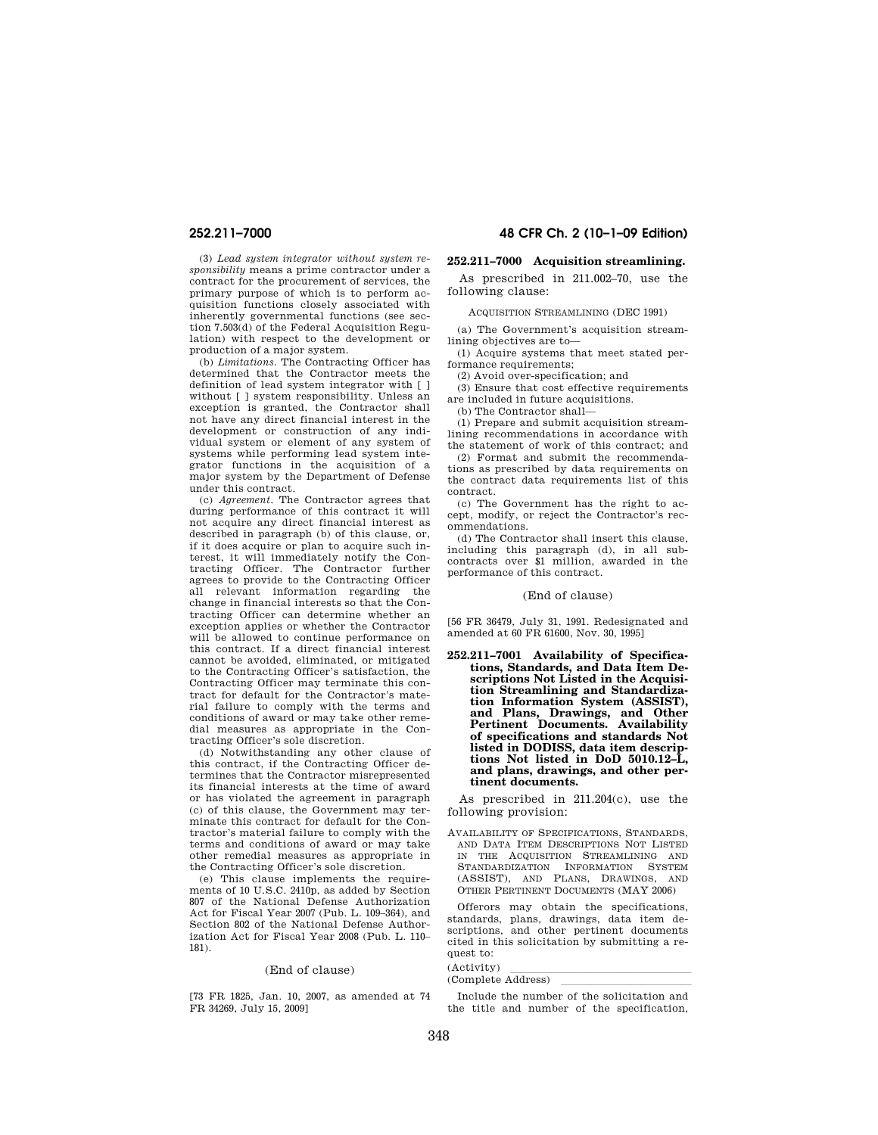(3) *Lead system integrator without system responsibility* means a prime contractor under a contract for the procurement of services, the primary purpose of which is to perform acquisition functions closely associated with inherently governmental functions (see section 7.503(d) of the Federal Acquisition Regulation) with respect to the development or production of a major system.

(b) *Limitations.* The Contracting Officer has determined that the Contractor meets the definition of lead system integrator with [ ] without [ ] system responsibility. Unless an exception is granted, the Contractor shall not have any direct financial interest in the development or construction of any individual system or element of any system of systems while performing lead system integrator functions in the acquisition of a major system by the Department of Defense under this contract.

(c) *Agreement.* The Contractor agrees that during performance of this contract it will not acquire any direct financial interest as described in paragraph (b) of this clause, or, if it does acquire or plan to acquire such interest, it will immediately notify the Contracting Officer. The Contractor further agrees to provide to the Contracting Officer all relevant information regarding the change in financial interests so that the Contracting Officer can determine whether an exception applies or whether the Contractor will be allowed to continue performance on this contract. If a direct financial interest cannot be avoided, eliminated, or mitigated to the Contracting Officer's satisfaction, the Contracting Officer may terminate this contract for default for the Contractor's material failure to comply with the terms and conditions of award or may take other remedial measures as appropriate in the Contracting Officer's sole discretion.

(d) Notwithstanding any other clause of this contract, if the Contracting Officer determines that the Contractor misrepresented its financial interests at the time of award or has violated the agreement in paragraph (c) of this clause, the Government may terminate this contract for default for the Contractor's material failure to comply with the terms and conditions of award or may take other remedial measures as appropriate in the Contracting Officer's sole discretion.

(e) This clause implements the requirements of 10 U.S.C. 2410p, as added by Section 807 of the National Defense Authorization Act for Fiscal Year 2007 (Pub. L. 109–364), and Section 802 of the National Defense Authorization Act for Fiscal Year 2008 (Pub. L. 110– 181).

## (End of clause)

[73 FR 1825, Jan. 10, 2007, as amended at 74 FR 34269, July 15, 2009]

# **252.211–7000 48 CFR Ch. 2 (10–1–09 Edition)**

# **252.211–7000 Acquisition streamlining.**

As prescribed in 211.002–70, use the following clause:

ACQUISITION STREAMLINING (DEC 1991)

(a) The Government's acquisition streamlining objectives are to—

(1) Acquire systems that meet stated performance requirements;

(2) Avoid over-specification; and

(3) Ensure that cost effective requirements are included in future acquisitions.

(b) The Contractor shall—

(1) Prepare and submit acquisition streamlining recommendations in accordance with the statement of work of this contract; and

(2) Format and submit the recommendations as prescribed by data requirements on the contract data requirements list of this contract.

(c) The Government has the right to accept, modify, or reject the Contractor's recommendations.

(d) The Contractor shall insert this clause, including this paragraph (d), in all subcontracts over \$1 million, awarded in the performance of this contract.

### (End of clause)

[56 FR 36479, July 31, 1991. Redesignated and amended at 60 FR 61600, Nov. 30, 1995]

**252.211–7001 Availability of Specifications, Standards, and Data Item Descriptions Not Listed in the Acquisition Streamlining and Standardization Information System (ASSIST), and Plans, Drawings, and Other Pertinent Documents. Availability of specifications and standards Not listed in DODISS, data item descriptions Not listed in DoD 5010.12–L, and plans, drawings, and other pertinent documents.** 

As prescribed in 211.204(c), use the following provision:

AVAILABILITY OF SPECIFICATIONS, STANDARDS, AND DATA ITEM DESCRIPTIONS NOT LISTED IN THE ACQUISITION STREAMLINING AND STANDARDIZATION INFORMATION SYSTEM (ASSIST), AND PLANS, DRAWINGS, AND OTHER PERTINENT DOCUMENTS (MAY 2006)

Offerors may obtain the specifications, standards, plans, drawings, data item descriptions, and other pertinent documents cited in this solicitation by submitting a request to:

(Activity)  $\frac{1}{\text{(Complete Address)}}$ (Complete Address)

Include the number of the solicitation and the title and number of the specification,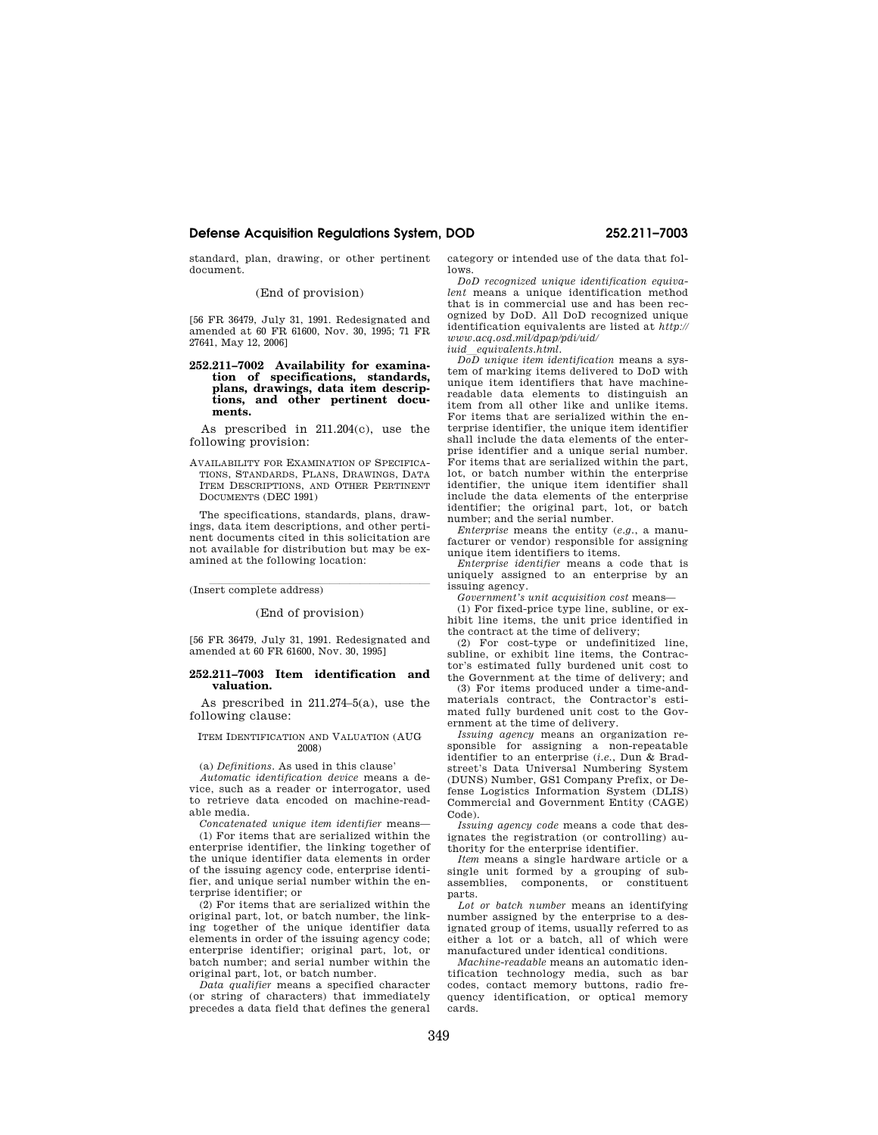# **Defense Acquisition Regulations System, DOD 252.211–7003**

standard, plan, drawing, or other pertinent document.

(End of provision)

[56 FR 36479, July 31, 1991. Redesignated and amended at 60 FR 61600, Nov. 30, 1995; 71 FR 27641, May 12, 2006]

## **252.211–7002 Availability for examination of specifications, standards, plans, drawings, data item descriptions, and other pertinent documents.**

As prescribed in 211.204(c), use the following provision:

AVAILABILITY FOR EXAMINATION OF SPECIFICA-TIONS, STANDARDS, PLANS, DRAWINGS, DATA ITEM DESCRIPTIONS, AND OTHER PERTINENT DOCUMENTS (DEC 1991)

The specifications, standards, plans, drawings, data item descriptions, and other pertinent documents cited in this solicitation are not available for distribution but may be examined at the following location:

(Insert complete address)

# (End of provision)

[56 FR 36479, July 31, 1991. Redesignated and amended at 60 FR 61600, Nov. 30, 1995]

## **252.211–7003 Item identification and valuation.**

As prescribed in 211.274–5(a), use the following clause:

## ITEM IDENTIFICATION AND VALUATION (AUG 2008)

(a) *Definitions*. As used in this clause'

*Automatic identification device* means a device, such as a reader or interrogator, used to retrieve data encoded on machine-readable media.

*Concatenated unique item identifier* means— (1) For items that are serialized within the enterprise identifier, the linking together of the unique identifier data elements in order of the issuing agency code, enterprise identifier, and unique serial number within the enterprise identifier; or

(2) For items that are serialized within the original part, lot, or batch number, the linking together of the unique identifier data elements in order of the issuing agency code; enterprise identifier; original part, lot, or batch number; and serial number within the original part, lot, or batch number.

*Data qualifier* means a specified character (or string of characters) that immediately precedes a data field that defines the general

category or intended use of the data that follows.

*DoD recognized unique identification equivalent* means a unique identification method that is in commercial use and has been recognized by DoD. All DoD recognized unique identification equivalents are listed at *http:// www.acq.osd.mil/dpap/pdi/uid/* 

*iuid*l*equivalents.html*. *DoD unique item identification* means a system of marking items delivered to DoD with unique item identifiers that have machinereadable data elements to distinguish an item from all other like and unlike items. For items that are serialized within the enterprise identifier, the unique item identifier shall include the data elements of the enterprise identifier and a unique serial number. For items that are serialized within the part, lot, or batch number within the enterprise identifier, the unique item identifier shall include the data elements of the enterprise identifier; the original part, lot, or batch number; and the serial number.

*Enterprise* means the entity (*e.g.*, a manufacturer or vendor) responsible for assigning unique item identifiers to items.

*Enterprise identifier* means a code that is uniquely assigned to an enterprise by an issuing agency.

*Government's unit acquisition cost* means—

(1) For fixed-price type line, subline, or exhibit line items, the unit price identified in the contract at the time of delivery;

(2) For cost-type or undefinitized line, subline, or exhibit line items, the Contractor's estimated fully burdened unit cost to the Government at the time of delivery; and

(3) For items produced under a time-andmaterials contract, the Contractor's estimated fully burdened unit cost to the Government at the time of delivery.

*Issuing agency* means an organization responsible for assigning a non-repeatable identifier to an enterprise (*i.e.*, Dun & Bradstreet's Data Universal Numbering System (DUNS) Number, GS1 Company Prefix, or Defense Logistics Information System (DLIS) Commercial and Government Entity (CAGE) Code).

*Issuing agency code* means a code that designates the registration (or controlling) authority for the enterprise identifier.

*Item* means a single hardware article or a single unit formed by a grouping of subassemblies, components, or constituent parts.

*Lot or batch number* means an identifying number assigned by the enterprise to a designated group of items, usually referred to as either a lot or a batch, all of which were manufactured under identical conditions.

*Machine-readable* means an automatic identification technology media, such as bar codes, contact memory buttons, radio frequency identification, or optical memory cards.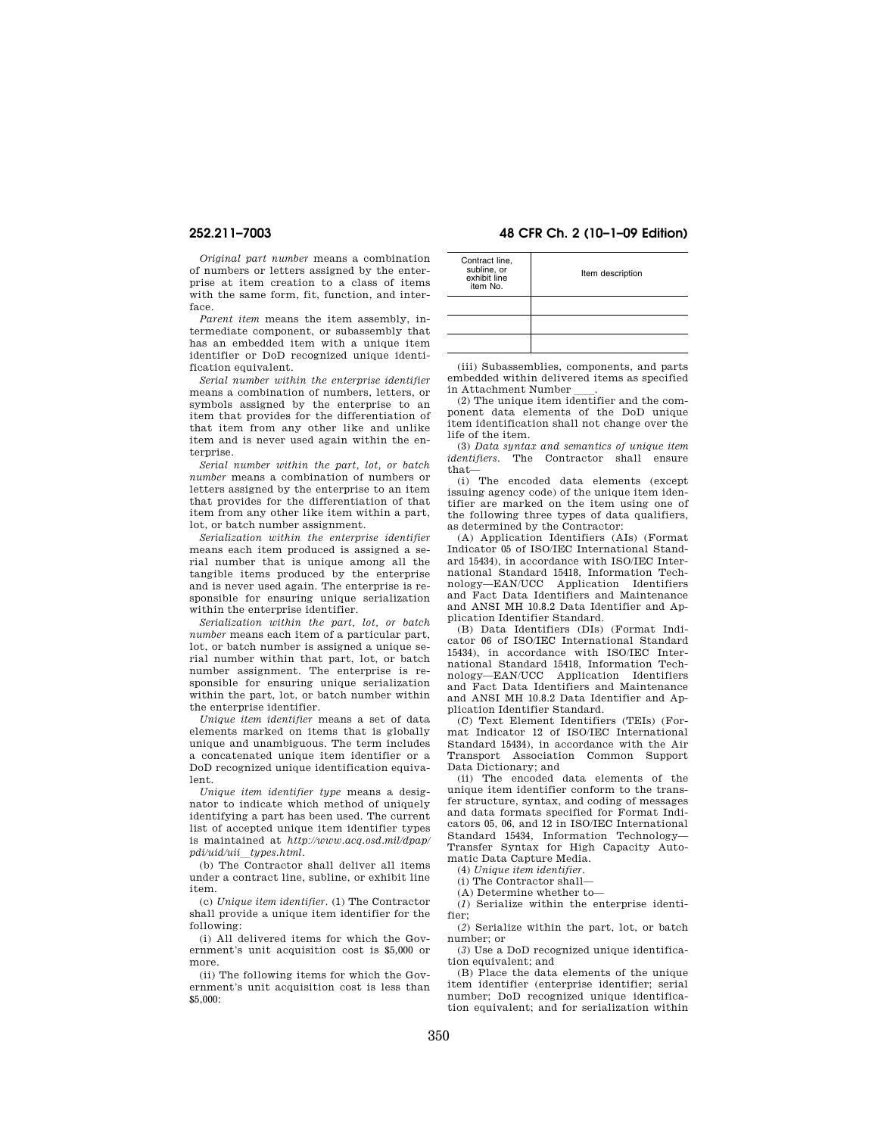*Original part number* means a combination of numbers or letters assigned by the enterprise at item creation to a class of items with the same form, fit, function, and interface.

*Parent item* means the item assembly, intermediate component, or subassembly that has an embedded item with a unique item identifier or DoD recognized unique identification equivalent.

*Serial number within the enterprise identifier*  means a combination of numbers, letters, or symbols assigned by the enterprise to an item that provides for the differentiation of that item from any other like and unlike item and is never used again within the enterprise.

*Serial number within the part, lot, or batch number* means a combination of numbers or letters assigned by the enterprise to an item that provides for the differentiation of that item from any other like item within a part, lot, or batch number assignment.

*Serialization within the enterprise identifier*  means each item produced is assigned a serial number that is unique among all the tangible items produced by the enterprise and is never used again. The enterprise is responsible for ensuring unique serialization within the enterprise identifier.

*Serialization within the part, lot, or batch number* means each item of a particular part, lot, or batch number is assigned a unique serial number within that part, lot, or batch number assignment. The enterprise is responsible for ensuring unique serialization within the part, lot, or batch number within the enterprise identifier.

*Unique item identifier* means a set of data elements marked on items that is globally unique and unambiguous. The term includes a concatenated unique item identifier or a DoD recognized unique identification equivalent.

*Unique item identifier type* means a designator to indicate which method of uniquely identifying a part has been used. The current list of accepted unique item identifier types is maintained at *http://www.acq.osd.mil/dpap/ pdi/uid/uii*l*types.html*.

(b) The Contractor shall deliver all items under a contract line, subline, or exhibit line item.

(c) *Unique item identifier.* (1) The Contractor shall provide a unique item identifier for the following:

(i) All delivered items for which the Government's unit acquisition cost is \$5,000 or more.

(ii) The following items for which the Government's unit acquisition cost is less than \$5,000:

# **252.211–7003 48 CFR Ch. 2 (10–1–09 Edition)**



(iii) Subassemblies, components, and parts embedded within delivered items as specified

in Attachment Number \_\_\_\_.<br>(2) The unique item identifier and the component data elements of the DoD unique item identification shall not change over the life of the item.

(3) *Data syntax and semantics of unique item*  The Contractor shall ensure that—

(i) The encoded data elements (except issuing agency code) of the unique item identifier are marked on the item using one of the following three types of data qualifiers, as determined by the Contractor:

(A) Application Identifiers (AIs) (Format Indicator 05 of ISO/IEC International Standard 15434), in accordance with ISO/IEC International Standard 15418, Information Technology—EAN/UCC Application Identifiers and Fact Data Identifiers and Maintenance and ANSI MH 10.8.2 Data Identifier and Application Identifier Standard.

(B) Data Identifiers (DIs) (Format Indicator 06 of ISO/IEC International Standard 15434), in accordance with ISO/IEC International Standard 15418, Information Technology—EAN/UCC Application Identifiers and Fact Data Identifiers and Maintenance and ANSI MH 10.8.2 Data Identifier and Application Identifier Standard.

(C) Text Element Identifiers (TEIs) (Format Indicator 12 of ISO/IEC International Standard 15434), in accordance with the Air Transport Association Common Support Data Dictionary; and

(ii) The encoded data elements of the unique item identifier conform to the transfer structure, syntax, and coding of messages and data formats specified for Format Indicators 05, 06, and 12 in ISO/IEC International Standard 15434, Information Technology— Transfer Syntax for High Capacity Automatic Data Capture Media.

(4) *Unique item identifier.* 

(i) The Contractor shall—

(A) Determine whether to—

(*1*) Serialize within the enterprise identifier;

(*2*) Serialize within the part, lot, or batch number; or

(*3*) Use a DoD recognized unique identification equivalent; and

(B) Place the data elements of the unique item identifier (enterprise identifier; serial number; DoD recognized unique identification equivalent; and for serialization within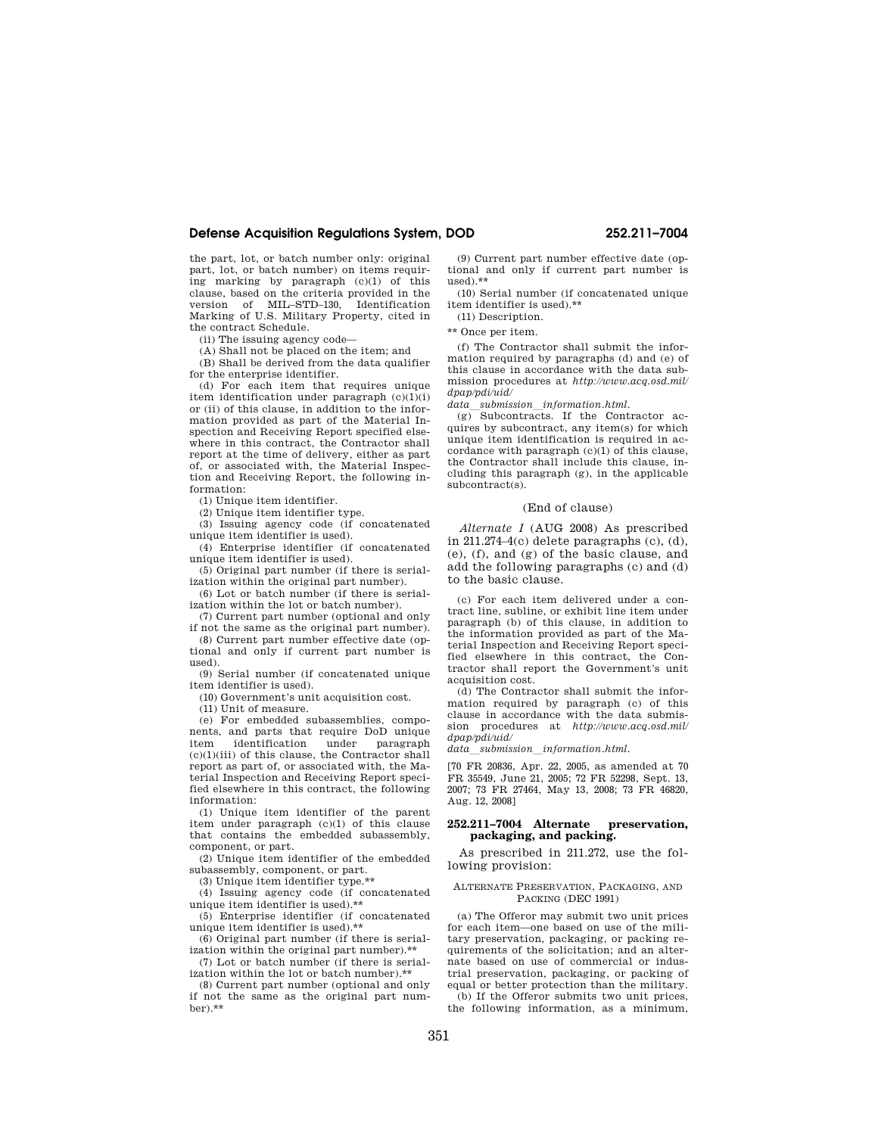# **Defense Acquisition Regulations System, DOD 252.211–7004**

the part, lot, or batch number only: original part, lot, or batch number) on items requiring marking by paragraph (c)(1) of this clause, based on the criteria provided in the version of MIL–STD–130, Identification Marking of U.S. Military Property, cited in the contract Schedule.

(ii) The issuing agency code—

(A) Shall not be placed on the item; and

(B) Shall be derived from the data qualifier for the enterprise identifier.

(d) For each item that requires unique item identification under paragraph (c)(1)(i) or (ii) of this clause, in addition to the information provided as part of the Material Inspection and Receiving Report specified elsewhere in this contract, the Contractor shall report at the time of delivery, either as part of, or associated with, the Material Inspection and Receiving Report, the following information:

(1) Unique item identifier.

(2) Unique item identifier type.

(3) Issuing agency code (if concatenated unique item identifier is used).

(4) Enterprise identifier (if concatenated unique item identifier is used).

(5) Original part number (if there is serialization within the original part number).

(6) Lot or batch number (if there is serialization within the lot or batch number).

(7) Current part number (optional and only

if not the same as the original part number). (8) Current part number effective date (optional and only if current part number is used).

(9) Serial number (if concatenated unique item identifier is used).

(10) Government's unit acquisition cost.

(11) Unit of measure.

(e) For embedded subassemblies, components, and parts that require DoD unique item identification under paragraph  $(c)(1)(iii)$  of this clause, the Contractor shall report as part of, or associated with, the Material Inspection and Receiving Report specified elsewhere in this contract, the following information:

(1) Unique item identifier of the parent item under paragraph (c)(1) of this clause that contains the embedded subassembly, component, or part.

(2) Unique item identifier of the embedded subassembly, component, or part.

(3) Unique item identifier type.\*\*

(4) Issuing agency code (if concatenated unique item identifier is used).\*\*

(5) Enterprise identifier (if concatenated unique item identifier is used).\*\*

(6) Original part number (if there is serialization within the original part number).\*\*

(7) Lot or batch number (if there is serialization within the lot or batch number).\*\*

(8) Current part number (optional and only if not the same as the original part num $hen$ \*\*

(9) Current part number effective date (optional and only if current part number is used) $*$ 

(10) Serial number (if concatenated unique item identifier is used).\*\*

(11) Description.

\*\* Once per item.

(f) The Contractor shall submit the information required by paragraphs (d) and (e) of this clause in accordance with the data submission procedures at *http://www.acq.osd.mil/ dpap/pdi/uid/* 

*data*l*submission*l*information.html*.

(g) Subcontracts. If the Contractor acquires by subcontract, any item(s) for which unique item identification is required in accordance with paragraph (c)(1) of this clause, the Contractor shall include this clause, including this paragraph (g), in the applicable subcontract(s).

## (End of clause)

*Alternate I* (AUG 2008) As prescribed in  $211.274-4(c)$  delete paragraphs  $(c)$ ,  $(d)$ , (e), (f), and (g) of the basic clause, and add the following paragraphs (c) and (d) to the basic clause.

(c) For each item delivered under a contract line, subline, or exhibit line item under paragraph (b) of this clause, in addition to the information provided as part of the Material Inspection and Receiving Report specified elsewhere in this contract, the Contractor shall report the Government's unit acquisition cost.

(d) The Contractor shall submit the information required by paragraph (c) of this clause in accordance with the data submission procedures at *http://www.acq.osd.mil/ dpap/pdi/uid/* 

*data*l*submission*l*information.html*.

[70 FR 20836, Apr. 22, 2005, as amended at 70 FR 35549, June 21, 2005; 72 FR 52298, Sept. 13, 2007; 73 FR 27464, May 13, 2008; 73 FR 46820, Aug. 12, 2008]

## **252.211–7004 Alternate preservation, packaging, and packing.**

As prescribed in 211.272, use the following provision:

## ALTERNATE PRESERVATION, PACKAGING, AND PACKING (DEC 1991)

(a) The Offeror may submit two unit prices for each item—one based on use of the military preservation, packaging, or packing requirements of the solicitation; and an alternate based on use of commercial or industrial preservation, packaging, or packing of equal or better protection than the military.

(b) If the Offeror submits two unit prices, the following information, as a minimum,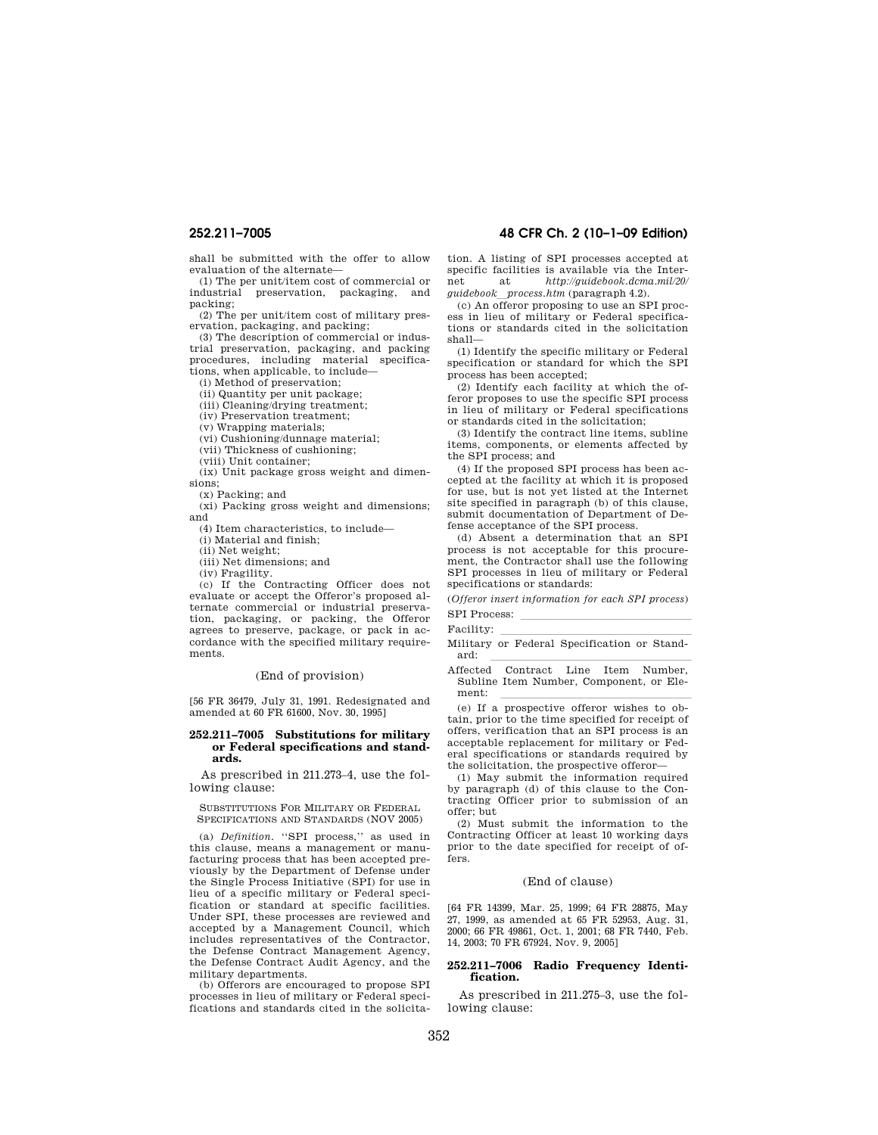shall be submitted with the offer to allow evaluation of the alternate—

(1) The per unit/item cost of commercial or<br>industrial preservation, packaging, and preservation, packaging, and packing;

(2) The per unit/item cost of military preservation, packaging, and packing;

(3) The description of commercial or industrial preservation, packaging, and packing procedures, including material specifications, when applicable, to include—

(i) Method of preservation;

(ii) Quantity per unit package;

(iii) Cleaning/drying treatment;

(iv) Preservation treatment;

(v) Wrapping materials;

(vi) Cushioning/dunnage material;

(vii) Thickness of cushioning;

(viii) Unit container;

(ix) Unit package gross weight and dimensions;

(x) Packing; and

(xi) Packing gross weight and dimensions; and

(4) Item characteristics, to include—

(i) Material and finish;

(ii) Net weight;

(iii) Net dimensions; and

(iv) Fragility.

(c) If the Contracting Officer does not evaluate or accept the Offeror's proposed alternate commercial or industrial preservation, packaging, or packing, the Offeror agrees to preserve, package, or pack in accordance with the specified military requirements.

# (End of provision)

[56 FR 36479, July 31, 1991. Redesignated and amended at 60 FR 61600, Nov. 30, 1995]

### **252.211–7005 Substitutions for military or Federal specifications and standards.**

As prescribed in 211.273–4, use the following clause:

SUBSTITUTIONS FOR MILITARY OR FEDERAL SPECIFICATIONS AND STANDARDS (NOV 2005)

(a) *Definition.* ''SPI process,'' as used in this clause, means a management or manufacturing process that has been accepted previously by the Department of Defense under the Single Process Initiative (SPI) for use in lieu of a specific military or Federal specification or standard at specific facilities. Under SPI, these processes are reviewed and accepted by a Management Council, which includes representatives of the Contractor, the Defense Contract Management Agency, the Defense Contract Audit Agency, and the military departments.

(b) Offerors are encouraged to propose SPI processes in lieu of military or Federal specifications and standards cited in the solicita-

# **252.211–7005 48 CFR Ch. 2 (10–1–09 Edition)**

tion. A listing of SPI processes accepted at specific facilities is available via the Internet at *http://guidebook.dcma.mil/20/ guidebook*l*process.htm* (paragraph 4.2).

(c) An offeror proposing to use an SPI process in lieu of military or Federal specifications or standards cited in the solicitation shall—

(1) Identify the specific military or Federal specification or standard for which the SPI process has been accepted;

(2) Identify each facility at which the offeror proposes to use the specific SPI process in lieu of military or Federal specifications or standards cited in the solicitation;

(3) Identify the contract line items, subline items, components, or elements affected by the SPI process; and

(4) If the proposed SPI process has been accepted at the facility at which it is proposed for use, but is not yet listed at the Internet site specified in paragraph (b) of this clause, submit documentation of Department of Defense acceptance of the SPI process.

(d) Absent a determination that an SPI process is not acceptable for this procurement, the Contractor shall use the following SPI processes in lieu of military or Federal specifications or standards:

(*Offeror insert information for each SPI process*)

SPI Process:<br>Facility:

Facility: lllllllllllllllllll Military or Federal Specification or Stand-

ard:<br>Affected Contract Line Item Number, Subline Item Number, Component, or Ele-

ment: lllllllllllllllllll (e) If a prospective offeror wishes to obtain, prior to the time specified for receipt of offers, verification that an SPI process is an acceptable replacement for military or Federal specifications or standards required by the solicitation, the prospective offeror—

(1) May submit the information required by paragraph (d) of this clause to the Contracting Officer prior to submission of an offer; but

(2) Must submit the information to the Contracting Officer at least 10 working days prior to the date specified for receipt of offers.

## (End of clause)

[64 FR 14399, Mar. 25, 1999; 64 FR 28875, May 27, 1999, as amended at 65 FR 52953, Aug. 31, 2000; 66 FR 49861, Oct. 1, 2001; 68 FR 7440, Feb. 14, 2003; 70 FR 67924, Nov. 9, 2005]

# **252.211–7006 Radio Frequency Identification.**

As prescribed in 211.275–3, use the following clause: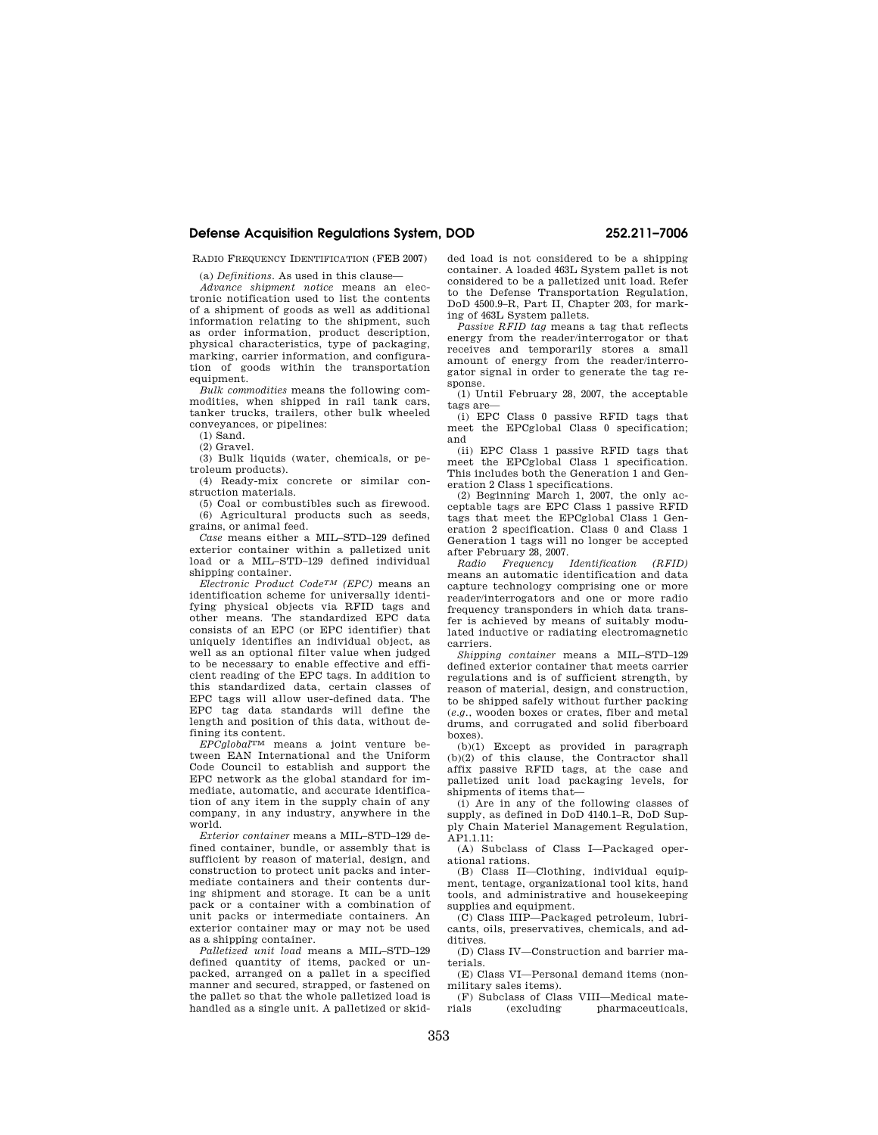# **Defense Acquisition Regulations System, DOD 252.211–7006**

RADIO FREQUENCY IDENTIFICATION (FEB 2007)

(a) *Definitions.* As used in this clause—

*Advance shipment notice* means an electronic notification used to list the contents of a shipment of goods as well as additional information relating to the shipment, such as order information, product description, physical characteristics, type of packaging, marking, carrier information, and configuration of goods within the transportation equipment.

*Bulk commodities* means the following commodities, when shipped in rail tank cars, tanker trucks, trailers, other bulk wheeled conveyances, or pipelines:

(1) Sand.

(2) Gravel.

(3) Bulk liquids (water, chemicals, or petroleum products).

(4) Ready-mix concrete or similar construction materials.

(5) Coal or combustibles such as firewood. (6) Agricultural products such as seeds, grains, or animal feed.

*Case* means either a MIL–STD–129 defined exterior container within a palletized unit load or a MIL–STD–129 defined individual shipping container.

*Electronic Product CodeTM (EPC)* means an identification scheme for universally identifying physical objects via RFID tags and other means. The standardized EPC data consists of an EPC (or EPC identifier) that uniquely identifies an individual object, as well as an optional filter value when judged to be necessary to enable effective and efficient reading of the EPC tags. In addition to this standardized data, certain classes of EPC tags will allow user-defined data. The EPC tag data standards will define the length and position of this data, without defining its content.

*EPCglobal*TM means a joint venture between EAN International and the Uniform Code Council to establish and support the EPC network as the global standard for immediate, automatic, and accurate identification of any item in the supply chain of any company, in any industry, anywhere in the world.

*Exterior container* means a MIL–STD–129 defined container, bundle, or assembly that is sufficient by reason of material, design, and construction to protect unit packs and intermediate containers and their contents during shipment and storage. It can be a unit pack or a container with a combination of unit packs or intermediate containers. An exterior container may or may not be used as a shipping container.

*Palletized unit load* means a MIL–STD–129 defined quantity of items, packed or unpacked, arranged on a pallet in a specified manner and secured, strapped, or fastened on the pallet so that the whole palletized load is handled as a single unit. A palletized or skidded load is not considered to be a shipping container. A loaded 463L System pallet is not considered to be a palletized unit load. Refer to the Defense Transportation Regulation, DoD 4500.9–R, Part II, Chapter 203, for marking of 463L System pallets.

*Passive RFID tag* means a tag that reflects energy from the reader/interrogator or that receives and temporarily stores a small amount of energy from the reader/interrogator signal in order to generate the tag response.

(1) Until February 28, 2007, the acceptable tags are—

(i) EPC Class 0 passive RFID tags that meet the EPCglobal Class 0 specification; and

(ii) EPC Class 1 passive RFID tags that meet the EPCglobal Class 1 specification. This includes both the Generation 1 and Generation 2 Class 1 specifications.

(2) Beginning March 1, 2007, the only acceptable tags are EPC Class 1 passive RFID tags that meet the EPCglobal Class 1 Generation 2 specification. Class 0 and Class 1 Generation 1 tags will no longer be accepted after February 28, 2007.

*Radio Frequency Identification (RFID)*  means an automatic identification and data capture technology comprising one or more reader/interrogators and one or more radio frequency transponders in which data transfer is achieved by means of suitably modulated inductive or radiating electromagnetic carriers.

*Shipping container* means a MIL–STD–129 defined exterior container that meets carrier regulations and is of sufficient strength, by reason of material, design, and construction, to be shipped safely without further packing (*e.g.*, wooden boxes or crates, fiber and metal drums, and corrugated and solid fiberboard boxes).

(b)(1) Except as provided in paragraph (b)(2) of this clause, the Contractor shall affix passive RFID tags, at the case and palletized unit load packaging levels, for shipments of items that—

(i) Are in any of the following classes of supply, as defined in DoD 4140.1–R, DoD Supply Chain Materiel Management Regulation, AP1.1.11:

(A) Subclass of Class I—Packaged operational rations.

(B) Class II—Clothing, individual equipment, tentage, organizational tool kits, hand tools, and administrative and housekeeping supplies and equipment.

(C) Class IIIP—Packaged petroleum, lubricants, oils, preservatives, chemicals, and additives.

(D) Class IV—Construction and barrier materials.

(E) Class VI—Personal demand items (nonmilitary sales items).

(F) Subclass of Class VIII—Medical materials (excluding pharmaceuticals,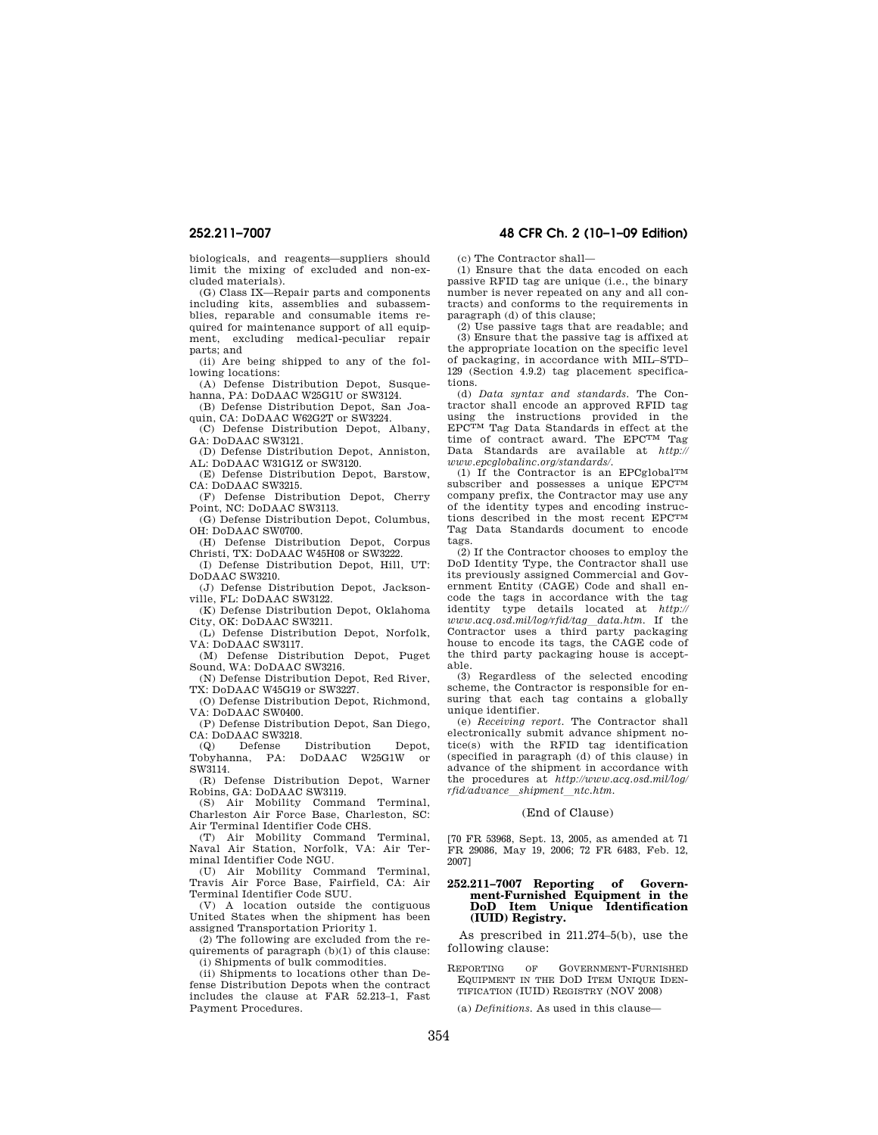biologicals, and reagents—suppliers should limit the mixing of excluded and non-excluded materials).

(G) Class IX—Repair parts and components including kits, assemblies and subassemblies, reparable and consumable items required for maintenance support of all equipment, excluding medical-peculiar repair parts; and

(ii) Are being shipped to any of the following locations:

(A) Defense Distribution Depot, Susquehanna, PA: DoDAAC W25G1U or SW3124.

(B) Defense Distribution Depot, San Joaquin, CA: DoDAAC W62G2T or SW3224.

(C) Defense Distribution Depot, Albany, GA: DoDAAC SW3121.

(D) Defense Distribution Depot, Anniston,  $AT:$  DoDA AC W31G1Z or SW3120.

(E) Defense Distribution Depot, Barstow, CA: DoDAAC SW3215.

(F) Defense Distribution Depot, Cherry Point, NC: DoDAAC SW3113.

(G) Defense Distribution Depot, Columbus, OH: DoDAAC SW0700.

(H) Defense Distribution Depot, Corpus Christi, TX: DoDAAC W45H08 or SW3222.

(I) Defense Distribution Depot, Hill, UT: DoDAAC SW3210.

(J) Defense Distribution Depot, Jacksonville, FL: DoDAAC SW3122.

(K) Defense Distribution Depot, Oklahoma City, OK: DoDAAC SW3211.

(L) Defense Distribution Depot, Norfolk, VA: DoDAAC SW3117.

(M) Defense Distribution Depot, Puget Sound, WA: DoDAAC SW3216.

(N) Defense Distribution Depot, Red River, TX: DoDAAC W45G19 or SW3227.

(O) Defense Distribution Depot, Richmond, VA: DoDAAC SW0400.

(P) Defense Distribution Depot, San Diego, CA: DoDAAC SW3218.<br>(Q) Defense Distribution

(Q) Defense Distribution Depot, Tobyhanna, PA: DoDAAC W25G1W or SW3114.

(R) Defense Distribution Depot, Warner Robins, GA: DoDAAC SW3119.

(S) Air Mobility Command Terminal, Charleston Air Force Base, Charleston, SC: Air Terminal Identifier Code CHS.

(T) Air Mobility Command Terminal, Naval Air Station, Norfolk, VA: Air Terminal Identifier Code NGU.

(U) Air Mobility Command Terminal, Travis Air Force Base, Fairfield, CA: Air Terminal Identifier Code SUU.

(V) A location outside the contiguous United States when the shipment has been assigned Transportation Priority 1.

(2) The following are excluded from the requirements of paragraph (b)(1) of this clause: (i) Shipments of bulk commodities.

(ii) Shipments to locations other than Defense Distribution Depots when the contract includes the clause at FAR 52.213–1, Fast Payment Procedures.

# **252.211–7007 48 CFR Ch. 2 (10–1–09 Edition)**

(c) The Contractor shall—

(1) Ensure that the data encoded on each passive RFID tag are unique (i.e., the binary number is never repeated on any and all contracts) and conforms to the requirements in paragraph (d) of this clause;

(2) Use passive tags that are readable; and (3) Ensure that the passive tag is affixed at the appropriate location on the specific level of packaging, in accordance with MIL–STD– 129 (Section 4.9.2) tag placement specifications.

(d) *Data syntax and standards.* The Contractor shall encode an approved RFID tag using the instructions provided in the<br>EPC<sup>TM</sup> Tag Data Standards in effect at the time of contract award. The EPCTM Tag Data Standards are available at *http:// www.epcglobalinc.org/standards/.* 

(1) If the Contractor is an EPCglobalTM subscriber and possesses a unique EPCTM company prefix, the Contractor may use any of the identity types and encoding instructions described in the most recent EPCTM Tag Data Standards document to encode tags.

(2) If the Contractor chooses to employ the DoD Identity Type, the Contractor shall use its previously assigned Commercial and Government Entity (CAGE) Code and shall encode the tags in accordance with the tag identity type details located at *http:// www.acq.osd.mil/log/rfid/tag*l*data.htm.* If the Contractor uses a third party packaging house to encode its tags, the CAGE code of the third party packaging house is acceptable.

(3) Regardless of the selected encoding scheme, the Contractor is responsible for ensuring that each tag contains a globally unique identifier.

(e) *Receiving report.* The Contractor shall electronically submit advance shipment notice(s) with the RFID tag identification (specified in paragraph (d) of this clause) in advance of the shipment in accordance with the procedures at *http://www.acq.osd.mil/log/ rfid/advance*l*shipment*l*ntc.htm.* 

## (End of Clause)

[70 FR 53968, Sept. 13, 2005, as amended at 71 FR 29086, May 19, 2006; 72 FR 6483, Feb. 12, 2007]

## **252.211–7007 Reporting of Government-Furnished Equipment in the DoD Item Unique Identification (IUID) Registry.**

As prescribed in 211.274–5(b), use the following clause:

REPORTING OF GOVERNMENT-FURNISHED EQUIPMENT IN THE DOD ITEM UNIQUE IDEN-TIFICATION (IUID) REGISTRY (NOV 2008)

(a) *Definitions.* As used in this clause—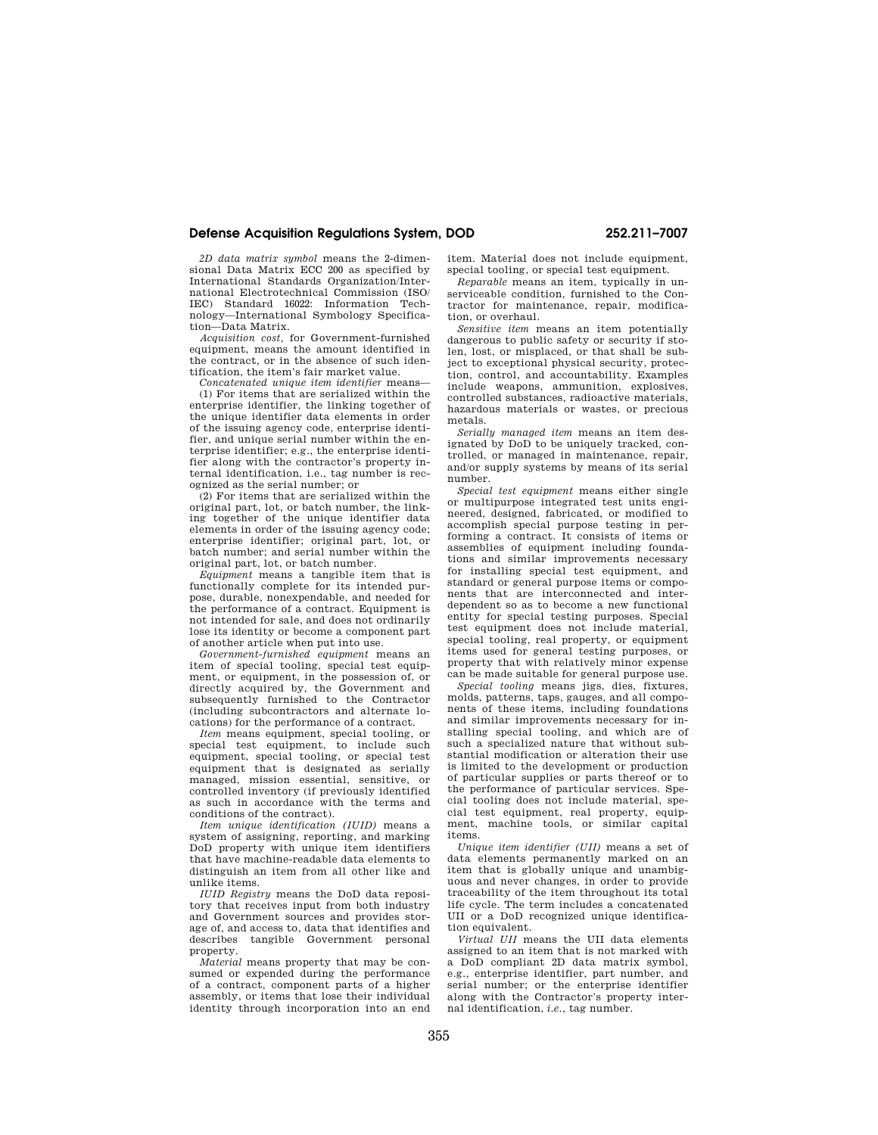# **Defense Acquisition Regulations System, DOD 252.211–7007**

*2D data matrix symbol* means the 2-dimensional Data Matrix ECC 200 as specified by International Standards Organization/International Electrotechnical Commission (ISO/ IEC) Standard 16022: Information Technology—International Symbology Specification—Data Matrix.

*Acquisition cost,* for Government-furnished equipment, means the amount identified in the contract, or in the absence of such identification, the item's fair market value.

*Concatenated unique item identifier* means— (1) For items that are serialized within the enterprise identifier, the linking together of the unique identifier data elements in order of the issuing agency code, enterprise identifier, and unique serial number within the enterprise identifier; e.g., the enterprise identifier along with the contractor's property internal identification, i.e., tag number is recognized as the serial number; or

(2) For items that are serialized within the original part, lot, or batch number, the linking together of the unique identifier data elements in order of the issuing agency code; enterprise identifier; original part, lot, or batch number; and serial number within the original part, lot, or batch number.

*Equipment* means a tangible item that is functionally complete for its intended purpose, durable, nonexpendable, and needed for the performance of a contract. Equipment is not intended for sale, and does not ordinarily lose its identity or become a component part of another article when put into use.

*Government-furnished equipment* means an item of special tooling, special test equipment, or equipment, in the possession of, or directly acquired by, the Government and subsequently furnished to the Contractor (including subcontractors and alternate locations) for the performance of a contract.

*Item* means equipment, special tooling, or special test equipment, to include such equipment, special tooling, or special test equipment that is designated as serially managed, mission essential, sensitive, or controlled inventory (if previously identified as such in accordance with the terms and conditions of the contract).

*Item unique identification (IUID)* means a system of assigning, reporting, and marking DoD property with unique item identifiers that have machine-readable data elements to distinguish an item from all other like and unlike items.

*IUID Registry* means the DoD data repository that receives input from both industry and Government sources and provides storage of, and access to, data that identifies and describes tangible Government personal property.

*Material* means property that may be consumed or expended during the performance of a contract, component parts of a higher assembly, or items that lose their individual identity through incorporation into an end item. Material does not include equipment, special tooling, or special test equipment.

*Reparable* means an item, typically in unserviceable condition, furnished to the Contractor for maintenance, repair, modification, or overhaul.

*Sensitive item* means an item potentially dangerous to public safety or security if stolen, lost, or misplaced, or that shall be subject to exceptional physical security, protection, control, and accountability. Examples include weapons, ammunition, explosives, controlled substances, radioactive materials, hazardous materials or wastes, or precious metals.

*Serially managed item* means an item designated by DoD to be uniquely tracked, controlled, or managed in maintenance, repair, and/or supply systems by means of its serial number.

*Special test equipment* means either single or multipurpose integrated test units engineered, designed, fabricated, or modified to accomplish special purpose testing in performing a contract. It consists of items or assemblies of equipment including foundations and similar improvements necessary for installing special test equipment, and standard or general purpose items or components that are interconnected and interdependent so as to become a new functional entity for special testing purposes. Special test equipment does not include material, special tooling, real property, or equipment items used for general testing purposes, or property that with relatively minor expense can be made suitable for general purpose use.

*Special tooling* means jigs, dies, fixtures, molds, patterns, taps, gauges, and all components of these items, including foundations and similar improvements necessary for installing special tooling, and which are of such a specialized nature that without substantial modification or alteration their use is limited to the development or production of particular supplies or parts thereof or to the performance of particular services. Special tooling does not include material, special test equipment, real property, equipment, machine tools, or similar capital items.

*Unique item identifier (UII)* means a set of data elements permanently marked on an item that is globally unique and unambiguous and never changes, in order to provide traceability of the item throughout its total life cycle. The term includes a concatenated UII or a DoD recognized unique identification equivalent.

*Virtual UII* means the UII data elements assigned to an item that is not marked with a DoD compliant 2D data matrix symbol, e.g., enterprise identifier, part number, and serial number; or the enterprise identifier along with the Contractor's property internal identification, *i.e.*, tag number.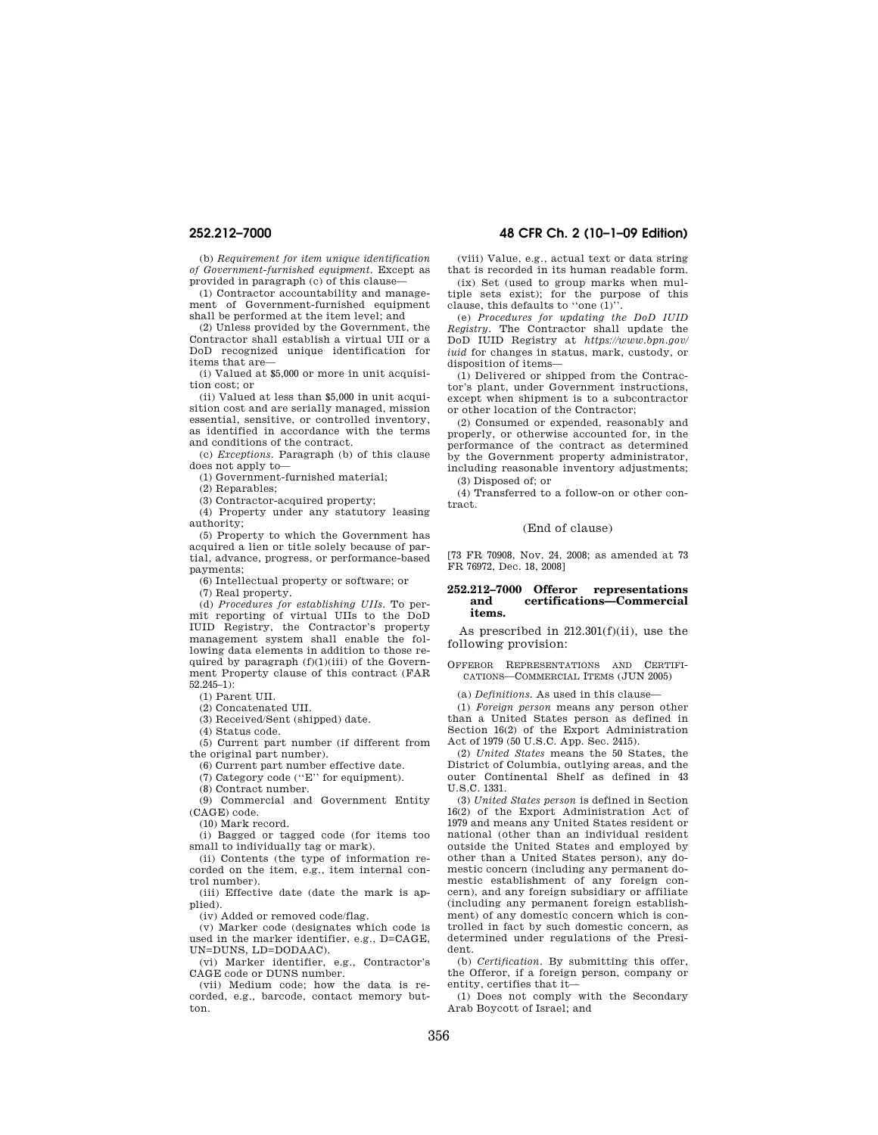(b) *Requirement for item unique identification of Government-furnished equipment.* Except as provided in paragraph (c) of this clause—

(1) Contractor accountability and management of Government-furnished equipment shall be performed at the item level; and

(2) Unless provided by the Government, the Contractor shall establish a virtual UII or a DoD recognized unique identification for items that are—

(i) Valued at \$5,000 or more in unit acquisition cost; or

(ii) Valued at less than \$5,000 in unit acquisition cost and are serially managed, mission essential, sensitive, or controlled inventory, as identified in accordance with the terms and conditions of the contract.

(c) *Exceptions.* Paragraph (b) of this clause does not apply to—

(1) Government-furnished material;

(2) Reparables;

(3) Contractor-acquired property;

(4) Property under any statutory leasing authority;

(5) Property to which the Government has acquired a lien or title solely because of partial, advance, progress, or performance-based payments;

(6) Intellectual property or software; or

(7) Real property.

(d) *Procedures for establishing UIIs.* To permit reporting of virtual UIIs to the DoD IUID Registry, the Contractor's property management system shall enable the following data elements in addition to those required by paragraph (f)(1)(iii) of the Government Property clause of this contract (FAR 52.245–1):

(1) Parent UII.

(2) Concatenated UII.

(3) Received/Sent (shipped) date.

(4) Status code.

(5) Current part number (if different from the original part number).

(6) Current part number effective date.

(7) Category code (''E'' for equipment).

(8) Contract number.

(9) Commercial and Government Entity (CAGE) code.

(10) Mark record.

(i) Bagged or tagged code (for items too small to individually tag or mark).

(ii) Contents (the type of information recorded on the item, e.g., item internal control number).

(iii) Effective date (date the mark is applied).

(iv) Added or removed code/flag.

(v) Marker code (designates which code is used in the marker identifier, e.g., D=CAGE, UN=DUNS, LD=DODAAC).

(vi) Marker identifier, e.g., Contractor's CAGE code or DUNS number.

(vii) Medium code; how the data is recorded, e.g., barcode, contact memory button.

# **252.212–7000 48 CFR Ch. 2 (10–1–09 Edition)**

(viii) Value, e.g., actual text or data string that is recorded in its human readable form.

(ix) Set (used to group marks when multiple sets exist); for the purpose of this clause, this defaults to ''one (1)''.

(e) *Procedures for updating the DoD IUID Registry.* The Contractor shall update the DoD IUID Registry at *https://www.bpn.gov/ iuid* for changes in status, mark, custody, or disposition of items—

(1) Delivered or shipped from the Contractor's plant, under Government instructions, except when shipment is to a subcontractor or other location of the Contractor;

(2) Consumed or expended, reasonably and properly, or otherwise accounted for, in the performance of the contract as determined by the Government property administrator, including reasonable inventory adjustments; (3) Disposed of; or

(4) Transferred to a follow-on or other contract.

### (End of clause)

[73 FR 70908, Nov. 24, 2008; as amended at 73 FR 76972, Dec. 18, 2008]

## **252.212–7000 Offeror representations and certifications—Commercial items.**

As prescribed in 212.301(f)(ii), use the following provision:

OFFEROR REPRESENTATIONS AND CERTIFI-CATIONS—COMMERCIAL ITEMS (JUN 2005)

(a) *Definitions*. As used in this clause-

(1) *Foreign person* means any person other than a United States person as defined in Section 16(2) of the Export Administration Act of 1979 (50 U.S.C. App. Sec. 2415).

(2) *United States* means the 50 States, the District of Columbia, outlying areas, and the outer Continental Shelf as defined in 43 U.S.C. 1331.

(3) *United States person* is defined in Section 16(2) of the Export Administration Act of 1979 and means any United States resident or national (other than an individual resident outside the United States and employed by other than a United States person), any domestic concern (including any permanent domestic establishment of any foreign concern), and any foreign subsidiary or affiliate (including any permanent foreign establishment) of any domestic concern which is controlled in fact by such domestic concern, as determined under regulations of the President.

(b) *Certification.* By submitting this offer, the Offeror, if a foreign person, company or entity, certifies that it—

(1) Does not comply with the Secondary Arab Boycott of Israel; and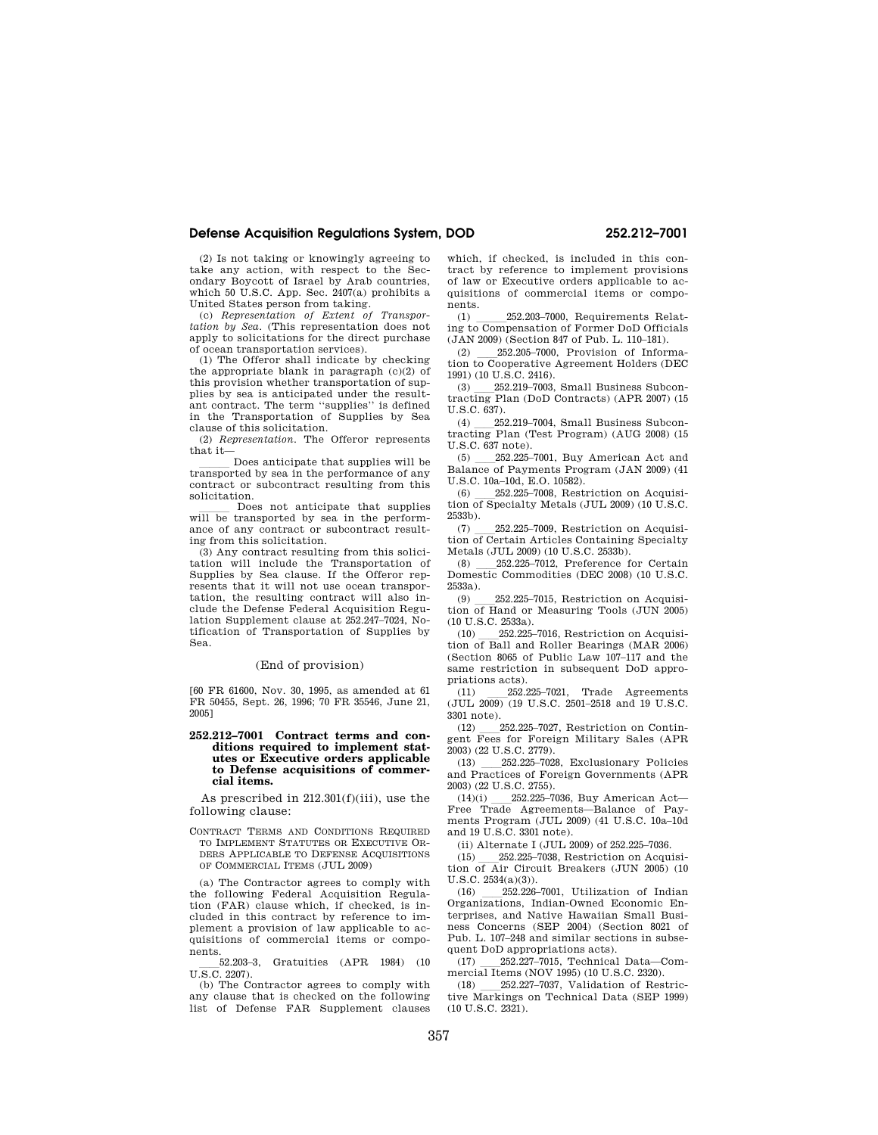# **Defense Acquisition Regulations System, DOD 252.212–7001**

(2) Is not taking or knowingly agreeing to take any action, with respect to the Secondary Boycott of Israel by Arab countries, which 50 U.S.C. App. Sec. 2407(a) prohibits a United States person from taking.

(c) *Representation of Extent of Transportation by Sea.* (This representation does not apply to solicitations for the direct purchase of ocean transportation services).

(1) The Offeror shall indicate by checking the appropriate blank in paragraph (c)(2) of this provision whether transportation of supplies by sea is anticipated under the resultant contract. The term ''supplies'' is defined in the Transportation of Supplies by Sea clause of this solicitation.

(2) *Representation.* The Offeror represents that it—

lll Does anticipate that supplies will be transported by sea in the performance of any contract or subcontract resulting from this solicitation.<br>Does not anticipate that supplies

Does not anticipate that supplies will be transported by sea in the performance of any contract or subcontract resulting from this solicitation.

(3) Any contract resulting from this solicitation will include the Transportation of Supplies by Sea clause. If the Offeror represents that it will not use ocean transportation, the resulting contract will also include the Defense Federal Acquisition Regulation Supplement clause at 252.247–7024, Notification of Transportation of Supplies by Sea.

## (End of provision)

[60 FR 61600, Nov. 30, 1995, as amended at 61 FR 50455, Sept. 26, 1996; 70 FR 35546, June 21, 2005]

## **252.212–7001 Contract terms and conditions required to implement statutes or Executive orders applicable to Defense acquisitions of commercial items.**

As prescribed in 212.301(f)(iii), use the following clause:

CONTRACT TERMS AND CONDITIONS REQUIRED TO IMPLEMENT STATUTES OR EXECUTIVE OR-DERS APPLICABLE TO DEFENSE ACQUISITIONS OF COMMERCIAL ITEMS (JUL 2009)

(a) The Contractor agrees to comply with the following Federal Acquisition Regulation (FAR) clause which, if checked, is included in this contract by reference to implement a provision of law applicable to acquisitions of commercial items or components.

52.203-3, Gratuities (APR 1984) (10 U.S.C. 2207).

(b) The Contractor agrees to comply with any clause that is checked on the following list of Defense FAR Supplement clauses

which, if checked, is included in this contract by reference to implement provisions of law or Executive orders applicable to acquisitions of commercial items or components.

 $(1)$  252.203–7000, Requirements Relating to Compensation of Former DoD Officials  $(JAN 2009)$  (Section 847 of Pub. L. 110–181).<br>(2) 252.205–7000, Provision of Informa-

(2) 252.205–7000, Provision of Information to Cooperative Agreement Holders (DEC) 1991) (10 U.S.C. 2416).

(3) 252.219–7003, Small Business Subcontracting Plan (DoD Contracts) (APR 2007) (15 U.S.C. 637).

 $(4)$  252.219–7004, Small Business Subcontracting Plan (Test Program) (AUG 2008) (15 U.S.C. 637 note).

 $(5)$  252.225–7001, Buy American Act and Balance of Payments Program (JAN 2009) (41 U.S.C. 10a–10d, E.O. 10582).

(6) 252.225–7008, Restriction on Acquisition of Specialty Metals (JUL 2009) (10 U.S.C. 2533b).

(7) 252.225-7009, Restriction on Acquisition of Certain Articles Containing Specialty Metals (JUL 2009) (10 U.S.C. 2533b).

(8) ll252.225–7012, Preference for Certain Domestic Commodities (DEC 2008) (10 U.S.C. 2533a).

(9) ll252.225–7015, Restriction on Acquisi-tion of Hand or Measuring Tools (JUN 2005) (10 U.S.C. 2533a).

(10) ll252.225–7016, Restriction on Acquisi-tion of Ball and Roller Bearings (MAR 2006) (Section 8065 of Public Law 107–117 and the same restriction in subsequent DoD appropriations acts).<br>(11)  $252.225-7021$ , Trade Agreements

(11) ll252.225–7021, Trade Agreements (JUL 2009) (19 U.S.C. 2501–2518 and 19 U.S.C.  $3301 \text{ note}$ .<br>(12)  $252.225 - 7027$ , Restriction on Contin-

(12) 252.225–7027, Restriction on Contingent Fees for Foreign Military Sales (APR 2003) (22 U.S.C. 2779).

(13) ll252.225–7028, Exclusionary Policies and Practices of Foreign Governments (APR 2003) (22 U.S.C. 2755).

 $(14)(i)$  252.225–7036, Buy American Act— Free Trade Agreements—Balance of Payments Program (JUL 2009) (41 U.S.C. 10a–10d and 19 U.S.C. 3301 note).

(ii) Alternate I (JUL 2009) of 252.225–7036.<br>(15) 252.225–7038, Restriction on Acquisi-(15) ll252.225–7038, Restriction on Acquisi-tion of Air Circuit Breakers (JUN 2005) (10 U.S.C. 2534(a)(3)).

(16) 252.226-7001, Utilization of Indian Organizations, Indian-Owned Economic Enterprises, and Native Hawaiian Small Business Concerns (SEP 2004) (Section 8021 of Pub. L. 107–248 and similar sections in subsequent DoD appropriations acts).<br>(17) 252.227–7015, Technical Data—Com-

(17) ll252.227–7015, Technical Data—Com-mercial Items (NOV 1995) (10 U.S.C. 2320).

(18) ll252.227–7037, Validation of Restric-tive Markings on Technical Data (SEP 1999) (10 U.S.C. 2321).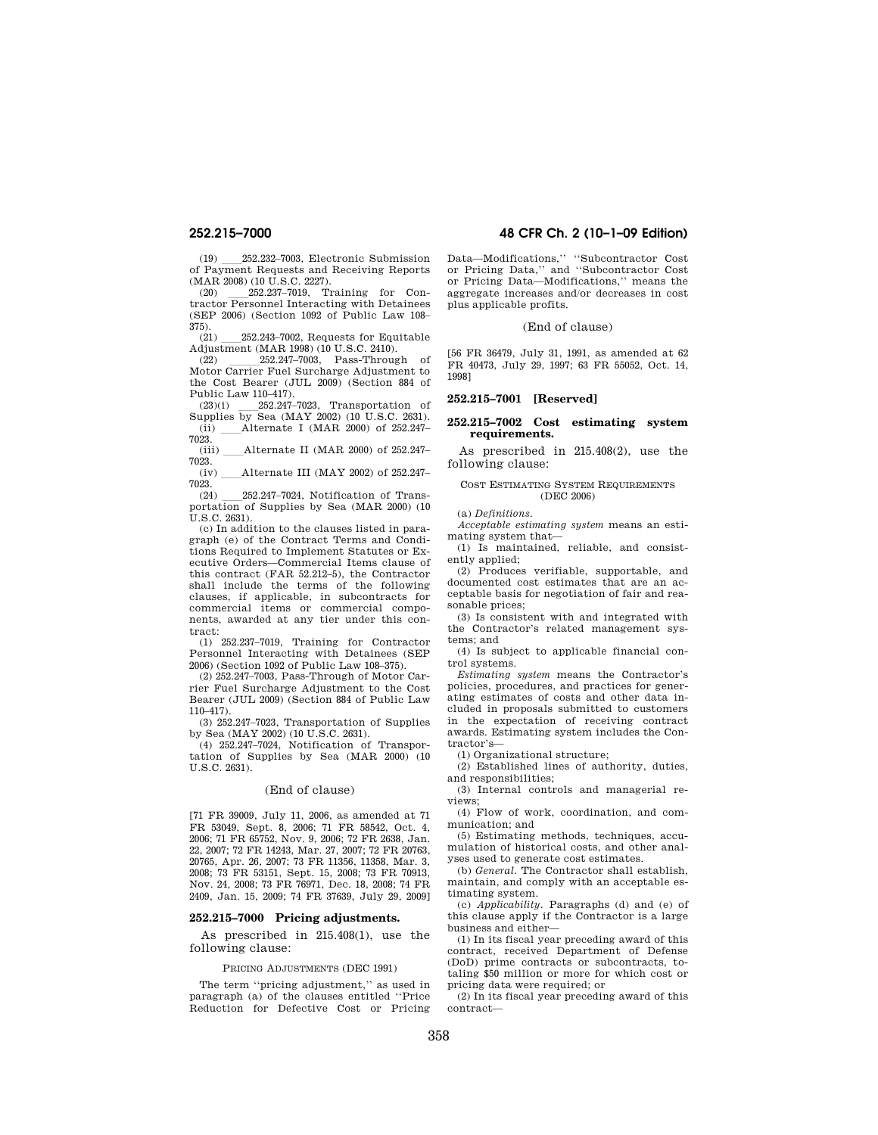(19) ll252.232–7003, Electronic Submission of Payment Requests and Receiving Reports (MAR 2008) (10 U.S.C. 2227).<br>(20) 252.237–7019. Training for Con-

(20) ll252.237–7019, Training for Con-tractor Personnel Interacting with Detainees (SEP 2006) (Section 1092 of Public Law 108–  $\frac{375}{(21)}$ 

(21) ll252.243–7002, Requests for Equitable Adjustment (MAR 1998) (10 U.S.C. 2410).

(22) 252.247–7003, Pass-Through of Motor Carrier Fuel Surcharge Adjustment to the Cost Bearer (JUL 2009) (Section 884 of Public Law 110–417).<br>(23)(i) 252.247–7023, Transportation of

(23)(i) 252.247–7023, Transportation of Supplies by Sea (MAY 2002) (10 U.S.C. 2631).  $(i)$  Alternate I (MAR 2000) of 252.247–

 $7023.$  (iii) Alternate II (MAR 2000) of  $252.247-$ 

 $7023.$  (iv) Alternate III (MAY 2002) of  $252.247-$ 

 $7023.$  (24)  $(24)$  252.247–7024, Notification of Trans-<br>portation of Supplies by Sea (MAR 2000) (10 U.S.C. 2631).

(c) In addition to the clauses listed in paragraph (e) of the Contract Terms and Conditions Required to Implement Statutes or Executive Orders—Commercial Items clause of this contract (FAR 52.212–5), the Contractor shall include the terms of the following clauses, if applicable, in subcontracts for commercial items or commercial components, awarded at any tier under this contract:

(1) 252.237–7019, Training for Contractor Personnel Interacting with Detainees (SEP 2006) (Section 1092 of Public Law 108–375).

(2) 252.247–7003, Pass-Through of Motor Carrier Fuel Surcharge Adjustment to the Cost Bearer (JUL 2009) (Section 884 of Public Law 110–417).

(3) 252.247–7023, Transportation of Supplies by Sea (MAY 2002) (10 U.S.C. 2631).

(4) 252.247–7024, Notification of Transportation of Supplies by Sea (MAR 2000) (10 U.S.C. 2631).

# (End of clause)

[71 FR 39009, July 11, 2006, as amended at 71 FR 53049, Sept. 8, 2006; 71 FR 58542, Oct. 4, 2006; 71 FR 65752, Nov. 9, 2006; 72 FR 2638, Jan. 22, 2007; 72 FR 14243, Mar. 27, 2007; 72 FR 20763, 20765, Apr. 26, 2007; 73 FR 11356, 11358, Mar. 3, 2008; 73 FR 53151, Sept. 15, 2008; 73 FR 70913, Nov. 24, 2008; 73 FR 76971, Dec. 18, 2008; 74 FR 2409, Jan. 15, 2009; 74 FR 37639, July 29, 2009]

## **252.215–7000 Pricing adjustments.**

As prescribed in 215.408(1), use the following clause:

## PRICING ADJUSTMENTS (DEC 1991)

The term ''pricing adjustment,'' as used in paragraph (a) of the clauses entitled ''Price Reduction for Defective Cost or Pricing

# **252.215–7000 48 CFR Ch. 2 (10–1–09 Edition)**

Data—Modifications,'' ''Subcontractor Cost or Pricing Data,'' and ''Subcontractor Cost or Pricing Data—Modifications,'' means the aggregate increases and/or decreases in cost plus applicable profits.

## (End of clause)

[56 FR 36479, July 31, 1991, as amended at 62 FR 40473, July 29, 1997; 63 FR 55052, Oct. 14, 1998]

# **252.215–7001 [Reserved]**

## **252.215–7002 Cost estimating system requirements.**

As prescribed in 215.408(2), use the following clause:

### COST ESTIMATING SYSTEM REQUIREMENTS (DEC 2006)

(a) *Definitions.* 

*Acceptable estimating system* means an estimating system that—

(1) Is maintained, reliable, and consistently applied;

(2) Produces verifiable, supportable, and documented cost estimates that are an acceptable basis for negotiation of fair and reasonable prices;

(3) Is consistent with and integrated with the Contractor's related management systems; and

(4) Is subject to applicable financial control systems.

*Estimating system* means the Contractor's policies, procedures, and practices for generating estimates of costs and other data included in proposals submitted to customers in the expectation of receiving contract awards. Estimating system includes the Contractor's—

(1) Organizational structure;

(2) Established lines of authority, duties, and responsibilities;

(3) Internal controls and managerial reviews;

(4) Flow of work, coordination, and communication; and

(5) Estimating methods, techniques, accumulation of historical costs, and other analyses used to generate cost estimates.

(b) *General.* The Contractor shall establish, maintain, and comply with an acceptable estimating system.

(c) *Applicability.* Paragraphs (d) and (e) of this clause apply if the Contractor is a large business and either—

(1) In its fiscal year preceding award of this contract, received Department of Defense (DoD) prime contracts or subcontracts, totaling \$50 million or more for which cost or pricing data were required; or

(2) In its fiscal year preceding award of this contract—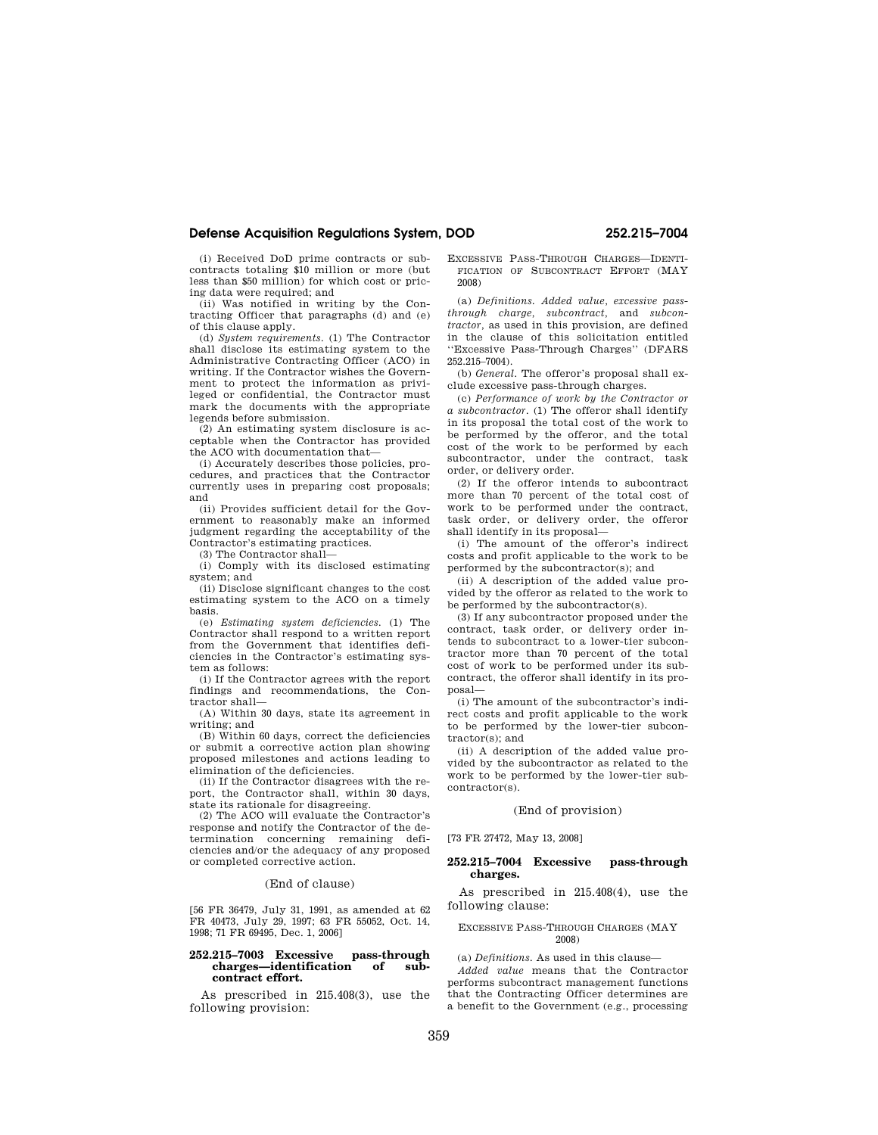# **Defense Acquisition Regulations System, DOD 252.215–7004**

(i) Received DoD prime contracts or subcontracts totaling \$10 million or more (but less than \$50 million) for which cost or pricing data were required; and

(ii) Was notified in writing by the Contracting Officer that paragraphs (d) and (e) of this clause apply.

(d) *System requirements.* (1) The Contractor shall disclose its estimating system to the Administrative Contracting Officer (ACO) in writing. If the Contractor wishes the Government to protect the information as privileged or confidential, the Contractor must mark the documents with the appropriate legends before submission.

(2) An estimating system disclosure is acceptable when the Contractor has provided the ACO with documentation that—

(i) Accurately describes those policies, procedures, and practices that the Contractor currently uses in preparing cost proposals; and

(ii) Provides sufficient detail for the Government to reasonably make an informed judgment regarding the acceptability of the Contractor's estimating practices.

(3) The Contractor shall—

(i) Comply with its disclosed estimating system; and

(ii) Disclose significant changes to the cost estimating system to the ACO on a timely basis.

(e) *Estimating system deficiencies.* (1) The Contractor shall respond to a written report from the Government that identifies deficiencies in the Contractor's estimating system as follows:

(i) If the Contractor agrees with the report findings and recommendations, the Contractor shall—

(A) Within 30 days, state its agreement in writing; and

(B) Within 60 days, correct the deficiencies or submit a corrective action plan showing proposed milestones and actions leading to elimination of the deficiencies.

(ii) If the Contractor disagrees with the report, the Contractor shall, within 30 days, state its rationale for disagreeing.

(2) The ACO will evaluate the Contractor's response and notify the Contractor of the determination concerning remaining deficiencies and/or the adequacy of any proposed or completed corrective action.

## (End of clause)

[56 FR 36479, July 31, 1991, as amended at 62 FR 40473, July 29, 1997; 63 FR 55052, Oct. 14, 1998; 71 FR 69495, Dec. 1, 2006]

## **252.215–7003 Excessive pass-through**  charges—identification **contract effort.**

As prescribed in 215.408(3), use the following provision:

## EXCESSIVE PASS-THROUGH CHARGES—IDENTI-FICATION OF SUBCONTRACT EFFORT (MAY  $2008$

(a) *Definitions. Added value, excessive passthrough charge, subcontract,* and *subcontractor,* as used in this provision, are defined in the clause of this solicitation entitled ''Excessive Pass-Through Charges'' (DFARS 252.215–7004).

(b) *General.* The offeror's proposal shall exclude excessive pass-through charges.

(c) *Performance of work by the Contractor or a subcontractor.* (1) The offeror shall identify in its proposal the total cost of the work to be performed by the offeror, and the total cost of the work to be performed by each subcontractor, under the contract, task order, or delivery order.

(2) If the offeror intends to subcontract more than 70 percent of the total cost of work to be performed under the contract, task order, or delivery order, the offeror shall identify in its proposal—

(i) The amount of the offeror's indirect costs and profit applicable to the work to be performed by the subcontractor(s); and

(ii) A description of the added value provided by the offeror as related to the work to be performed by the subcontractor(s).

(3) If any subcontractor proposed under the contract, task order, or delivery order intends to subcontract to a lower-tier subcontractor more than 70 percent of the total cost of work to be performed under its subcontract, the offeror shall identify in its proposal—

(i) The amount of the subcontractor's indirect costs and profit applicable to the work to be performed by the lower-tier subcontractor(s); and

(ii) A description of the added value provided by the subcontractor as related to the work to be performed by the lower-tier subcontractor(s).

## (End of provision)

[73 FR 27472, May 13, 2008]

# **252.215–7004 Excessive pass-through charges.**

As prescribed in 215.408(4), use the following clause:

### EXCESSIVE PASS-THROUGH CHARGES (MAY 2008)

(a) *Definitions.* As used in this clause—

*Added value* means that the Contractor performs subcontract management functions that the Contracting Officer determines are a benefit to the Government (e.g., processing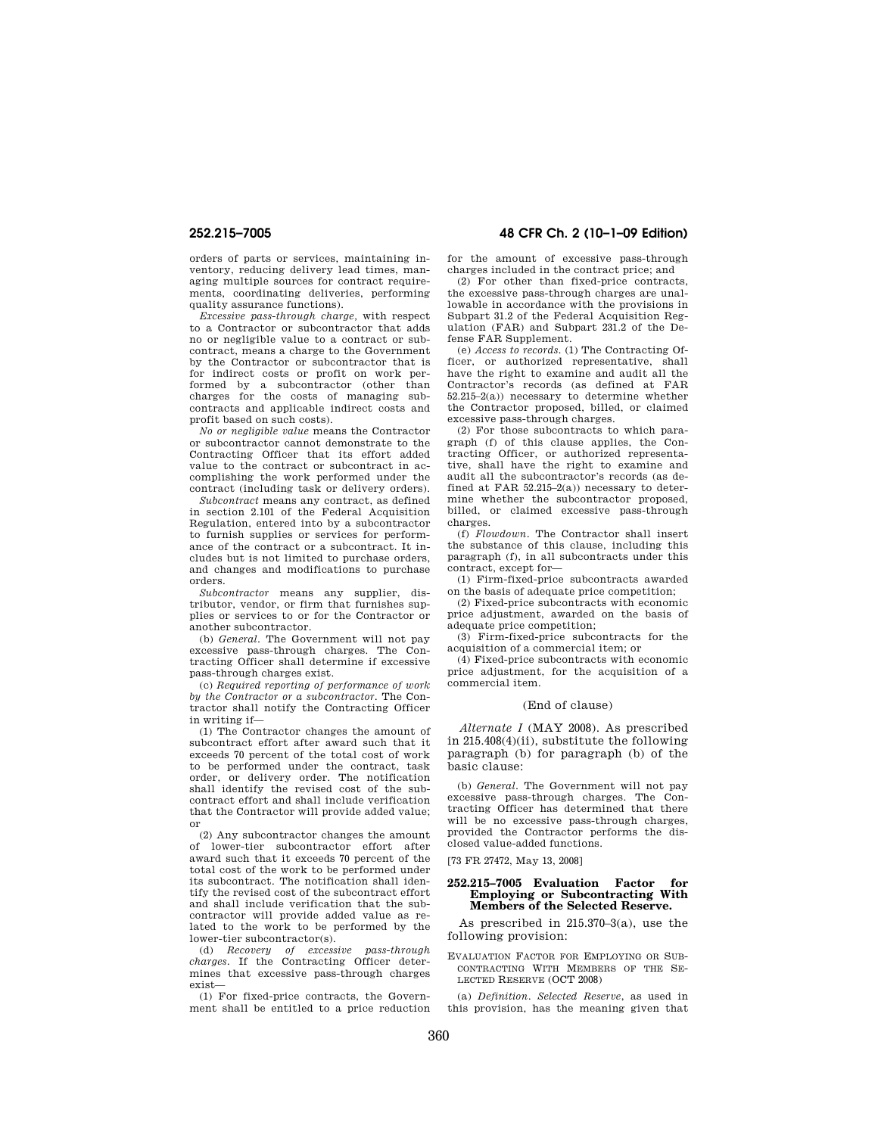orders of parts or services, maintaining inventory, reducing delivery lead times, managing multiple sources for contract requirements, coordinating deliveries, performing quality assurance functions).

*Excessive pass-through charge,* with respect to a Contractor or subcontractor that adds no or negligible value to a contract or subcontract, means a charge to the Government by the Contractor or subcontractor that is for indirect costs or profit on work performed by a subcontractor (other than charges for the costs of managing subcontracts and applicable indirect costs and profit based on such costs).

*No or negligible value* means the Contractor or subcontractor cannot demonstrate to the Contracting Officer that its effort added value to the contract or subcontract in accomplishing the work performed under the contract (including task or delivery orders).

*Subcontract* means any contract, as defined in section 2.101 of the Federal Acquisition Regulation, entered into by a subcontractor to furnish supplies or services for performance of the contract or a subcontract. It includes but is not limited to purchase orders, and changes and modifications to purchase orders.

*Subcontractor* means any supplier, distributor, vendor, or firm that furnishes supplies or services to or for the Contractor or another subcontractor.

(b) *General.* The Government will not pay excessive pass-through charges. The Contracting Officer shall determine if excessive pass-through charges exist.

(c) *Required reporting of performance of work by the Contractor or a subcontractor.* The Contractor shall notify the Contracting Officer in writing if—

(1) The Contractor changes the amount of subcontract effort after award such that it exceeds 70 percent of the total cost of work to be performed under the contract, task order, or delivery order. The notification shall identify the revised cost of the subcontract effort and shall include verification that the Contractor will provide added value; or

(2) Any subcontractor changes the amount of lower-tier subcontractor effort after award such that it exceeds 70 percent of the total cost of the work to be performed under its subcontract. The notification shall identify the revised cost of the subcontract effort and shall include verification that the subcontractor will provide added value as related to the work to be performed by the lower-tier subcontractor(s).

(d) *Recovery of excessive pass-through charges.* If the Contracting Officer determines that excessive pass-through charges exist—

(1) For fixed-price contracts, the Government shall be entitled to a price reduction

# **252.215–7005 48 CFR Ch. 2 (10–1–09 Edition)**

for the amount of excessive pass-through charges included in the contract price; and

(2) For other than fixed-price contracts, the excessive pass-through charges are unallowable in accordance with the provisions in Subpart 31.2 of the Federal Acquisition Regulation (FAR) and Subpart 231.2 of the Defense FAR Supplement.

(e) *Access to records.* (1) The Contracting Officer, or authorized representative, shall have the right to examine and audit all the Contractor's records (as defined at FAR 52.215–2(a)) necessary to determine whether the Contractor proposed, billed, or claimed excessive pass-through charges.

(2) For those subcontracts to which paragraph (f) of this clause applies, the Contracting Officer, or authorized representative, shall have the right to examine and audit all the subcontractor's records (as defined at FAR  $52.215-2(a)$ ) necessary to determine whether the subcontractor proposed, billed, or claimed excessive pass-through charges.

(f) *Flowdown.* The Contractor shall insert the substance of this clause, including this paragraph (f), in all subcontracts under this contract, except for—

(1) Firm-fixed-price subcontracts awarded on the basis of adequate price competition;

(2) Fixed-price subcontracts with economic price adjustment, awarded on the basis of adequate price competition;

(3) Firm-fixed-price subcontracts for the acquisition of a commercial item; or

(4) Fixed-price subcontracts with economic price adjustment, for the acquisition of a commercial item.

### (End of clause)

*Alternate I* (MAY 2008). As prescribed in 215.408(4)(ii), substitute the following paragraph (b) for paragraph (b) of the basic clause:

(b) *General.* The Government will not pay excessive pass-through charges. The Contracting Officer has determined that there will be no excessive pass-through charges, provided the Contractor performs the disclosed value-added functions.

[73 FR 27472, May 13, 2008]

## **252.215–7005 Evaluation Factor for Employing or Subcontracting With Members of the Selected Reserve.**

As prescribed in 215.370–3(a), use the following provision:

EVALUATION FACTOR FOR EMPLOYING OR SUB-CONTRACTING WITH MEMBERS OF THE SE-LECTED RESERVE (OCT 2008)

(a) *Definition. Selected Reserve*, as used in this provision, has the meaning given that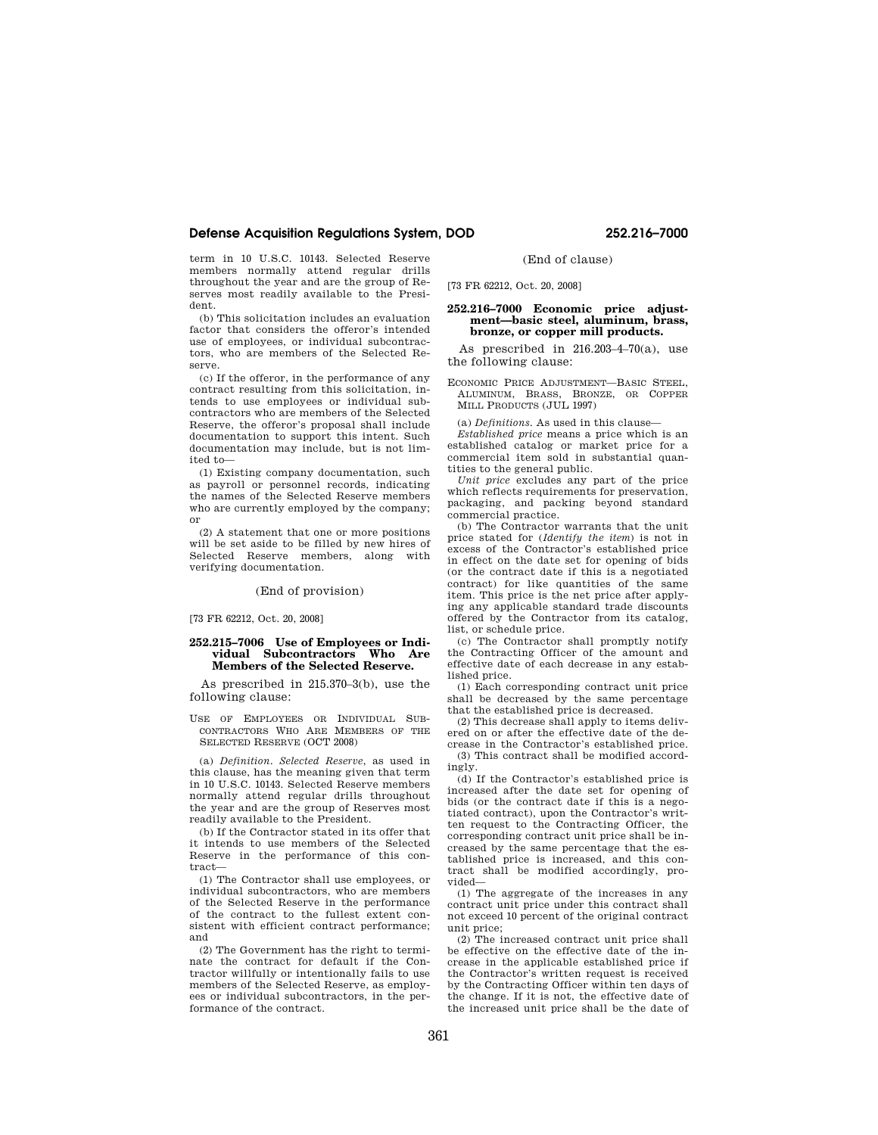# **Defense Acquisition Regulations System, DOD 252.216–7000**

term in 10 U.S.C. 10143. Selected Reserve members normally attend regular drills throughout the year and are the group of Reserves most readily available to the President.

(b) This solicitation includes an evaluation factor that considers the offeror's intended use of employees, or individual subcontractors, who are members of the Selected Reserve.

(c) If the offeror, in the performance of any contract resulting from this solicitation, intends to use employees or individual subcontractors who are members of the Selected Reserve, the offeror's proposal shall include documentation to support this intent. Such documentation may include, but is not limited to—

(1) Existing company documentation, such as payroll or personnel records, indicating the names of the Selected Reserve members who are currently employed by the company; or

(2) A statement that one or more positions will be set aside to be filled by new hires of Selected Reserve members, along with verifying documentation.

(End of provision)

[73 FR 62212, Oct. 20, 2008]

## **252.215–7006 Use of Employees or Individual Subcontractors Who Are Members of the Selected Reserve.**

As prescribed in 215.370–3(b), use the following clause:

USE OF EMPLOYEES OR INDIVIDUAL SUB-CONTRACTORS WHO ARE MEMBERS OF THE SELECTED RESERVE (OCT 2008)

(a) *Definition. Selected Reserve*, as used in this clause, has the meaning given that term in 10 U.S.C. 10143. Selected Reserve members normally attend regular drills throughout the year and are the group of Reserves most readily available to the President.

(b) If the Contractor stated in its offer that it intends to use members of the Selected Reserve in the performance of this contract—

(1) The Contractor shall use employees, or individual subcontractors, who are members of the Selected Reserve in the performance of the contract to the fullest extent consistent with efficient contract performance; and

(2) The Government has the right to terminate the contract for default if the Contractor willfully or intentionally fails to use members of the Selected Reserve, as employees or individual subcontractors, in the performance of the contract.

## (End of clause)

[73 FR 62212, Oct. 20, 2008]

## **252.216–7000 Economic price adjustment—basic steel, aluminum, brass, bronze, or copper mill products.**

As prescribed in  $216.203-4-70(a)$ , use the following clause:

ECONOMIC PRICE ADJUSTMENT—BASIC STEEL, ALUMINUM, BRASS, BRONZE, OR COPPER MILL PRODUCTS (JUL 1997)

(a) *Definitions.* As used in this clause—

*Established price* means a price which is an established catalog or market price for a commercial item sold in substantial quantities to the general public.

*Unit price* excludes any part of the price which reflects requirements for preservation, packaging, and packing beyond standard commercial practice.

(b) The Contractor warrants that the unit price stated for (*Identify the item*) is not in excess of the Contractor's established price in effect on the date set for opening of bids (or the contract date if this is a negotiated contract) for like quantities of the same item. This price is the net price after applying any applicable standard trade discounts offered by the Contractor from its catalog, list, or schedule price.

(c) The Contractor shall promptly notify the Contracting Officer of the amount and effective date of each decrease in any established price.

(1) Each corresponding contract unit price shall be decreased by the same percentage that the established price is decreased.

(2) This decrease shall apply to items delivered on or after the effective date of the decrease in the Contractor's established price. (3) This contract shall be modified accordingly.

(d) If the Contractor's established price is increased after the date set for opening of bids (or the contract date if this is a negotiated contract), upon the Contractor's written request to the Contracting Officer, the corresponding contract unit price shall be increased by the same percentage that the established price is increased, and this contract shall be modified accordingly, provided—

(1) The aggregate of the increases in any contract unit price under this contract shall not exceed 10 percent of the original contract unit price;

(2) The increased contract unit price shall be effective on the effective date of the increase in the applicable established price if the Contractor's written request is received by the Contracting Officer within ten days of the change. If it is not, the effective date of the increased unit price shall be the date of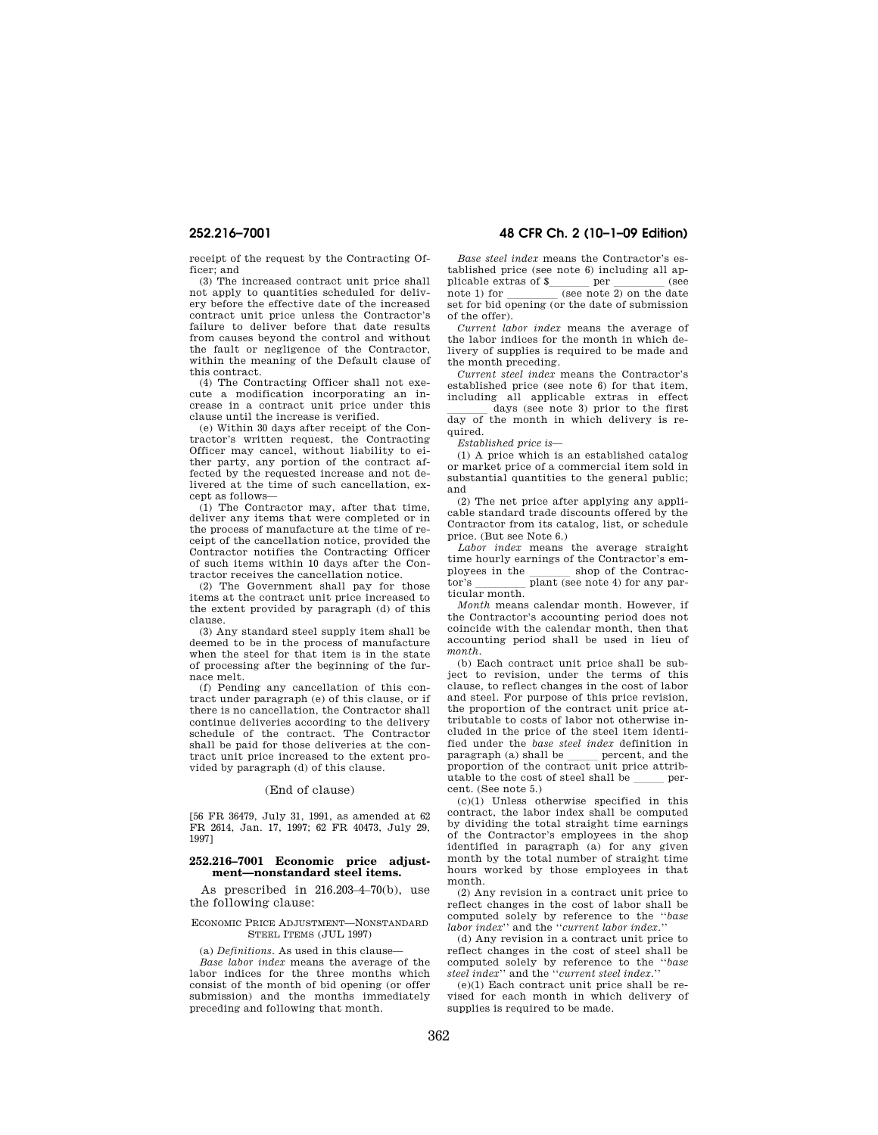receipt of the request by the Contracting Officer; and

(3) The increased contract unit price shall not apply to quantities scheduled for delivery before the effective date of the increased contract unit price unless the Contractor's failure to deliver before that date results from causes beyond the control and without the fault or negligence of the Contractor, within the meaning of the Default clause of this contract.

(4) The Contracting Officer shall not execute a modification incorporating an increase in a contract unit price under this clause until the increase is verified.

(e) Within 30 days after receipt of the Contractor's written request, the Contracting Officer may cancel, without liability to either party, any portion of the contract affected by the requested increase and not delivered at the time of such cancellation, except as follows—

(1) The Contractor may, after that time, deliver any items that were completed or in the process of manufacture at the time of receipt of the cancellation notice, provided the Contractor notifies the Contracting Officer of such items within 10 days after the Contractor receives the cancellation notice.

(2) The Government shall pay for those items at the contract unit price increased to the extent provided by paragraph (d) of this clause.

(3) Any standard steel supply item shall be deemed to be in the process of manufacture when the steel for that item is in the state of processing after the beginning of the furnace melt.

(f) Pending any cancellation of this contract under paragraph (e) of this clause, or if there is no cancellation, the Contractor shall continue deliveries according to the delivery schedule of the contract. The Contractor shall be paid for those deliveries at the contract unit price increased to the extent provided by paragraph (d) of this clause.

## (End of clause)

[56 FR 36479, July 31, 1991, as amended at 62 FR 2614, Jan. 17, 1997; 62 FR 40473, July 29, 1997]

# **252.216–7001 Economic price adjustment—nonstandard steel items.**

As prescribed in  $216.203-4-70(b)$ , use the following clause:

## ECONOMIC PRICE ADJUSTMENT—NONSTANDARD STEEL ITEMS (JUL 1997)

(a) *Definitions.* As used in this clause—

*Base labor index* means the average of the labor indices for the three months which consist of the month of bid opening (or offer submission) and the months immediately preceding and following that month.

# **252.216–7001 48 CFR Ch. 2 (10–1–09 Edition)**

*Base steel index* means the Contractor's established price (see note 6) including all applicable extras of  $\frac{\text{per}}{\text{(see note 2) on the date}}$ note 1) for \_\_\_\_\_\_\_ (see note 2) on the date set for bid opening (or the date of submission of the offer).

*Current labor index* means the average of the labor indices for the month in which delivery of supplies is required to be made and the month preceding.

*Current steel index* means the Contractor's established price (see note 6) for that item,

including all applicable extras in effect days (see note 3) prior to the first day of the month in which delivery is required.

*Established price is*—

(1) A price which is an established catalog or market price of a commercial item sold in substantial quantities to the general public; and

(2) The net price after applying any applicable standard trade discounts offered by the Contractor from its catalog, list, or schedule price. (But see Note 6.)

*Labor index* means the average straight time hourly earnings of the Contractor's em-<br>ployees in the shop of the Contracployees in the  $\frac{\text{shop of the Contraet}}{\text{plant (see note 4) for any par-}$  $\frac{1}{\text{tor's}}$  plant (see note 4) for any particular month.

*Month* means calendar month. However, if the Contractor's accounting period does not coincide with the calendar month, then that accounting period shall be used in lieu of *month.* 

(b) Each contract unit price shall be subject to revision, under the terms of this clause, to reflect changes in the cost of labor and steel. For purpose of this price revision, the proportion of the contract unit price attributable to costs of labor not otherwise included in the price of the steel item identified under the *base steel index* definition in paragraph (a) shall be \_\_\_\_\_ percent, and the proportion of the contract unit price attributable to the cost of steel shall be leedcent. (See note 5.)

(c)(1) Unless otherwise specified in this contract, the labor index shall be computed by dividing the total straight time earnings of the Contractor's employees in the shop identified in paragraph (a) for any given month by the total number of straight time hours worked by those employees in that month.

(2) Any revision in a contract unit price to reflect changes in the cost of labor shall be computed solely by reference to the ''*base labor index*'' and the ''*current labor index*.''

(d) Any revision in a contract unit price to reflect changes in the cost of steel shall be computed solely by reference to the ''*base steel index*'' and the ''*current steel index*.''

(e)(1) Each contract unit price shall be revised for each month in which delivery of supplies is required to be made.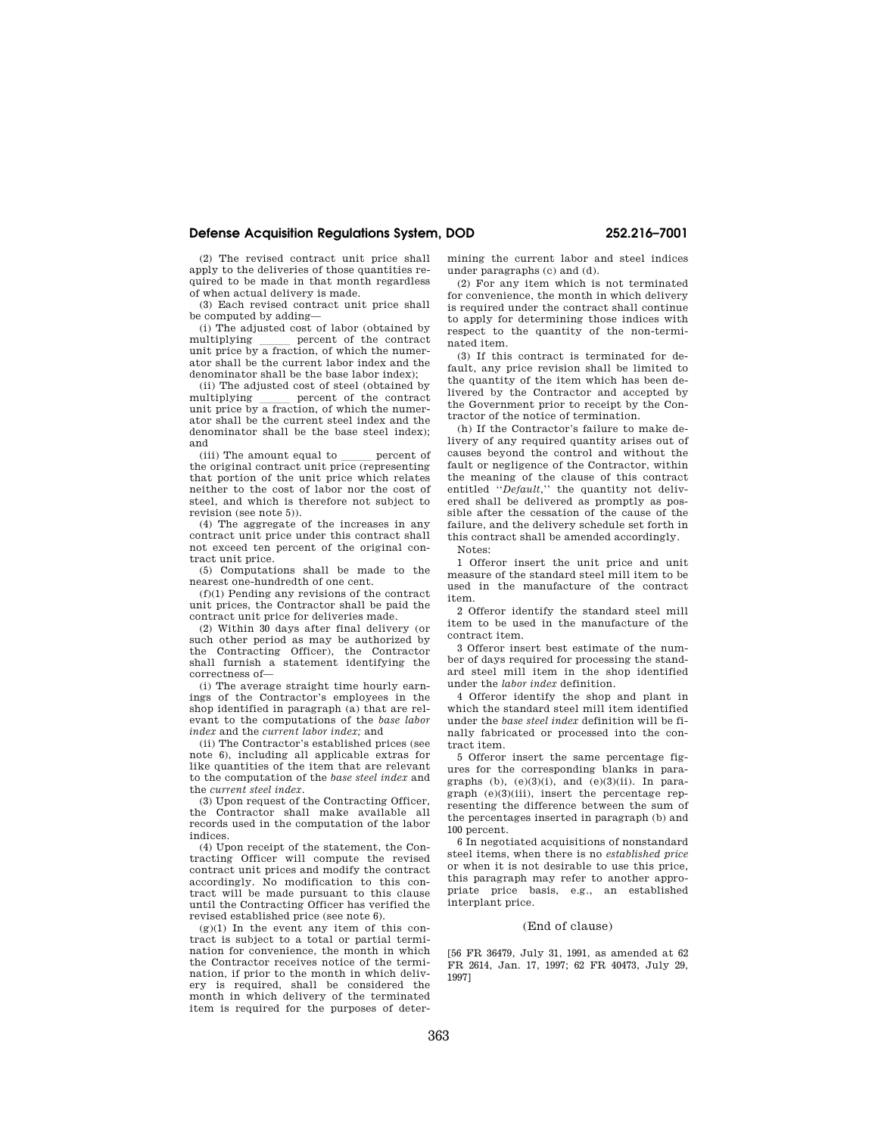# **Defense Acquisition Regulations System, DOD 252.216–7001**

(2) The revised contract unit price shall apply to the deliveries of those quantities required to be made in that month regardless of when actual delivery is made.

(3) Each revised contract unit price shall be computed by adding—

(i) The adjusted cost of labor (obtained by<br>multiplying percent of the contract multiplying <u>ercent</u> of the contract unit price by a fraction, of which the numerator shall be the current labor index and the denominator shall be the base labor index);

(ii) The adjusted cost of steel (obtained by<br>multiplying percent of the contract multiplying <u>ercent</u> of the contract unit price by a fraction, of which the numerator shall be the current steel index and the denominator shall be the base steel index); and

(iii) The amount equal to \_\_\_\_\_ percent of the original contract unit price (representing that portion of the unit price which relates neither to the cost of labor nor the cost of steel, and which is therefore not subject to revision (see note 5)).

(4) The aggregate of the increases in any contract unit price under this contract shall not exceed ten percent of the original contract unit price.

(5) Computations shall be made to the nearest one-hundredth of one cent.

(f)(1) Pending any revisions of the contract unit prices, the Contractor shall be paid the contract unit price for deliveries made.

(2) Within 30 days after final delivery (or such other period as may be authorized by the Contracting Officer), the Contractor shall furnish a statement identifying the correctness of—

(i) The average straight time hourly earnings of the Contractor's employees in the shop identified in paragraph (a) that are relevant to the computations of the *base labor index* and the *current labor index;* and

(ii) The Contractor's established prices (see note 6), including all applicable extras for like quantities of the item that are relevant to the computation of the *base steel index* and the *current steel index.* 

(3) Upon request of the Contracting Officer, the Contractor shall make available all records used in the computation of the labor indices.

(4) Upon receipt of the statement, the Contracting Officer will compute the revised contract unit prices and modify the contract accordingly. No modification to this contract will be made pursuant to this clause until the Contracting Officer has verified the revised established price (see note 6).

 $(g)(1)$  In the event any item of this contract is subject to a total or partial termination for convenience, the month in which the Contractor receives notice of the termination, if prior to the month in which delivery is required, shall be considered the month in which delivery of the terminated item is required for the purposes of determining the current labor and steel indices under paragraphs (c) and (d).

(2) For any item which is not terminated for convenience, the month in which delivery is required under the contract shall continue to apply for determining those indices with respect to the quantity of the non-terminated item.

(3) If this contract is terminated for default, any price revision shall be limited to the quantity of the item which has been delivered by the Contractor and accepted by the Government prior to receipt by the Contractor of the notice of termination.

(h) If the Contractor's failure to make delivery of any required quantity arises out of causes beyond the control and without the fault or negligence of the Contractor, within the meaning of the clause of this contract entitled ''*Default*,'' the quantity not delivered shall be delivered as promptly as possible after the cessation of the cause of the failure, and the delivery schedule set forth in this contract shall be amended accordingly.

Notes:

1 Offeror insert the unit price and unit measure of the standard steel mill item to be used in the manufacture of the contract item.

2 Offeror identify the standard steel mill item to be used in the manufacture of the contract item.

3 Offeror insert best estimate of the number of days required for processing the standard steel mill item in the shop identified under the *labor index* definition.

4 Offeror identify the shop and plant in which the standard steel mill item identified under the *base steel index* definition will be finally fabricated or processed into the contract item.

5 Offeror insert the same percentage figures for the corresponding blanks in paragraphs (b),  $(e)(3)(i)$ , and  $(e)(3)(ii)$ . In paragraph (e)(3)(iii), insert the percentage representing the difference between the sum of the percentages inserted in paragraph (b) and 100 percent.

6 In negotiated acquisitions of nonstandard steel items, when there is no *established price*  or when it is not desirable to use this price, this paragraph may refer to another appropriate price basis, e.g., an established interplant price.

## (End of clause)

[56 FR 36479, July 31, 1991, as amended at 62 FR 2614, Jan. 17, 1997; 62 FR 40473, July 29, 1997]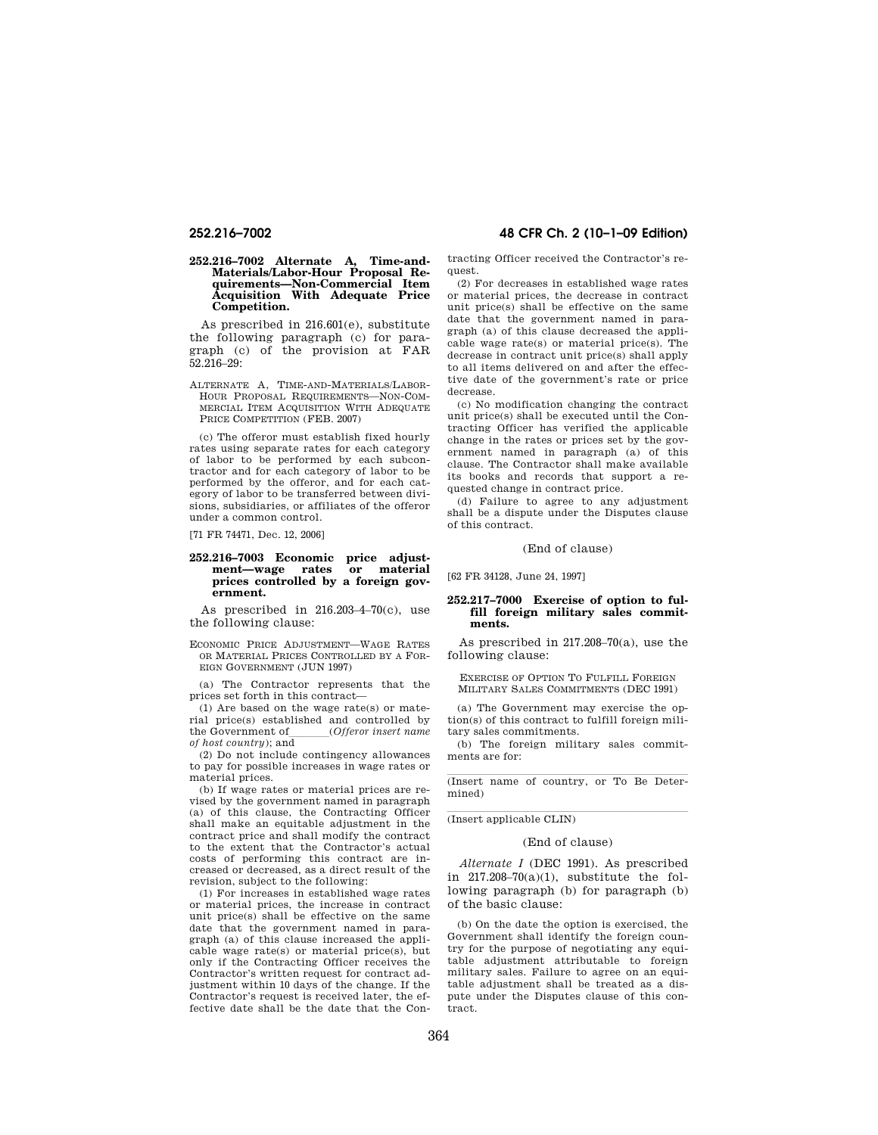### **252.216–7002 Alternate A, Time-and-Materials/Labor-Hour Proposal Requirements—Non-Commercial Item Acquisition With Adequate Price Competition.**

As prescribed in 216.601(e), substitute the following paragraph (c) for paragraph (c) of the provision at FAR 52.216–29:

ALTERNATE A, TIME-AND-MATERIALS/LABOR-HOUR PROPOSAL REQUIREMENTS—NON-COM-MERCIAL ITEM ACQUISITION WITH ADEQUATE PRICE COMPETITION (FEB. 2007)

(c) The offeror must establish fixed hourly rates using separate rates for each category of labor to be performed by each subcontractor and for each category of labor to be performed by the offeror, and for each category of labor to be transferred between divisions, subsidiaries, or affiliates of the offeror under a common control.

[71 FR 74471, Dec. 12, 2006]

## **252.216–7003 Economic price adjustment—wage rates or material prices controlled by a foreign government.**

As prescribed in  $216.203 - 4 - 70(c)$ , use the following clause:

ECONOMIC PRICE ADJUSTMENT—WAGE RATES OR MATERIAL PRICES CONTROLLED BY A FOR-EIGN GOVERNMENT (JHIN 1997)

(a) The Contractor represents that the prices set forth in this contract—

(1) Are based on the wage rate(s) or material price(s) established and controlled by the Government of *Cofferor insert name of host country*); and

(2) Do not include contingency allowances to pay for possible increases in wage rates or material prices.

(b) If wage rates or material prices are revised by the government named in paragraph (a) of this clause, the Contracting Officer shall make an equitable adjustment in the contract price and shall modify the contract to the extent that the Contractor's actual costs of performing this contract are increased or decreased, as a direct result of the revision, subject to the following:

(1) For increases in established wage rates or material prices, the increase in contract unit price(s) shall be effective on the same date that the government named in paragraph (a) of this clause increased the applicable wage rate(s) or material price(s), but only if the Contracting Officer receives the Contractor's written request for contract adjustment within 10 days of the change. If the Contractor's request is received later, the effective date shall be the date that the Con-

**252.216–7002 48 CFR Ch. 2 (10–1–09 Edition)** 

tracting Officer received the Contractor's request.

(2) For decreases in established wage rates or material prices, the decrease in contract unit price(s) shall be effective on the same date that the government named in paragraph (a) of this clause decreased the applicable wage rate(s) or material price(s). The decrease in contract unit price(s) shall apply to all items delivered on and after the effective date of the government's rate or price decrease.

(c) No modification changing the contract unit price(s) shall be executed until the Contracting Officer has verified the applicable change in the rates or prices set by the government named in paragraph (a) of this clause. The Contractor shall make available its books and records that support a requested change in contract price.

(d) Failure to agree to any adjustment shall be a dispute under the Disputes clause of this contract.

## (End of clause)

[62 FR 34128, June 24, 1997]

## **252.217–7000 Exercise of option to fulfill foreign military sales commitments.**

As prescribed in 217.208–70(a), use the following clause:

EXERCISE OF OPTION TO FULFILL FOREIGN MILITARY SALES COMMITMENTS (DEC 1991)

(a) The Government may exercise the option(s) of this contract to fulfill foreign military sales commitments.

(b) The foreign military sales commitments are for:

(Insert name of country, or To Be Determined)

(Insert applicable CLIN)

## (End of clause)

*Alternate I* (DEC 1991). As prescribed in  $217.208-70(a)(1)$ , substitute the following paragraph (b) for paragraph (b) of the basic clause:

(b) On the date the option is exercised, the Government shall identify the foreign country for the purpose of negotiating any equitable adjustment attributable to foreign military sales. Failure to agree on an equitable adjustment shall be treated as a dispute under the Disputes clause of this contract.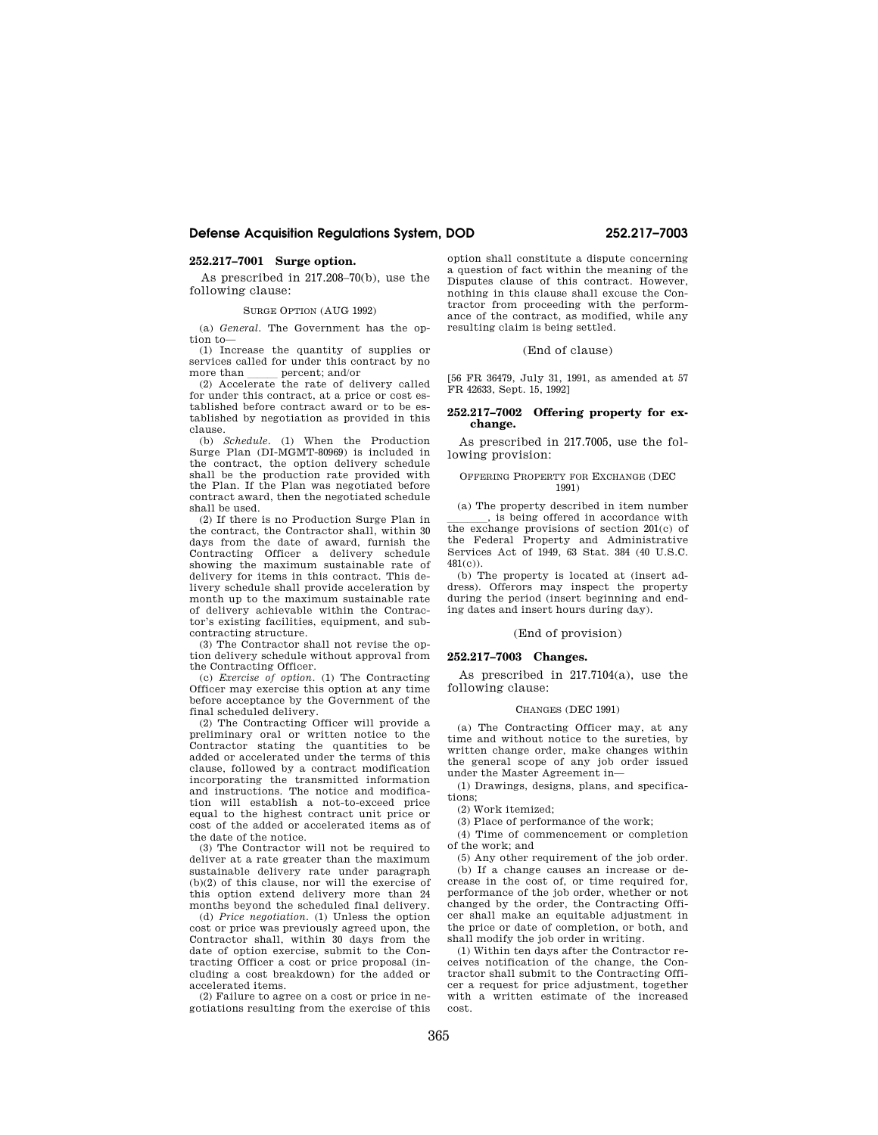# **Defense Acquisition Regulations System, DOD 252.217–7003**

# **252.217–7001 Surge option.**

As prescribed in 217.208–70(b), use the following clause:

## SURGE OPTION (AUG 1992)

(a) *General.* The Government has the option to—

(1) Increase the quantity of supplies or services called for under this contract by no more than \_\_\_\_ percent; and/or

more than percent; and/or<br>(2) Accelerate the rate of delivery called for under this contract, at a price or cost established before contract award or to be established by negotiation as provided in this clause.

(b) *Schedule.* (1) When the Production Surge Plan (DI-MGMT-80969) is included in the contract, the option delivery schedule shall be the production rate provided with the Plan. If the Plan was negotiated before contract award, then the negotiated schedule shall be used.

(2) If there is no Production Surge Plan in the contract, the Contractor shall, within 30 days from the date of award, furnish the Contracting Officer a delivery schedule showing the maximum sustainable rate of delivery for items in this contract. This delivery schedule shall provide acceleration by month up to the maximum sustainable rate of delivery achievable within the Contractor's existing facilities, equipment, and subcontracting structure.

(3) The Contractor shall not revise the option delivery schedule without approval from the Contracting Officer.

(c) *Exercise of option.* (1) The Contracting Officer may exercise this option at any time before acceptance by the Government of the final scheduled delivery.

(2) The Contracting Officer will provide a preliminary oral or written notice to the Contractor stating the quantities to be added or accelerated under the terms of this clause, followed by a contract modification incorporating the transmitted information and instructions. The notice and modification will establish a not-to-exceed price equal to the highest contract unit price or cost of the added or accelerated items as of the date of the notice.

(3) The Contractor will not be required to deliver at a rate greater than the maximum sustainable delivery rate under paragraph (b)(2) of this clause, nor will the exercise of this option extend delivery more than 24 months beyond the scheduled final delivery.

(d) *Price negotiation.* (1) Unless the option cost or price was previously agreed upon, the Contractor shall, within 30 days from the date of option exercise, submit to the Contracting Officer a cost or price proposal (including a cost breakdown) for the added or accelerated items.

(2) Failure to agree on a cost or price in negotiations resulting from the exercise of this

option shall constitute a dispute concerning a question of fact within the meaning of the Disputes clause of this contract. However, nothing in this clause shall excuse the Contractor from proceeding with the performance of the contract, as modified, while any resulting claim is being settled.

### (End of clause)

[56 FR 36479, July 31, 1991, as amended at 57 FR 42633, Sept. 15, 1992]

## **252.217–7002 Offering property for exchange.**

As prescribed in 217.7005, use the following provision:

## OFFERING PROPERTY FOR EXCHANGE (DEC 1991)

(a) The property described in item number  $\frac{1}{\text{the exchange provisions of section 201(c) of}}$ the Federal Property and Administrative Services Act of 1949, 63 Stat. 384 (40 U.S.C. 481(c)).

(b) The property is located at (insert address). Offerors may inspect the property during the period (insert beginning and ending dates and insert hours during day).

## (End of provision)

# **252.217–7003 Changes.**

As prescribed in 217.7104(a), use the following clause:

## CHANGES (DEC 1991)

(a) The Contracting Officer may, at any time and without notice to the sureties, by written change order, make changes within the general scope of any job order issued under the Master Agreement in—

(1) Drawings, designs, plans, and specifications;

(2) Work itemized;

(3) Place of performance of the work;

(4) Time of commencement or completion of the work; and

(5) Any other requirement of the job order. (b) If a change causes an increase or decrease in the cost of, or time required for, performance of the job order, whether or not changed by the order, the Contracting Officer shall make an equitable adjustment in the price or date of completion, or both, and shall modify the job order in writing.

(1) Within ten days after the Contractor receives notification of the change, the Contractor shall submit to the Contracting Officer a request for price adjustment, together with a written estimate of the increased cost.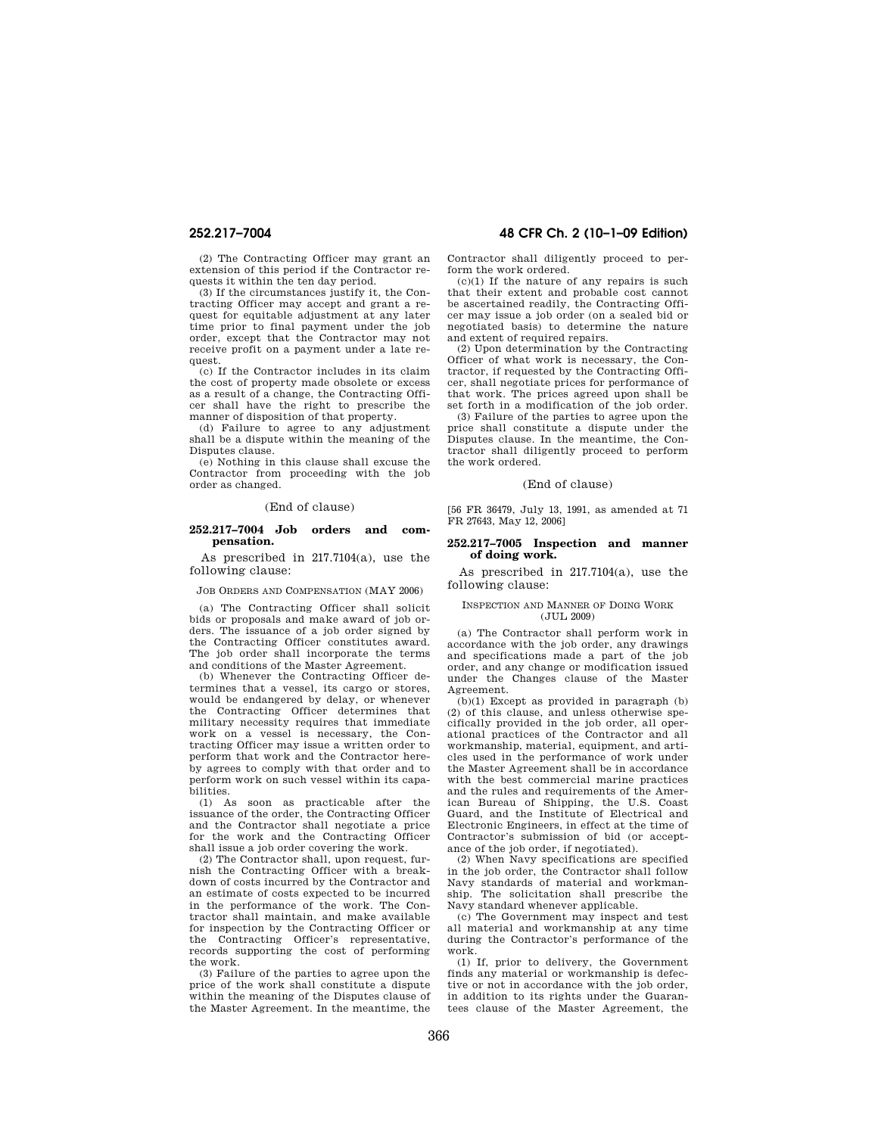(2) The Contracting Officer may grant an extension of this period if the Contractor requests it within the ten day period.

(3) If the circumstances justify it, the Contracting Officer may accept and grant a request for equitable adjustment at any later time prior to final payment under the job order, except that the Contractor may not receive profit on a payment under a late request.

(c) If the Contractor includes in its claim the cost of property made obsolete or excess as a result of a change, the Contracting Officer shall have the right to prescribe the manner of disposition of that property.

(d) Failure to agree to any adjustment shall be a dispute within the meaning of the Disputes clause.

(e) Nothing in this clause shall excuse the Contractor from proceeding with the job order as changed.

## (End of clause)

### **252.217–7004 Job orders and compensation.**

As prescribed in 217.7104(a), use the following clause:

JOB ORDERS AND COMPENSATION (MAY 2006)

(a) The Contracting Officer shall solicit bids or proposals and make award of job orders. The issuance of a job order signed by the Contracting Officer constitutes award. The job order shall incorporate the terms and conditions of the Master Agreement.

(b) Whenever the Contracting Officer determines that a vessel, its cargo or stores, would be endangered by delay, or whenever the Contracting Officer determines that military necessity requires that immediate work on a vessel is necessary, the Contracting Officer may issue a written order to perform that work and the Contractor hereby agrees to comply with that order and to perform work on such vessel within its capabilities.

(1) As soon as practicable after the issuance of the order, the Contracting Officer and the Contractor shall negotiate a price for the work and the Contracting Officer shall issue a job order covering the work.

(2) The Contractor shall, upon request, furnish the Contracting Officer with a breakdown of costs incurred by the Contractor and an estimate of costs expected to be incurred in the performance of the work. The Contractor shall maintain, and make available for inspection by the Contracting Officer or the Contracting Officer's representative, records supporting the cost of performing the work.

(3) Failure of the parties to agree upon the price of the work shall constitute a dispute within the meaning of the Disputes clause of the Master Agreement. In the meantime, the

# **252.217–7004 48 CFR Ch. 2 (10–1–09 Edition)**

Contractor shall diligently proceed to perform the work ordered.

 $(c)(1)$  If the nature of any repairs is such that their extent and probable cost cannot be ascertained readily, the Contracting Officer may issue a job order (on a sealed bid or negotiated basis) to determine the nature and extent of required repairs.

(2) Upon determination by the Contracting Officer of what work is necessary, the Contractor, if requested by the Contracting Officer, shall negotiate prices for performance of that work. The prices agreed upon shall be set forth in a modification of the job order.

(3) Failure of the parties to agree upon the price shall constitute a dispute under the Disputes clause. In the meantime, the Contractor shall diligently proceed to perform the work ordered.

## (End of clause)

[56 FR 36479, July 13, 1991, as amended at 71 FR 27643, May 12, 2006]

## **252.217–7005 Inspection and manner of doing work.**

As prescribed in 217.7104(a), use the following clause:

INSPECTION AND MANNER OF DOING WORK (JUL 2009)

(a) The Contractor shall perform work in accordance with the job order, any drawings and specifications made a part of the job order, and any change or modification issued under the Changes clause of the Master Agreement.

 $(b)(1)$  Except as provided in paragraph  $(b)$ (2) of this clause, and unless otherwise specifically provided in the job order, all operational practices of the Contractor and all workmanship, material, equipment, and articles used in the performance of work under the Master Agreement shall be in accordance with the best commercial marine practices and the rules and requirements of the American Bureau of Shipping, the U.S. Coast Guard, and the Institute of Electrical and Electronic Engineers, in effect at the time of Contractor's submission of bid (or acceptance of the job order, if negotiated).

(2) When Navy specifications are specified in the job order, the Contractor shall follow Navy standards of material and workmanship. The solicitation shall prescribe the Navy standard whenever applicable.

(c) The Government may inspect and test all material and workmanship at any time during the Contractor's performance of the work.

(1) If, prior to delivery, the Government finds any material or workmanship is defective or not in accordance with the job order, in addition to its rights under the Guarantees clause of the Master Agreement, the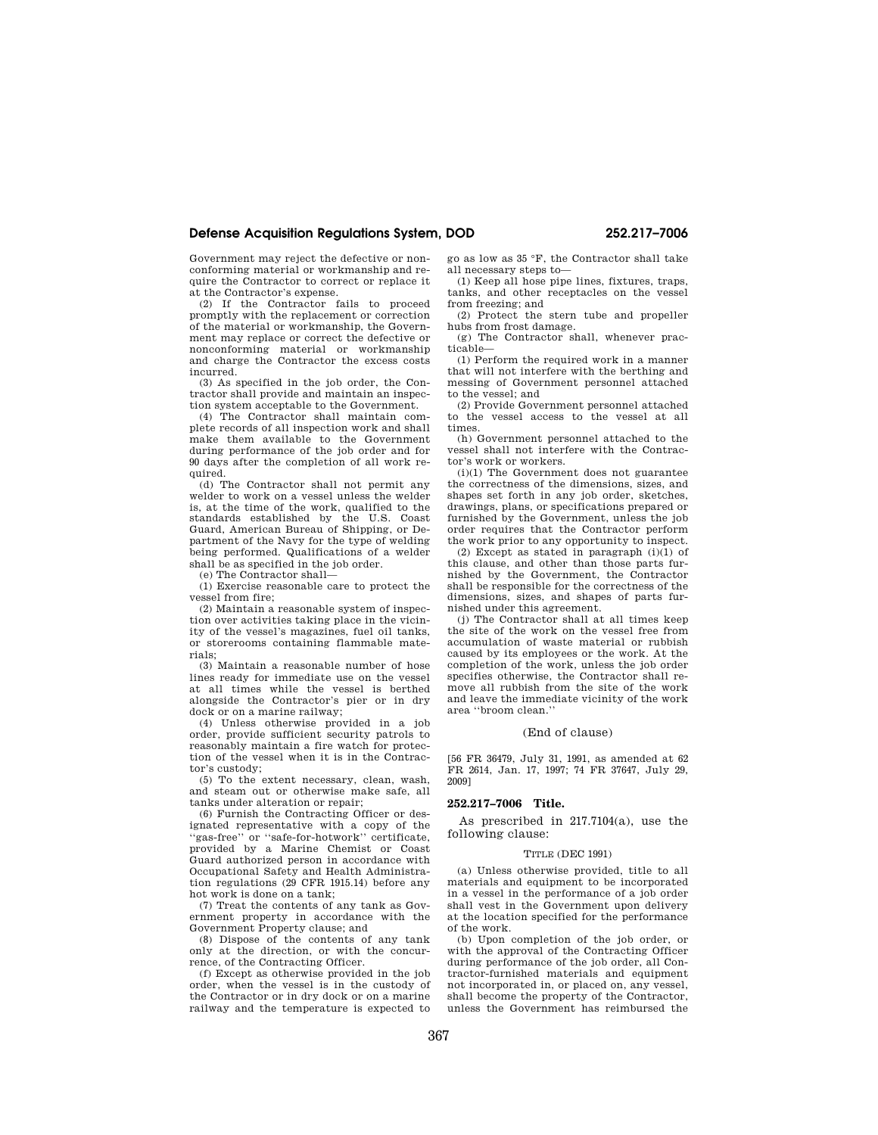# **Defense Acquisition Regulations System, DOD 252.217–7006**

Government may reject the defective or nonconforming material or workmanship and require the Contractor to correct or replace it at the Contractor's expense.

(2) If the Contractor fails to proceed promptly with the replacement or correction of the material or workmanship, the Government may replace or correct the defective or nonconforming material or workmanship and charge the Contractor the excess costs incurred.

(3) As specified in the job order, the Contractor shall provide and maintain an inspection system acceptable to the Government.

(4) The Contractor shall maintain complete records of all inspection work and shall make them available to the Government during performance of the job order and for 90 days after the completion of all work required.

(d) The Contractor shall not permit any welder to work on a vessel unless the welder is, at the time of the work, qualified to the standards established by the U.S. Coast Guard, American Bureau of Shipping, or Department of the Navy for the type of welding being performed. Qualifications of a welder shall be as specified in the job order.

(e) The Contractor shall—

(1) Exercise reasonable care to protect the vessel from fire;

(2) Maintain a reasonable system of inspection over activities taking place in the vicinity of the vessel's magazines, fuel oil tanks, or storerooms containing flammable materials;

(3) Maintain a reasonable number of hose lines ready for immediate use on the vessel at all times while the vessel is berthed alongside the Contractor's pier or in dry dock or on a marine railway;

(4) Unless otherwise provided in a job order, provide sufficient security patrols to reasonably maintain a fire watch for protection of the vessel when it is in the Contractor's custody;

(5) To the extent necessary, clean, wash, and steam out or otherwise make safe, all tanks under alteration or repair;

(6) Furnish the Contracting Officer or designated representative with a copy of the ''gas-free'' or ''safe-for-hotwork'' certificate, provided by a Marine Chemist or Coast Guard authorized person in accordance with Occupational Safety and Health Administration regulations (29 CFR 1915.14) before any hot work is done on a tank;

(7) Treat the contents of any tank as Government property in accordance with the Government Property clause; and

(8) Dispose of the contents of any tank only at the direction, or with the concurrence, of the Contracting Officer.

(f) Except as otherwise provided in the job order, when the vessel is in the custody of the Contractor or in dry dock or on a marine railway and the temperature is expected to

go as low as 35 °F, the Contractor shall take all necessary steps to—

(1) Keep all hose pipe lines, fixtures, traps, tanks, and other receptacles on the vessel from freezing; and

(2) Protect the stern tube and propeller hubs from frost damage.

(g) The Contractor shall, whenever practicable—

(1) Perform the required work in a manner that will not interfere with the berthing and messing of Government personnel attached to the vessel; and

(2) Provide Government personnel attached to the vessel access to the vessel at all times.

(h) Government personnel attached to the vessel shall not interfere with the Contractor's work or workers.

(i)(1) The Government does not guarantee the correctness of the dimensions, sizes, and shapes set forth in any job order, sketches, drawings, plans, or specifications prepared or furnished by the Government, unless the job order requires that the Contractor perform the work prior to any opportunity to inspect.

(2) Except as stated in paragraph (i)(1) of this clause, and other than those parts furnished by the Government, the Contractor shall be responsible for the correctness of the dimensions, sizes, and shapes of parts furnished under this agreement.

(j) The Contractor shall at all times keep the site of the work on the vessel free from accumulation of waste material or rubbish caused by its employees or the work. At the completion of the work, unless the job order specifies otherwise, the Contractor shall remove all rubbish from the site of the work and leave the immediate vicinity of the work area ''broom clean.''

## (End of clause)

[56 FR 36479, July 31, 1991, as amended at 62 FR 2614, Jan. 17, 1997; 74 FR 37647, July 29, 2009]

## **252.217–7006 Title.**

As prescribed in 217.7104(a), use the following clause:

### TITLE (DEC 1991)

(a) Unless otherwise provided, title to all materials and equipment to be incorporated in a vessel in the performance of a job order shall vest in the Government upon delivery at the location specified for the performance of the work.

(b) Upon completion of the job order, or with the approval of the Contracting Officer during performance of the job order, all Contractor-furnished materials and equipment not incorporated in, or placed on, any vessel, shall become the property of the Contractor, unless the Government has reimbursed the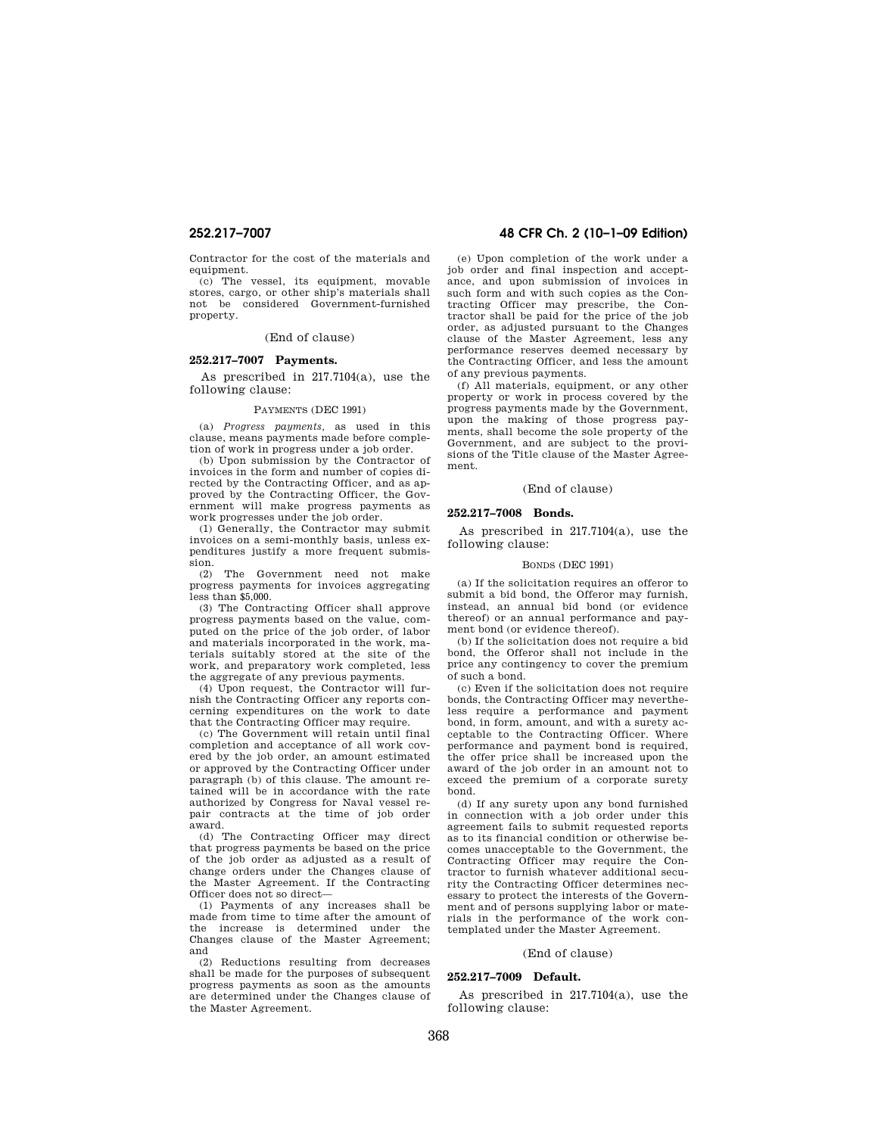Contractor for the cost of the materials and equipment.

(c) The vessel, its equipment, movable stores, cargo, or other ship's materials shall not be considered Government-furnished property.

# (End of clause)

# **252.217–7007 Payments.**

As prescribed in 217.7104(a), use the following clause:

### PAYMENTS (DEC 1991)

(a) *Progress payments,* as used in this clause, means payments made before completion of work in progress under a job order.

(b) Upon submission by the Contractor of invoices in the form and number of copies directed by the Contracting Officer, and as approved by the Contracting Officer, the Government will make progress payments as work progresses under the job order.

(1) Generally, the Contractor may submit invoices on a semi-monthly basis, unless expenditures justify a more frequent submission.

(2) The Government need not make progress payments for invoices aggregating less than \$5,000.

(3) The Contracting Officer shall approve progress payments based on the value, computed on the price of the job order, of labor and materials incorporated in the work, materials suitably stored at the site of the work, and preparatory work completed, less the aggregate of any previous payments.

(4) Upon request, the Contractor will furnish the Contracting Officer any reports concerning expenditures on the work to date that the Contracting Officer may require.

(c) The Government will retain until final completion and acceptance of all work covered by the job order, an amount estimated or approved by the Contracting Officer under paragraph (b) of this clause. The amount retained will be in accordance with the rate authorized by Congress for Naval vessel repair contracts at the time of job order award.

(d) The Contracting Officer may direct that progress payments be based on the price of the job order as adjusted as a result of change orders under the Changes clause of the Master Agreement. If the Contracting Officer does not so direct—

(1) Payments of any increases shall be made from time to time after the amount of the increase is determined under the Changes clause of the Master Agreement; and

(2) Reductions resulting from decreases shall be made for the purposes of subsequent progress payments as soon as the amounts are determined under the Changes clause of the Master Agreement.

# **252.217–7007 48 CFR Ch. 2 (10–1–09 Edition)**

(e) Upon completion of the work under a job order and final inspection and acceptance, and upon submission of invoices in such form and with such copies as the Contracting Officer may prescribe, the Contractor shall be paid for the price of the job order, as adjusted pursuant to the Changes clause of the Master Agreement, less any performance reserves deemed necessary by the Contracting Officer, and less the amount of any previous payments.

(f) All materials, equipment, or any other property or work in process covered by the progress payments made by the Government, upon the making of those progress payments, shall become the sole property of the Government, and are subject to the provisions of the Title clause of the Master Agreement.

# (End of clause)

# **252.217–7008 Bonds.**

As prescribed in 217.7104(a), use the following clause:

## BONDS (DEC 1991)

(a) If the solicitation requires an offeror to submit a bid bond, the Offeror may furnish, instead, an annual bid bond (or evidence thereof) or an annual performance and payment bond (or evidence thereof).

(b) If the solicitation does not require a bid bond, the Offeror shall not include in the price any contingency to cover the premium of such a bond.

(c) Even if the solicitation does not require bonds, the Contracting Officer may nevertheless require a performance and payment bond, in form, amount, and with a surety acceptable to the Contracting Officer. Where performance and payment bond is required, the offer price shall be increased upon the award of the job order in an amount not to exceed the premium of a corporate surety bond.

(d) If any surety upon any bond furnished in connection with a job order under this agreement fails to submit requested reports as to its financial condition or otherwise becomes unacceptable to the Government, the Contracting Officer may require the Contractor to furnish whatever additional security the Contracting Officer determines necessary to protect the interests of the Government and of persons supplying labor or materials in the performance of the work contemplated under the Master Agreement.

## (End of clause)

## **252.217–7009 Default.**

As prescribed in 217.7104(a), use the following clause: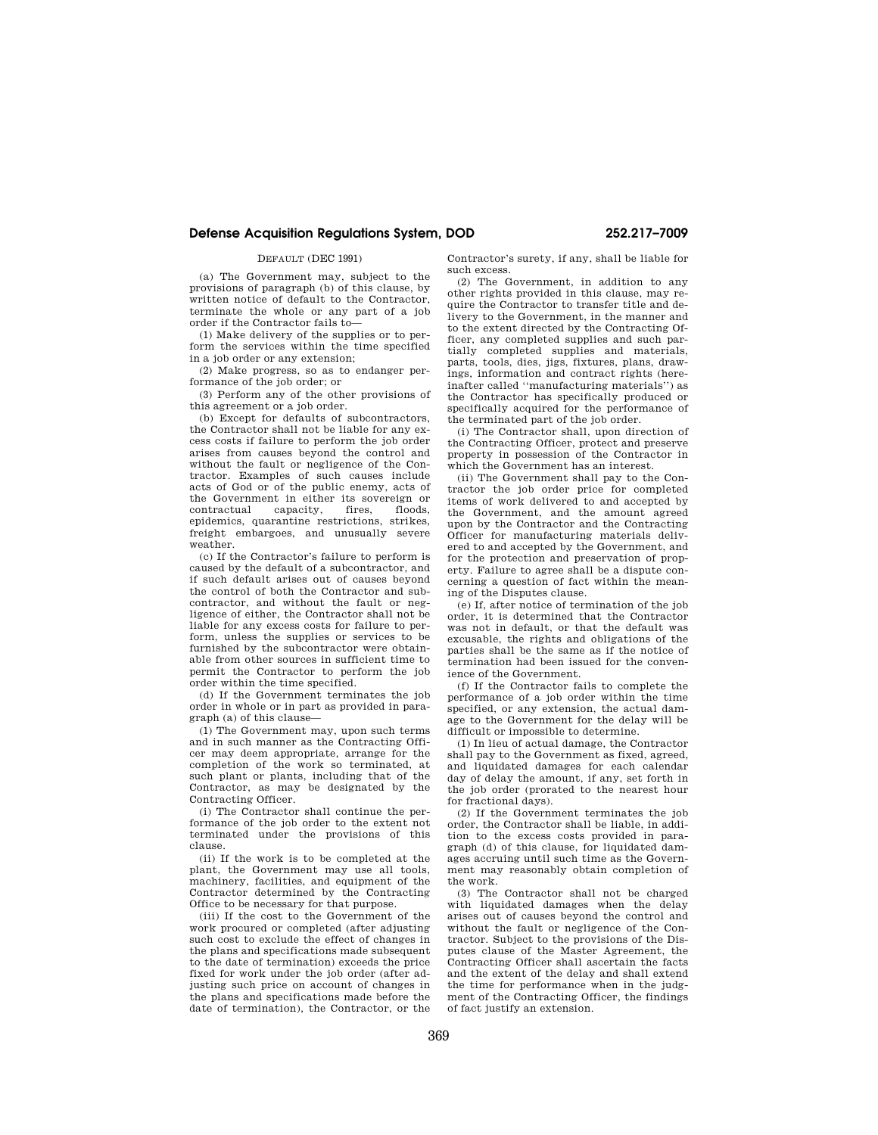# **Defense Acquisition Regulations System, DOD 252.217–7009**

## DEFAULT (DEC 1991)

(a) The Government may, subject to the provisions of paragraph (b) of this clause, by written notice of default to the Contractor, terminate the whole or any part of a job order if the Contractor fails to—

(1) Make delivery of the supplies or to perform the services within the time specified in a job order or any extension;

(2) Make progress, so as to endanger performance of the job order; or

(3) Perform any of the other provisions of this agreement or a job order.

(b) Except for defaults of subcontractors, the Contractor shall not be liable for any excess costs if failure to perform the job order arises from causes beyond the control and without the fault or negligence of the Contractor. Examples of such causes include acts of God or of the public enemy, acts of the Government in either its sovereign or<br>contractual capacity, fires, floods, contractual capacity, fires, floods, epidemics, quarantine restrictions, strikes, freight embargoes, and unusually severe weather.

(c) If the Contractor's failure to perform is caused by the default of a subcontractor, and if such default arises out of causes beyond the control of both the Contractor and subcontractor, and without the fault or negligence of either, the Contractor shall not be liable for any excess costs for failure to perform, unless the supplies or services to be furnished by the subcontractor were obtainable from other sources in sufficient time to permit the Contractor to perform the job order within the time specified.

(d) If the Government terminates the job order in whole or in part as provided in paragraph (a) of this clause—

(1) The Government may, upon such terms and in such manner as the Contracting Officer may deem appropriate, arrange for the completion of the work so terminated, at such plant or plants, including that of the Contractor, as may be designated by the Contracting Officer.

(i) The Contractor shall continue the performance of the job order to the extent not terminated under the provisions of this clause.

(ii) If the work is to be completed at the plant, the Government may use all tools, machinery, facilities, and equipment of the Contractor determined by the Contracting Office to be necessary for that purpose.

(iii) If the cost to the Government of the work procured or completed (after adjusting such cost to exclude the effect of changes in the plans and specifications made subsequent to the date of termination) exceeds the price fixed for work under the job order (after adjusting such price on account of changes in the plans and specifications made before the date of termination), the Contractor, or the Contractor's surety, if any, shall be liable for such excess.

(2) The Government, in addition to any other rights provided in this clause, may require the Contractor to transfer title and delivery to the Government, in the manner and to the extent directed by the Contracting Officer, any completed supplies and such partially completed supplies and materials, parts, tools, dies, jigs, fixtures, plans, drawings, information and contract rights (hereinafter called ''manufacturing materials'') as the Contractor has specifically produced or specifically acquired for the performance of the terminated part of the job order.

(i) The Contractor shall, upon direction of the Contracting Officer, protect and preserve property in possession of the Contractor in which the Government has an interest.

(ii) The Government shall pay to the Contractor the job order price for completed items of work delivered to and accepted by the Government, and the amount agreed upon by the Contractor and the Contracting Officer for manufacturing materials delivered to and accepted by the Government, and for the protection and preservation of property. Failure to agree shall be a dispute concerning a question of fact within the meaning of the Disputes clause.

(e) If, after notice of termination of the job order, it is determined that the Contractor was not in default, or that the default was excusable, the rights and obligations of the parties shall be the same as if the notice of termination had been issued for the convenience of the Government.

(f) If the Contractor fails to complete the performance of a job order within the time specified, or any extension, the actual damage to the Government for the delay will be difficult or impossible to determine.

(1) In lieu of actual damage, the Contractor shall pay to the Government as fixed, agreed, and liquidated damages for each calendar day of delay the amount, if any, set forth in the job order (prorated to the nearest hour for fractional days).

(2) If the Government terminates the job order, the Contractor shall be liable, in addition to the excess costs provided in paragraph (d) of this clause, for liquidated damages accruing until such time as the Government may reasonably obtain completion of the work.

(3) The Contractor shall not be charged with liquidated damages when the delay arises out of causes beyond the control and without the fault or negligence of the Contractor. Subject to the provisions of the Disputes clause of the Master Agreement, the Contracting Officer shall ascertain the facts and the extent of the delay and shall extend the time for performance when in the judgment of the Contracting Officer, the findings of fact justify an extension.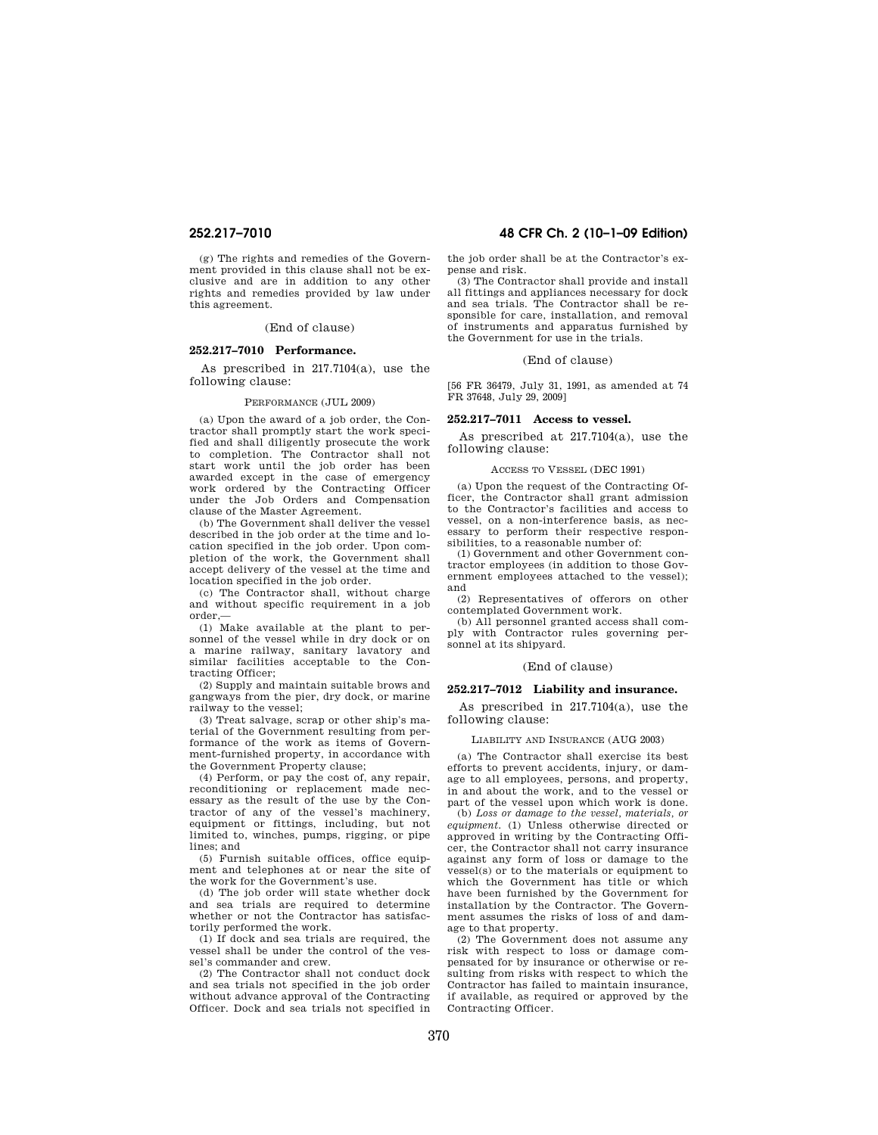(g) The rights and remedies of the Government provided in this clause shall not be exclusive and are in addition to any other rights and remedies provided by law under this agreement.

## (End of clause)

#### **252.217–7010 Performance.**

As prescribed in 217.7104(a), use the following clause:

#### PERFORMANCE (JUL 2009)

(a) Upon the award of a job order, the Contractor shall promptly start the work specified and shall diligently prosecute the work to completion. The Contractor shall not start work until the job order has been awarded except in the case of emergency work ordered by the Contracting Officer under the Job Orders and Compensation clause of the Master Agreement.

(b) The Government shall deliver the vessel described in the job order at the time and location specified in the job order. Upon completion of the work, the Government shall accept delivery of the vessel at the time and location specified in the job order.

(c) The Contractor shall, without charge and without specific requirement in a job order,—

(1) Make available at the plant to personnel of the vessel while in dry dock or on a marine railway, sanitary lavatory and similar facilities acceptable to the Contracting Officer;

(2) Supply and maintain suitable brows and gangways from the pier, dry dock, or marine railway to the vessel;

(3) Treat salvage, scrap or other ship's material of the Government resulting from performance of the work as items of Government-furnished property, in accordance with the Government Property clause;

(4) Perform, or pay the cost of, any repair, reconditioning or replacement made necessary as the result of the use by the Contractor of any of the vessel's machinery, equipment or fittings, including, but not limited to, winches, pumps, rigging, or pipe lines; and

(5) Furnish suitable offices, office equipment and telephones at or near the site of the work for the Government's use.

(d) The job order will state whether dock and sea trials are required to determine whether or not the Contractor has satisfactorily performed the work.

(1) If dock and sea trials are required, the vessel shall be under the control of the vessel's commander and crew.

(2) The Contractor shall not conduct dock and sea trials not specified in the job order without advance approval of the Contracting Officer. Dock and sea trials not specified in

# **252.217–7010 48 CFR Ch. 2 (10–1–09 Edition)**

the job order shall be at the Contractor's expense and risk.

(3) The Contractor shall provide and install all fittings and appliances necessary for dock and sea trials. The Contractor shall be responsible for care, installation, and removal of instruments and apparatus furnished by the Government for use in the trials.

## (End of clause)

[56 FR 36479, July 31, 1991, as amended at 74 FR 37648, July 29, 2009]

### **252.217–7011 Access to vessel.**

As prescribed at 217.7104(a), use the following clause:

## ACCESS TO VESSEL (DEC 1991)

(a) Upon the request of the Contracting Officer, the Contractor shall grant admission to the Contractor's facilities and access to vessel, on a non-interference basis, as necessary to perform their respective responsibilities, to a reasonable number of:

(1) Government and other Government contractor employees (in addition to those Government employees attached to the vessel); and

(2) Representatives of offerors on other contemplated Government work.

(b) All personnel granted access shall comply with Contractor rules governing personnel at its shipyard.

## (End of clause)

## **252.217–7012 Liability and insurance.**

As prescribed in 217.7104(a), use the following clause:

## LIABILITY AND INSURANCE (AUG 2003)

(a) The Contractor shall exercise its best efforts to prevent accidents, injury, or damage to all employees, persons, and property, in and about the work, and to the vessel or part of the vessel upon which work is done.

(b) *Loss or damage to the vessel, materials, or equipment.* (1) Unless otherwise directed or approved in writing by the Contracting Officer, the Contractor shall not carry insurance against any form of loss or damage to the vessel(s) or to the materials or equipment to which the Government has title or which have been furnished by the Government for installation by the Contractor. The Government assumes the risks of loss of and damage to that property.

(2) The Government does not assume any risk with respect to loss or damage compensated for by insurance or otherwise or resulting from risks with respect to which the Contractor has failed to maintain insurance, if available, as required or approved by the Contracting Officer.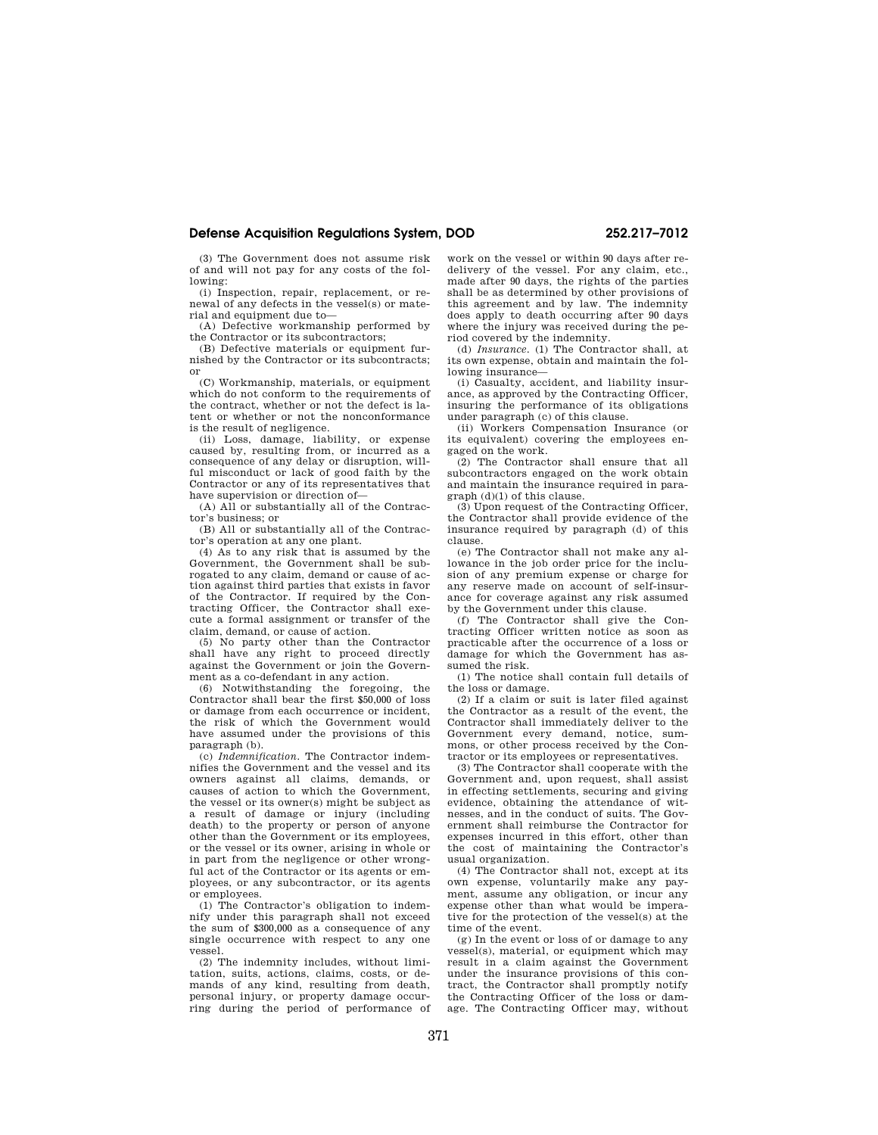(3) The Government does not assume risk of and will not pay for any costs of the following:

(i) Inspection, repair, replacement, or renewal of any defects in the vessel(s) or material and equipment due to—

(A) Defective workmanship performed by the Contractor or its subcontractors;

(B) Defective materials or equipment furnished by the Contractor or its subcontracts; or

(C) Workmanship, materials, or equipment which do not conform to the requirements of the contract, whether or not the defect is latent or whether or not the nonconformance is the result of negligence.

(ii) Loss, damage, liability, or expense caused by, resulting from, or incurred as a consequence of any delay or disruption, willful misconduct or lack of good faith by the Contractor or any of its representatives that have supervision or direction of—

(A) All or substantially all of the Contractor's business; or

(B) All or substantially all of the Contractor's operation at any one plant.

(4) As to any risk that is assumed by the Government, the Government shall be subrogated to any claim, demand or cause of action against third parties that exists in favor of the Contractor. If required by the Contracting Officer, the Contractor shall execute a formal assignment or transfer of the claim, demand, or cause of action.

(5) No party other than the Contractor shall have any right to proceed directly against the Government or join the Government as a co-defendant in any action.

(6) Notwithstanding the foregoing, the Contractor shall bear the first \$50,000 of loss or damage from each occurrence or incident, the risk of which the Government would have assumed under the provisions of this paragraph (b).

(c) *Indemnification.* The Contractor indemnifies the Government and the vessel and its owners against all claims, demands, or causes of action to which the Government, the vessel or its owner(s) might be subject as a result of damage or injury (including death) to the property or person of anyone other than the Government or its employees, or the vessel or its owner, arising in whole or in part from the negligence or other wrongful act of the Contractor or its agents or employees, or any subcontractor, or its agents or employees.

(1) The Contractor's obligation to indemnify under this paragraph shall not exceed the sum of \$300,000 as a consequence of any single occurrence with respect to any one vessel.

(2) The indemnity includes, without limitation, suits, actions, claims, costs, or demands of any kind, resulting from death, personal injury, or property damage occurring during the period of performance of

work on the vessel or within 90 days after redelivery of the vessel. For any claim, etc., made after 90 days, the rights of the parties shall be as determined by other provisions of this agreement and by law. The indemnity does apply to death occurring after 90 days where the injury was received during the period covered by the indemnity.

(d) *Insurance.* (1) The Contractor shall, at its own expense, obtain and maintain the following insurance—

(i) Casualty, accident, and liability insurance, as approved by the Contracting Officer, insuring the performance of its obligations under paragraph (c) of this clause.

(ii) Workers Compensation Insurance (or its equivalent) covering the employees engaged on the work.

(2) The Contractor shall ensure that all subcontractors engaged on the work obtain and maintain the insurance required in paragraph (d)(1) of this clause.

(3) Upon request of the Contracting Officer, the Contractor shall provide evidence of the insurance required by paragraph (d) of this clause.

(e) The Contractor shall not make any allowance in the job order price for the inclusion of any premium expense or charge for any reserve made on account of self-insurance for coverage against any risk assumed by the Government under this clause.

(f) The Contractor shall give the Contracting Officer written notice as soon as practicable after the occurrence of a loss or damage for which the Government has assumed the risk.

(1) The notice shall contain full details of the loss or damage.

(2) If a claim or suit is later filed against the Contractor as a result of the event, the Contractor shall immediately deliver to the Government every demand, notice, summons, or other process received by the Contractor or its employees or representatives.

(3) The Contractor shall cooperate with the Government and, upon request, shall assist in effecting settlements, securing and giving evidence, obtaining the attendance of witnesses, and in the conduct of suits. The Government shall reimburse the Contractor for expenses incurred in this effort, other than the cost of maintaining the Contractor's usual organization.

(4) The Contractor shall not, except at its own expense, voluntarily make any payment, assume any obligation, or incur any expense other than what would be imperative for the protection of the vessel(s) at the time of the event.

(g) In the event or loss of or damage to any vessel(s), material, or equipment which may result in a claim against the Government under the insurance provisions of this contract, the Contractor shall promptly notify the Contracting Officer of the loss or damage. The Contracting Officer may, without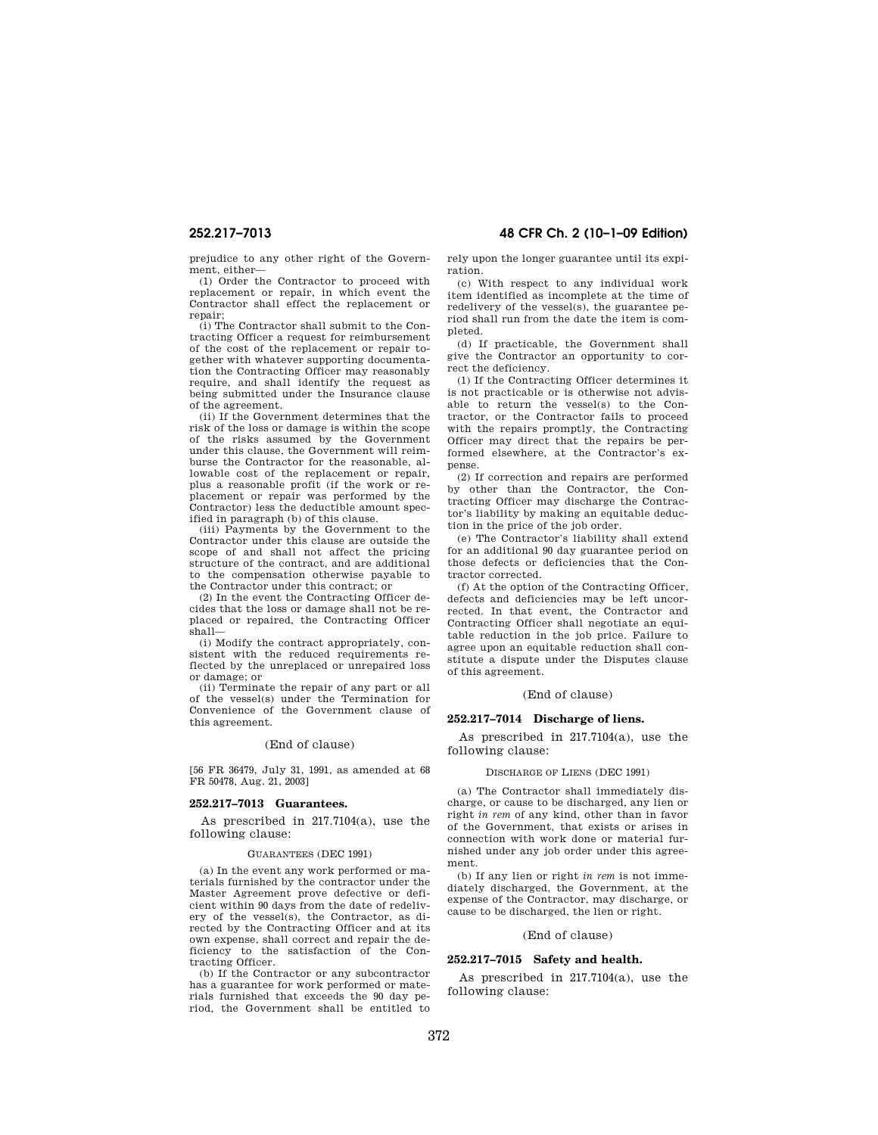# **252.217–7013 48 CFR Ch. 2 (10–1–09 Edition)**

prejudice to any other right of the Government, either—

(1) Order the Contractor to proceed with replacement or repair, in which event the Contractor shall effect the replacement or repair;

(i) The Contractor shall submit to the Contracting Officer a request for reimbursement of the cost of the replacement or repair together with whatever supporting documentation the Contracting Officer may reasonably require, and shall identify the request as being submitted under the Insurance clause of the agreement.

(ii) If the Government determines that the risk of the loss or damage is within the scope of the risks assumed by the Government under this clause, the Government will reimburse the Contractor for the reasonable, allowable cost of the replacement or repair, plus a reasonable profit (if the work or replacement or repair was performed by the Contractor) less the deductible amount specified in paragraph (b) of this clause.

(iii) Payments by the Government to the Contractor under this clause are outside the scope of and shall not affect the pricing structure of the contract, and are additional to the compensation otherwise payable to the Contractor under this contract; or

(2) In the event the Contracting Officer decides that the loss or damage shall not be replaced or repaired, the Contracting Officer shall—

(i) Modify the contract appropriately, consistent with the reduced requirements reflected by the unreplaced or unrepaired loss or damage; or

(ii) Terminate the repair of any part or all of the vessel(s) under the Termination for Convenience of the Government clause of this agreement.

## (End of clause)

[56 FR 36479, July 31, 1991, as amended at 68 FR 50478, Aug. 21, 2003]

# **252.217–7013 Guarantees.**

As prescribed in 217.7104(a), use the following clause:

#### GUARANTEES (DEC 1991)

(a) In the event any work performed or materials furnished by the contractor under the Master Agreement prove defective or deficient within 90 days from the date of redelivery of the vessel(s), the Contractor, as directed by the Contracting Officer and at its own expense, shall correct and repair the deficiency to the satisfaction of the Contracting Officer.

(b) If the Contractor or any subcontractor has a guarantee for work performed or materials furnished that exceeds the 90 day period, the Government shall be entitled to rely upon the longer guarantee until its expiration.

(c) With respect to any individual work item identified as incomplete at the time of redelivery of the vessel(s), the guarantee period shall run from the date the item is completed.

(d) If practicable, the Government shall give the Contractor an opportunity to correct the deficiency.

(1) If the Contracting Officer determines it is not practicable or is otherwise not advisable to return the vessel(s) to the Contractor, or the Contractor fails to proceed with the repairs promptly, the Contracting Officer may direct that the repairs be performed elsewhere, at the Contractor's expense.

(2) If correction and repairs are performed by other than the Contractor, the Contracting Officer may discharge the Contractor's liability by making an equitable deduction in the price of the job order.

(e) The Contractor's liability shall extend for an additional 90 day guarantee period on those defects or deficiencies that the Contractor corrected.

(f) At the option of the Contracting Officer, defects and deficiencies may be left uncorrected. In that event, the Contractor and Contracting Officer shall negotiate an equitable reduction in the job price. Failure to agree upon an equitable reduction shall constitute a dispute under the Disputes clause of this agreement.

## (End of clause)

## **252.217–7014 Discharge of liens.**

As prescribed in 217.7104(a), use the following clause:

## DISCHARGE OF LIENS (DEC 1991)

(a) The Contractor shall immediately discharge, or cause to be discharged, any lien or right *in rem* of any kind, other than in favor of the Government, that exists or arises in connection with work done or material furnished under any job order under this agreement.

(b) If any lien or right *in rem* is not immediately discharged, the Government, at the expense of the Contractor, may discharge, or cause to be discharged, the lien or right.

## (End of clause)

## **252.217–7015 Safety and health.**

As prescribed in 217.7104(a), use the following clause: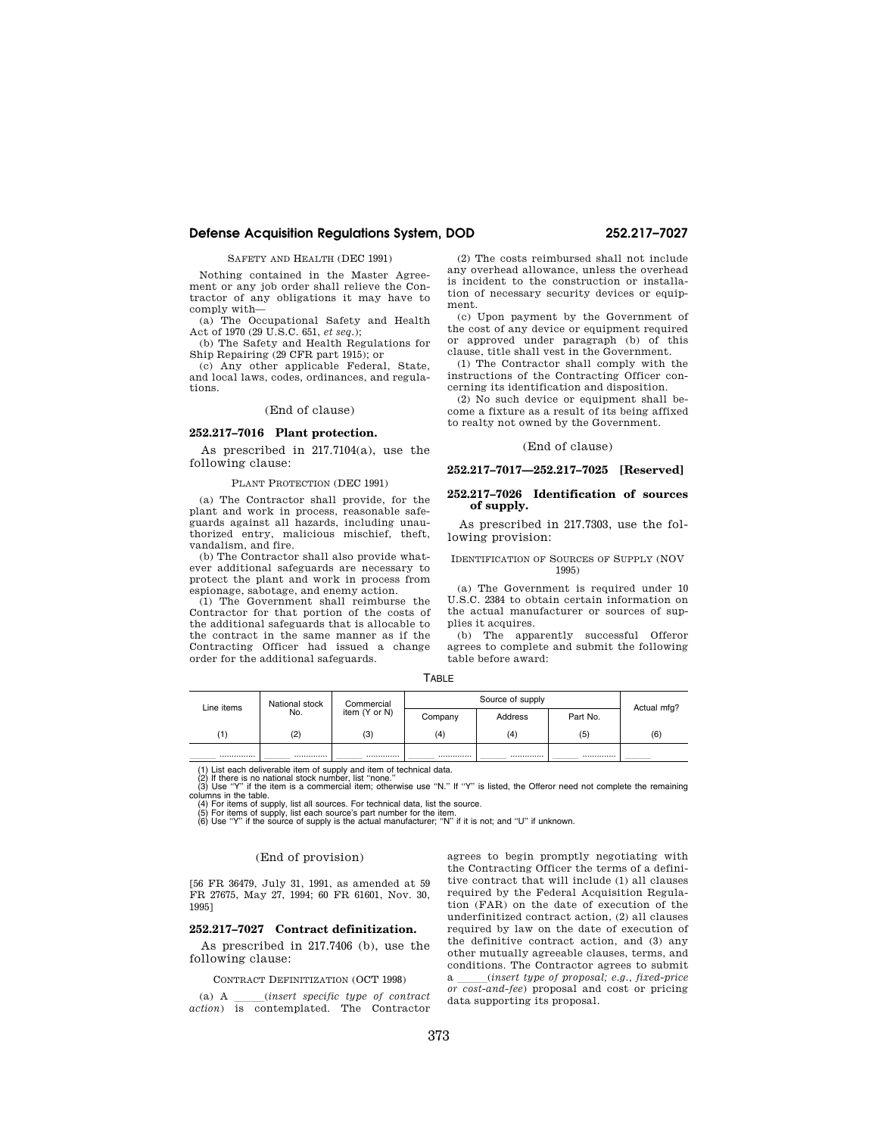SAFETY AND HEALTH (DEC 1991)

Nothing contained in the Master Agreement or any job order shall relieve the Contractor of any obligations it may have to comply with—

(a) The Occupational Safety and Health Act of 1970 (29 U.S.C. 651, *et seq.*);

(b) The Safety and Health Regulations for Ship Repairing (29 CFR part 1915); or

(c) Any other applicable Federal, State, and local laws, codes, ordinances, and regulations.

## (End of clause)

## **252.217–7016 Plant protection.**

As prescribed in 217.7104(a), use the following clause:

## PLANT PROTECTION (DEC 1991)

(a) The Contractor shall provide, for the plant and work in process, reasonable safeguards against all hazards, including unauthorized entry, malicious mischief, theft, vandalism, and fire.

(b) The Contractor shall also provide whatever additional safeguards are necessary to protect the plant and work in process from espionage, sabotage, and enemy action.

(1) The Government shall reimburse the Contractor for that portion of the costs of the additional safeguards that is allocable to the contract in the same manner as if the Contracting Officer had issued a change order for the additional safeguards.

(2) The costs reimbursed shall not include any overhead allowance, unless the overhead is incident to the construction or installation of necessary security devices or equipment.

(c) Upon payment by the Government of the cost of any device or equipment required or approved under paragraph (b) of this clause, title shall vest in the Government.

(1) The Contractor shall comply with the instructions of the Contracting Officer concerning its identification and disposition.

(2) No such device or equipment shall become a fixture as a result of its being affixed to realty not owned by the Government.

(End of clause)

# **252.217–7017—252.217–7025 [Reserved]**

## **252.217–7026 Identification of sources of supply.**

As prescribed in 217.7303, use the following provision:

## IDENTIFICATION OF SOURCES OF SUPPLY (NOV 1995)

(a) The Government is required under 10 U.S.C. 2384 to obtain certain information on the actual manufacturer or sources of supplies it acquires.

(b) The apparently successful Offeror agrees to complete and submit the following table before award:

|--|--|

| Line items           | National stock | Source of supply<br>Commercial |          |     | Actual mfg? |     |
|----------------------|----------------|--------------------------------|----------|-----|-------------|-----|
| item (Y or N)<br>No. | Company        | Address                        | Part No. |     |             |     |
|                      | (2)            | (3)                            | (4)      | (4) | (5)         | (6) |
|                      |                |                                |          |     |             |     |

(1) List each deliverable item of supply and item of technical data.<br>
(2) If there is no national stock number, list "none."<br>
(3) Use "Y" if the item is a commercial item; otherwise use "N." If "Y" is listed, the Offeror n

(4) For items of supply, list all sources. For technical data, list the source.<br>(5) For items of supply, list each source's part number for the item.<br>(6) Use ''Y'' if the source of supply is the actual manufacturer; ''N''

## (End of provision)

[56 FR 36479, July 31, 1991, as amended at 59 FR 27675, May 27, 1994; 60 FR 61601, Nov. 30, 1995]

# **252.217–7027 Contract definitization.**

As prescribed in 217.7406 (b), use the following clause:

CONTRACT DEFINITIZATION (OCT 1998)

(a) A *linsert specific type of contract action*) is contemplated. The Contractor

agrees to begin promptly negotiating with the Contracting Officer the terms of a definitive contract that will include (1) all clauses required by the Federal Acquisition Regulation (FAR) on the date of execution of the underfinitized contract action, (2) all clauses required by law on the date of execution of the definitive contract action, and (3) any other mutually agreeable clauses, terms, and conditions. The Contractor agrees to submit <sup>a</sup>lll(*insert type of proposal; e.g., fixed-price or cost-and-fee*) proposal and cost or pricing data supporting its proposal.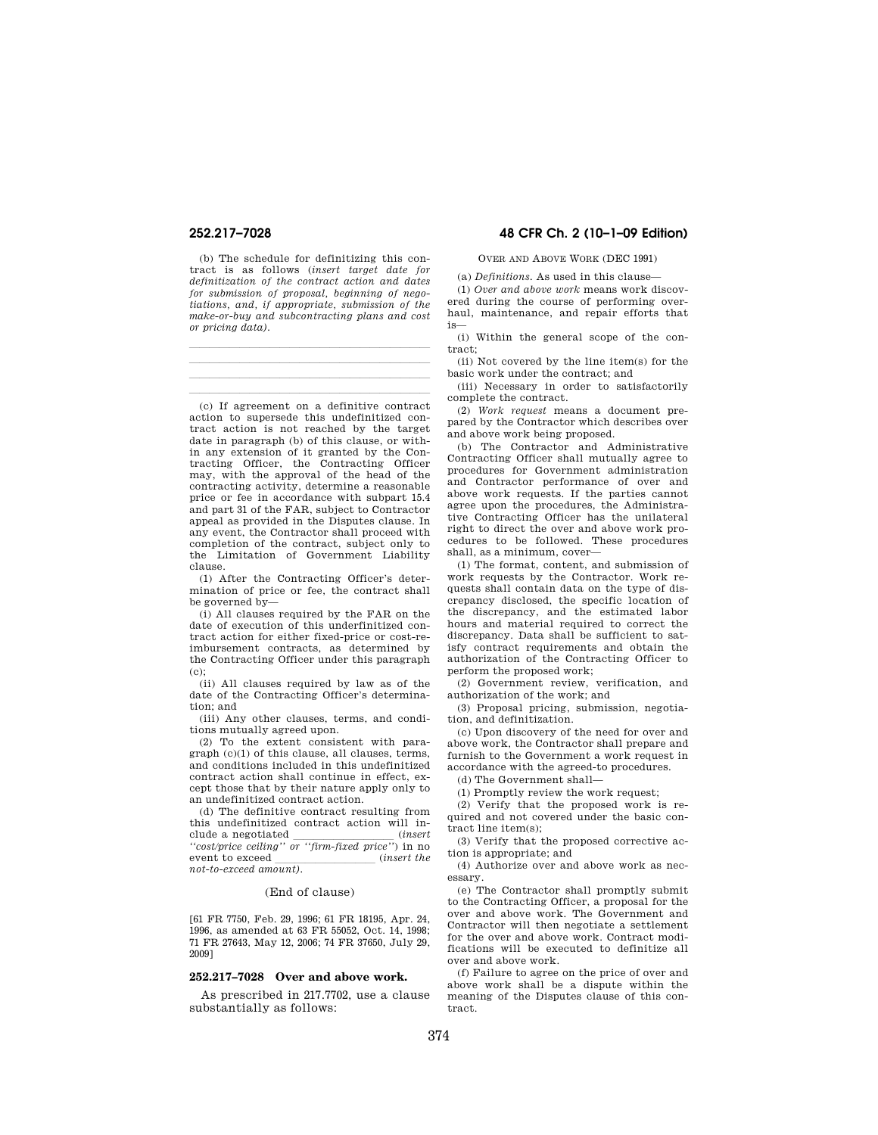(b) The schedule for definitizing this contract is as follows (*insert target date for definitization of the contract action and dates for submission of proposal, beginning of negotiations, and, if appropriate, submission of the make-or-buy and subcontracting plans and cost or pricing data).* 

llland i state av den state av den state av den state av den state av den state av den state av den state av d llland av den stad av den stad av den stad av den stad av den stad av den stad av den stad av den stad av den llland av den stad av den stad av den stad av den stad av den stad av den stad av den stad av den stad av den

llland i state av den state av den state av den state av den state av den state av den state av den state av d (c) If agreement on a definitive contract action to supersede this undefinitized contract action is not reached by the target date in paragraph (b) of this clause, or within any extension of it granted by the Contracting Officer, the Contracting Officer may, with the approval of the head of the contracting activity, determine a reasonable price or fee in accordance with subpart 15.4 and part 31 of the FAR, subject to Contractor appeal as provided in the Disputes clause. In any event, the Contractor shall proceed with completion of the contract, subject only to the Limitation of Government Liability clause.

(1) After the Contracting Officer's determination of price or fee, the contract shall be governed by—

(i) All clauses required by the FAR on the date of execution of this underfinitized contract action for either fixed-price or cost-reimbursement contracts, as determined by the Contracting Officer under this paragraph (c);

(ii) All clauses required by law as of the date of the Contracting Officer's determination; and

(iii) Any other clauses, terms, and conditions mutually agreed upon.

(2) To the extent consistent with paragraph (c)(1) of this clause, all clauses, terms, and conditions included in this undefinitized contract action shall continue in effect, except those that by their nature apply only to an undefinitized contract action.

(d) The definitive contract resulting from this undefinitized contract action will in-<br>clude a negotiated (insert) clude a negotiated  $\frac{1}{2}$  (*insert ''cost/price ceiling'' or ''firm-fixed price''*) in no event to exceed llllllllll (*insert the not-to-exceed amount).* 

## (End of clause)

[61 FR 7750, Feb. 29, 1996; 61 FR 18195, Apr. 24, 1996, as amended at 63 FR 55052, Oct. 14, 1998; 71 FR 27643, May 12, 2006; 74 FR 37650, July 29, 2009]

# **252.217–7028 Over and above work.**

As prescribed in 217.7702, use a clause substantially as follows:

# **252.217–7028 48 CFR Ch. 2 (10–1–09 Edition)**

OVER AND ABOVE WORK (DEC 1991)

(a) *Definitions.* As used in this clause—

(1) *Over and above work* means work discovered during the course of performing overhaul, maintenance, and repair efforts that is—

(i) Within the general scope of the contract;

(ii) Not covered by the line item(s) for the basic work under the contract; and

(iii) Necessary in order to satisfactorily complete the contract.

(2) *Work request* means a document prepared by the Contractor which describes over and above work being proposed.

(b) The Contractor and Administrative Contracting Officer shall mutually agree to procedures for Government administration and Contractor performance of over and above work requests. If the parties cannot agree upon the procedures, the Administrative Contracting Officer has the unilateral right to direct the over and above work procedures to be followed. These procedures shall, as a minimum, cover—

(1) The format, content, and submission of work requests by the Contractor. Work requests shall contain data on the type of discrepancy disclosed, the specific location of the discrepancy, and the estimated labor hours and material required to correct the discrepancy. Data shall be sufficient to satisfy contract requirements and obtain the authorization of the Contracting Officer to perform the proposed work;

(2) Government review, verification, and authorization of the work; and

(3) Proposal pricing, submission, negotiation, and definitization.

(c) Upon discovery of the need for over and above work, the Contractor shall prepare and furnish to the Government a work request in accordance with the agreed-to procedures.

(d) The Government shall—

(1) Promptly review the work request;

(2) Verify that the proposed work is required and not covered under the basic contract line item(s);

(3) Verify that the proposed corrective action is appropriate; and

(4) Authorize over and above work as necessary.

(e) The Contractor shall promptly submit to the Contracting Officer, a proposal for the over and above work. The Government and Contractor will then negotiate a settlement for the over and above work. Contract modifications will be executed to definitize all over and above work.

(f) Failure to agree on the price of over and above work shall be a dispute within the meaning of the Disputes clause of this contract.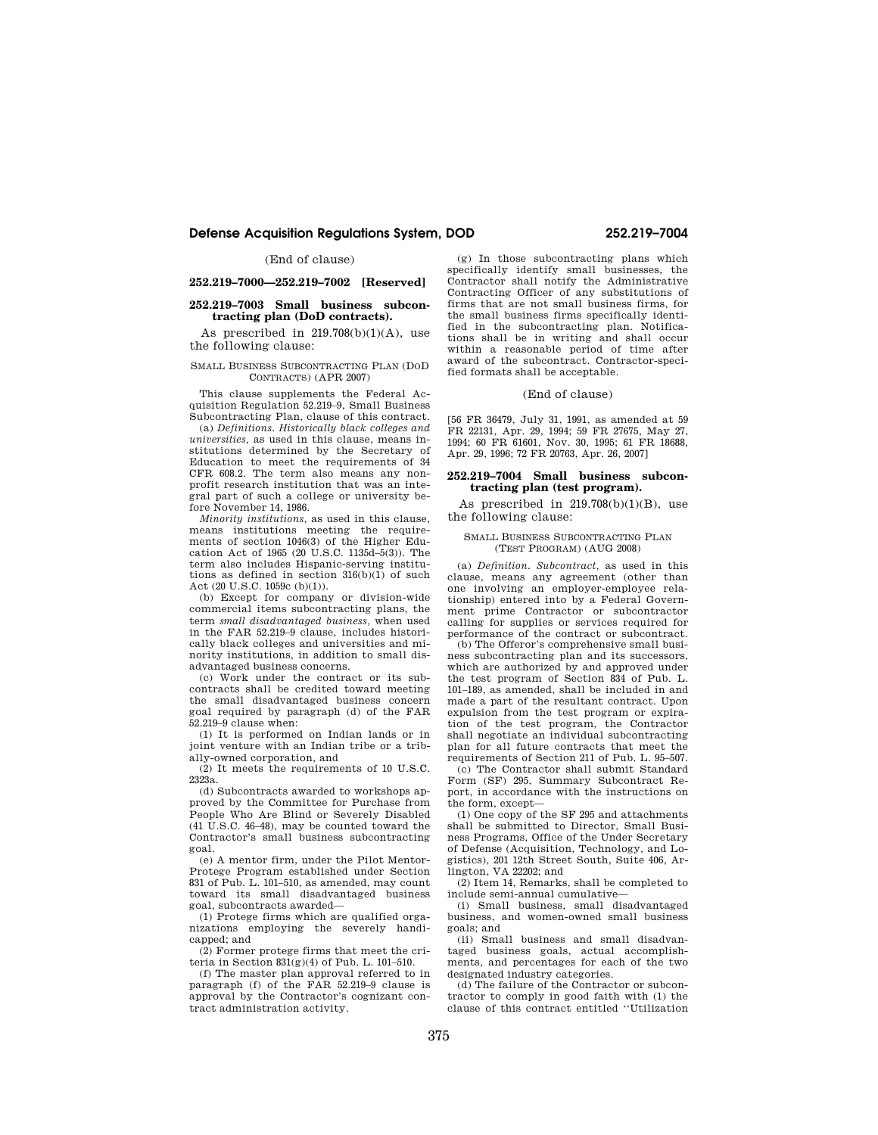(End of clause)

# **252.219–7000—252.219–7002 [Reserved]**

# **252.219–7003 Small business subcontracting plan (DoD contracts).**

As prescribed in  $219.708(b)(1)(A)$ , use the following clause:

### SMALL BUSINESS SUBCONTRACTING PLAN (DOD CONTRACTS) (APR 2007)

This clause supplements the Federal Acquisition Regulation 52.219–9, Small Business Subcontracting Plan, clause of this contract.

(a) *Definitions. Historically black colleges and universities,* as used in this clause, means institutions determined by the Secretary of Education to meet the requirements of 34 CFR 608.2. The term also means any nonprofit research institution that was an integral part of such a college or university before November 14, 1986.

*Minority institutions,* as used in this clause, means institutions meeting the requirements of section 1046(3) of the Higher Education Act of 1965 (20 U.S.C. 1135d–5(3)). The term also includes Hispanic-serving institutions as defined in section  $316(b)(1)$  of such Act (20 U.S.C. 1059c (b)(1)).

(b) Except for company or division-wide commercial items subcontracting plans, the term *small disadvantaged business,* when used in the FAR 52.219–9 clause, includes historically black colleges and universities and minority institutions, in addition to small disadvantaged business concerns.

(c) Work under the contract or its subcontracts shall be credited toward meeting the small disadvantaged business concern goal required by paragraph (d) of the FAR 52.219–9 clause when:

(1) It is performed on Indian lands or in joint venture with an Indian tribe or a tribally-owned corporation, and

(2) It meets the requirements of 10 U.S.C. 2323a.

(d) Subcontracts awarded to workshops approved by the Committee for Purchase from People Who Are Blind or Severely Disabled (41 U.S.C. 46–48), may be counted toward the Contractor's small business subcontracting goal.

(e) A mentor firm, under the Pilot Mentor-Protege Program established under Section 831 of Pub. L. 101–510, as amended, may count toward its small disadvantaged business goal, subcontracts awarded—

(1) Protege firms which are qualified organizations employing the severely handicapped; and

(2) Former protege firms that meet the criteria in Section 831(g)(4) of Pub. L. 101–510.

(f) The master plan approval referred to in paragraph (f) of the FAR 52.219–9 clause is approval by the Contractor's cognizant contract administration activity.

(g) In those subcontracting plans which specifically identify small businesses, the Contractor shall notify the Administrative Contracting Officer of any substitutions of firms that are not small business firms, for the small business firms specifically identified in the subcontracting plan. Notifications shall be in writing and shall occur within a reasonable period of time after award of the subcontract. Contractor-specified formats shall be acceptable.

## (End of clause)

[56 FR 36479, July 31, 1991, as amended at 59 FR 22131, Apr. 29, 1994; 59 FR 27675, May 27, 1994; 60 FR 61601, Nov. 30, 1995; 61 FR 18688, Apr. 29, 1996; 72 FR 20763, Apr. 26, 2007]

## **252.219–7004 Small business subcontracting plan (test program).**

As prescribed in  $219.708(b)(1)(B)$ , use the following clause:

## SMALL BUSINESS SUBCONTRACTING PLAN (TEST PROGRAM) (AUG 2008)

(a) *Definition. Subcontract,* as used in this clause, means any agreement (other than one involving an employer-employee relationship) entered into by a Federal Government prime Contractor or subcontractor calling for supplies or services required for performance of the contract or subcontract.

(b) The Offeror's comprehensive small business subcontracting plan and its successors, which are authorized by and approved under the test program of Section 834 of Pub. L. 101–189, as amended, shall be included in and made a part of the resultant contract. Upon expulsion from the test program or expiration of the test program, the Contractor shall negotiate an individual subcontracting plan for all future contracts that meet the requirements of Section 211 of Pub. L. 95–507.

(c) The Contractor shall submit Standard Form (SF) 295, Summary Subcontract Report, in accordance with the instructions on the form, except—

(1) One copy of the SF 295 and attachments shall be submitted to Director, Small Business Programs, Office of the Under Secretary of Defense (Acquisition, Technology, and Logistics), 201 12th Street South, Suite 406, Arlington, VA 22202; and

(2) Item 14, Remarks, shall be completed to include semi-annual cumulative—

(i) Small business, small disadvantaged business, and women-owned small business goals; and

(ii) Small business and small disadvantaged business goals, actual accomplishments, and percentages for each of the two designated industry categories.

(d) The failure of the Contractor or subcontractor to comply in good faith with (1) the clause of this contract entitled ''Utilization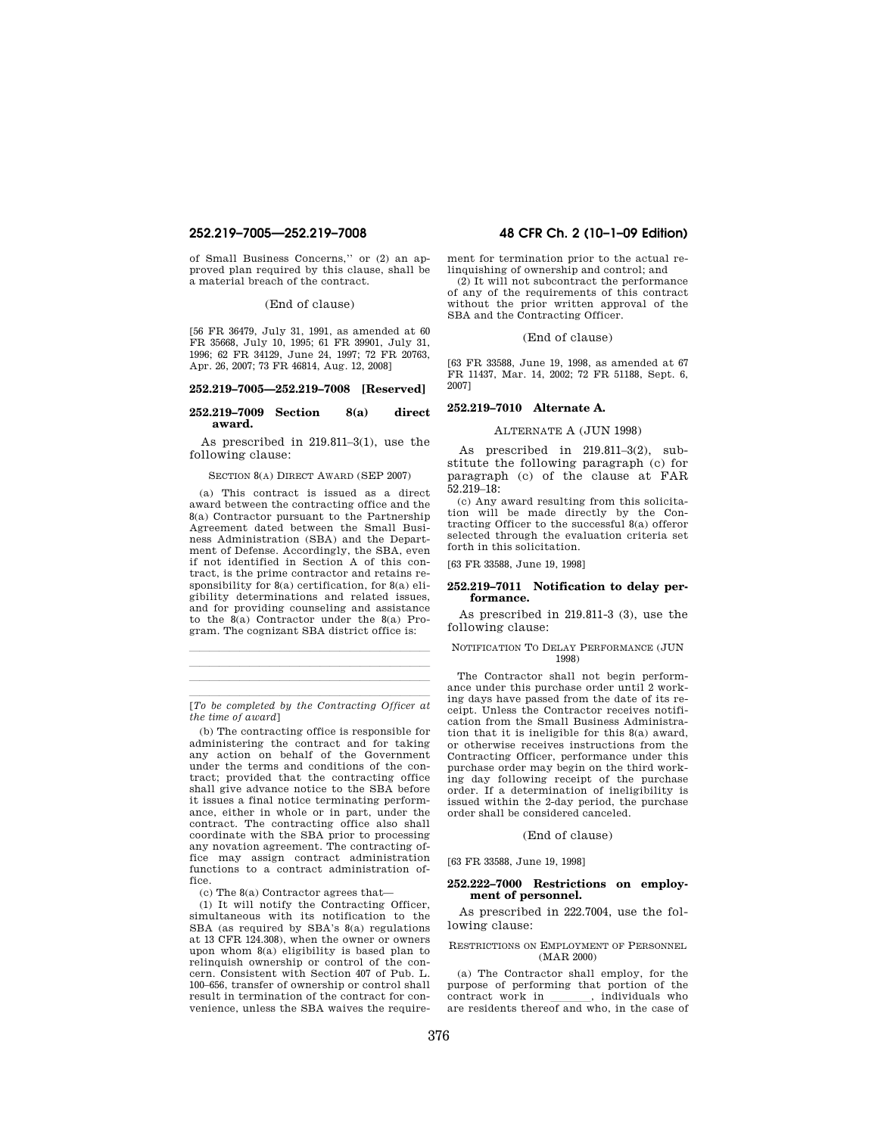of Small Business Concerns,'' or (2) an approved plan required by this clause, shall be a material breach of the contract.

(End of clause)

[56 FR 36479, July 31, 1991, as amended at 60 FR 35668, July 10, 1995; 61 FR 39901, July 31, 1996; 62 FR 34129, June 24, 1997; 72 FR 20763, Apr. 26, 2007; 73 FR 46814, Aug. 12, 2008]

### **252.219–7005—252.219–7008 [Reserved]**

## **252.219–7009 Section 8(a) direct award.**

As prescribed in 219.811–3(1), use the following clause:

SECTION 8(A) DIRECT AWARD (SEP 2007)

(a) This contract is issued as a direct award between the contracting office and the 8(a) Contractor pursuant to the Partnership Agreement dated between the Small Business Administration (SBA) and the Department of Defense. Accordingly, the SBA, even if not identified in Section A of this contract, is the prime contractor and retains responsibility for 8(a) certification, for 8(a) eligibility determinations and related issues, and for providing counseling and assistance to the 8(a) Contractor under the 8(a) Program. The cognizant SBA district office is:

llland i state av den state av den state av den state av den state av den state av den state av den state av d [*To be completed by the Contracting Officer at the time of award*]

llland av den stad av den stad av den stad av den stad av den stad av den stad av den stad av den stad av den llland i state av den state av den state av den state av den state av den state av den state av den state av d

(b) The contracting office is responsible for administering the contract and for taking any action on behalf of the Government under the terms and conditions of the contract; provided that the contracting office shall give advance notice to the SBA before it issues a final notice terminating performance, either in whole or in part, under the contract. The contracting office also shall coordinate with the SBA prior to processing any novation agreement. The contracting office may assign contract administration functions to a contract administration office.

(c) The 8(a) Contractor agrees that—

(1) It will notify the Contracting Officer, simultaneous with its notification to the SBA (as required by SBA's 8(a) regulations at 13 CFR 124.308), when the owner or owners upon whom 8(a) eligibility is based plan to relinquish ownership or control of the concern. Consistent with Section 407 of Pub. L. 100–656, transfer of ownership or control shall result in termination of the contract for convenience, unless the SBA waives the require-

# **252.219–7005—252.219–7008 48 CFR Ch. 2 (10–1–09 Edition)**

ment for termination prior to the actual relinquishing of ownership and control; and

(2) It will not subcontract the performance of any of the requirements of this contract without the prior written approval of the SBA and the Contracting Officer.

## (End of clause)

[63 FR 33588, June 19, 1998, as amended at 67 FR 11437, Mar. 14, 2002; 72 FR 51188, Sept. 6, 2007]

## **252.219–7010 Alternate A.**

# ALTERNATE A (JUN 1998)

As prescribed in 219.811–3(2), substitute the following paragraph (c) for paragraph (c) of the clause at FAR 52.219–18:

(c) Any award resulting from this solicitation will be made directly by the Contracting Officer to the successful 8(a) offeror selected through the evaluation criteria set forth in this solicitation.

[63 FR 33588, June 19, 1998]

## **252.219–7011 Notification to delay performance.**

As prescribed in 219.811-3 (3), use the following clause:

### NOTIFICATION TO DELAY PERFORMANCE (JUN 1998)

The Contractor shall not begin performance under this purchase order until 2 working days have passed from the date of its receipt. Unless the Contractor receives notification from the Small Business Administration that it is ineligible for this 8(a) award, or otherwise receives instructions from the Contracting Officer, performance under this purchase order may begin on the third working day following receipt of the purchase order. If a determination of ineligibility is issued within the 2-day period, the purchase order shall be considered canceled.

## (End of clause)

[63 FR 33588, June 19, 1998]

# **252.222–7000 Restrictions on employment of personnel.**

As prescribed in 222.7004, use the following clause:

### RESTRICTIONS ON EMPLOYMENT OF PERSONNEL (MAR 2000)

(a) The Contractor shall employ, for the purpose of performing that portion of the contract work in llll, individuals who are residents thereof and who, in the case of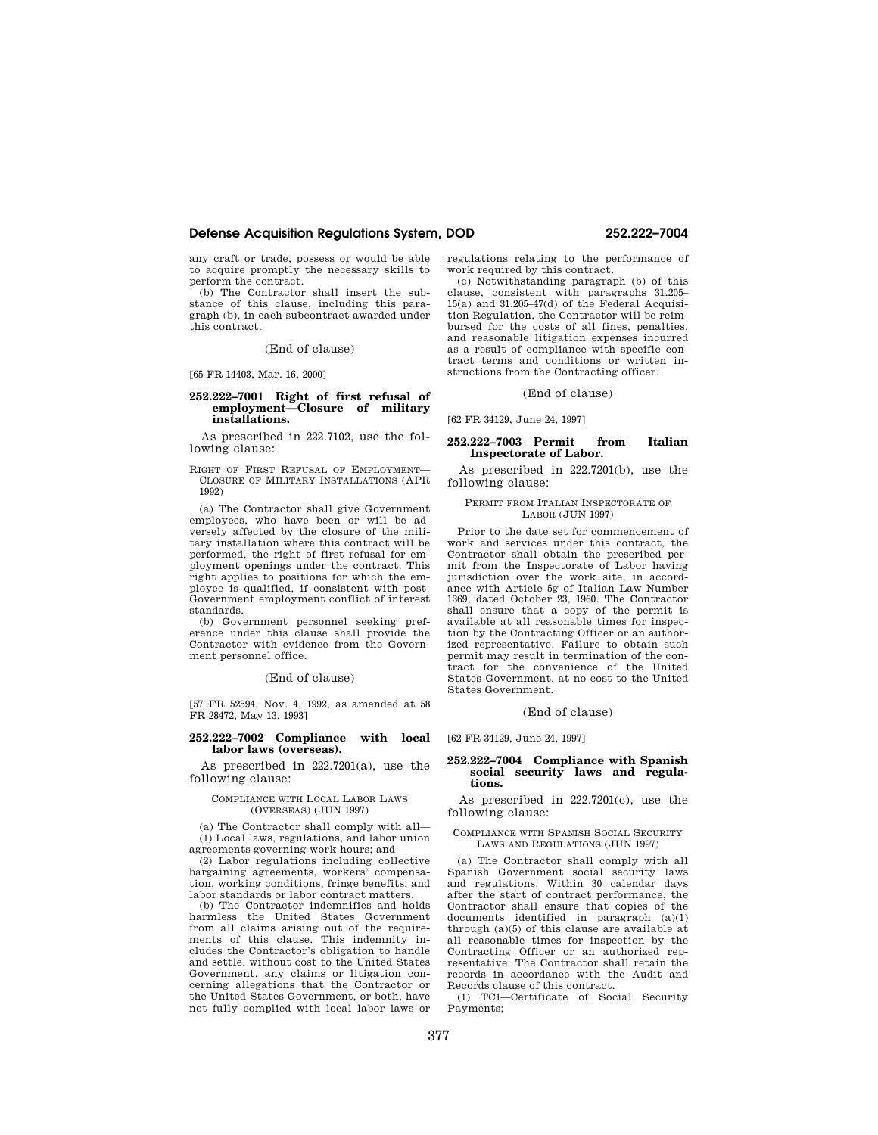any craft or trade, possess or would be able to acquire promptly the necessary skills to perform the contract.

(b) The Contractor shall insert the substance of this clause, including this paragraph (b), in each subcontract awarded under this contract.

(End of clause)

[65 FR 14403, Mar. 16, 2000]

## **252.222–7001 Right of first refusal of employment—Closure of military installations.**

As prescribed in 222.7102, use the following clause:

RIGHT OF FIRST REFUSAL OF EMPLOYMENT— CLOSURE OF MILITARY INSTALLATIONS (APR 1992)

(a) The Contractor shall give Government employees, who have been or will be adversely affected by the closure of the military installation where this contract will be performed, the right of first refusal for employment openings under the contract. This right applies to positions for which the employee is qualified, if consistent with post-Government employment conflict of interest standards.

(b) Government personnel seeking preference under this clause shall provide the Contractor with evidence from the Government personnel office.

(End of clause)

[57 FR 52594, Nov. 4, 1992, as amended at 58 FR 28472, May 13, 1993]

## **252.222–7002 Compliance with local labor laws (overseas).**

As prescribed in  $222.7201(a)$ , use the following clause:

## COMPLIANCE WITH LOCAL LABOR LAWS (OVERSEAS) (JUN 1997)

(a) The Contractor shall comply with all— (1) Local laws, regulations, and labor union agreements governing work hours; and

(2) Labor regulations including collective bargaining agreements, workers' compensation, working conditions, fringe benefits, and labor standards or labor contract matters.

(b) The Contractor indemnifies and holds harmless the United States Government from all claims arising out of the require-ments of this clause. This indemnity includes the Contractor's obligation to handle and settle, without cost to the United States Government, any claims or litigation concerning allegations that the Contractor or the United States Government, or both, have not fully complied with local labor laws or

regulations relating to the performance of work required by this contract.

(c) Notwithstanding paragraph (b) of this clause, consistent with paragraphs 31.205– 15(a) and 31.205–47(d) of the Federal Acquisition Regulation, the Contractor will be reimbursed for the costs of all fines, penalties, and reasonable litigation expenses incurred as a result of compliance with specific contract terms and conditions or written instructions from the Contracting officer.

(End of clause)

[62 FR 34129, June 24, 1997]

## **252.222–7003 Permit from Italian Inspectorate of Labor.**

As prescribed in 222.7201(b), use the following clause:

PERMIT FROM ITALIAN INSPECTORATE OF LABOR (JUN 1997)

Prior to the date set for commencement of work and services under this contract, the Contractor shall obtain the prescribed permit from the Inspectorate of Labor having jurisdiction over the work site, in accordance with Article 5g of Italian Law Number 1369, dated October 23, 1960. The Contractor shall ensure that a copy of the permit is available at all reasonable times for inspection by the Contracting Officer or an authorized representative. Failure to obtain such permit may result in termination of the contract for the convenience of the United States Government, at no cost to the United States Government.

## (End of clause)

[62 FR 34129, June 24, 1997]

# **252.222–7004 Compliance with Spanish social security laws and regulations.**

As prescribed in 222.7201(c), use the following clause:

### COMPLIANCE WITH SPANISH SOCIAL SECURITY LAWS AND REGULATIONS (JUN 1997)

(a) The Contractor shall comply with all Spanish Government social security laws and regulations. Within 30 calendar days after the start of contract performance, the Contractor shall ensure that copies of the documents identified in paragraph (a)(1) through (a)(5) of this clause are available at all reasonable times for inspection by the Contracting Officer or an authorized rep-resentative. The Contractor shall retain the records in accordance with the Audit and Records clause of this contract.

(1) TC1—Certificate of Social Security Payments;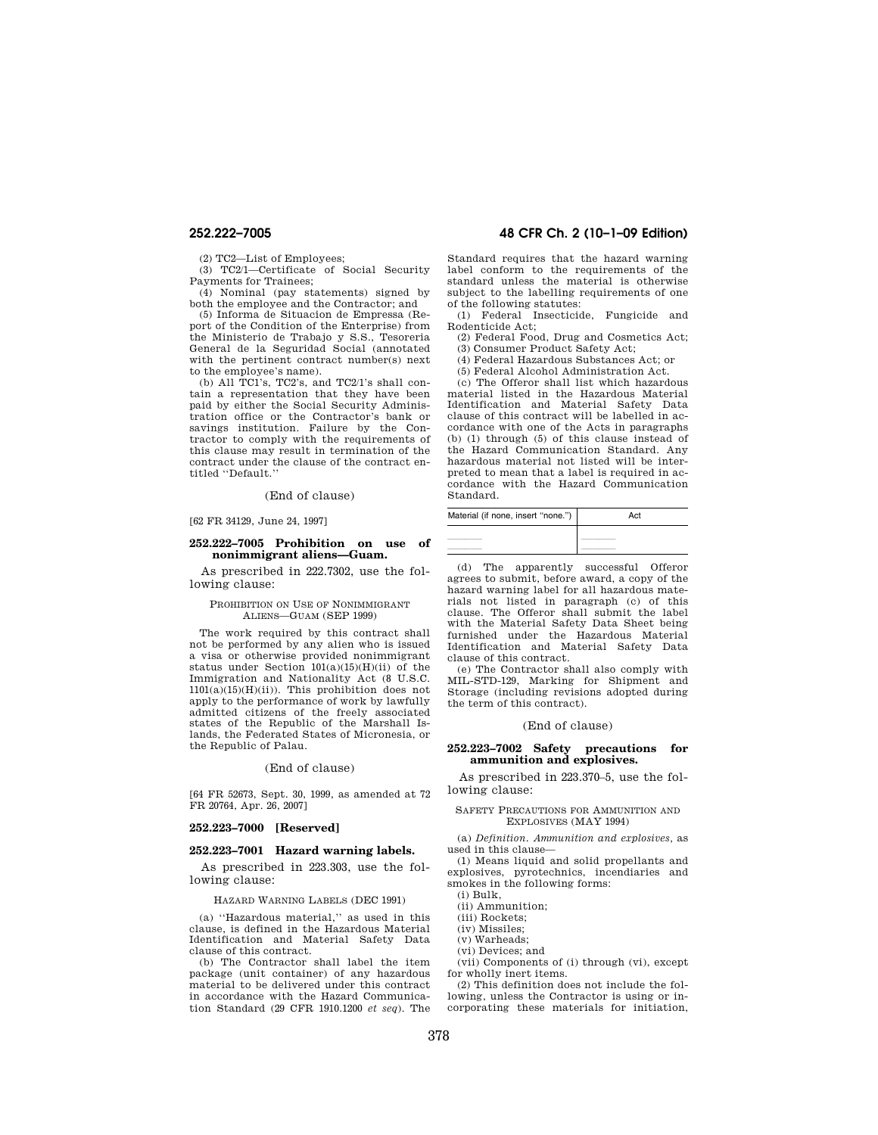(2) TC2—List of Employees;

(3) TC2/1—Certificate of Social Security Payments for Trainees;

(4) Nominal (pay statements) signed by both the employee and the Contractor; and

(5) Informa de Situacion de Empressa (Report of the Condition of the Enterprise) from the Ministerio de Trabajo y S.S., Tesoreria General de la Seguridad Social (annotated with the pertinent contract number(s) next to the employee's name).

(b) All TC1's, TC2's, and TC2/1's shall contain a representation that they have been paid by either the Social Security Administration office or the Contractor's bank or savings institution. Failure by the Contractor to comply with the requirements of this clause may result in termination of the contract under the clause of the contract entitled ''Default.''

(End of clause)

[62 FR 34129, June 24, 1997]

## **252.222–7005 Prohibition on use of nonimmigrant aliens—Guam.**

As prescribed in 222.7302, use the following clause:

## PROHIBITION ON USE OF NONIMMIGRANT ALIENS—GUAM (SEP 1999)

The work required by this contract shall not be performed by any alien who is issued a visa or otherwise provided nonimmigrant status under Section 101(a)(15)(H)(ii) of the Immigration and Nationality Act (8 U.S.C.  $1101(a)(15)(H)(ii)$ . This prohibition does not apply to the performance of work by lawfully admitted citizens of the freely associated states of the Republic of the Marshall Islands, the Federated States of Micronesia, or the Republic of Palau.

(End of clause)

[64 FR 52673, Sept. 30, 1999, as amended at 72 FR 20764, Apr. 26, 2007]

## **252.223–7000 [Reserved]**

# **252.223–7001 Hazard warning labels.**

As prescribed in 223.303, use the following clause:

HAZARD WARNING LABELS (DEC 1991)

(a) ''Hazardous material,'' as used in this clause, is defined in the Hazardous Material Identification and Material Safety Data clause of this contract.

(b) The Contractor shall label the item package (unit container) of any hazardous material to be delivered under this contract in accordance with the Hazard Communication Standard (29 CFR 1910.1200 *et seq*). The

# **252.222–7005 48 CFR Ch. 2 (10–1–09 Edition)**

Standard requires that the hazard warning label conform to the requirements of the standard unless the material is otherwise subject to the labelling requirements of one of the following statutes:

(1) Federal Insecticide, Fungicide and Rodenticide Act;

(2) Federal Food, Drug and Cosmetics Act;

(3) Consumer Product Safety Act; (4) Federal Hazardous Substances Act; or

(5) Federal Alcohol Administration Act.

(c) The Offeror shall list which hazardous

material listed in the Hazardous Material Identification and Material Safety Data clause of this contract will be labelled in accordance with one of the Acts in paragraphs (b) (1) through (5) of this clause instead of the Hazard Communication Standard. Any hazardous material not listed will be interpreted to mean that a label is required in accordance with the Hazard Communication Standard.

| Material (if none, insert "none.") | Act |
|------------------------------------|-----|
|                                    |     |
|                                    |     |
|                                    |     |

(d) The apparently successful Offeror agrees to submit, before award, a copy of the hazard warning label for all hazardous materials not listed in paragraph (c) of this clause. The Offeror shall submit the label with the Material Safety Data Sheet being furnished under the Hazardous Material Identification and Material Safety Data clause of this contract.

(e) The Contractor shall also comply with MIL-STD-129, Marking for Shipment and Storage (including revisions adopted during the term of this contract).

## (End of clause)

## **252.223–7002 Safety precautions for ammunition and explosives.**

As prescribed in 223.370–5, use the following clause:

## SAFETY PRECAUTIONS FOR AMMUNITION AND EXPLOSIVES (MAY 1994)

(a) *Definition. Ammunition and explosives,* as used in this clause—

(1) Means liquid and solid propellants and explosives, pyrotechnics, incendiaries and smokes in the following forms:

(i) Bulk,

(ii) Ammunition; (iii) Rockets;

(iv) Missiles;

(v) Warheads;

(vi) Devices; and

(vii) Components of (i) through (vi), except for wholly inert items.

(2) This definition does not include the following, unless the Contractor is using or incorporating these materials for initiation,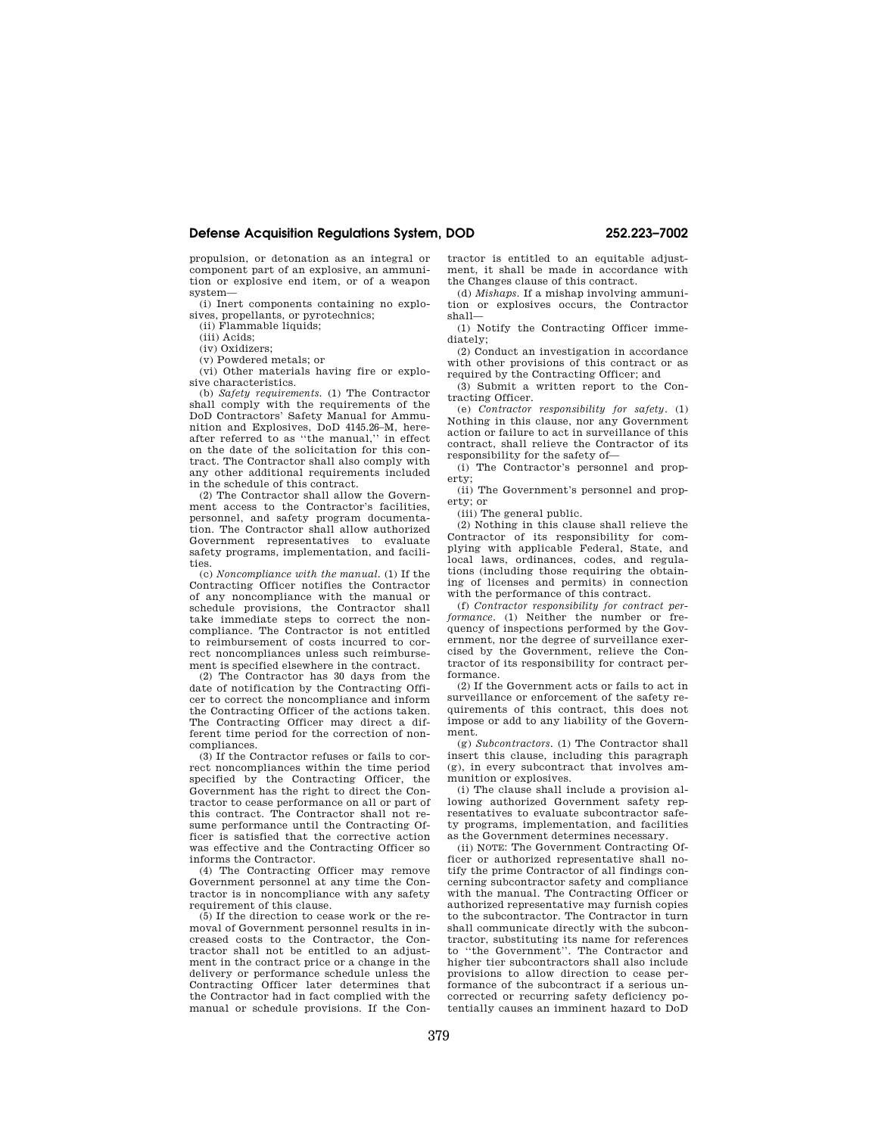propulsion, or detonation as an integral or component part of an explosive, an ammunition or explosive end item, or of a weapon system—

(i) Inert components containing no explosives, propellants, or pyrotechnics;

(ii) Flammable liquids;

(iii) Acids;

(iv) Oxidizers;

(v) Powdered metals; or

(vi) Other materials having fire or explosive characteristics.

(b) *Safety requirements.* (1) The Contractor shall comply with the requirements of the DoD Contractors' Safety Manual for Ammunition and Explosives, DoD 4145.26–M, hereafter referred to as ''the manual,'' in effect on the date of the solicitation for this contract. The Contractor shall also comply with any other additional requirements included in the schedule of this contract.

(2) The Contractor shall allow the Government access to the Contractor's facilities, personnel, and safety program documentation. The Contractor shall allow authorized Government representatives to evaluate safety programs, implementation, and facilities.

(c) *Noncompliance with the manual.* (1) If the Contracting Officer notifies the Contractor of any noncompliance with the manual or schedule provisions, the Contractor shall take immediate steps to correct the noncompliance. The Contractor is not entitled to reimbursement of costs incurred to correct noncompliances unless such reimbursement is specified elsewhere in the contract.

(2) The Contractor has 30 days from the date of notification by the Contracting Officer to correct the noncompliance and inform the Contracting Officer of the actions taken. The Contracting Officer may direct a different time period for the correction of noncompliances.

(3) If the Contractor refuses or fails to correct noncompliances within the time period specified by the Contracting Officer, the Government has the right to direct the Contractor to cease performance on all or part of this contract. The Contractor shall not resume performance until the Contracting Officer is satisfied that the corrective action was effective and the Contracting Officer so informs the Contractor.

(4) The Contracting Officer may remove Government personnel at any time the Contractor is in noncompliance with any safety requirement of this clause.

(5) If the direction to cease work or the removal of Government personnel results in increased costs to the Contractor, the Contractor shall not be entitled to an adjustment in the contract price or a change in the delivery or performance schedule unless the Contracting Officer later determines that the Contractor had in fact complied with the manual or schedule provisions. If the Con-

tractor is entitled to an equitable adjustment, it shall be made in accordance with the Changes clause of this contract.

(d) *Mishaps.* If a mishap involving ammunition or explosives occurs, the Contractor shall—

(1) Notify the Contracting Officer immediately;

(2) Conduct an investigation in accordance with other provisions of this contract or as required by the Contracting Officer; and

(3) Submit a written report to the Contracting Officer.

(e) *Contractor responsibility for safety.* (1) Nothing in this clause, nor any Government action or failure to act in surveillance of this contract, shall relieve the Contractor of its responsibility for the safety of-

(i) The Contractor's personnel and property;

(ii) The Government's personnel and property; or

(iii) The general public.

(2) Nothing in this clause shall relieve the Contractor of its responsibility for complying with applicable Federal, State, and local laws, ordinances, codes, and regulations (including those requiring the obtaining of licenses and permits) in connection with the performance of this contract.

(f) *Contractor responsibility for contract performance.* (1) Neither the number or frequency of inspections performed by the Government, nor the degree of surveillance exercised by the Government, relieve the Contractor of its responsibility for contract performance.

(2) If the Government acts or fails to act in surveillance or enforcement of the safety requirements of this contract, this does not impose or add to any liability of the Government.

(g) *Subcontractors.* (1) The Contractor shall insert this clause, including this paragraph (g), in every subcontract that involves ammunition or explosives.

(i) The clause shall include a provision allowing authorized Government safety representatives to evaluate subcontractor safety programs, implementation, and facilities as the Government determines necessary.

(ii) NOTE: The Government Contracting Officer or authorized representative shall notify the prime Contractor of all findings concerning subcontractor safety and compliance with the manual. The Contracting Officer or authorized representative may furnish copies to the subcontractor. The Contractor in turn shall communicate directly with the subcontractor, substituting its name for references to ''the Government''. The Contractor and higher tier subcontractors shall also include provisions to allow direction to cease performance of the subcontract if a serious uncorrected or recurring safety deficiency potentially causes an imminent hazard to DoD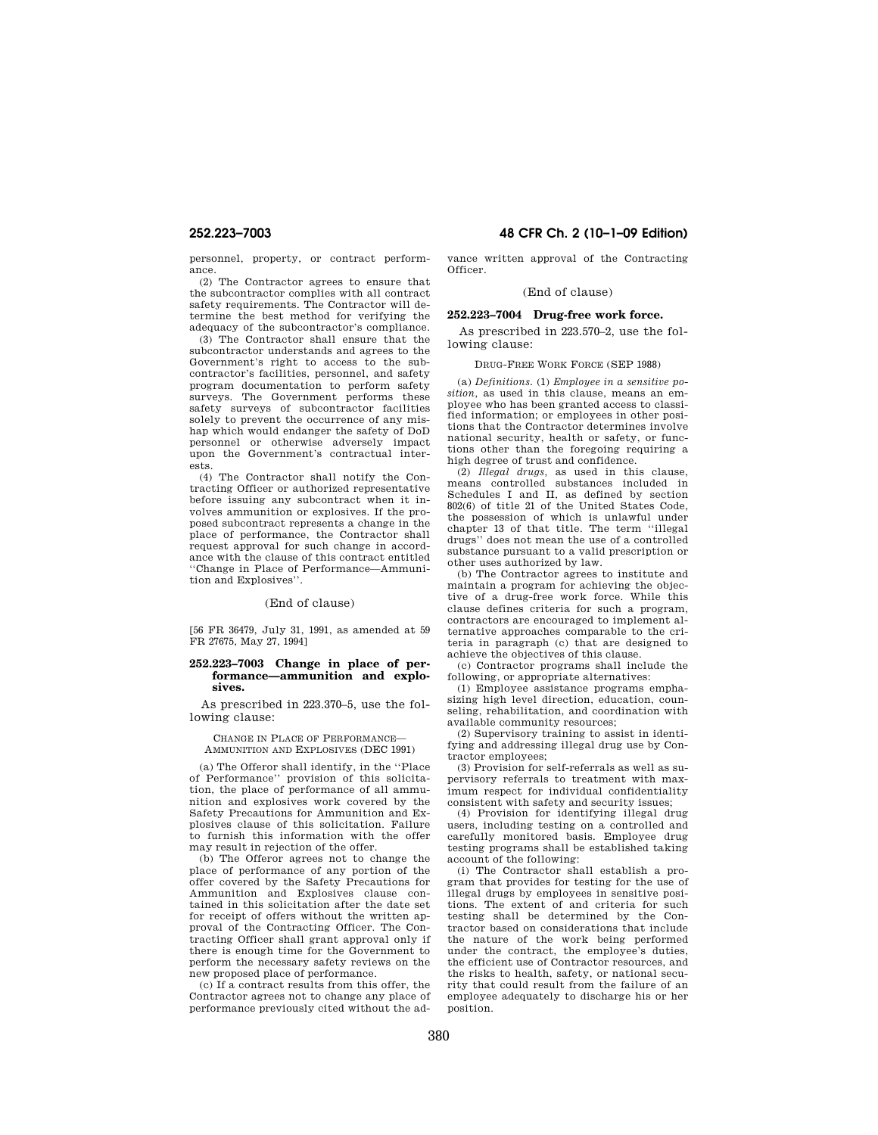personnel, property, or contract performance.

(2) The Contractor agrees to ensure that the subcontractor complies with all contract safety requirements. The Contractor will determine the best method for verifying the adequacy of the subcontractor's compliance.

(3) The Contractor shall ensure that the subcontractor understands and agrees to the Government's right to access to the subcontractor's facilities, personnel, and safety program documentation to perform safety surveys. The Government performs these safety surveys of subcontractor facilities solely to prevent the occurrence of any mishap which would endanger the safety of DoD personnel or otherwise adversely impact upon the Government's contractual interests.

(4) The Contractor shall notify the Contracting Officer or authorized representative before issuing any subcontract when it involves ammunition or explosives. If the proposed subcontract represents a change in the place of performance, the Contractor shall request approval for such change in accordance with the clause of this contract entitled ''Change in Place of Performance—Ammunition and Explosives''.

## (End of clause)

[56 FR 36479, July 31, 1991, as amended at 59 FR 27675, May 27, 1994]

#### **252.223–7003 Change in place of performance—ammunition and explosives.**

As prescribed in 223.370–5, use the following clause:

CHANGE IN PLACE OF PERFORMANCE— AMMUNITION AND EXPLOSIVES (DEC 1991)

(a) The Offeror shall identify, in the ''Place of Performance'' provision of this solicitation, the place of performance of all ammunition and explosives work covered by the Safety Precautions for Ammunition and Explosives clause of this solicitation. Failure to furnish this information with the offer may result in rejection of the offer.

(b) The Offeror agrees not to change the place of performance of any portion of the offer covered by the Safety Precautions for Ammunition and Explosives clause contained in this solicitation after the date set for receipt of offers without the written approval of the Contracting Officer. The Contracting Officer shall grant approval only if there is enough time for the Government to perform the necessary safety reviews on the new proposed place of performance.

(c) If a contract results from this offer, the Contractor agrees not to change any place of performance previously cited without the ad-

# **252.223–7003 48 CFR Ch. 2 (10–1–09 Edition)**

vance written approval of the Contracting Officer.

## (End of clause)

# **252.223–7004 Drug-free work force.**

As prescribed in 223.570–2, use the following clause:

#### DRUG-FREE WORK FORCE (SEP 1988)

(a) *Definitions.* (1) *Employee in a sensitive position,* as used in this clause, means an employee who has been granted access to classified information; or employees in other positions that the Contractor determines involve national security, health or safety, or functions other than the foregoing requiring a high degree of trust and confidence.

(2) *Illegal drugs,* as used in this clause, means controlled substances included in Schedules I and II, as defined by section 802(6) of title 21 of the United States Code, the possession of which is unlawful under chapter 13 of that title. The term ''illegal drugs'' does not mean the use of a controlled substance pursuant to a valid prescription or other uses authorized by law.

(b) The Contractor agrees to institute and maintain a program for achieving the objective of a drug-free work force. While this clause defines criteria for such a program, contractors are encouraged to implement alternative approaches comparable to the criteria in paragraph (c) that are designed to achieve the objectives of this clause.

(c) Contractor programs shall include the following, or appropriate alternatives:

(1) Employee assistance programs emphasizing high level direction, education, counseling, rehabilitation, and coordination with available community resources;

(2) Supervisory training to assist in identifying and addressing illegal drug use by Contractor employees;

(3) Provision for self-referrals as well as supervisory referrals to treatment with maximum respect for individual confidentiality consistent with safety and security issues;

(4) Provision for identifying illegal drug users, including testing on a controlled and carefully monitored basis. Employee drug testing programs shall be established taking account of the following:

(i) The Contractor shall establish a program that provides for testing for the use of illegal drugs by employees in sensitive positions. The extent of and criteria for such testing shall be determined by the Contractor based on considerations that include the nature of the work being performed under the contract, the employee's duties, the efficient use of Contractor resources, and the risks to health, safety, or national security that could result from the failure of an employee adequately to discharge his or her position.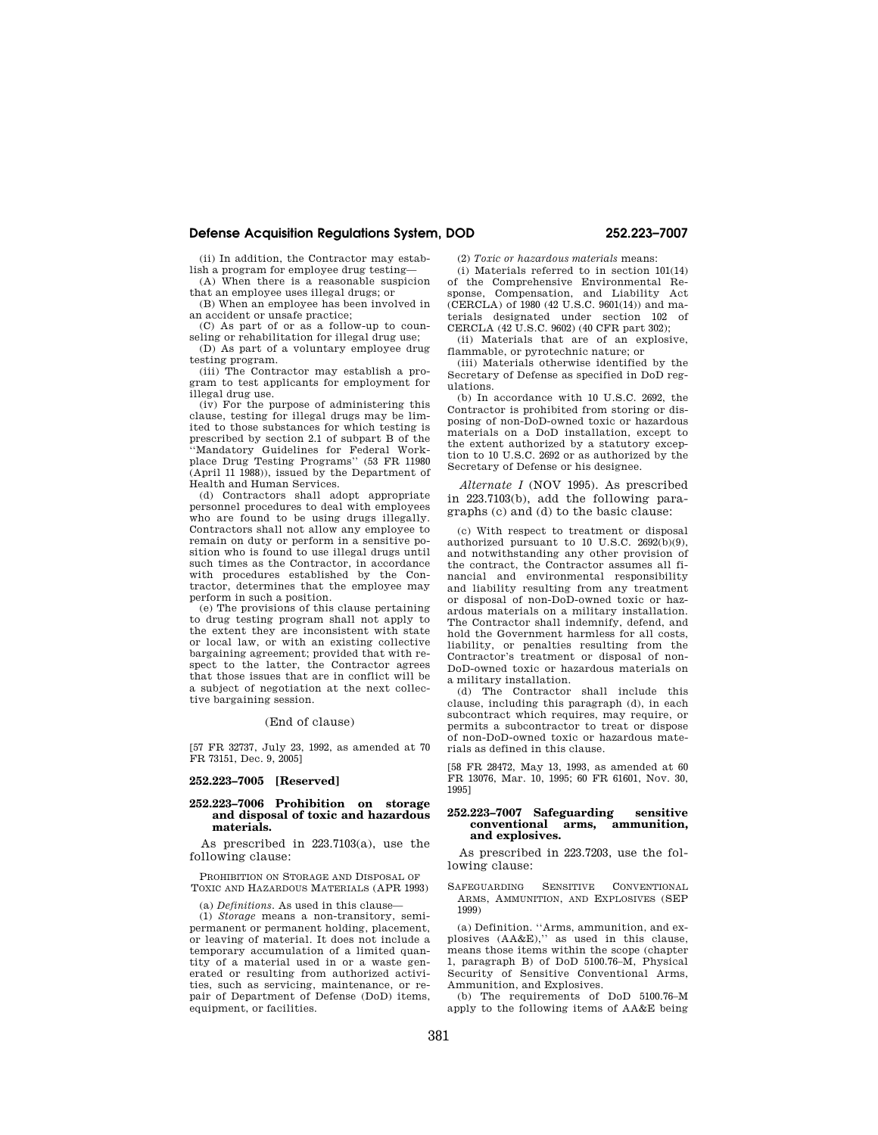(ii) In addition, the Contractor may establish a program for employee drug testing—

(A) When there is a reasonable suspicion that an employee uses illegal drugs; or (B) When an employee has been involved in

an accident or unsafe practice; (C) As part of or as a follow-up to coun-

seling or rehabilitation for illegal drug use; (D) As part of a voluntary employee drug

testing program. (iii) The Contractor may establish a pro-

gram to test applicants for employment for illegal drug use.

(iv) For the purpose of administering this clause, testing for illegal drugs may be limited to those substances for which testing is prescribed by section 2.1 of subpart B of the 'Mandatory Guidelines for Federal Workplace Drug Testing Programs'' (53 FR 11980 (April 11 1988)), issued by the Department of Health and Human Services.

(d) Contractors shall adopt appropriate personnel procedures to deal with employees who are found to be using drugs illegally. Contractors shall not allow any employee to remain on duty or perform in a sensitive position who is found to use illegal drugs until such times as the Contractor, in accordance with procedures established by the Contractor, determines that the employee may perform in such a position.

(e) The provisions of this clause pertaining to drug testing program shall not apply to the extent they are inconsistent with state or local law, or with an existing collective bargaining agreement; provided that with respect to the latter, the Contractor agrees that those issues that are in conflict will be a subject of negotiation at the next collective bargaining session.

(End of clause)

[57 FR 32737, July 23, 1992, as amended at 70 FR 73151, Dec. 9, 2005]

## **252.223–7005 [Reserved]**

## **252.223–7006 Prohibition on storage and disposal of toxic and hazardous materials.**

As prescribed in 223.7103(a), use the following clause:

PROHIBITION ON STORAGE AND DISPOSAL OF TOXIC AND HAZARDOUS MATERIALS (APR 1993)

(a) *Definitions.* As used in this clause—

(1) *Storage* means a non-transitory, semipermanent or permanent holding, placement, or leaving of material. It does not include a temporary accumulation of a limited quantity of a material used in or a waste generated or resulting from authorized activities, such as servicing, maintenance, or repair of Department of Defense (DoD) items, equipment, or facilities.

(2) *Toxic or hazardous materials* means:

(i) Materials referred to in section 101(14) of the Comprehensive Environmental Response, Compensation, and Liability Act (CERCLA) of 1980 (42 U.S.C. 9601(14)) and materials designated under section 102 of CERCLA (42 U.S.C. 9602) (40 CFR part 302);

(ii) Materials that are of an explosive, flammable, or pyrotechnic nature; or

(iii) Materials otherwise identified by the Secretary of Defense as specified in DoD regulations.

(b) In accordance with 10 U.S.C. 2692, the Contractor is prohibited from storing or disposing of non-DoD-owned toxic or hazardous materials on a DoD installation, except to the extent authorized by a statutory exception to 10 U.S.C. 2692 or as authorized by the Secretary of Defense or his designee.

*Alternate I* (NOV 1995). As prescribed in 223.7103(b), add the following paragraphs (c) and (d) to the basic clause:

(c) With respect to treatment or disposal authorized pursuant to 10 U.S.C. 2692(b)(9), and notwithstanding any other provision of the contract, the Contractor assumes all financial and environmental responsibility and liability resulting from any treatment or disposal of non-DoD-owned toxic or hazardous materials on a military installation. The Contractor shall indemnify, defend, and hold the Government harmless for all costs, liability, or penalties resulting from the Contractor's treatment or disposal of non-DoD-owned toxic or hazardous materials on a military installation.

(d) The Contractor shall include this clause, including this paragraph (d), in each subcontract which requires, may require, or permits a subcontractor to treat or dispose of non-DoD-owned toxic or hazardous materials as defined in this clause.

[58 FR 28472, May 13, 1993, as amended at 60 FR 13076, Mar. 10, 1995; 60 FR 61601, Nov. 30, 1995]

## **252.223–7007 Safeguarding sensitive conventional** arms, **and explosives.**

As prescribed in 223.7203, use the following clause:

SAFEGUARDING SENSITIVE CONVENTIONAL ARMS, AMMUNITION, AND EXPLOSIVES (SEP 1999)

(a) Definition. ''Arms, ammunition, and explosives (AA&E),'' as used in this clause, means those items within the scope (chapter 1, paragraph B) of DoD 5100.76–M, Physical Security of Sensitive Conventional Arms, Ammunition, and Explosives.

(b) The requirements of DoD 5100.76–M apply to the following items of AA&E being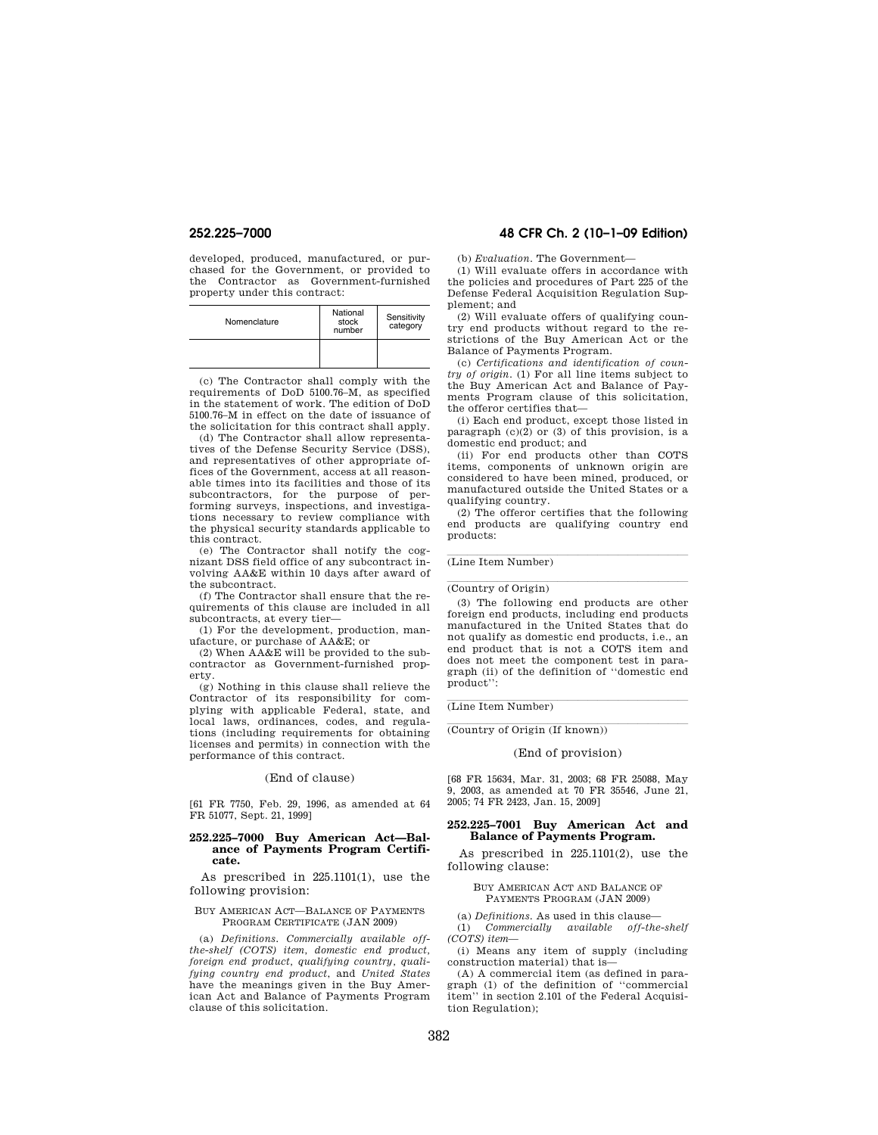developed, produced, manufactured, or purchased for the Government, or provided to the Contractor as Government-furnished property under this contract:

| Nomenclature | National<br>stock<br>number | Sensitivity<br>category |
|--------------|-----------------------------|-------------------------|
|              |                             |                         |

(c) The Contractor shall comply with the requirements of DoD 5100.76–M, as specified in the statement of work. The edition of DoD 5100.76–M in effect on the date of issuance of the solicitation for this contract shall apply.

(d) The Contractor shall allow representatives of the Defense Security Service (DSS), and representatives of other appropriate offices of the Government, access at all reasonable times into its facilities and those of its subcontractors, for the purpose of performing surveys, inspections, and investigations necessary to review compliance with the physical security standards applicable to this contract.

(e) The Contractor shall notify the cognizant DSS field office of any subcontract involving AA&E within 10 days after award of the subcontract.

(f) The Contractor shall ensure that the requirements of this clause are included in all subcontracts, at every tier—

(1) For the development, production, manufacture, or purchase of AA&E; or

(2) When AA&E will be provided to the subcontractor as Government-furnished property.

(g) Nothing in this clause shall relieve the Contractor of its responsibility for complying with applicable Federal, state, and local laws, ordinances, codes, and regulations (including requirements for obtaining licenses and permits) in connection with the performance of this contract.

## (End of clause)

[61 FR 7750, Feb. 29, 1996, as amended at 64 FR 51077, Sept. 21, 1999]

## **252.225–7000 Buy American Act—Balance of Payments Program Certificate.**

As prescribed in 225.1101(1), use the following provision:

## BUY AMERICAN ACT—BALANCE OF PAYMENTS PROGRAM CERTIFICATE (JAN 2009)

(a) *Definitions. Commercially available offthe-shelf (COTS) item, domestic end product, foreign end product, qualifying country, qualifying country end product*, and *United States*  have the meanings given in the Buy American Act and Balance of Payments Program clause of this solicitation.

# **252.225–7000 48 CFR Ch. 2 (10–1–09 Edition)**

(b) *Evaluation.* The Government—

(1) Will evaluate offers in accordance with the policies and procedures of Part 225 of the Defense Federal Acquisition Regulation Supplement; and

(2) Will evaluate offers of qualifying country end products without regard to the restrictions of the Buy American Act or the Balance of Payments Program.

(c) *Certifications and identification of country of origin.* (1) For all line items subject to the Buy American Act and Balance of Payments Program clause of this solicitation, the offeror certifies that—

(i) Each end product, except those listed in paragraph  $(c)(2)$  or  $(3)$  of this provision, is a domestic end product; and

(ii) For end products other than COTS items, components of unknown origin are considered to have been mined, produced, or manufactured outside the United States or a qualifying country.

(2) The offeror certifies that the following end products are qualifying country end products:

(Line Item Number)

(Country of Origin)

(3) The following end products are other foreign end products, including end products manufactured in the United States that do not qualify as domestic end products, i.e., an end product that is not a COTS item and does not meet the component test in paragraph (ii) of the definition of ''domestic end product'':

(Line Item Number)

# (Country of Origin (If known))

#### (End of provision)

[68 FR 15634, Mar. 31, 2003; 68 FR 25088, May 9, 2003, as amended at 70 FR 35546, June 21, 2005; 74 FR 2423, Jan. 15, 2009]

## **252.225–7001 Buy American Act and Balance of Payments Program.**

As prescribed in 225.1101(2), use the following clause:

BUY AMERICAN ACT AND BALANCE OF PAYMENTS PROGRAM (JAN 2009)

(a) *Definitions.* As used in this clause—

(1) *Commercially available off-the-shelf (COTS) item*—

(i) Means any item of supply (including construction material) that is—

(A) A commercial item (as defined in paragraph (1) of the definition of ''commercial item'' in section 2.101 of the Federal Acquisition Regulation);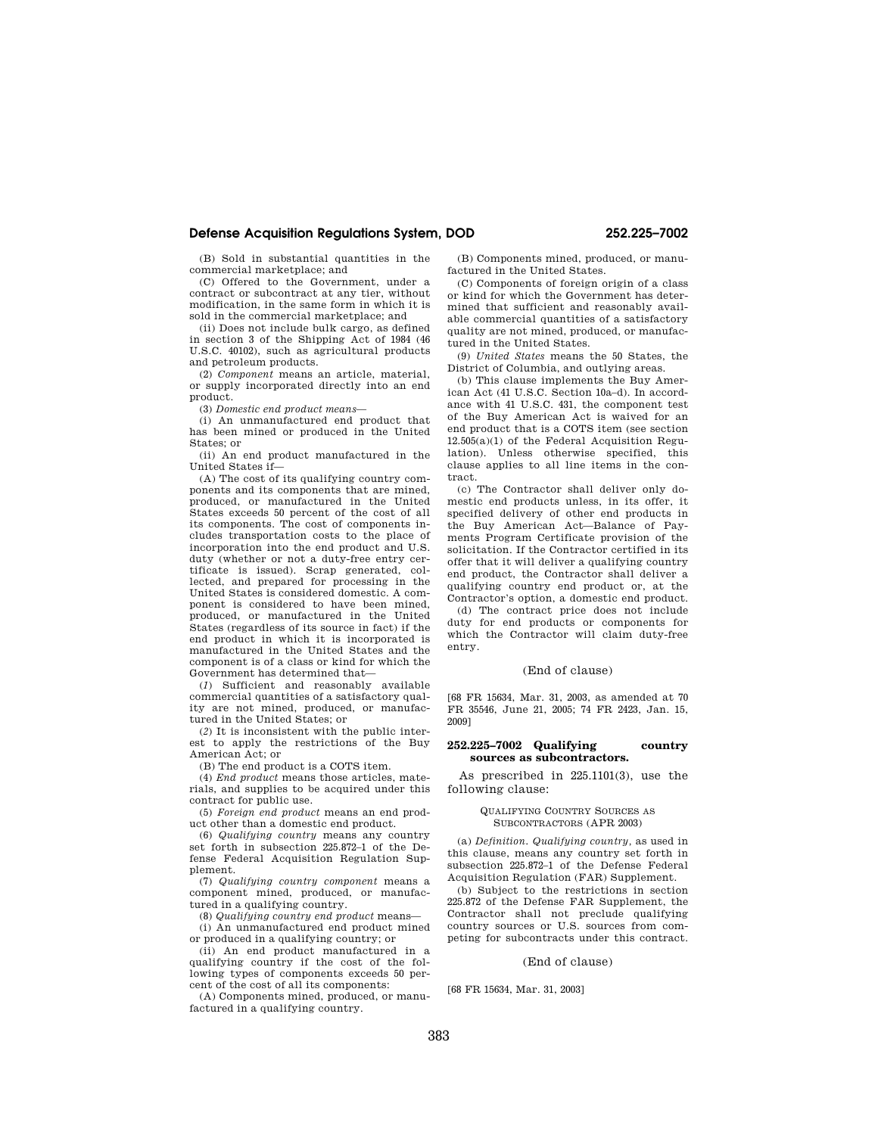(B) Sold in substantial quantities in the commercial marketplace; and

(C) Offered to the Government, under a contract or subcontract at any tier, without modification, in the same form in which it is sold in the commercial marketplace; and

(ii) Does not include bulk cargo, as defined in section 3 of the Shipping Act of 1984 (46 U.S.C. 40102), such as agricultural products and petroleum products.

(2) *Component* means an article, material, or supply incorporated directly into an end product.

(3) *Domestic end product means*—

(i) An unmanufactured end product that has been mined or produced in the United States; or

(ii) An end product manufactured in the United States if—

(A) The cost of its qualifying country components and its components that are mined, produced, or manufactured in the United States exceeds 50 percent of the cost of all its components. The cost of components includes transportation costs to the place of incorporation into the end product and U.S. duty (whether or not a duty-free entry certificate is issued). Scrap generated, collected, and prepared for processing in the United States is considered domestic. A component is considered to have been mined, produced, or manufactured in the United States (regardless of its source in fact) if the end product in which it is incorporated is manufactured in the United States and the component is of a class or kind for which the Government has determined that—

(*1*) Sufficient and reasonably available commercial quantities of a satisfactory quality are not mined, produced, or manufactured in the United States; or

(*2*) It is inconsistent with the public interest to apply the restrictions of the Buy American Act; or

(B) The end product is a COTS item.

(4) *End product* means those articles, materials, and supplies to be acquired under this contract for public use.

(5) *Foreign end product* means an end product other than a domestic end product.

(6) *Qualifying country* means any country set forth in subsection 225.872–1 of the Defense Federal Acquisition Regulation Supplement.

(7) *Qualifying country component* means a component mined, produced, or manufactured in a qualifying country.

(8) *Qualifying country end product* means—

(i) An unmanufactured end product mined or produced in a qualifying country; or

(ii) An end product manufactured in a qualifying country if the cost of the following types of components exceeds 50 percent of the cost of all its components:

(A) Components mined, produced, or manufactured in a qualifying country.

(B) Components mined, produced, or manufactured in the United States.

(C) Components of foreign origin of a class or kind for which the Government has determined that sufficient and reasonably available commercial quantities of a satisfactory quality are not mined, produced, or manufactured in the United States.

(9) *United States* means the 50 States, the District of Columbia, and outlying areas.

(b) This clause implements the Buy American Act (41 U.S.C. Section 10a–d). In accordance with 41 U.S.C. 431, the component test of the Buy American Act is waived for an end product that is a COTS item (see section 12.505(a)(1) of the Federal Acquisition Regulation). Unless otherwise specified, this clause applies to all line items in the contract.

(c) The Contractor shall deliver only domestic end products unless, in its offer, it specified delivery of other end products in the Buy American Act—Balance of Payments Program Certificate provision of the solicitation. If the Contractor certified in its offer that it will deliver a qualifying country end product, the Contractor shall deliver a qualifying country end product or, at the Contractor's option, a domestic end product.

(d) The contract price does not include duty for end products or components for which the Contractor will claim duty-free entry.

## (End of clause)

[68 FR 15634, Mar. 31, 2003, as amended at 70 FR 35546, June 21, 2005; 74 FR 2423, Jan. 15, 2009]

## **252.225–7002 Qualifying country sources as subcontractors.**

As prescribed in 225.1101(3), use the following clause:

## QUALIFYING COUNTRY SOURCES AS SUBCONTRACTORS (APR 2003)

(a) *Definition. Qualifying country,* as used in this clause, means any country set forth in subsection 225.872–1 of the Defense Federal Acquisition Regulation (FAR) Supplement.

(b) Subject to the restrictions in section 225.872 of the Defense FAR Supplement, the Contractor shall not preclude qualifying country sources or U.S. sources from competing for subcontracts under this contract.

# (End of clause)

## [68 FR 15634, Mar. 31, 2003]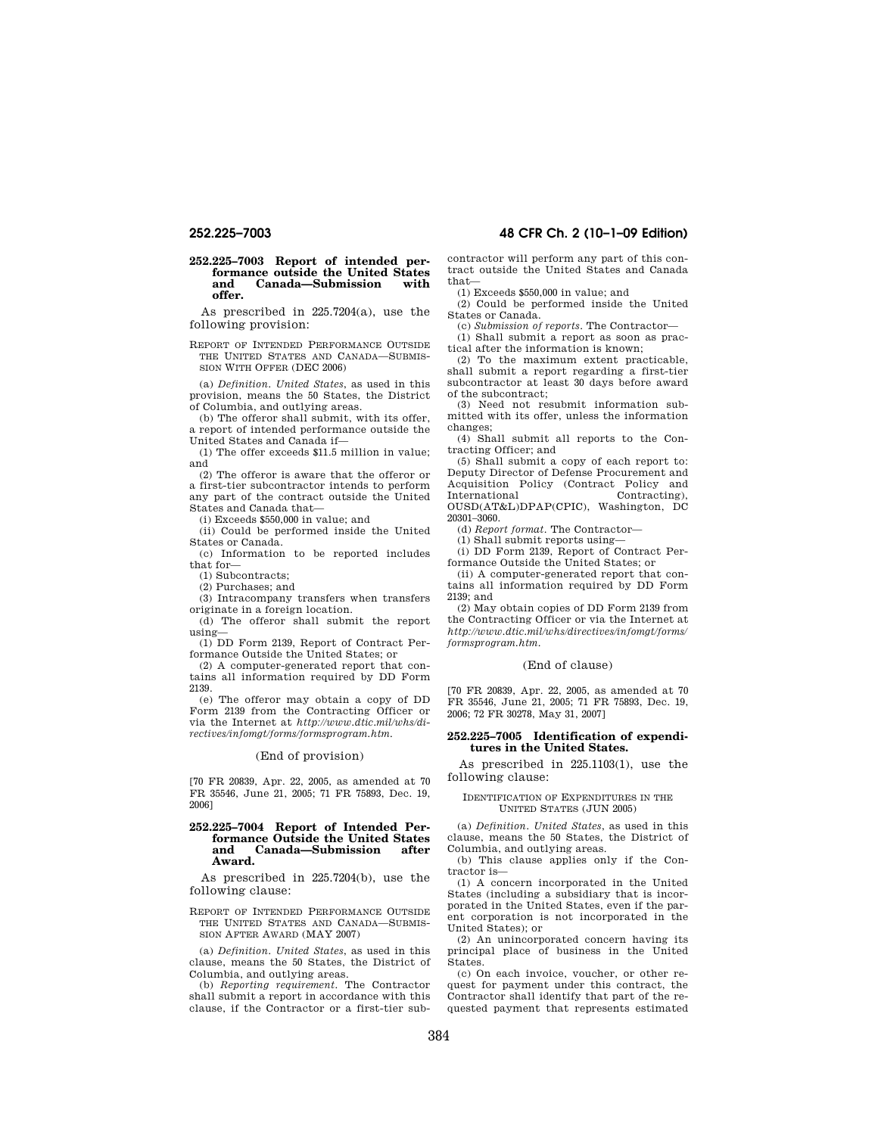## **252.225–7003 Report of intended performance outside the United States**  and **Canada—Submission offer.**

As prescribed in 225.7204(a), use the following provision:

REPORT OF INTENDED PERFORMANCE OUTSIDE THE UNITED STATES AND CANADA—SUBMIS-SION WITH OFFER (DEC 2006)

(a) *Definition. United States*, as used in this provision, means the 50 States, the District of Columbia, and outlying areas.

(b) The offeror shall submit, with its offer, a report of intended performance outside the United States and Canada if—

(1) The offer exceeds \$11.5 million in value; and

(2) The offeror is aware that the offeror or a first-tier subcontractor intends to perform any part of the contract outside the United States and Canada that—

(i) Exceeds \$550,000 in value; and

(ii) Could be performed inside the United States or Canada.

(c) Information to be reported includes that for—

(1) Subcontracts;

(2) Purchases; and

(3) Intracompany transfers when transfers originate in a foreign location.

(d) The offeror shall submit the report using—

(1) DD Form 2139, Report of Contract Performance Outside the United States; or

(2) A computer-generated report that contains all information required by DD Form 2139.

(e) The offeror may obtain a copy of DD Form 2139 from the Contracting Officer or via the Internet at *http://www.dtic.mil/whs/directives/infomgt/forms/formsprogram.htm*.

## (End of provision)

[70 FR 20839, Apr. 22, 2005, as amended at 70 FR 35546, June 21, 2005; 71 FR 75893, Dec. 19, 2006]

## **252.225–7004 Report of Intended Performance Outside the United States Canada—Submission Award.**

As prescribed in 225.7204(b), use the following clause:

REPORT OF INTENDED PERFORMANCE OUTSIDE THE UNITED STATES AND CANADA—SUBMIS-SION AFTER AWARD (MAY 2007)

(a) *Definition. United States*, as used in this clause, means the 50 States, the District of Columbia, and outlying areas.

(b) *Reporting requirement*. The Contractor shall submit a report in accordance with this clause, if the Contractor or a first-tier sub-

# **252.225–7003 48 CFR Ch. 2 (10–1–09 Edition)**

contractor will perform any part of this contract outside the United States and Canada that—

(1) Exceeds \$550,000 in value; and

(2) Could be performed inside the United States or Canada.

(c) *Submission of reports*. The Contractor— (1) Shall submit a report as soon as practical after the information is known;

(2) To the maximum extent practicable,

shall submit a report regarding a first-tier subcontractor at least 30 days before award of the subcontract;

(3) Need not resubmit information submitted with its offer, unless the information changes;

(4) Shall submit all reports to the Contracting Officer; and

(5) Shall submit a copy of each report to: Deputy Director of Defense Procurement and Acquisition Policy (Contract Policy and International Contracting),  $International$ OUSD(AT&L)DPAP(CPIC), Washington, DC 20301–3060.

(d) *Report format*. The Contractor—

(1) Shall submit reports using—

(i) DD Form 2139, Report of Contract Performance Outside the United States; or

(ii) A computer-generated report that contains all information required by DD Form 2139; and

(2) May obtain copies of DD Form 2139 from the Contracting Officer or via the Internet at *http://www.dtic.mil/whs/directives/infomgt/forms/ formsprogram.htm*.

### (End of clause)

[70 FR 20839, Apr. 22, 2005, as amended at 70 FR 35546, June 21, 2005; 71 FR 75893, Dec. 19, 2006; 72 FR 30278, May 31, 2007]

### **252.225–7005 Identification of expenditures in the United States.**

As prescribed in 225.1103(1), use the following clause:

### IDENTIFICATION OF EXPENDITURES IN THE UNITED STATES (JUN 2005)

(a) *Definition. United States*, as used in this clause, means the 50 States, the District of Columbia, and outlying areas.

(b) This clause applies only if the Contractor is—

(1) A concern incorporated in the United States (including a subsidiary that is incorporated in the United States, even if the parent corporation is not incorporated in the United States); or

(2) An unincorporated concern having its principal place of business in the United States.

(c) On each invoice, voucher, or other request for payment under this contract, the Contractor shall identify that part of the requested payment that represents estimated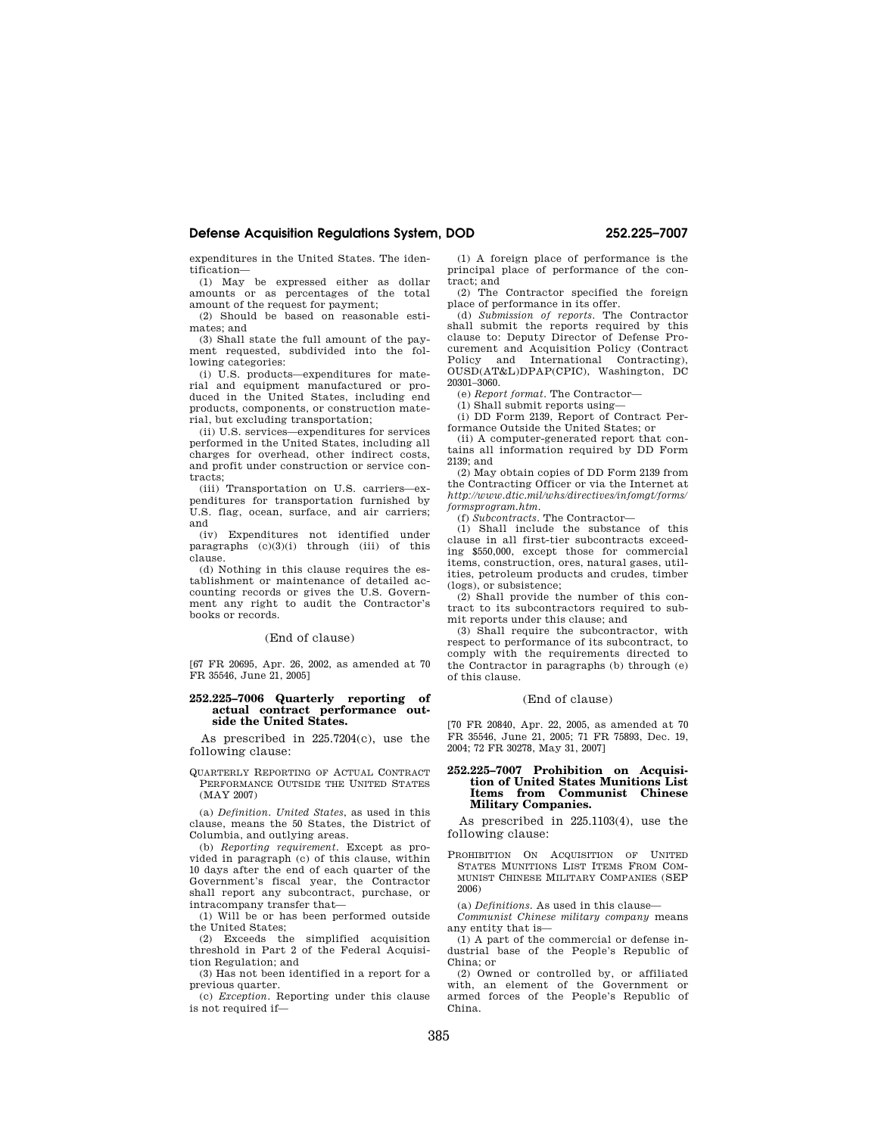expenditures in the United States. The identification—

(1) May be expressed either as dollar amounts or as percentages of the total amount of the request for payment;

(2) Should be based on reasonable estimates; and

(3) Shall state the full amount of the payment requested, subdivided into the following categories:

(i) U.S. products—expenditures for material and equipment manufactured or produced in the United States, including end products, components, or construction material, but excluding transportation;

(ii) U.S. services—expenditures for services performed in the United States, including all charges for overhead, other indirect costs, and profit under construction or service contracts;

(iii) Transportation on U.S. carriers—expenditures for transportation furnished by U.S. flag, ocean, surface, and air carriers; and

(iv) Expenditures not identified under paragraphs (c)(3)(i) through (iii) of this clause.

(d) Nothing in this clause requires the establishment or maintenance of detailed accounting records or gives the U.S. Government any right to audit the Contractor's books or records.

## (End of clause)

[67 FR 20695, Apr. 26, 2002, as amended at 70 FR 35546, June 21, 2005]

## **252.225–7006 Quarterly reporting of actual contract performance outside the United States.**

As prescribed in 225.7204(c), use the following clause:

QUARTERLY REPORTING OF ACTUAL CONTRACT PERFORMANCE OUTSIDE THE UNITED STATES (MAY 2007)

(a) *Definition. United States*, as used in this clause, means the 50 States, the District of Columbia, and outlying areas.

(b) *Reporting requirement*. Except as provided in paragraph (c) of this clause, within 10 days after the end of each quarter of the Government's fiscal year, the Contractor shall report any subcontract, purchase, or intracompany transfer that—

(1) Will be or has been performed outside the United States;

(2) Exceeds the simplified acquisition threshold in Part 2 of the Federal Acquisition Regulation; and

(3) Has not been identified in a report for a previous quarter.

(c) *Exception*. Reporting under this clause is not required if—

(1) A foreign place of performance is the principal place of performance of the contract; and

(2) The Contractor specified the foreign place of performance in its offer.

(d) *Submission of reports*. The Contractor shall submit the reports required by this clause to: Deputy Director of Defense Procurement and Acquisition Policy (Contract Policy and International Contracting), OUSD(AT&L)DPAP(CPIC), Washington, DC 20301–3060.

(e) *Report format*. The Contractor—

(1) Shall submit reports using— (i) DD Form 2139, Report of Contract Per-

formance Outside the United States; or

(ii) A computer-generated report that contains all information required by DD Form 2139; and

(2) May obtain copies of DD Form 2139 from the Contracting Officer or via the Internet at *http://www.dtic.mil/whs/directives/infomgt/forms/ formsprogram.htm*.

(f) *Subcontracts*. The Contractor—

(1) Shall include the substance of this clause in all first-tier subcontracts exceeding \$550,000, except those for commercial items, construction, ores, natural gases, utilities, petroleum products and crudes, timber (logs), or subsistence;

(2) Shall provide the number of this contract to its subcontractors required to submit reports under this clause; and

(3) Shall require the subcontractor, with respect to performance of its subcontract, to comply with the requirements directed to the Contractor in paragraphs (b) through (e) of this clause.

## (End of clause)

[70 FR 20840, Apr. 22, 2005, as amended at 70 FR 35546, June 21, 2005; 71 FR 75893, Dec. 19, 2004; 72 FR 30278, May 31, 2007]

## **252.225–7007 Prohibition on Acquisition of United States Munitions List Items from Communist Chinese Military Companies.**

As prescribed in 225.1103(4), use the following clause:

PROHIBITION ON ACQUISITION OF UNITED STATES MUNITIONS LIST ITEMS FROM COM-MUNIST CHINESE MILITARY COMPANIES (SEP 2006)

(a) *Definitions.* As used in this clause—

*Communist Chinese military company* means any entity that is—

(1) A part of the commercial or defense industrial base of the People's Republic of China; or

(2) Owned or controlled by, or affiliated with, an element of the Government or armed forces of the People's Republic of China.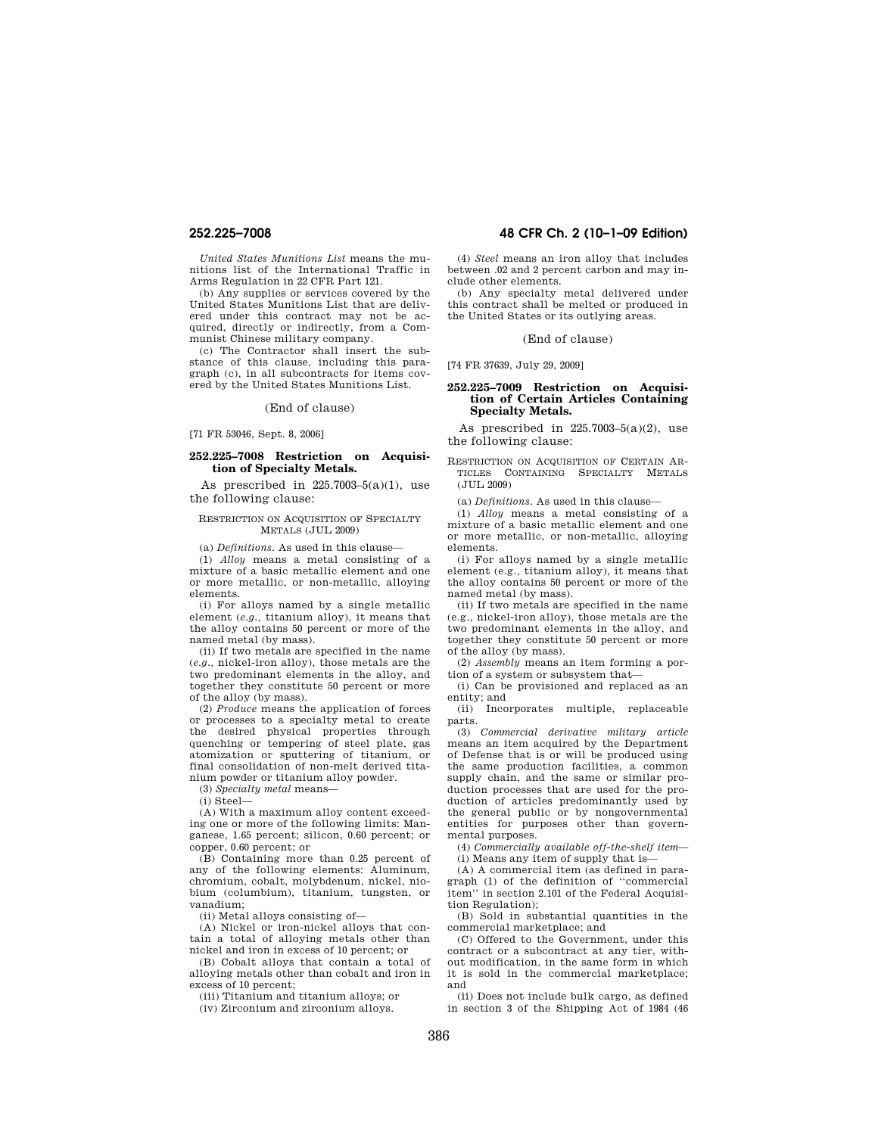*United States Munitions List* means the munitions list of the International Traffic in Arms Regulation in 22 CFR Part 121.

(b) Any supplies or services covered by the United States Munitions List that are delivered under this contract may not be acquired, directly or indirectly, from a Communist Chinese military company.

(c) The Contractor shall insert the substance of this clause, including this paragraph (c), in all subcontracts for items covered by the United States Munitions List.

(End of clause)

[71 FR 53046, Sept. 8, 2006]

## **252.225–7008 Restriction on Acquisition of Specialty Metals.**

As prescribed in  $225.7003 - 5(a)(1)$ , use the following clause:

## RESTRICTION ON ACQUISITION OF SPECIALTY METALS (JUL 2009)

(a) *Definitions.* As used in this clause—

(1) *Alloy* means a metal consisting of a mixture of a basic metallic element and one or more metallic, or non-metallic, alloying elements.

(i) For alloys named by a single metallic element (*e.g.,* titanium alloy), it means that the alloy contains 50 percent or more of the named metal (by mass).

(ii) If two metals are specified in the name (*e.g.,* nickel-iron alloy), those metals are the two predominant elements in the alloy, and together they constitute 50 percent or more of the alloy (by mass).

(2) *Produce* means the application of forces or processes to a specialty metal to create the desired physical properties through quenching or tempering of steel plate, gas atomization or sputtering of titanium, or final consolidation of non-melt derived titanium powder or titanium alloy powder.

(3) *Specialty metal* means—

(i) Steel—

(A) With a maximum alloy content exceeding one or more of the following limits: Manganese, 1.65 percent; silicon, 0.60 percent; or copper, 0.60 percent; or

(B) Containing more than 0.25 percent of any of the following elements: Aluminum, chromium, cobalt, molybdenum, nickel, niobium (columbium), titanium, tungsten, or vanadium;

(ii) Metal alloys consisting of—

(A) Nickel or iron-nickel alloys that contain a total of alloying metals other than nickel and iron in excess of 10 percent; or

(B) Cobalt alloys that contain a total of alloying metals other than cobalt and iron in excess of 10 percent;

(iii) Titanium and titanium alloys; or

(iv) Zirconium and zirconium alloys.

# **252.225–7008 48 CFR Ch. 2 (10–1–09 Edition)**

(4) *Steel* means an iron alloy that includes between .02 and 2 percent carbon and may include other elements.

(b) Any specialty metal delivered under this contract shall be melted or produced in the United States or its outlying areas.

(End of clause)

[74 FR 37639, July 29, 2009]

## **252.225–7009 Restriction on Acquisition of Certain Articles Containing Specialty Metals.**

As prescribed in  $225.7003-5(a)(2)$ , use the following clause:

RESTRICTION ON ACQUISITION OF CERTAIN AR-TICLES CONTAINING SPECIALTY METALS (JUL 2009)

(a) *Definitions.* As used in this clause—

(1) *Alloy* means a metal consisting of a mixture of a basic metallic element and one or more metallic, or non-metallic, alloying elements.

(i) For alloys named by a single metallic element (e.g., titanium alloy), it means that the alloy contains 50 percent or more of the named metal (by mass).

(ii) If two metals are specified in the name (e.g., nickel-iron alloy), those metals are the two predominant elements in the alloy, and together they constitute 50 percent or more of the alloy (by mass).

(2) *Assembly* means an item forming a portion of a system or subsystem that—

(i) Can be provisioned and replaced as an entity; and

(ii) Incorporates multiple, replaceable parts.

(3) *Commercial derivative military article*  means an item acquired by the Department of Defense that is or will be produced using the same production facilities, a common supply chain, and the same or similar production processes that are used for the production of articles predominantly used by the general public or by nongovernmental entities for purposes other than governmental purposes.

(4) *Commercially available off-the-shelf item*—

(i) Means any item of supply that is—

(A) A commercial item (as defined in paragraph (1) of the definition of ''commercial item'' in section 2.101 of the Federal Acquisition Regulation);

(B) Sold in substantial quantities in the commercial marketplace; and

(C) Offered to the Government, under this contract or a subcontract at any tier, without modification, in the same form in which it is sold in the commercial marketplace; and

(ii) Does not include bulk cargo, as defined in section 3 of the Shipping Act of 1984 (46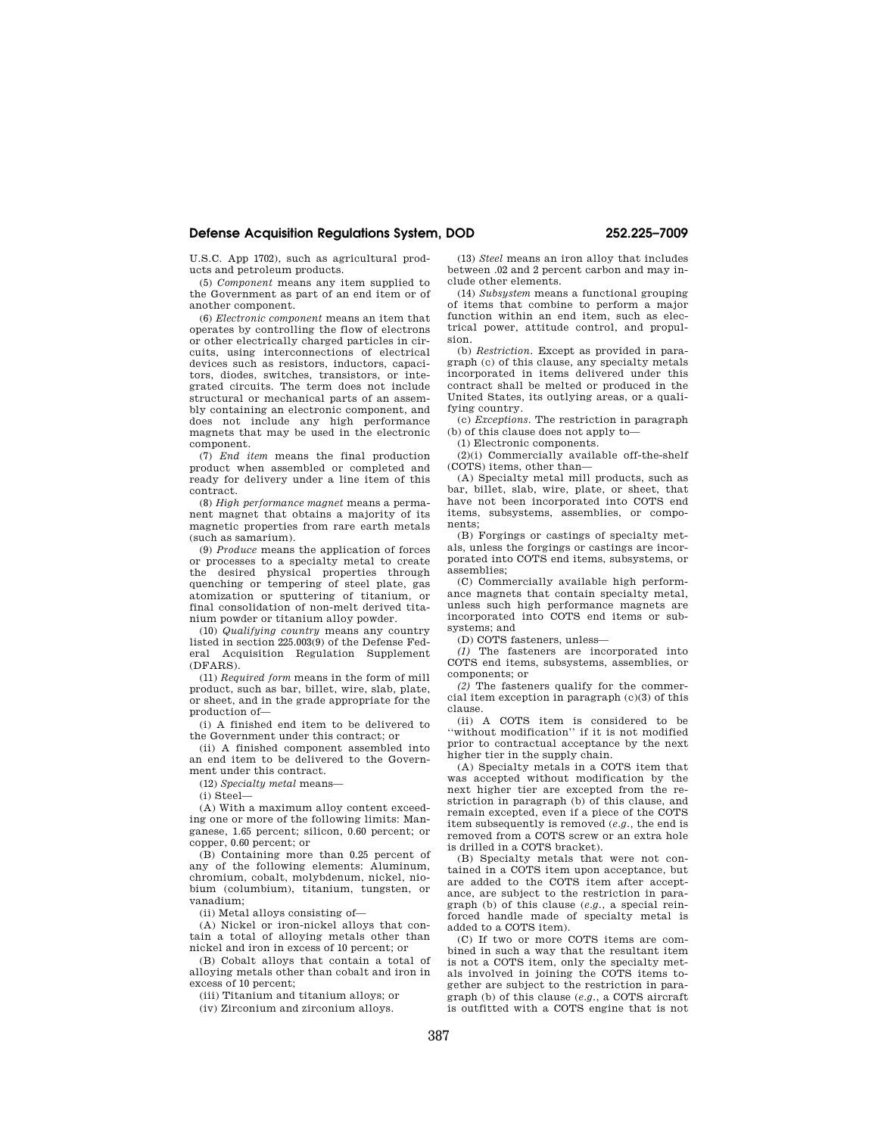U.S.C. App 1702), such as agricultural products and petroleum products.

(5) *Component* means any item supplied to the Government as part of an end item or of another component.

(6) *Electronic component* means an item that operates by controlling the flow of electrons or other electrically charged particles in circuits, using interconnections of electrical devices such as resistors, inductors, capacitors, diodes, switches, transistors, or integrated circuits. The term does not include structural or mechanical parts of an assembly containing an electronic component, and does not include any high performance magnets that may be used in the electronic component.

(7) *End item* means the final production product when assembled or completed and ready for delivery under a line item of this contract.

(8) *High performance magnet* means a permanent magnet that obtains a majority of its magnetic properties from rare earth metals (such as samarium).

(9) *Produce* means the application of forces or processes to a specialty metal to create the desired physical properties through quenching or tempering of steel plate, gas atomization or sputtering of titanium, or final consolidation of non-melt derived titanium powder or titanium alloy powder.

(10) *Qualifying country* means any country listed in section 225.003(9) of the Defense Federal Acquisition Regulation Supplement (DFARS).

(11) *Required form* means in the form of mill product, such as bar, billet, wire, slab, plate, or sheet, and in the grade appropriate for the production of—

(i) A finished end item to be delivered to the Government under this contract; or

(ii) A finished component assembled into an end item to be delivered to the Government under this contract.

(12) *Specialty metal* means—

(i) Steel—

(A) With a maximum alloy content exceeding one or more of the following limits: Manganese, 1.65 percent; silicon, 0.60 percent; or copper, 0.60 percent; or

(B) Containing more than 0.25 percent of any of the following elements: Aluminum, chromium, cobalt, molybdenum, nickel, niobium (columbium), titanium, tungsten, or vanadium;

(ii) Metal alloys consisting of—

(A) Nickel or iron-nickel alloys that contain a total of alloying metals other than nickel and iron in excess of 10 percent; or

(B) Cobalt alloys that contain a total of alloying metals other than cobalt and iron in excess of 10 percent;

(iii) Titanium and titanium alloys; or

(iv) Zirconium and zirconium alloys.

(13) *Steel* means an iron alloy that includes between .02 and 2 percent carbon and may include other elements.

(14) *Subsystem* means a functional grouping of items that combine to perform a major function within an end item, such as electrical power, attitude control, and propulsion.

(b) *Restriction.* Except as provided in paragraph (c) of this clause, any specialty metals incorporated in items delivered under this contract shall be melted or produced in the United States, its outlying areas, or a qualifying country.

(c) *Exceptions.* The restriction in paragraph (b) of this clause does not apply to—

(1) Electronic components.

(2)(i) Commercially available off-the-shelf (COTS) items, other than—

(A) Specialty metal mill products, such as bar, billet, slab, wire, plate, or sheet, that have not been incorporated into COTS end items, subsystems, assemblies, or components;

(B) Forgings or castings of specialty metals, unless the forgings or castings are incorporated into COTS end items, subsystems, or assemblies;

(C) Commercially available high performance magnets that contain specialty metal, unless such high performance magnets are incorporated into COTS end items or subsystems; and

(D) COTS fasteners, unless—

*(1)* The fasteners are incorporated into COTS end items, subsystems, assemblies, or components; or

*(2)* The fasteners qualify for the commercial item exception in paragraph (c)(3) of this clause.

(ii) A COTS item is considered to be ''without modification'' if it is not modified prior to contractual acceptance by the next higher tier in the supply chain.

(A) Specialty metals in a COTS item that was accepted without modification by the next higher tier are excepted from the restriction in paragraph (b) of this clause, and remain excepted, even if a piece of the COTS item subsequently is removed (*e.g.,* the end is removed from a COTS screw or an extra hole is drilled in a COTS bracket).

(B) Specialty metals that were not contained in a COTS item upon acceptance, but are added to the COTS item after acceptance, are subject to the restriction in paragraph (b) of this clause (*e.g.*, a special reinforced handle made of specialty metal is added to a COTS item).

(C) If two or more COTS items are combined in such a way that the resultant item is not a COTS item, only the specialty metals involved in joining the COTS items together are subject to the restriction in paragraph (b) of this clause (*e.g.*, a COTS aircraft is outfitted with a COTS engine that is not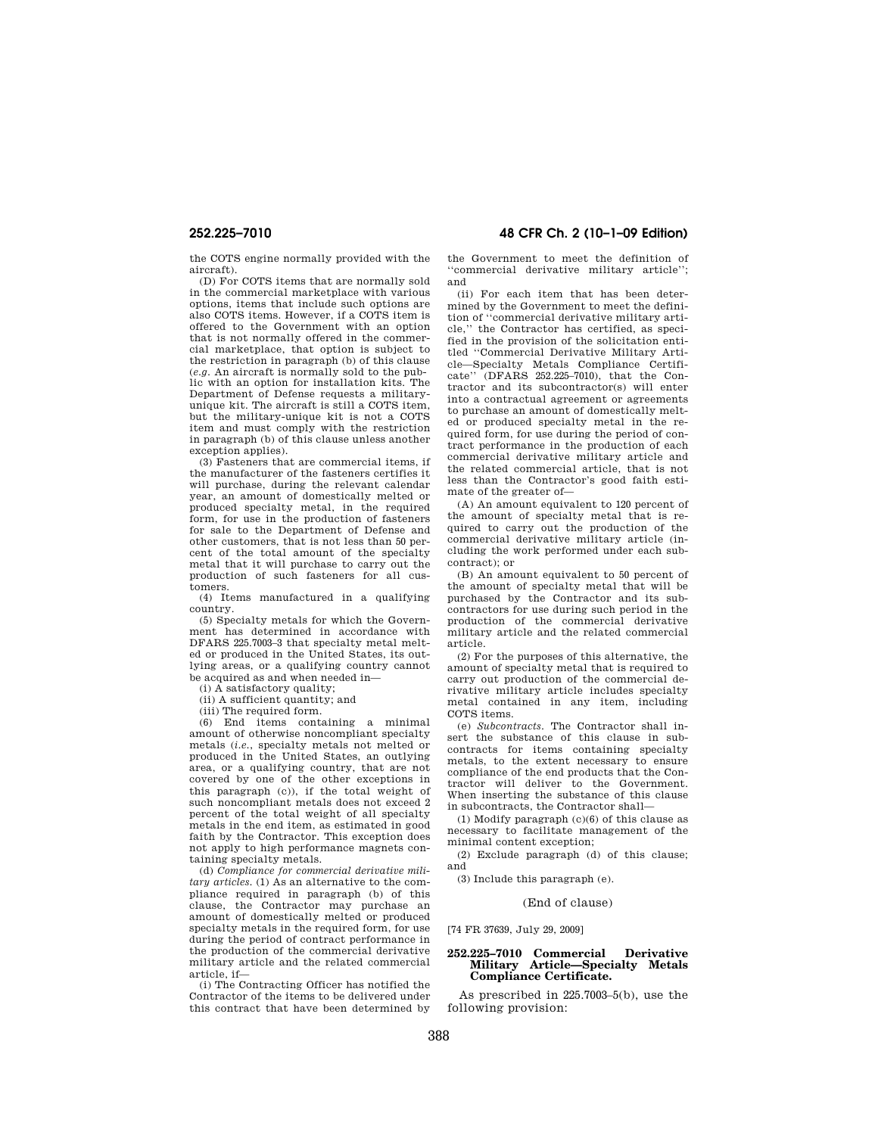the COTS engine normally provided with the aircraft).

(D) For COTS items that are normally sold in the commercial marketplace with various options, items that include such options are also COTS items. However, if a COTS item is offered to the Government with an option that is not normally offered in the commercial marketplace, that option is subject to the restriction in paragraph (b) of this clause (*e.g.* An aircraft is normally sold to the public with an option for installation kits. The Department of Defense requests a militaryunique kit. The aircraft is still a COTS item, but the military-unique kit is not a COTS item and must comply with the restriction in paragraph (b) of this clause unless another exception applies).

(3) Fasteners that are commercial items, if the manufacturer of the fasteners certifies it will purchase, during the relevant calendar year, an amount of domestically melted or produced specialty metal, in the required form, for use in the production of fasteners for sale to the Department of Defense and other customers, that is not less than 50 percent of the total amount of the specialty metal that it will purchase to carry out the production of such fasteners for all customers.

(4) Items manufactured in a qualifying country.

(5) Specialty metals for which the Government has determined in accordance with DFARS 225.7003–3 that specialty metal melted or produced in the United States, its outlying areas, or a qualifying country cannot be acquired as and when needed in—

(i) A satisfactory quality;

(ii) A sufficient quantity; and

(iii) The required form.

(6) End items containing a minimal amount of otherwise noncompliant specialty metals (*i.e.*, specialty metals not melted or produced in the United States, an outlying area, or a qualifying country, that are not covered by one of the other exceptions in this paragraph (c)), if the total weight of such noncompliant metals does not exceed 2 percent of the total weight of all specialty metals in the end item, as estimated in good faith by the Contractor. This exception does not apply to high performance magnets containing specialty metals.

(d) *Compliance for commercial derivative military articles.* (1) As an alternative to the compliance required in paragraph (b) of this clause, the Contractor may purchase an amount of domestically melted or produced specialty metals in the required form, for use during the period of contract performance in the production of the commercial derivative military article and the related commercial article, if—

(i) The Contracting Officer has notified the Contractor of the items to be delivered under this contract that have been determined by

**252.225–7010 48 CFR Ch. 2 (10–1–09 Edition)** 

the Government to meet the definition of ''commercial derivative military article''; and

(ii) For each item that has been determined by the Government to meet the definition of ''commercial derivative military article,'' the Contractor has certified, as specified in the provision of the solicitation entitled ''Commercial Derivative Military Article—Specialty Metals Compliance Certificate'' (DFARS 252.225–7010), that the Contractor and its subcontractor(s) will enter into a contractual agreement or agreements to purchase an amount of domestically melted or produced specialty metal in the required form, for use during the period of contract performance in the production of each commercial derivative military article and the related commercial article, that is not less than the Contractor's good faith estimate of the greater of—

(A) An amount equivalent to 120 percent of the amount of specialty metal that is required to carry out the production of the commercial derivative military article (including the work performed under each subcontract); or

(B) An amount equivalent to 50 percent of the amount of specialty metal that will be purchased by the Contractor and its subcontractors for use during such period in the production of the commercial derivative military article and the related commercial article.

(2) For the purposes of this alternative, the amount of specialty metal that is required to carry out production of the commercial derivative military article includes specialty metal contained in any item, including COTS items.

(e) *Subcontracts.* The Contractor shall insert the substance of this clause in subcontracts for items containing specialty metals, to the extent necessary to ensure compliance of the end products that the Contractor will deliver to the Government. When inserting the substance of this clause in subcontracts, the Contractor shall—

(1) Modify paragraph (c)(6) of this clause as necessary to facilitate management of the minimal content exception;

(2) Exclude paragraph (d) of this clause; and

(3) Include this paragraph (e).

## (End of clause)

[74 FR 37639, July 29, 2009]

## **252.225–7010 Commercial Derivative Military Article—Specialty Metals Compliance Certificate.**

As prescribed in 225.7003–5(b), use the following provision: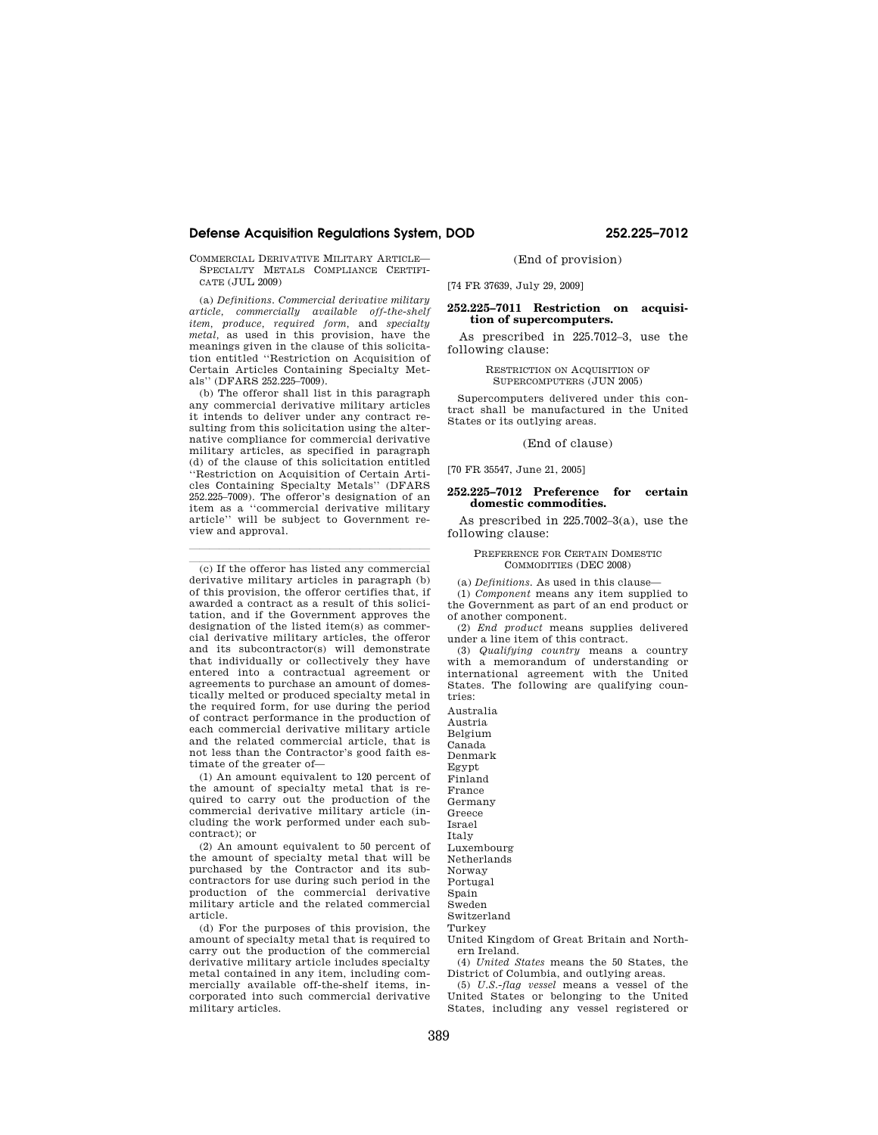COMMERCIAL DERIVATIVE MILITARY ARTICLE— SPECIALTY METALS COMPLIANCE CERTIFI-CATE (JUL 2009)

(a) *Definitions. Commercial derivative military article, commercially available off-the-shelf item, produce, required form,* and *specialty metal,* as used in this provision, have the meanings given in the clause of this solicitation entitled ''Restriction on Acquisition of Certain Articles Containing Specialty Metals'' (DFARS 252.225–7009).

(b) The offeror shall list in this paragraph any commercial derivative military articles it intends to deliver under any contract resulting from this solicitation using the alternative compliance for commercial derivative military articles, as specified in paragraph (d) of the clause of this solicitation entitled

''Restriction on Acquisition of Certain Articles Containing Specialty Metals'' (DFARS 252.225–7009). The offeror's designation of an item as a ''commercial derivative military article'' will be subject to Government review and approval.

llland av den stad av den stad av den stad av den stad av den stad av den stad av den stad av den stad av den

 $\overline{\phantom{a}}$  (c) If the offeror has listed any commercial derivative military articles in paragraph (b) of this provision, the offeror certifies that, if awarded a contract as a result of this solicitation, and if the Government approves the designation of the listed item(s) as commercial derivative military articles, the offeror and its subcontractor(s) will demonstrate that individually or collectively they have entered into a contractual agreement or agreements to purchase an amount of domestically melted or produced specialty metal in the required form, for use during the period of contract performance in the production of each commercial derivative military article and the related commercial article, that is not less than the Contractor's good faith estimate of the greater of—

(1) An amount equivalent to 120 percent of the amount of specialty metal that is required to carry out the production of the commercial derivative military article (including the work performed under each subcontract); or

(2) An amount equivalent to 50 percent of the amount of specialty metal that will be purchased by the Contractor and its subcontractors for use during such period in the production of the commercial derivative military article and the related commercial article.

(d) For the purposes of this provision, the amount of specialty metal that is required to carry out the production of the commercial derivative military article includes specialty metal contained in any item, including commercially available off-the-shelf items, incorporated into such commercial derivative military articles.

(End of provision)

[74 FR 37639, July 29, 2009]

# **252.225–7011 Restriction on acquisition of supercomputers.**

As prescribed in 225.7012–3, use the following clause:

> RESTRICTION ON ACQUISITION OF SUPERCOMPUTERS (JUN 2005)

Supercomputers delivered under this contract shall be manufactured in the United States or its outlying areas.

(End of clause)

[70 FR 35547, June 21, 2005]

## **252.225–7012 Preference for certain domestic commodities.**

As prescribed in 225.7002–3(a), use the following clause:

> PREFERENCE FOR CERTAIN DOMESTIC COMMODITIES (DEC 2008)

(a) *Definitions.* As used in this clause—

(1) *Component* means any item supplied to the Government as part of an end product or of another component.

(2) *End product* means supplies delivered under a line item of this contract.

(3) *Qualifying country* means a country with a memorandum of understanding or international agreement with the United States. The following are qualifying countries:

Australia Austria Belgium Canada Denmark Egypt Finland France Germany Greece Israel Italy Luxembourg Netherlands Norway Portugal Spain Sweden Switzerland Turkey

United Kingdom of Great Britain and Northern Ireland. (4) *United States* means the 50 States, the

District of Columbia, and outlying areas.

(5) *U.S.-flag vessel* means a vessel of the United States or belonging to the United States, including any vessel registered or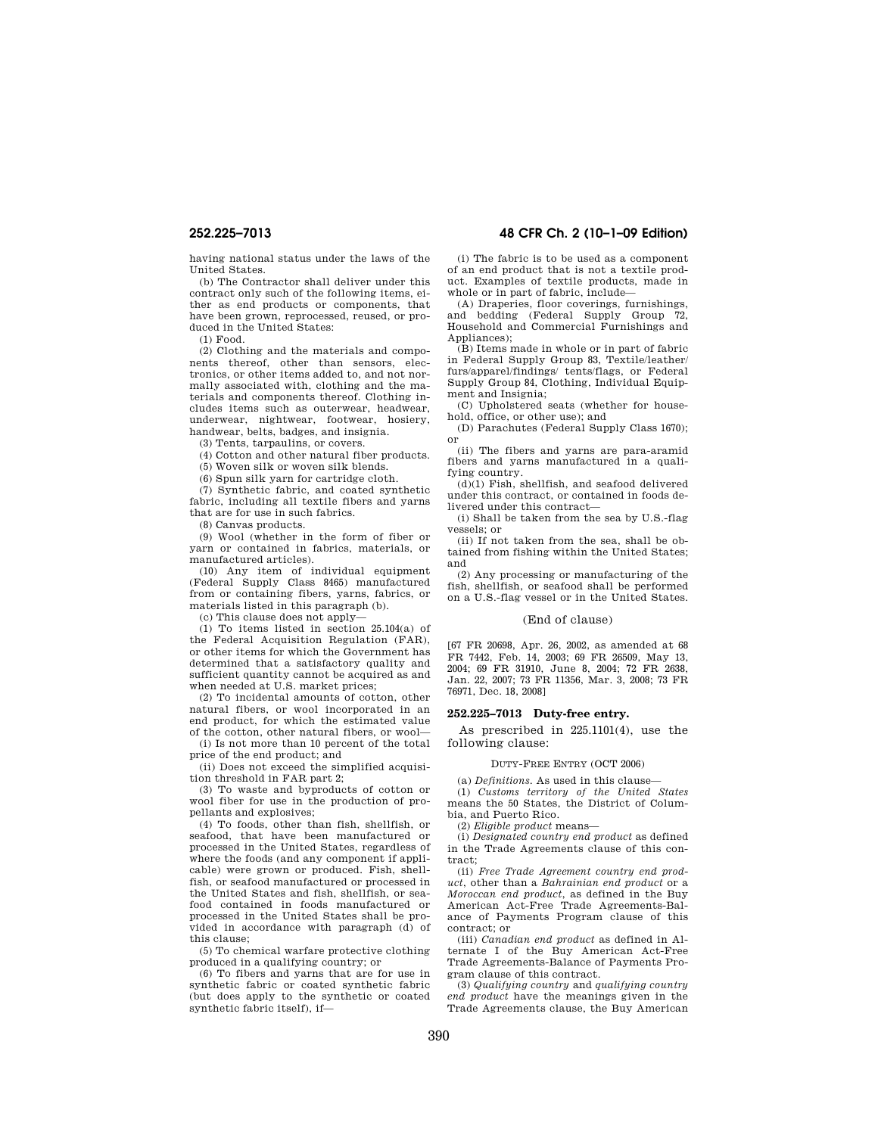having national status under the laws of the United States.

(b) The Contractor shall deliver under this contract only such of the following items, either as end products or components, that have been grown, reprocessed, reused, or produced in the United States:

(1) Food.

(2) Clothing and the materials and components thereof, other than sensors, electronics, or other items added to, and not normally associated with, clothing and the materials and components thereof. Clothing includes items such as outerwear, headwear, underwear, nightwear, footwear, hosiery, handwear, belts, badges, and insignia.

(3) Tents, tarpaulins, or covers.

(4) Cotton and other natural fiber products.

(5) Woven silk or woven silk blends.

(6) Spun silk yarn for cartridge cloth.

(7) Synthetic fabric, and coated synthetic fabric, including all textile fibers and yarns that are for use in such fabrics.

(8) Canvas products.

(9) Wool (whether in the form of fiber or yarn or contained in fabrics, materials, or manufactured articles).

(10) Any item of individual equipment (Federal Supply Class 8465) manufactured from or containing fibers, yarns, fabrics, or materials listed in this paragraph (b).

(c) This clause does not apply—

 $(1)$  To items listed in section 25.104 $(a)$  of the Federal Acquisition Regulation (FAR), or other items for which the Government has determined that a satisfactory quality and sufficient quantity cannot be acquired as and when needed at U.S. market prices;

(2) To incidental amounts of cotton, other natural fibers, or wool incorporated in an end product, for which the estimated value of the cotton, other natural fibers, or wool—

(i) Is not more than 10 percent of the total price of the end product; and

(ii) Does not exceed the simplified acquisition threshold in FAR part 2;

(3) To waste and byproducts of cotton or wool fiber for use in the production of propellants and explosives;

(4) To foods, other than fish, shellfish, or seafood, that have been manufactured or processed in the United States, regardless of where the foods (and any component if applicable) were grown or produced. Fish, shellfish, or seafood manufactured or processed in the United States and fish, shellfish, or seafood contained in foods manufactured or processed in the United States shall be provided in accordance with paragraph (d) of this clause;

(5) To chemical warfare protective clothing produced in a qualifying country; or

(6) To fibers and yarns that are for use in synthetic fabric or coated synthetic fabric (but does apply to the synthetic or coated synthetic fabric itself), if—

# **252.225–7013 48 CFR Ch. 2 (10–1–09 Edition)**

(i) The fabric is to be used as a component of an end product that is not a textile product. Examples of textile products, made in whole or in part of fabric, include—

(A) Draperies, floor coverings, furnishings, and bedding (Federal Supply Group 72, Household and Commercial Furnishings and Appliances);

(B) Items made in whole or in part of fabric in Federal Supply Group 83, Textile/leather/ furs/apparel/findings/ tents/flags, or Federal Supply Group 84, Clothing, Individual Equipment and Insignia;

(C) Upholstered seats (whether for household, office, or other use); and

(D) Parachutes (Federal Supply Class 1670); or

(ii) The fibers and yarns are para-aramid fibers and yarns manufactured in a qualifying country.

(d)(1) Fish, shellfish, and seafood delivered under this contract, or contained in foods delivered under this contract—

(i) Shall be taken from the sea by U.S.-flag vessels; or

(ii) If not taken from the sea, shall be obtained from fishing within the United States; and

(2) Any processing or manufacturing of the fish, shellfish, or seafood shall be performed on a U.S.-flag vessel or in the United States.

## (End of clause)

[67 FR 20698, Apr. 26, 2002, as amended at 68 FR 7442, Feb. 14, 2003; 69 FR 26509, May 13, 2004; 69 FR 31910, June 8, 2004; 72 FR 2638, Jan. 22, 2007; 73 FR 11356, Mar. 3, 2008; 73 FR 76971, Dec. 18, 2008]

## **252.225–7013 Duty-free entry.**

As prescribed in 225.1101(4), use the following clause:

## DUTY-FREE ENTRY (OCT 2006)

(a) *Definitions.* As used in this clause— (1) *Customs territory of the United States*  means the 50 States, the District of Columbia, and Puerto Rico.

(2) *Eligible product* means—

(i) *Designated country end product* as defined in the Trade Agreements clause of this contract;

(ii) *Free Trade Agreement country end product*, other than a *Bahrainian end product* or a *Moroccan end product*, as defined in the Buy American Act-Free Trade Agreements-Balance of Payments Program clause of this contract; or

(iii) *Canadian end product* as defined in Alternate I of the Buy American Act-Free Trade Agreements-Balance of Payments Program clause of this contract.

(3) *Qualifying country* and *qualifying country end product* have the meanings given in the Trade Agreements clause, the Buy American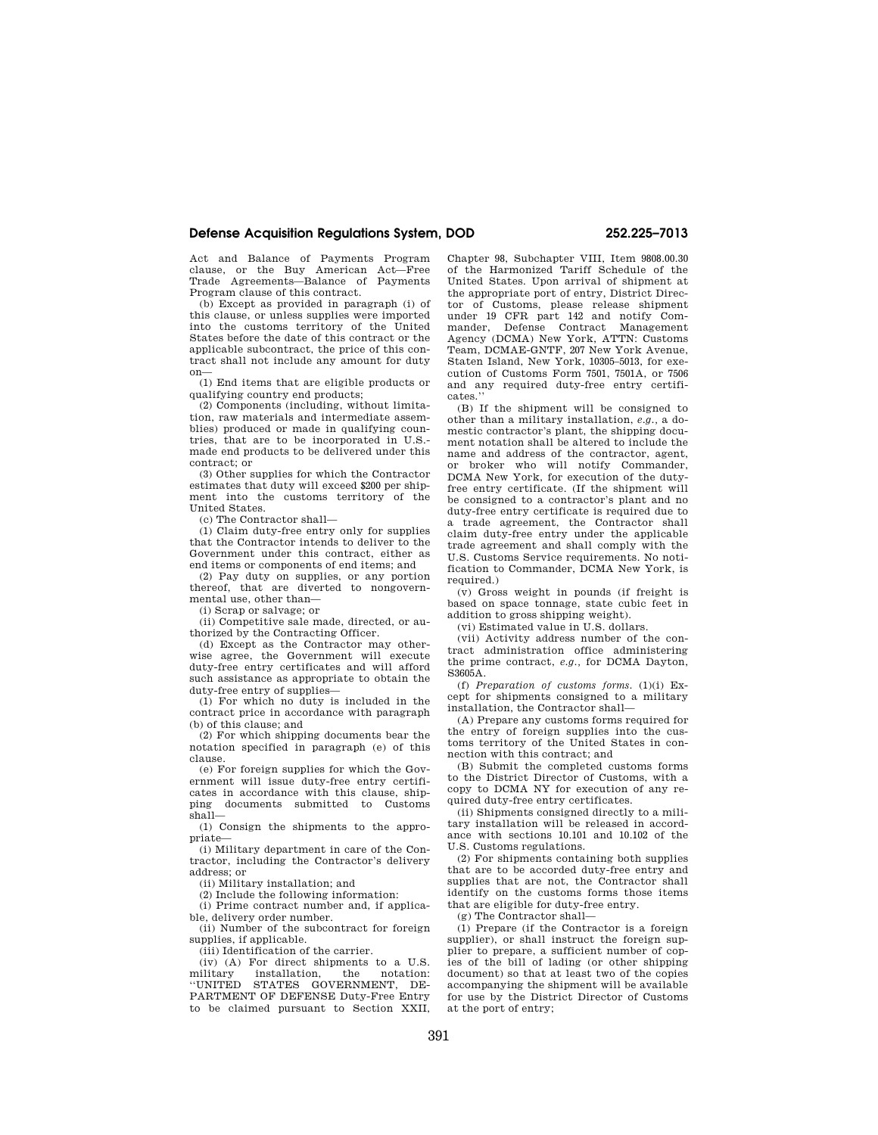Act and Balance of Payments Program clause, or the Buy American Act—Free Trade Agreements—Balance of Payments Program clause of this contract.

(b) Except as provided in paragraph (i) of this clause, or unless supplies were imported into the customs territory of the United States before the date of this contract or the applicable subcontract, the price of this contract shall not include any amount for duty on—

(1) End items that are eligible products or qualifying country end products;

(2) Components (including, without limitation, raw materials and intermediate assemblies) produced or made in qualifying countries, that are to be incorporated in U.S. made end products to be delivered under this contract; or

(3) Other supplies for which the Contractor estimates that duty will exceed \$200 per shipment into the customs territory of the United States.

(c) The Contractor shall—

(1) Claim duty-free entry only for supplies that the Contractor intends to deliver to the Government under this contract, either as end items or components of end items; and

(2) Pay duty on supplies, or any portion thereof, that are diverted to nongovernmental use, other than—

(i) Scrap or salvage; or

(ii) Competitive sale made, directed, or authorized by the Contracting Officer.

(d) Except as the Contractor may otherwise agree, the Government will execute duty-free entry certificates and will afford such assistance as appropriate to obtain the duty-free entry of supplies—

(1) For which no duty is included in the contract price in accordance with paragraph (b) of this clause; and

(2) For which shipping documents bear the notation specified in paragraph (e) of this clause.

(e) For foreign supplies for which the Government will issue duty-free entry certificates in accordance with this clause, shipping documents submitted to Customs shall—

(1) Consign the shipments to the appropriate—

(i) Military department in care of the Contractor, including the Contractor's delivery address; or

(ii) Military installation; and

(2) Include the following information:

(i) Prime contract number and, if applicable, delivery order number.

(ii) Number of the subcontract for foreign supplies, if applicable.

(iii) Identification of the carrier.

(iv) (A) For direct shipments to a U.S. military installation, the notation:<br>"UNITED STATES GOVERNMENT. DE-STATES GOVERNMENT, DE-PARTMENT OF DEFENSE Duty-Free Entry to be claimed pursuant to Section XXII,

Chapter 98, Subchapter VIII, Item 9808.00.30 of the Harmonized Tariff Schedule of the United States. Upon arrival of shipment at the appropriate port of entry, District Director of Customs, please release shipment under 19 CFR part 142 and notify Commander, Defense Contract Management Agency (DCMA) New York, ATTN: Customs Team, DCMAE-GNTF, 207 New York Avenue, Staten Island, New York, 10305–5013, for execution of Customs Form 7501, 7501A, or 7506 and any required duty-free entry certificates.''

(B) If the shipment will be consigned to other than a military installation, *e.g.,* a domestic contractor's plant, the shipping document notation shall be altered to include the name and address of the contractor, agent, or broker who will notify Commander, DCMA New York, for execution of the dutyfree entry certificate. (If the shipment will be consigned to a contractor's plant and no duty-free entry certificate is required due to a trade agreement, the Contractor shall claim duty-free entry under the applicable trade agreement and shall comply with the U.S. Customs Service requirements. No notification to Commander, DCMA New York, is required.)

(v) Gross weight in pounds (if freight is based on space tonnage, state cubic feet in addition to gross shipping weight).

(vi) Estimated value in U.S. dollars.

(vii) Activity address number of the contract administration office administering the prime contract, *e.g.,* for DCMA Dayton, S3605A.

(f) *Preparation of customs forms.* (1)(i) Except for shipments consigned to a military installation, the Contractor shall—

(A) Prepare any customs forms required for the entry of foreign supplies into the customs territory of the United States in connection with this contract; and

(B) Submit the completed customs forms to the District Director of Customs, with a copy to DCMA NY for execution of any required duty-free entry certificates.

(ii) Shipments consigned directly to a military installation will be released in accordance with sections 10.101 and 10.102 of the U.S. Customs regulations.

(2) For shipments containing both supplies that are to be accorded duty-free entry and supplies that are not, the Contractor shall identify on the customs forms those items that are eligible for duty-free entry.

(g) The Contractor shall—

(1) Prepare (if the Contractor is a foreign supplier), or shall instruct the foreign supplier to prepare, a sufficient number of copies of the bill of lading (or other shipping document) so that at least two of the copies accompanying the shipment will be available for use by the District Director of Customs at the port of entry;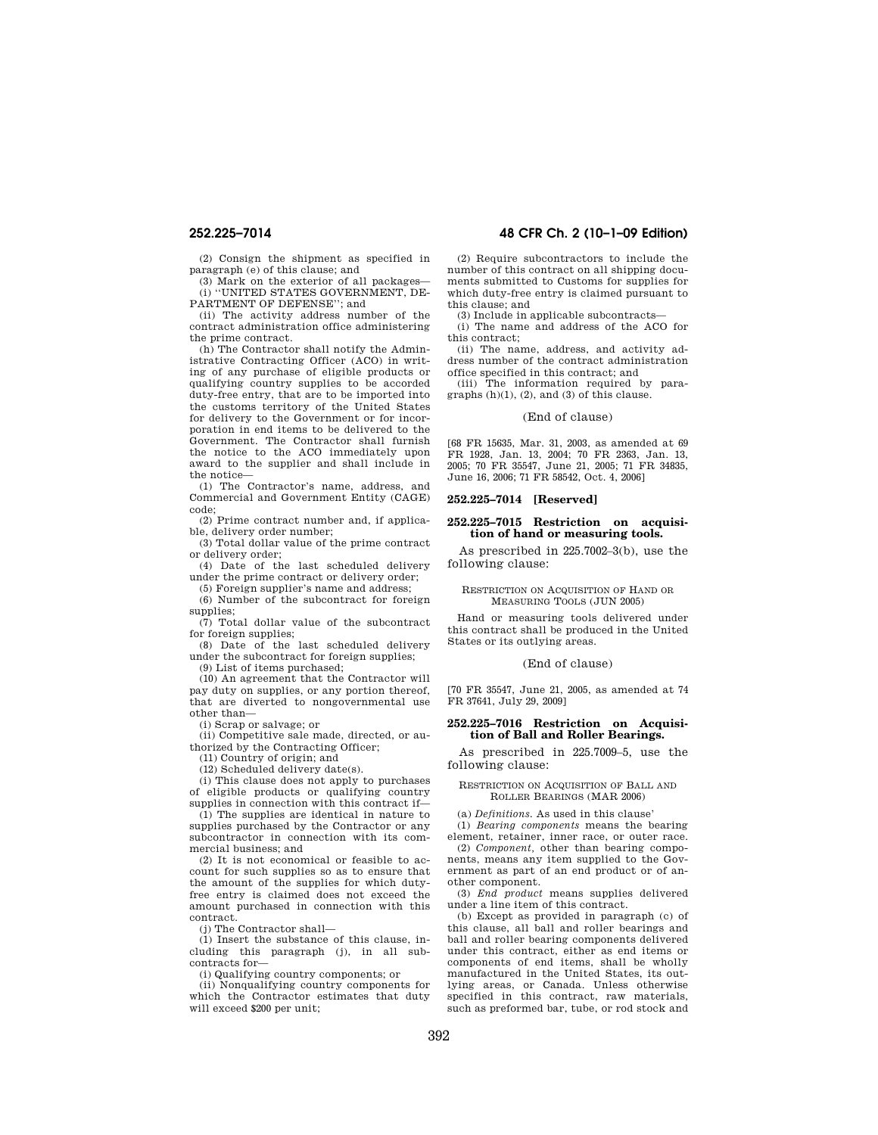**252.225–7014 48 CFR Ch. 2 (10–1–09 Edition)** 

(2) Consign the shipment as specified in paragraph (e) of this clause; and

 $(3)$  Mark on the exterior of all packages— (i) ''UNITED STATES GOVERNMENT, DE-PARTMENT OF DEFENSE''; and

(ii) The activity address number of the contract administration office administering the prime contract.

(h) The Contractor shall notify the Administrative Contracting Officer (ACO) in writing of any purchase of eligible products or qualifying country supplies to be accorded duty-free entry, that are to be imported into the customs territory of the United States for delivery to the Government or for incorporation in end items to be delivered to the Government. The Contractor shall furnish the notice to the ACO immediately upon award to the supplier and shall include in the notice—

(1) The Contractor's name, address, and Commercial and Government Entity (CAGE) code;

(2) Prime contract number and, if applicable, delivery order number;

(3) Total dollar value of the prime contract or delivery order;

(4) Date of the last scheduled delivery under the prime contract or delivery order;

(5) Foreign supplier's name and address;

(6) Number of the subcontract for foreign supplies;

(7) Total dollar value of the subcontract for foreign supplies;

(8) Date of the last scheduled delivery under the subcontract for foreign supplies;

(9) List of items purchased;

(10) An agreement that the Contractor will pay duty on supplies, or any portion thereof, that are diverted to nongovernmental use other than—

(i) Scrap or salvage; or

(ii) Competitive sale made, directed, or authorized by the Contracting Officer;

(11) Country of origin; and

(12) Scheduled delivery date(s).

(i) This clause does not apply to purchases of eligible products or qualifying country supplies in connection with this contract if—

(1) The supplies are identical in nature to supplies purchased by the Contractor or any subcontractor in connection with its commercial business; and

(2) It is not economical or feasible to account for such supplies so as to ensure that the amount of the supplies for which dutyfree entry is claimed does not exceed the amount purchased in connection with this contract.

(j) The Contractor shall—

(1) Insert the substance of this clause, including this paragraph (j), in all subcontracts for—

(i) Qualifying country components; or

(ii) Nonqualifying country components for which the Contractor estimates that duty will exceed \$200 per unit;

(2) Require subcontractors to include the number of this contract on all shipping documents submitted to Customs for supplies for which duty-free entry is claimed pursuant to this clause; and

(3) Include in applicable subcontracts—

(i) The name and address of the ACO for this contract;

(ii) The name, address, and activity address number of the contract administration office specified in this contract; and

(iii) The information required by paragraphs (h)(1), (2), and (3) of this clause.

(End of clause)

[68 FR 15635, Mar. 31, 2003, as amended at 69 FR 1928, Jan. 13, 2004; 70 FR 2363, Jan. 13, 2005; 70 FR 35547, June 21, 2005; 71 FR 34835, June 16, 2006; 71 FR 58542, Oct. 4, 2006]

### **252.225–7014 [Reserved]**

## **252.225–7015 Restriction on acquisition of hand or measuring tools.**

As prescribed in 225.7002–3(b), use the following clause:

## RESTRICTION ON ACQUISITION OF HAND OR MEASURING TOOLS (JUN 2005)

Hand or measuring tools delivered under this contract shall be produced in the United States or its outlying areas.

## (End of clause)

[70 FR 35547, June 21, 2005, as amended at 74 FR 37641, July 29, 2009]

## **252.225–7016 Restriction on Acquisition of Ball and Roller Bearings.**

As prescribed in 225.7009–5, use the following clause:

## RESTRICTION ON ACQUISITION OF BALL AND ROLLER BEARINGS (MAR 2006)

(a) *Definitions.* As used in this clause'

(1) *Bearing components* means the bearing element, retainer, inner race, or outer race.

(2) *Component,* other than bearing components, means any item supplied to the Government as part of an end product or of another component.

(3) *End product* means supplies delivered under a line item of this contract.

(b) Except as provided in paragraph (c) of this clause, all ball and roller bearings and ball and roller bearing components delivered under this contract, either as end items or components of end items, shall be wholly manufactured in the United States, its outlying areas, or Canada. Unless otherwise specified in this contract, raw materials, such as preformed bar, tube, or rod stock and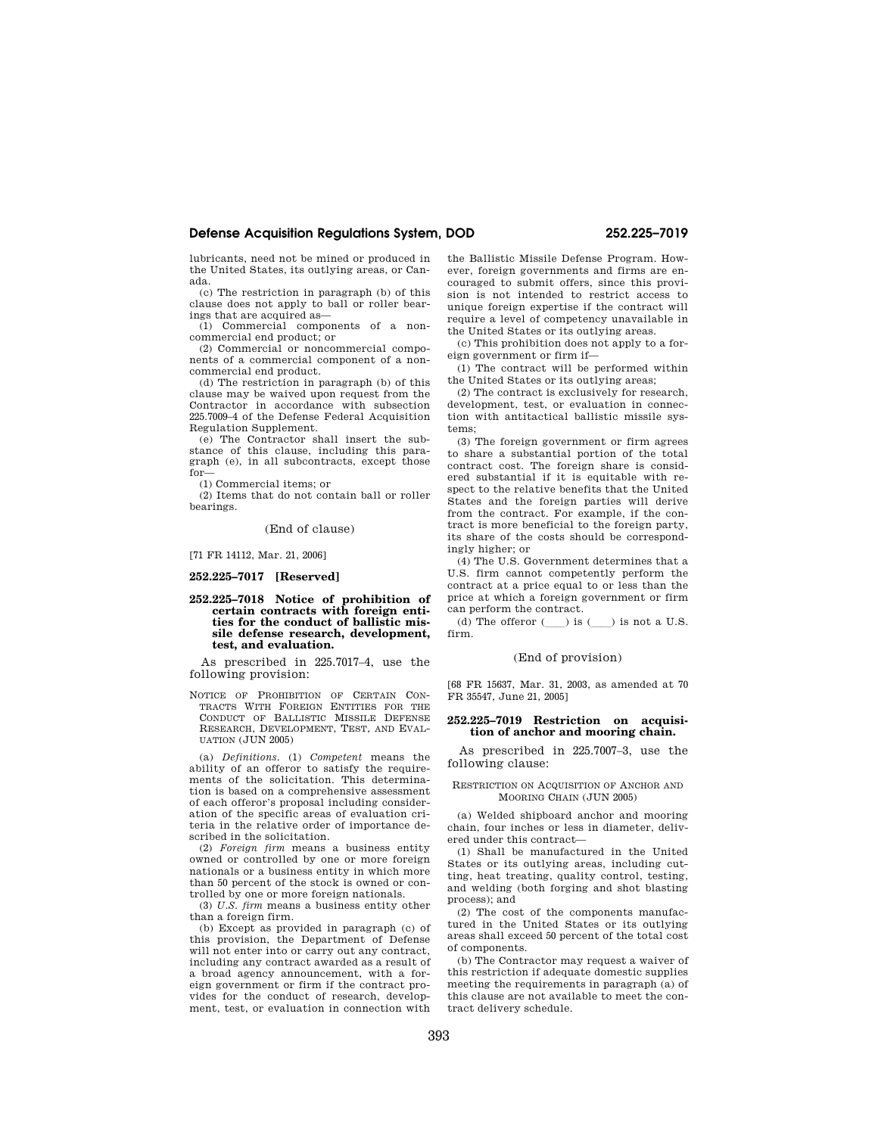lubricants, need not be mined or produced in the United States, its outlying areas, or Canada.

(c) The restriction in paragraph (b) of this clause does not apply to ball or roller bearings that are acquired as—

(1) Commercial components of a noncommercial end product; or

(2) Commercial or noncommercial components of a commercial component of a noncommercial end product.

(d) The restriction in paragraph (b) of this clause may be waived upon request from the Contractor in accordance with subsection 225.7009–4 of the Defense Federal Acquisition Regulation Supplement.

(e) The Contractor shall insert the substance of this clause, including this paragraph (e), in all subcontracts, except those for—

(1) Commercial items; or

(2) Items that do not contain ball or roller bearings.

# (End of clause)

[71 FR 14112, Mar. 21, 2006]

### **252.225–7017 [Reserved]**

# **252.225–7018 Notice of prohibition of certain contracts with foreign entities for the conduct of ballistic missile defense research, development, test, and evaluation.**

As prescribed in 225.7017–4, use the following provision:

NOTICE OF PROHIBITION OF CERTAIN CON-TRACTS WITH FOREIGN ENTITIES FOR THE CONDUCT OF BALLISTIC MISSILE DEFENSE RESEARCH, DEVELOPMENT, TEST, AND EVAL-UATION (JUN 2005)

(a) *Definitions.* (1) *Competent* means the ability of an offeror to satisfy the requirements of the solicitation. This determination is based on a comprehensive assessment of each offeror's proposal including consideration of the specific areas of evaluation criteria in the relative order of importance described in the solicitation.

(2) *Foreign firm* means a business entity owned or controlled by one or more foreign nationals or a business entity in which more than 50 percent of the stock is owned or controlled by one or more foreign nationals.

(3) *U.S. firm* means a business entity other than a foreign firm.

(b) Except as provided in paragraph (c) of this provision, the Department of Defense will not enter into or carry out any contract, including any contract awarded as a result of a broad agency announcement, with a foreign government or firm if the contract provides for the conduct of research, development, test, or evaluation in connection with

the Ballistic Missile Defense Program. However, foreign governments and firms are encouraged to submit offers, since this provision is not intended to restrict access to unique foreign expertise if the contract will require a level of competency unavailable in the United States or its outlying areas.

(c) This prohibition does not apply to a foreign government or firm if—

(1) The contract will be performed within the United States or its outlying areas;

(2) The contract is exclusively for research, development, test, or evaluation in connection with antitactical ballistic missile systems;

(3) The foreign government or firm agrees to share a substantial portion of the total contract cost. The foreign share is considered substantial if it is equitable with respect to the relative benefits that the United States and the foreign parties will derive from the contract. For example, if the contract is more beneficial to the foreign party, its share of the costs should be correspondingly higher; or

(4) The U.S. Government determines that a U.S. firm cannot competently perform the contract at a price equal to or less than the price at which a foreign government or firm can perform the contract.

(d) The offeror  $(\_\_)$  is  $(\_\_)$  is not a U.S. firm.

#### (End of provision)

[68 FR 15637, Mar. 31, 2003, as amended at 70 FR 35547, June 21, 2005]

# **252.225–7019 Restriction on acquisition of anchor and mooring chain.**

As prescribed in 225.7007–3, use the following clause:

## RESTRICTION ON ACQUISITION OF ANCHOR AND MOORING CHAIN (JUN 2005)

(a) Welded shipboard anchor and mooring chain, four inches or less in diameter, delivered under this contract—

(1) Shall be manufactured in the United States or its outlying areas, including cutting, heat treating, quality control, testing, and welding (both forging and shot blasting process); and

(2) The cost of the components manufactured in the United States or its outlying areas shall exceed 50 percent of the total cost of components.

(b) The Contractor may request a waiver of this restriction if adequate domestic supplies meeting the requirements in paragraph (a) of this clause are not available to meet the contract delivery schedule.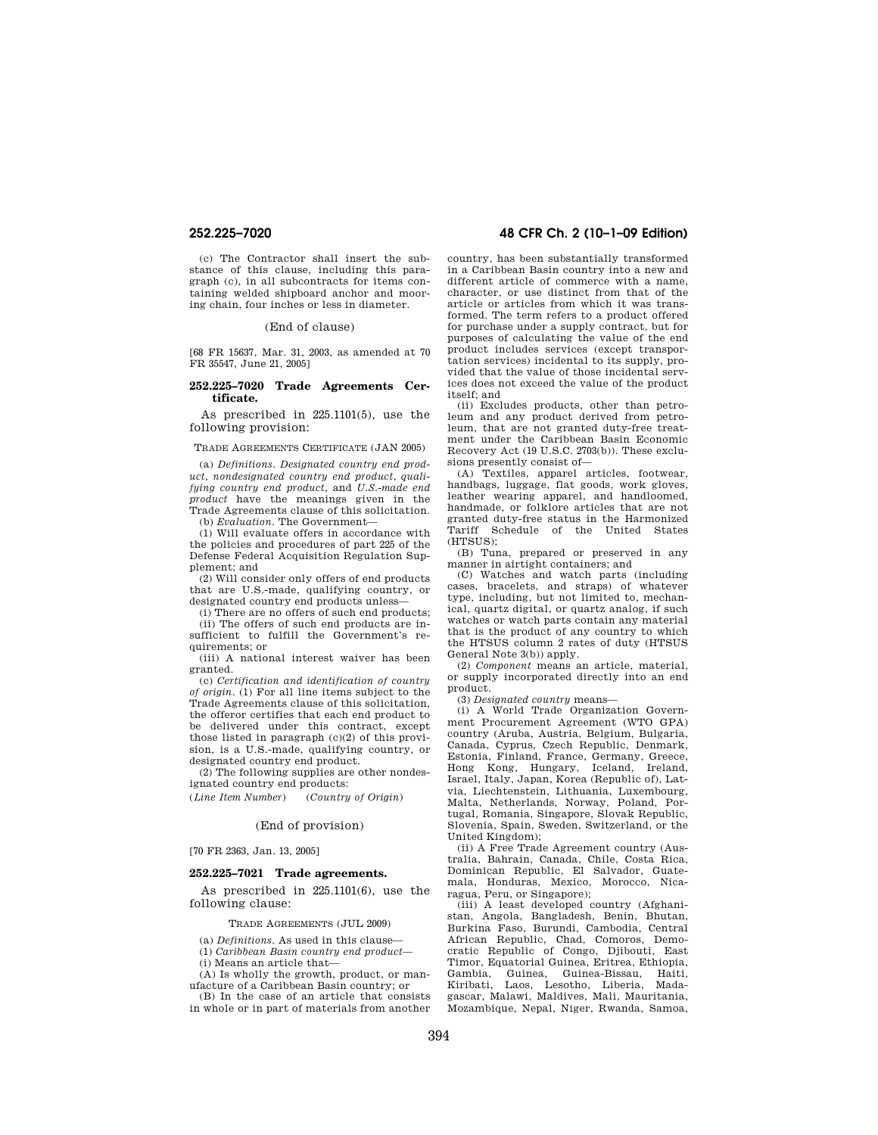(c) The Contractor shall insert the substance of this clause, including this paragraph (c), in all subcontracts for items containing welded shipboard anchor and mooring chain, four inches or less in diameter.

(End of clause)

[68 FR 15637, Mar. 31, 2003, as amended at 70 FR 35547, June 21, 2005]

## **252.225–7020 Trade Agreements Certificate.**

As prescribed in 225.1101(5), use the following provision:

TRADE AGREEMENTS CERTIFICATE (JAN 2005)

(a) *Definitions*. *Designated country end product*, *nondesignated country end product*, *qualifying country end product*, and *U.S.-made end product* have the meanings given in the Trade Agreements clause of this solicitation.

(b) *Evaluation*. The Government—

(1) Will evaluate offers in accordance with the policies and procedures of part 225 of the Defense Federal Acquisition Regulation Supplement; and

(2) Will consider only offers of end products that are U.S.-made, qualifying country, or designated country end products unless—

(i) There are no offers of such end products; (ii) The offers of such end products are insufficient to fulfill the Government's requirements; or

(iii) A national interest waiver has been granted.

(c) *Certification and identification of country of origin.* (1) For all line items subject to the Trade Agreements clause of this solicitation, the offeror certifies that each end product to be delivered under this contract, except those listed in paragraph (c)(2) of this provision, is a U.S.-made, qualifying country, or designated country end product.

(2) The following supplies are other nondesignated country end products:

(*Line Item Number*) (*Country of Origin*)

# (End of provision)

[70 FR 2363, Jan. 13, 2005]

## **252.225–7021 Trade agreements.**

As prescribed in 225.1101(6), use the following clause:

TRADE AGREEMENTS (JUL 2009)

(a) *Definitions*. As used in this clause—

(1) *Caribbean Basin country end product*—

(i) Means an article that—

(A) Is wholly the growth, product, or manufacture of a Caribbean Basin country; or

(B) In the case of an article that consists in whole or in part of materials from another

# **252.225–7020 48 CFR Ch. 2 (10–1–09 Edition)**

country, has been substantially transformed in a Caribbean Basin country into a new and different article of commerce with a name, character, or use distinct from that of the article or articles from which it was transformed. The term refers to a product offered for purchase under a supply contract, but for purposes of calculating the value of the end product includes services (except transportation services) incidental to its supply, provided that the value of those incidental services does not exceed the value of the product itself; and

(ii) Excludes products, other than petroleum and any product derived from petroleum, that are not granted duty-free treatment under the Caribbean Basin Economic Recovery Act (19 U.S.C. 2703(b)). These exclusions presently consist of—

(A) Textiles, apparel articles, footwear, handbags, luggage, flat goods, work gloves, leather wearing apparel, and handloomed, handmade, or folklore articles that are not granted duty-free status in the Harmonized Tariff Schedule of the United States (HTSUS);

(B) Tuna, prepared or preserved in any manner in airtight containers; and

(C) Watches and watch parts (including cases, bracelets, and straps) of whatever type, including, but not limited to, mechanical, quartz digital, or quartz analog, if such watches or watch parts contain any material that is the product of any country to which the HTSUS column 2 rates of duty (HTSUS General Note 3(b)) apply.

(2) *Component* means an article, material, or supply incorporated directly into an end product.

(3) *Designated country* means—

(i) A World Trade Organization Government Procurement Agreement (WTO GPA) country (Aruba, Austria, Belgium, Bulgaria, Canada, Cyprus, Czech Republic, Denmark, Estonia, Finland, France, Germany, Greece, Hong Kong, Hungary, Iceland, Ireland, Israel, Italy, Japan, Korea (Republic of), Latvia, Liechtenstein, Lithuania, Luxembourg, Malta, Netherlands, Norway, Poland, Portugal, Romania, Singapore, Slovak Republic, Slovenia, Spain, Sweden, Switzerland, or the United Kingdom);

(ii) A Free Trade Agreement country (Australia, Bahrain, Canada, Chile, Costa Rica, Dominican Republic, El Salvador, Guatemala, Honduras, Mexico, Morocco, Nicaragua, Peru, or Singapore);

(iii) A least developed country (Afghanistan, Angola, Bangladesh, Benin, Bhutan, Burkina Faso, Burundi, Cambodia, Central African Republic, Chad, Comoros, Democratic Republic of Congo, Djibouti, East Timor, Equatorial Guinea, Eritrea, Ethiopia, Gambia, Guinea, Guinea-Bissau, Haiti, Kiribati, Laos, Lesotho, Liberia, Madagascar, Malawi, Maldives, Mali, Mauritania, Mozambique, Nepal, Niger, Rwanda, Samoa,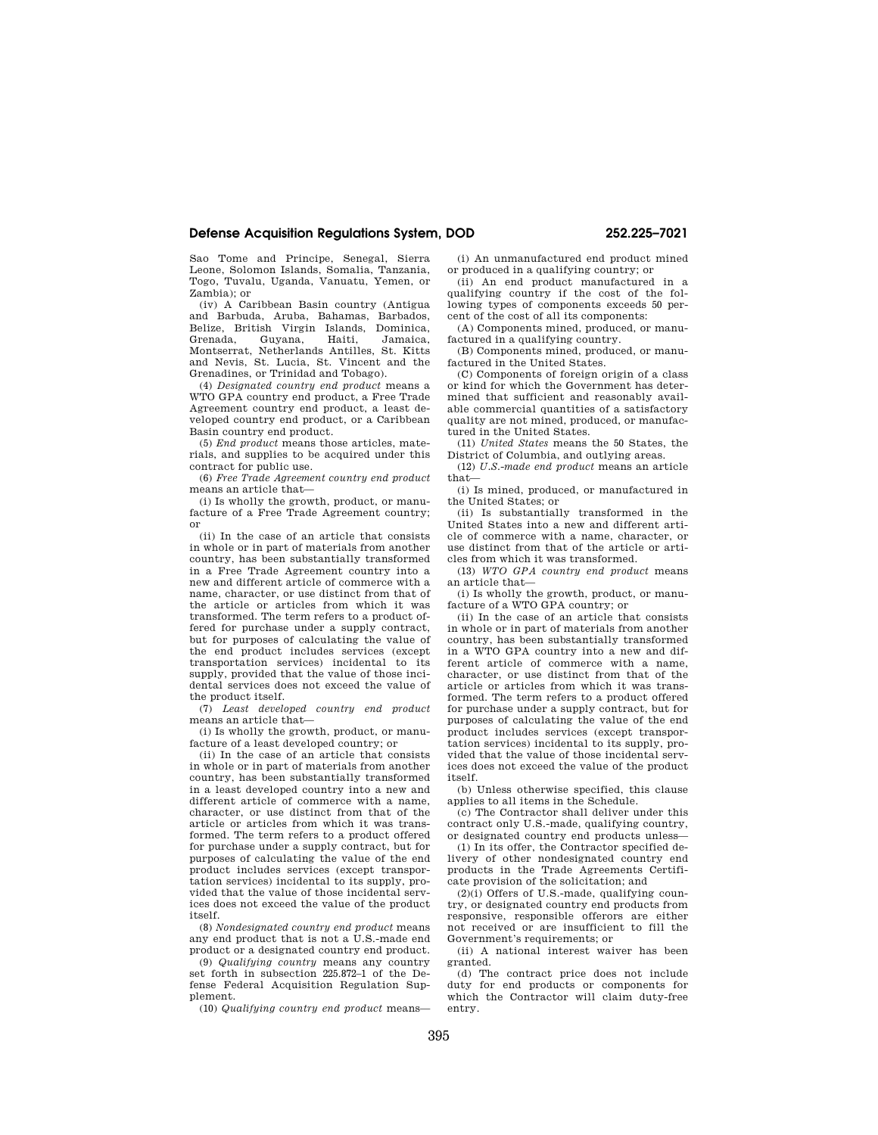Sao Tome and Principe, Senegal, Sierra Leone, Solomon Islands, Somalia, Tanzania, Togo, Tuvalu, Uganda, Vanuatu, Yemen, or Zambia); or

(iv) A Caribbean Basin country (Antigua and Barbuda, Aruba, Bahamas, Barbados, Belize, British Virgin Islands, Dominica, Guyana, Montserrat, Netherlands Antilles, St. Kitts and Nevis, St. Lucia, St. Vincent and the Grenadines, or Trinidad and Tobago).

(4) *Designated country end product* means a WTO GPA country end product, a Free Trade Agreement country end product, a least developed country end product, or a Caribbean Basin country end product.

(5) *End product* means those articles, materials, and supplies to be acquired under this contract for public use.

(6) *Free Trade Agreement country end product*  means an article that—

(i) Is wholly the growth, product, or manufacture of a Free Trade Agreement country; or

(ii) In the case of an article that consists in whole or in part of materials from another country, has been substantially transformed in a Free Trade Agreement country into a new and different article of commerce with a name, character, or use distinct from that of the article or articles from which it was transformed. The term refers to a product offered for purchase under a supply contract, but for purposes of calculating the value of the end product includes services (except transportation services) incidental to its supply, provided that the value of those incidental services does not exceed the value of the product itself.

(7) *Least developed country end product*  means an article that—

(i) Is wholly the growth, product, or manufacture of a least developed country; or

(ii) In the case of an article that consists in whole or in part of materials from another country, has been substantially transformed in a least developed country into a new and different article of commerce with a name, character, or use distinct from that of the article or articles from which it was transformed. The term refers to a product offered for purchase under a supply contract, but for purposes of calculating the value of the end product includes services (except transportation services) incidental to its supply, provided that the value of those incidental services does not exceed the value of the product itself.

(8) *Nondesignated country end product* means any end product that is not a U.S.-made end product or a designated country end product.

(9) *Qualifying country* means any country set forth in subsection 225.872–1 of the Defense Federal Acquisition Regulation Supplement.

(10) *Qualifying country end product* means—

(i) An unmanufactured end product mined or produced in a qualifying country; or

(ii) An end product manufactured in a qualifying country if the cost of the following types of components exceeds 50 percent of the cost of all its components:

(A) Components mined, produced, or manufactured in a qualifying country.

(B) Components mined, produced, or manufactured in the United States.

(C) Components of foreign origin of a class or kind for which the Government has determined that sufficient and reasonably available commercial quantities of a satisfactory quality are not mined, produced, or manufactured in the United States.

(11) *United States* means the 50 States, the District of Columbia, and outlying areas.

(12) *U.S.-made end product* means an article that—

(i) Is mined, produced, or manufactured in the United States; or

(ii) Is substantially transformed in the United States into a new and different article of commerce with a name, character, or use distinct from that of the article or articles from which it was transformed.

(13) *WTO GPA country end product* means an article that—

(i) Is wholly the growth, product, or manufacture of a WTO GPA country; or

(ii) In the case of an article that consists in whole or in part of materials from another country, has been substantially transformed in a WTO GPA country into a new and different article of commerce with a name, character, or use distinct from that of the article or articles from which it was transformed. The term refers to a product offered for purchase under a supply contract, but for purposes of calculating the value of the end product includes services (except transportation services) incidental to its supply, provided that the value of those incidental services does not exceed the value of the product itself.

(b) Unless otherwise specified, this clause applies to all items in the Schedule.

(c) The Contractor shall deliver under this contract only U.S.-made, qualifying country, or designated country end products unless—

(1) In its offer, the Contractor specified delivery of other nondesignated country end products in the Trade Agreements Certificate provision of the solicitation; and

(2)(i) Offers of U.S.-made, qualifying country, or designated country end products from responsive, responsible offerors are either not received or are insufficient to fill the Government's requirements; or

(ii) A national interest waiver has been granted.

(d) The contract price does not include duty for end products or components for which the Contractor will claim duty-free entry.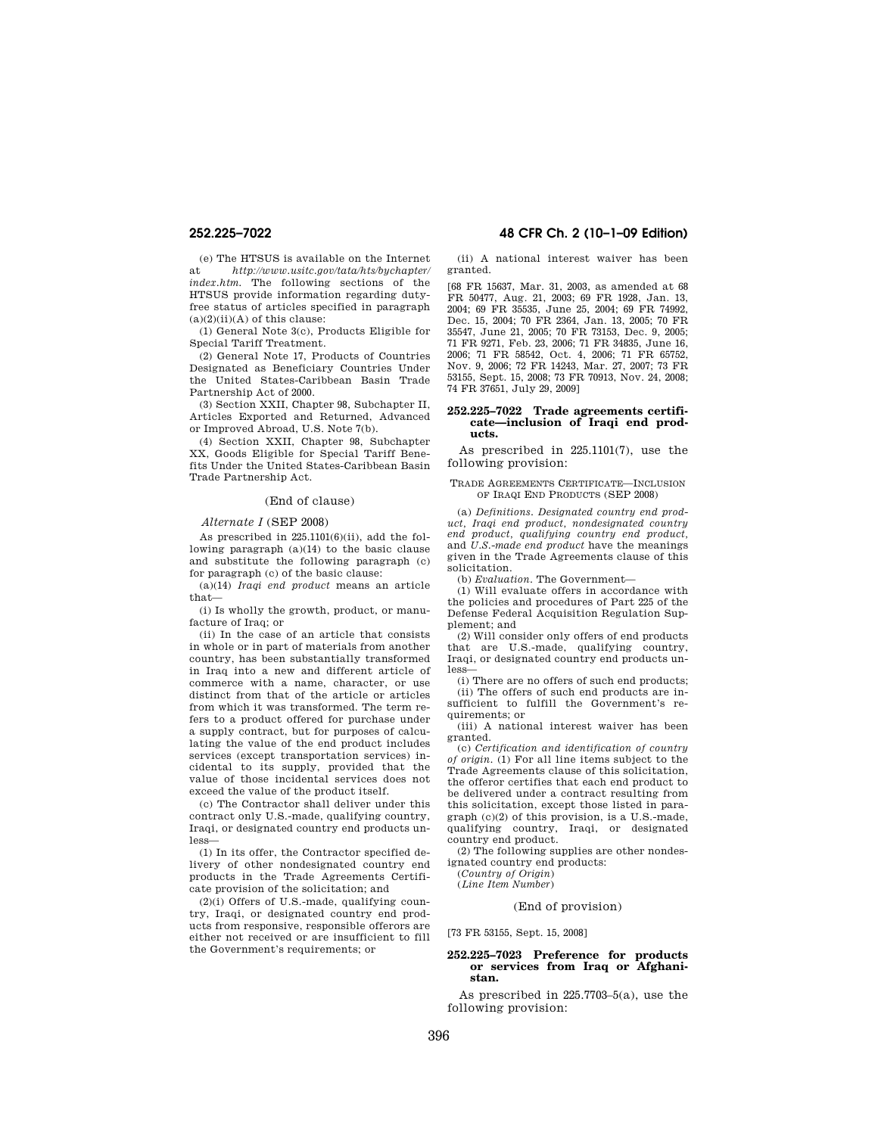(e) The HTSUS is available on the Internet at *http://www.usitc.gov/tata/hts/bychapter/ index.htm.* The following sections of the HTSUS provide information regarding dutyfree status of articles specified in paragraph  $(a)(2)(ii)(A)$  of this clause:

(1) General Note 3(c), Products Eligible for Special Tariff Treatment.

(2) General Note 17, Products of Countries Designated as Beneficiary Countries Under the United States-Caribbean Basin Trade Partnership Act of 2000.

(3) Section XXII, Chapter 98, Subchapter II, Articles Exported and Returned, Advanced or Improved Abroad, U.S. Note 7(b).

(4) Section XXII, Chapter 98, Subchapter XX, Goods Eligible for Special Tariff Benefits Under the United States-Caribbean Basin Trade Partnership Act.

## (End of clause)

## *Alternate I* (SEP 2008)

As prescribed in 225.1101(6)(ii), add the following paragraph  $(a)(14)$  to the basic clause and substitute the following paragraph (c) for paragraph (c) of the basic clause:

(a)(14) *Iraqi end product* means an article that-

(i) Is wholly the growth, product, or manufacture of Iraq; or

(ii) In the case of an article that consists in whole or in part of materials from another country, has been substantially transformed in Iraq into a new and different article of commerce with a name, character, or use distinct from that of the article or articles from which it was transformed. The term refers to a product offered for purchase under a supply contract, but for purposes of calculating the value of the end product includes services (except transportation services) incidental to its supply, provided that the value of those incidental services does not exceed the value of the product itself.

(c) The Contractor shall deliver under this contract only U.S.-made, qualifying country, Iraqi, or designated country end products unless—

(1) In its offer, the Contractor specified delivery of other nondesignated country end products in the Trade Agreements Certificate provision of the solicitation; and

(2)(i) Offers of U.S.-made, qualifying country, Iraqi, or designated country end products from responsive, responsible offerors are either not received or are insufficient to fill the Government's requirements; or

# **252.225–7022 48 CFR Ch. 2 (10–1–09 Edition)**

(ii) A national interest waiver has been granted.

[68 FR 15637, Mar. 31, 2003, as amended at 68 FR 50477, Aug. 21, 2003; 69 FR 1928, Jan. 13, 2004; 69 FR 35535, June 25, 2004; 69 FR 74992, Dec. 15, 2004; 70 FR 2364, Jan. 13, 2005; 70 FR 35547, June 21, 2005; 70 FR 73153, Dec. 9, 2005; 71 FR 9271, Feb. 23, 2006; 71 FR 34835, June 16, 2006; 71 FR 58542, Oct. 4, 2006; 71 FR 65752, Nov. 9, 2006; 72 FR 14243, Mar. 27, 2007; 73 FR 53155, Sept. 15, 2008; 73 FR 70913, Nov. 24, 2008; 74 FR 37651, July 29, 2009]

## **252.225–7022 Trade agreements certificate—inclusion of Iraqi end products.**

As prescribed in 225.1101(7), use the following provision:

TRADE AGREEMENTS CERTIFICATE—INCLUSION OF IRAQI END PRODUCTS (SEP 2008)

(a) *Definitions. Designated country end product, Iraqi end product, nondesignated country end product, qualifying country end product,*  and *U.S.-made end product* have the meanings given in the Trade Agreements clause of this solicitation.

(b) *Evaluation*, The Government-

(1) Will evaluate offers in accordance with the policies and procedures of Part 225 of the Defense Federal Acquisition Regulation Supplement; and

(2) Will consider only offers of end products that are U.S.-made, qualifying country, Iraqi, or designated country end products unless—

(i) There are no offers of such end products; (ii) The offers of such end products are insufficient to fulfill the Government's re-

quirements; or (iii) A national interest waiver has been granted.

(c) *Certification and identification of country of origin.* (1) For all line items subject to the Trade Agreements clause of this solicitation, the offeror certifies that each end product to be delivered under a contract resulting from this solicitation, except those listed in paragraph (c)(2) of this provision, is a U.S.-made, qualifying country, Iraqi, or designated country end product.

(2) The following supplies are other nondesignated country end products:

(*Country of Origin*)

(*Line Item Number*)

# (End of provision)

[73 FR 53155, Sept. 15, 2008]

# **252.225–7023 Preference for products or services from Iraq or Afghanistan.**

As prescribed in 225.7703–5(a), use the following provision: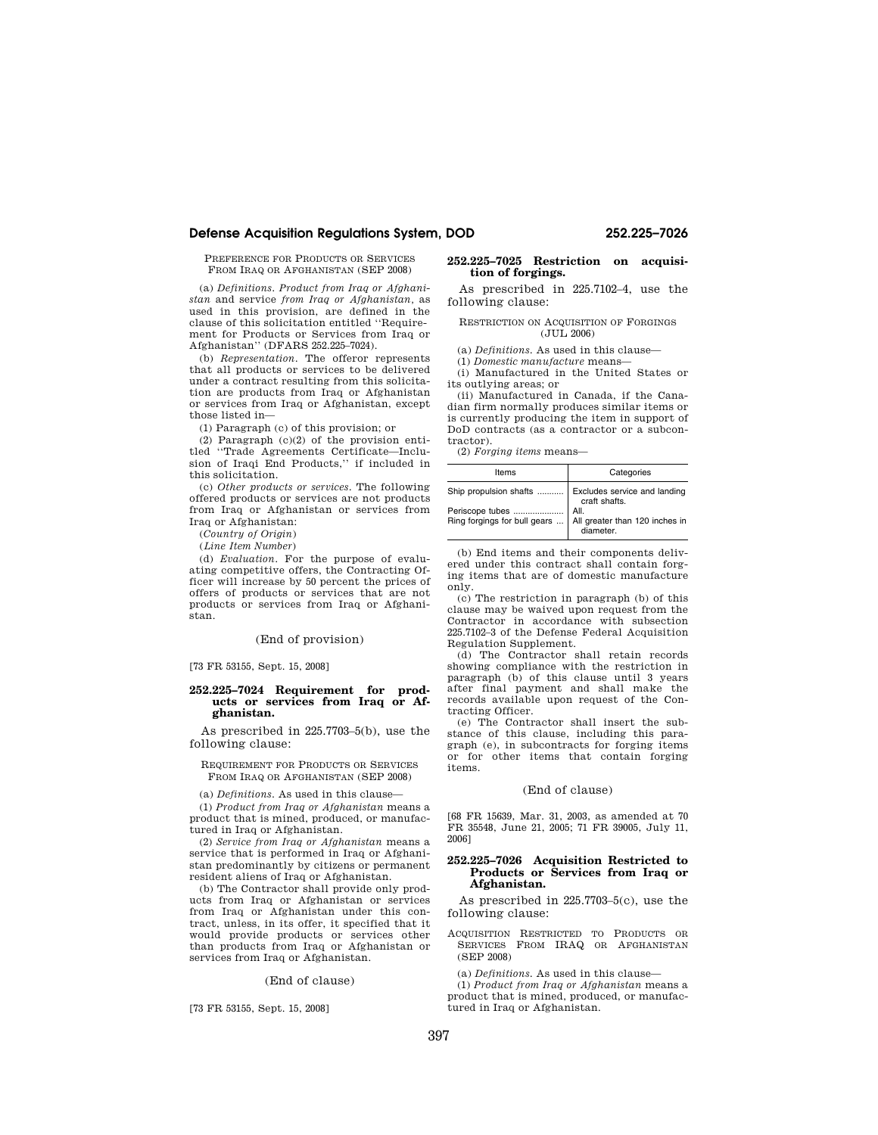PREFERENCE FOR PRODUCTS OR SERVICES FROM IRAQ OR AFGHANISTAN (SEP 2008)

(a) *Definitions. Product from Iraq or Afghanistan* and service *from Iraq or Afghanistan,* as used in this provision, are defined in the clause of this solicitation entitled ''Requirement for Products or Services from Iraq or Afghanistan'' (DFARS 252.225–7024).

(b) *Representation.* The offeror represents that all products or services to be delivered under a contract resulting from this solicitation are products from Iraq or Afghanistan or services from Iraq or Afghanistan, except those listed in—

(1) Paragraph (c) of this provision; or

(2) Paragraph (c)(2) of the provision entitled ''Trade Agreements Certificate—Inclusion of Iraqi End Products,'' if included in this solicitation.

(c) *Other products or services.* The following offered products or services are not products from Iraq or Afghanistan or services from Iraq or Afghanistan:

(*Country of Origin*)

(*Line Item Number*)

(d) *Evaluation.* For the purpose of evaluating competitive offers, the Contracting Officer will increase by 50 percent the prices of offers of products or services that are not products or services from Iraq or Afghanistan.

## (End of provision)

[73 FR 53155, Sept. 15, 2008]

## 252.225-7024 Requirement for prod**ucts or services from Iraq or Afghanistan.**

As prescribed in 225.7703–5(b), use the following clause:

## REQUIREMENT FOR PRODUCTS OR SERVICES FROM IRAQ OR AFGHANISTAN (SEP 2008)

(a) *Definitions.* As used in this clause—

(1) *Product from Iraq or Afghanistan* means a product that is mined, produced, or manufactured in Iraq or Afghanistan.

(2) *Service from Iraq or Afghanistan* means a service that is performed in Iraq or Afghanistan predominantly by citizens or permanent resident aliens of Iraq or Afghanistan.

(b) The Contractor shall provide only products from Iraq or Afghanistan or services from Iraq or Afghanistan under this contract, unless, in its offer, it specified that it would provide products or services other than products from Iraq or Afghanistan or services from Iraq or Afghanistan.

(End of clause)

## [73 FR 53155, Sept. 15, 2008]

# **252.225–7025 Restriction on acquisition of forgings.**

As prescribed in 225.7102–4, use the following clause:

## RESTRICTION ON ACQUISITION OF FORGINGS (JUL 2006)

(a) *Definitions.* As used in this clause—

(1) *Domestic manufacture* means—

(i) Manufactured in the United States or its outlying areas; or

(ii) Manufactured in Canada, if the Canadian firm normally produces similar items or is currently producing the item in support of DoD contracts (as a contractor or a subcontractor).

(2) *Forging items* means—

| Items                                                                             | Categories                                    |
|-----------------------------------------------------------------------------------|-----------------------------------------------|
| Ship propulsion shafts                                                            | Excludes service and landing<br>craft shafts. |
| Periscope tubes<br>Ring forgings for bull gears    All greater than 120 inches in | All.<br>diameter.                             |

(b) End items and their components delivered under this contract shall contain forging items that are of domestic manufacture only.

(c) The restriction in paragraph (b) of this clause may be waived upon request from the Contractor in accordance with subsection 225.7102–3 of the Defense Federal Acquisition Regulation Supplement.

(d) The Contractor shall retain records showing compliance with the restriction in paragraph (b) of this clause until 3 years after final payment and shall make the records available upon request of the Contracting Officer.

(e) The Contractor shall insert the substance of this clause, including this paragraph (e), in subcontracts for forging items or for other items that contain forging items.

## (End of clause)

[68 FR 15639, Mar. 31, 2003, as amended at 70 FR 35548, June 21, 2005; 71 FR 39005, July 11, 2006]

## **252.225–7026 Acquisition Restricted to Products or Services from Iraq or Afghanistan.**

As prescribed in 225.7703–5(c), use the following clause:

ACQUISITION RESTRICTED TO PRODUCTS OR SERVICES FROM IRAQ OR AFGHANISTAN (SEP 2008)

(a) *Definitions.* As used in this clause—

(1) *Product from Iraq or Afghanistan* means a product that is mined, produced, or manufactured in Iraq or Afghanistan.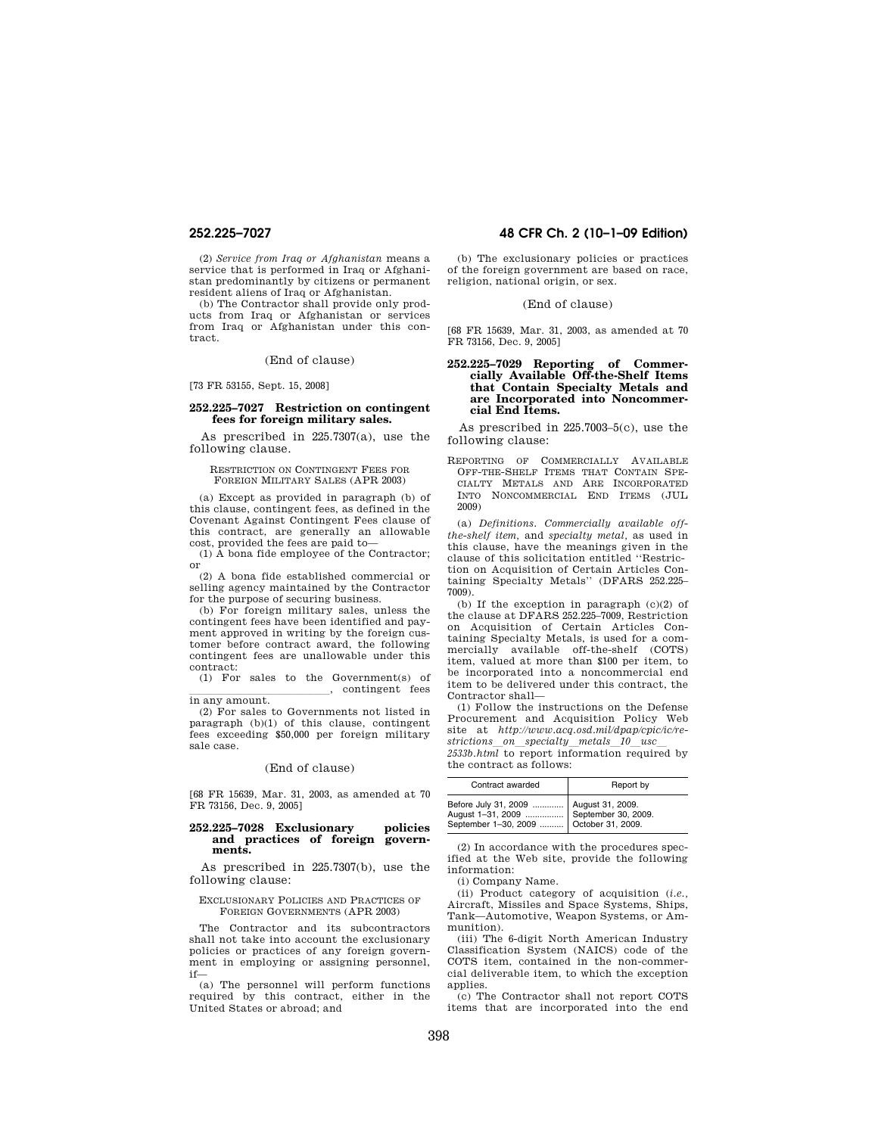(2) *Service from Iraq or Afghanistan* means a service that is performed in Iraq or Afghanistan predominantly by citizens or permanent resident aliens of Iraq or Afghanistan.

(b) The Contractor shall provide only products from Iraq or Afghanistan or services from Iraq or Afghanistan under this contract.

(End of clause)

[73 FR 53155, Sept. 15, 2008]

## **252.225–7027 Restriction on contingent fees for foreign military sales.**

As prescribed in 225.7307(a), use the following clause.

RESTRICTION ON CONTINGENT FEES FOR FOREIGN MILITARY SALES (APR 2003)

(a) Except as provided in paragraph (b) of this clause, contingent fees, as defined in the Covenant Against Contingent Fees clause of this contract, are generally an allowable cost, provided the fees are paid to—

(1) A bona fide employee of the Contractor; or

(2) A bona fide established commercial or selling agency maintained by the Contractor for the purpose of securing business.

(b) For foreign military sales, unless the contingent fees have been identified and payment approved in writing by the foreign customer before contract award, the following contingent fees are unallowable under this contract:

(1) For sales to the Government(s) of , contingent fees

in any amount.

(2) For sales to Governments not listed in paragraph (b)(1) of this clause, contingent fees exceeding \$50,000 per foreign military sale case.

## (End of clause)

[68 FR 15639, Mar. 31, 2003, as amended at 70 FR 73156, Dec. 9, 2005]

## **252.225–7028 Exclusionary policies**  and practices of foreign **ments.**

As prescribed in 225.7307(b), use the following clause:

## EXCLUSIONARY POLICIES AND PRACTICES OF FOREIGN GOVERNMENTS (APR 2003)

The Contractor and its subcontractors shall not take into account the exclusionary policies or practices of any foreign government in employing or assigning personnel, if—

(a) The personnel will perform functions required by this contract, either in the United States or abroad; and

# **252.225–7027 48 CFR Ch. 2 (10–1–09 Edition)**

(b) The exclusionary policies or practices of the foreign government are based on race, religion, national origin, or sex.

## (End of clause)

[68 FR 15639, Mar. 31, 2003, as amended at 70 FR 73156, Dec. 9, 2005]

## **252.225–7029 Reporting of Commercially Available Off-the-Shelf Items that Contain Specialty Metals and are Incorporated into Noncommercial End Items.**

As prescribed in 225.7003–5(c), use the following clause:

REPORTING OF COMMERCIALLY AVAILABLE OFF-THE-SHELF ITEMS THAT CONTAIN SPE-CIALTY METALS AND ARE INCORPORATED INTO NONCOMMERCIAL END ITEMS (JUL 2009)

(a) *Definitions. Commercially available offthe-shelf item,* and *specialty metal,* as used in this clause, have the meanings given in the clause of this solicitation entitled ''Restriction on Acquisition of Certain Articles Containing Specialty Metals'' (DFARS 252.225– 7009).

(b) If the exception in paragraph (c)(2) of the clause at DFARS 252.225–7009, Restriction on Acquisition of Certain Articles Containing Specialty Metals, is used for a commercially available off-the-shelf (COTS) item, valued at more than \$100 per item, to be incorporated into a noncommercial end item to be delivered under this contract, the Contractor shall—

(1) Follow the instructions on the Defense Procurement and Acquisition Policy Web site at *http://www.acq.osd.mil/dpap/cpic/ic/restrictions*l*on*l*specialty*l*metals*l*10*l*usc*l *2533b.html* to report information required by

the contract as follows: Contract awarded Report by

| Contract awarded                                                                                                                  | Report by |
|-----------------------------------------------------------------------------------------------------------------------------------|-----------|
| Before July 31, 2009    August 31, 2009.<br>August 1-31, 2009    September 30, 2009.<br>September 1-30, 2009    October 31, 2009. |           |

(2) In accordance with the procedures specified at the Web site, provide the following information:

(i) Company Name.

(ii) Product category of acquisition (*i.e.,*  Aircraft, Missiles and Space Systems, Ships, Tank—Automotive, Weapon Systems, or Ammunition).

(iii) The 6-digit North American Industry Classification System (NAICS) code of the COTS item, contained in the non-commercial deliverable item, to which the exception applies.

(c) The Contractor shall not report COTS items that are incorporated into the end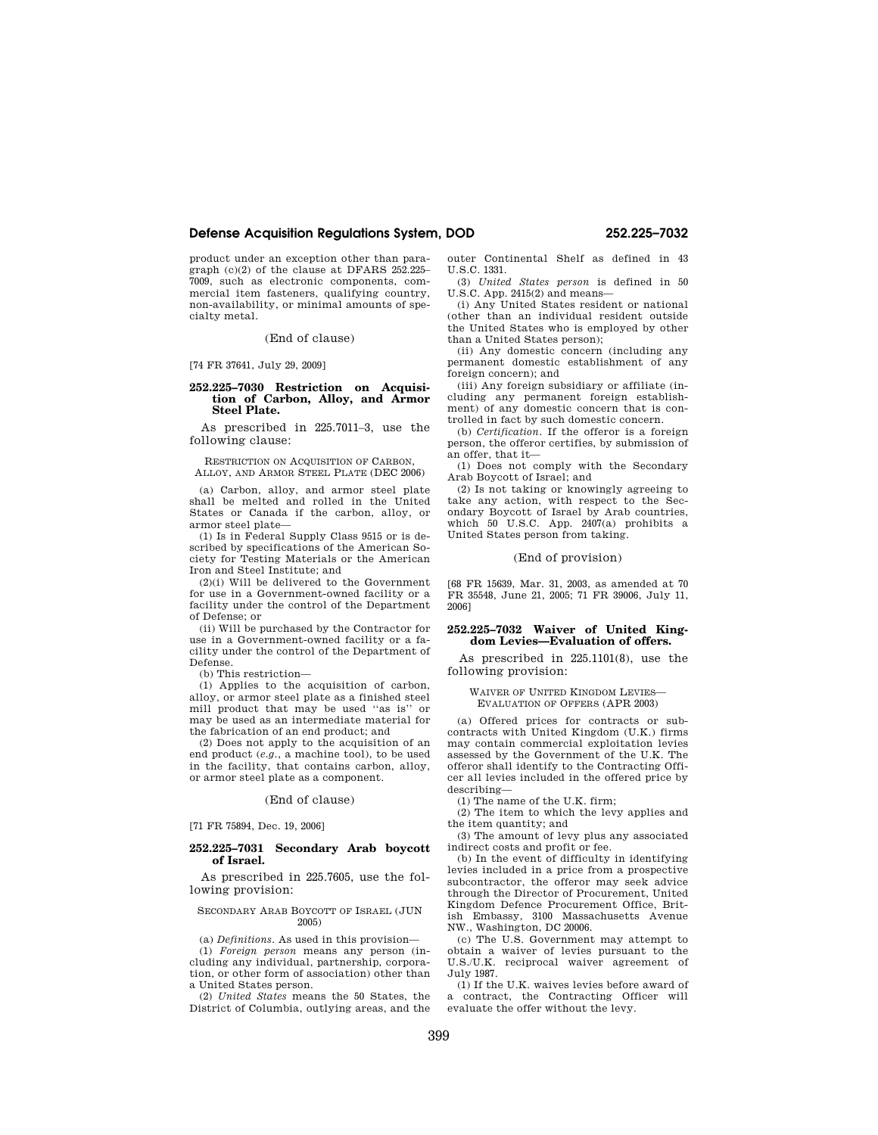product under an exception other than paragraph (c)(2) of the clause at DFARS 252.225– 7009, such as electronic components, commercial item fasteners, qualifying country, non-availability, or minimal amounts of specialty metal.

(End of clause)

[74 FR 37641, July 29, 2009]

## **252.225–7030 Restriction on Acquisition of Carbon, Alloy, and Armor Steel Plate.**

As prescribed in 225.7011–3, use the following clause:

RESTRICTION ON ACQUISITION OF CARBON,

ALLOY, AND ARMOR STEEL PLATE (DEC 2006)

(a) Carbon, alloy, and armor steel plate shall be melted and rolled in the United States or Canada if the carbon, alloy, or armor steel plate—

(1) Is in Federal Supply Class 9515 or is described by specifications of the American Society for Testing Materials or the American Iron and Steel Institute; and

(2)(i) Will be delivered to the Government for use in a Government-owned facility or a facility under the control of the Department of Defense; or

(ii) Will be purchased by the Contractor for use in a Government-owned facility or a facility under the control of the Department of Defense.

(b) This restriction—

(1) Applies to the acquisition of carbon, alloy, or armor steel plate as a finished steel mill product that may be used ''as is'' or may be used as an intermediate material for the fabrication of an end product; and

(2) Does not apply to the acquisition of an end product (*e.g.*, a machine tool), to be used in the facility, that contains carbon, alloy, or armor steel plate as a component.

#### (End of clause)

[71 FR 75894, Dec. 19, 2006]

## **252.225–7031 Secondary Arab boycott of Israel.**

As prescribed in 225.7605, use the following provision:

#### SECONDARY ARAB BOYCOTT OF ISRAEL (JUN 2005)

(a) *Definitions.* As used in this provision—

(1) *Foreign person* means any person (including any individual, partnership, corporation, or other form of association) other than a United States person.

(2) *United States* means the 50 States, the District of Columbia, outlying areas, and the outer Continental Shelf as defined in 43 U.S.C. 1331.

(3) *United States person* is defined in 50 U.S.C. App. 2415(2) and means—

(i) Any United States resident or national (other than an individual resident outside the United States who is employed by other than a United States person);

(ii) Any domestic concern (including any permanent domestic establishment of any foreign concern); and

(iii) Any foreign subsidiary or affiliate (including any permanent foreign establishment) of any domestic concern that is controlled in fact by such domestic concern.

(b) *Certification.* If the offeror is a foreign person, the offeror certifies, by submission of an offer, that it—

(1) Does not comply with the Secondary Arab Boycott of Israel; and

(2) Is not taking or knowingly agreeing to take any action, with respect to the Secondary Boycott of Israel by Arab countries, which 50 U.S.C. App. 2407(a) prohibits a United States person from taking.

## (End of provision)

[68 FR 15639, Mar. 31, 2003, as amended at 70 FR 35548, June 21, 2005; 71 FR 39006, July 11, 2006]

# **252.225–7032 Waiver of United Kingdom Levies—Evaluation of offers.**

As prescribed in 225.1101(8), use the following provision:

WAIVER OF UNITED KINGDOM LEVIES— EVALUATION OF OFFERS (APR 2003)

(a) Offered prices for contracts or subcontracts with United Kingdom (U.K.) firms may contain commercial exploitation levies assessed by the Government of the U.K. The offeror shall identify to the Contracting Officer all levies included in the offered price by describing—

(1) The name of the U.K. firm;

(2) The item to which the levy applies and the item quantity; and

(3) The amount of levy plus any associated indirect costs and profit or fee.

(b) In the event of difficulty in identifying levies included in a price from a prospective subcontractor, the offeror may seek advice through the Director of Procurement, United Kingdom Defence Procurement Office, British Embassy, 3100 Massachusetts Avenue NW., Washington, DC 20006.

(c) The U.S. Government may attempt to obtain a waiver of levies pursuant to the U.S./U.K. reciprocal waiver agreement of July 1987.

(1) If the U.K. waives levies before award of a contract, the Contracting Officer will evaluate the offer without the levy.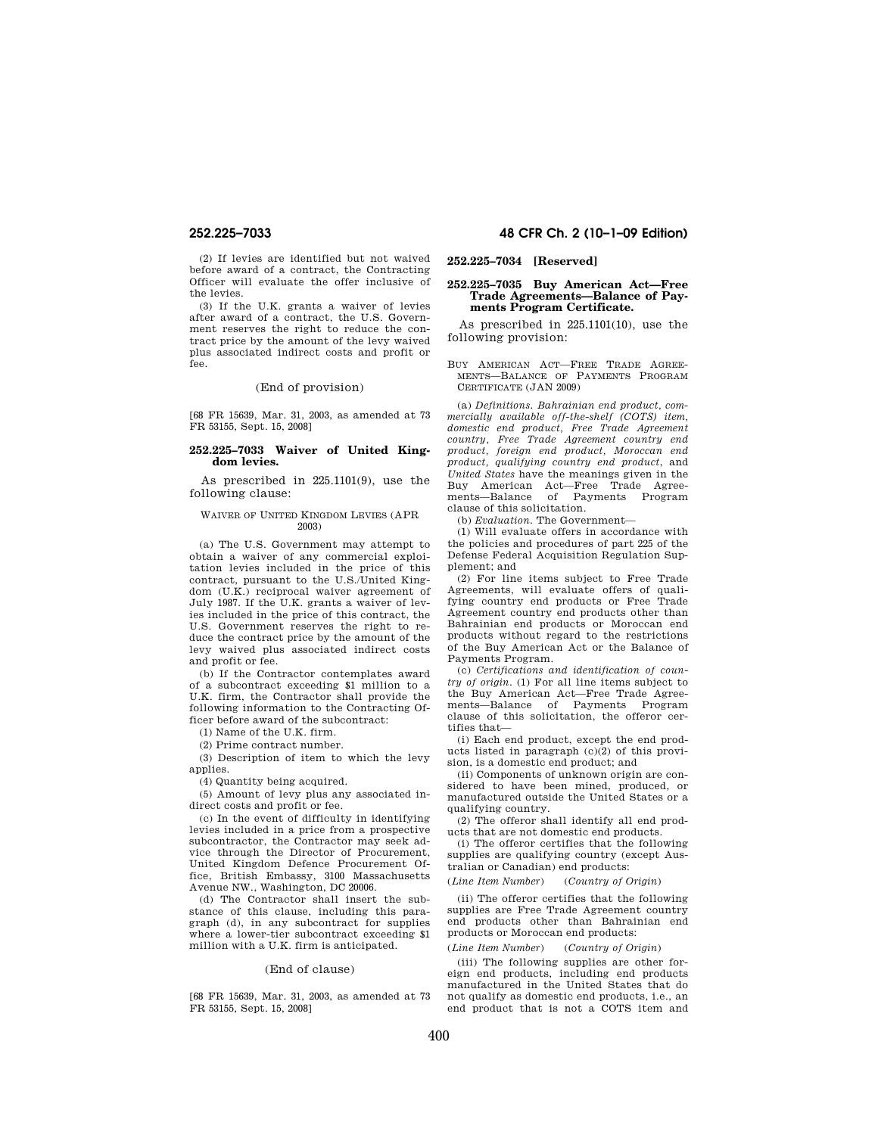(2) If levies are identified but not waived before award of a contract, the Contracting Officer will evaluate the offer inclusive of the levies.

(3) If the U.K. grants a waiver of levies after award of a contract, the U.S. Government reserves the right to reduce the contract price by the amount of the levy waived plus associated indirect costs and profit or fee.

## (End of provision)

[68 FR 15639, Mar. 31, 2003, as amended at 73 FR 53155, Sept. 15, 2008]

## **252.225–7033 Waiver of United Kingdom levies.**

As prescribed in 225.1101(9), use the following clause:

#### WAIVER OF UNITED KINGDOM LEVIES (APR 2003)

(a) The U.S. Government may attempt to obtain a waiver of any commercial exploitation levies included in the price of this contract, pursuant to the U.S./United Kingdom (U.K.) reciprocal waiver agreement of July 1987. If the U.K. grants a waiver of levies included in the price of this contract, the U.S. Government reserves the right to reduce the contract price by the amount of the levy waived plus associated indirect costs and profit or fee.

(b) If the Contractor contemplates award of a subcontract exceeding \$1 million to a U.K. firm, the Contractor shall provide the following information to the Contracting Officer before award of the subcontract:

(1) Name of the U.K. firm.

(2) Prime contract number.

(3) Description of item to which the levy applies.

(4) Quantity being acquired.

(5) Amount of levy plus any associated indirect costs and profit or fee.

(c) In the event of difficulty in identifying levies included in a price from a prospective subcontractor, the Contractor may seek advice through the Director of Procurement, United Kingdom Defence Procurement Office, British Embassy, 3100 Massachusetts Avenue NW., Washington, DC 20006.

(d) The Contractor shall insert the substance of this clause, including this paragraph (d), in any subcontract for supplies where a lower-tier subcontract exceeding \$1 million with a U.K. firm is anticipated.

# (End of clause)

[68 FR 15639, Mar. 31, 2003, as amended at 73 FR 53155, Sept. 15, 2008]

# **252.225–7033 48 CFR Ch. 2 (10–1–09 Edition)**

# **252.225–7034 [Reserved]**

## **252.225–7035 Buy American Act—Free Trade Agreements—Balance of Payments Program Certificate.**

As prescribed in 225.1101(10), use the following provision:

BUY AMERICAN ACT—FREE TRADE AGREE-MENTS—BALANCE OF PAYMENTS PROGRAM CERTIFICATE (JAN 2009)

(a) *Definitions. Bahrainian end product, commercially available off-the-shelf (COTS) item, domestic end product, Free Trade Agreement country, Free Trade Agreement country end product, foreign end product, Moroccan end product, qualifying country end product*, and *United States* have the meanings given in the Buy American Act—Free Trade Agreements—Balance of Payments Program clause of this solicitation.

(b) *Evaluation.* The Government—

(1) Will evaluate offers in accordance with the policies and procedures of part 225 of the Defense Federal Acquisition Regulation Supplement; and

(2) For line items subject to Free Trade Agreements, will evaluate offers of qualifying country end products or Free Trade Agreement country end products other than Bahrainian end products or Moroccan end products without regard to the restrictions of the Buy American Act or the Balance of Payments Program.

(c) *Certifications and identification of country of origin.* (1) For all line items subject to the Buy American Act—Free Trade Agreements—Balance of Payments Program clause of this solicitation, the offeror certifies that—

(i) Each end product, except the end products listed in paragraph (c)(2) of this provision, is a domestic end product; and

(ii) Components of unknown origin are considered to have been mined, produced, or manufactured outside the United States or a qualifying country.

(2) The offeror shall identify all end products that are not domestic end products.

(i) The offeror certifies that the following supplies are qualifying country (except Australian or Canadian) end products:

(*Line Item Number*) (*Country of Origin*)

(ii) The offeror certifies that the following supplies are Free Trade Agreement country end products other than Bahrainian end products or Moroccan end products:

(*Line Item Number*) (*Country of Origin*)

(iii) The following supplies are other foreign end products, including end products manufactured in the United States that do not qualify as domestic end products, i.e., an end product that is not a COTS item and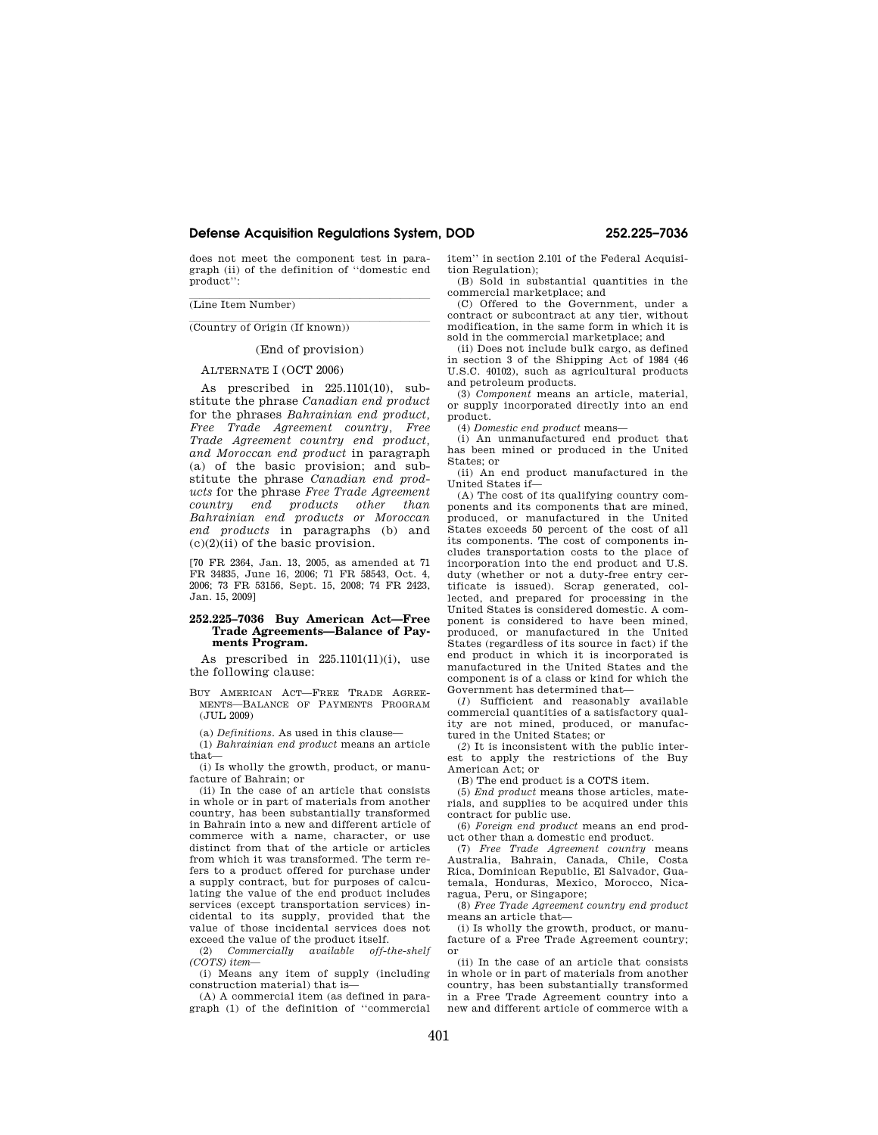does not meet the component test in paragraph (ii) of the definition of ''domestic end product'':

# (Line Item Number)

(Country of Origin (If known))

## (End of provision)

## ALTERNATE I (OCT 2006)

As prescribed in 225.1101(10), substitute the phrase *Canadian end product*  for the phrases *Bahrainian end product, Free Trade Agreement country, Free Trade Agreement country end product, and Moroccan end product* in paragraph (a) of the basic provision; and substitute the phrase *Canadian end products* for the phrase *Free Trade Agreement country end products other than Bahrainian end products or Moroccan end products* in paragraphs (b) and  $(c)(2)(ii)$  of the basic provision.

[70 FR 2364, Jan. 13, 2005, as amended at 71 FR 34835, June 16, 2006; 71 FR 58543, Oct. 4, 2006; 73 FR 53156, Sept. 15, 2008; 74 FR 2423, Jan. 15, 2009]

### **252.225–7036 Buy American Act—Free Trade Agreements—Balance of Payments Program.**

As prescribed in 225.1101(11)(i), use the following clause:

BUY AMERICAN ACT—FREE TRADE AGREE-MENTS—BALANCE OF PAYMENTS PROGRAM  $(7TTT, 2009)$ 

(a) *Definitions.* As used in this clause—

(1) *Bahrainian end product* means an article that—

(i) Is wholly the growth, product, or manufacture of Bahrain; or

(ii) In the case of an article that consists in whole or in part of materials from another country, has been substantially transformed in Bahrain into a new and different article of commerce with a name, character, or use distinct from that of the article or articles from which it was transformed. The term refers to a product offered for purchase under a supply contract, but for purposes of calculating the value of the end product includes services (except transportation services) incidental to its supply, provided that the value of those incidental services does not exceed the value of the product itself.

(2) *Commercially available off-the-shelf (COTS) item*—

(i) Means any item of supply (including construction material) that is—

(A) A commercial item (as defined in paragraph (1) of the definition of ''commercial

item'' in section 2.101 of the Federal Acquisition Regulation);

(B) Sold in substantial quantities in the commercial marketplace; and

(C) Offered to the Government, under a contract or subcontract at any tier, without modification, in the same form in which it is sold in the commercial marketplace; and

(ii) Does not include bulk cargo, as defined in section 3 of the Shipping Act of 1984 (46 U.S.C. 40102), such as agricultural products and petroleum products.

(3) *Component* means an article, material, or supply incorporated directly into an end product.

(4) *Domestic end product* means—

(i) An unmanufactured end product that has been mined or produced in the United States; or

(ii) An end product manufactured in the United States if—

(A) The cost of its qualifying country components and its components that are mined, produced, or manufactured in the United States exceeds 50 percent of the cost of all its components. The cost of components includes transportation costs to the place of incorporation into the end product and U.S. duty (whether or not a duty-free entry certificate is issued). Scrap generated, collected, and prepared for processing in the United States is considered domestic. A component is considered to have been mined, produced, or manufactured in the United States (regardless of its source in fact) if the end product in which it is incorporated is manufactured in the United States and the component is of a class or kind for which the Government has determined that—

(*1*) Sufficient and reasonably available commercial quantities of a satisfactory quality are not mined, produced, or manufactured in the United States; or

(*2*) It is inconsistent with the public interest to apply the restrictions of the Buy American Act; or

(B) The end product is a COTS item.

(5) *End product* means those articles, materials, and supplies to be acquired under this contract for public use.

(6) *Foreign end product* means an end product other than a domestic end product.

(7) *Free Trade Agreement country* means Australia, Bahrain, Canada, Chile, Costa Rica, Dominican Republic, El Salvador, Guatemala, Honduras, Mexico, Morocco, Nicaragua, Peru, or Singapore;

(8) *Free Trade Agreement country end product*  means an article that—

(i) Is wholly the growth, product, or manufacture of a Free Trade Agreement country; or

(ii) In the case of an article that consists in whole or in part of materials from another country, has been substantially transformed in a Free Trade Agreement country into a new and different article of commerce with a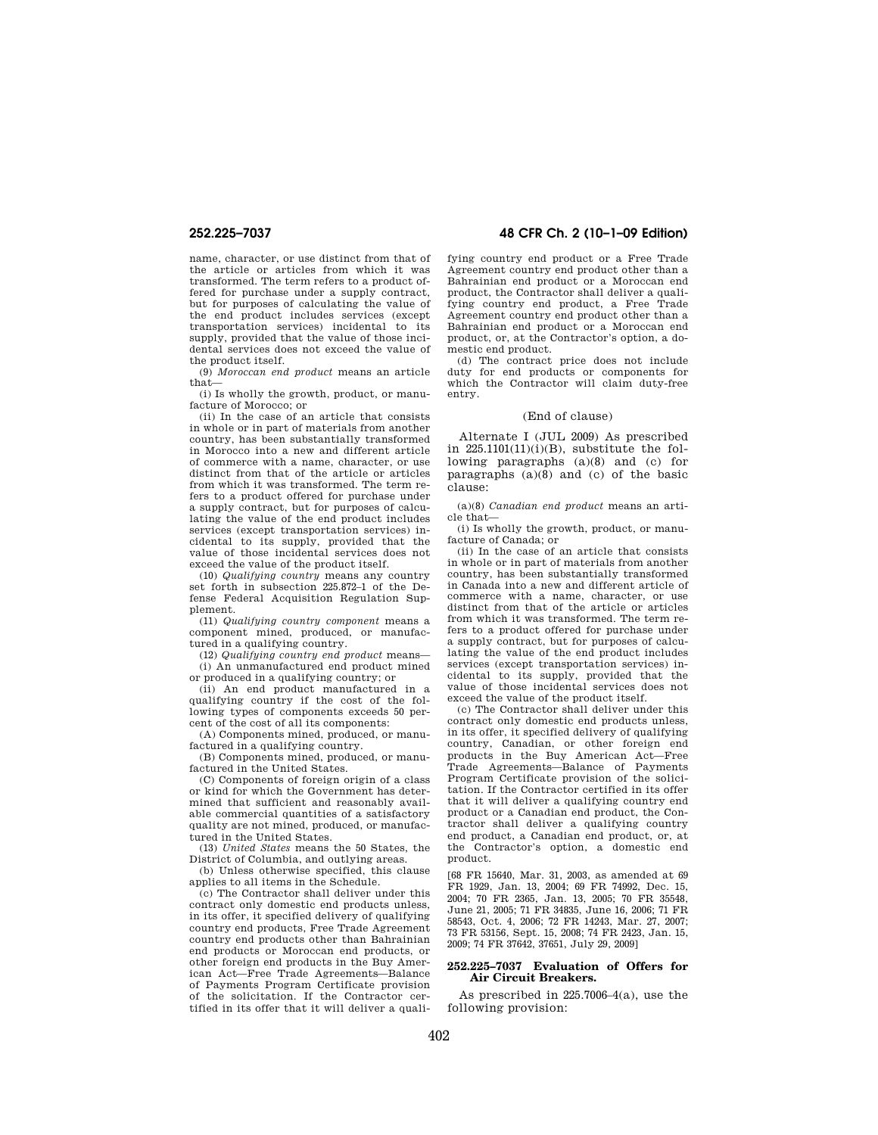name, character, or use distinct from that of the article or articles from which it was transformed. The term refers to a product offered for purchase under a supply contract, but for purposes of calculating the value of the end product includes services (except transportation services) incidental to its supply, provided that the value of those incidental services does not exceed the value of the product itself.

(9) *Moroccan end product* means an article that—

(i) Is wholly the growth, product, or manufacture of Morocco; or

(ii) In the case of an article that consists in whole or in part of materials from another country, has been substantially transformed in Morocco into a new and different article of commerce with a name, character, or use distinct from that of the article or articles from which it was transformed. The term refers to a product offered for purchase under a supply contract, but for purposes of calculating the value of the end product includes services (except transportation services) incidental to its supply, provided that the value of those incidental services does not exceed the value of the product itself.

(10) *Qualifying country* means any country set forth in subsection 225.872–1 of the Defense Federal Acquisition Regulation Supplement.

(11) *Qualifying country component* means a component mined, produced, or manufactured in a qualifying country.

(12) *Qualifying country end product* means— (i) An unmanufactured end product mined or produced in a qualifying country; or

(ii) An end product manufactured in a qualifying country if the cost of the following types of components exceeds 50 percent of the cost of all its components:

(A) Components mined, produced, or manufactured in a qualifying country.

(B) Components mined, produced, or manufactured in the United States.

(C) Components of foreign origin of a class or kind for which the Government has determined that sufficient and reasonably available commercial quantities of a satisfactory quality are not mined, produced, or manufactured in the United States.

(13) *United States* means the 50 States, the District of Columbia, and outlying areas.

(b) Unless otherwise specified, this clause applies to all items in the Schedule.

(c) The Contractor shall deliver under this contract only domestic end products unless, in its offer, it specified delivery of qualifying country end products, Free Trade Agreement country end products other than Bahrainian end products or Moroccan end products, or other foreign end products in the Buy American Act—Free Trade Agreements—Balance of Payments Program Certificate provision of the solicitation. If the Contractor certified in its offer that it will deliver a quali-

**252.225–7037 48 CFR Ch. 2 (10–1–09 Edition)** 

fying country end product or a Free Trade Agreement country end product other than a Bahrainian end product or a Moroccan end product, the Contractor shall deliver a qualifying country end product, a Free Trade Agreement country end product other than a Bahrainian end product or a Moroccan end product, or, at the Contractor's option, a domestic end product.

(d) The contract price does not include duty for end products or components for which the Contractor will claim duty-free entry.

## (End of clause)

Alternate I (JUL 2009) As prescribed in 225.1101(11)(i)(B), substitute the following paragraphs (a)(8) and (c) for paragraphs (a)(8) and (c) of the basic clause:

(a)(8) *Canadian end product* means an article that—

(i) Is wholly the growth, product, or manufacture of Canada; or

(ii) In the case of an article that consists in whole or in part of materials from another country, has been substantially transformed in Canada into a new and different article of commerce with a name, character, or use distinct from that of the article or articles from which it was transformed. The term refers to a product offered for purchase under a supply contract, but for purposes of calculating the value of the end product includes services (except transportation services) incidental to its supply, provided that the value of those incidental services does not exceed the value of the product itself.

(c) The Contractor shall deliver under this contract only domestic end products unless, in its offer, it specified delivery of qualifying country, Canadian, or other foreign end products in the Buy American Act—Free Trade Agreements—Balance of Payments Program Certificate provision of the solicitation. If the Contractor certified in its offer that it will deliver a qualifying country end product or a Canadian end product, the Contractor shall deliver a qualifying country end product, a Canadian end product, or, at the Contractor's option, a domestic end product.

[68 FR 15640, Mar. 31, 2003, as amended at 69 FR 1929, Jan. 13, 2004; 69 FR 74992, Dec. 15, 2004; 70 FR 2365, Jan. 13, 2005; 70 FR 35548, June 21, 2005; 71 FR 34835, June 16, 2006; 71 FR 58543, Oct. 4, 2006; 72 FR 14243, Mar. 27, 2007; 73 FR 53156, Sept. 15, 2008; 74 FR 2423, Jan. 15, 2009; 74 FR 37642, 37651, July 29, 2009]

# **252.225–7037 Evaluation of Offers for Air Circuit Breakers.**

As prescribed in  $225.7006-4(a)$ , use the following provision: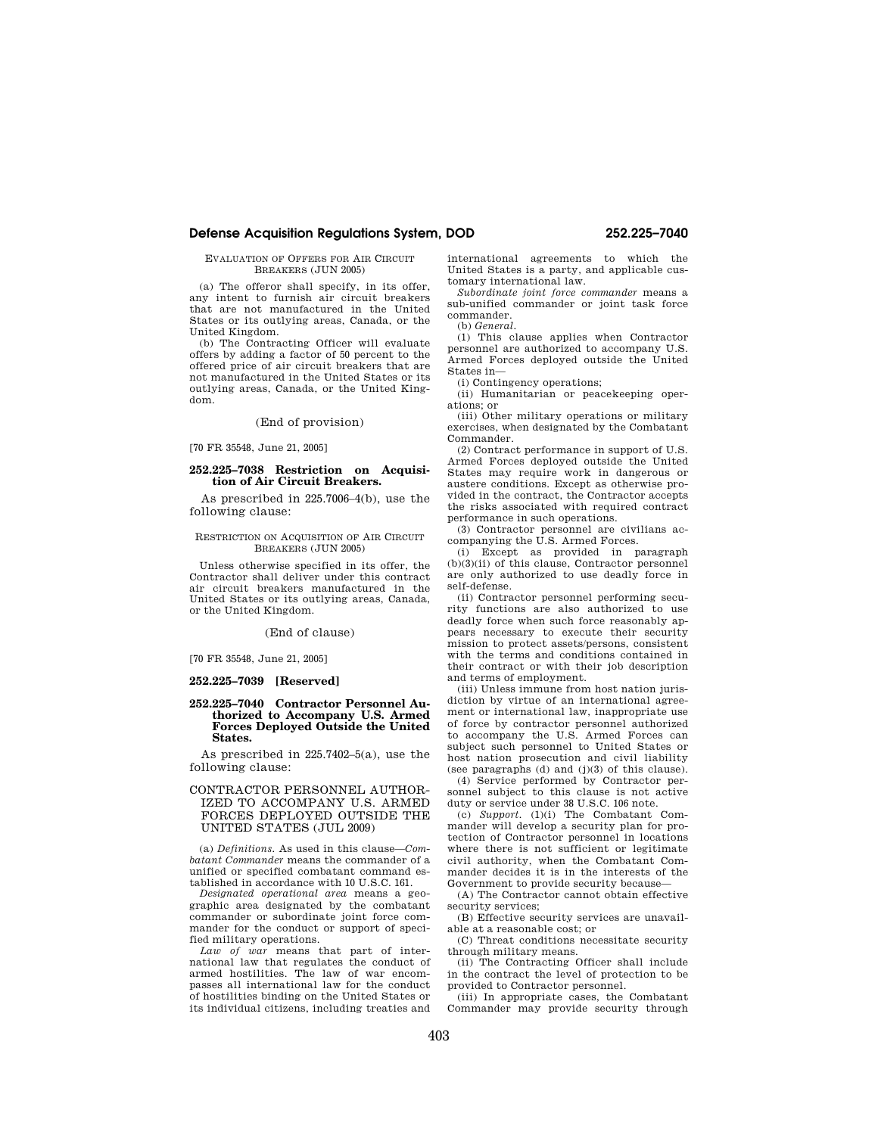## EVALUATION OF OFFERS FOR AIR CIRCUIT BREAKERS (JUN 2005)

(a) The offeror shall specify, in its offer, any intent to furnish air circuit breakers that are not manufactured in the United States or its outlying areas, Canada, or the United Kingdom.

(b) The Contracting Officer will evaluate offers by adding a factor of 50 percent to the offered price of air circuit breakers that are not manufactured in the United States or its outlying areas, Canada, or the United Kingdom.

## (End of provision)

[70 FR 35548, June 21, 2005]

## **252.225–7038 Restriction on Acquisition of Air Circuit Breakers.**

As prescribed in 225.7006–4(b), use the following clause:

## RESTRICTION ON ACQUISITION OF AIR CIRCUIT BREAKERS (JUN 2005)

Unless otherwise specified in its offer, the Contractor shall deliver under this contract air circuit breakers manufactured in the United States or its outlying areas, Canada, or the United Kingdom.

(End of clause)

[70 FR 35548, June 21, 2005]

**252.225–7039 [Reserved]** 

### **252.225–7040 Contractor Personnel Authorized to Accompany U.S. Armed Forces Deployed Outside the United States.**

As prescribed in 225.7402–5(a), use the following clause:

## CONTRACTOR PERSONNEL AUTHOR-IZED TO ACCOMPANY U.S. ARMED FORCES DEPLOYED OUTSIDE THE UNITED STATES (JUL 2009)

(a) *Definitions.* As used in this clause—*Combatant Commander* means the commander of a unified or specified combatant command established in accordance with 10 U.S.C. 161.

*Designated operational area* means a geographic area designated by the combatant commander or subordinate joint force commander for the conduct or support of specified military operations.

*Law of war* means that part of international law that regulates the conduct of armed hostilities. The law of war encompasses all international law for the conduct of hostilities binding on the United States or its individual citizens, including treaties and

international agreements to which the United States is a party, and applicable customary international law.

*Subordinate joint force commander* means a sub-unified commander or joint task force commander.

(b) *General*.

(1) This clause applies when Contractor personnel are authorized to accompany U.S. Armed Forces deployed outside the United States in—

(i) Contingency operations;

(ii) Humanitarian or peacekeeping operations; or

(iii) Other military operations or military exercises, when designated by the Combatant Commander.

(2) Contract performance in support of U.S. Armed Forces deployed outside the United States may require work in dangerous or austere conditions. Except as otherwise provided in the contract, the Contractor accepts the risks associated with required contract performance in such operations.

(3) Contractor personnel are civilians accompanying the U.S. Armed Forces.

(i) Except as provided in paragraph (b)(3)(ii) of this clause, Contractor personnel are only authorized to use deadly force in self-defense.

(ii) Contractor personnel performing security functions are also authorized to use deadly force when such force reasonably appears necessary to execute their security mission to protect assets/persons, consistent with the terms and conditions contained in their contract or with their job description and terms of employment.

(iii) Unless immune from host nation jurisdiction by virtue of an international agreement or international law, inappropriate use of force by contractor personnel authorized to accompany the U.S. Armed Forces can subject such personnel to United States or host nation prosecution and civil liability  $(see *mark* has  $(d)$  and  $(i)(3)$  of this clause).$ 

(4) Service performed by Contractor personnel subject to this clause is not active duty or service under 38 U.S.C. 106 note.

(c) *Support.* (1)(i) The Combatant Commander will develop a security plan for protection of Contractor personnel in locations where there is not sufficient or legitimate civil authority, when the Combatant Commander decides it is in the interests of the Government to provide security because—

(A) The Contractor cannot obtain effective security services;

(B) Effective security services are unavailable at a reasonable cost; or

(C) Threat conditions necessitate security through military means.

(ii) The Contracting Officer shall include in the contract the level of protection to be provided to Contractor personnel.

(iii) In appropriate cases, the Combatant Commander may provide security through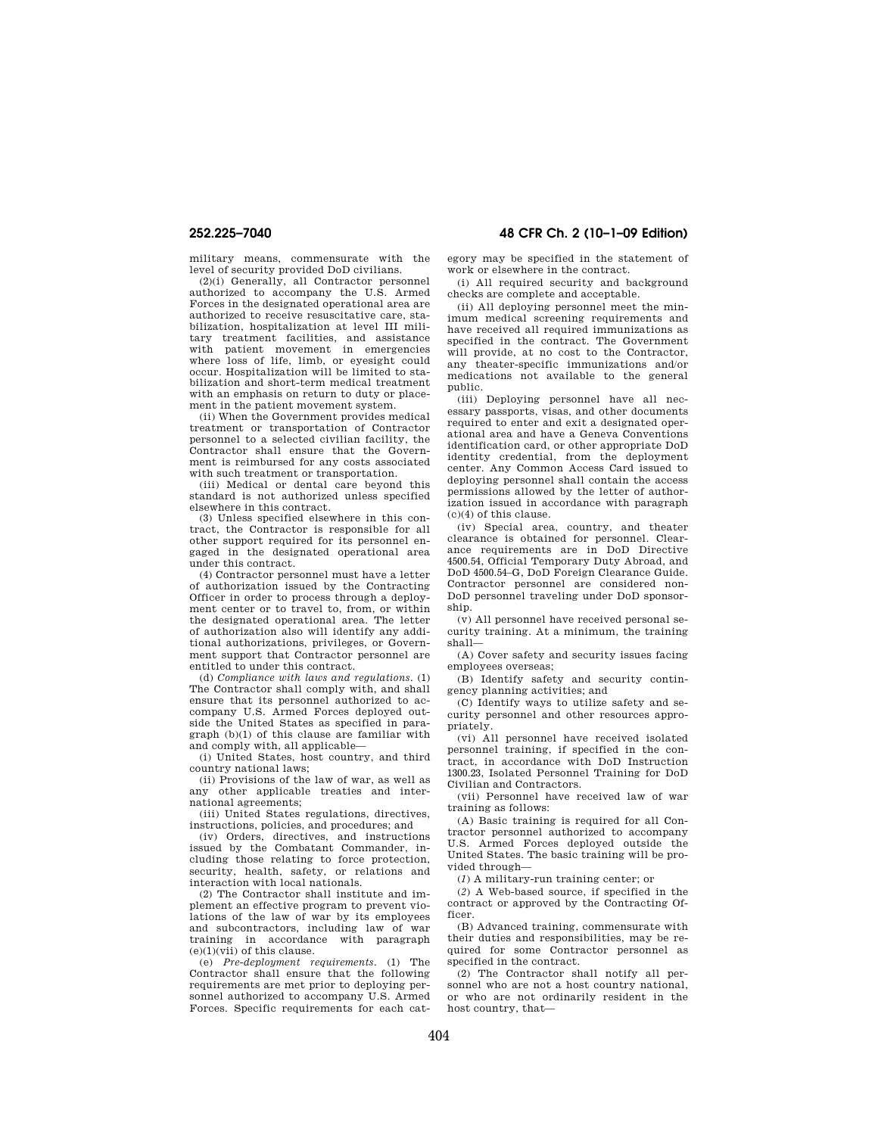military means, commensurate with the level of security provided DoD civilians.

(2)(i) Generally, all Contractor personnel authorized to accompany the U.S. Armed Forces in the designated operational area are authorized to receive resuscitative care, stabilization, hospitalization at level III military treatment facilities, and assistance with patient movement in emergencies where loss of life, limb, or eyesight could occur. Hospitalization will be limited to stabilization and short-term medical treatment with an emphasis on return to duty or placement in the patient movement system.

(ii) When the Government provides medical treatment or transportation of Contractor personnel to a selected civilian facility, the Contractor shall ensure that the Government is reimbursed for any costs associated with such treatment or transportation.

(iii) Medical or dental care beyond this standard is not authorized unless specified elsewhere in this contract.

(3) Unless specified elsewhere in this contract, the Contractor is responsible for all other support required for its personnel engaged in the designated operational area under this contract.

(4) Contractor personnel must have a letter of authorization issued by the Contracting Officer in order to process through a deployment center or to travel to, from, or within the designated operational area. The letter of authorization also will identify any additional authorizations, privileges, or Government support that Contractor personnel are entitled to under this contract.

(d) *Compliance with laws and regulations.* (1) The Contractor shall comply with, and shall ensure that its personnel authorized to accompany U.S. Armed Forces deployed outside the United States as specified in paragraph (b)(1) of this clause are familiar with and comply with, all applicable—

(i) United States, host country, and third country national laws;

(ii) Provisions of the law of war, as well as any other applicable treaties and international agreements;

(iii) United States regulations, directives, instructions, policies, and procedures; and

(iv) Orders, directives, and instructions issued by the Combatant Commander, including those relating to force protection, security, health, safety, or relations and interaction with local nationals.

(2) The Contractor shall institute and implement an effective program to prevent violations of the law of war by its employees and subcontractors, including law of war training in accordance with paragraph (e)(1)(vii) of this clause.

(e) *Pre-deployment requirements.* (1) The Contractor shall ensure that the following requirements are met prior to deploying personnel authorized to accompany U.S. Armed Forces. Specific requirements for each cat-

# **252.225–7040 48 CFR Ch. 2 (10–1–09 Edition)**

egory may be specified in the statement of work or elsewhere in the contract.

(i) All required security and background checks are complete and acceptable.

(ii) All deploying personnel meet the minimum medical screening requirements and have received all required immunizations as specified in the contract. The Government will provide, at no cost to the Contractor, any theater-specific immunizations and/or medications not available to the general public.

(iii) Deploying personnel have all necessary passports, visas, and other documents required to enter and exit a designated operational area and have a Geneva Conventions identification card, or other appropriate DoD identity credential, from the deployment center. Any Common Access Card issued to deploying personnel shall contain the access permissions allowed by the letter of authorization issued in accordance with paragraph (c)(4) of this clause.

(iv) Special area, country, and theater clearance is obtained for personnel. Clearance requirements are in DoD Directive 4500.54, Official Temporary Duty Abroad, and DoD 4500.54–G, DoD Foreign Clearance Guide. Contractor personnel are considered non-DoD personnel traveling under DoD sponsorship.

(v) All personnel have received personal security training. At a minimum, the training shall—

(A) Cover safety and security issues facing employees overseas;

(B) Identify safety and security contingency planning activities; and

(C) Identify ways to utilize safety and security personnel and other resources appropriately.

(vi) All personnel have received isolated personnel training, if specified in the contract, in accordance with DoD Instruction 1300.23, Isolated Personnel Training for DoD Civilian and Contractors.

(vii) Personnel have received law of war training as follows:

(A) Basic training is required for all Contractor personnel authorized to accompany U.S. Armed Forces deployed outside the United States. The basic training will be provided through—

(*1*) A military-run training center; or

(*2*) A Web-based source, if specified in the contract or approved by the Contracting Officer.

(B) Advanced training, commensurate with their duties and responsibilities, may be required for some Contractor personnel as specified in the contract.

(2) The Contractor shall notify all personnel who are not a host country national, or who are not ordinarily resident in the host country, that—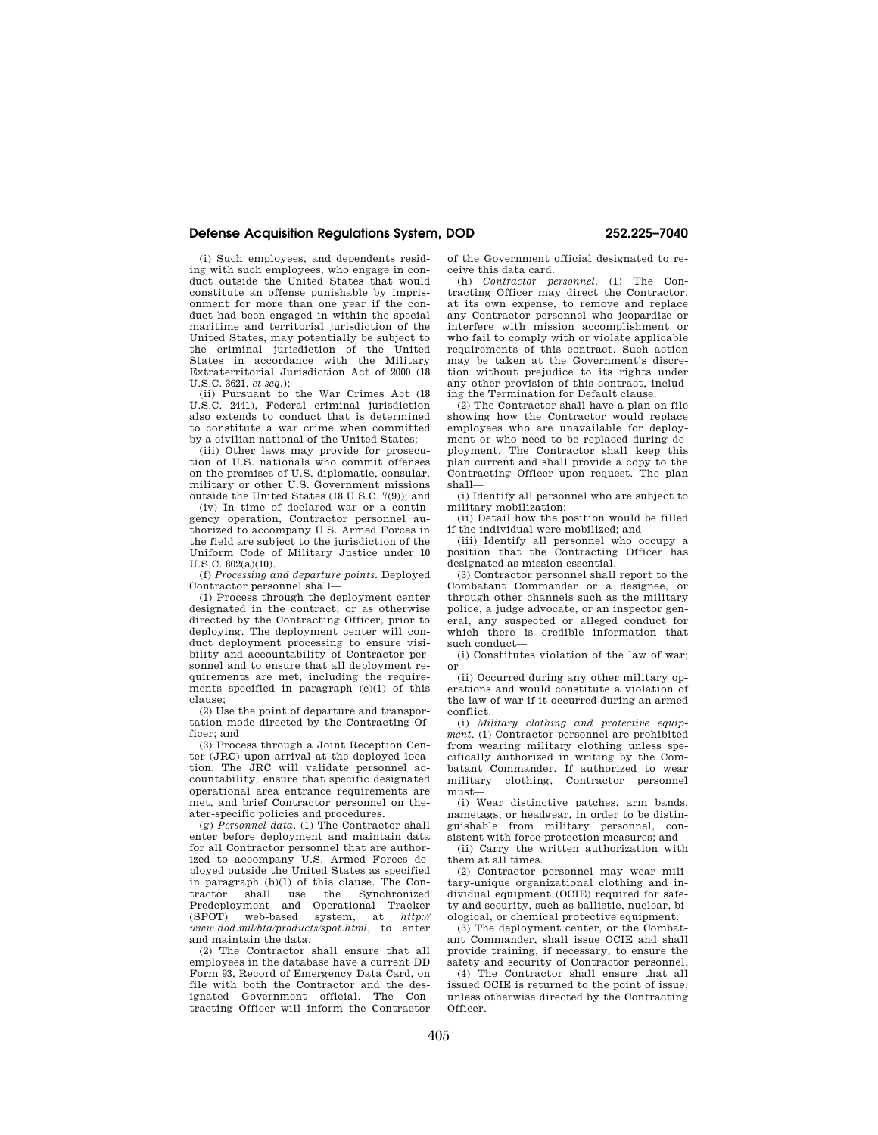(i) Such employees, and dependents residing with such employees, who engage in conduct outside the United States that would constitute an offense punishable by imprisonment for more than one year if the conduct had been engaged in within the special maritime and territorial jurisdiction of the United States, may potentially be subject to the criminal jurisdiction of the United States in accordance with the Military Extraterritorial Jurisdiction Act of 2000 (18 U.S.C. 3621, *et seq.*);

(ii) Pursuant to the War Crimes Act (18 U.S.C. 2441), Federal criminal jurisdiction also extends to conduct that is determined to constitute a war crime when committed by a civilian national of the United States;

(iii) Other laws may provide for prosecution of U.S. nationals who commit offenses on the premises of U.S. diplomatic, consular, military or other U.S. Government missions outside the United States (18 U.S.C. 7(9)); and

(iv) In time of declared war or a contingency operation, Contractor personnel authorized to accompany U.S. Armed Forces in the field are subject to the jurisdiction of the Uniform Code of Military Justice under 10 U.S.C. 802(a)(10).

(f) *Processing and departure points.* Deployed Contractor personnel shall—

(1) Process through the deployment center designated in the contract, or as otherwise directed by the Contracting Officer, prior to deploying. The deployment center will conduct deployment processing to ensure visibility and accountability of Contractor personnel and to ensure that all deployment requirements are met, including the requirements specified in paragraph (e)(1) of this clause;

(2) Use the point of departure and transportation mode directed by the Contracting Officer; and

(3) Process through a Joint Reception Center (JRC) upon arrival at the deployed location. The JRC will validate personnel accountability, ensure that specific designated operational area entrance requirements are met, and brief Contractor personnel on theater-specific policies and procedures.

(g) *Personnel data.* (1) The Contractor shall enter before deployment and maintain data for all Contractor personnel that are authorized to accompany U.S. Armed Forces deployed outside the United States as specified in paragraph (b)(1) of this clause. The Contractor shall use the Synchronized Predeployment and Operational Tracker (SPOT) web-based system, at *http:// www.dod.mil/bta/products/spot.html*, to enter and maintain the data.

(2) The Contractor shall ensure that all employees in the database have a current DD Form 93, Record of Emergency Data Card, on file with both the Contractor and the designated Government official. The Contracting Officer will inform the Contractor of the Government official designated to receive this data card.

(h) *Contractor personnel.* (1) The Con-tracting Officer may direct the Contractor, at its own expense, to remove and replace any Contractor personnel who jeopardize or interfere with mission accomplishment or who fail to comply with or violate applicable requirements of this contract. Such action may be taken at the Government's discretion without prejudice to its rights under any other provision of this contract, including the Termination for Default clause.

(2) The Contractor shall have a plan on file showing how the Contractor would replace employees who are unavailable for deployment or who need to be replaced during deployment. The Contractor shall keep this plan current and shall provide a copy to the Contracting Officer upon request. The plan shall—

(i) Identify all personnel who are subject to military mobilization;

(ii) Detail how the position would be filled if the individual were mobilized; and

(iii) Identify all personnel who occupy a position that the Contracting Officer has designated as mission essential.

(3) Contractor personnel shall report to the Combatant Commander or a designee, or through other channels such as the military police, a judge advocate, or an inspector general, any suspected or alleged conduct for which there is credible information that such conduct—

(i) Constitutes violation of the law of war; or

(ii) Occurred during any other military operations and would constitute a violation of the law of war if it occurred during an armed conflict.

(i) *Military clothing and protective equipment.* (1) Contractor personnel are prohibited from wearing military clothing unless specifically authorized in writing by the Combatant Commander. If authorized to wear<br>military clothing, Contractor personnel clothing, Contractor personnel must—

(i) Wear distinctive patches, arm bands, nametags, or headgear, in order to be distinguishable from military personnel, consistent with force protection measures; and

(ii) Carry the written authorization with them at all times.

(2) Contractor personnel may wear military-unique organizational clothing and individual equipment (OCIE) required for safety and security, such as ballistic, nuclear, biological, or chemical protective equipment.

(3) The deployment center, or the Combatant Commander, shall issue OCIE and shall provide training, if necessary, to ensure the safety and security of Contractor personnel.

(4) The Contractor shall ensure that all issued OCIE is returned to the point of issue, unless otherwise directed by the Contracting Officer.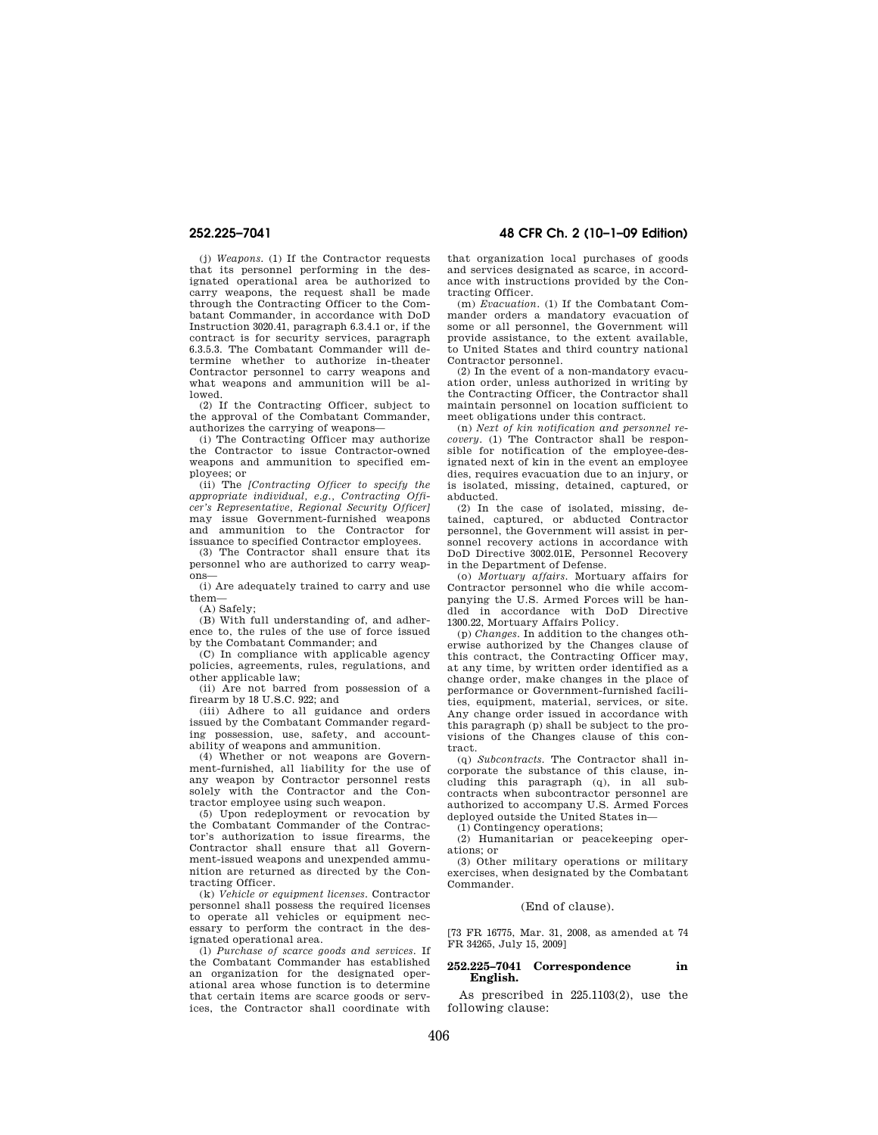(j) *Weapons.* (1) If the Contractor requests that its personnel performing in the designated operational area be authorized to carry weapons, the request shall be made through the Contracting Officer to the Combatant Commander, in accordance with DoD Instruction 3020.41, paragraph 6.3.4.1 or, if the contract is for security services, paragraph 6.3.5.3. The Combatant Commander will determine whether to authorize in-theater Contractor personnel to carry weapons and what weapons and ammunition will be allowed.

(2) If the Contracting Officer, subject to the approval of the Combatant Commander, authorizes the carrying of weapons—

(i) The Contracting Officer may authorize the Contractor to issue Contractor-owned weapons and ammunition to specified employees; or

(ii) The *[Contracting Officer to specify the appropriate individual, e.g., Contracting Officer's Representative, Regional Security Officer]*  may issue Government-furnished weapons<br>and ammunition to the Contractor for ammunition to the Contractor issuance to specified Contractor employees.

(3) The Contractor shall ensure that its personnel who are authorized to carry weapons—

(i) Are adequately trained to carry and use them—

(A) Safely;

(B) With full understanding of, and adherence to, the rules of the use of force issued by the Combatant Commander; and

(C) In compliance with applicable agency policies, agreements, rules, regulations, and other applicable law;

(ii) Are not barred from possession of a firearm by 18 U.S.C. 922; and

(iii) Adhere to all guidance and orders issued by the Combatant Commander regarding possession, use, safety, and accountability of weapons and ammunition.

(4) Whether or not weapons are Government-furnished, all liability for the use of any weapon by Contractor personnel rests solely with the Contractor and the Contractor employee using such weapon.

(5) Upon redeployment or revocation by the Combatant Commander of the Contractor's authorization to issue firearms, the Contractor shall ensure that all Government-issued weapons and unexpended ammunition are returned as directed by the Contracting Officer.

(k) *Vehicle or equipment licenses.* Contractor personnel shall possess the required licenses to operate all vehicles or equipment necessary to perform the contract in the designated operational area.

(l) *Purchase of scarce goods and services.* If the Combatant Commander has established an organization for the designated operational area whose function is to determine that certain items are scarce goods or services, the Contractor shall coordinate with

# **252.225–7041 48 CFR Ch. 2 (10–1–09 Edition)**

that organization local purchases of goods and services designated as scarce, in accordance with instructions provided by the Contracting Officer.

(m) *Evacuation.* (1) If the Combatant Commander orders a mandatory evacuation of some or all personnel, the Government will provide assistance, to the extent available, to United States and third country national Contractor personnel.

(2) In the event of a non-mandatory evacuation order, unless authorized in writing by the Contracting Officer, the Contractor shall maintain personnel on location sufficient to meet obligations under this contract.

(n) *Next of kin notification and personnel recovery.* (1) The Contractor shall be responsible for notification of the employee-designated next of kin in the event an employee dies, requires evacuation due to an injury, or is isolated, missing, detained, captured, or abducted.

(2) In the case of isolated, missing, detained, captured, or abducted Contractor personnel, the Government will assist in personnel recovery actions in accordance with DoD Directive 3002.01E, Personnel Recovery in the Department of Defense.

(o) *Mortuary affairs.* Mortuary affairs for Contractor personnel who die while accompanying the U.S. Armed Forces will be handled in accordance with DoD Directive 1300.22, Mortuary Affairs Policy.

(p) *Changes.* In addition to the changes otherwise authorized by the Changes clause of this contract, the Contracting Officer may, at any time, by written order identified as a change order, make changes in the place of performance or Government-furnished facilities, equipment, material, services, or site. Any change order issued in accordance with this paragraph (p) shall be subject to the provisions of the Changes clause of this contract.

(q) *Subcontracts.* The Contractor shall incorporate the substance of this clause, including this paragraph (q), in all subcontracts when subcontractor personnel are authorized to accompany U.S. Armed Forces deployed outside the United States in—

(1) Contingency operations;

(2) Humanitarian or peacekeeping operations; or

(3) Other military operations or military exercises, when designated by the Combatant Commander.

### (End of clause).

[73 FR 16775, Mar. 31, 2008, as amended at 74 FR 34265, July 15, 2009]

# **252.225–7041 Correspondence in English.**

As prescribed in 225.1103(2), use the following clause: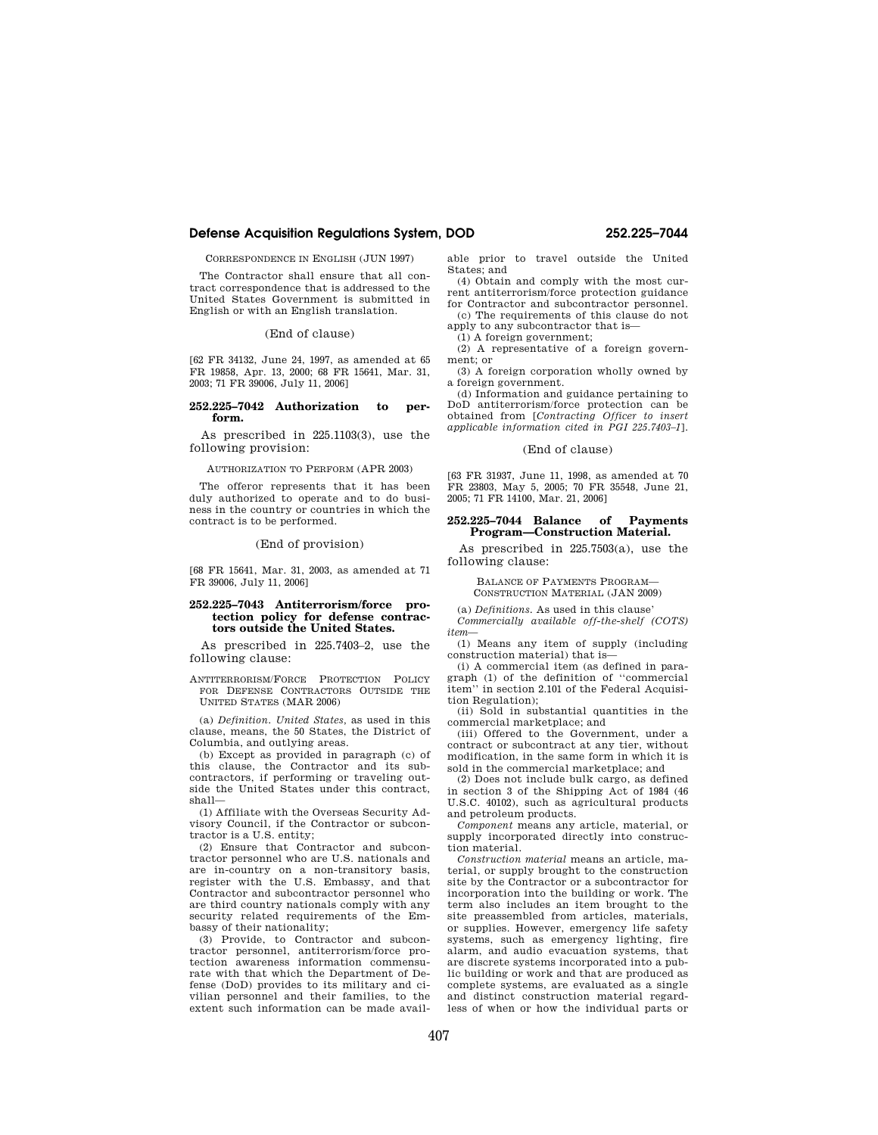CORRESPONDENCE IN ENGLISH (JUN 1997)

The Contractor shall ensure that all contract correspondence that is addressed to the United States Government is submitted in English or with an English translation.

(End of clause)

[62 FR 34132, June 24, 1997, as amended at 65 FR 19858, Apr. 13, 2000; 68 FR 15641, Mar. 31, 2003; 71 FR 39006, July 11, 2006]

# **252.225–7042 Authorization to perform.**

As prescribed in 225.1103(3), use the following provision:

AUTHORIZATION TO PERFORM (APR 2003)

The offeror represents that it has been duly authorized to operate and to do business in the country or countries in which the contract is to be performed.

(End of provision)

[68 FR 15641, Mar. 31, 2003, as amended at 71 FR 39006, July 11, 2006]

# **252.225–7043 Antiterrorism/force protection policy for defense contractors outside the United States.**

As prescribed in 225.7403–2, use the following clause:

# ANTITERRORISM/FORCE PROTECTION POLICY FOR DEFENSE CONTRACTORS OUTSIDE THE UNITED STATES (MAR 2006)

(a) *Definition. United States,* as used in this clause, means, the 50 States, the District of Columbia, and outlying areas.

(b) Except as provided in paragraph (c) of this clause, the Contractor and its subcontractors, if performing or traveling outside the United States under this contract, shall—

(1) Affiliate with the Overseas Security Advisory Council, if the Contractor or subcontractor is a U.S. entity;

(2) Ensure that Contractor and subcontractor personnel who are U.S. nationals and are in-country on a non-transitory basis, register with the U.S. Embassy, and that Contractor and subcontractor personnel who are third country nationals comply with any security related requirements of the Embassy of their nationality;

(3) Provide, to Contractor and subcontractor personnel, antiterrorism/force protection awareness information commensurate with that which the Department of Defense (DoD) provides to its military and civilian personnel and their families, to the extent such information can be made available prior to travel outside the United States; and (4) Obtain and comply with the most cur-

rent antiterrorism/force protection guidance for Contractor and subcontractor personnel. (c) The requirements of this clause do not

apply to any subcontractor that is— (1) A foreign government;

(2) A representative of a foreign government; or

(3) A foreign corporation wholly owned by a foreign government.

(d) Information and guidance pertaining to DoD antiterrorism/force protection can be obtained from [*Contracting Officer to insert applicable information cited in PGI 225.7403–1*].

# (End of clause)

[63 FR 31937, June 11, 1998, as amended at 70 FR 23803, May 5, 2005; 70 FR 35548, June 21, 2005; 71 FR 14100, Mar. 21, 2006]

## **252.225–7044 Balance of Payments Program—Construction Material.**

As prescribed in 225.7503(a), use the following clause:

> BALANCE OF PAYMENTS PROGRAM— CONSTRUCTION MATERIAL (JAN 2009)

(a) *Definitions.* As used in this clause' *Commercially available off-the-shelf (COTS) item*—

(1) Means any item of supply (including construction material) that is—

(i) A commercial item (as defined in paragraph (1) of the definition of ''commercial item'' in section 2.101 of the Federal Acquisition Regulation);

(ii) Sold in substantial quantities in the commercial marketplace; and

(iii) Offered to the Government, under a contract or subcontract at any tier, without modification, in the same form in which it is sold in the commercial marketplace; and

(2) Does not include bulk cargo, as defined in section 3 of the Shipping Act of 1984 (46 U.S.C. 40102), such as agricultural products and petroleum products.

*Component* means any article, material, or supply incorporated directly into construction material.

*Construction material* means an article, material, or supply brought to the construction site by the Contractor or a subcontractor for incorporation into the building or work. The term also includes an item brought to the site preassembled from articles, materials, or supplies. However, emergency life safety systems, such as emergency lighting, fire alarm, and audio evacuation systems, that are discrete systems incorporated into a public building or work and that are produced as complete systems, are evaluated as a single and distinct construction material regardless of when or how the individual parts or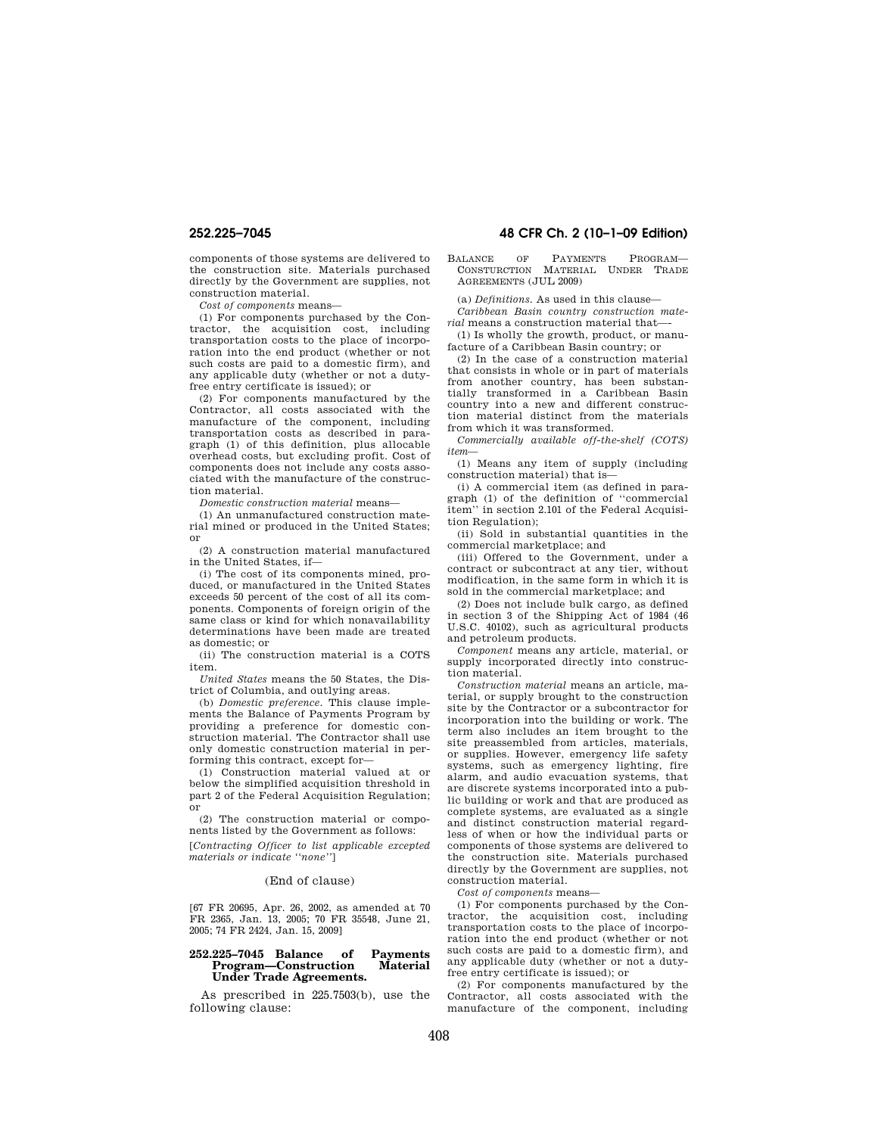components of those systems are delivered to the construction site. Materials purchased directly by the Government are supplies, not construction material.

*Cost of components* means—

(1) For components purchased by the Contractor, the acquisition cost, including transportation costs to the place of incorporation into the end product (whether or not such costs are paid to a domestic firm), and any applicable duty (whether or not a dutyfree entry certificate is issued); or

(2) For components manufactured by the Contractor, all costs associated with the manufacture of the component, including transportation costs as described in paragraph (1) of this definition, plus allocable overhead costs, but excluding profit. Cost of components does not include any costs associated with the manufacture of the construction material.

*Domestic construction material* means—

(1) An unmanufactured construction material mined or produced in the United States; or

(2) A construction material manufactured in the United States, if—

(i) The cost of its components mined, produced, or manufactured in the United States exceeds 50 percent of the cost of all its components. Components of foreign origin of the same class or kind for which nonavailability determinations have been made are treated as domestic; or

(ii) The construction material is a COTS item.

*United States* means the 50 States, the District of Columbia, and outlying areas.

(b) *Domestic preference.* This clause implements the Balance of Payments Program by providing a preference for domestic construction material. The Contractor shall use only domestic construction material in performing this contract, except for—

(1) Construction material valued at or below the simplified acquisition threshold in part 2 of the Federal Acquisition Regulation; or

(2) The construction material or components listed by the Government as follows:

[*Contracting Officer to list applicable excepted materials or indicate ''none''*]

# (End of clause)

[67 FR 20695, Apr. 26, 2002, as amended at 70 FR 2365, Jan. 13, 2005; 70 FR 35548, June 21, 2005; 74 FR 2424, Jan. 15, 2009]

# **252.225–7045 Balance of Payments Program—Construction Under Trade Agreements.**

As prescribed in 225.7503(b), use the following clause:

# **252.225–7045 48 CFR Ch. 2 (10–1–09 Edition)**

BALANCE OF PAYMENTS PROGRAM— CONSTURCTION MATERIAL UNDER TRADE AGREEMENTS (JUL 2009)

(a) *Definitions.* As used in this clause—

*Caribbean Basin country construction material* means a construction material that—

(1) Is wholly the growth, product, or manufacture of a Caribbean Basin country; or

(2) In the case of a construction material that consists in whole or in part of materials from another country, has been substantially transformed in a Caribbean Basin country into a new and different construction material distinct from the materials from which it was transformed.

*Commercially available off-the-shelf (COTS) item*—

(1) Means any item of supply (including construction material) that is—

(i) A commercial item (as defined in paragraph (1) of the definition of ''commercial item'' in section 2.101 of the Federal Acquisition Regulation);

(ii) Sold in substantial quantities in the commercial marketplace; and

(iii) Offered to the Government, under a contract or subcontract at any tier, without modification, in the same form in which it is sold in the commercial marketplace; and

(2) Does not include bulk cargo, as defined in section 3 of the Shipping Act of 1984 (46 U.S.C. 40102), such as agricultural products and petroleum products.

*Component* means any article, material, or supply incorporated directly into construction material.

*Construction material* means an article, material, or supply brought to the construction site by the Contractor or a subcontractor for incorporation into the building or work. The term also includes an item brought to the site preassembled from articles, materials, or supplies. However, emergency life safety systems, such as emergency lighting, fire alarm, and audio evacuation systems, that are discrete systems incorporated into a public building or work and that are produced as complete systems, are evaluated as a single and distinct construction material regardless of when or how the individual parts or components of those systems are delivered to the construction site. Materials purchased directly by the Government are supplies, not construction material.

*Cost of components* means—

(1) For components purchased by the Contractor, the acquisition cost, including transportation costs to the place of incorporation into the end product (whether or not such costs are paid to a domestic firm), and any applicable duty (whether or not a dutyfree entry certificate is issued); or

(2) For components manufactured by the Contractor, all costs associated with the manufacture of the component, including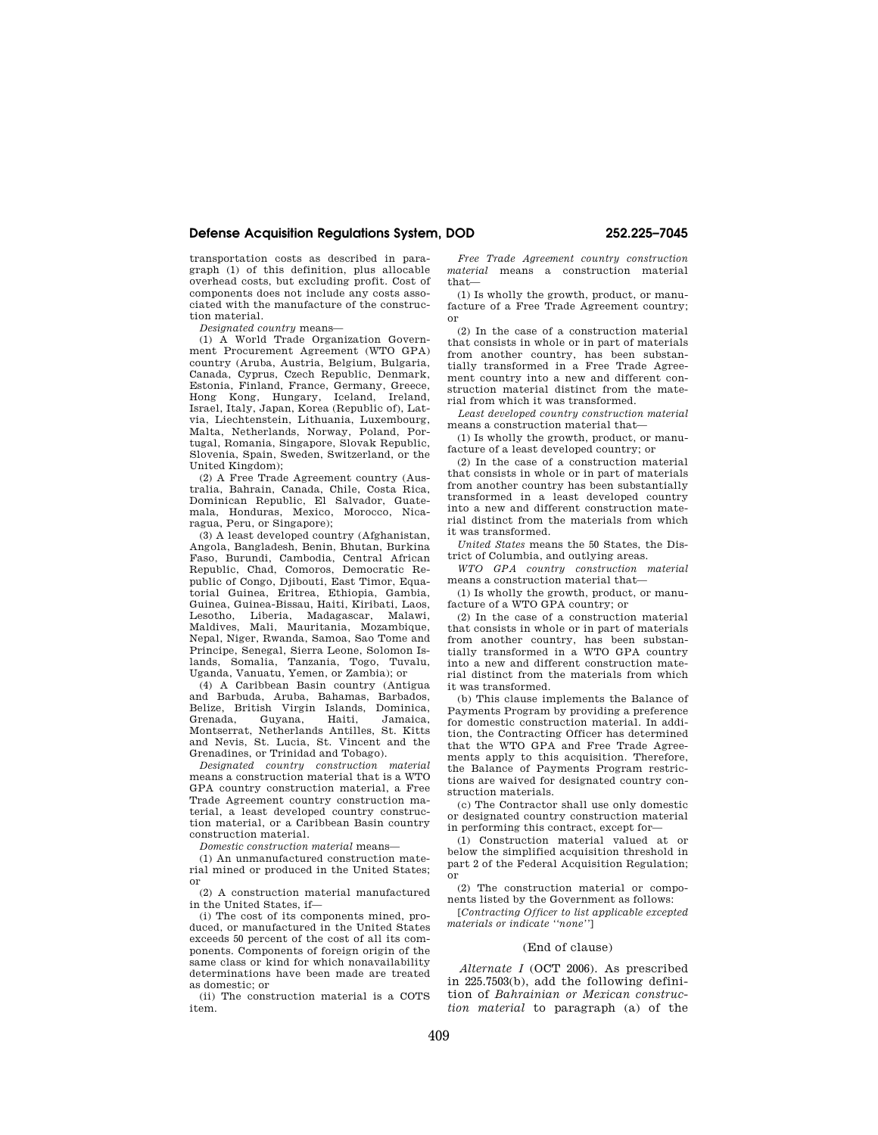transportation costs as described in paragraph (1) of this definition, plus allocable overhead costs, but excluding profit. Cost of components does not include any costs associated with the manufacture of the construction material.

*Designated country* means—

(1) A World Trade Organization Government Procurement Agreement (WTO GPA) country (Aruba, Austria, Belgium, Bulgaria, Canada, Cyprus, Czech Republic, Denmark, Estonia, Finland, France, Germany, Greece, Hong Kong, Hungary, Iceland, Ireland, Israel, Italy, Japan, Korea (Republic of), Latvia, Liechtenstein, Lithuania, Luxembourg, Malta, Netherlands, Norway, Poland, Portugal, Romania, Singapore, Slovak Republic, Slovenia, Spain, Sweden, Switzerland, or the United Kingdom);

(2) A Free Trade Agreement country (Australia, Bahrain, Canada, Chile, Costa Rica, Dominican Republic, El Salvador, Guatemala, Honduras, Mexico, Morocco, Nicaragua, Peru, or Singapore);

(3) A least developed country (Afghanistan, Angola, Bangladesh, Benin, Bhutan, Burkina Faso, Burundi, Cambodia, Central African Republic, Chad, Comoros, Democratic Republic of Congo, Djibouti, East Timor, Equatorial Guinea, Eritrea, Ethiopia, Gambia, Guinea, Guinea-Bissau, Haiti, Kiribati, Laos, Lesotho, Liberia, Madagascar, Malawi, Maldives, Mali, Mauritania, Mozambique, Nepal, Niger, Rwanda, Samoa, Sao Tome and Principe, Senegal, Sierra Leone, Solomon Islands, Somalia, Tanzania, Togo, Tuvalu, Uganda, Vanuatu, Yemen, or Zambia); or

(4) A Caribbean Basin country (Antigua and Barbuda, Aruba, Bahamas, Barbados, Belize, British Virgin Islands, Dominica, Grenada, Guyana, Haiti, Jamaica, Montserrat, Netherlands Antilles, St. Kitts and Nevis, St. Lucia, St. Vincent and the Grenadines, or Trinidad and Tobago).

*Designated country construction material*  means a construction material that is a WTO GPA country construction material, a Free Trade Agreement country construction material, a least developed country construction material, or a Caribbean Basin country construction material.

*Domestic construction material* means—

(1) An unmanufactured construction material mined or produced in the United States; or

(2) A construction material manufactured in the United States, if—

(i) The cost of its components mined, produced, or manufactured in the United States exceeds 50 percent of the cost of all its components. Components of foreign origin of the same class or kind for which nonavailability determinations have been made are treated as domestic; or

(ii) The construction material is a COTS item.

*Free Trade Agreement country construction material* means a construction material that—

(1) Is wholly the growth, product, or manufacture of a Free Trade Agreement country; or

(2) In the case of a construction material that consists in whole or in part of materials from another country, has been substantially transformed in a Free Trade Agreement country into a new and different construction material distinct from the material from which it was transformed.

*Least developed country construction material*  means a construction material that—

(1) Is wholly the growth, product, or manufacture of a least developed country; or

(2) In the case of a construction material that consists in whole or in part of materials from another country has been substantially transformed in a least developed country into a new and different construction material distinct from the materials from which it was transformed.

*United States* means the 50 States, the District of Columbia, and outlying areas.

*WTO GPA country construction material*  means a construction material that—

(1) Is wholly the growth, product, or manufacture of a WTO GPA country; or

(2) In the case of a construction material that consists in whole or in part of materials from another country, has been substantially transformed in a WTO GPA country into a new and different construction material distinct from the materials from which it was transformed.

(b) This clause implements the Balance of Payments Program by providing a preference for domestic construction material. In addition, the Contracting Officer has determined that the WTO GPA and Free Trade Agreements apply to this acquisition. Therefore, the Balance of Payments Program restrictions are waived for designated country construction materials.

(c) The Contractor shall use only domestic or designated country construction material in performing this contract, except for—

(1) Construction material valued at or below the simplified acquisition threshold in part 2 of the Federal Acquisition Regulation; or

(2) The construction material or components listed by the Government as follows:

[*Contracting Officer to list applicable excepted materials or indicate ''none''*]

# (End of clause)

*Alternate I* (OCT 2006). As prescribed in 225.7503(b), add the following definition of *Bahrainian or Mexican construction material* to paragraph (a) of the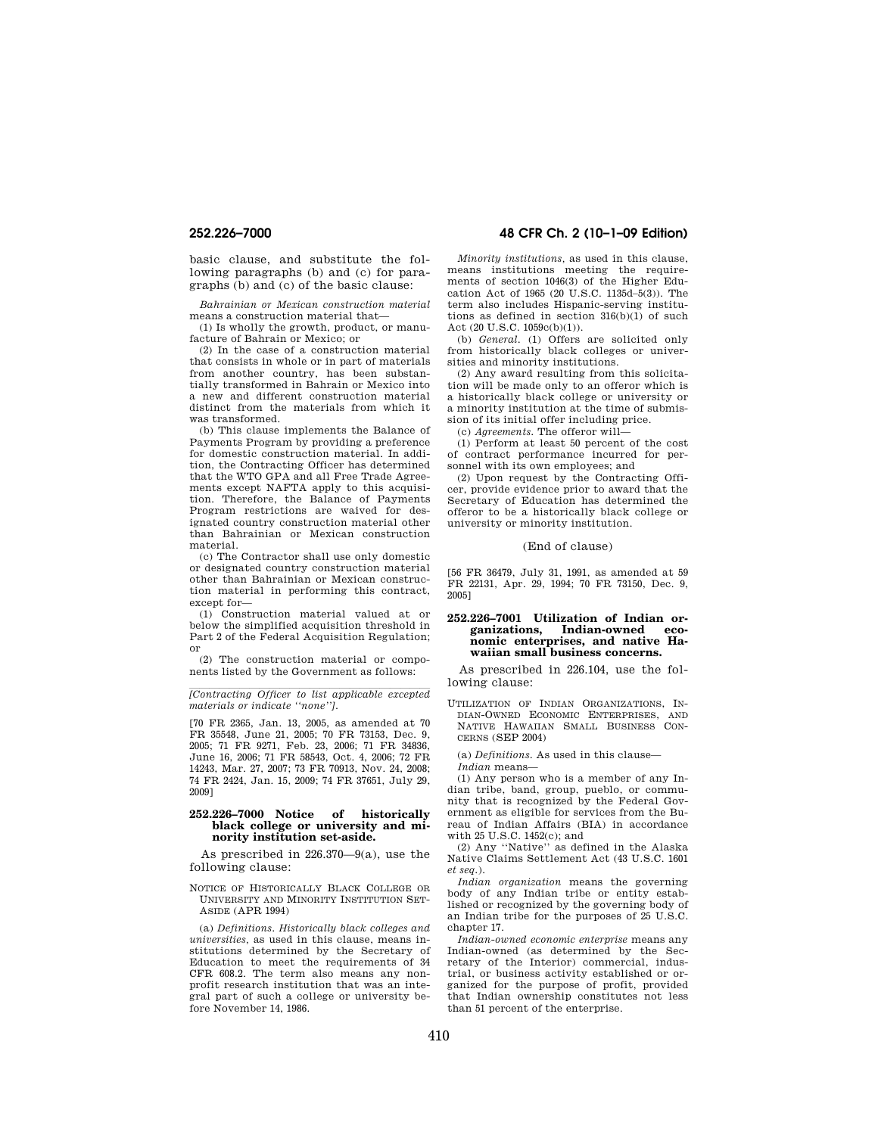basic clause, and substitute the following paragraphs (b) and (c) for paragraphs (b) and (c) of the basic clause:

*Bahrainian or Mexican construction material*  means a construction material that—

(1) Is wholly the growth, product, or manufacture of Bahrain or Mexico; or

(2) In the case of a construction material that consists in whole or in part of materials from another country, has been substantially transformed in Bahrain or Mexico into a new and different construction material distinct from the materials from which it was transformed.

(b) This clause implements the Balance of Payments Program by providing a preference for domestic construction material. In addition, the Contracting Officer has determined that the WTO GPA and all Free Trade Agreements except NAFTA apply to this acquisition. Therefore, the Balance of Payments Program restrictions are waived for designated country construction material other than Bahrainian or Mexican construction material.

(c) The Contractor shall use only domestic or designated country construction material other than Bahrainian or Mexican construction material in performing this contract, except for—

(1) Construction material valued at or below the simplified acquisition threshold in Part 2 of the Federal Acquisition Regulation; or

(2) The construction material or components listed by the Government as follows:

*[Contracting Officer to list applicable excepted materials or indicate ''none''].* 

[70 FR 2365, Jan. 13, 2005, as amended at 70 FR 35548, June 21, 2005; 70 FR 73153, Dec. 9, 2005; 71 FR 9271, Feb. 23, 2006; 71 FR 34836, June 16, 2006; 71 FR 58543, Oct. 4, 2006; 72 FR 14243, Mar. 27, 2007; 73 FR 70913, Nov. 24, 2008; 74 FR 2424, Jan. 15, 2009; 74 FR 37651, July 29, 2009]

# **252.226–7000 Notice of historically black college or university and minority institution set-aside.**

As prescribed in 226.370—9(a), use the following clause:

### NOTICE OF HISTORICALLY BLACK COLLEGE OR UNIVERSITY AND MINORITY INSTITUTION SET-ASIDE (APR 1994)

(a) *Definitions. Historically black colleges and universities,* as used in this clause, means institutions determined by the Secretary of Education to meet the requirements of 34 CFR 608.2. The term also means any nonprofit research institution that was an integral part of such a college or university before November 14, 1986.

# **252.226–7000 48 CFR Ch. 2 (10–1–09 Edition)**

*Minority institutions,* as used in this clause, means institutions meeting the requirements of section 1046(3) of the Higher Education Act of 1965  $(20 \text{ U.S. C. } 1135 \text{d} - 5(3))$ . The term also includes Hispanic-serving institutions as defined in section 316(b)(1) of such Act (20 U.S.C.  $1059c(b)(1)$ ).

(b) *General.* (1) Offers are solicited only from historically black colleges or universities and minority institutions.

(2) Any award resulting from this solicitation will be made only to an offeror which is a historically black college or university or a minority institution at the time of submission of its initial offer including price.

(c) *Agreements.* The offeror will—

(1) Perform at least 50 percent of the cost of contract performance incurred for personnel with its own employees; and

(2) Upon request by the Contracting Officer, provide evidence prior to award that the Secretary of Education has determined the offeror to be a historically black college or university or minority institution.

### (End of clause)

[56 FR 36479, July 31, 1991, as amended at 59 FR 22131, Apr. 29, 1994; 70 FR 73150, Dec. 9, 2005]

# **252.226–7001 Utilization of Indian organizations, Indian-owned economic enterprises, and native Hawaiian small business concerns.**

As prescribed in 226.104, use the following clause:

UTILIZATION OF INDIAN ORGANIZATIONS, IN-DIAN-OWNED ECONOMIC ENTERPRISES, AND NATIVE HAWAIIAN SMALL BUSINESS CON-CERNS (SEP 2004)

(a) *Definitions.* As used in this clause—

*Indian* means—

(1) Any person who is a member of any Indian tribe, band, group, pueblo, or community that is recognized by the Federal Government as eligible for services from the Bureau of Indian Affairs (BIA) in accordance with 25 U.S.C. 1452(c); and

(2) Any ''Native'' as defined in the Alaska Native Claims Settlement Act (43 U.S.C. 1601 *et seq.*).

*Indian organization* means the governing body of any Indian tribe or entity established or recognized by the governing body of an Indian tribe for the purposes of 25 U.S.C. chapter 17.

*Indian-owned economic enterprise* means any Indian-owned (as determined by the Secretary of the Interior) commercial, industrial, or business activity established or organized for the purpose of profit, provided that Indian ownership constitutes not less than 51 percent of the enterprise.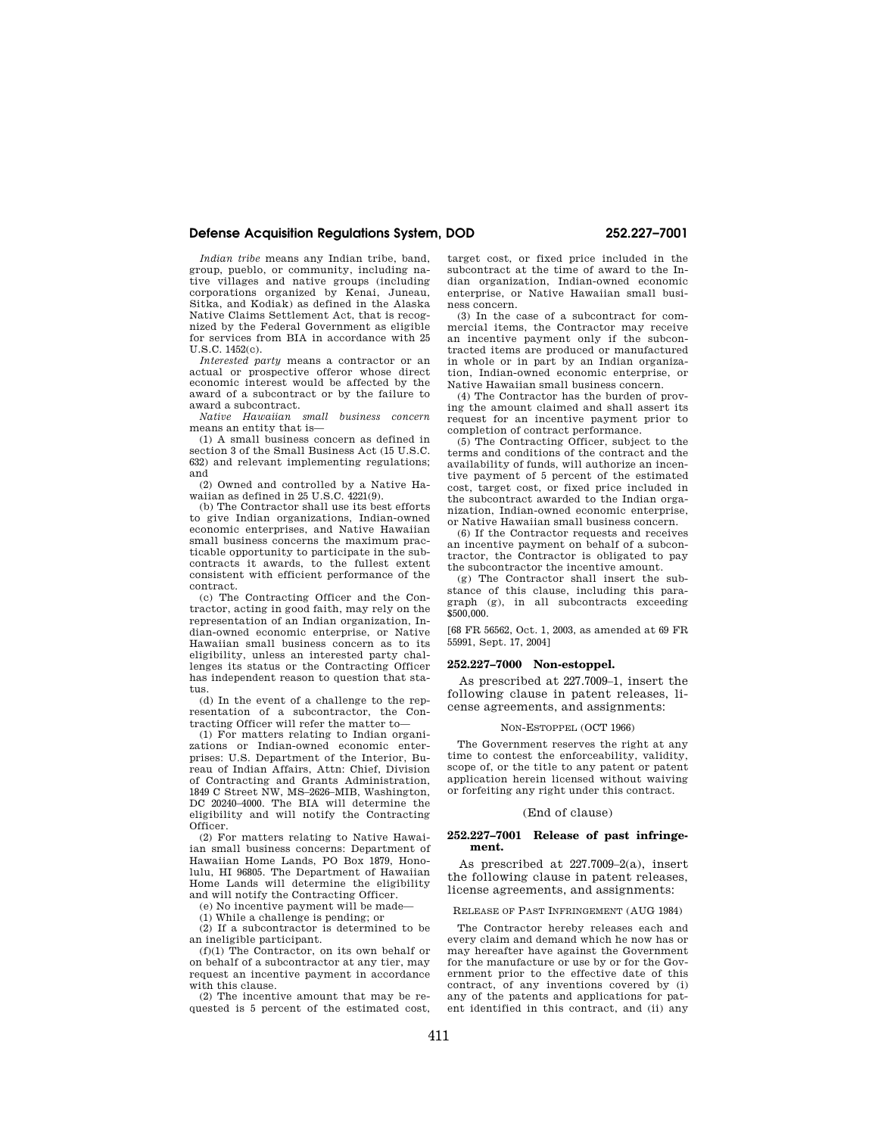*Indian tribe* means any Indian tribe, band, group, pueblo, or community, including native villages and native groups (including corporations organized by Kenai, Juneau, Sitka, and Kodiak) as defined in the Alaska Native Claims Settlement Act, that is recognized by the Federal Government as eligible for services from BIA in accordance with 25 U.S.C. 1452(c).

*Interested party* means a contractor or an actual or prospective offeror whose direct economic interest would be affected by the award of a subcontract or by the failure to award a subcontract.

*Native Hawaiian small business concern*  means an entity that is—

(1) A small business concern as defined in section 3 of the Small Business Act (15 U.S.C. 632) and relevant implementing regulations; and

(2) Owned and controlled by a Native Hawaiian as defined in 25 U.S.C. 4221(9).

(b) The Contractor shall use its best efforts to give Indian organizations, Indian-owned economic enterprises, and Native Hawaiian small business concerns the maximum practicable opportunity to participate in the subcontracts it awards, to the fullest extent consistent with efficient performance of the contract.

(c) The Contracting Officer and the Contractor, acting in good faith, may rely on the representation of an Indian organization, Indian-owned economic enterprise, or Native Hawaiian small business concern as to its eligibility, unless an interested party challenges its status or the Contracting Officer has independent reason to question that status.

(d) In the event of a challenge to the representation of a subcontractor, the Contracting Officer will refer the matter to—

(1) For matters relating to Indian organizations or Indian-owned economic enterprises: U.S. Department of the Interior, Bureau of Indian Affairs, Attn: Chief, Division of Contracting and Grants Administration, 1849 C Street NW, MS–2626–MIB, Washington, DC 20240–4000. The BIA will determine the eligibility and will notify the Contracting Officer.

(2) For matters relating to Native Hawaiian small business concerns: Department of Hawaiian Home Lands, PO Box 1879, Honolulu, HI 96805. The Department of Hawaiian Home Lands will determine the eligibility and will notify the Contracting Officer.

(e) No incentive payment will be made—

(1) While a challenge is pending; or

(2) If a subcontractor is determined to be an ineligible participant.

(f)(1) The Contractor, on its own behalf or on behalf of a subcontractor at any tier, may request an incentive payment in accordance with this clause.

(2) The incentive amount that may be requested is 5 percent of the estimated cost,

target cost, or fixed price included in the subcontract at the time of award to the Indian organization, Indian-owned economic enterprise, or Native Hawaiian small business concern.

(3) In the case of a subcontract for commercial items, the Contractor may receive an incentive payment only if the subcontracted items are produced or manufactured in whole or in part by an Indian organization, Indian-owned economic enterprise, or Native Hawaiian small business concern.

(4) The Contractor has the burden of proving the amount claimed and shall assert its request for an incentive payment prior to completion of contract performance.

(5) The Contracting Officer, subject to the terms and conditions of the contract and the availability of funds, will authorize an incentive payment of 5 percent of the estimated cost, target cost, or fixed price included in the subcontract awarded to the Indian organization, Indian-owned economic enterprise, or Native Hawaiian small business concern.

(6) If the Contractor requests and receives an incentive payment on behalf of a subcontractor, the Contractor is obligated to pay the subcontractor the incentive amount.

(g) The Contractor shall insert the substance of this clause, including this paragraph (g), in all subcontracts exceeding \$500,000.

[68 FR 56562, Oct. 1, 2003, as amended at 69 FR 55991, Sept. 17, 2004]

## **252.227–7000 Non-estoppel.**

As prescribed at 227.7009–1, insert the following clause in patent releases, license agreements, and assignments:

## NON-ESTOPPEL (OCT 1966)

The Government reserves the right at any time to contest the enforceability, validity, scope of, or the title to any patent or patent application herein licensed without waiving or forfeiting any right under this contract.

## (End of clause)

### **252.227–7001 Release of past infringement.**

As prescribed at 227.7009–2(a), insert the following clause in patent releases, license agreements, and assignments:

### RELEASE OF PAST INFRINGEMENT (AUG 1984)

The Contractor hereby releases each and every claim and demand which he now has or may hereafter have against the Government for the manufacture or use by or for the Government prior to the effective date of this contract, of any inventions covered by (i) any of the patents and applications for patent identified in this contract, and (ii) any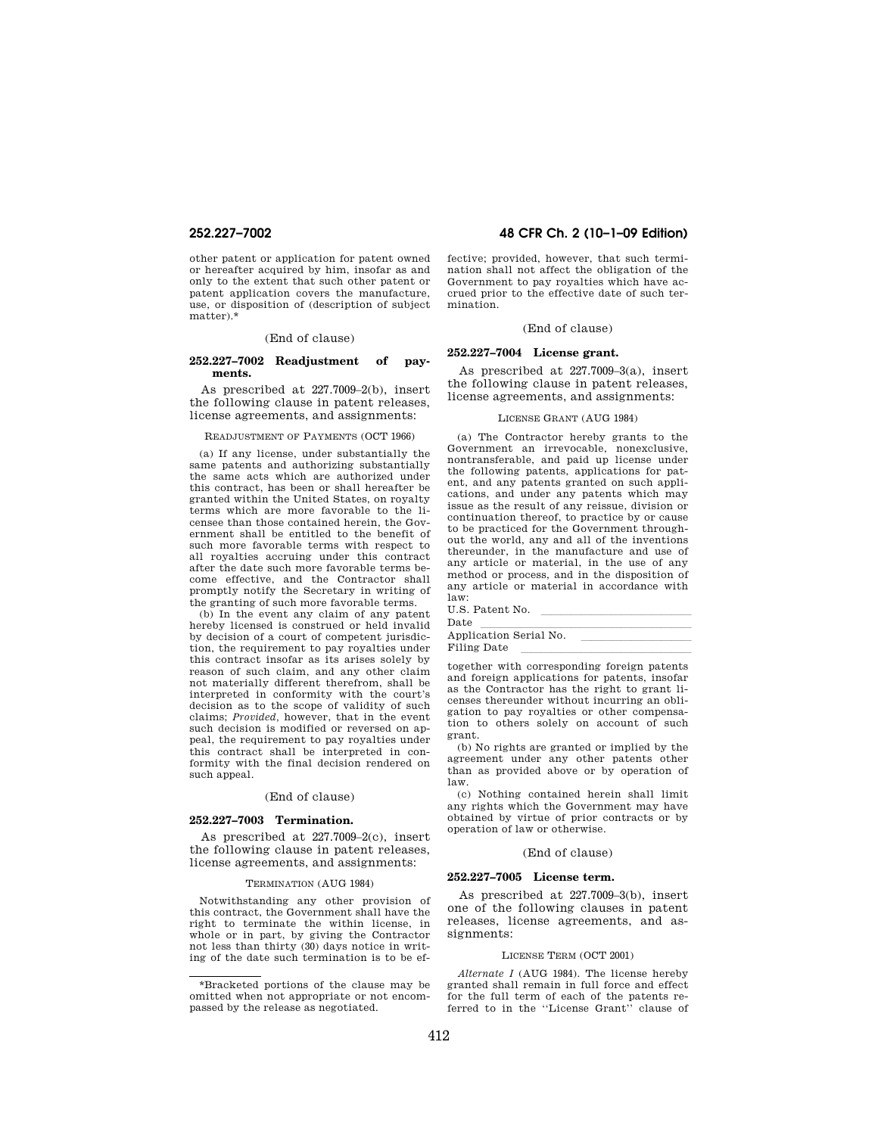other patent or application for patent owned or hereafter acquired by him, insofar as and only to the extent that such other patent or patent application covers the manufacture, use, or disposition of (description of subject matter)\*

### (End of clause)

# **252.227–7002 Readjustment of payments.**

As prescribed at 227.7009–2(b), insert the following clause in patent releases, license agreements, and assignments:

# READJUSTMENT OF PAYMENTS (OCT 1966)

(a) If any license, under substantially the same patents and authorizing substantially the same acts which are authorized under this contract, has been or shall hereafter be granted within the United States, on royalty terms which are more favorable to the licensee than those contained herein, the Government shall be entitled to the benefit of such more favorable terms with respect to all royalties accruing under this contract after the date such more favorable terms become effective, and the Contractor shall promptly notify the Secretary in writing of the granting of such more favorable terms.

(b) In the event any claim of any patent hereby licensed is construed or held invalid by decision of a court of competent jurisdiction, the requirement to pay royalties under this contract insofar as its arises solely by reason of such claim, and any other claim not materially different therefrom, shall be interpreted in conformity with the court's decision as to the scope of validity of such claims; *Provided,* however, that in the event such decision is modified or reversed on appeal, the requirement to pay royalties under this contract shall be interpreted in conformity with the final decision rendered on such appeal.

# (End of clause)

## **252.227–7003 Termination.**

As prescribed at 227.7009–2(c), insert the following clause in patent releases, license agreements, and assignments:

### TERMINATION (AUG 1984)

Notwithstanding any other provision of this contract, the Government shall have the right to terminate the within license, in whole or in part, by giving the Contractor not less than thirty (30) days notice in writing of the date such termination is to be ef-

# **252.227–7002 48 CFR Ch. 2 (10–1–09 Edition)**

fective; provided, however, that such termination shall not affect the obligation of the Government to pay royalties which have accrued prior to the effective date of such termination.

## (End of clause)

# **252.227–7004 License grant.**

As prescribed at 227.7009–3(a), insert the following clause in patent releases, license agreements, and assignments:

## LICENSE GRANT (AUG 1984)

(a) The Contractor hereby grants to the Government an irrevocable, nonexclusive, nontransferable, and paid up license under the following patents, applications for patent, and any patents granted on such applications, and under any patents which may issue as the result of any reissue, division or continuation thereof, to practice by or cause to be practiced for the Government throughout the world, any and all of the inventions thereunder, in the manufacture and use of any article or material, in the use of any method or process, and in the disposition of any article or material in accordance with law:

U.S. Patent No.<br>Date

Date<br>Annlication Serial No Application Serial No. \_\_\_\_\_\_\_\_\_\_\_\_\_\_\_\_\_\_\_\_<br>Filing Date Filing Date

together with corresponding foreign patents and foreign applications for patents, insofar as the Contractor has the right to grant licenses thereunder without incurring an obligation to pay royalties or other compensation to others solely on account of such grant.

(b) No rights are granted or implied by the agreement under any other patents other than as provided above or by operation of law.

(c) Nothing contained herein shall limit any rights which the Government may have obtained by virtue of prior contracts or by operation of law or otherwise.

# (End of clause)

# **252.227–7005 License term.**

As prescribed at 227.7009–3(b), insert one of the following clauses in patent releases, license agreements, and assignments:

### LICENSE TERM (OCT 2001)

*Alternate I* (AUG 1984). The license hereby granted shall remain in full force and effect for the full term of each of the patents referred to in the ''License Grant'' clause of

<sup>\*</sup>Bracketed portions of the clause may be omitted when not appropriate or not encompassed by the release as negotiated.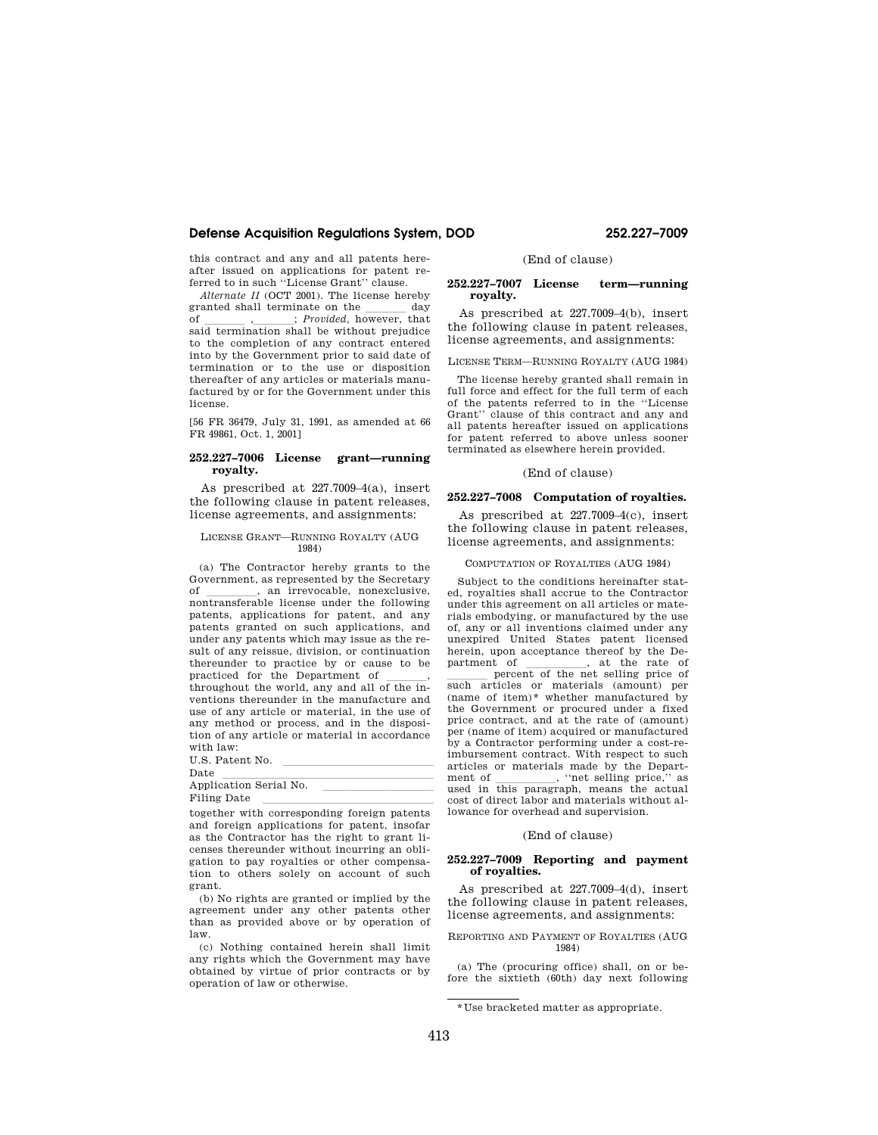this contract and any and all patents hereafter issued on applications for patent referred to in such ''License Grant'' clause.

Alternate II (OCT 2001). The license hereby<br>ranted shall terminate on the day granted shall terminate on the  $\frac{day}{dy}$  day of ; Provided, however, that of \_\_\_\_\_\_\_\_\_; *Provided*, however, that said termination shall be without prejudice to the completion of any contract entered into by the Government prior to said date of termination or to the use or disposition thereafter of any articles or materials manufactured by or for the Government under this license.

[56 FR 36479, July 31, 1991, as amended at 66 FR 49861, Oct. 1, 2001]

# **252.227–7006 License grant—running royalty.**

As prescribed at  $227.7009-4(a)$ , insert the following clause in patent releases, license agreements, and assignments:

# LICENSE GRANT—RUNNING ROYALTY (AUG 1984)

(a) The Contractor hereby grants to the Government, as represented by the Secretary<br>of , an irrevocable, nonexclusive, of \_\_\_\_\_\_\_, an irrevocable, nonexclusive, nontransferable license under the following patents, applications for patent, and any patents granted on such applications, and under any patents which may issue as the result of any reissue, division, or continuation thereunder to practice by or cause to be practiced for the Department of throughout the world, any and all of the inventions thereunder in the manufacture and use of any article or material, in the use of any method or process, and in the disposition of any article or material in accordance with law:

U.S. Patent No.<br>Date Date<br>Annlication Serial No

Application Serial No. lllllllllll

Filing Date<br>together with corresponding foreign patents and foreign applications for patent, insofar as the Contractor has the right to grant licenses thereunder without incurring an obligation to pay royalties or other compensation to others solely on account of such grant.

(b) No rights are granted or implied by the agreement under any other patents other than as provided above or by operation of law.

(c) Nothing contained herein shall limit any rights which the Government may have obtained by virtue of prior contracts or by operation of law or otherwise.

# (End of clause)

# **252.227–7007 License term—running royalty.**

As prescribed at 227.7009–4(b), insert the following clause in patent releases, license agreements, and assignments:

LICENSE TERM—RUNNING ROYALTY (AUG 1984)

The license hereby granted shall remain in full force and effect for the full term of each of the patents referred to in the ''License Grant'' clause of this contract and any and all patents hereafter issued on applications for patent referred to above unless sooner terminated as elsewhere herein provided.

# (End of clause)

# **252.227–7008 Computation of royalties.**

As prescribed at 227.7009–4(c), insert the following clause in patent releases, license agreements, and assignments:

### COMPUTATION OF ROYALTIES (AUG 1984)

Subject to the conditions hereinafter stated, royalties shall accrue to the Contractor under this agreement on all articles or materials embodying, or manufactured by the use of, any or all inventions claimed under any unexpired United States patent licensed herein, upon acceptance thereof by the De-<br>partment of  $\,$ , at the rate of partment of \_\_\_\_\_\_, at the rate of<br>percent of the net selling price of llll percent of the net selling price of such articles or materials (amount) per (name of item)\* whether manufactured by the Government or procured under a fixed price contract, and at the rate of (amount) per (name of item) acquired or manufactured by a Contractor performing under a cost-reimbursement contract. With respect to such articles or materials made by the Depart-<br>ment of \_\_\_\_\_\_\_, "net selling price," as ment of \_\_\_\_\_\_\_, "net selling price," as used in this paragraph, means the actual cost of direct labor and materials without allowance for overhead and supervision.

# (End of clause)

# **252.227–7009 Reporting and payment of royalties.**

As prescribed at 227.7009–4(d), insert the following clause in patent releases, license agreements, and assignments:

REPORTING AND PAYMENT OF ROYALTIES (AUG 1984)

(a) The (procuring office) shall, on or before the sixtieth (60th) day next following

<sup>\*</sup>Use bracketed matter as appropriate.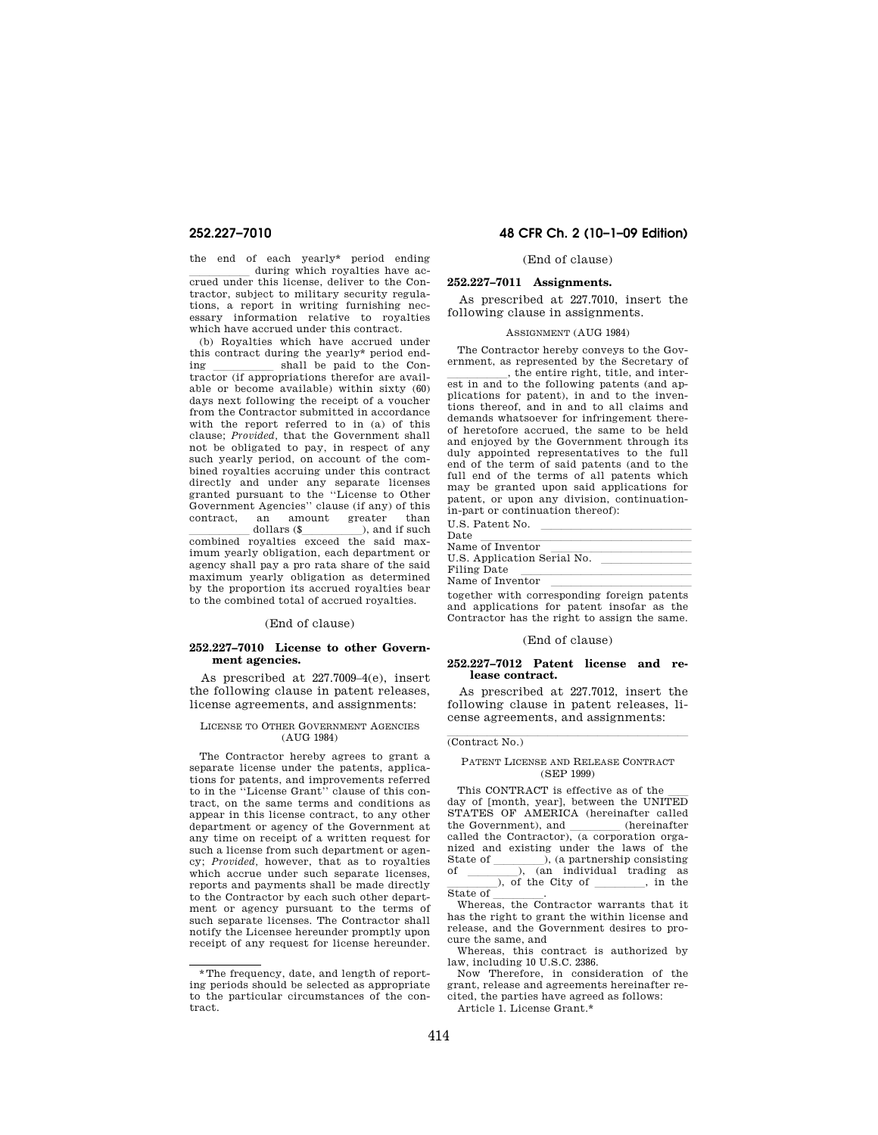the end of each yearly\* period ending during which royalties have accrued under this license, deliver to the Contractor, subject to military security regulations, a report in writing furnishing necessary information relative to royalties which have accrued under this contract.

(b) Royalties which have accrued under this contract during the yearly\* period ending llllll shall be paid to the Con-tractor (if appropriations therefor are available or become available) within sixty (60) days next following the receipt of a voucher from the Contractor submitted in accordance with the report referred to in (a) of this clause; *Provided,* that the Government shall not be obligated to pay, in respect of any such yearly period, on account of the combined royalties accruing under this contract directly and under any separate licenses granted pursuant to the ''License to Other Government Agencies'' clause (if any) of this<br>contract. an amount greater than an amount greater dollars (\$
lequark), and if such combined royalties exceed the said maximum yearly obligation, each department or agency shall pay a pro rata share of the said maximum yearly obligation as determined by the proportion its accrued royalties bear

# to the combined total of accrued royalties. (End of clause)

# **252.227–7010 License to other Government agencies.**

As prescribed at 227.7009–4(e), insert the following clause in patent releases, license agreements, and assignments:

# LICENSE TO OTHER GOVERNMENT AGENCIES (AUG 1984)

The Contractor hereby agrees to grant a separate license under the patents, applications for patents, and improvements referred to in the ''License Grant'' clause of this contract, on the same terms and conditions as appear in this license contract, to any other department or agency of the Government at any time on receipt of a written request for such a license from such department or agency; *Provided,* however, that as to royalties which accrue under such separate licenses, reports and payments shall be made directly to the Contractor by each such other department or agency pursuant to the terms of such separate licenses. The Contractor shall notify the Licensee hereunder promptly upon receipt of any request for license hereunder.

# **252.227–7010 48 CFR Ch. 2 (10–1–09 Edition)**

# (End of clause)

# **252.227–7011 Assignments.**

As prescribed at 227.7010, insert the following clause in assignments.

### ASSIGNMENT (AUG 1984)

The Contractor hereby conveys to the Government, as represented by the Secretary of<br>, the entire right, title, and inter-

the entire right, title, and inter-<br>est in and to the following patents (and applications for patent), in and to the inventions thereof, and in and to all claims and demands whatsoever for infringement thereof heretofore accrued, the same to be held and enjoyed by the Government through its duly appointed representatives to the full end of the term of said patents (and to the full end of the terms of all patents which may be granted upon said applications for patent, or upon any division, continuationin-part or continuation thereof):

| U.S. Patent No.                             |
|---------------------------------------------|
| Date                                        |
| Name of Inventor                            |
| U.S. Application Serial No.                 |
| Filing Date                                 |
| Name of Inventor                            |
| together with corresponding foreign patents |

and applications for patent insofar as the Contractor has the right to assign the same.

# (End of clause)

# **252.227–7012 Patent license and release contract.**

As prescribed at 227.7012, insert the following clause in patent releases, license agreements, and assignments:

# (Contract No.)

## PATENT LICENSE AND RELEASE CONTRACT (SEP 1999)

This CONTRACT is effective as of the lay of [month, year], between the UNITED STATES OF AMERICA (hereinafter called the Government), and \_\_\_\_\_\_ (hereinafter called the Contractor), (a corporation organized and existing under the laws of the State of  $\qquad$ , (a partnership consisting State of  $\frac{)}{)}$ , (a partnership consisting of of  $\frac{1}{\log \theta}$ , (an individual trading as  $\frac{1}{\text{State of}}$ , of the City of  $\frac{1}{\text{State of}}$ 

State of [1]].<br>Whereas, the Contractor warrants that it has the right to grant the within license and release, and the Government desires to procure the same, and

Whereas, this contract is authorized by law, including 10 U.S.C. 2386.

Now Therefore, in consideration of the grant, release and agreements hereinafter recited, the parties have agreed as follows:

Article 1. License Grant.\*

<sup>\*</sup>The frequency, date, and length of reporting periods should be selected as appropriate to the particular circumstances of the contract.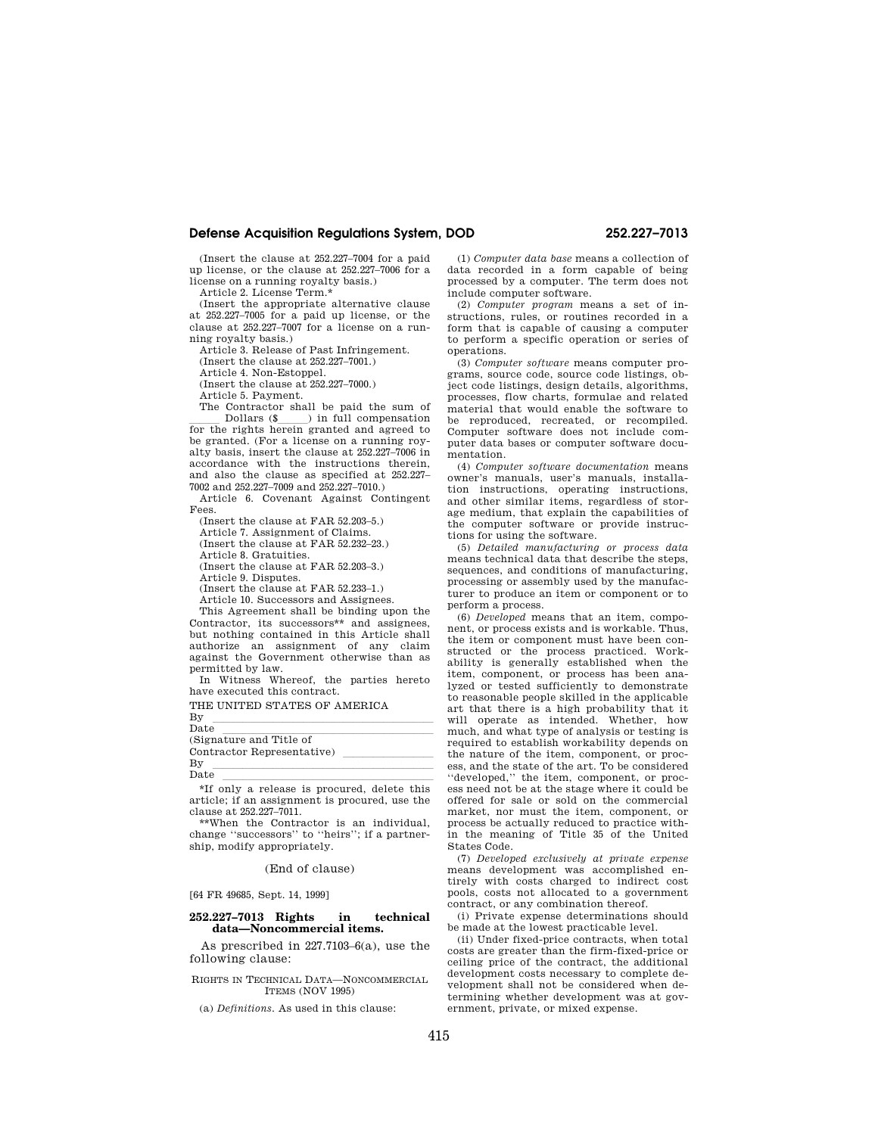(Insert the clause at 252.227–7004 for a paid up license, or the clause at 252.227–7006 for a license on a running royalty basis.) Article 2. License Term.\*

(Insert the appropriate alternative clause at 252.227–7005 for a paid up license, or the clause at 252.227–7007 for a license on a running royalty basis.)

Article 3. Release of Past Infringement.

(Insert the clause at  $252.227-7001$ )

Article 4. Non-Estoppel.

(Insert the clause at 252.227–7000.) Article 5. Payment.

The Contractor shall be paid the sum of Dollars (\$<sub>ll</sub>) in full compensation for the rights herein granted and agreed to be granted. (For a license on a running royalty basis, insert the clause at 252.227–7006 in accordance with the instructions therein, and also the clause as specified at 252.227– 7002 and 252.227–7009 and 252.227–7010.)

Article 6. Covenant Against Contingent Fees.

(Insert the clause at FAR 52.203–5.)

Article 7. Assignment of Claims.

(Insert the clause at FAR 52.232–23.)

Article 8. Gratuities. (Insert the clause at FAR 52.203–3.)

Article 9. Disputes.

(Insert the clause at FAR 52.233–1.)

Article 10. Successors and Assignees.

This Agreement shall be binding upon the Contractor, its successors\*\* and assignees, but nothing contained in this Article shall authorize an assignment of any claim against the Government otherwise than as permitted by law.

In Witness Whereof, the parties hereto have executed this contract.

THE UNITED STATES OF AMERICA

By llllllllllllllllllllll

Date<br>(Signature and Title of

Contractor Representative)<br>By By llllllllllllllllllllll

Date  $\frac{1}{\text{Inly a release is provided, delete this}}$ article; if an assignment is procured, use the clause at 252.227–7011.

\*\*When the Contractor is an individual, change ''successors'' to ''heirs''; if a partnership, modify appropriately.

# (End of clause)

[64 FR 49685, Sept. 14, 1999]

# **252.227–7013 Rights in technical data—Noncommercial items.**

As prescribed in 227.7103–6(a), use the following clause:

RIGHTS IN TECHNICAL DATA—NONCOMMERCIAL ITEMS (NOV 1995)

(a) *Definitions.* As used in this clause:

(1) *Computer data base* means a collection of data recorded in a form capable of being processed by a computer. The term does not include computer software.

(2) *Computer program* means a set of instructions, rules, or routines recorded in a form that is capable of causing a computer to perform a specific operation or series of operations.

(3) *Computer software* means computer programs, source code, source code listings, object code listings, design details, algorithms, processes, flow charts, formulae and related material that would enable the software to be reproduced, recreated, or recompiled. Computer software does not include computer data bases or computer software documentation.

(4) *Computer software documentation* means owner's manuals, user's manuals, installation instructions, operating instructions, and other similar items, regardless of storage medium, that explain the capabilities of the computer software or provide instructions for using the software.

(5) *Detailed manufacturing or process data*  means technical data that describe the steps, sequences, and conditions of manufacturing, processing or assembly used by the manufacturer to produce an item or component or to perform a process.

(6) *Developed* means that an item, component, or process exists and is workable. Thus, the item or component must have been constructed or the process practiced. Workability is generally established when the item, component, or process has been analyzed or tested sufficiently to demonstrate to reasonable people skilled in the applicable art that there is a high probability that it will operate as intended. Whether, how much, and what type of analysis or testing is required to establish workability depends on the nature of the item, component, or process, and the state of the art. To be considered ''developed,'' the item, component, or process need not be at the stage where it could be offered for sale or sold on the commercial market, nor must the item, component, or process be actually reduced to practice within the meaning of Title 35 of the United States Code.

(7) *Developed exclusively at private expense*  means development was accomplished entirely with costs charged to indirect cost pools, costs not allocated to a government contract, or any combination thereof.

(i) Private expense determinations should be made at the lowest practicable level.

(ii) Under fixed-price contracts, when total costs are greater than the firm-fixed-price or ceiling price of the contract, the additional development costs necessary to complete development shall not be considered when determining whether development was at government, private, or mixed expense.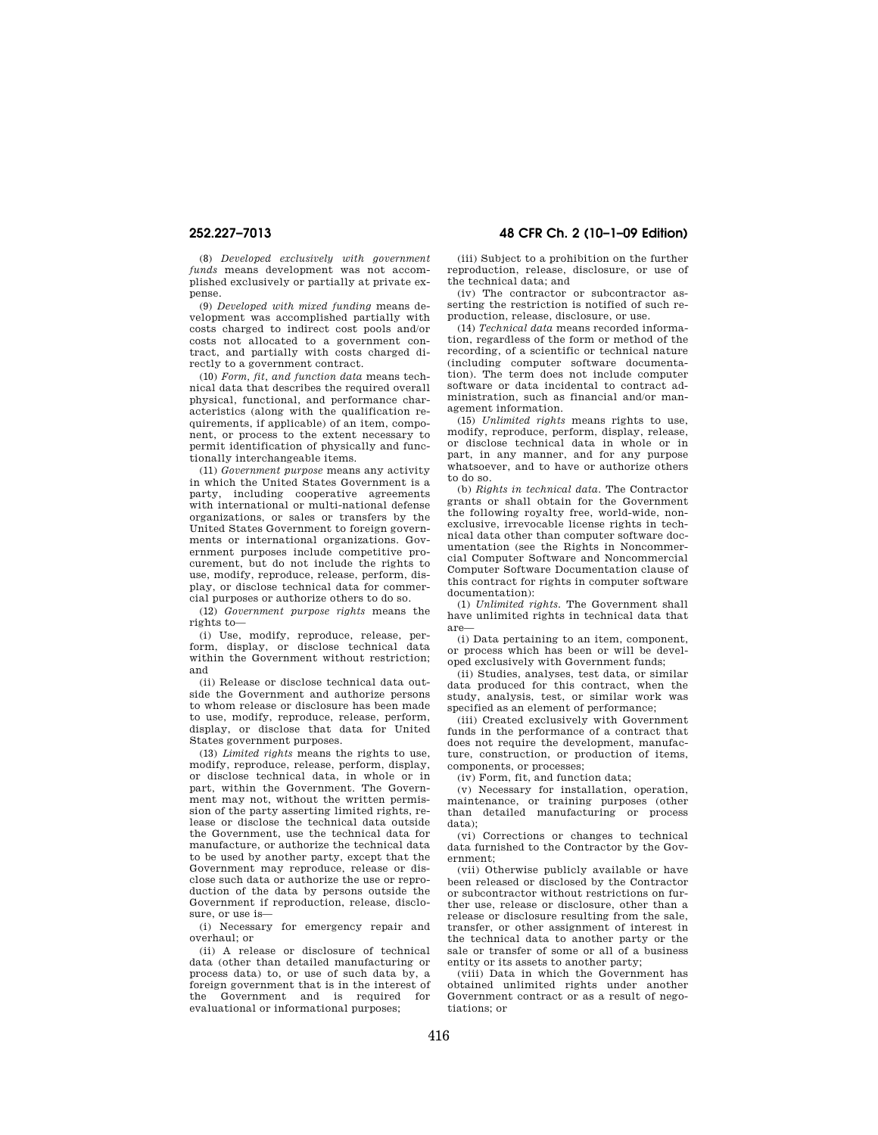(8) *Developed exclusively with government funds* means development was not accomplished exclusively or partially at private expense.

(9) *Developed with mixed funding* means development was accomplished partially with costs charged to indirect cost pools and/or costs not allocated to a government contract, and partially with costs charged directly to a government contract.

(10) *Form, fit, and function data* means technical data that describes the required overall physical, functional, and performance characteristics (along with the qualification requirements, if applicable) of an item, component, or process to the extent necessary to permit identification of physically and functionally interchangeable items.

(11) *Government purpose* means any activity in which the United States Government is a party, including cooperative agreements with international or multi-national defense organizations, or sales or transfers by the United States Government to foreign governments or international organizations. Government purposes include competitive procurement, but do not include the rights to use, modify, reproduce, release, perform, display, or disclose technical data for commercial purposes or authorize others to do so.

(12) *Government purpose rights* means the rights to—

(i) Use, modify, reproduce, release, perform, display, or disclose technical data within the Government without restriction; and

(ii) Release or disclose technical data outside the Government and authorize persons to whom release or disclosure has been made to use, modify, reproduce, release, perform, display, or disclose that data for United States government purposes.

(13) *Limited rights* means the rights to use, modify, reproduce, release, perform, display, or disclose technical data, in whole or in part, within the Government. The Government may not, without the written permission of the party asserting limited rights, release or disclose the technical data outside the Government, use the technical data for manufacture, or authorize the technical data to be used by another party, except that the Government may reproduce, release or disclose such data or authorize the use or reproduction of the data by persons outside the Government if reproduction, release, disclosure, or use is—

(i) Necessary for emergency repair and overhaul; or

(ii) A release or disclosure of technical data (other than detailed manufacturing or process data) to, or use of such data by, a foreign government that is in the interest of the Government and is required for evaluational or informational purposes;

# **252.227–7013 48 CFR Ch. 2 (10–1–09 Edition)**

(iii) Subject to a prohibition on the further reproduction, release, disclosure, or use of the technical data; and

(iv) The contractor or subcontractor asserting the restriction is notified of such reproduction, release, disclosure, or use.

(14) *Technical data* means recorded information, regardless of the form or method of the recording, of a scientific or technical nature (including computer software documentation). The term does not include computer software or data incidental to contract administration, such as financial and/or management information.

(15) *Unlimited rights* means rights to use, modify, reproduce, perform, display, release, or disclose technical data in whole or in part, in any manner, and for any purpose whatsoever, and to have or authorize others to do so.

(b) *Rights in technical data.* The Contractor grants or shall obtain for the Government the following royalty free, world-wide, nonexclusive, irrevocable license rights in technical data other than computer software documentation (see the Rights in Noncommercial Computer Software and Noncommercial Computer Software Documentation clause of this contract for rights in computer software documentation):

(1) *Unlimited rights.* The Government shall have unlimited rights in technical data that are—

(i) Data pertaining to an item, component, or process which has been or will be developed exclusively with Government funds;

(ii) Studies, analyses, test data, or similar data produced for this contract, when the study, analysis, test, or similar work was specified as an element of performance;

(iii) Created exclusively with Government funds in the performance of a contract that does not require the development, manufacture, construction, or production of items, components, or processes;

(iv) Form, fit, and function data;

(v) Necessary for installation, operation, maintenance, or training purposes (other than detailed manufacturing or process data);

(vi) Corrections or changes to technical data furnished to the Contractor by the Government;

(vii) Otherwise publicly available or have been released or disclosed by the Contractor or subcontractor without restrictions on further use, release or disclosure, other than a release or disclosure resulting from the sale, transfer, or other assignment of interest in the technical data to another party or the sale or transfer of some or all of a business entity or its assets to another party;

(viii) Data in which the Government has obtained unlimited rights under another Government contract or as a result of negotiations; or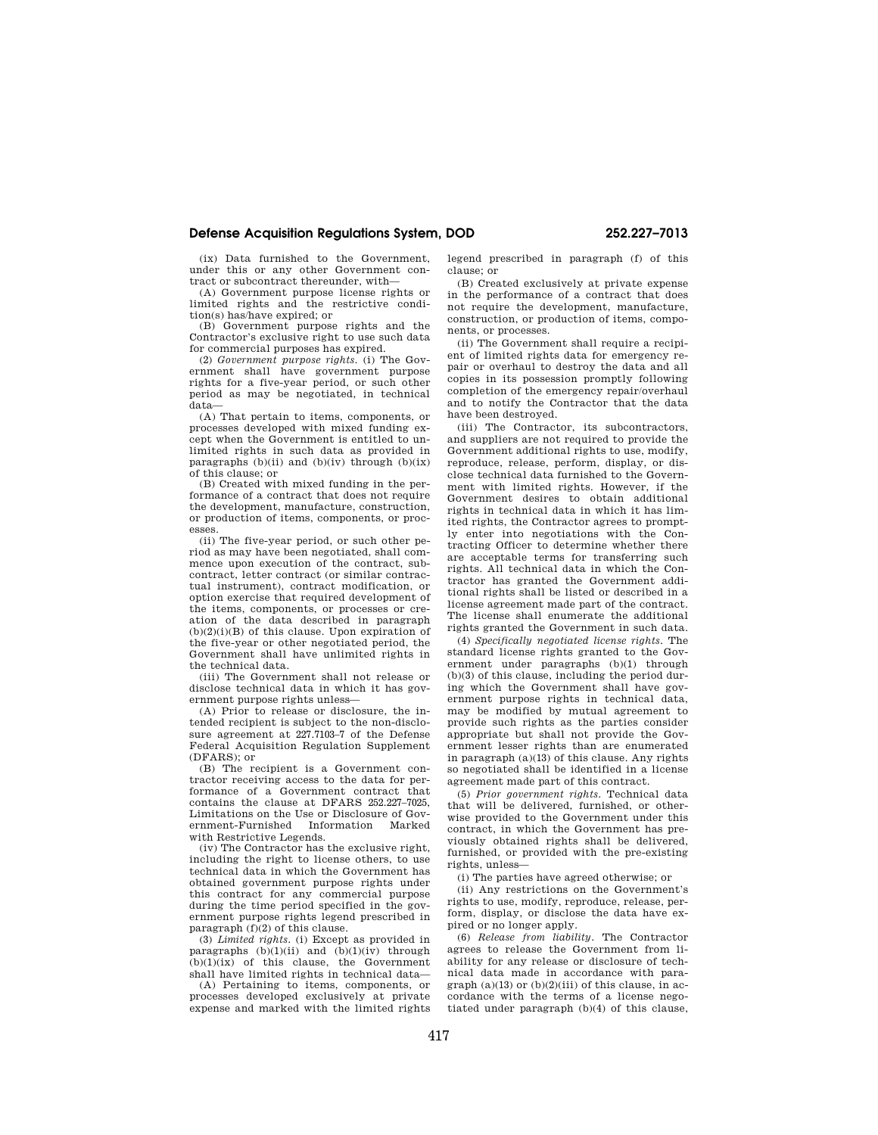(ix) Data furnished to the Government, under this or any other Government contract or subcontract thereunder, with—

(A) Government purpose license rights or limited rights and the restrictive condition(s) has/have expired; or

(B) Government purpose rights and the Contractor's exclusive right to use such data for commercial purposes has expired.

(2) *Government purpose rights.* (i) The Government shall have government purpose rights for a five-year period, or such other period as may be negotiated, in technical data—

(A) That pertain to items, components, or processes developed with mixed funding except when the Government is entitled to unlimited rights in such data as provided in paragraphs  $(b)(ii)$  and  $(b)(iv)$  through  $(b)(ix)$ of this clause; or

(B) Created with mixed funding in the performance of a contract that does not require the development, manufacture, construction, or production of items, components, or processes.

(ii) The five-year period, or such other period as may have been negotiated, shall commence upon execution of the contract, subcontract, letter contract (or similar contractual instrument), contract modification, or option exercise that required development of the items, components, or processes or creation of the data described in paragraph  $(b)(2)(i)(B)$  of this clause. Upon expiration of the five-year or other negotiated period, the Government shall have unlimited rights in the technical data.

(iii) The Government shall not release or disclose technical data in which it has government purpose rights unless—

(A) Prior to release or disclosure, the intended recipient is subject to the non-disclosure agreement at 227.7103–7 of the Defense Federal Acquisition Regulation Supplement (DFARS); or

(B) The recipient is a Government contractor receiving access to the data for performance of a Government contract that contains the clause at DFARS 252.227–7025, Limitations on the Use or Disclosure of Government-Furnished Information with Restrictive Legends.

(iv) The Contractor has the exclusive right, including the right to license others, to use technical data in which the Government has obtained government purpose rights under this contract for any commercial purpose during the time period specified in the government purpose rights legend prescribed in paragraph (f)(2) of this clause.

(3) *Limited rights.* (i) Except as provided in paragraphs  $(b)(1)(ii)$  and  $(b)(1)(iv)$  through  $(b)(1)(ix)$  of this clause, the Government shall have limited rights in technical data—

(A) Pertaining to items, components, or processes developed exclusively at private expense and marked with the limited rights legend prescribed in paragraph (f) of this clause; or

(B) Created exclusively at private expense in the performance of a contract that does not require the development, manufacture, construction, or production of items, components, or processes.

(ii) The Government shall require a recipient of limited rights data for emergency repair or overhaul to destroy the data and all copies in its possession promptly following completion of the emergency repair/overhaul and to notify the Contractor that the data have been destroyed.

(iii) The Contractor, its subcontractors, and suppliers are not required to provide the Government additional rights to use, modify, reproduce, release, perform, display, or disclose technical data furnished to the Government with limited rights. However, if the Government desires to obtain additional rights in technical data in which it has limited rights, the Contractor agrees to promptly enter into negotiations with the Contracting Officer to determine whether there are acceptable terms for transferring such rights. All technical data in which the Contractor has granted the Government additional rights shall be listed or described in a license agreement made part of the contract. The license shall enumerate the additional rights granted the Government in such data.

(4) *Specifically negotiated license rights.* The standard license rights granted to the Government under paragraphs (b)(1) through (b)(3) of this clause, including the period during which the Government shall have government purpose rights in technical data, may be modified by mutual agreement to provide such rights as the parties consider appropriate but shall not provide the Government lesser rights than are enumerated in paragraph (a)(13) of this clause. Any rights so negotiated shall be identified in a license agreement made part of this contract.

(5) *Prior government rights.* Technical data that will be delivered, furnished, or otherwise provided to the Government under this contract, in which the Government has previously obtained rights shall be delivered, furnished, or provided with the pre-existing rights, unless—

(i) The parties have agreed otherwise; or

(ii) Any restrictions on the Government's rights to use, modify, reproduce, release, perform, display, or disclose the data have expired or no longer apply.

(6) *Release from liability.* The Contractor agrees to release the Government from liability for any release or disclosure of technical data made in accordance with paragraph (a)(13) or (b)(2)(iii) of this clause, in accordance with the terms of a license negotiated under paragraph (b)(4) of this clause,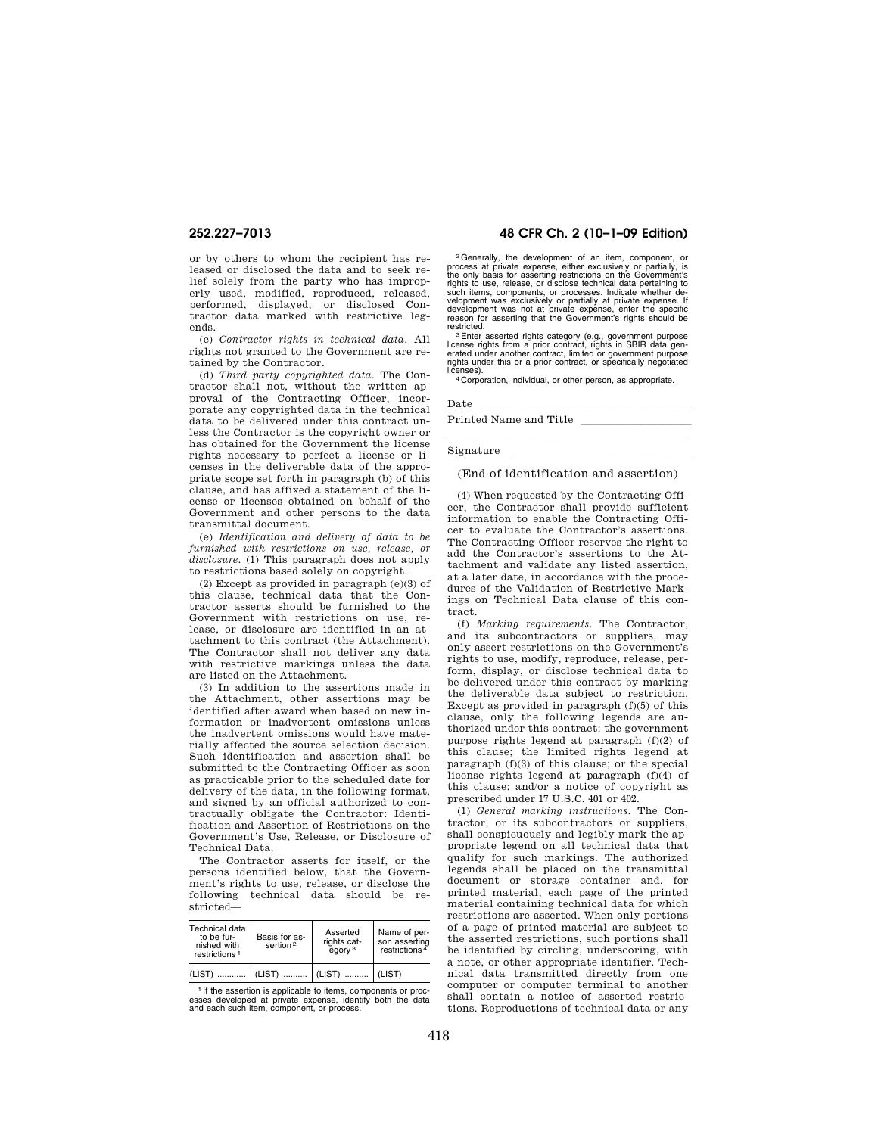or by others to whom the recipient has released or disclosed the data and to seek relief solely from the party who has improperly used, modified, reproduced, released, performed, displayed, or disclosed Contractor data marked with restrictive legends.

(c) *Contractor rights in technical data.* All rights not granted to the Government are retained by the Contractor.

(d) *Third party copyrighted data.* The Contractor shall not, without the written approval of the Contracting Officer, incorporate any copyrighted data in the technical data to be delivered under this contract unless the Contractor is the copyright owner or has obtained for the Government the license rights necessary to perfect a license or licenses in the deliverable data of the appropriate scope set forth in paragraph (b) of this clause, and has affixed a statement of the license or licenses obtained on behalf of the Government and other persons to the data transmittal document.

(e) *Identification and delivery of data to be furnished with restrictions on use, release, or disclosure.* (1) This paragraph does not apply to restrictions based solely on copyright.

(2) Except as provided in paragraph (e)(3) of this clause, technical data that the Contractor asserts should be furnished to the Government with restrictions on use, release, or disclosure are identified in an attachment to this contract (the Attachment). The Contractor shall not deliver any data with restrictive markings unless the data are listed on the Attachment.

(3) In addition to the assertions made in the Attachment, other assertions may be identified after award when based on new information or inadvertent omissions unless the inadvertent omissions would have materially affected the source selection decision. Such identification and assertion shall be submitted to the Contracting Officer as soon as practicable prior to the scheduled date for delivery of the data, in the following format, and signed by an official authorized to contractually obligate the Contractor: Identification and Assertion of Restrictions on the Government's Use, Release, or Disclosure of Technical Data.

The Contractor asserts for itself, or the persons identified below, that the Government's rights to use, release, or disclose the following technical data should be restricted—

| Technical data<br>to be fur-<br>nished with<br>restrictions <sup>1</sup> | Basis for as-<br>sertion <sup>2</sup> | Asserted<br>rights cat-<br>egory <sup>3</sup> | Name of per-<br>son asserting<br>restrictions $\frac{3}{4}$ |  |
|--------------------------------------------------------------------------|---------------------------------------|-----------------------------------------------|-------------------------------------------------------------|--|
| (LIST)                                                                   | (LIST)                                | (LIST)                                        | (LIST)                                                      |  |

1 If the assertion is applicable to items, components or processes developed at private expense, identify both the data and each such item, component, or process.

# **252.227–7013 48 CFR Ch. 2 (10–1–09 Edition)**

2Generally, the development of an item, component, or process at private expense, either exclusively or partially, is the only basis for asserting restrictions on the Government's rights to use, release, or disclose technical data pertaining to such items, components, or processes. Indicate whether de-velopment was exclusively or partially at private expense. If<br>development was not at private expense, enter the specific<br>reason for asserting that the Government's

restricted.<br>
<sup>3</sup> Enter asserted rights category (e.g., government purpose<br>
ilcense rights from a prior contract, rights in SBIR data generated under another contract, limited or government purpose<br>
rights under this or a p

Date lllllllllllllllllllll

Printed Name and Title

# **Signature limits**

# (End of identification and assertion)

(4) When requested by the Contracting Officer, the Contractor shall provide sufficient information to enable the Contracting Officer to evaluate the Contractor's assertions. The Contracting Officer reserves the right to add the Contractor's assertions to the Attachment and validate any listed assertion, at a later date, in accordance with the procedures of the Validation of Restrictive Markings on Technical Data clause of this contract.

(f) *Marking requirements.* The Contractor, and its subcontractors or suppliers, may only assert restrictions on the Government's rights to use, modify, reproduce, release, perform, display, or disclose technical data to be delivered under this contract by marking the deliverable data subject to restriction. Except as provided in paragraph (f)(5) of this clause, only the following legends are authorized under this contract: the government purpose rights legend at paragraph (f)(2) of this clause; the limited rights legend at paragraph (f)(3) of this clause; or the special license rights legend at paragraph (f)(4) of this clause; and/or a notice of copyright as prescribed under 17 U.S.C. 401 or 402.

(1) *General marking instructions.* The Contractor, or its subcontractors or suppliers, shall conspicuously and legibly mark the appropriate legend on all technical data that qualify for such markings. The authorized legends shall be placed on the transmittal document or storage container and, for printed material, each page of the printed material containing technical data for which restrictions are asserted. When only portions of a page of printed material are subject to the asserted restrictions, such portions shall be identified by circling, underscoring, with a note, or other appropriate identifier. Technical data transmitted directly from one computer or computer terminal to another shall contain a notice of asserted restrictions. Reproductions of technical data or any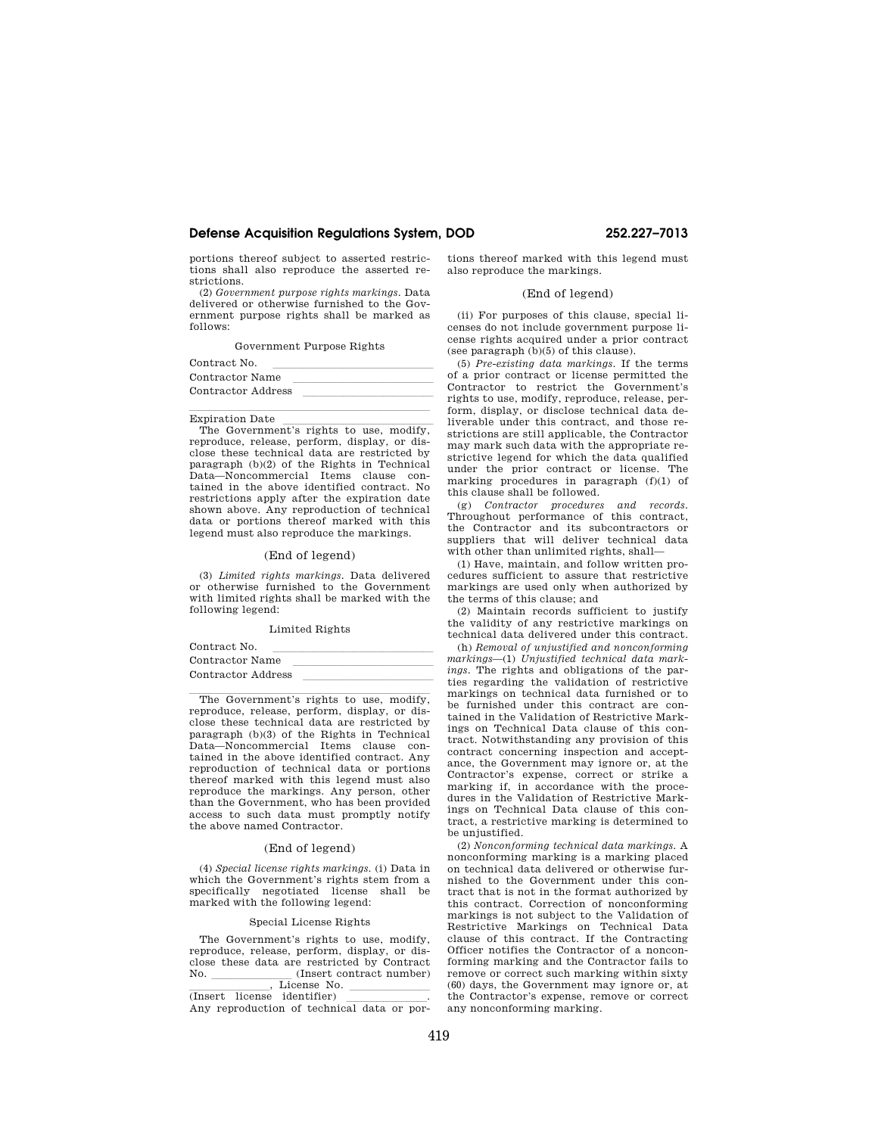portions thereof subject to asserted restrictions shall also reproduce the asserted restrictions.

(2) *Government purpose rights markings.* Data delivered or otherwise furnished to the Government purpose rights shall be marked as follows:

Government Purpose Rights

Contract No. 2008. Contract No. 2008. Contract No. 2008. Contractor Name <u>laterally</u> Contractor Address

Expiration Date

Expiration Date<br>The Government's rights to use, modify, reproduce, release, perform, display, or disclose these technical data are restricted by paragraph (b)(2) of the Rights in Technical Data—Noncommercial Items clause contained in the above identified contract. No restrictions apply after the expiration date shown above. Any reproduction of technical data or portions thereof marked with this legend must also reproduce the markings.

### (End of legend)

(3) *Limited rights markings.* Data delivered or otherwise furnished to the Government with limited rights shall be marked with the following legend:

### Limited Rights

Contract No.

| Contractor Name    |  |
|--------------------|--|
| Contractor Address |  |

The Government's rights to use, modify, reproduce, release, perform, display, or disclose these technical data are restricted by paragraph (b)(3) of the Rights in Technical Data—Noncommercial Items clause contained in the above identified contract. Any reproduction of technical data or portions thereof marked with this legend must also reproduce the markings. Any person, other than the Government, who has been provided access to such data must promptly notify the above named Contractor.

## (End of legend)

(4) *Special license rights markings.* (i) Data in which the Government's rights stem from a specifically negotiated license shall be marked with the following legend:

## Special License Rights

The Government's rights to use, modify, reproduce, release, perform, display, or disclose these data are restricted by Contract  $\underbrace{\hbox{No.}\qquad \qquad \qquad}_{\qquad \qquad \qquad }\qquad \qquad \text{(Insert contract number)}$   $\underbrace{\hbox{License No.}}$ 

(Insert license identifier)

(Insert license identifier)<br>Any reproduction of technical data or por-

tions thereof marked with this legend must also reproduce the markings.

### (End of legend)

(ii) For purposes of this clause, special licenses do not include government purpose license rights acquired under a prior contract (see paragraph (b)(5) of this clause).

(5) *Pre-existing data markings.* If the terms of a prior contract or license permitted the Contractor to restrict the Government's rights to use, modify, reproduce, release, perform, display, or disclose technical data deliverable under this contract, and those restrictions are still applicable, the Contractor may mark such data with the appropriate restrictive legend for which the data qualified under the prior contract or license. The marking procedures in paragraph (f)(1) of this clause shall be followed.

(g) *Contractor procedures and records.*  Throughout performance of this contract, the Contractor and its subcontractors or suppliers that will deliver technical data with other than unlimited rights, shall—

(1) Have, maintain, and follow written procedures sufficient to assure that restrictive markings are used only when authorized by the terms of this clause; and

(2) Maintain records sufficient to justify the validity of any restrictive markings on technical data delivered under this contract.

(h) *Removal of unjustified and nonconforming markings*—(1) *Unjustified technical data markings.* The rights and obligations of the parties regarding the validation of restrictive markings on technical data furnished or to be furnished under this contract are contained in the Validation of Restrictive Markings on Technical Data clause of this contract. Notwithstanding any provision of this contract concerning inspection and acceptance, the Government may ignore or, at the Contractor's expense, correct or strike a marking if, in accordance with the procedures in the Validation of Restrictive Markings on Technical Data clause of this contract, a restrictive marking is determined to be unjustified.

(2) *Nonconforming technical data markings.* A nonconforming marking is a marking placed on technical data delivered or otherwise furnished to the Government under this contract that is not in the format authorized by this contract. Correction of nonconforming markings is not subject to the Validation of Restrictive Markings on Technical Data clause of this contract. If the Contracting Officer notifies the Contractor of a nonconforming marking and the Contractor fails to remove or correct such marking within sixty (60) days, the Government may ignore or, at the Contractor's expense, remove or correct any nonconforming marking.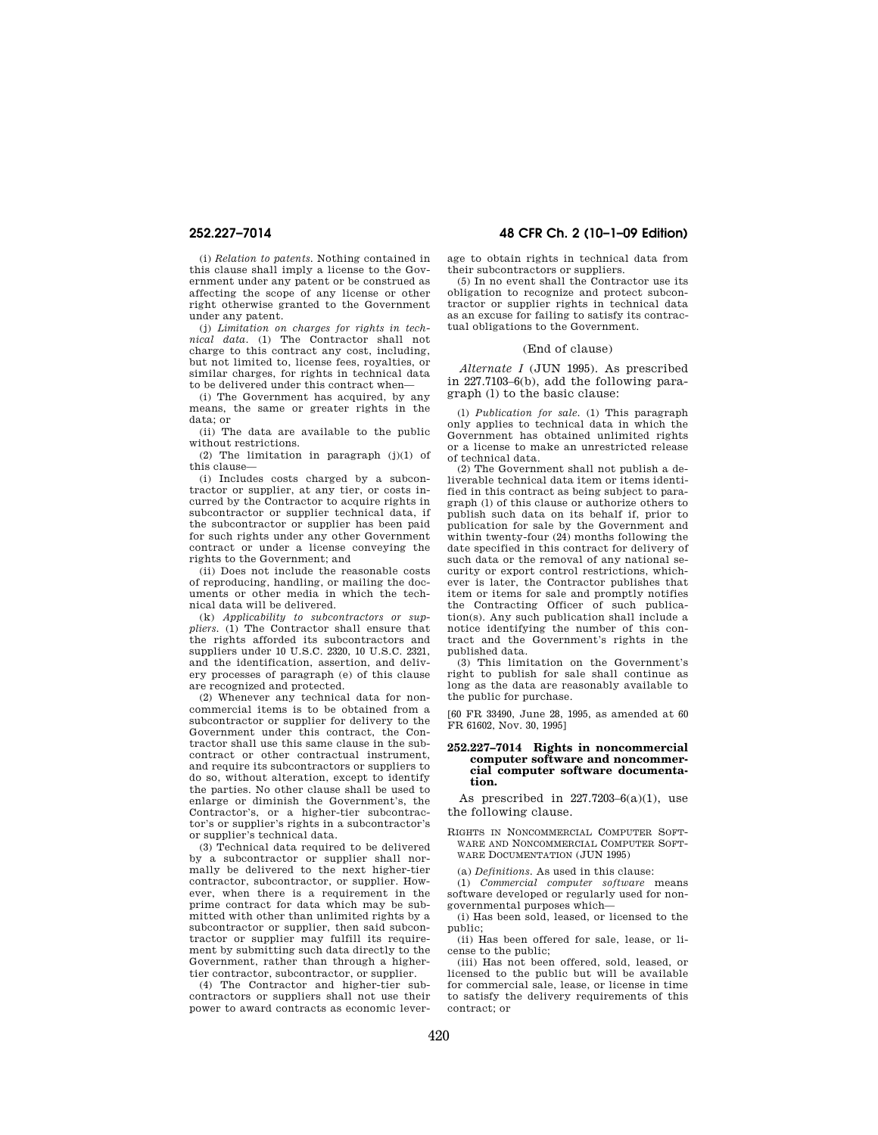(i) *Relation to patents.* Nothing contained in this clause shall imply a license to the Government under any patent or be construed as affecting the scope of any license or other right otherwise granted to the Government under any patent.

(j) *Limitation on charges for rights in technical data.* (1) The Contractor shall not charge to this contract any cost, including, but not limited to, license fees, royalties, or similar charges, for rights in technical data to be delivered under this contract when—

(i) The Government has acquired, by any means, the same or greater rights in the data; or

(ii) The data are available to the public without restrictions.

(2) The limitation in paragraph (j)(1) of this clause—

(i) Includes costs charged by a subcontractor or supplier, at any tier, or costs incurred by the Contractor to acquire rights in subcontractor or supplier technical data, if the subcontractor or supplier has been paid for such rights under any other Government contract or under a license conveying the rights to the Government; and

(ii) Does not include the reasonable costs of reproducing, handling, or mailing the documents or other media in which the technical data will be delivered.

(k) *Applicability to subcontractors or suppliers.* (1) The Contractor shall ensure that the rights afforded its subcontractors and suppliers under 10 U.S.C. 2320, 10 U.S.C. 2321, and the identification, assertion, and delivery processes of paragraph (e) of this clause are recognized and protected.

(2) Whenever any technical data for noncommercial items is to be obtained from a subcontractor or supplier for delivery to the Government under this contract, the Contractor shall use this same clause in the subcontract or other contractual instrument, and require its subcontractors or suppliers to do so, without alteration, except to identify the parties. No other clause shall be used to enlarge or diminish the Government's, the Contractor's, or a higher-tier subcontractor's or supplier's rights in a subcontractor's or supplier's technical data.

(3) Technical data required to be delivered by a subcontractor or supplier shall normally be delivered to the next higher-tier contractor, subcontractor, or supplier. However, when there is a requirement in the prime contract for data which may be submitted with other than unlimited rights by a subcontractor or supplier, then said subcontractor or supplier may fulfill its requirement by submitting such data directly to the Government, rather than through a highertier contractor, subcontractor, or supplier.

(4) The Contractor and higher-tier subcontractors or suppliers shall not use their power to award contracts as economic lever-

# **252.227–7014 48 CFR Ch. 2 (10–1–09 Edition)**

age to obtain rights in technical data from their subcontractors or suppliers.

(5) In no event shall the Contractor use its obligation to recognize and protect subcontractor or supplier rights in technical data as an excuse for failing to satisfy its contractual obligations to the Government.

# (End of clause)

*Alternate I* (JUN 1995). As prescribed in 227.7103–6(b), add the following paragraph (l) to the basic clause:

(l) *Publication for sale.* (1) This paragraph only applies to technical data in which the Government has obtained unlimited rights or a license to make an unrestricted release of technical data.

(2) The Government shall not publish a deliverable technical data item or items identified in this contract as being subject to paragraph (l) of this clause or authorize others to publish such data on its behalf if, prior to publication for sale by the Government and within twenty-four (24) months following the date specified in this contract for delivery of such data or the removal of any national security or export control restrictions, whichever is later, the Contractor publishes that item or items for sale and promptly notifies the Contracting Officer of such publication(s). Any such publication shall include a notice identifying the number of this contract and the Government's rights in the published data.

(3) This limitation on the Government's right to publish for sale shall continue as long as the data are reasonably available to the public for purchase.

[60 FR 33490, June 28, 1995, as amended at 60 FR 61602, Nov. 30, 1995]

# **252.227–7014 Rights in noncommercial computer software and noncommercial computer software documentation.**

As prescribed in  $227.7203-6(a)(1)$ , use the following clause.

RIGHTS IN NONCOMMERCIAL COMPUTER SOFT-WARE AND NONCOMMERCIAL COMPUTER SOFT-WARE DOCUMENTATION (JUN 1995)

(a) *Definitions.* As used in this clause:

(1) *Commercial computer software* means software developed or regularly used for nongovernmental purposes which—

(i) Has been sold, leased, or licensed to the public;

(ii) Has been offered for sale, lease, or license to the public;

(iii) Has not been offered, sold, leased, or licensed to the public but will be available for commercial sale, lease, or license in time to satisfy the delivery requirements of this contract; or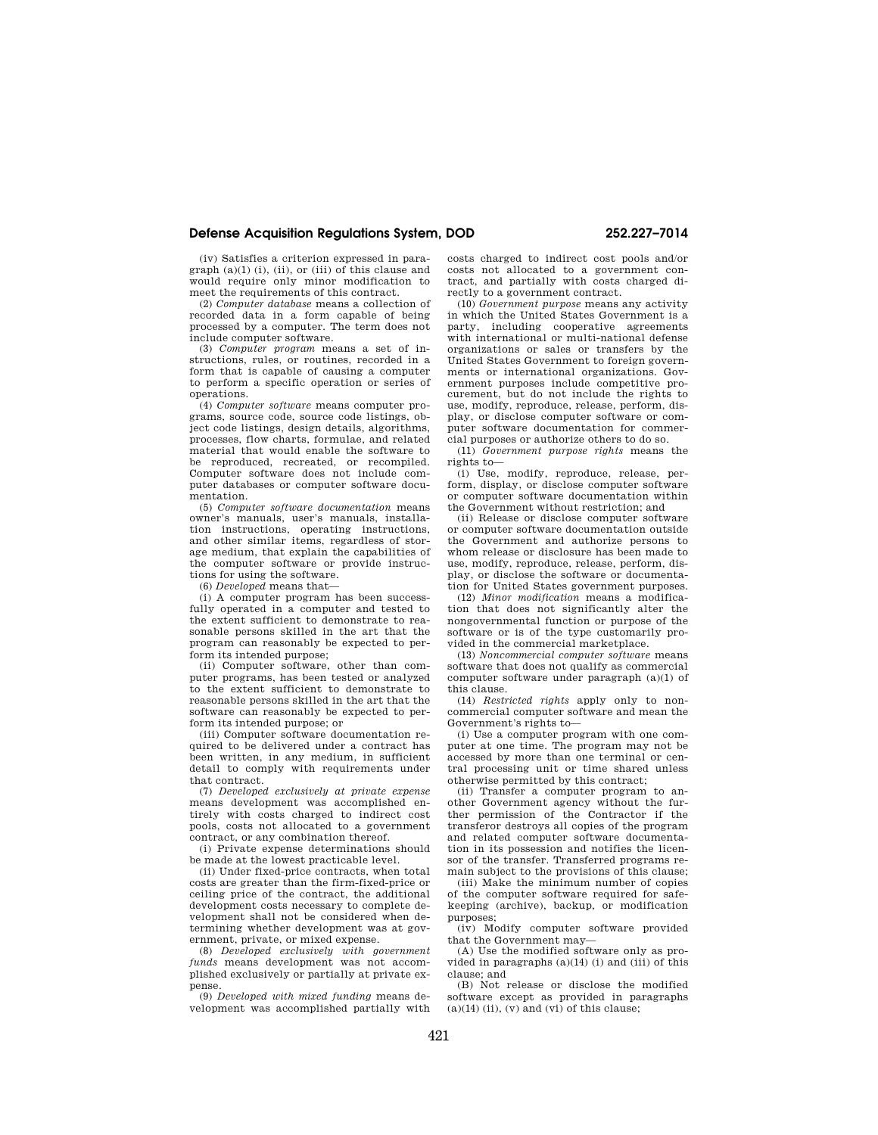(iv) Satisfies a criterion expressed in paragraph (a)(1) (i), (ii), or (iii) of this clause and would require only minor modification to meet the requirements of this contract.

(2) *Computer database* means a collection of recorded data in a form capable of being processed by a computer. The term does not include computer software.

(3) *Computer program* means a set of instructions, rules, or routines, recorded in a form that is capable of causing a computer to perform a specific operation or series of operations.

(4) *Computer software* means computer programs, source code, source code listings, object code listings, design details, algorithms, processes, flow charts, formulae, and related material that would enable the software to be reproduced, recreated, or recompiled. Computer software does not include computer databases or computer software documentation.

(5) *Computer software documentation* means owner's manuals, user's manuals, installation instructions, operating instructions, and other similar items, regardless of storage medium, that explain the capabilities of the computer software or provide instructions for using the software.

(6) *Developed* means that—

(i) A computer program has been successfully operated in a computer and tested to the extent sufficient to demonstrate to reasonable persons skilled in the art that the program can reasonably be expected to perform its intended purpose;

(ii) Computer software, other than computer programs, has been tested or analyzed to the extent sufficient to demonstrate to reasonable persons skilled in the art that the software can reasonably be expected to perform its intended purpose; or

(iii) Computer software documentation required to be delivered under a contract has been written, in any medium, in sufficient detail to comply with requirements under that contract.

(7) *Developed exclusively at private expense*  means development was accomplished entirely with costs charged to indirect cost pools, costs not allocated to a government contract, or any combination thereof.

(i) Private expense determinations should be made at the lowest practicable level.

(ii) Under fixed-price contracts, when total costs are greater than the firm-fixed-price or ceiling price of the contract, the additional development costs necessary to complete development shall not be considered when determining whether development was at government, private, or mixed expense.

(8) *Developed exclusively with government funds* means development was not accomplished exclusively or partially at private expense.

(9) *Developed with mixed funding* means development was accomplished partially with

costs charged to indirect cost pools and/or costs not allocated to a government contract, and partially with costs charged directly to a government contract.

(10) *Government purpose* means any activity in which the United States Government is a party, including cooperative agreements with international or multi-national defense organizations or sales or transfers by the United States Government to foreign governments or international organizations. Government purposes include competitive procurement, but do not include the rights to use, modify, reproduce, release, perform, display, or disclose computer software or computer software documentation for commercial purposes or authorize others to do so.

(11) *Government purpose rights* means the rights to—

(i) Use, modify, reproduce, release, perform, display, or disclose computer software or computer software documentation within the Government without restriction; and

(ii) Release or disclose computer software or computer software documentation outside the Government and authorize persons to whom release or disclosure has been made to use, modify, reproduce, release, perform, display, or disclose the software or documentation for United States government purposes.

(12) *Minor modification* means a modification that does not significantly alter the nongovernmental function or purpose of the software or is of the type customarily provided in the commercial marketplace.

(13) *Noncommercial computer software* means software that does not qualify as commercial computer software under paragraph (a)(1) of this clause.

(14) *Restricted rights* apply only to noncommercial computer software and mean the Government's rights to—

(i) Use a computer program with one computer at one time. The program may not be accessed by more than one terminal or central processing unit or time shared unless otherwise permitted by this contract;

(ii) Transfer a computer program to another Government agency without the further permission of the Contractor if the transferor destroys all copies of the program and related computer software documentation in its possession and notifies the licensor of the transfer. Transferred programs remain subject to the provisions of this clause;

(iii) Make the minimum number of copies of the computer software required for safekeeping (archive), backup, or modification purposes;

(iv) Modify computer software provided that the Government may—

 $(A)$  Use the modified software only as provided in paragraphs (a)(14) (i) and (iii) of this clause; and

(B) Not release or disclose the modified software except as provided in paragraphs  $(a)(14)$  (ii), (y) and (yi) of this clause: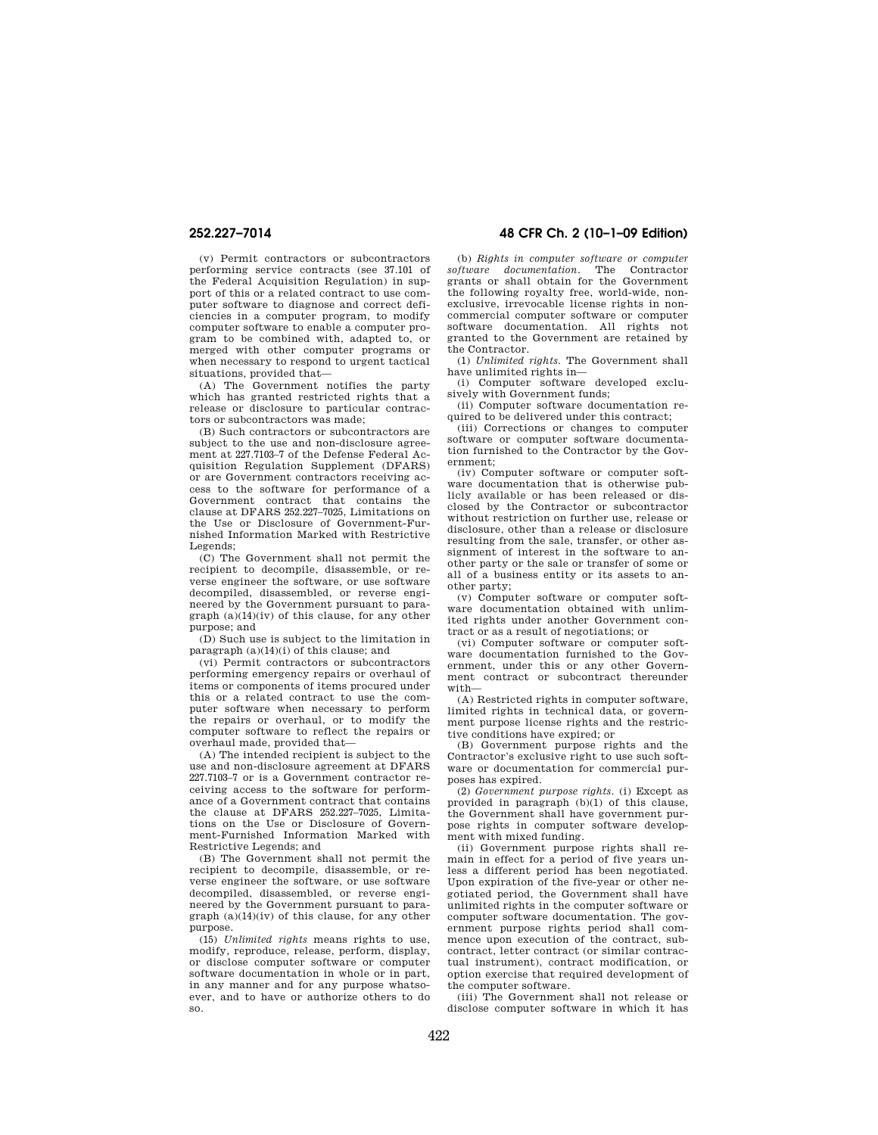(v) Permit contractors or subcontractors performing service contracts (see 37.101 of the Federal Acquisition Regulation) in support of this or a related contract to use computer software to diagnose and correct deficiencies in a computer program, to modify computer software to enable a computer program to be combined with, adapted to, or merged with other computer programs or when necessary to respond to urgent tactical situations, provided that—

(A) The Government notifies the party which has granted restricted rights that a release or disclosure to particular contractors or subcontractors was made;

(B) Such contractors or subcontractors are subject to the use and non-disclosure agreement at 227.7103–7 of the Defense Federal Acquisition Regulation Supplement (DFARS) or are Government contractors receiving access to the software for performance of a Government contract that contains the clause at DFARS 252.227–7025, Limitations on the Use or Disclosure of Government-Furnished Information Marked with Restrictive Legends;

(C) The Government shall not permit the recipient to decompile, disassemble, or reverse engineer the software, or use software decompiled, disassembled, or reverse engineered by the Government pursuant to paragraph (a)(14)(iv) of this clause, for any other purpose; and

(D) Such use is subject to the limitation in paragraph (a)(14)(i) of this clause; and

(vi) Permit contractors or subcontractors performing emergency repairs or overhaul of items or components of items procured under this or a related contract to use the computer software when necessary to perform the repairs or overhaul, or to modify the computer software to reflect the repairs or overhaul made, provided that—

(A) The intended recipient is subject to the use and non-disclosure agreement at DFARS 227.7103–7 or is a Government contractor receiving access to the software for performance of a Government contract that contains the clause at DFARS 252.227–7025, Limitations on the Use or Disclosure of Government-Furnished Information Marked with Restrictive Legends; and

(B) The Government shall not permit the recipient to decompile, disassemble, or reverse engineer the software, or use software decompiled, disassembled, or reverse engineered by the Government pursuant to paragraph (a)(14)(iv) of this clause, for any other purpose.

(15) *Unlimited rights* means rights to use, modify, reproduce, release, perform, display, or disclose computer software or computer software documentation in whole or in part, in any manner and for any purpose whatsoever, and to have or authorize others to do so.

# **252.227–7014 48 CFR Ch. 2 (10–1–09 Edition)**

(b) *Rights in computer software or computer software documentation.* The Contractor grants or shall obtain for the Government the following royalty free, world-wide, nonexclusive, irrevocable license rights in noncommercial computer software or computer software documentation. All rights not granted to the Government are retained by the Contractor.

(1) *Unlimited rights.* The Government shall have unlimited rights in—

(i) Computer software developed exclusively with Government funds;

(ii) Computer software documentation required to be delivered under this contract;

(iii) Corrections or changes to computer software or computer software documentation furnished to the Contractor by the Government;

(iv) Computer software or computer software documentation that is otherwise publicly available or has been released or disclosed by the Contractor or subcontractor without restriction on further use, release or disclosure, other than a release or disclosure resulting from the sale, transfer, or other assignment of interest in the software to another party or the sale or transfer of some or all of a business entity or its assets to another party;

(v) Computer software or computer software documentation obtained with unlimited rights under another Government contract or as a result of negotiations; or

(vi) Computer software or computer software documentation furnished to the Government, under this or any other Government contract or subcontract thereunder with—

(A) Restricted rights in computer software, limited rights in technical data, or government purpose license rights and the restrictive conditions have expired; or

(B) Government purpose rights and the Contractor's exclusive right to use such software or documentation for commercial purposes has expired.

(2) *Government purpose rights.* (i) Except as provided in paragraph  $(b)(1)$  of this clause, the Government shall have government purpose rights in computer software development with mixed funding.

(ii) Government purpose rights shall remain in effect for a period of five years unless a different period has been negotiated. Upon expiration of the five-year or other negotiated period, the Government shall have unlimited rights in the computer software or computer software documentation. The government purpose rights period shall commence upon execution of the contract, subcontract, letter contract (or similar contractual instrument), contract modification, or option exercise that required development of the computer software.

(iii) The Government shall not release or disclose computer software in which it has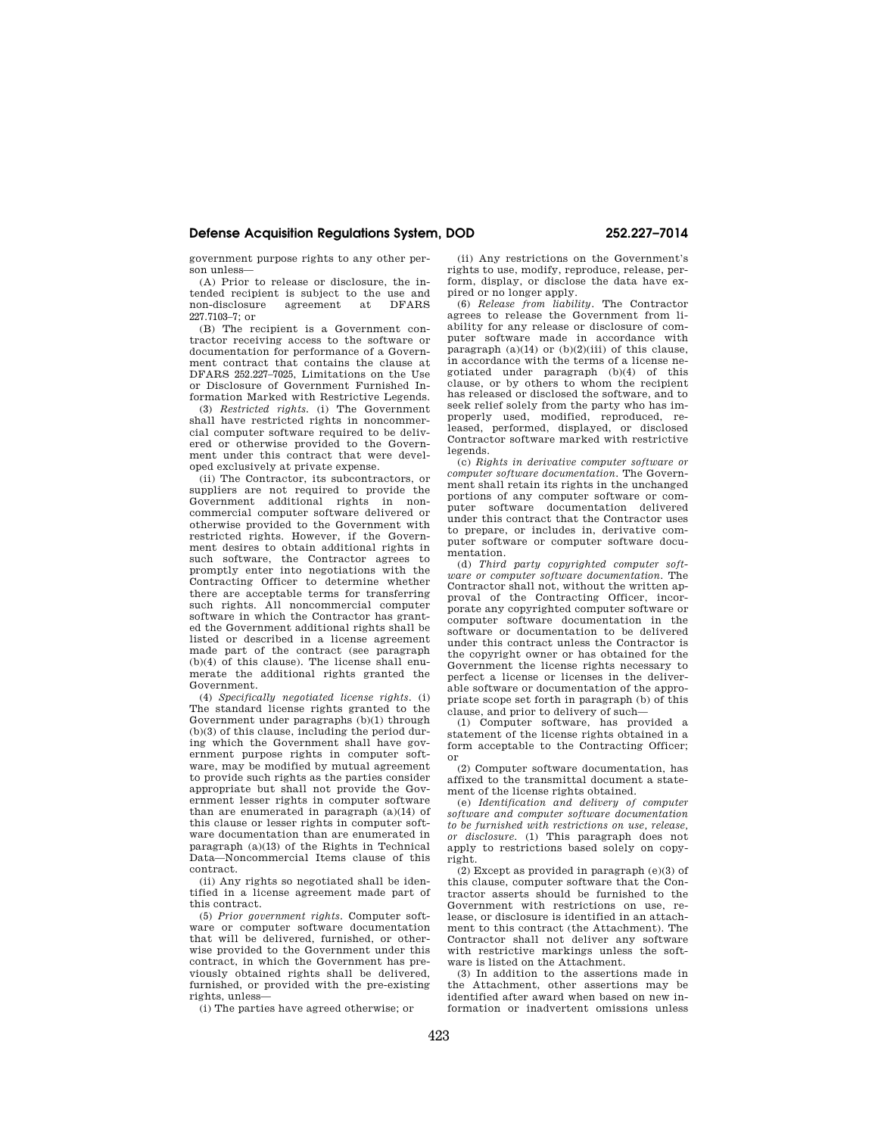government purpose rights to any other person unless—

(A) Prior to release or disclosure, the intended recipient is subject to the use and non-disclosure 227.7103–7; or

(B) The recipient is a Government contractor receiving access to the software or documentation for performance of a Government contract that contains the clause at DFARS 252.227–7025, Limitations on the Use or Disclosure of Government Furnished Information Marked with Restrictive Legends.

(3) *Restricted rights.* (i) The Government shall have restricted rights in noncommercial computer software required to be delivered or otherwise provided to the Government under this contract that were developed exclusively at private expense.

(ii) The Contractor, its subcontractors, or suppliers are not required to provide the Government additional rights in noncommercial computer software delivered or otherwise provided to the Government with restricted rights. However, if the Government desires to obtain additional rights in such software, the Contractor agrees to promptly enter into negotiations with the Contracting Officer to determine whether there are acceptable terms for transferring such rights. All noncommercial computer software in which the Contractor has granted the Government additional rights shall be listed or described in a license agreement made part of the contract (see paragraph (b)(4) of this clause). The license shall enumerate the additional rights granted the Government.

(4) *Specifically negotiated license rights.* (i) The standard license rights granted to the Government under paragraphs (b)(1) through (b)(3) of this clause, including the period during which the Government shall have government purpose rights in computer software, may be modified by mutual agreement to provide such rights as the parties consider appropriate but shall not provide the Government lesser rights in computer software than are enumerated in paragraph (a)(14) of this clause or lesser rights in computer software documentation than are enumerated in paragraph (a)(13) of the Rights in Technical Data—Noncommercial Items clause of this contract.

(ii) Any rights so negotiated shall be identified in a license agreement made part of this contract.

(5) *Prior government rights.* Computer software or computer software documentation that will be delivered, furnished, or otherwise provided to the Government under this contract, in which the Government has previously obtained rights shall be delivered, furnished, or provided with the pre-existing rights, unless—

(i) The parties have agreed otherwise; or

(ii) Any restrictions on the Government's rights to use, modify, reproduce, release, perform, display, or disclose the data have expired or no longer apply.

(6) *Release from liability.* The Contractor agrees to release the Government from liability for any release or disclosure of computer software made in accordance with paragraph  $(a)(14)$  or  $(b)(2)(iii)$  of this clause, in accordance with the terms of a license negotiated under paragraph (b)(4) of this clause, or by others to whom the recipient has released or disclosed the software, and to seek relief solely from the party who has improperly used, modified, reproduced, released, performed, displayed, or disclosed Contractor software marked with restrictive legends.

(c) *Rights in derivative computer software or computer software documentation.* The Government shall retain its rights in the unchanged portions of any computer software or computer software documentation delivered under this contract that the Contractor uses to prepare, or includes in, derivative computer software or computer software documentation.

(d) *Third party copyrighted computer software or computer software documentation.* The Contractor shall not, without the written approval of the Contracting Officer, incorporate any copyrighted computer software or computer software documentation in the software or documentation to be delivered under this contract unless the Contractor is the copyright owner or has obtained for the Government the license rights necessary to perfect a license or licenses in the deliverable software or documentation of the appropriate scope set forth in paragraph (b) of this clause, and prior to delivery of such—

(1) Computer software, has provided a statement of the license rights obtained in a form acceptable to the Contracting Officer; or

(2) Computer software documentation, has affixed to the transmittal document a statement of the license rights obtained.

(e) *Identification and delivery of computer software and computer software documentation to be furnished with restrictions on use, release, or disclosure.* (1) This paragraph does not apply to restrictions based solely on copyright.

(2) Except as provided in paragraph (e)(3) of this clause, computer software that the Contractor asserts should be furnished to the Government with restrictions on use, release, or disclosure is identified in an attachment to this contract (the Attachment). The Contractor shall not deliver any software with restrictive markings unless the software is listed on the Attachment.

(3) In addition to the assertions made in the Attachment, other assertions may be identified after award when based on new information or inadvertent omissions unless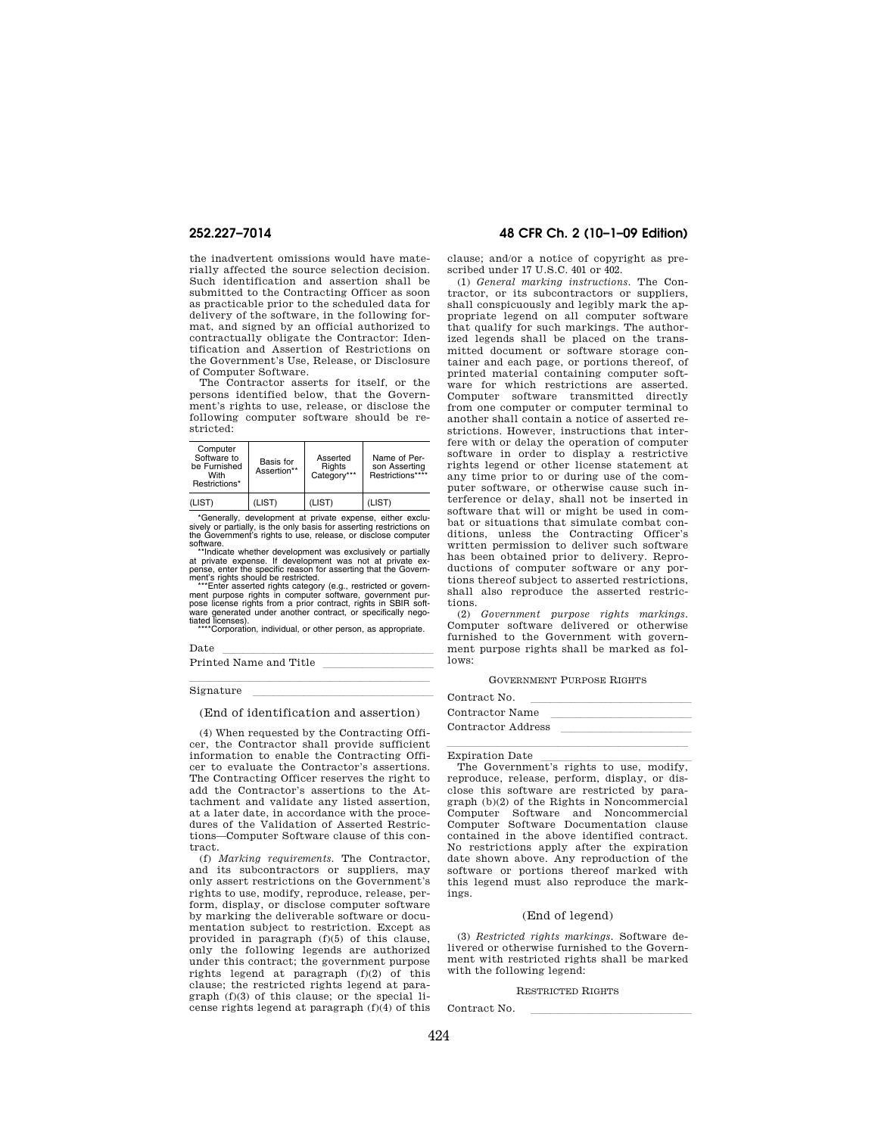the inadvertent omissions would have materially affected the source selection decision. Such identification and assertion shall be submitted to the Contracting Officer as soon as practicable prior to the scheduled data for delivery of the software, in the following format, and signed by an official authorized to contractually obligate the Contractor: Identification and Assertion of Restrictions on the Government's Use, Release, or Disclosure of Computer Software.

The Contractor asserts for itself, or the persons identified below, that the Government's rights to use, release, or disclose the following computer software should be restricted:

| Computer<br>Software to<br>be Furnished<br>With<br>Restrictions* | Basis for<br>Assertion** | Asserted<br>Rights<br>Category*** | Name of Per-<br>son Asserting<br>Restrictions**** |
|------------------------------------------------------------------|--------------------------|-----------------------------------|---------------------------------------------------|
| (LIST)                                                           | (LIST)                   | (LIST)                            | (LIST)                                            |
| .                                                                |                          |                                   |                                                   |

\*Generally, development at private expense, either exclu-sively or partially, is the only basis for asserting restrictions on the Government's rights to use, release, or disclose computer software.<br>\*\*Indicate whether development was exclusively or partially

at private expense. If development was not at private ex-<br>pense, enter the specific reason for assetting that the Govern-<br>ment's rights should be restricted.<br>""Enter asseted rights category (e.g., restricted or govern-<br>men tiated licenses). \*\*\*\*Corporation, individual, or other person, as appropriate.

Date<br>Drinted News and Witle

# Printed Name and Title

# Signature **limits of the set of the set of the set of the set of the set of the set of the set of the set of the set of the set of the set of the set of the set of the set of the set of the set of the set of the set of the**

(End of identification and assertion)

(4) When requested by the Contracting Officer, the Contractor shall provide sufficient information to enable the Contracting Officer to evaluate the Contractor's assertions. The Contracting Officer reserves the right to add the Contractor's assertions to the Attachment and validate any listed assertion, at a later date, in accordance with the procedures of the Validation of Asserted Restrictions—Computer Software clause of this contract.

(f) *Marking requirements.* The Contractor, and its subcontractors or suppliers, may only assert restrictions on the Government's rights to use, modify, reproduce, release, perform, display, or disclose computer software by marking the deliverable software or documentation subject to restriction. Except as provided in paragraph (f)(5) of this clause, only the following legends are authorized under this contract; the government purpose rights legend at paragraph (f)(2) of this clause; the restricted rights legend at paragraph (f)(3) of this clause; or the special license rights legend at paragraph (f)(4) of this

# **252.227–7014 48 CFR Ch. 2 (10–1–09 Edition)**

clause; and/or a notice of copyright as prescribed under 17 U.S.C. 401 or 402.

(1) *General marking instructions.* The Contractor, or its subcontractors or suppliers, shall conspicuously and legibly mark the appropriate legend on all computer software that qualify for such markings. The authorized legends shall be placed on the transmitted document or software storage container and each page, or portions thereof, of printed material containing computer software for which restrictions are asserted. Computer software transmitted directly from one computer or computer terminal to another shall contain a notice of asserted restrictions. However, instructions that interfere with or delay the operation of computer software in order to display a restrictive rights legend or other license statement at any time prior to or during use of the computer software, or otherwise cause such interference or delay, shall not be inserted in software that will or might be used in combat or situations that simulate combat conditions, unless the Contracting Officer's written permission to deliver such software has been obtained prior to delivery. Reproductions of computer software or any portions thereof subject to asserted restrictions, shall also reproduce the asserted restrictions.

(2) *Government purpose rights markings.*  Computer software delivered or otherwise furnished to the Government with government purpose rights shall be marked as follows:

### GOVERNMENT PURPOSE RIGHTS

| Contract No.       |  |
|--------------------|--|
| Contractor Name    |  |
| Contractor Address |  |
|                    |  |

Expiration Date

Expiration Date<br>The Government's rights to use, modify, reproduce, release, perform, display, or disclose this software are restricted by paragraph (b)(2) of the Rights in Noncommercial Computer Software and Noncommercial Computer Software Documentation clause contained in the above identified contract. No restrictions apply after the expiration date shown above. Any reproduction of the software or portions thereof marked with this legend must also reproduce the markings.

## (End of legend)

(3) *Restricted rights markings.* Software delivered or otherwise furnished to the Government with restricted rights shall be marked with the following legend:

RESTRICTED RIGHTS

Contract No.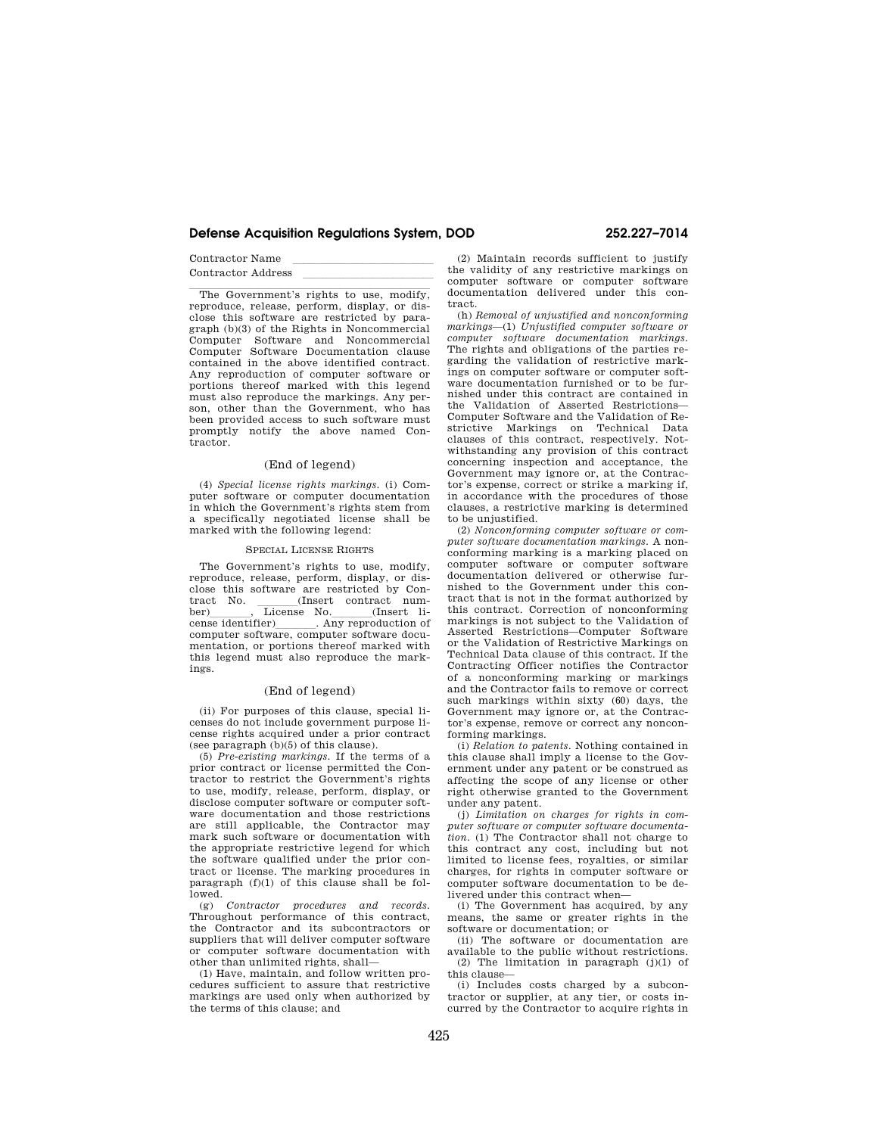Contractor Name Contractor Address

The Government's rights to use, modify, reproduce, release, perform, display, or disclose this software are restricted by paragraph (b)(3) of the Rights in Noncommercial Computer Software and Noncommercial Computer Software Documentation clause contained in the above identified contract. Any reproduction of computer software or portions thereof marked with this legend must also reproduce the markings. Any person, other than the Government, who has been provided access to such software must promptly notify the above named Contractor.

# (End of legend)

(4) *Special license rights markings.* (i) Computer software or computer documentation in which the Government's rights stem from a specifically negotiated license shall be marked with the following legend:

### SPECIAL LICENSE RIGHTS

The Government's rights to use, modify, reproduce, release, perform, display, or disclose this software are restricted by Contract No. (Insert contract number) <br>Insert li $h$ cense identifier) . Any reproduction of cense identifier)\_\_\_\_\_\_\_\_. Any reproduction of computer software, computer software documentation, or portions thereof marked with this legend must also reproduce the markings.

# (End of legend)

(ii) For purposes of this clause, special licenses do not include government purpose license rights acquired under a prior contract (see paragraph (b)(5) of this clause).

(5) *Pre-existing markings.* If the terms of a prior contract or license permitted the Contractor to restrict the Government's rights to use, modify, release, perform, display, or disclose computer software or computer software documentation and those restrictions are still applicable, the Contractor may mark such software or documentation with the appropriate restrictive legend for which the software qualified under the prior contract or license. The marking procedures in paragraph (f)(1) of this clause shall be followed.

(g) *Contractor procedures and records.*  Throughout performance of this contract, the Contractor and its subcontractors or suppliers that will deliver computer software or computer software documentation with other than unlimited rights, shall—

(1) Have, maintain, and follow written procedures sufficient to assure that restrictive markings are used only when authorized by the terms of this clause; and

(2) Maintain records sufficient to justify the validity of any restrictive markings on computer software or computer software documentation delivered under this contract.

(h) *Removal of unjustified and nonconforming markings*—(1) *Unjustified computer software or computer software documentation markings.*  The rights and obligations of the parties regarding the validation of restrictive markings on computer software or computer software documentation furnished or to be furnished under this contract are contained in the Validation of Asserted Restrictions— Computer Software and the Validation of Restrictive Markings on Technical Data clauses of this contract, respectively. Notwithstanding any provision of this contract concerning inspection and acceptance, the Government may ignore or, at the Contractor's expense, correct or strike a marking if, in accordance with the procedures of those clauses, a restrictive marking is determined to be unjustified.

(2) *Nonconforming computer software or computer software documentation markings.* A nonconforming marking is a marking placed on computer software or computer software documentation delivered or otherwise furnished to the Government under this contract that is not in the format authorized by this contract. Correction of nonconforming markings is not subject to the Validation of Asserted Restrictions—Computer Software or the Validation of Restrictive Markings on Technical Data clause of this contract. If the Contracting Officer notifies the Contractor of a nonconforming marking or markings and the Contractor fails to remove or correct such markings within sixty (60) days, the Government may ignore or, at the Contractor's expense, remove or correct any nonconforming markings.

(i) *Relation to patents.* Nothing contained in this clause shall imply a license to the Government under any patent or be construed as affecting the scope of any license or other right otherwise granted to the Government under any patent.

(j) *Limitation on charges for rights in computer software or computer software documentation.* (1) The Contractor shall not charge to this contract any cost, including but not limited to license fees, royalties, or similar charges, for rights in computer software or computer software documentation to be delivered under this contract when—

(i) The Government has acquired, by any means, the same or greater rights in the software or documentation; or

(ii) The software or documentation are available to the public without restrictions. (2) The limitation in paragraph (j)(1) of

this clause— (i) Includes costs charged by a subcontractor or supplier, at any tier, or costs incurred by the Contractor to acquire rights in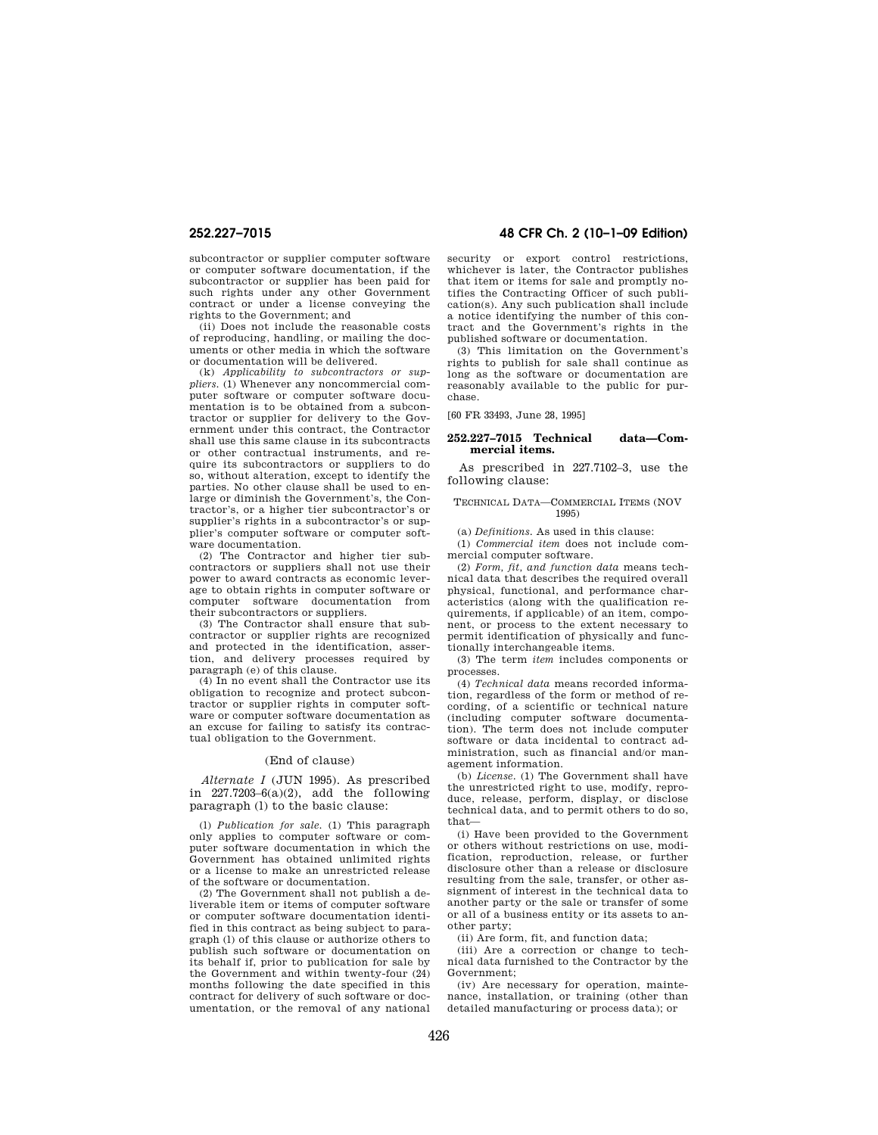subcontractor or supplier computer software or computer software documentation, if the subcontractor or supplier has been paid for such rights under any other Government contract or under a license conveying the rights to the Government; and

(ii) Does not include the reasonable costs of reproducing, handling, or mailing the documents or other media in which the software or documentation will be delivered.

(k) *Applicability to subcontractors or suppliers.* (1) Whenever any noncommercial computer software or computer software documentation is to be obtained from a subcontractor or supplier for delivery to the Government under this contract, the Contractor shall use this same clause in its subcontracts or other contractual instruments, and require its subcontractors or suppliers to do so, without alteration, except to identify the parties. No other clause shall be used to enlarge or diminish the Government's, the Contractor's, or a higher tier subcontractor's or supplier's rights in a subcontractor's or supplier's computer software or computer software documentation.

(2) The Contractor and higher tier subcontractors or suppliers shall not use their power to award contracts as economic leverage to obtain rights in computer software or computer software documentation from their subcontractors or suppliers.

(3) The Contractor shall ensure that subcontractor or supplier rights are recognized and protected in the identification, assertion, and delivery processes required by paragraph (e) of this clause.

(4) In no event shall the Contractor use its obligation to recognize and protect subcontractor or supplier rights in computer software or computer software documentation as an excuse for failing to satisfy its contractual obligation to the Government.

### (End of clause)

*Alternate I* (JUN 1995). As prescribed in 227.7203–6(a)(2), add the following paragraph (l) to the basic clause:

(l) *Publication for sale.* (1) This paragraph only applies to computer software or computer software documentation in which the Government has obtained unlimited rights or a license to make an unrestricted release of the software or documentation.

(2) The Government shall not publish a deliverable item or items of computer software or computer software documentation identified in this contract as being subject to paragraph (l) of this clause or authorize others to publish such software or documentation on its behalf if, prior to publication for sale by the Government and within twenty-four (24) months following the date specified in this contract for delivery of such software or documentation, or the removal of any national

# **252.227–7015 48 CFR Ch. 2 (10–1–09 Edition)**

security or export control restrictions. whichever is later, the Contractor publishes that item or items for sale and promptly notifies the Contracting Officer of such publication(s). Any such publication shall include a notice identifying the number of this contract and the Government's rights in the published software or documentation.

(3) This limitation on the Government's rights to publish for sale shall continue as long as the software or documentation are reasonably available to the public for purchase.

[60 FR 33493, June 28, 1995]

# **252.227–7015 Technical data—Commercial items.**

As prescribed in 227.7102–3, use the following clause:

### TECHNICAL DATA—COMMERCIAL ITEMS (NOV 1995)

(a) *Definitions.* As used in this clause:

(1) *Commercial item* does not include commercial computer software.

(2) *Form, fit, and function data* means technical data that describes the required overall physical, functional, and performance characteristics (along with the qualification requirements, if applicable) of an item, component, or process to the extent necessary to permit identification of physically and functionally interchangeable items.

(3) The term *item* includes components or processes.

(4) *Technical data* means recorded information, regardless of the form or method of recording, of a scientific or technical nature (including computer software documentation). The term does not include computer software or data incidental to contract administration, such as financial and/or management information.

(b) *License.* (1) The Government shall have the unrestricted right to use, modify, reproduce, release, perform, display, or disclose technical data, and to permit others to do so, that—

(i) Have been provided to the Government or others without restrictions on use, modification, reproduction, release, or further disclosure other than a release or disclosure resulting from the sale, transfer, or other assignment of interest in the technical data to another party or the sale or transfer of some or all of a business entity or its assets to another party;

(ii) Are form, fit, and function data;

(iii) Are a correction or change to technical data furnished to the Contractor by the Government;

(iv) Are necessary for operation, maintenance, installation, or training (other than detailed manufacturing or process data); or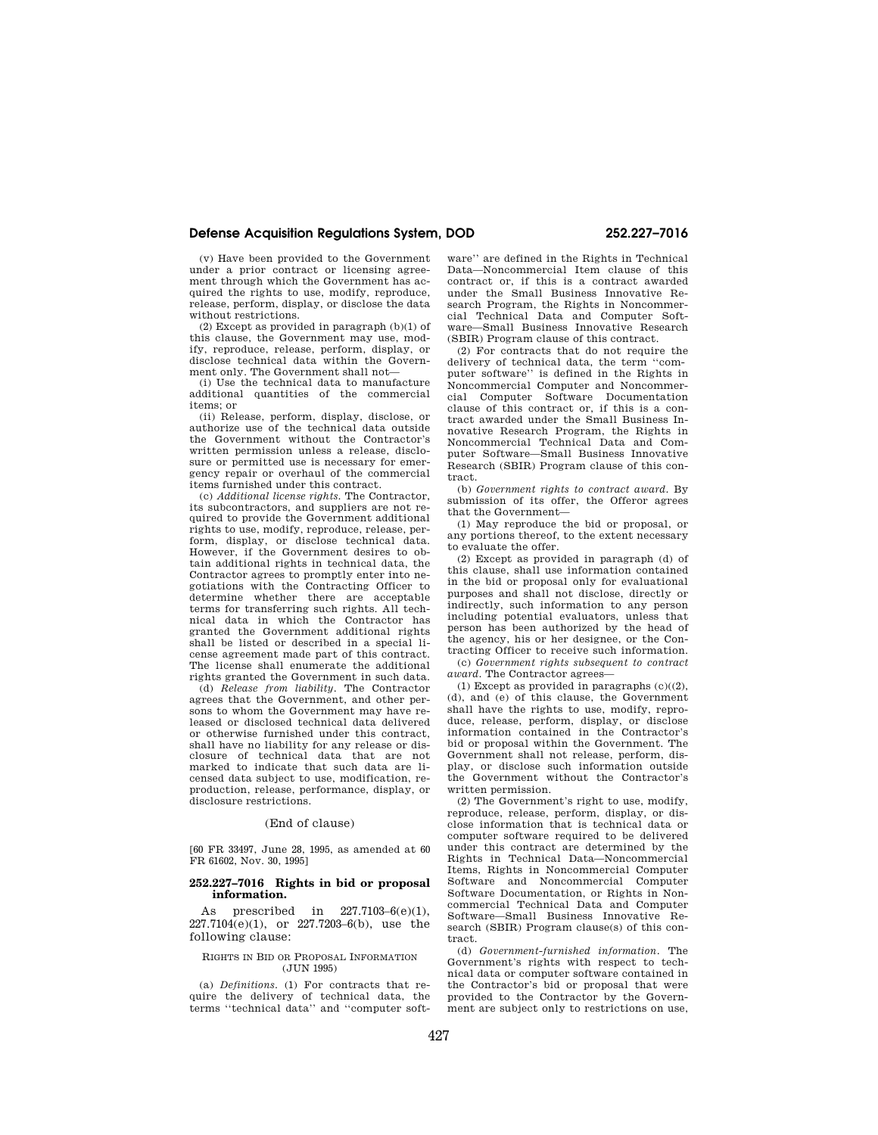(v) Have been provided to the Government under a prior contract or licensing agreement through which the Government has acquired the rights to use, modify, reproduce, release, perform, display, or disclose the data without restrictions.

(2) Except as provided in paragraph (b)(1) of this clause, the Government may use, modify, reproduce, release, perform, display, or disclose technical data within the Government only. The Government shall not—

(i) Use the technical data to manufacture additional quantities of the commercial items; or

(ii) Release, perform, display, disclose, or authorize use of the technical data outside the Government without the Contractor's written permission unless a release, disclosure or permitted use is necessary for emergency repair or overhaul of the commercial items furnished under this contract.

(c) *Additional license rights.* The Contractor, its subcontractors, and suppliers are not required to provide the Government additional rights to use, modify, reproduce, release, perform, display, or disclose technical data. However, if the Government desires to obtain additional rights in technical data, the Contractor agrees to promptly enter into negotiations with the Contracting Officer to determine whether there are acceptable terms for transferring such rights. All technical data in which the Contractor has granted the Government additional rights shall be listed or described in a special license agreement made part of this contract. The license shall enumerate the additional rights granted the Government in such data.

(d) *Release from liability.* The Contractor agrees that the Government, and other persons to whom the Government may have released or disclosed technical data delivered or otherwise furnished under this contract, shall have no liability for any release or disclosure of technical data that are not marked to indicate that such data are licensed data subject to use, modification, reproduction, release, performance, display, or disclosure restrictions.

### (End of clause)

[60 FR 33497, June 28, 1995, as amended at 60 FR 61602, Nov. 30, 1995]

# **252.227–7016 Rights in bid or proposal information.**

As prescribed in 227.7103–6(e)(1),  $227.7104(e)(1)$ , or  $227.7203-6(b)$ , use the following clause:

### RIGHTS IN BID OR PROPOSAL INFORMATION (JUN 1995)

(a) *Definitions.* (1) For contracts that require the delivery of technical data, the terms ''technical data'' and ''computer soft-

ware'' are defined in the Rights in Technical Data—Noncommercial Item clause of this contract or, if this is a contract awarded under the Small Business Innovative Research Program, the Rights in Noncommercial Technical Data and Computer Software—Small Business Innovative Research (SBIR) Program clause of this contract.

(2) For contracts that do not require the delivery of technical data, the term ''computer software'' is defined in the Rights in Noncommercial Computer and Noncommercial Computer Software Documentation clause of this contract or, if this is a contract awarded under the Small Business Innovative Research Program, the Rights in Noncommercial Technical Data and Computer Software—Small Business Innovative Research (SBIR) Program clause of this contract.

(b) *Government rights to contract award.* By submission of its offer, the Offeror agrees that the Government—

(1) May reproduce the bid or proposal, or any portions thereof, to the extent necessary to evaluate the offer.

(2) Except as provided in paragraph (d) of this clause, shall use information contained in the bid or proposal only for evaluational purposes and shall not disclose, directly or indirectly, such information to any person including potential evaluators, unless that person has been authorized by the head of the agency, his or her designee, or the Contracting Officer to receive such information. (c) *Government rights subsequent to contract* 

*award.* The Contractor agrees—

(1) Except as provided in paragraphs  $(c)((2),$ (d), and (e) of this clause, the Government shall have the rights to use, modify, reproduce, release, perform, display, or disclose information contained in the Contractor's bid or proposal within the Government. The Government shall not release, perform, display, or disclose such information outside the Government without the Contractor's written permission.

(2) The Government's right to use, modify, reproduce, release, perform, display, or disclose information that is technical data or computer software required to be delivered under this contract are determined by the Rights in Technical Data—Noncommercial Items, Rights in Noncommercial Computer Software and Noncommercial Computer Software Documentation, or Rights in Noncommercial Technical Data and Computer Software—Small Business Innovative Research (SBIR) Program clause(s) of this contract.

(d) *Government-furnished information.* The Government's rights with respect to technical data or computer software contained in the Contractor's bid or proposal that were provided to the Contractor by the Government are subject only to restrictions on use,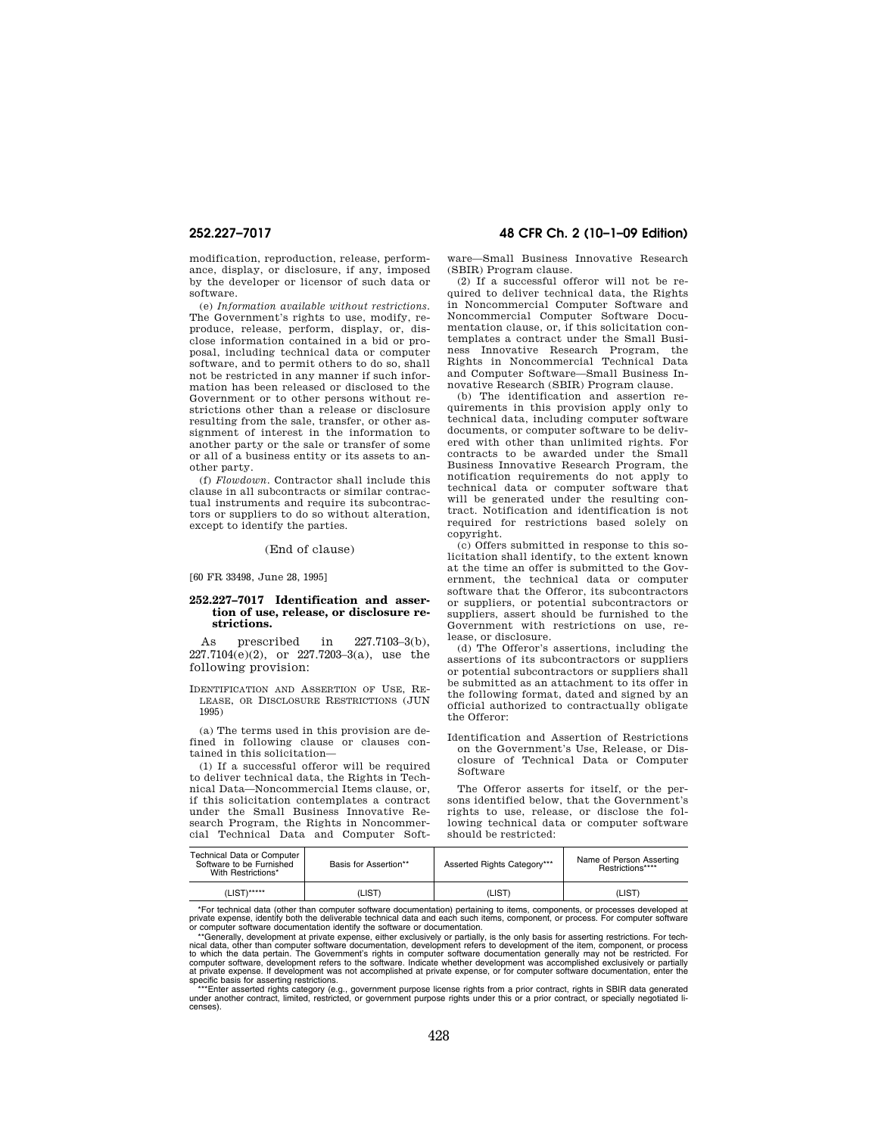modification, reproduction, release, performance, display, or disclosure, if any, imposed by the developer or licensor of such data or software.

(e) *Information available without restrictions.*  The Government's rights to use, modify, reproduce, release, perform, display, or, disclose information contained in a bid or proposal, including technical data or computer software, and to permit others to do so, shall not be restricted in any manner if such information has been released or disclosed to the Government or to other persons without restrictions other than a release or disclosure resulting from the sale, transfer, or other assignment of interest in the information to another party or the sale or transfer of some or all of a business entity or its assets to another party.

(f) *Flowdown.* Contractor shall include this clause in all subcontracts or similar contractual instruments and require its subcontractors or suppliers to do so without alteration, except to identify the parties.

# (End of clause)

[60 FR 33498, June 28, 1995]

# **252.227–7017 Identification and assertion of use, release, or disclosure restrictions.**

As prescribed in 227.7103–3(b),  $227.7104(e)(2)$ , or  $227.7203-3(a)$ , use the following provision:

IDENTIFICATION AND ASSERTION OF USE, RE-LEASE, OR DISCLOSURE RESTRICTIONS (JUN 1995)

(a) The terms used in this provision are defined in following clause or clauses contained in this solicitation—

(1) If a successful offeror will be required to deliver technical data, the Rights in Technical Data—Noncommercial Items clause, or, if this solicitation contemplates a contract under the Small Business Innovative Research Program, the Rights in Noncommercial Technical Data and Computer Soft-

# **252.227–7017 48 CFR Ch. 2 (10–1–09 Edition)**

ware—Small Business Innovative Research (SBIR) Program clause.

(2) If a successful offeror will not be required to deliver technical data, the Rights in Noncommercial Computer Software and Noncommercial Computer Software Documentation clause, or, if this solicitation contemplates a contract under the Small Business Innovative Research Program, the Rights in Noncommercial Technical Data and Computer Software—Small Business Innovative Research (SBIR) Program clause.

(b) The identification and assertion requirements in this provision apply only to technical data, including computer software documents, or computer software to be delivered with other than unlimited rights. For contracts to be awarded under the Small Business Innovative Research Program, the notification requirements do not apply to technical data or computer software that will be generated under the resulting contract. Notification and identification is not required for restrictions based solely on copyright.

(c) Offers submitted in response to this solicitation shall identify, to the extent known at the time an offer is submitted to the Government, the technical data or computer software that the Offeror, its subcontractors or suppliers, or potential subcontractors or suppliers, assert should be furnished to the Government with restrictions on use, release, or disclosure.

(d) The Offeror's assertions, including the assertions of its subcontractors or suppliers or potential subcontractors or suppliers shall be submitted as an attachment to its offer in the following format, dated and signed by an official authorized to contractually obligate the Offeror:

Identification and Assertion of Restrictions on the Government's Use, Release, or Disclosure of Technical Data or Computer Software

The Offeror asserts for itself, or the persons identified below, that the Government's rights to use, release, or disclose the following technical data or computer software should be restricted:

| Technical Data or Computer<br>Software to be Furnished<br>With Restrictions* | Basis for Assertion** | Asserted Rights Category*** | Name of Person Asserting<br>Restrictions***** |  |
|------------------------------------------------------------------------------|-----------------------|-----------------------------|-----------------------------------------------|--|
| (LIST)*****                                                                  | (LIST)                | (LIST)                      | (LIST)                                        |  |

\*For technical data (other than computer software documentation) pertaining to items, components, or processes developed at private expense, identify both the deliverable technical data and each such items, component, or process. For computer software<br>or computer software documentation identify the software or documentation.

specific basis for asserting restrictions.<br>\*\*\*Enter asserted rights category (e.g., government purpose license rights from a prior contract, rights in SBIR data generated<br>under another contract, limited, restricted, or gov

<sup>\*\*</sup>Generally, development at private expense, either exclusively or partially, is the only basis for asserting restrictions. For tech-<br>incial data, other than computer software documentation, development refers to developme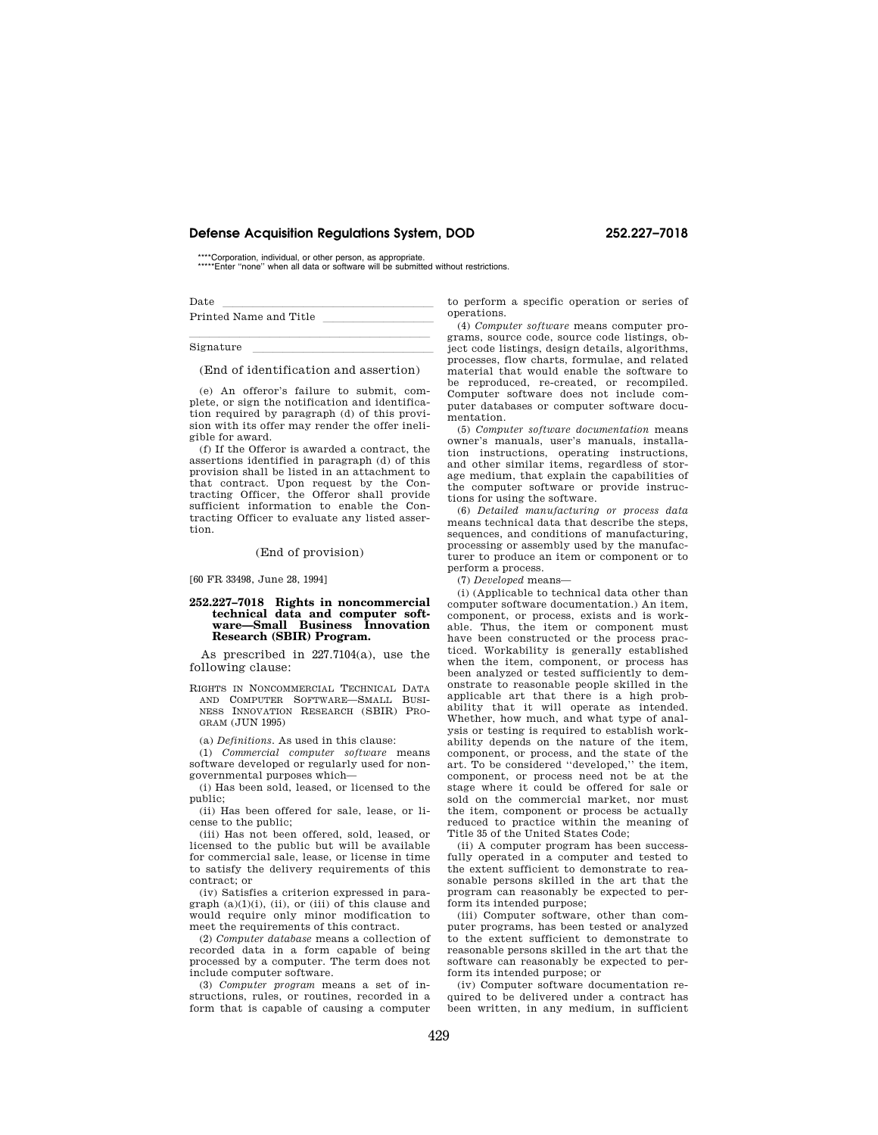\*\*\*\*Corporation, individual, or other person, as appropriate. \*\*\*\*\*Enter ''none'' when all data or software will be submitted without restrictions.

Date  $\frac{1}{\sqrt{1-\frac{1}{\sqrt{1-\frac{1}{\sqrt{1-\frac{1}{\sqrt{1-\frac{1}{\sqrt{1-\frac{1}{\sqrt{1-\frac{1}{\sqrt{1-\frac{1}{\sqrt{1-\frac{1}{\sqrt{1-\frac{1}{\sqrt{1-\frac{1}{\sqrt{1-\frac{1}{\sqrt{1-\frac{1}{\sqrt{1-\frac{1}{\sqrt{1-\frac{1}{\sqrt{1-\frac{1}{\sqrt{1-\frac{1}{\sqrt{1-\frac{1}{\sqrt{1-\frac{1}{\sqrt{1-\frac{1}{\sqrt{1-\frac{1}{\sqrt{1-\frac{1}{\sqrt{1-\frac{1}{\sqrt{1-\frac{1}{\sqrt{$ Printed Name and Title

signature **limits of the set of the set of the set of the set of the set of the set of the set of the set of the set of the set of the set of the set of the set of the set of the set of the set of the set of the set of the** 

(End of identification and assertion)

(e) An offeror's failure to submit, complete, or sign the notification and identification required by paragraph (d) of this provision with its offer may render the offer ineligible for award.

(f) If the Offeror is awarded a contract, the assertions identified in paragraph (d) of this provision shall be listed in an attachment to that contract. Upon request by the Contracting Officer, the Offeror shall provide sufficient information to enable the Contracting Officer to evaluate any listed assertion.

# (End of provision)

[60 FR 33498, June 28, 1994]

## **252.227–7018 Rights in noncommercial technical data and computer software—Small Business Innovation Research (SBIR) Program.**

As prescribed in 227.7104(a), use the following clause:

RIGHTS IN NONCOMMERCIAL TECHNICAL DATA AND COMPUTER SOFTWARE—SMALL BUSI-NESS INNOVATION RESEARCH (SBIR) PRO-GRAM (JUN 1995)

(a) *Definitions.* As used in this clause:

(1) *Commercial computer software* means software developed or regularly used for nongovernmental purposes which—

(i) Has been sold, leased, or licensed to the public;

(ii) Has been offered for sale, lease, or license to the public;

(iii) Has not been offered, sold, leased, or licensed to the public but will be available for commercial sale, lease, or license in time to satisfy the delivery requirements of this contract; or

(iv) Satisfies a criterion expressed in para $graph (a)(1)(i), (ii), or (iii) of this clause and$ would require only minor modification to meet the requirements of this contract.

(2) *Computer database* means a collection of recorded data in a form capable of being processed by a computer. The term does not include computer software.

(3) *Computer program* means a set of instructions, rules, or routines, recorded in a form that is capable of causing a computer to perform a specific operation or series of operations.

(4) *Computer software* means computer programs, source code, source code listings, object code listings, design details, algorithms, processes, flow charts, formulae, and related material that would enable the software to be reproduced, re-created, or recompiled. Computer software does not include computer databases or computer software documentation.

(5) *Computer software documentation* means owner's manuals, user's manuals, installation instructions, operating instructions, and other similar items, regardless of storage medium, that explain the capabilities of the computer software or provide instructions for using the software.

(6) *Detailed manufacturing or process data*  means technical data that describe the steps, sequences, and conditions of manufacturing, processing or assembly used by the manufacturer to produce an item or component or to perform a process.

(7) *Developed* means—

(i) (Applicable to technical data other than computer software documentation.) An item, component, or process, exists and is workable. Thus, the item or component must have been constructed or the process practiced. Workability is generally established when the item, component, or process has been analyzed or tested sufficiently to demonstrate to reasonable people skilled in the applicable art that there is a high probability that it will operate as intended. Whether, how much, and what type of analysis or testing is required to establish workability depends on the nature of the item, component, or process, and the state of the art. To be considered ''developed,'' the item, component, or process need not be at the stage where it could be offered for sale or sold on the commercial market, nor must the item, component or process be actually reduced to practice within the meaning of Title 35 of the United States Code;

(ii) A computer program has been successfully operated in a computer and tested to the extent sufficient to demonstrate to reasonable persons skilled in the art that the program can reasonably be expected to perform its intended purpose;

(iii) Computer software, other than computer programs, has been tested or analyzed to the extent sufficient to demonstrate to reasonable persons skilled in the art that the software can reasonably be expected to perform its intended purpose; or

(iv) Computer software documentation required to be delivered under a contract has been written, in any medium, in sufficient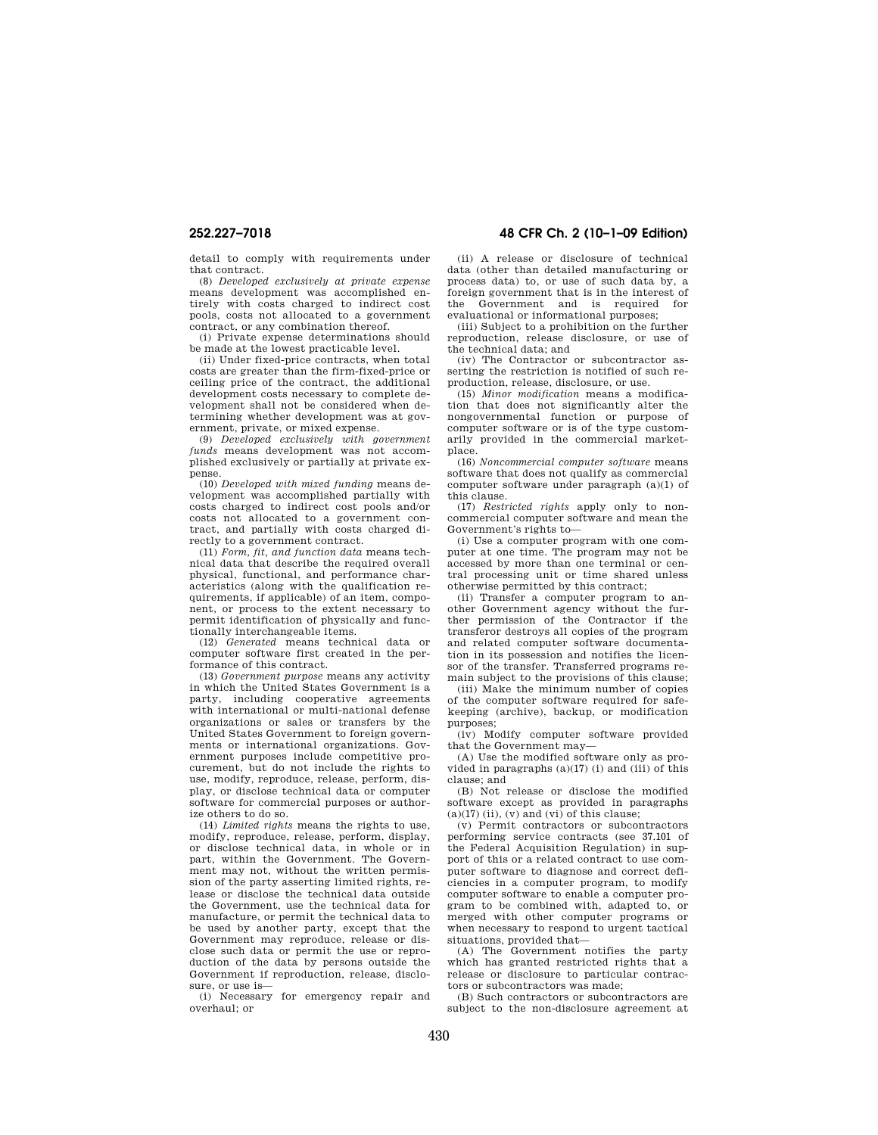**252.227–7018 48 CFR Ch. 2 (10–1–09 Edition)** 

detail to comply with requirements under that contract.

(8) *Developed exclusively at private expense*  means development was accomplished entirely with costs charged to indirect cost pools, costs not allocated to a government contract, or any combination thereof.

(i) Private expense determinations should be made at the lowest practicable level.

(ii) Under fixed-price contracts, when total costs are greater than the firm-fixed-price or ceiling price of the contract, the additional development costs necessary to complete development shall not be considered when determining whether development was at government, private, or mixed expense.

(9) *Developed exclusively with government funds* means development was not accomplished exclusively or partially at private expense.

(10) *Developed with mixed funding* means development was accomplished partially with costs charged to indirect cost pools and/or costs not allocated to a government contract, and partially with costs charged directly to a government contract.

(11) *Form, fit, and function data* means technical data that describe the required overall physical, functional, and performance characteristics (along with the qualification requirements, if applicable) of an item, component, or process to the extent necessary to permit identification of physically and functionally interchangeable items.

(12) *Generated* means technical data or computer software first created in the performance of this contract.

(13) *Government purpose* means any activity in which the United States Government is a party, including cooperative agreements with international or multi-national defense organizations or sales or transfers by the United States Government to foreign governments or international organizations. Government purposes include competitive procurement, but do not include the rights to use, modify, reproduce, release, perform, display, or disclose technical data or computer software for commercial purposes or authorize others to do so.

(14) *Limited rights* means the rights to use, modify, reproduce, release, perform, display, or disclose technical data, in whole or in part, within the Government. The Government may not, without the written permission of the party asserting limited rights, release or disclose the technical data outside the Government, use the technical data for manufacture, or permit the technical data to be used by another party, except that the Government may reproduce, release or disclose such data or permit the use or reproduction of the data by persons outside the Government if reproduction, release, disclosure, or use is—

(i) Necessary for emergency repair and overhaul; or

(ii) A release or disclosure of technical data (other than detailed manufacturing or process data) to, or use of such data by, a foreign government that is in the interest of the Government and is required for evaluational or informational purposes;

(iii) Subject to a prohibition on the further reproduction, release disclosure, or use of the technical data; and

(iv) The Contractor or subcontractor asserting the restriction is notified of such reproduction, release, disclosure, or use.

(15) *Minor modification* means a modification that does not significantly alter the nongovernmental function or purpose of computer software or is of the type customarily provided in the commercial marketplace.

(16) *Noncommercial computer software* means software that does not qualify as commercial computer software under paragraph (a)(1) of this clause.

(17) *Restricted rights* apply only to noncommercial computer software and mean the Government's rights to—

(i) Use a computer program with one computer at one time. The program may not be accessed by more than one terminal or central processing unit or time shared unless otherwise permitted by this contract;

(ii) Transfer a computer program to another Government agency without the further permission of the Contractor if the transferor destroys all copies of the program and related computer software documentation in its possession and notifies the licensor of the transfer. Transferred programs remain subject to the provisions of this clause;

(iii) Make the minimum number of copies of the computer software required for safekeeping (archive), backup, or modification purposes;

(iv) Modify computer software provided that the Government may—

(A) Use the modified software only as provided in paragraphs  $(a)(17)$  (i) and (iii) of this clause; and

(B) Not release or disclose the modified software except as provided in paragraphs  $(a)(17)$  (ii),  $(y)$  and  $(vi)$  of this clause:

(v) Permit contractors or subcontractors performing service contracts (see 37.101 of the Federal Acquisition Regulation) in support of this or a related contract to use computer software to diagnose and correct deficiencies in a computer program, to modify computer software to enable a computer program to be combined with, adapted to, or merged with other computer programs or when necessary to respond to urgent tactical situations, provided that—

(A) The Government notifies the party which has granted restricted rights that a release or disclosure to particular contractors or subcontractors was made;

(B) Such contractors or subcontractors are subject to the non-disclosure agreement at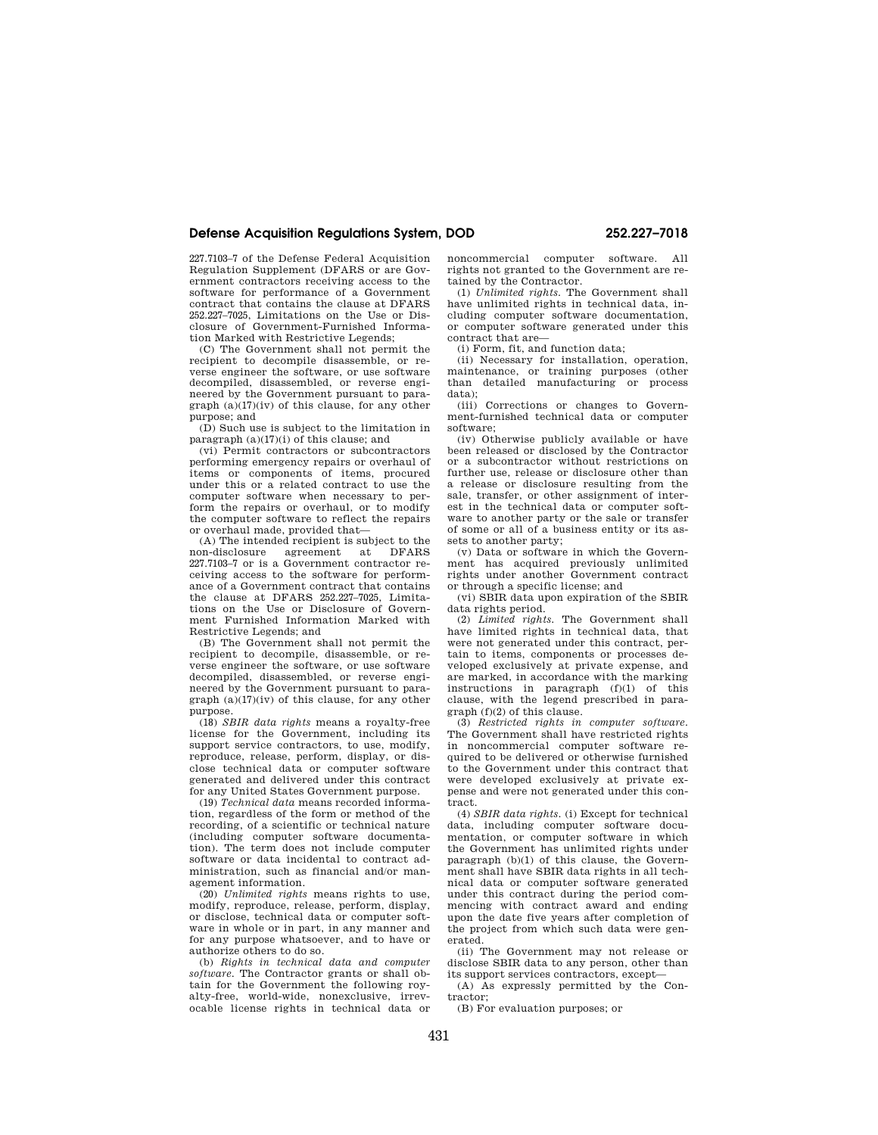227.7103–7 of the Defense Federal Acquisition Regulation Supplement (DFARS or are Government contractors receiving access to the software for performance of a Government contract that contains the clause at DFARS 252.227–7025, Limitations on the Use or Disclosure of Government-Furnished Information Marked with Restrictive Legends;

(C) The Government shall not permit the recipient to decompile disassemble, or reverse engineer the software, or use software decompiled, disassembled, or reverse engineered by the Government pursuant to para $graph (a)(17)(iv)$  of this clause, for any other purpose; and

(D) Such use is subject to the limitation in paragraph  $(a)(17)(i)$  of this clause; and

(vi) Permit contractors or subcontractors performing emergency repairs or overhaul of items or components of items, procured under this or a related contract to use the computer software when necessary to perform the repairs or overhaul, or to modify the computer software to reflect the repairs or overhaul made, provided that—

(A) The intended recipient is subject to the<br>on-disclosure agreement at DFARS non-disclosure agreement 227.7103–7 or is a Government contractor receiving access to the software for performance of a Government contract that contains the clause at DFARS 252.227–7025, Limitations on the Use or Disclosure of Government Furnished Information Marked with Restrictive Legends; and

(B) The Government shall not permit the recipient to decompile, disassemble, or reverse engineer the software, or use software decompiled, disassembled, or reverse engineered by the Government pursuant to paragraph  $(a)(17)(iv)$  of this clause, for any other purpose.

(18) *SBIR data rights* means a royalty-free license for the Government, including its support service contractors, to use, modify, reproduce, release, perform, display, or disclose technical data or computer software generated and delivered under this contract for any United States Government purpose.

(19) *Technical data* means recorded information, regardless of the form or method of the recording, of a scientific or technical nature (including computer software documentation). The term does not include computer software or data incidental to contract administration, such as financial and/or management information.

(20) *Unlimited rights* means rights to use, modify, reproduce, release, perform, display, or disclose, technical data or computer software in whole or in part, in any manner and for any purpose whatsoever, and to have or authorize others to do so.

(b) *Rights in technical data and computer software.* The Contractor grants or shall obtain for the Government the following royalty-free, world-wide, nonexclusive, irrevocable license rights in technical data or noncommercial computer software. All rights not granted to the Government are retained by the Contractor.

(1) *Unlimited rights.* The Government shall have unlimited rights in technical data, including computer software documentation, or computer software generated under this contract that are—

(i) Form, fit, and function data;

(ii) Necessary for installation, operation, maintenance, or training purposes (other than detailed manufacturing or process data);

(iii) Corrections or changes to Government-furnished technical data or computer software;

(iv) Otherwise publicly available or have been released or disclosed by the Contractor or a subcontractor without restrictions on further use, release or disclosure other than a release or disclosure resulting from the sale, transfer, or other assignment of interest in the technical data or computer software to another party or the sale or transfer of some or all of a business entity or its assets to another party;

(v) Data or software in which the Government has acquired previously unlimited rights under another Government contract or through a specific license; and

(vi) SBIR data upon expiration of the SBIR data rights period.

(2) *Limited rights.* The Government shall have limited rights in technical data, that were not generated under this contract, pertain to items, components or processes developed exclusively at private expense, and are marked, in accordance with the marking instructions in paragraph (f)(1) of this clause, with the legend prescribed in paragraph (f)(2) of this clause.

(3) *Restricted rights in computer software.*  The Government shall have restricted rights in noncommercial computer software required to be delivered or otherwise furnished to the Government under this contract that were developed exclusively at private expense and were not generated under this contract.

(4) *SBIR data rights.* (i) Except for technical data, including computer software documentation, or computer software in which the Government has unlimited rights under paragraph (b)(1) of this clause, the Government shall have SBIR data rights in all technical data or computer software generated under this contract during the period commencing with contract award and ending upon the date five years after completion of the project from which such data were generated.

(ii) The Government may not release or disclose SBIR data to any person, other than its support services contractors, except—

(A) As expressly permitted by the Contractor;

(B) For evaluation purposes; or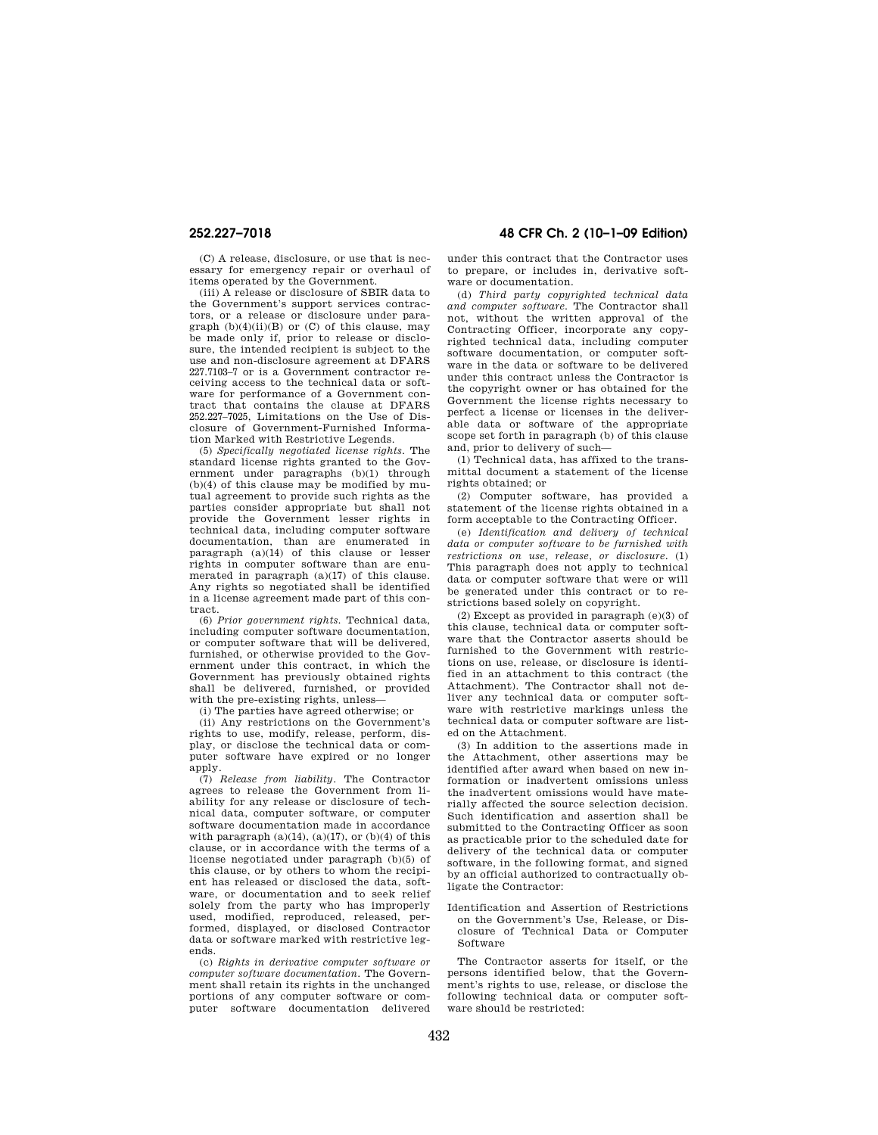(C) A release, disclosure, or use that is necessary for emergency repair or overhaul of items operated by the Government.

(iii) A release or disclosure of SBIR data to the Government's support services contractors, or a release or disclosure under paragraph  $(b)(4)(ii)(B)$  or  $(C)$  of this clause, may be made only if, prior to release or disclosure, the intended recipient is subject to the use and non-disclosure agreement at DFARS 227.7103–7 or is a Government contractor receiving access to the technical data or software for performance of a Government contract that contains the clause at DFARS 252.227–7025, Limitations on the Use of Disclosure of Government-Furnished Information Marked with Restrictive Legends.

(5) *Specifically negotiated license rights.* The standard license rights granted to the Government under paragraphs (b)(1) through (b)(4) of this clause may be modified by mutual agreement to provide such rights as the parties consider appropriate but shall not provide the Government lesser rights in technical data, including computer software documentation, than are enumerated in paragraph (a)(14) of this clause or lesser rights in computer software than are enumerated in paragraph  $(a)(17)$  of this clause. Any rights so negotiated shall be identified in a license agreement made part of this contract.

(6) *Prior government rights.* Technical data, including computer software documentation, or computer software that will be delivered, furnished, or otherwise provided to the Government under this contract, in which the Government has previously obtained rights shall be delivered, furnished, or provided with the pre-existing rights, unless-

(i) The parties have agreed otherwise; or

(ii) Any restrictions on the Government's rights to use, modify, release, perform, display, or disclose the technical data or computer software have expired or no longer apply.

(7) *Release from liability.* The Contractor agrees to release the Government from liability for any release or disclosure of technical data, computer software, or computer software documentation made in accordance with paragraph  $(a)(14)$ ,  $(a)(17)$ , or  $(b)(4)$  of this clause, or in accordance with the terms of a license negotiated under paragraph (b)(5) of this clause, or by others to whom the recipient has released or disclosed the data, software, or documentation and to seek relief solely from the party who has improperly used, modified, reproduced, released, performed, displayed, or disclosed Contractor data or software marked with restrictive legends.

(c) *Rights in derivative computer software or computer software documentation.* The Government shall retain its rights in the unchanged portions of any computer software or computer software documentation delivered

**252.227–7018 48 CFR Ch. 2 (10–1–09 Edition)** 

under this contract that the Contractor uses to prepare, or includes in, derivative software or documentation.

(d) *Third party copyrighted technical data and computer software.* The Contractor shall not, without the written approval of the Contracting Officer, incorporate any copyrighted technical data, including computer software documentation, or computer software in the data or software to be delivered under this contract unless the Contractor is the copyright owner or has obtained for the Government the license rights necessary to perfect a license or licenses in the deliverable data or software of the appropriate scope set forth in paragraph (b) of this clause and, prior to delivery of such—

(1) Technical data, has affixed to the transmittal document a statement of the license rights obtained; or

(2) Computer software, has provided a statement of the license rights obtained in a form acceptable to the Contracting Officer.

(e) *Identification and delivery of technical data or computer software to be furnished with restrictions on use, release, or disclosure.* (1) This paragraph does not apply to technical data or computer software that were or will be generated under this contract or to restrictions based solely on copyright.

(2) Except as provided in paragraph (e)(3) of this clause, technical data or computer software that the Contractor asserts should be furnished to the Government with restrictions on use, release, or disclosure is identified in an attachment to this contract (the Attachment). The Contractor shall not deliver any technical data or computer software with restrictive markings unless the technical data or computer software are listed on the Attachment.

(3) In addition to the assertions made in the Attachment, other assertions may be identified after award when based on new information or inadvertent omissions unless the inadvertent omissions would have materially affected the source selection decision. Such identification and assertion shall be submitted to the Contracting Officer as soon as practicable prior to the scheduled date for delivery of the technical data or computer software, in the following format, and signed by an official authorized to contractually obligate the Contractor:

### Identification and Assertion of Restrictions on the Government's Use, Release, or Disclosure of Technical Data or Computer Software

The Contractor asserts for itself, or the persons identified below, that the Government's rights to use, release, or disclose the following technical data or computer software should be restricted: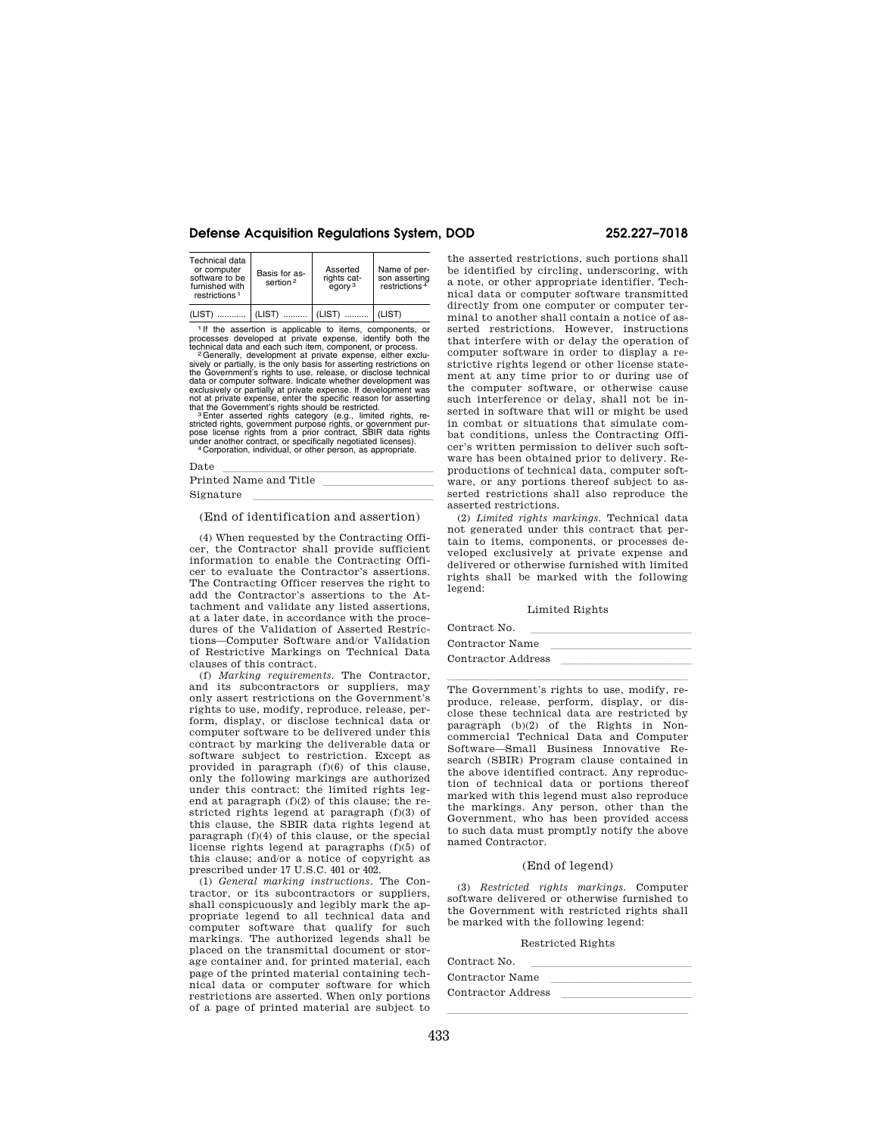| Technical data<br>or computer<br>software to be<br>furnished with<br>restrictions <sup>1</sup> | Basis for as-<br>sertion <sup>2</sup> | Asserted<br>rights cat-<br>egory <sup>3</sup> | Name of per-<br>son asserting<br>restrictions $\frac{3}{4}$ |  |
|------------------------------------------------------------------------------------------------|---------------------------------------|-----------------------------------------------|-------------------------------------------------------------|--|
| (LIST)                                                                                         | (LIST)                                | (LIST)                                        | (LIST)                                                      |  |

1 If the assertion is applicable to items, components, or

processes developed at private expense, identify both the<br>technical data and each such item, component, or process.<br>
<sup>2</sup> Generally, development at private expense, either exclusively or partially, is the only basis for ass not at private expense, enter the specific reason for asserting

that the Government's rights should be restricted.<br><sup>3</sup> Enter asserted rights category (e.g., limited rights, re-<br>stricted rights, government purpose rights, or government pur-<br>pose license rights from a prior contract, SBI under another contract, or specifically negotiated licenses). 4 Corporation, individual, or other person, as appropriate.

Date lle and the land state of the land state of the land state of the land state of the land state of the land state of the land state of the land state of the land state of the land state of the land state of the land st Printed Name and Title lllllllllll Signature

(End of identification and assertion)

(4) When requested by the Contracting Officer, the Contractor shall provide sufficient information to enable the Contracting Officer to evaluate the Contractor's assertions. The Contracting Officer reserves the right to add the Contractor's assertions to the Attachment and validate any listed assertions, at a later date, in accordance with the procedures of the Validation of Asserted Restrictions—Computer Software and/or Validation of Restrictive Markings on Technical Data clauses of this contract.

(f) *Marking requirements.* The Contractor, and its subcontractors or suppliers, may only assert restrictions on the Government's rights to use, modify, reproduce, release, perform, display, or disclose technical data or computer software to be delivered under this contract by marking the deliverable data or software subject to restriction. Except as provided in paragraph (f)(6) of this clause, only the following markings are authorized under this contract: the limited rights legend at paragraph (f)(2) of this clause; the restricted rights legend at paragraph (f)(3) of this clause, the SBIR data rights legend at paragraph (f)(4) of this clause, or the special license rights legend at paragraphs (f)(5) of this clause; and/or a notice of copyright as prescribed under 17 U.S.C. 401 or 402.

(1) *General marking instructions.* The Contractor, or its subcontractors or suppliers, shall conspicuously and legibly mark the appropriate legend to all technical data and computer software that qualify for such markings. The authorized legends shall be placed on the transmittal document or storage container and, for printed material, each page of the printed material containing technical data or computer software for which restrictions are asserted. When only portions of a page of printed material are subject to

the asserted restrictions, such portions shall be identified by circling, underscoring, with a note, or other appropriate identifier. Technical data or computer software transmitted directly from one computer or computer terminal to another shall contain a notice of asserted restrictions. However, instructions that interfere with or delay the operation of computer software in order to display a restrictive rights legend or other license statement at any time prior to or during use of the computer software, or otherwise cause such interference or delay, shall not be inserted in software that will or might be used in combat or situations that simulate combat conditions, unless the Contracting Officer's written permission to deliver such software has been obtained prior to delivery. Reproductions of technical data, computer software, or any portions thereof subject to asserted restrictions shall also reproduce the asserted restrictions.

(2) *Limited rights markings.* Technical data not generated under this contract that pertain to items, components, or processes developed exclusively at private expense and delivered or otherwise furnished with limited rights shall be marked with the following legend:

### Limited Rights

Contract No.

| Contractor Name    |  |
|--------------------|--|
| Contractor Address |  |
|                    |  |

llllllllllllllllllllllll The Government's rights to use, modify, reproduce, release, perform, display, or disclose these technical data are restricted by paragraph (b)(2) of the Rights in Noncommercial Technical Data and Computer Software—Small Business Innovative Research (SBIR) Program clause contained in the above identified contract. Any reproduction of technical data or portions thereof marked with this legend must also reproduce the markings. Any person, other than the Government, who has been provided access to such data must promptly notify the above named Contractor.

## (End of legend)

(3) *Restricted rights markings.* Computer software delivered or otherwise furnished to the Government with restricted rights shall be marked with the following legend:

# Restricted Rights

Contract No.

| Contractor Name    |  |
|--------------------|--|
| Contractor Address |  |

llland av den stadsmannsna og stadsmannsna og stadsmannsna og stadsmannsna og stadsmannsna og stadsmannsna og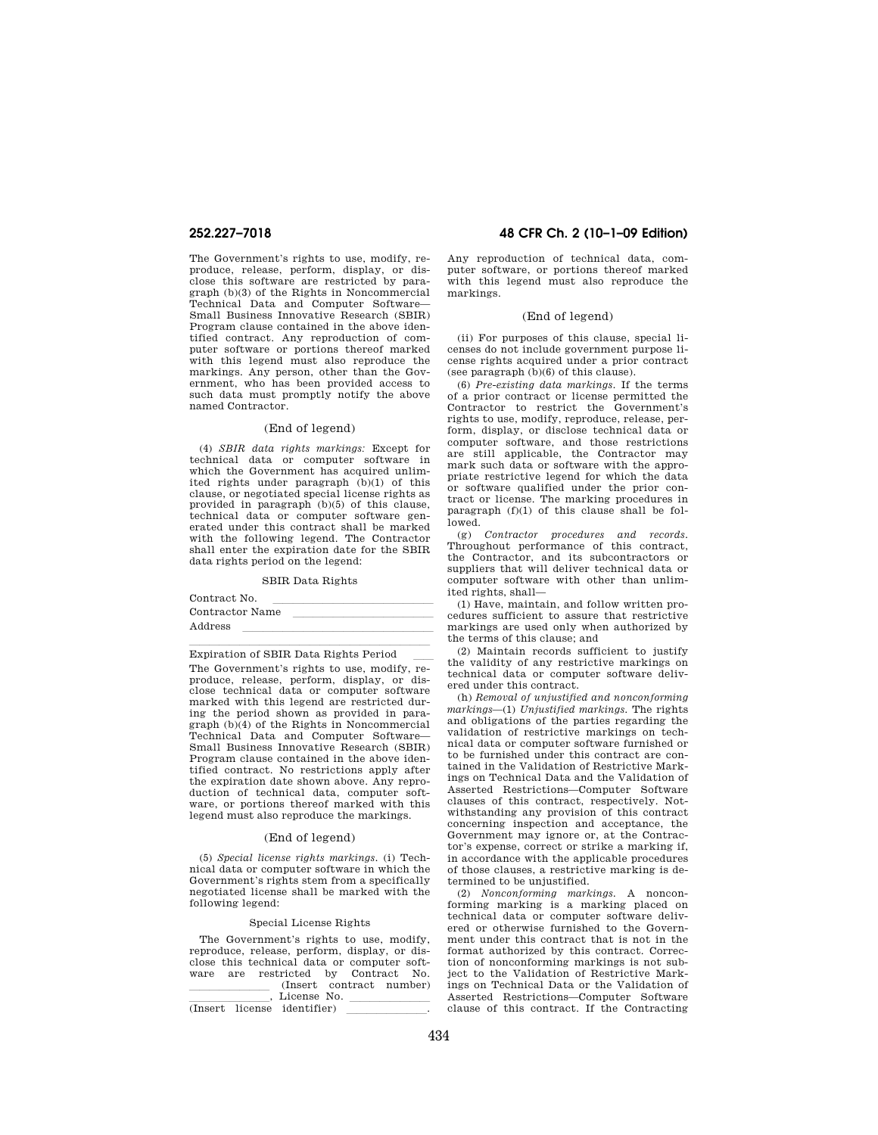The Government's rights to use, modify, reproduce, release, perform, display, or disclose this software are restricted by paragraph (b)(3) of the Rights in Noncommercial Technical Data and Computer Software— Small Business Innovative Research (SBIR) Program clause contained in the above identified contract. Any reproduction of computer software or portions thereof marked with this legend must also reproduce the markings. Any person, other than the Government, who has been provided access to such data must promptly notify the above named Contractor.

# (End of legend)

(4) *SBIR data rights markings:* Except for technical data or computer software in which the Government has acquired unlimited rights under paragraph (b)(1) of this clause, or negotiated special license rights as provided in paragraph (b)(5) of this clause, technical data or computer software generated under this contract shall be marked with the following legend. The Contractor shall enter the expiration date for the SBIR data rights period on the legend:

### SBIR Data Rights

Contract No.

| Contractor Name |  |  |  |
|-----------------|--|--|--|
| Address         |  |  |  |
|                 |  |  |  |

# Expiration of SBIR Data Rights Period

The Government's rights to use, modify, reproduce, release, perform, display, or disclose technical data or computer software marked with this legend are restricted during the period shown as provided in paragraph (b)(4) of the Rights in Noncommercial Technical Data and Computer Software— Small Business Innovative Research (SBIR) Program clause contained in the above identified contract. No restrictions apply after the expiration date shown above. Any reproduction of technical data, computer software, or portions thereof marked with this legend must also reproduce the markings.

### (End of legend)

(5) *Special license rights markings.* (i) Technical data or computer software in which the Government's rights stem from a specifically negotiated license shall be marked with the following legend:

## Special License Rights

The Government's rights to use, modify, reproduce, release, perform, display, or disclose this technical data or computer software are restricted by Contract No. (Insert contract number)<br>License No. llllllll, License No. llllllll (Insert license identifier) \_\_\_\_\_\_\_\_\_\_\_\_\_\_\_.

# **252.227–7018 48 CFR Ch. 2 (10–1–09 Edition)**

Any reproduction of technical data, computer software, or portions thereof marked with this legend must also reproduce the markings.

## (End of legend)

(ii) For purposes of this clause, special licenses do not include government purpose license rights acquired under a prior contract (see paragraph (b)(6) of this clause).

(6) *Pre-existing data markings.* If the terms of a prior contract or license permitted the Contractor to restrict the Government's rights to use, modify, reproduce, release, perform, display, or disclose technical data or computer software, and those restrictions are still applicable, the Contractor may mark such data or software with the appropriate restrictive legend for which the data or software qualified under the prior contract or license. The marking procedures in paragraph (f)(1) of this clause shall be followed.

(g) *Contractor procedures and records.*  Throughout performance of this contract, the Contractor, and its subcontractors or suppliers that will deliver technical data or computer software with other than unlimited rights, shall—

(1) Have, maintain, and follow written procedures sufficient to assure that restrictive markings are used only when authorized by the terms of this clause; and

(2) Maintain records sufficient to justify the validity of any restrictive markings on technical data or computer software delivered under this contract.

(h) *Removal of unjustified and nonconforming markings*—(1) *Unjustified markings.* The rights and obligations of the parties regarding the validation of restrictive markings on technical data or computer software furnished or to be furnished under this contract are contained in the Validation of Restrictive Markings on Technical Data and the Validation of Asserted Restrictions—Computer Software clauses of this contract, respectively. Notwithstanding any provision of this contract concerning inspection and acceptance, the Government may ignore or, at the Contractor's expense, correct or strike a marking if, in accordance with the applicable procedures of those clauses, a restrictive marking is determined to be unjustified.

(2) *Nonconforming markings.* A nonconforming marking is a marking placed on technical data or computer software delivered or otherwise furnished to the Government under this contract that is not in the format authorized by this contract. Correction of nonconforming markings is not subject to the Validation of Restrictive Markings on Technical Data or the Validation of Asserted Restrictions—Computer Software clause of this contract. If the Contracting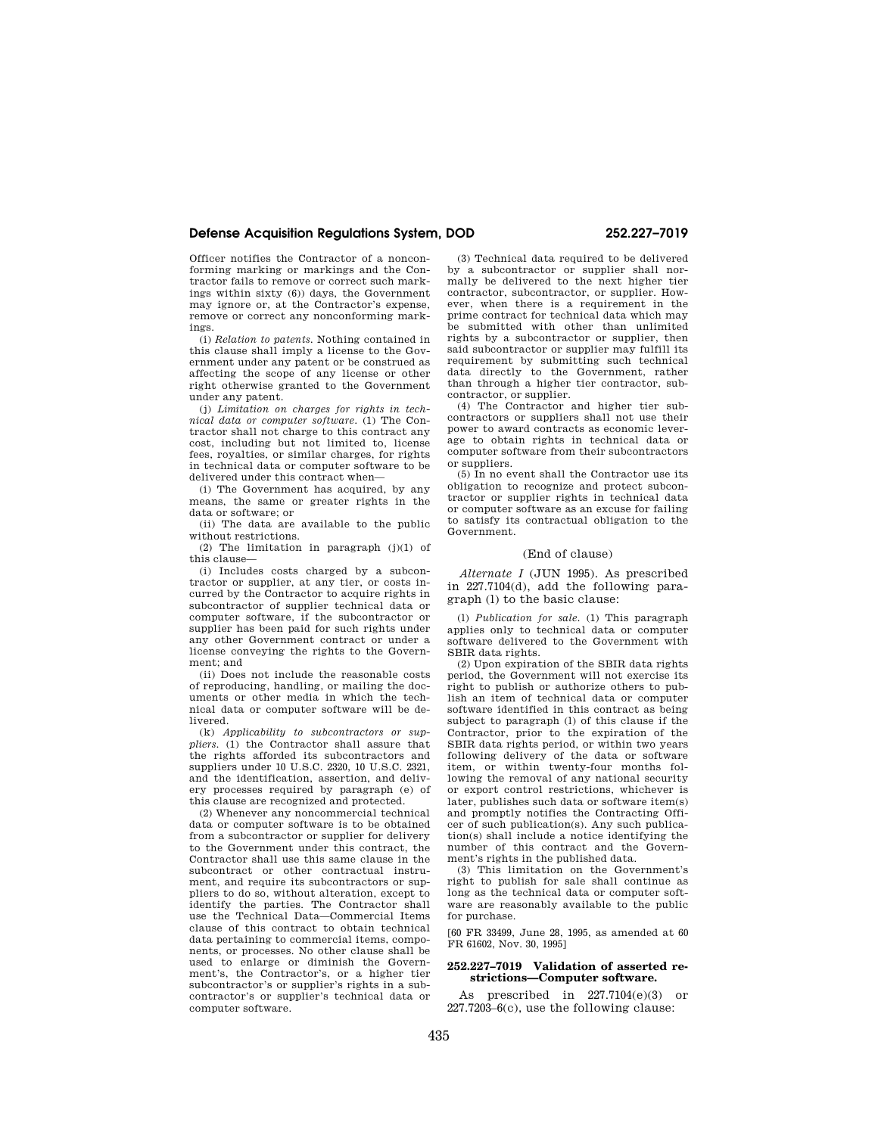Officer notifies the Contractor of a nonconforming marking or markings and the Contractor fails to remove or correct such markings within sixty (6)) days, the Government may ignore or, at the Contractor's expense, remove or correct any nonconforming markings.

(i) *Relation to patents.* Nothing contained in this clause shall imply a license to the Government under any patent or be construed as affecting the scope of any license or other right otherwise granted to the Government under any patent.

(j) *Limitation on charges for rights in technical data or computer software.* (1) The Contractor shall not charge to this contract any cost, including but not limited to, license fees, royalties, or similar charges, for rights in technical data or computer software to be delivered under this contract when—

(i) The Government has acquired, by any means, the same or greater rights in the data or software; or

(ii) The data are available to the public without restrictions.

(2) The limitation in paragraph (j)(1) of this clause—

(i) Includes costs charged by a subcontractor or supplier, at any tier, or costs incurred by the Contractor to acquire rights in subcontractor of supplier technical data or computer software, if the subcontractor or supplier has been paid for such rights under any other Government contract or under a license conveying the rights to the Government; and

(ii) Does not include the reasonable costs of reproducing, handling, or mailing the documents or other media in which the technical data or computer software will be delivered.

(k) *Applicability to subcontractors or suppliers.* (1) the Contractor shall assure that the rights afforded its subcontractors and suppliers under 10 U.S.C. 2320, 10 U.S.C. 2321, and the identification, assertion, and delivery processes required by paragraph (e) of this clause are recognized and protected.

(2) Whenever any noncommercial technical data or computer software is to be obtained from a subcontractor or supplier for delivery to the Government under this contract, the Contractor shall use this same clause in the subcontract or other contractual instrument, and require its subcontractors or suppliers to do so, without alteration, except to identify the parties. The Contractor shall use the Technical Data—Commercial Items clause of this contract to obtain technical data pertaining to commercial items, components, or processes. No other clause shall be used to enlarge or diminish the Government's, the Contractor's, or a higher tier subcontractor's or supplier's rights in a subcontractor's or supplier's technical data or computer software.

(3) Technical data required to be delivered by a subcontractor or supplier shall normally be delivered to the next higher tier contractor, subcontractor, or supplier. However, when there is a requirement in the prime contract for technical data which may be submitted with other than unlimited rights by a subcontractor or supplier, then said subcontractor or supplier may fulfill its requirement by submitting such technical data directly to the Government, rather than through a higher tier contractor, subcontractor, or supplier.

(4) The Contractor and higher tier subcontractors or suppliers shall not use their power to award contracts as economic leverage to obtain rights in technical data or computer software from their subcontractors or suppliers.

(5) In no event shall the Contractor use its obligation to recognize and protect subcontractor or supplier rights in technical data or computer software as an excuse for failing to satisfy its contractual obligation to the Government.

### (End of clause)

*Alternate I* (JUN 1995). As prescribed in 227.7104(d), add the following paragraph (l) to the basic clause:

(l) *Publication for sale.* (1) This paragraph applies only to technical data or computer software delivered to the Government with SBIR data rights.

(2) Upon expiration of the SBIR data rights period, the Government will not exercise its right to publish or authorize others to publish an item of technical data or computer software identified in this contract as being subject to paragraph (l) of this clause if the Contractor, prior to the expiration of the SBIR data rights period, or within two years following delivery of the data or software item, or within twenty-four months following the removal of any national security or export control restrictions, whichever is later, publishes such data or software item(s) and promptly notifies the Contracting Officer of such publication(s). Any such publication(s) shall include a notice identifying the number of this contract and the Government's rights in the published data.

(3) This limitation on the Government's right to publish for sale shall continue as long as the technical data or computer software are reasonably available to the public for purchase.

[60 FR 33499, June 28, 1995, as amended at 60 FR 61602, Nov. 30, 1995]

# **252.227–7019 Validation of asserted restrictions—Computer software.**

As prescribed in 227.7104(e)(3) or  $227.7203-6(c)$ , use the following clause: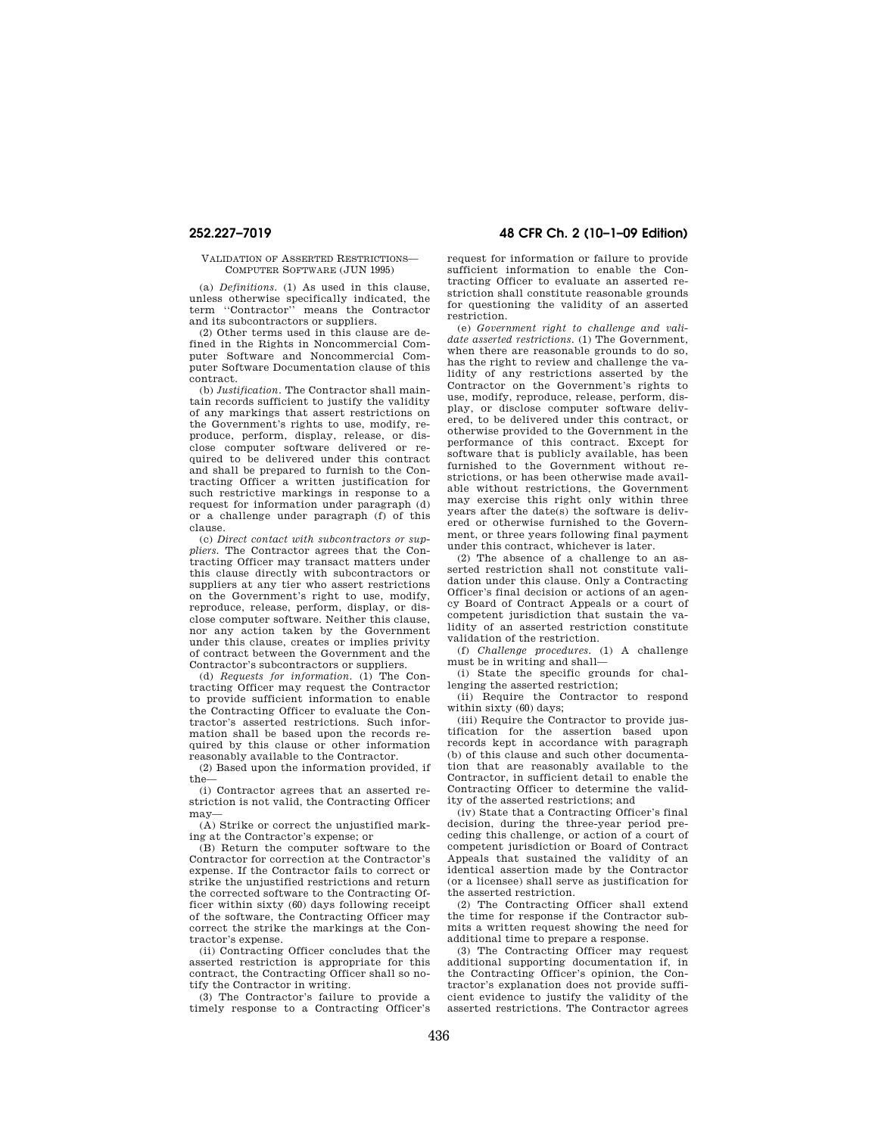### VALIDATION OF ASSERTED RESTRICTIONS— COMPUTER SOFTWARE (JUN 1995)

(a) *Definitions.* (1) As used in this clause, unless otherwise specifically indicated, the term ''Contractor'' means the Contractor and its subcontractors or suppliers.

(2) Other terms used in this clause are defined in the Rights in Noncommercial Computer Software and Noncommercial Computer Software Documentation clause of this contract.

(b) *Justification.* The Contractor shall maintain records sufficient to justify the validity of any markings that assert restrictions on the Government's rights to use, modify, reproduce, perform, display, release, or disclose computer software delivered or required to be delivered under this contract and shall be prepared to furnish to the Contracting Officer a written justification for such restrictive markings in response to a request for information under paragraph (d) or a challenge under paragraph (f) of this clause.

(c) *Direct contact with subcontractors or suppliers.* The Contractor agrees that the Contracting Officer may transact matters under this clause directly with subcontractors or suppliers at any tier who assert restrictions on the Government's right to use, modify, reproduce, release, perform, display, or disclose computer software. Neither this clause, nor any action taken by the Government under this clause, creates or implies privity of contract between the Government and the Contractor's subcontractors or suppliers.

(d) *Requests for information.* (1) The Contracting Officer may request the Contractor to provide sufficient information to enable the Contracting Officer to evaluate the Contractor's asserted restrictions. Such information shall be based upon the records required by this clause or other information reasonably available to the Contractor.

(2) Based upon the information provided, if the—

(i) Contractor agrees that an asserted restriction is not valid, the Contracting Officer may—

(A) Strike or correct the unjustified marking at the Contractor's expense; or

(B) Return the computer software to the Contractor for correction at the Contractor's expense. If the Contractor fails to correct or strike the unjustified restrictions and return the corrected software to the Contracting Officer within sixty (60) days following receipt of the software, the Contracting Officer may correct the strike the markings at the Contractor's expense.

(ii) Contracting Officer concludes that the asserted restriction is appropriate for this contract, the Contracting Officer shall so notify the Contractor in writing.

(3) The Contractor's failure to provide a timely response to a Contracting Officer's

# **252.227–7019 48 CFR Ch. 2 (10–1–09 Edition)**

request for information or failure to provide sufficient information to enable the Contracting Officer to evaluate an asserted restriction shall constitute reasonable grounds for questioning the validity of an asserted restriction.

(e) *Government right to challenge and validate asserted restrictions.* (1) The Government, when there are reasonable grounds to do so, has the right to review and challenge the validity of any restrictions asserted by the Contractor on the Government's rights to use, modify, reproduce, release, perform, display, or disclose computer software delivered, to be delivered under this contract, or otherwise provided to the Government in the performance of this contract. Except for software that is publicly available, has been furnished to the Government without restrictions, or has been otherwise made available without restrictions, the Government may exercise this right only within three years after the date(s) the software is delivered or otherwise furnished to the Government, or three years following final payment under this contract, whichever is later.

(2) The absence of a challenge to an asserted restriction shall not constitute validation under this clause. Only a Contracting Officer's final decision or actions of an agency Board of Contract Appeals or a court of competent jurisdiction that sustain the validity of an asserted restriction constitute validation of the restriction.

(f) *Challenge procedures.* (1) A challenge must be in writing and shall—

(i) State the specific grounds for challenging the asserted restriction;

(ii) Require the Contractor to respond within sixty  $(60)$  days;

(iii) Require the Contractor to provide justification for the assertion based upon records kept in accordance with paragraph (b) of this clause and such other documentation that are reasonably available to the Contractor, in sufficient detail to enable the Contracting Officer to determine the validity of the asserted restrictions; and

(iv) State that a Contracting Officer's final decision, during the three-year period preceding this challenge, or action of a court of competent jurisdiction or Board of Contract Appeals that sustained the validity of an identical assertion made by the Contractor (or a licensee) shall serve as justification for the asserted restriction.

(2) The Contracting Officer shall extend the time for response if the Contractor submits a written request showing the need for additional time to prepare a response.

(3) The Contracting Officer may request additional supporting documentation if, in the Contracting Officer's opinion, the Contractor's explanation does not provide sufficient evidence to justify the validity of the asserted restrictions. The Contractor agrees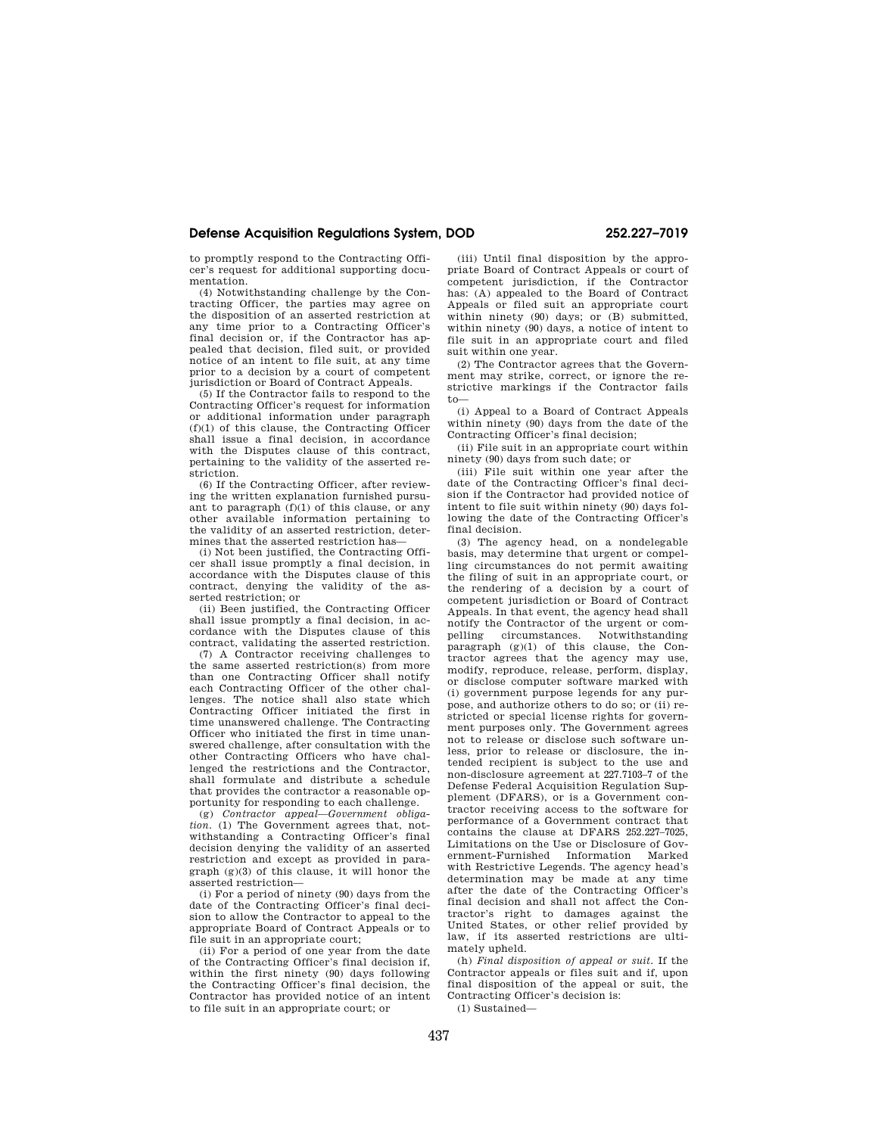to promptly respond to the Contracting Officer's request for additional supporting documentation.

(4) Notwithstanding challenge by the Contracting Officer, the parties may agree on the disposition of an asserted restriction at any time prior to a Contracting Officer's final decision or, if the Contractor has appealed that decision, filed suit, or provided notice of an intent to file suit, at any time prior to a decision by a court of competent jurisdiction or Board of Contract Appeals.

(5) If the Contractor fails to respond to the Contracting Officer's request for information or additional information under paragraph (f)(1) of this clause, the Contracting Officer shall issue a final decision, in accordance with the Disputes clause of this contract, pertaining to the validity of the asserted restriction.

(6) If the Contracting Officer, after reviewing the written explanation furnished pursuant to paragraph  $(f)(1)$  of this clause, or any other available information pertaining to the validity of an asserted restriction, determines that the asserted restriction has—

(i) Not been justified, the Contracting Officer shall issue promptly a final decision, in accordance with the Disputes clause of this contract, denying the validity of the asserted restriction; or

(ii) Been justified, the Contracting Officer shall issue promptly a final decision, in accordance with the Disputes clause of this contract, validating the asserted restriction.

(7) A Contractor receiving challenges to the same asserted restriction(s) from more than one Contracting Officer shall notify each Contracting Officer of the other challenges. The notice shall also state which Contracting Officer initiated the first in time unanswered challenge. The Contracting Officer who initiated the first in time unanswered challenge, after consultation with the other Contracting Officers who have challenged the restrictions and the Contractor, shall formulate and distribute a schedule that provides the contractor a reasonable opportunity for responding to each challenge.

(g) *Contractor appeal—Government obligation.* (1) The Government agrees that, notwithstanding a Contracting Officer's final decision denying the validity of an asserted restriction and except as provided in paragraph (g)(3) of this clause, it will honor the asserted restriction—

(i) For a period of ninety (90) days from the date of the Contracting Officer's final decision to allow the Contractor to appeal to the appropriate Board of Contract Appeals or to file suit in an appropriate court;

(ii) For a period of one year from the date of the Contracting Officer's final decision if, within the first ninety (90) days following the Contracting Officer's final decision, the Contractor has provided notice of an intent to file suit in an appropriate court; or

(iii) Until final disposition by the appropriate Board of Contract Appeals or court of competent jurisdiction, if the Contractor has: (A) appealed to the Board of Contract Appeals or filed suit an appropriate court within ninety (90) days; or (B) submitted, within ninety (90) days, a notice of intent to file suit in an appropriate court and filed suit within one year.

(2) The Contractor agrees that the Government may strike, correct, or ignore the restrictive markings if the Contractor fails to—

(i) Appeal to a Board of Contract Appeals within ninety (90) days from the date of the Contracting Officer's final decision;

(ii) File suit in an appropriate court within ninety (90) days from such date; or

(iii) File suit within one year after the date of the Contracting Officer's final decision if the Contractor had provided notice of intent to file suit within ninety (90) days following the date of the Contracting Officer's final decision.

(3) The agency head, on a nondelegable basis, may determine that urgent or compelling circumstances do not permit awaiting the filing of suit in an appropriate court, or the rendering of a decision by a court of competent jurisdiction or Board of Contract Appeals. In that event, the agency head shall notify the Contractor of the urgent or com-<br>pelling circumstances. Notwithstanding Notwithstanding paragraph (g)(1) of this clause, the Contractor agrees that the agency may use, modify, reproduce, release, perform, display, or disclose computer software marked with (i) government purpose legends for any purpose, and authorize others to do so; or (ii) restricted or special license rights for government purposes only. The Government agrees not to release or disclose such software unless, prior to release or disclosure, the intended recipient is subject to the use and non-disclosure agreement at 227.7103–7 of the Defense Federal Acquisition Regulation Supplement (DFARS), or is a Government contractor receiving access to the software for performance of a Government contract that contains the clause at DFARS 252.227–7025, Limitations on the Use or Disclosure of Government-Furnished Information Marked with Restrictive Legends. The agency head's determination may be made at any time after the date of the Contracting Officer's final decision and shall not affect the Contractor's right to damages against the United States, or other relief provided by law, if its asserted restrictions are ultimately upheld.

(h) *Final disposition of appeal or suit.* If the Contractor appeals or files suit and if, upon final disposition of the appeal or suit, the Contracting Officer's decision is:

(1) Sustained—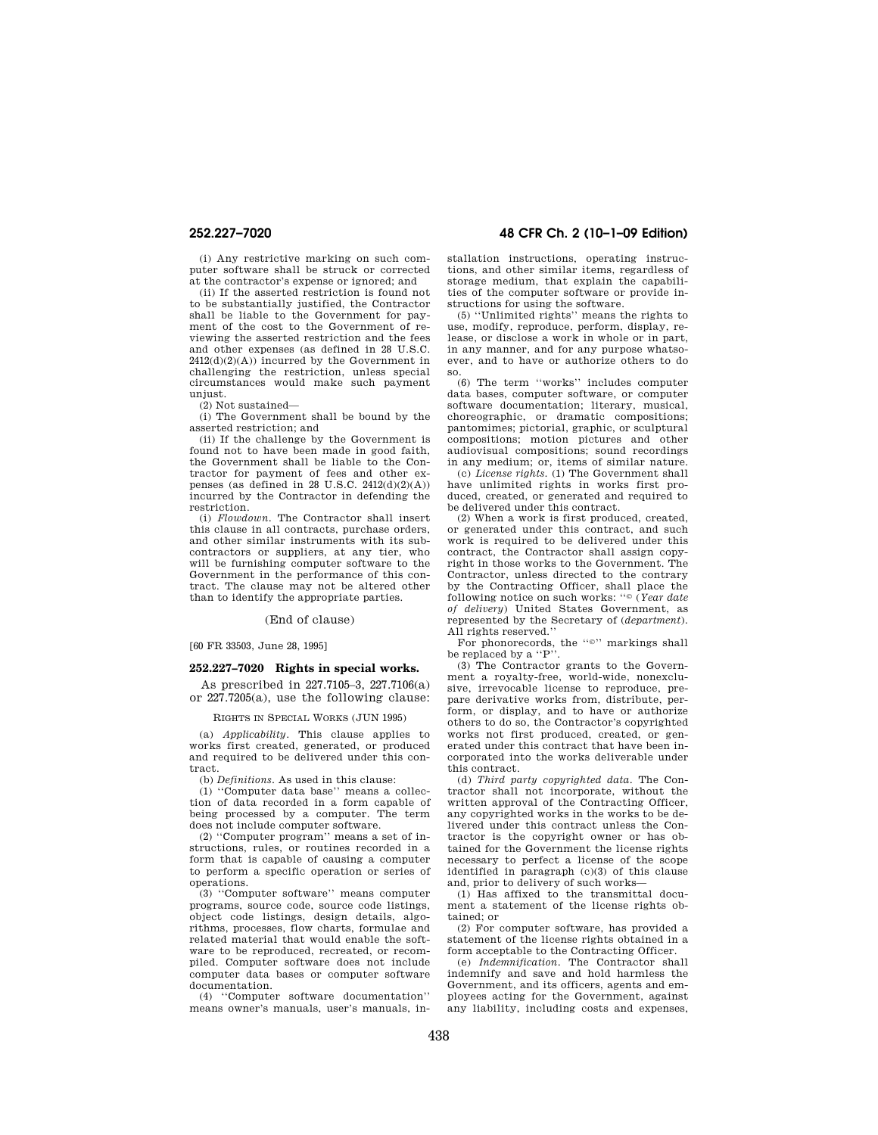(i) Any restrictive marking on such computer software shall be struck or corrected at the contractor's expense or ignored; and

(ii) If the asserted restriction is found not to be substantially justified, the Contractor shall be liable to the Government for payment of the cost to the Government of reviewing the asserted restriction and the fees and other expenses (as defined in 28 U.S.C.  $2412(d)(2)(A)$  incurred by the Government in challenging the restriction, unless special circumstances would make such payment unjust.

(2) Not sustained—

(i) The Government shall be bound by the asserted restriction; and

(ii) If the challenge by the Government is found not to have been made in good faith, the Government shall be liable to the Contractor for payment of fees and other expenses (as defined in 28 U.S.C.  $2412(d)(2)(A)$ ) incurred by the Contractor in defending the restriction.

(i) *Flowdown.* The Contractor shall insert this clause in all contracts, purchase orders, and other similar instruments with its subcontractors or suppliers, at any tier, who will be furnishing computer software to the Government in the performance of this contract. The clause may not be altered other than to identify the appropriate parties.

(End of clause)

[60 FR 33503, June 28, 1995]

# **252.227–7020 Rights in special works.**

As prescribed in 227.7105–3, 227.7106(a) or 227.7205(a), use the following clause:

RIGHTS IN SPECIAL WORKS (JUN 1995)

(a) *Applicability.* This clause applies to works first created, generated, or produced and required to be delivered under this contract.

(b) *Definitions.* As used in this clause:

(1) ''Computer data base'' means a collection of data recorded in a form capable of being processed by a computer. The term does not include computer software.

(2) ''Computer program'' means a set of instructions, rules, or routines recorded in a form that is capable of causing a computer to perform a specific operation or series of operations.

(3) ''Computer software'' means computer programs, source code, source code listings, object code listings, design details, algorithms, processes, flow charts, formulae and related material that would enable the software to be reproduced, recreated, or recompiled. Computer software does not include computer data bases or computer software documentation.

(4) ''Computer software documentation'' means owner's manuals, user's manuals, in-

# **252.227–7020 48 CFR Ch. 2 (10–1–09 Edition)**

stallation instructions, operating instructions, and other similar items, regardless of storage medium, that explain the capabilities of the computer software or provide instructions for using the software.

(5) ''Unlimited rights'' means the rights to use, modify, reproduce, perform, display, release, or disclose a work in whole or in part, in any manner, and for any purpose whatsoever, and to have or authorize others to do so.

(6) The term ''works'' includes computer data bases, computer software, or computer software documentation; literary, musical, choreographic, or dramatic compositions; pantomimes; pictorial, graphic, or sculptural compositions; motion pictures and other audiovisual compositions; sound recordings in any medium; or, items of similar nature.

(c) *License rights.* (1) The Government shall have unlimited rights in works first produced, created, or generated and required to be delivered under this contract.

(2) When a work is first produced, created, or generated under this contract, and such work is required to be delivered under this contract, the Contractor shall assign copyright in those works to the Government. The Contractor, unless directed to the contrary by the Contracting Officer, shall place the following notice on such works: ''© (*Year date of delivery*) United States Government, as represented by the Secretary of (*department*). All rights reserved.''

For phonorecords, the "©" markings shall be replaced by a "P".

(3) The Contractor grants to the Government a royalty-free, world-wide, nonexclusive, irrevocable license to reproduce, prepare derivative works from, distribute, perform, or display, and to have or authorize others to do so, the Contractor's copyrighted works not first produced, created, or generated under this contract that have been incorporated into the works deliverable under this contract.

(d) *Third party copyrighted data.* The Contractor shall not incorporate, without the written approval of the Contracting Officer, any copyrighted works in the works to be delivered under this contract unless the Contractor is the copyright owner or has obtained for the Government the license rights necessary to perfect a license of the scope identified in paragraph (c)(3) of this clause and, prior to delivery of such works—

(1) Has affixed to the transmittal document a statement of the license rights obtained; or

(2) For computer software, has provided a statement of the license rights obtained in a form acceptable to the Contracting Officer.

(e) *Indemnification.* The Contractor shall indemnify and save and hold harmless the Government, and its officers, agents and employees acting for the Government, against any liability, including costs and expenses,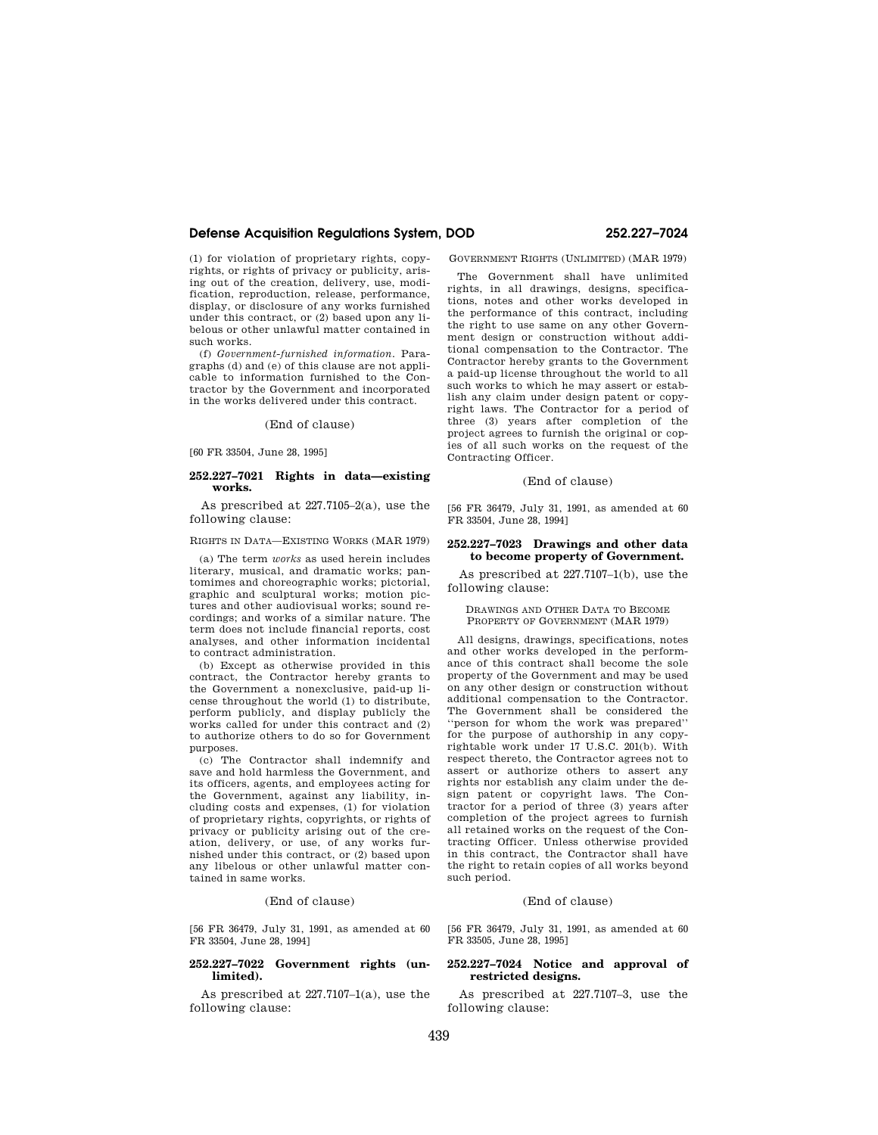(1) for violation of proprietary rights, copyrights, or rights of privacy or publicity, arising out of the creation, delivery, use, modification, reproduction, release, performance, display, or disclosure of any works furnished under this contract, or (2) based upon any libelous or other unlawful matter contained in such works.

(f) *Government-furnished information.* Paragraphs (d) and (e) of this clause are not applicable to information furnished to the Contractor by the Government and incorporated in the works delivered under this contract.

(End of clause)

[60 FR 33504, June 28, 1995]

# **252.227–7021 Rights in data—existing works.**

As prescribed at 227.7105–2(a), use the following clause:

# RIGHTS IN DATA—EXISTING WORKS (MAR 1979)

(a) The term *works* as used herein includes literary, musical, and dramatic works; pantomimes and choreographic works; pictorial, graphic and sculptural works; motion pictures and other audiovisual works; sound recordings; and works of a similar nature. The term does not include financial reports, cost analyses, and other information incidental to contract administration.

(b) Except as otherwise provided in this contract, the Contractor hereby grants to the Government a nonexclusive, paid-up license throughout the world (1) to distribute, perform publicly, and display publicly the works called for under this contract and (2) to authorize others to do so for Government purposes.

(c) The Contractor shall indemnify and save and hold harmless the Government, and its officers, agents, and employees acting for the Government, against any liability, including costs and expenses, (1) for violation of proprietary rights, copyrights, or rights of privacy or publicity arising out of the creation, delivery, or use, of any works furnished under this contract, or (2) based upon any libelous or other unlawful matter contained in same works.

### (End of clause)

[56 FR 36479, July 31, 1991, as amended at 60 FR 33504, June 28, 1994]

# **252.227–7022 Government rights (unlimited).**

As prescribed at 227.7107–1(a), use the following clause:

GOVERNMENT RIGHTS (UNLIMITED) (MAR 1979)

The Government shall have unlimited rights, in all drawings, designs, specifications, notes and other works developed in the performance of this contract, including the right to use same on any other Government design or construction without additional compensation to the Contractor. The Contractor hereby grants to the Government a paid-up license throughout the world to all such works to which he may assert or establish any claim under design patent or copyright laws. The Contractor for a period of three (3) years after completion of the project agrees to furnish the original or copies of all such works on the request of the Contracting Officer.

# (End of clause)

[56 FR 36479, July 31, 1991, as amended at 60 FR 33504, June 28, 1994]

## **252.227–7023 Drawings and other data to become property of Government.**

As prescribed at 227.7107–1(b), use the following clause:

DRAWINGS AND OTHER DATA TO BECOME PROPERTY OF GOVERNMENT (MAR 1979)

All designs, drawings, specifications, notes and other works developed in the performance of this contract shall become the sole property of the Government and may be used on any other design or construction without additional compensation to the Contractor. The Government shall be considered the ''person for whom the work was prepared'' for the purpose of authorship in any copyrightable work under 17 U.S.C. 201(b). With respect thereto, the Contractor agrees not to assert or authorize others to assert any rights nor establish any claim under the design patent or copyright laws. The Contractor for a period of three (3) years after completion of the project agrees to furnish all retained works on the request of the Contracting Officer. Unless otherwise provided in this contract, the Contractor shall have the right to retain copies of all works beyond such period.

## (End of clause)

[56 FR 36479, July 31, 1991, as amended at 60 FR 33505, June 28, 1995]

# **252.227–7024 Notice and approval of restricted designs.**

As prescribed at 227.7107–3, use the following clause: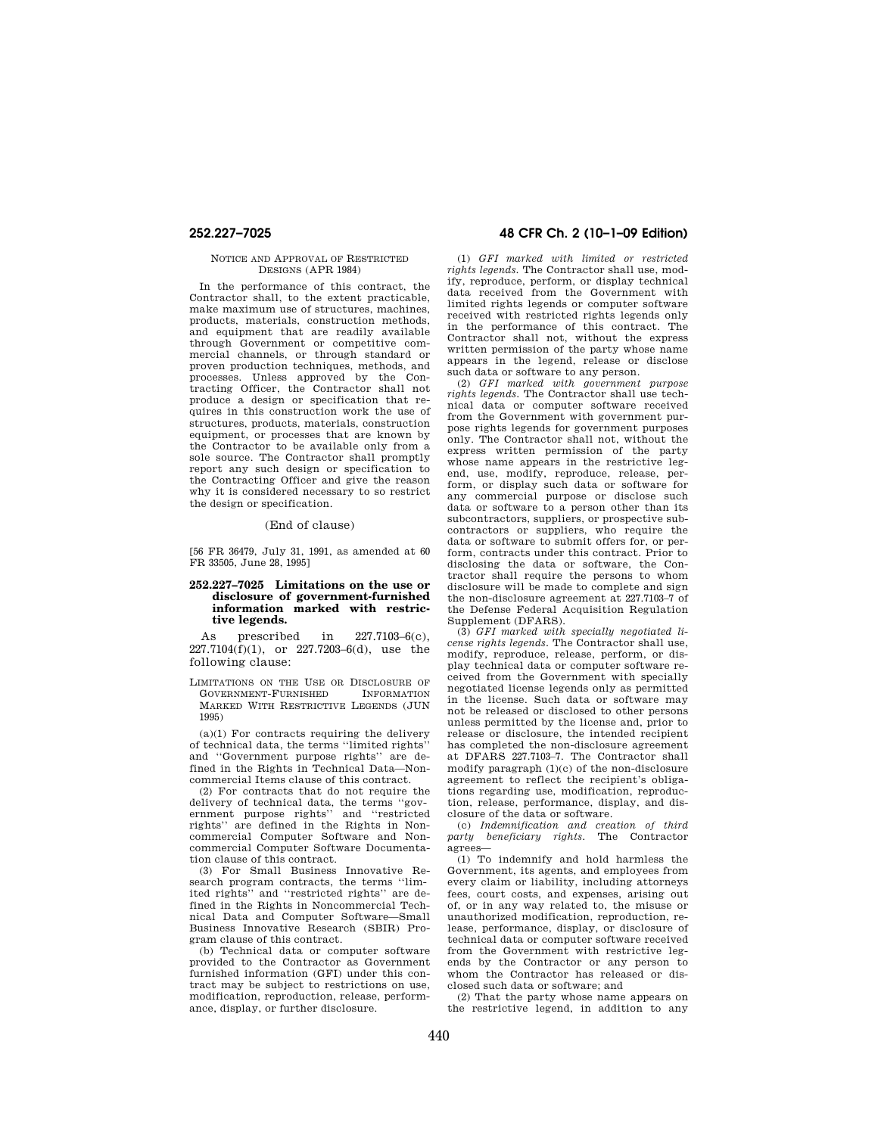# NOTICE AND APPROVAL OF RESTRICTED DESIGNS (APR 1984)

In the performance of this contract, the Contractor shall, to the extent practicable, make maximum use of structures, machines, products, materials, construction methods, and equipment that are readily available through Government or competitive commercial channels, or through standard or proven production techniques, methods, and processes. Unless approved by the Contracting Officer, the Contractor shall not produce a design or specification that requires in this construction work the use of structures, products, materials, construction equipment, or processes that are known by the Contractor to be available only from a sole source. The Contractor shall promptly report any such design or specification to the Contracting Officer and give the reason why it is considered necessary to so restrict the design or specification.

# (End of clause)

[56 FR 36479, July 31, 1991, as amended at 60 FR 33505, June 28, 1995]

### **252.227–7025 Limitations on the use or disclosure of government-furnished information marked with restrictive legends.**

As prescribed in 227.7103–6(c).  $227.7104(f)(1)$ , or  $227.7203-6(d)$ , use the following clause:

### LIMITATIONS ON THE USE OR DISCLOSURE OF GOVERNMENT-FURNISHED MARKED WITH RESTRICTIVE LEGENDS (JUN 1995)

(a)(1) For contracts requiring the delivery of technical data, the terms ''limited rights'' and ''Government purpose rights'' are defined in the Rights in Technical Data—Noncommercial Items clause of this contract.

(2) For contracts that do not require the delivery of technical data, the terms ''government purpose rights'' and ''restricted rights'' are defined in the Rights in Noncommercial Computer Software and Noncommercial Computer Software Documentation clause of this contract.

(3) For Small Business Innovative Research program contracts, the terms ''limited rights'' and ''restricted rights'' are defined in the Rights in Noncommercial Technical Data and Computer Software—Small Business Innovative Research (SBIR) Program clause of this contract.

(b) Technical data or computer software provided to the Contractor as Government furnished information (GFI) under this contract may be subject to restrictions on use, modification, reproduction, release, performance, display, or further disclosure.

# **252.227–7025 48 CFR Ch. 2 (10–1–09 Edition)**

(1) *GFI marked with limited or restricted rights legends.* The Contractor shall use, modify, reproduce, perform, or display technical data received from the Government with limited rights legends or computer software received with restricted rights legends only in the performance of this contract. The Contractor shall not, without the express written permission of the party whose name appears in the legend, release or disclose such data or software to any person.

(2) *GFI marked with government purpose rights legends.* The Contractor shall use technical data or computer software received from the Government with government purpose rights legends for government purposes only. The Contractor shall not, without the express written permission of the party whose name appears in the restrictive legend, use, modify, reproduce, release, perform, or display such data or software for any commercial purpose or disclose such data or software to a person other than its subcontractors, suppliers, or prospective subcontractors or suppliers, who require the data or software to submit offers for, or perform, contracts under this contract. Prior to disclosing the data or software, the Contractor shall require the persons to whom disclosure will be made to complete and sign the non-disclosure agreement at 227.7103–7 of the Defense Federal Acquisition Regulation Supplement (DFARS).

(3) *GFI marked with specially negotiated license rights legends.* The Contractor shall use, modify, reproduce, release, perform, or display technical data or computer software received from the Government with specially negotiated license legends only as permitted in the license. Such data or software may not be released or disclosed to other persons unless permitted by the license and, prior to release or disclosure, the intended recipient has completed the non-disclosure agreement at DFARS 227.7103–7. The Contractor shall modify paragraph (1)(c) of the non-disclosure agreement to reflect the recipient's obligations regarding use, modification, reproduction, release, performance, display, and disclosure of the data or software.

(c) *Indemnification and creation of third party beneficiary rights.* The Contractor agrees—

 $(1)$  To indemnify and hold harmless the Government, its agents, and employees from every claim or liability, including attorneys fees, court costs, and expenses, arising out of, or in any way related to, the misuse or unauthorized modification, reproduction, release, performance, display, or disclosure of technical data or computer software received from the Government with restrictive legends by the Contractor or any person to whom the Contractor has released or disclosed such data or software; and

(2) That the party whose name appears on the restrictive legend, in addition to any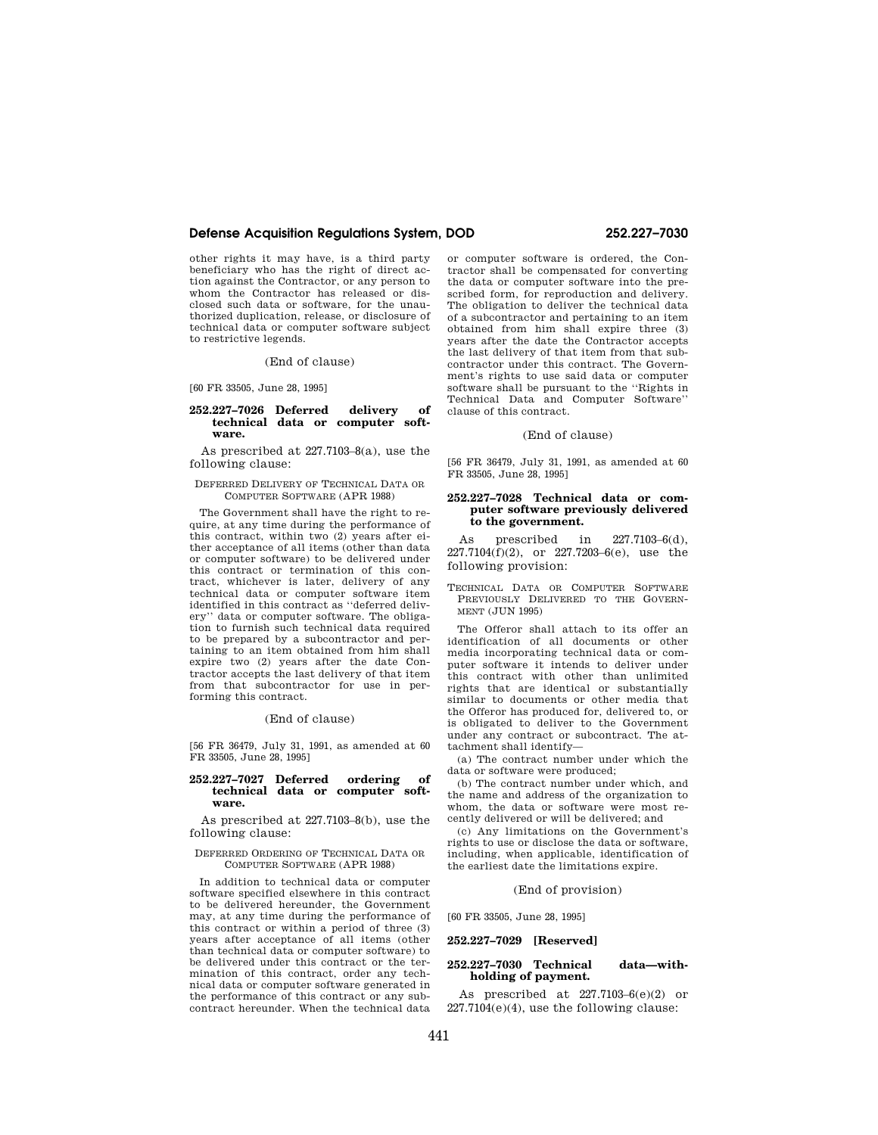other rights it may have, is a third party beneficiary who has the right of direct action against the Contractor, or any person to whom the Contractor has released or disclosed such data or software, for the unauthorized duplication, release, or disclosure of technical data or computer software subject to restrictive legends.

(End of clause)

[60 FR 33505, June 28, 1995]

### **252.227–7026 Deferred delivery of technical data or computer software.**

As prescribed at 227.7103–8(a), use the following clause:

### DEFERRED DELIVERY OF TECHNICAL DATA OR COMPUTER SOFTWARE (APR 1988)

The Government shall have the right to require, at any time during the performance of this contract, within two (2) years after either acceptance of all items (other than data or computer software) to be delivered under this contract or termination of this contract, whichever is later, delivery of any technical data or computer software item identified in this contract as ''deferred delivery'' data or computer software. The obligation to furnish such technical data required to be prepared by a subcontractor and pertaining to an item obtained from him shall expire two (2) years after the date Contractor accepts the last delivery of that item from that subcontractor for use in performing this contract.

# (End of clause)

[56 FR 36479, July 31, 1991, as amended at 60 FR 33505, June 28, 1995]

# **252.227–7027 Deferred ordering of technical data or computer software.**

As prescribed at 227.7103–8(b), use the following clause:

## DEFERRED ORDERING OF TECHNICAL DATA OR COMPUTER SOFTWARE (APR 1988)

In addition to technical data or computer software specified elsewhere in this contract to be delivered hereunder, the Government may, at any time during the performance of this contract or within a period of three (3) years after acceptance of all items (other than technical data or computer software) to be delivered under this contract or the termination of this contract, order any technical data or computer software generated in the performance of this contract or any subcontract hereunder. When the technical data

or computer software is ordered, the Con-

tractor shall be compensated for converting the data or computer software into the prescribed form, for reproduction and delivery. The obligation to deliver the technical data of a subcontractor and pertaining to an item obtained from him shall expire three (3) years after the date the Contractor accepts the last delivery of that item from that subcontractor under this contract. The Government's rights to use said data or computer software shall be pursuant to the ''Rights in Technical Data and Computer Software'' clause of this contract.

# (End of clause)

[56 FR 36479, July 31, 1991, as amended at 60 FR 33505, June 28, 1995]

# **252.227–7028 Technical data or computer software previously delivered to the government.**

As prescribed in 227.7103–6(d),  $227.7104(f)(2)$ , or  $227.7203-6(e)$ , use the following provision:

# TECHNICAL DATA OR COMPUTER SOFTWARE PREVIOUSLY DELIVERED TO THE GOVERN-**MENT (JIIN 1995)**

The Offeror shall attach to its offer an identification of all documents or other media incorporating technical data or computer software it intends to deliver under this contract with other than unlimited rights that are identical or substantially similar to documents or other media that the Offeror has produced for, delivered to, or is obligated to deliver to the Government under any contract or subcontract. The attachment shall identify—

(a) The contract number under which the data or software were produced;

(b) The contract number under which, and the name and address of the organization to whom, the data or software were most recently delivered or will be delivered; and

(c) Any limitations on the Government's rights to use or disclose the data or software, including, when applicable, identification of the earliest date the limitations expire.

# (End of provision)

[60 FR 33505, June 28, 1995]

# **252.227–7029 [Reserved]**

# **252.227–7030 Technical data—withholding of payment.**

As prescribed at 227.7103–6(e)(2) or  $227.7104(e)(4)$ , use the following clause: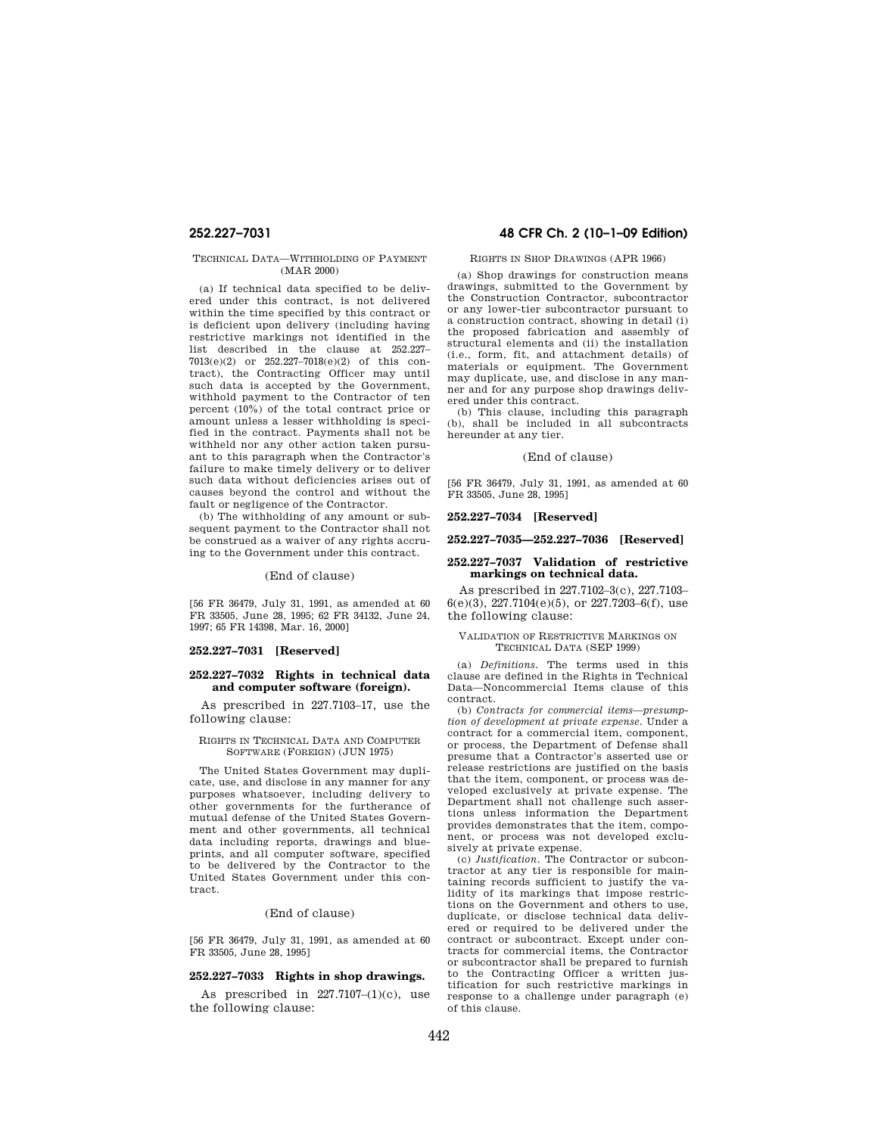# TECHNICAL DATA—WITHHOLDING OF PAYMENT (MAR 2000)

(a) If technical data specified to be delivered under this contract, is not delivered within the time specified by this contract or is deficient upon delivery (including having restrictive markings not identified in the list described in the clause at 252.227– 7013(e)(2) or 252.227–7018(e)(2) of this contract), the Contracting Officer may until such data is accepted by the Government, withhold payment to the Contractor of ten percent (10%) of the total contract price or amount unless a lesser withholding is specified in the contract. Payments shall not be withheld nor any other action taken pursuant to this paragraph when the Contractor's failure to make timely delivery or to deliver such data without deficiencies arises out of causes beyond the control and without the fault or negligence of the Contractor.

(b) The withholding of any amount or subsequent payment to the Contractor shall not be construed as a waiver of any rights accruing to the Government under this contract.

(End of clause)

[56 FR 36479, July 31, 1991, as amended at 60 FR 33505, June 28, 1995; 62 FR 34132, June 24, 1997; 65 FR 14398, Mar. 16, 2000]

# **252.227–7031 [Reserved]**

# **252.227–7032 Rights in technical data and computer software (foreign).**

As prescribed in 227.7103–17, use the following clause:

#### RIGHTS IN TECHNICAL DATA AND COMPUTER SOFTWARE (FOREIGN) (JUN 1975)

The United States Government may duplicate, use, and disclose in any manner for any purposes whatsoever, including delivery to other governments for the furtherance of mutual defense of the United States Government and other governments, all technical data including reports, drawings and blueprints, and all computer software, specified to be delivered by the Contractor to the United States Government under this contract.

(End of clause)

[56 FR 36479, July 31, 1991, as amended at 60 FR 33505, June 28, 1995]

# **252.227–7033 Rights in shop drawings.**

As prescribed in  $227.7107-(1)(c)$ , use the following clause:

# **252.227–7031 48 CFR Ch. 2 (10–1–09 Edition)**

#### RIGHTS IN SHOP DRAWINGS (APR 1966)

(a) Shop drawings for construction means drawings, submitted to the Government by the Construction Contractor, subcontractor or any lower-tier subcontractor pursuant to a construction contract, showing in detail (i) the proposed fabrication and assembly of structural elements and (ii) the installation (i.e., form, fit, and attachment details) of materials or equipment. The Government may duplicate, use, and disclose in any manner and for any purpose shop drawings delivered under this contract.

(b) This clause, including this paragraph (b), shall be included in all subcontracts hereunder at any tier.

# (End of clause)

[56 FR 36479, July 31, 1991, as amended at 60 FR 33505, June 28, 1995]

# **252.227–7034 [Reserved]**

# **252.227–7035—252.227–7036 [Reserved]**

# **252.227–7037 Validation of restrictive markings on technical data.**

As prescribed in 227.7102–3(c), 227.7103– 6(e)(3), 227.7104(e)(5), or 227.7203–6(f), use the following clause:

# VALIDATION OF RESTRICTIVE MARKINGS ON TECHNICAL DATA (SEP 1999)

(a) *Definitions.* The terms used in this clause are defined in the Rights in Technical Data—Noncommercial Items clause of this contract.

(b) *Contracts for commercial items—presumption of development at private expense.* Under a contract for a commercial item, component, or process, the Department of Defense shall presume that a Contractor's asserted use or release restrictions are justified on the basis that the item, component, or process was developed exclusively at private expense. The Department shall not challenge such assertions unless information the Department provides demonstrates that the item, component, or process was not developed exclusively at private expense.

(c) *Justification.* The Contractor or subcontractor at any tier is responsible for maintaining records sufficient to justify the validity of its markings that impose restrictions on the Government and others to use, duplicate, or disclose technical data delivered or required to be delivered under the contract or subcontract. Except under contracts for commercial items, the Contractor or subcontractor shall be prepared to furnish to the Contracting Officer a written justification for such restrictive markings in response to a challenge under paragraph (e) of this clause.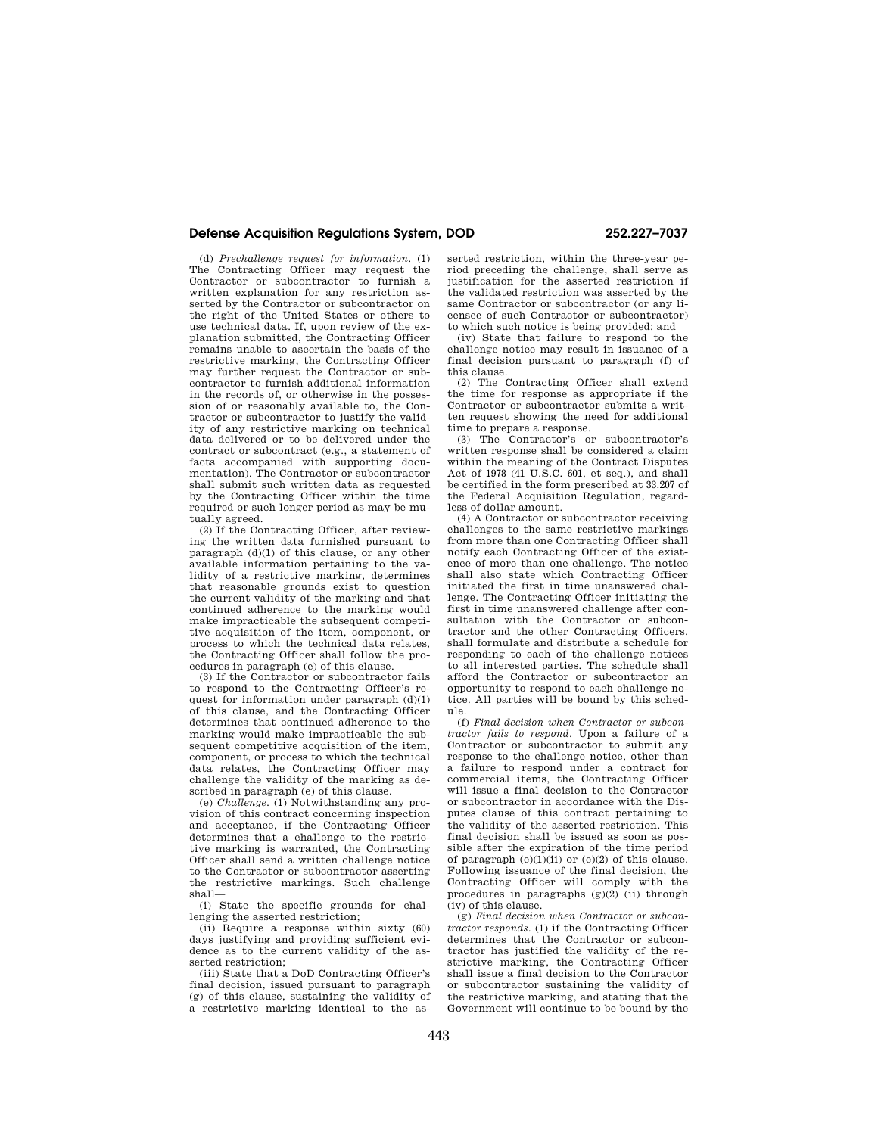# **Defense Acquisition Regulations System, DOD 252.227–7037**

(d) *Prechallenge request for information.* (1) The Contracting Officer may request the Contractor or subcontractor to furnish a written explanation for any restriction asserted by the Contractor or subcontractor on the right of the United States or others to use technical data. If, upon review of the explanation submitted, the Contracting Officer remains unable to ascertain the basis of the restrictive marking, the Contracting Officer may further request the Contractor or subcontractor to furnish additional information in the records of, or otherwise in the possession of or reasonably available to, the Contractor or subcontractor to justify the validity of any restrictive marking on technical data delivered or to be delivered under the contract or subcontract (e.g., a statement of facts accompanied with supporting documentation). The Contractor or subcontractor shall submit such written data as requested by the Contracting Officer within the time required or such longer period as may be mutually agreed.

(2) If the Contracting Officer, after reviewing the written data furnished pursuant to paragraph (d)(1) of this clause, or any other available information pertaining to the validity of a restrictive marking, determines that reasonable grounds exist to question the current validity of the marking and that continued adherence to the marking would make impracticable the subsequent competitive acquisition of the item, component, or process to which the technical data relates, the Contracting Officer shall follow the procedures in paragraph (e) of this clause.

(3) If the Contractor or subcontractor fails to respond to the Contracting Officer's request for information under paragraph (d)(1) of this clause, and the Contracting Officer determines that continued adherence to the marking would make impracticable the subsequent competitive acquisition of the item, component, or process to which the technical data relates, the Contracting Officer may challenge the validity of the marking as described in paragraph (e) of this clause.

(e) *Challenge.* (1) Notwithstanding any provision of this contract concerning inspection and acceptance, if the Contracting Officer determines that a challenge to the restrictive marking is warranted, the Contracting Officer shall send a written challenge notice to the Contractor or subcontractor asserting the restrictive markings. Such challenge shall—

(i) State the specific grounds for challenging the asserted restriction;

(ii) Require a response within sixty (60) days justifying and providing sufficient evidence as to the current validity of the asserted restriction;

(iii) State that a DoD Contracting Officer's final decision, issued pursuant to paragraph (g) of this clause, sustaining the validity of a restrictive marking identical to the asserted restriction, within the three-year period preceding the challenge, shall serve as justification for the asserted restriction if the validated restriction was asserted by the same Contractor or subcontractor (or any licensee of such Contractor or subcontractor) to which such notice is being provided; and

(iv) State that failure to respond to the challenge notice may result in issuance of a final decision pursuant to paragraph (f) of this clause.

(2) The Contracting Officer shall extend the time for response as appropriate if the Contractor or subcontractor submits a written request showing the need for additional time to prepare a response.

(3) The Contractor's or subcontractor's written response shall be considered a claim within the meaning of the Contract Disputes Act of 1978 (41 U.S.C. 601, et seq.), and shall be certified in the form prescribed at 33.207 of the Federal Acquisition Regulation, regardless of dollar amount.

(4) A Contractor or subcontractor receiving challenges to the same restrictive markings from more than one Contracting Officer shall notify each Contracting Officer of the existence of more than one challenge. The notice shall also state which Contracting Officer initiated the first in time unanswered challenge. The Contracting Officer initiating the first in time unanswered challenge after consultation with the Contractor or subcontractor and the other Contracting Officers, shall formulate and distribute a schedule for responding to each of the challenge notices to all interested parties. The schedule shall afford the Contractor or subcontractor an opportunity to respond to each challenge notice. All parties will be bound by this schedule.

(f) *Final decision when Contractor or subcontractor fails to respond.* Upon a failure of a Contractor or subcontractor to submit any response to the challenge notice, other than a failure to respond under a contract for commercial items, the Contracting Officer will issue a final decision to the Contractor or subcontractor in accordance with the Disputes clause of this contract pertaining to the validity of the asserted restriction. This final decision shall be issued as soon as possible after the expiration of the time period of paragraph  $(e)(1)(ii)$  or  $(e)(2)$  of this clause. Following issuance of the final decision, the Contracting Officer will comply with the procedures in paragraphs  $(g)(2)$  (ii) through (iv) of this clause.

(g) *Final decision when Contractor or subcontractor responds.* (1) if the Contracting Officer determines that the Contractor or subcontractor has justified the validity of the restrictive marking, the Contracting Officer shall issue a final decision to the Contractor or subcontractor sustaining the validity of the restrictive marking, and stating that the Government will continue to be bound by the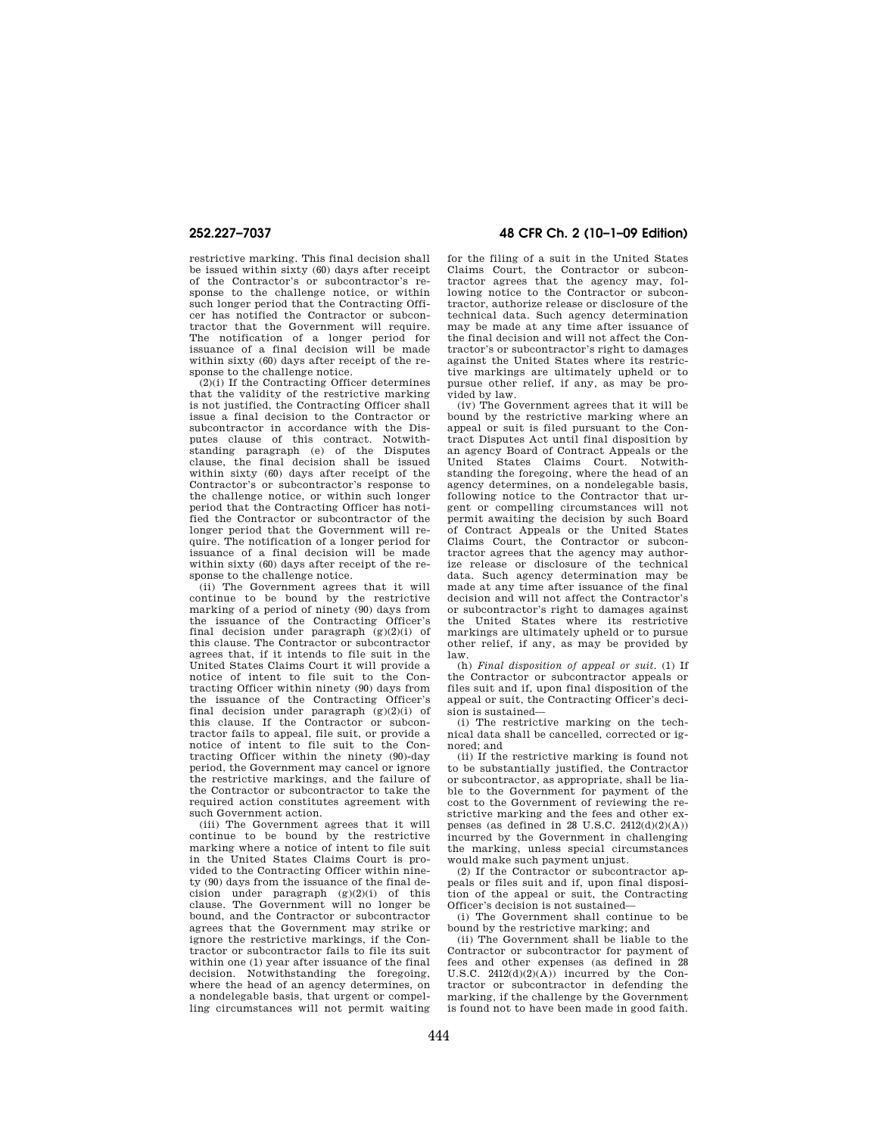restrictive marking. This final decision shall be issued within sixty (60) days after receipt of the Contractor's or subcontractor's response to the challenge notice, or within such longer period that the Contracting Officer has notified the Contractor or subcontractor that the Government will require. The notification of a longer period for issuance of a final decision will be made within sixty (60) days after receipt of the response to the challenge notice.

(2)(i) If the Contracting Officer determines that the validity of the restrictive marking is not justified, the Contracting Officer shall issue a final decision to the Contractor or subcontractor in accordance with the Disputes clause of this contract. Notwithstanding paragraph (e) of the Disputes clause, the final decision shall be issued within sixty (60) days after receipt of the Contractor's or subcontractor's response to the challenge notice, or within such longer period that the Contracting Officer has notified the Contractor or subcontractor of the longer period that the Government will require. The notification of a longer period for issuance of a final decision will be made within sixty (60) days after receipt of the response to the challenge notice.

(ii) The Government agrees that it will continue to be bound by the restrictive marking of a period of ninety (90) days from the issuance of the Contracting Officer's final decision under paragraph  $(g)(2)(i)$  of this clause. The Contractor or subcontractor agrees that, if it intends to file suit in the United States Claims Court it will provide a notice of intent to file suit to the Contracting Officer within ninety (90) days from the issuance of the Contracting Officer's final decision under paragraph (g)(2)(i) of this clause. If the Contractor or subcontractor fails to appeal, file suit, or provide a notice of intent to file suit to the Contracting Officer within the ninety (90)-day period, the Government may cancel or ignore the restrictive markings, and the failure of the Contractor or subcontractor to take the required action constitutes agreement with such Government action.

(iii) The Government agrees that it will continue to be bound by the restrictive marking where a notice of intent to file suit in the United States Claims Court is provided to the Contracting Officer within ninety (90) days from the issuance of the final decision under paragraph (g)(2)(i) of this clause. The Government will no longer be bound, and the Contractor or subcontractor agrees that the Government may strike or ignore the restrictive markings, if the Contractor or subcontractor fails to file its suit within one (1) year after issuance of the final decision. Notwithstanding the foregoing, where the head of an agency determines, on a nondelegable basis, that urgent or compelling circumstances will not permit waiting

# **252.227–7037 48 CFR Ch. 2 (10–1–09 Edition)**

for the filing of a suit in the United States Claims Court, the Contractor or subcontractor agrees that the agency may, following notice to the Contractor or subcontractor, authorize release or disclosure of the technical data. Such agency determination may be made at any time after issuance of the final decision and will not affect the Contractor's or subcontractor's right to damages against the United States where its restrictive markings are ultimately upheld or to pursue other relief, if any, as may be provided by law.

(iv) The Government agrees that it will be bound by the restrictive marking where an appeal or suit is filed pursuant to the Contract Disputes Act until final disposition by an agency Board of Contract Appeals or the United States Claims Court. Notwithstanding the foregoing, where the head of an agency determines, on a nondelegable basis, following notice to the Contractor that urgent or compelling circumstances will not permit awaiting the decision by such Board of Contract Appeals or the United States Claims Court, the Contractor or subcontractor agrees that the agency may authorize release or disclosure of the technical data. Such agency determination may be made at any time after issuance of the final decision and will not affect the Contractor's or subcontractor's right to damages against the United States where its restrictive markings are ultimately upheld or to pursue other relief, if any, as may be provided by law.

(h) *Final disposition of appeal or suit.* (1) If the Contractor or subcontractor appeals or files suit and if, upon final disposition of the appeal or suit, the Contracting Officer's decision is sustained—

(i) The restrictive marking on the technical data shall be cancelled, corrected or ignored; and

(ii) If the restrictive marking is found not to be substantially justified, the Contractor or subcontractor, as appropriate, shall be liable to the Government for payment of the cost to the Government of reviewing the restrictive marking and the fees and other expenses (as defined in 28 U.S.C.  $2412(d)(2)(A))$ incurred by the Government in challenging the marking, unless special circumstances would make such payment unjust.

(2) If the Contractor or subcontractor appeals or files suit and if, upon final disposition of the appeal or suit, the Contracting Officer's decision is not sustained—

(i) The Government shall continue to be bound by the restrictive marking; and

(ii) The Government shall be liable to the Contractor or subcontractor for payment of fees and other expenses (as defined in 28 U.S.C.  $2412(d)(2)(A)$  incurred by the Contractor or subcontractor in defending the marking, if the challenge by the Government is found not to have been made in good faith.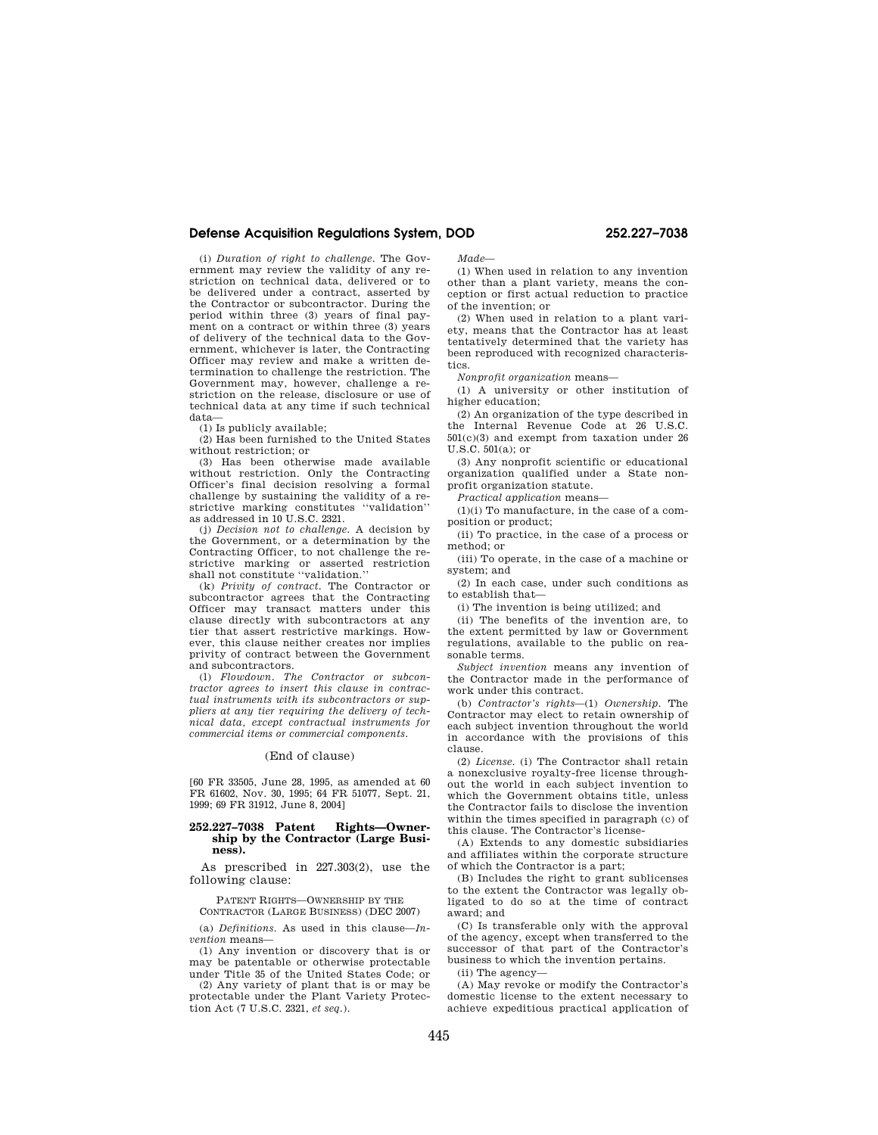# **Defense Acquisition Regulations System, DOD 252.227–7038**

(i) *Duration of right to challenge.* The Government may review the validity of any restriction on technical data, delivered or to be delivered under a contract, asserted by the Contractor or subcontractor. During the period within three (3) years of final payment on a contract or within three (3) years of delivery of the technical data to the Government, whichever is later, the Contracting Officer may review and make a written determination to challenge the restriction. The Government may, however, challenge a restriction on the release, disclosure or use of technical data at any time if such technical data—

(1) Is publicly available;

(2) Has been furnished to the United States without restriction; or

(3) Has been otherwise made available without restriction. Only the Contracting Officer's final decision resolving a formal challenge by sustaining the validity of a restrictive marking constitutes ''validation'' as addressed in 10 U.S.C. 2321.

(j) *Decision not to challenge.* A decision by the Government, or a determination by the Contracting Officer, to not challenge the restrictive marking or asserted restriction shall not constitute ''validation.''

(k) *Privity of contract.* The Contractor or subcontractor agrees that the Contracting Officer may transact matters under this clause directly with subcontractors at any tier that assert restrictive markings. However, this clause neither creates nor implies privity of contract between the Government and subcontractors.

(l) *Flowdown. The Contractor or subcontractor agrees to insert this clause in contractual instruments with its subcontractors or suppliers at any tier requiring the delivery of technical data, except contractual instruments for commercial items or commercial components.* 

# (End of clause)

[60 FR 33505, June 28, 1995, as amended at 60 FR 61602, Nov. 30, 1995; 64 FR 51077, Sept. 21, 1999; 69 FR 31912, June 8, 2004]

# **252.227–7038 Patent Rights—Ownership by the Contractor (Large Business).**

As prescribed in 227.303(2), use the following clause:

## PATENT RIGHTS—OWNERSHIP BY THE CONTRACTOR (LARGE BUSINESS) (DEC 2007)

(a) *Definitions*. As used in this clause—*Invention* means—

(1) Any invention or discovery that is or may be patentable or otherwise protectable under Title 35 of the United States Code; or

(2) Any variety of plant that is or may be protectable under the Plant Variety Protection Act (7 U.S.C. 2321, *et seq.*).

(1) When used in relation to any invention other than a plant variety, means the conception or first actual reduction to practice of the invention; or

(2) When used in relation to a plant variety, means that the Contractor has at least tentatively determined that the variety has been reproduced with recognized characteristics.

*Nonprofit organization* means—

*Made*—

(1) A university or other institution of higher education;

(2) An organization of the type described in the Internal Revenue Code at 26 U.S.C. 501(c)(3) and exempt from taxation under 26 U.S.C. 501(a); or

(3) Any nonprofit scientific or educational organization qualified under a State nonprofit organization statute.

*Practical application* means—

(1)(i) To manufacture, in the case of a composition or product;

(ii) To practice, in the case of a process or method; or

(iii) To operate, in the case of a machine or system; and

(2) In each case, under such conditions as to establish that—

(i) The invention is being utilized; and

(ii) The benefits of the invention are, to the extent permitted by law or Government regulations, available to the public on reasonable terms.

*Subject invention* means any invention of the Contractor made in the performance of work under this contract.

(b) *Contractor's rights*—(1) *Ownership.* The Contractor may elect to retain ownership of each subject invention throughout the world in accordance with the provisions of this clause.

(2) *License.* (i) The Contractor shall retain a nonexclusive royalty-free license throughout the world in each subject invention to which the Government obtains title, unless the Contractor fails to disclose the invention within the times specified in paragraph (c) of this clause. The Contractor's license-

(A) Extends to any domestic subsidiaries and affiliates within the corporate structure of which the Contractor is a part;

(B) Includes the right to grant sublicenses to the extent the Contractor was legally obligated to do so at the time of contract award; and

(C) Is transferable only with the approval of the agency, except when transferred to the successor of that part of the Contractor's business to which the invention pertains.

(ii) The agency—

(A) May revoke or modify the Contractor's domestic license to the extent necessary to achieve expeditious practical application of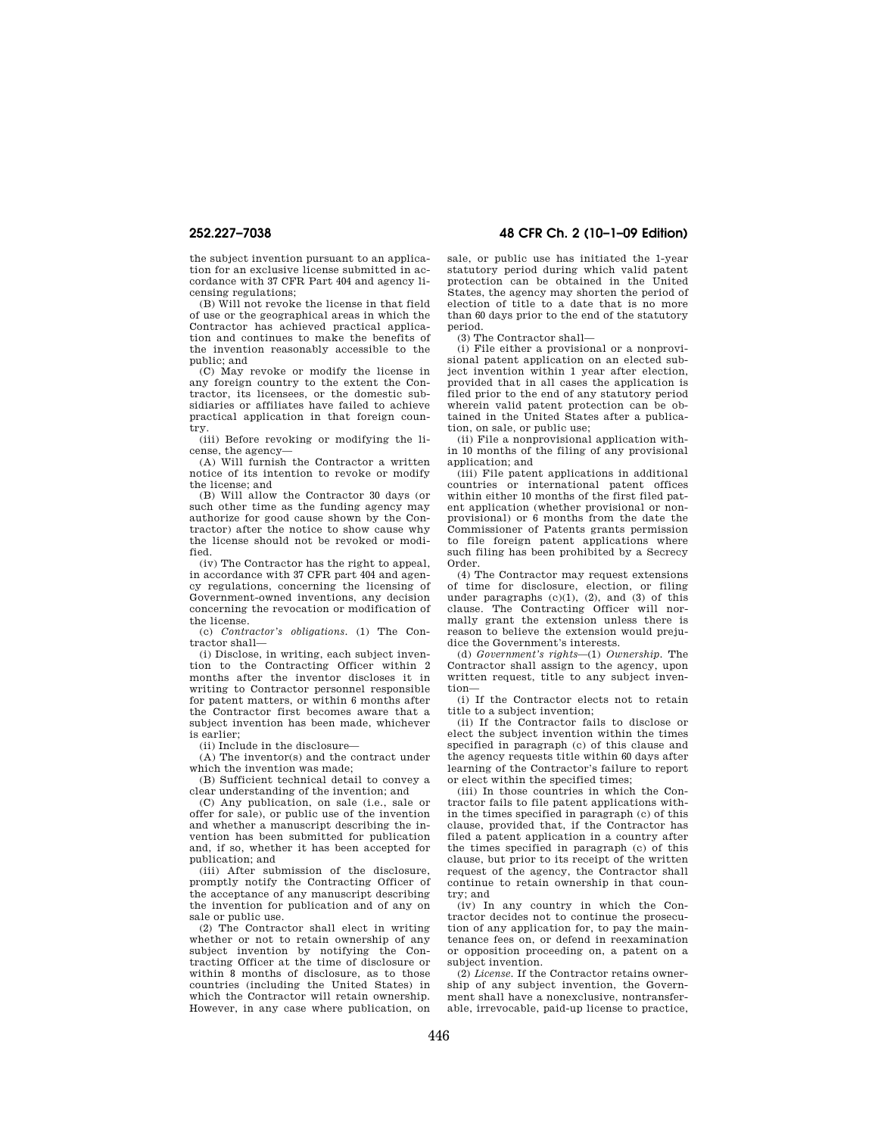the subject invention pursuant to an application for an exclusive license submitted in accordance with 37 CFR Part 404 and agency licensing regulations;

(B) Will not revoke the license in that field of use or the geographical areas in which the Contractor has achieved practical application and continues to make the benefits of the invention reasonably accessible to the public; and

(C) May revoke or modify the license in any foreign country to the extent the Contractor, its licensees, or the domestic subsidiaries or affiliates have failed to achieve practical application in that foreign country.

(iii) Before revoking or modifying the license, the agency—

(A) Will furnish the Contractor a written notice of its intention to revoke or modify the license; and

(B) Will allow the Contractor 30 days (or such other time as the funding agency may authorize for good cause shown by the Contractor) after the notice to show cause why the license should not be revoked or modified.

(iv) The Contractor has the right to appeal, in accordance with 37 CFR part 404 and agency regulations, concerning the licensing of Government-owned inventions, any decision concerning the revocation or modification of the license.

(c) *Contractor's obligations.* (1) The Contractor shall—

(i) Disclose, in writing, each subject invention to the Contracting Officer within 2 months after the inventor discloses it in writing to Contractor personnel responsible for patent matters, or within 6 months after the Contractor first becomes aware that a subject invention has been made, whichever is earlier;

(ii) Include in the disclosure—

(A) The inventor(s) and the contract under which the invention was made;

(B) Sufficient technical detail to convey a clear understanding of the invention; and

(C) Any publication, on sale (i.e., sale or offer for sale), or public use of the invention and whether a manuscript describing the invention has been submitted for publication and, if so, whether it has been accepted for publication; and

(iii) After submission of the disclosure, promptly notify the Contracting Officer of the acceptance of any manuscript describing the invention for publication and of any on sale or public use.

(2) The Contractor shall elect in writing whether or not to retain ownership of any subject invention by notifying the Contracting Officer at the time of disclosure or within 8 months of disclosure, as to those countries (including the United States) in which the Contractor will retain ownership. However, in any case where publication, on

**252.227–7038 48 CFR Ch. 2 (10–1–09 Edition)** 

sale, or public use has initiated the 1-year statutory period during which valid patent protection can be obtained in the United States, the agency may shorten the period of election of title to a date that is no more than 60 days prior to the end of the statutory period.

(3) The Contractor shall—

(i) File either a provisional or a nonprovisional patent application on an elected subject invention within 1 year after election, provided that in all cases the application is filed prior to the end of any statutory period wherein valid patent protection can be obtained in the United States after a publication, on sale, or public use;

(ii) File a nonprovisional application within 10 months of the filing of any provisional application; and

(iii) File patent applications in additional countries or international patent offices within either 10 months of the first filed patent application (whether provisional or nonprovisional) or 6 months from the date the Commissioner of Patents grants permission to file foreign patent applications where such filing has been prohibited by a Secrecy Order.

(4) The Contractor may request extensions of time for disclosure, election, or filing under paragraphs (c)(1), (2), and (3) of this clause. The Contracting Officer will normally grant the extension unless there is reason to believe the extension would prejudice the Government's interests.

(d) *Government's rights*—(1) *Ownership.* The Contractor shall assign to the agency, upon written request, title to any subject invention—

(i) If the Contractor elects not to retain title to a subject invention;

(ii) If the Contractor fails to disclose or elect the subject invention within the times specified in paragraph (c) of this clause and the agency requests title within 60 days after learning of the Contractor's failure to report or elect within the specified times;

(iii) In those countries in which the Contractor fails to file patent applications within the times specified in paragraph (c) of this clause, provided that, if the Contractor has filed a patent application in a country after the times specified in paragraph (c) of this clause, but prior to its receipt of the written request of the agency, the Contractor shall continue to retain ownership in that country; and

(iv) In any country in which the Contractor decides not to continue the prosecution of any application for, to pay the maintenance fees on, or defend in reexamination or opposition proceeding on, a patent on a subject invention.

(2) *License.* If the Contractor retains ownership of any subject invention, the Government shall have a nonexclusive, nontransferable, irrevocable, paid-up license to practice,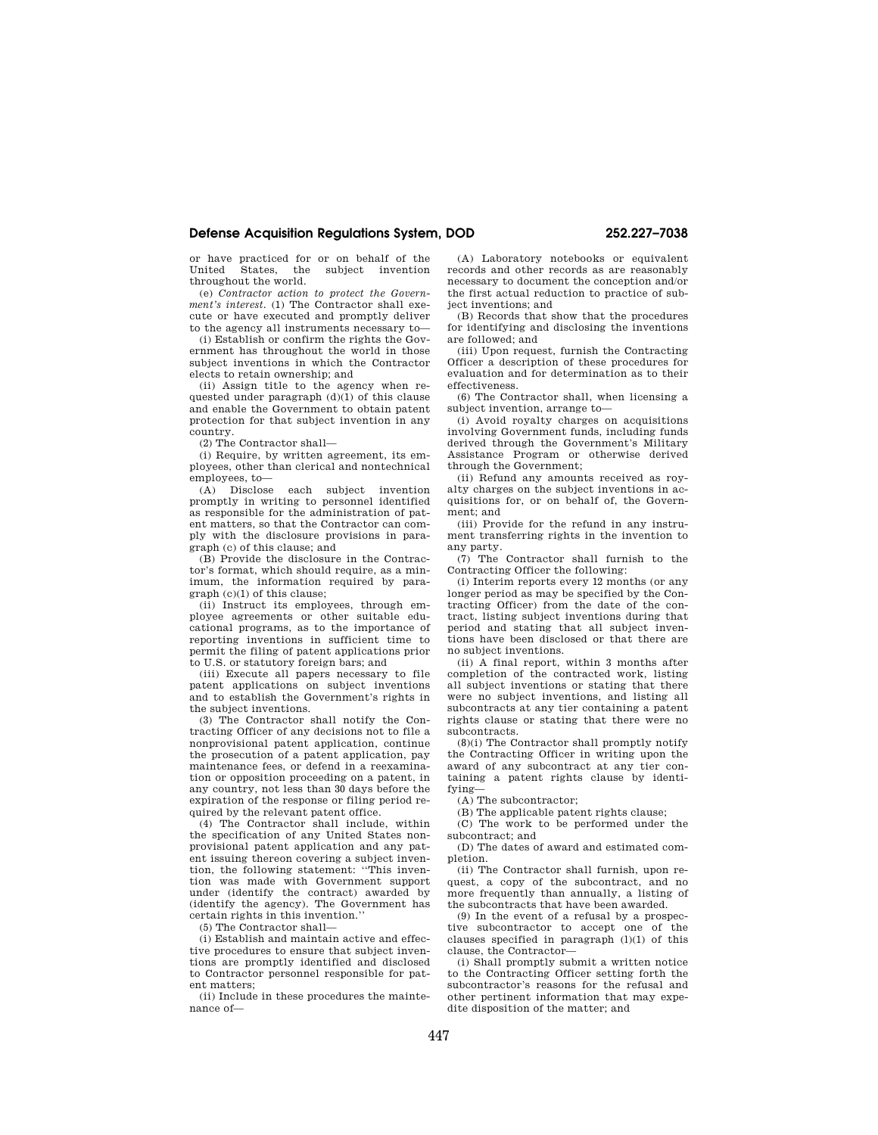# **Defense Acquisition Regulations System, DOD 252.227–7038**

or have practiced for or on behalf of the United States, the subject invention throughout the world.

(e) *Contractor action to protect the Government's interest.* (1) The Contractor shall execute or have executed and promptly deliver to the agency all instruments necessary to—

(i) Establish or confirm the rights the Government has throughout the world in those subject inventions in which the Contractor elects to retain ownership; and

(ii) Assign title to the agency when requested under paragraph (d)(1) of this clause and enable the Government to obtain patent protection for that subject invention in any country.

(2) The Contractor shall—

(i) Require, by written agreement, its employees, other than clerical and nontechnical employees, to—

(A) Disclose each subject invention promptly in writing to personnel identified as responsible for the administration of patent matters, so that the Contractor can comply with the disclosure provisions in paragraph (c) of this clause; and

(B) Provide the disclosure in the Contractor's format, which should require, as a minimum, the information required by paragraph (c)(1) of this clause;

(ii) Instruct its employees, through employee agreements or other suitable educational programs, as to the importance of reporting inventions in sufficient time to permit the filing of patent applications prior to U.S. or statutory foreign bars; and

(iii) Execute all papers necessary to file patent applications on subject inventions and to establish the Government's rights in the subject inventions.

(3) The Contractor shall notify the Contracting Officer of any decisions not to file a nonprovisional patent application, continue the prosecution of a patent application, pay maintenance fees, or defend in a reexamination or opposition proceeding on a patent, in any country, not less than 30 days before the expiration of the response or filing period required by the relevant patent office.

(4) The Contractor shall include, within the specification of any United States nonprovisional patent application and any patent issuing thereon covering a subject invention, the following statement: ''This invention was made with Government support under (identify the contract) awarded by (identify the agency). The Government has certain rights in this invention.''

(5) The Contractor shall—

(i) Establish and maintain active and effective procedures to ensure that subject inventions are promptly identified and disclosed to Contractor personnel responsible for patent matters;

(ii) Include in these procedures the maintenance of—

(A) Laboratory notebooks or equivalent records and other records as are reasonably necessary to document the conception and/or the first actual reduction to practice of subject inventions; and

(B) Records that show that the procedures for identifying and disclosing the inventions are followed; and

(iii) Upon request, furnish the Contracting Officer a description of these procedures for evaluation and for determination as to their effectiveness.

(6) The Contractor shall, when licensing a subject invention, arrange to—

(i) Avoid royalty charges on acquisitions involving Government funds, including funds derived through the Government's Military Assistance Program or otherwise derived through the Government;

(ii) Refund any amounts received as royalty charges on the subject inventions in acquisitions for, or on behalf of, the Government; and

(iii) Provide for the refund in any instrument transferring rights in the invention to any party.

(7) The Contractor shall furnish to the Contracting Officer the following:

(i) Interim reports every 12 months (or any longer period as may be specified by the Contracting Officer) from the date of the contract, listing subject inventions during that period and stating that all subject inventions have been disclosed or that there are no subject inventions.

(ii) A final report, within 3 months after completion of the contracted work, listing all subject inventions or stating that there were no subject inventions, and listing all subcontracts at any tier containing a patent rights clause or stating that there were no subcontracts.

 $(8)(i)$  The Contractor shall promptly notify the Contracting Officer in writing upon the award of any subcontract at any tier containing a patent rights clause by identifying—

(A) The subcontractor;

(B) The applicable patent rights clause;

(C) The work to be performed under the subcontract; and

(D) The dates of award and estimated completion.

(ii) The Contractor shall furnish, upon request, a copy of the subcontract, and no more frequently than annually, a listing of the subcontracts that have been awarded.

(9) In the event of a refusal by a prospective subcontractor to accept one of the clauses specified in paragraph  $(l)(1)$  of this clause, the Contractor—

(i) Shall promptly submit a written notice to the Contracting Officer setting forth the subcontractor's reasons for the refusal and other pertinent information that may expedite disposition of the matter; and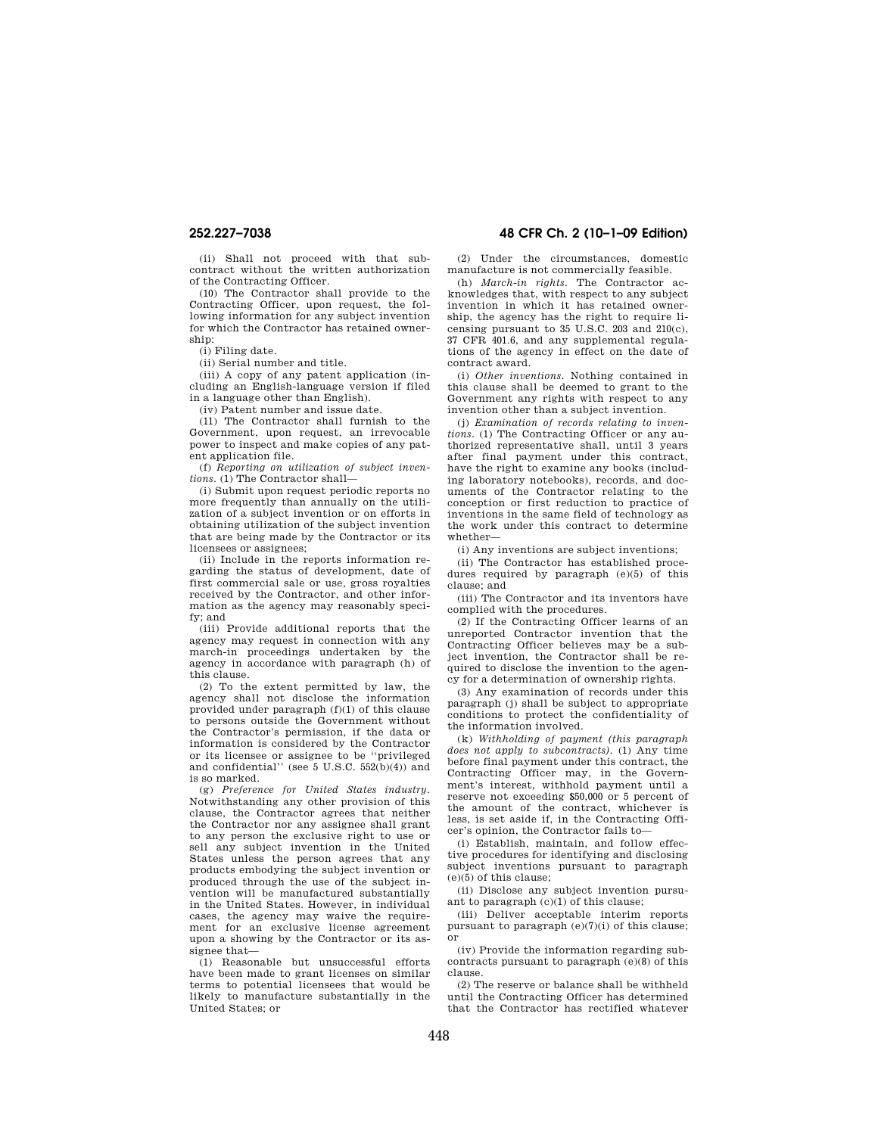(ii) Shall not proceed with that subcontract without the written authorization of the Contracting Officer.

(10) The Contractor shall provide to the Contracting Officer, upon request, the following information for any subject invention for which the Contractor has retained ownership:

(i) Filing date.

(ii) Serial number and title.

(iii) A copy of any patent application (including an English-language version if filed in a language other than English).

(iv) Patent number and issue date.

(11) The Contractor shall furnish to the Government, upon request, an irrevocable power to inspect and make copies of any pat--<br>ent annlication file.

(f) *Reporting on utilization of subject inventions.* (1) The Contractor shall—

(i) Submit upon request periodic reports no more frequently than annually on the utilization of a subject invention or on efforts in obtaining utilization of the subject invention that are being made by the Contractor or its licensees or assignees;

(ii) Include in the reports information regarding the status of development, date of first commercial sale or use, gross royalties received by the Contractor, and other information as the agency may reasonably specify; and

(iii) Provide additional reports that the agency may request in connection with any march-in proceedings undertaken by the agency in accordance with paragraph (h) of this clause.

(2) To the extent permitted by law, the agency shall not disclose the information provided under paragraph (f)(1) of this clause to persons outside the Government without the Contractor's permission, if the data or information is considered by the Contractor or its licensee or assignee to be ''privileged and confidential'' (see 5 U.S.C. 552(b)(4)) and is so marked.

(g) *Preference for United States industry.*  Notwithstanding any other provision of this clause, the Contractor agrees that neither the Contractor nor any assignee shall grant to any person the exclusive right to use or sell any subject invention in the United States unless the person agrees that any products embodying the subject invention or produced through the use of the subject invention will be manufactured substantially in the United States. However, in individual cases, the agency may waive the requirement for an exclusive license agreement upon a showing by the Contractor or its assignee that—

(1) Reasonable but unsuccessful efforts have been made to grant licenses on similar terms to potential licensees that would be likely to manufacture substantially in the United States; or

# **252.227–7038 48 CFR Ch. 2 (10–1–09 Edition)**

(2) Under the circumstances, domestic manufacture is not commercially feasible.

(h) *March-in rights.* The Contractor acknowledges that, with respect to any subject invention in which it has retained ownership, the agency has the right to require licensing pursuant to 35 U.S.C. 203 and 210(c), 37 CFR 401.6, and any supplemental regulations of the agency in effect on the date of contract award.

(i) *Other inventions.* Nothing contained in this clause shall be deemed to grant to the Government any rights with respect to any invention other than a subject invention.

(j) *Examination of records relating to inventions.* (1) The Contracting Officer or any authorized representative shall, until 3 years after final payment under this contract, have the right to examine any books (including laboratory notebooks), records, and documents of the Contractor relating to the conception or first reduction to practice of inventions in the same field of technology as the work under this contract to determine whether—

(i) Any inventions are subject inventions;

(ii) The Contractor has established procedures required by paragraph (e)(5) of this clause; and

(iii) The Contractor and its inventors have complied with the procedures.

(2) If the Contracting Officer learns of an unreported Contractor invention that the Contracting Officer believes may be a subject invention, the Contractor shall be required to disclose the invention to the agency for a determination of ownership rights.

(3) Any examination of records under this paragraph (j) shall be subject to appropriate conditions to protect the confidentiality of the information involved.

(k) *Withholding of payment (this paragraph does not apply to subcontracts).* (1) Any time before final payment under this contract, the Contracting Officer may, in the Government's interest, withhold payment until a reserve not exceeding \$50,000 or 5 percent of the amount of the contract, whichever is less, is set aside if, in the Contracting Officer's opinion, the Contractor fails to—

(i) Establish, maintain, and follow effective procedures for identifying and disclosing subject inventions pursuant to paragraph (e)(5) of this clause;

(ii) Disclose any subject invention pursuant to paragraph (c)(1) of this clause;

(iii) Deliver acceptable interim reports pursuant to paragraph (e)(7)(i) of this clause; or

(iv) Provide the information regarding subcontracts pursuant to paragraph (e)(8) of this clause.

(2) The reserve or balance shall be withheld until the Contracting Officer has determined that the Contractor has rectified whatever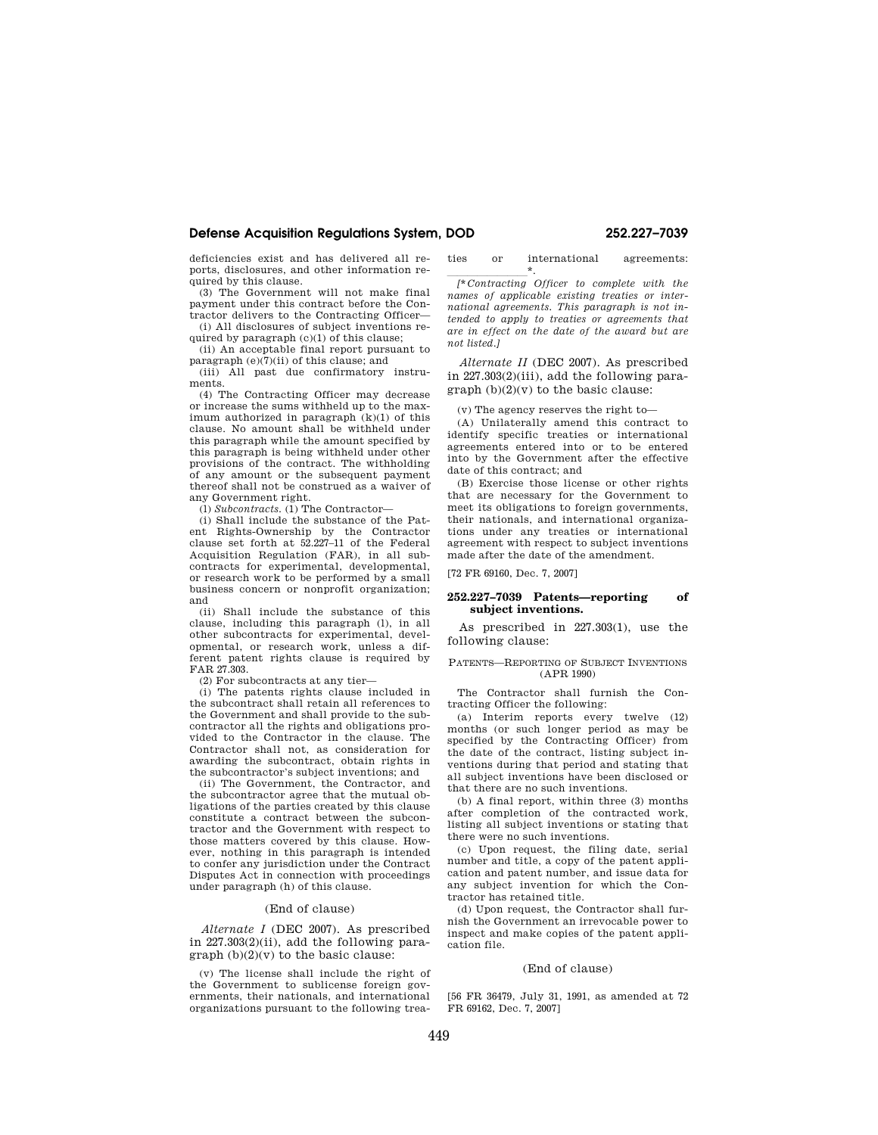# **Defense Acquisition Regulations System, DOD 252.227–7039**

deficiencies exist and has delivered all reports, disclosures, and other information required by this clause.

(3) The Government will not make final payment under this contract before the Contractor delivers to the Contracting Officer—

(i) All disclosures of subject inventions required by paragraph (c)(1) of this clause;

(ii) An acceptable final report pursuant to paragraph (e)(7)(ii) of this clause; and

(iii) All past due confirmatory instruments.

(4) The Contracting Officer may decrease or increase the sums withheld up to the maximum authorized in paragraph (k)(1) of this clause. No amount shall be withheld under this paragraph while the amount specified by this paragraph is being withheld under other provisions of the contract. The withholding of any amount or the subsequent payment thereof shall not be construed as a waiver of any Government right.

(l) *Subcontracts.* (1) The Contractor—

(i) Shall include the substance of the Patent Rights-Ownership by the Contractor clause set forth at 52.227–11 of the Federal Acquisition Regulation (FAR), in all subcontracts for experimental, developmental, or research work to be performed by a small business concern or nonprofit organization; and

(ii) Shall include the substance of this clause, including this paragraph (l), in all other subcontracts for experimental, developmental, or research work, unless a different patent rights clause is required by FAR 27.303.

(2) For subcontracts at any tier—

(i) The patents rights clause included in the subcontract shall retain all references to the Government and shall provide to the subcontractor all the rights and obligations provided to the Contractor in the clause. The Contractor shall not, as consideration for awarding the subcontract, obtain rights in the subcontractor's subject inventions; and

(ii) The Government, the Contractor, and the subcontractor agree that the mutual obligations of the parties created by this clause constitute a contract between the subcontractor and the Government with respect to those matters covered by this clause. However, nothing in this paragraph is intended to confer any jurisdiction under the Contract Disputes Act in connection with proceedings under paragraph (h) of this clause.

#### (End of clause)

*Alternate I* (DEC 2007). As prescribed in 227.303(2)(ii), add the following paragraph  $(b)(2)(v)$  to the basic clause:

(v) The license shall include the right of the Government to sublicense foreign governments, their nationals, and international organizations pursuant to the following treaties or international agreements:

<sup>\*</sup><br> *[\*Contracting Officer to complete with the names of applicable existing treaties or international agreements. This paragraph is not intended to apply to treaties or agreements that are in effect on the date of the award but are not listed.]* 

*Alternate II* (DEC 2007). As prescribed in 227.303(2)(iii), add the following para $graph (b)(2)(v)$  to the basic clause:

(v) The agency reserves the right to—

(A) Unilaterally amend this contract to identify specific treaties or international agreements entered into or to be entered into by the Government after the effective date of this contract; and

(B) Exercise those license or other rights that are necessary for the Government to meet its obligations to foreign governments, their nationals, and international organizations under any treaties or international agreement with respect to subject inventions made after the date of the amendment.

[72 FR 69160, Dec. 7, 2007]

# **252.227–7039 Patents—reporting of subject inventions.**

As prescribed in 227.303(1), use the following clause:

# PATENTS—REPORTING OF SUBJECT INVENTIONS (APR 1990)

The Contractor shall furnish the Contracting Officer the following:

(a) Interim reports every twelve (12) months (or such longer period as may be specified by the Contracting Officer) from the date of the contract, listing subject inventions during that period and stating that all subject inventions have been disclosed or that there are no such inventions.

(b) A final report, within three (3) months after completion of the contracted work, listing all subject inventions or stating that there were no such inventions.

(c) Upon request, the filing date, serial number and title, a copy of the patent application and patent number, and issue data for any subject invention for which the Contractor has retained title.

(d) Upon request, the Contractor shall furnish the Government an irrevocable power to inspect and make copies of the patent application file.

# (End of clause)

[56 FR 36479, July 31, 1991, as amended at 72 FR 69162, Dec. 7, 2007]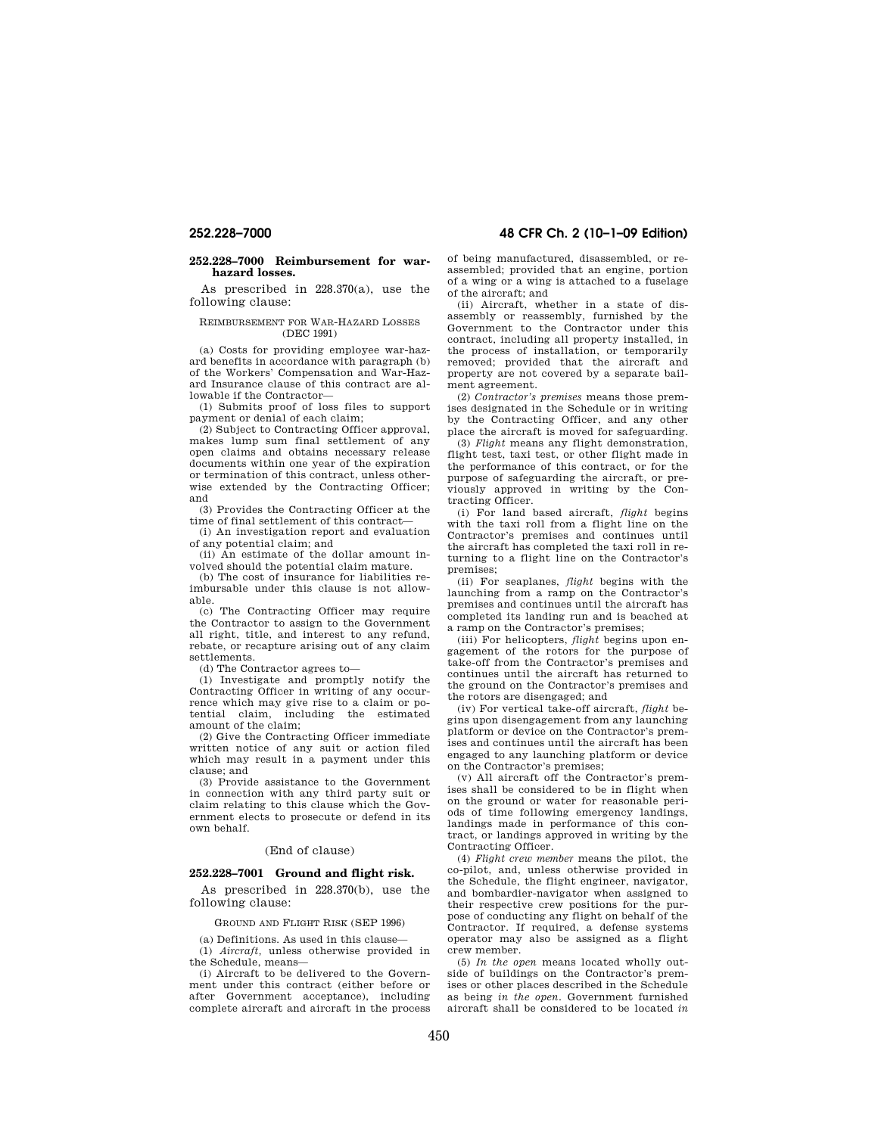# **252.228–7000 Reimbursement for warhazard losses.**

As prescribed in 228.370(a), use the following clause:

# REIMBURSEMENT FOR WAR-HAZARD LOSSES (DEC 1991)

(a) Costs for providing employee war-hazard benefits in accordance with paragraph (b) of the Workers' Compensation and War-Hazard Insurance clause of this contract are allowable if the Contractor—

(1) Submits proof of loss files to support payment or denial of each claim;

(2) Subject to Contracting Officer approval, makes lump sum final settlement of any open claims and obtains necessary release documents within one year of the expiration or termination of this contract, unless otherwise extended by the Contracting Officer; and

(3) Provides the Contracting Officer at the time of final settlement of this contract—

(i) An investigation report and evaluation of any potential claim; and

(ii) An estimate of the dollar amount involved should the potential claim mature.

(b) The cost of insurance for liabilities reimbursable under this clause is not allowable.

(c) The Contracting Officer may require the Contractor to assign to the Government all right, title, and interest to any refund, rebate, or recapture arising out of any claim settlements.

(d) The Contractor agrees to—

(1) Investigate and promptly notify the Contracting Officer in writing of any occurrence which may give rise to a claim or potential claim, including the estimated amount of the claim;

(2) Give the Contracting Officer immediate written notice of any suit or action filed which may result in a payment under this clause; and

(3) Provide assistance to the Government in connection with any third party suit or claim relating to this clause which the Government elects to prosecute or defend in its own behalf.

# (End of clause)

# **252.228–7001 Ground and flight risk.**

As prescribed in 228.370(b), use the following clause:

GROUND AND FLIGHT RISK (SEP 1996)

(a) Definitions. As used in this clause— (1) *Aircraft,* unless otherwise provided in the Schedule, means—

(i) Aircraft to be delivered to the Government under this contract (either before or after Government acceptance), including complete aircraft and aircraft in the process

**252.228–7000 48 CFR Ch. 2 (10–1–09 Edition)** 

of being manufactured, disassembled, or reassembled; provided that an engine, portion of a wing or a wing is attached to a fuselage of the aircraft; and

(ii) Aircraft, whether in a state of disassembly or reassembly, furnished by the Government to the Contractor under this contract, including all property installed, in the process of installation, or temporarily removed; provided that the aircraft and property are not covered by a separate bailment agreement.

(2) *Contractor's premises* means those premises designated in the Schedule or in writing by the Contracting Officer, and any other place the aircraft is moved for safeguarding.

(3) *Flight* means any flight demonstration, flight test, taxi test, or other flight made in the performance of this contract, or for the purpose of safeguarding the aircraft, or previously approved in writing by the Contracting Officer.

(i) For land based aircraft, *flight* begins with the taxi roll from a flight line on the Contractor's premises and continues until the aircraft has completed the taxi roll in returning to a flight line on the Contractor's premises;

(ii) For seaplanes, *flight* begins with the launching from a ramp on the Contractor's premises and continues until the aircraft has completed its landing run and is beached at a ramp on the Contractor's premises;

(iii) For helicopters, *flight* begins upon engagement of the rotors for the purpose of take-off from the Contractor's premises and continues until the aircraft has returned to the ground on the Contractor's premises and the rotors are disengaged; and

(iv) For vertical take-off aircraft, *flight* begins upon disengagement from any launching platform or device on the Contractor's premises and continues until the aircraft has been engaged to any launching platform or device on the Contractor's premises;

(v) All aircraft off the Contractor's premises shall be considered to be in flight when on the ground or water for reasonable periods of time following emergency landings, landings made in performance of this contract, or landings approved in writing by the Contracting Officer.

(4) *Flight crew member* means the pilot, the co-pilot, and, unless otherwise provided in the Schedule, the flight engineer, navigator, and bombardier-navigator when assigned to their respective crew positions for the purpose of conducting any flight on behalf of the Contractor. If required, a defense systems operator may also be assigned as a flight crew member.

(5) *In the open* means located wholly outside of buildings on the Contractor's premises or other places described in the Schedule as being *in the open.* Government furnished aircraft shall be considered to be located *in*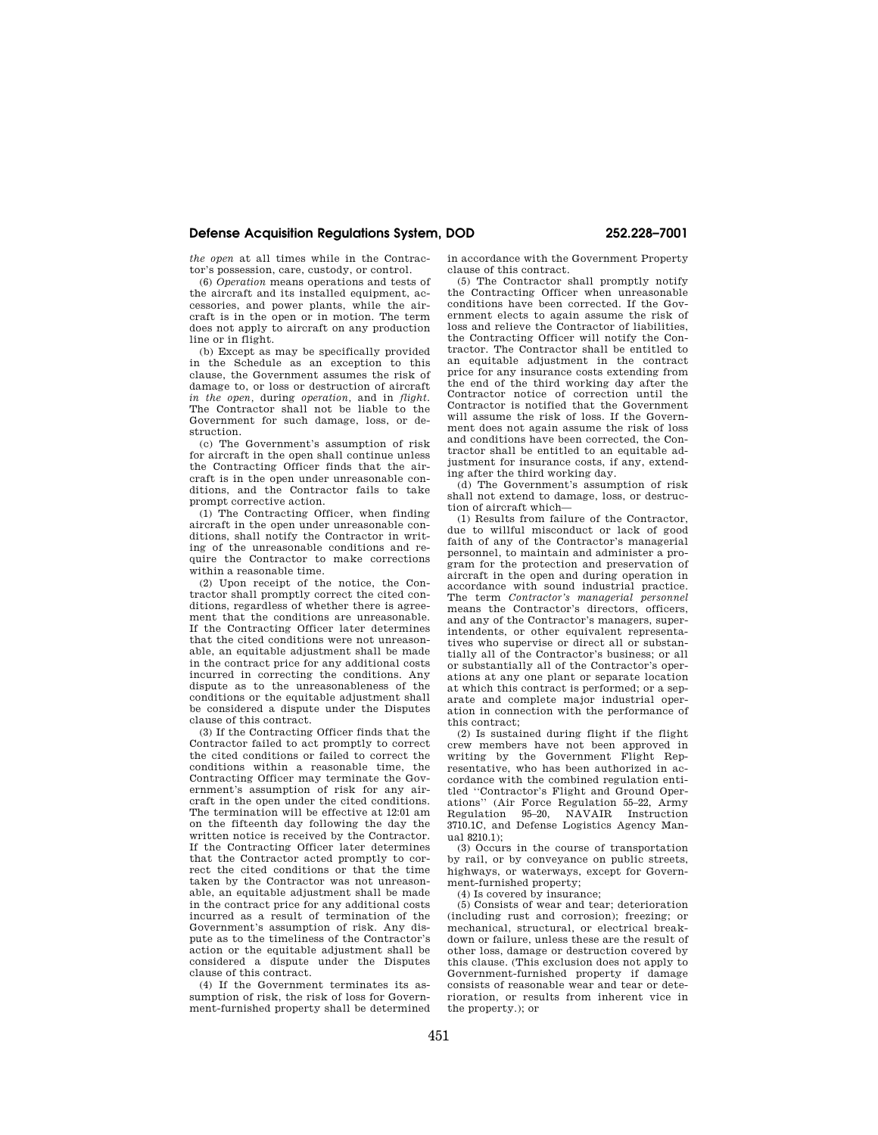# **Defense Acquisition Regulations System, DOD 252.228–7001**

*the open* at all times while in the Contractor's possession, care, custody, or control.

(6) *Operation* means operations and tests of the aircraft and its installed equipment, accessories, and power plants, while the aircraft is in the open or in motion. The term does not apply to aircraft on any production line or in flight.

(b) Except as may be specifically provided in the Schedule as an exception to this clause, the Government assumes the risk of damage to, or loss or destruction of aircraft *in the open,* during *operation,* and in *flight.*  The Contractor shall not be liable to the Government for such damage, loss, or destruction.

(c) The Government's assumption of risk for aircraft in the open shall continue unless the Contracting Officer finds that the aircraft is in the open under unreasonable conditions, and the Contractor fails to take prompt corrective action.

(1) The Contracting Officer, when finding aircraft in the open under unreasonable conditions, shall notify the Contractor in writing of the unreasonable conditions and require the Contractor to make corrections within a reasonable time.

(2) Upon receipt of the notice, the Contractor shall promptly correct the cited conditions, regardless of whether there is agreement that the conditions are unreasonable. If the Contracting Officer later determines that the cited conditions were not unreasonable, an equitable adjustment shall be made in the contract price for any additional costs incurred in correcting the conditions. Any dispute as to the unreasonableness of the conditions or the equitable adjustment shall be considered a dispute under the Disputes clause of this contract.

(3) If the Contracting Officer finds that the Contractor failed to act promptly to correct the cited conditions or failed to correct the conditions within a reasonable time, the Contracting Officer may terminate the Government's assumption of risk for any aircraft in the open under the cited conditions. The termination will be effective at 12:01 am on the fifteenth day following the day the written notice is received by the Contractor. If the Contracting Officer later determines that the Contractor acted promptly to correct the cited conditions or that the time taken by the Contractor was not unreasonable, an equitable adjustment shall be made in the contract price for any additional costs incurred as a result of termination of the Government's assumption of risk. Any dispute as to the timeliness of the Contractor's action or the equitable adjustment shall be considered a dispute under the Disputes clause of this contract.

(4) If the Government terminates its assumption of risk, the risk of loss for Government-furnished property shall be determined in accordance with the Government Property clause of this contract.

(5) The Contractor shall promptly notify the Contracting Officer when unreasonable conditions have been corrected. If the Government elects to again assume the risk of loss and relieve the Contractor of liabilities, the Contracting Officer will notify the Contractor. The Contractor shall be entitled to an equitable adjustment in the contract price for any insurance costs extending from the end of the third working day after the Contractor notice of correction until the Contractor is notified that the Government will assume the risk of loss. If the Government does not again assume the risk of loss and conditions have been corrected, the Contractor shall be entitled to an equitable adjustment for insurance costs, if any, extending after the third working day.

(d) The Government's assumption of risk shall not extend to damage, loss, or destruction of aircraft which—

(1) Results from failure of the Contractor, due to willful misconduct or lack of good faith of any of the Contractor's managerial personnel, to maintain and administer a program for the protection and preservation of aircraft in the open and during operation in accordance with sound industrial practice. The term *Contractor's managerial personnel*  means the Contractor's directors, officers, and any of the Contractor's managers, superintendents, or other equivalent representatives who supervise or direct all or substantially all of the Contractor's business; or all or substantially all of the Contractor's operations at any one plant or separate location at which this contract is performed; or a separate and complete major industrial operation in connection with the performance of this contract;

(2) Is sustained during flight if the flight crew members have not been approved in writing by the Government Flight Representative, who has been authorized in accordance with the combined regulation entitled ''Contractor's Flight and Ground Operations'' (Air Force Regulation 55–22, Army Regulation 95–20, NAVAIR Instruction 3710.1C, and Defense Logistics Agency Manual 8210.1);

(3) Occurs in the course of transportation by rail, or by conveyance on public streets, highways, or waterways, except for Government-furnished property;

(4) Is covered by insurance;

(5) Consists of wear and tear; deterioration (including rust and corrosion); freezing; or mechanical, structural, or electrical breakdown or failure, unless these are the result of other loss, damage or destruction covered by this clause. (This exclusion does not apply to Government-furnished property if damage consists of reasonable wear and tear or deterioration, or results from inherent vice in the property.); or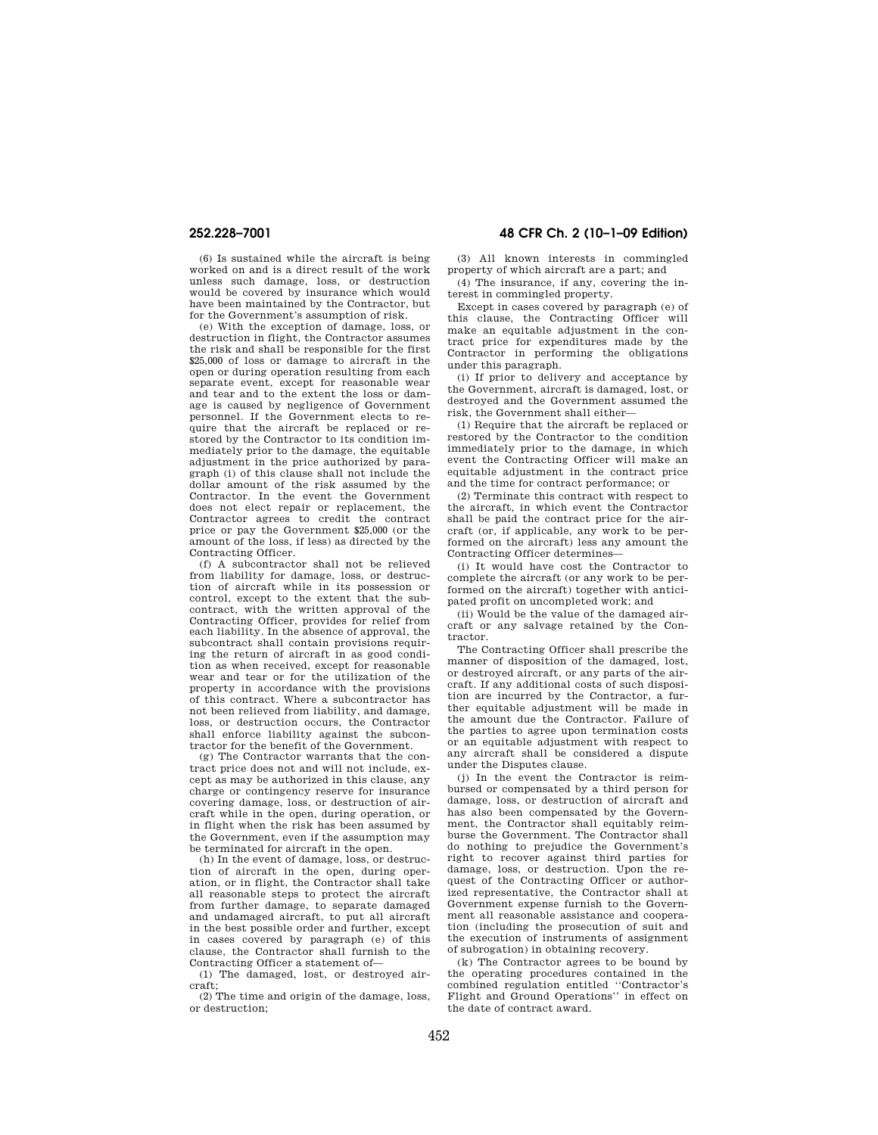(6) Is sustained while the aircraft is being worked on and is a direct result of the work unless such damage, loss, or destruction would be covered by insurance which would have been maintained by the Contractor, but for the Government's assumption of risk.

(e) With the exception of damage, loss, or destruction in flight, the Contractor assumes the risk and shall be responsible for the first \$25,000 of loss or damage to aircraft in the open or during operation resulting from each separate event, except for reasonable wear and tear and to the extent the loss or damage is caused by negligence of Government personnel. If the Government elects to require that the aircraft be replaced or restored by the Contractor to its condition immediately prior to the damage, the equitable adjustment in the price authorized by paragraph (i) of this clause shall not include the dollar amount of the risk assumed by the Contractor. In the event the Government does not elect repair or replacement, the Contractor agrees to credit the contract price or pay the Government \$25,000 (or the amount of the loss, if less) as directed by the Contracting Officer.

(f) A subcontractor shall not be relieved from liability for damage, loss, or destruction of aircraft while in its possession or control, except to the extent that the subcontract, with the written approval of the Contracting Officer, provides for relief from each liability. In the absence of approval, the subcontract shall contain provisions requiring the return of aircraft in as good condition as when received, except for reasonable wear and tear or for the utilization of the property in accordance with the provisions of this contract. Where a subcontractor has not been relieved from liability, and damage, loss, or destruction occurs, the Contractor shall enforce liability against the subcontractor for the benefit of the Government.

(g) The Contractor warrants that the contract price does not and will not include, except as may be authorized in this clause, any charge or contingency reserve for insurance covering damage, loss, or destruction of aircraft while in the open, during operation, or in flight when the risk has been assumed by the Government, even if the assumption may be terminated for aircraft in the open.

(h) In the event of damage, loss, or destruction of aircraft in the open, during operation, or in flight, the Contractor shall take all reasonable steps to protect the aircraft from further damage, to separate damaged and undamaged aircraft, to put all aircraft in the best possible order and further, except in cases covered by paragraph (e) of this clause, the Contractor shall furnish to the Contracting Officer a statement of—

(1) The damaged, lost, or destroyed aircraft;

(2) The time and origin of the damage, loss, or destruction;

# **252.228–7001 48 CFR Ch. 2 (10–1–09 Edition)**

(3) All known interests in commingled property of which aircraft are a part; and

(4) The insurance, if any, covering the interest in commingled property.

Except in cases covered by paragraph (e) of this clause, the Contracting Officer will make an equitable adjustment in the contract price for expenditures made by the Contractor in performing the obligations under this paragraph.

(i) If prior to delivery and acceptance by the Government, aircraft is damaged, lost, or destroyed and the Government assumed the risk, the Government shall either—

(1) Require that the aircraft be replaced or restored by the Contractor to the condition immediately prior to the damage, in which event the Contracting Officer will make an equitable adjustment in the contract price and the time for contract performance; or

(2) Terminate this contract with respect to the aircraft, in which event the Contractor shall be paid the contract price for the aircraft (or, if applicable, any work to be performed on the aircraft) less any amount the Contracting Officer determines—

(i) It would have cost the Contractor to complete the aircraft (or any work to be performed on the aircraft) together with anticipated profit on uncompleted work; and

(ii) Would be the value of the damaged aircraft or any salvage retained by the Contractor.

The Contracting Officer shall prescribe the manner of disposition of the damaged, lost, or destroyed aircraft, or any parts of the aircraft. If any additional costs of such disposition are incurred by the Contractor, a further equitable adjustment will be made in the amount due the Contractor. Failure of the parties to agree upon termination costs or an equitable adjustment with respect to any aircraft shall be considered a dispute under the Disputes clause.

(j) In the event the Contractor is reimbursed or compensated by a third person for damage, loss, or destruction of aircraft and has also been compensated by the Government, the Contractor shall equitably reimburse the Government. The Contractor shall do nothing to prejudice the Government's right to recover against third parties for damage, loss, or destruction. Upon the request of the Contracting Officer or authorized representative, the Contractor shall at Government expense furnish to the Government all reasonable assistance and cooperation (including the prosecution of suit and the execution of instruments of assignment of subrogation) in obtaining recovery.

(k) The Contractor agrees to be bound by the operating procedures contained in the combined regulation entitled ''Contractor's Flight and Ground Operations'' in effect on the date of contract award.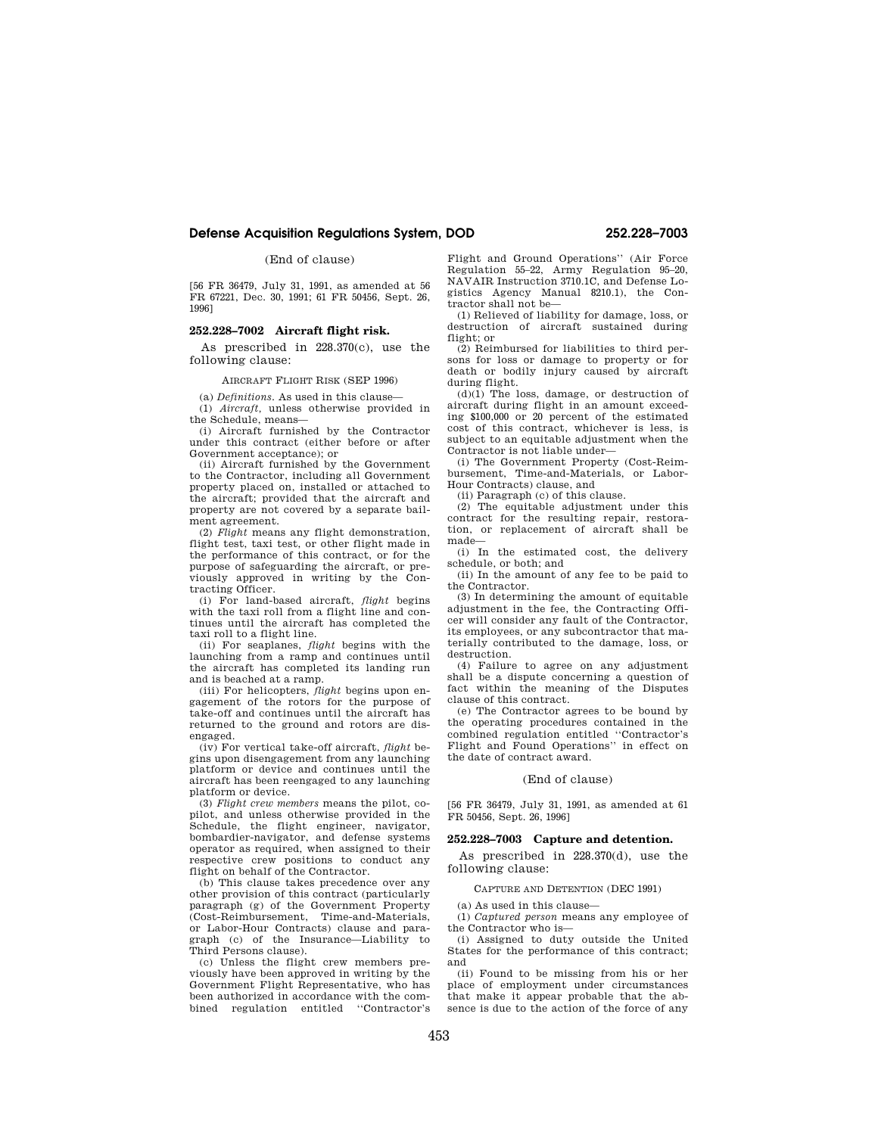# **Defense Acquisition Regulations System, DOD 252.228–7003**

(End of clause)

[56 FR 36479, July 31, 1991, as amended at 56 FR 67221, Dec. 30, 1991; 61 FR 50456, Sept. 26, 1996]

# **252.228–7002 Aircraft flight risk.**

As prescribed in 228.370(c), use the following clause:

#### AIRCRAFT FLIGHT RISK (SEP 1996)

(a) *Definitions*. As used in this clause-(1) *Aircraft,* unless otherwise provided in the Schedule, means—

(i) Aircraft furnished by the Contractor under this contract (either before or after Government acceptance); or

(ii) Aircraft furnished by the Government to the Contractor, including all Government property placed on, installed or attached to the aircraft; provided that the aircraft and property are not covered by a separate bailment agreement.

(2) *Flight* means any flight demonstration, flight test, taxi test, or other flight made in the performance of this contract, or for the purpose of safeguarding the aircraft, or previously approved in writing by the Contracting Officer.

(i) For land-based aircraft, *flight* begins with the taxi roll from a flight line and continues until the aircraft has completed the taxi roll to a flight line.

(ii) For seaplanes, *flight* begins with the launching from a ramp and continues until the aircraft has completed its landing run and is beached at a ramp.

(iii) For helicopters, *flight* begins upon engagement of the rotors for the purpose of take-off and continues until the aircraft has returned to the ground and rotors are disengaged.

(iv) For vertical take-off aircraft, *flight* begins upon disengagement from any launching platform or device and continues until the aircraft has been reengaged to any launching platform or device.

(3) *Flight crew members* means the pilot, copilot, and unless otherwise provided in the Schedule, the flight engineer, navigator, bombardier-navigator, and defense systems operator as required, when assigned to their respective crew positions to conduct any flight on behalf of the Contractor.

(b) This clause takes precedence over any other provision of this contract (particularly paragraph (g) of the Government Property (Cost-Reimbursement, Time-and-Materials, or Labor-Hour Contracts) clause and paragraph (c) of the Insurance—Liability to Third Persons clause).

(c) Unless the flight crew members previously have been approved in writing by the Government Flight Representative, who has been authorized in accordance with the combined regulation entitled ''Contractor's Flight and Ground Operations'' (Air Force Regulation 55–22, Army Regulation 95–20, NAVAIR Instruction 3710.1C, and Defense Logistics Agency Manual 8210.1), the Contractor shall not be—

(1) Relieved of liability for damage, loss, or destruction of aircraft sustained during flight; or

(2) Reimbursed for liabilities to third persons for loss or damage to property or for death or bodily injury caused by aircraft during flight.

 $(d)(1)$  The loss, damage, or destruction of aircraft during flight in an amount exceeding \$100,000 or 20 percent of the estimated cost of this contract, whichever is less, is subject to an equitable adjustment when the Contractor is not liable under—

(i) The Government Property (Cost-Reimbursement, Time-and-Materials, or Labor-Hour Contracts) clause, and

(ii) Paragraph (c) of this clause.

(2) The equitable adjustment under this contract for the resulting repair, restoration, or replacement of aircraft shall be made—

(i) In the estimated cost, the delivery schedule, or both; and

(ii) In the amount of any fee to be paid to the Contractor.

(3) In determining the amount of equitable adjustment in the fee, the Contracting Officer will consider any fault of the Contractor, its employees, or any subcontractor that materially contributed to the damage, loss, or destruction.

(4) Failure to agree on any adjustment shall be a dispute concerning a question of fact within the meaning of the Disputes clause of this contract.

(e) The Contractor agrees to be bound by the operating procedures contained in the combined regulation entitled ''Contractor's Flight and Found Operations'' in effect on the date of contract award.

# (End of clause)

[56 FR 36479, July 31, 1991, as amended at 61 FR 50456, Sept. 26, 1996]

#### **252.228–7003 Capture and detention.**

As prescribed in 228.370(d), use the following clause:

# CAPTURE AND DETENTION (DEC 1991)

(a) As used in this clause—

(1) *Captured person* means any employee of the Contractor who is—

(i) Assigned to duty outside the United States for the performance of this contract; and

(ii) Found to be missing from his or her place of employment under circumstances that make it appear probable that the absence is due to the action of the force of any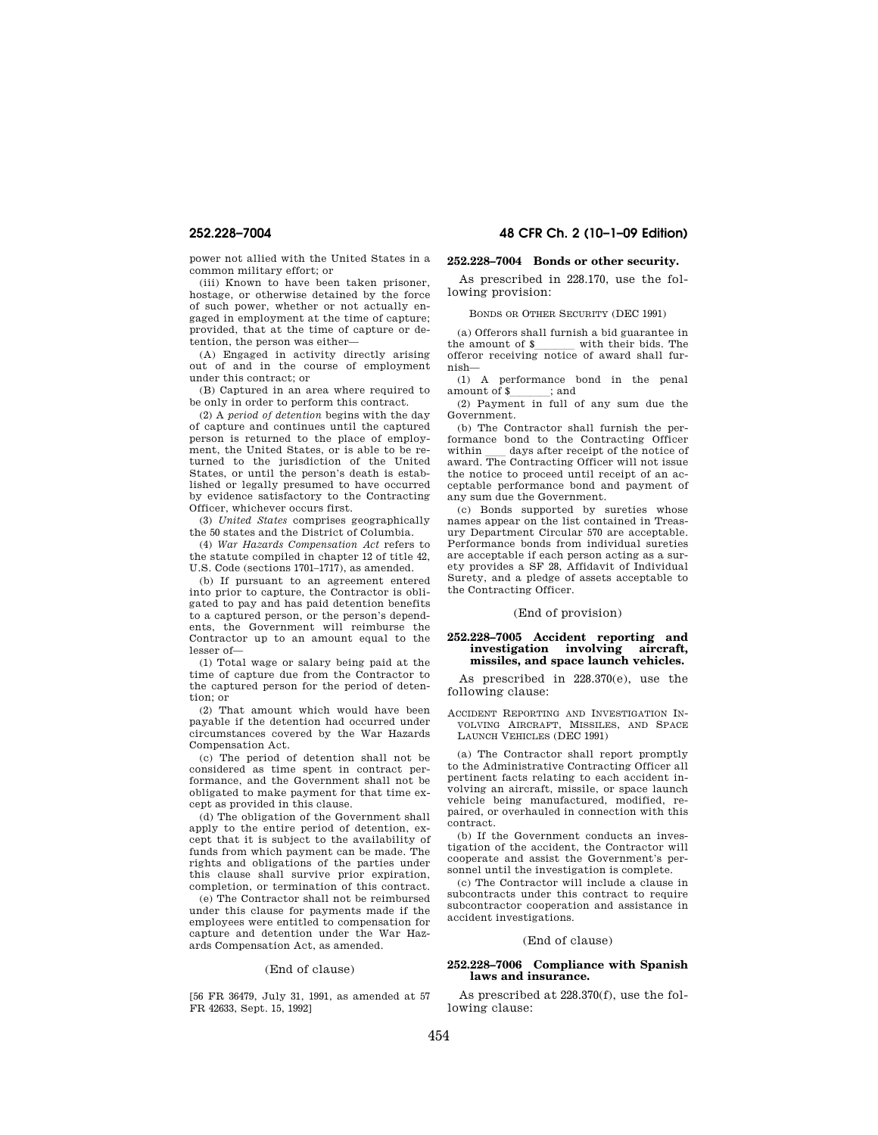**252.228–7004 48 CFR Ch. 2 (10–1–09 Edition)** 

power not allied with the United States in a common military effort; or

(iii) Known to have been taken prisoner, hostage, or otherwise detained by the force of such power, whether or not actually engaged in employment at the time of capture; provided, that at the time of capture or detention, the person was either—

(A) Engaged in activity directly arising out of and in the course of employment under this contract; or

(B) Captured in an area where required to be only in order to perform this contract.

(2) A *period of detention* begins with the day of capture and continues until the captured person is returned to the place of employment, the United States, or is able to be returned to the jurisdiction of the United States, or until the person's death is established or legally presumed to have occurred by evidence satisfactory to the Contracting Officer, whichever occurs first.

(3) *United States* comprises geographically the 50 states and the District of Columbia.

(4) *War Hazards Compensation Act* refers to the statute compiled in chapter 12 of title 42, U.S. Code (sections 1701–1717), as amended.

(b) If pursuant to an agreement entered into prior to capture, the Contractor is obligated to pay and has paid detention benefits to a captured person, or the person's dependents, the Government will reimburse the Contractor up to an amount equal to the lesser of—

(1) Total wage or salary being paid at the time of capture due from the Contractor to the captured person for the period of detention; or

(2) That amount which would have been payable if the detention had occurred under circumstances covered by the War Hazards Compensation Act.

(c) The period of detention shall not be considered as time spent in contract performance, and the Government shall not be obligated to make payment for that time except as provided in this clause.

(d) The obligation of the Government shall apply to the entire period of detention, except that it is subject to the availability of funds from which payment can be made. The rights and obligations of the parties under this clause shall survive prior expiration, completion, or termination of this contract.

(e) The Contractor shall not be reimbursed under this clause for payments made if the employees were entitled to compensation for capture and detention under the War Hazards Compensation Act, as amended.

# (End of clause)

[56 FR 36479, July 31, 1991, as amended at 57 FR 42633, Sept. 15, 1992]

# **252.228–7004 Bonds or other security.**

As prescribed in 228.170, use the following provision:

BONDS OR OTHER SECURITY (DEC 1991)

(a) Offerors shall furnish a bid guarantee in the amount of  $\delta$  with their bids. The the amount of \$\_\_\_\_\_ with their bids. The offeror receiving notice of award shall furnish—

(1) A performance bond in the penal amount of  $\sum$  ; and (2) Payment in full of any sum due the

Government.

(b) The Contractor shall furnish the performance bond to the Contracting Officer within ll days after receipt of the notice of award. The Contracting Officer will not issue the notice to proceed until receipt of an acceptable performance bond and payment of any sum due the Government.

(c) Bonds supported by sureties whose names appear on the list contained in Treasury Department Circular 570 are acceptable. Performance bonds from individual sureties are acceptable if each person acting as a surety provides a SF 28, Affidavit of Individual Surety, and a pledge of assets acceptable to the Contracting Officer.

# (End of provision)

#### **252.228–7005 Accident reporting and investigation involving aircraft, missiles, and space launch vehicles.**

As prescribed in 228.370(e), use the following clause:

ACCIDENT REPORTING AND INVESTIGATION IN-VOLVING AIRCRAFT, MISSILES, AND SPACE LAUNCH VEHICLES (DEC 1991)

(a) The Contractor shall report promptly to the Administrative Contracting Officer all pertinent facts relating to each accident involving an aircraft, missile, or space launch vehicle being manufactured, modified, repaired, or overhauled in connection with this contract.

(b) If the Government conducts an investigation of the accident, the Contractor will cooperate and assist the Government's personnel until the investigation is complete.

(c) The Contractor will include a clause in subcontracts under this contract to require subcontractor cooperation and assistance in accident investigations.

#### (End of clause)

#### **252.228–7006 Compliance with Spanish laws and insurance.**

As prescribed at 228.370(f), use the following clause: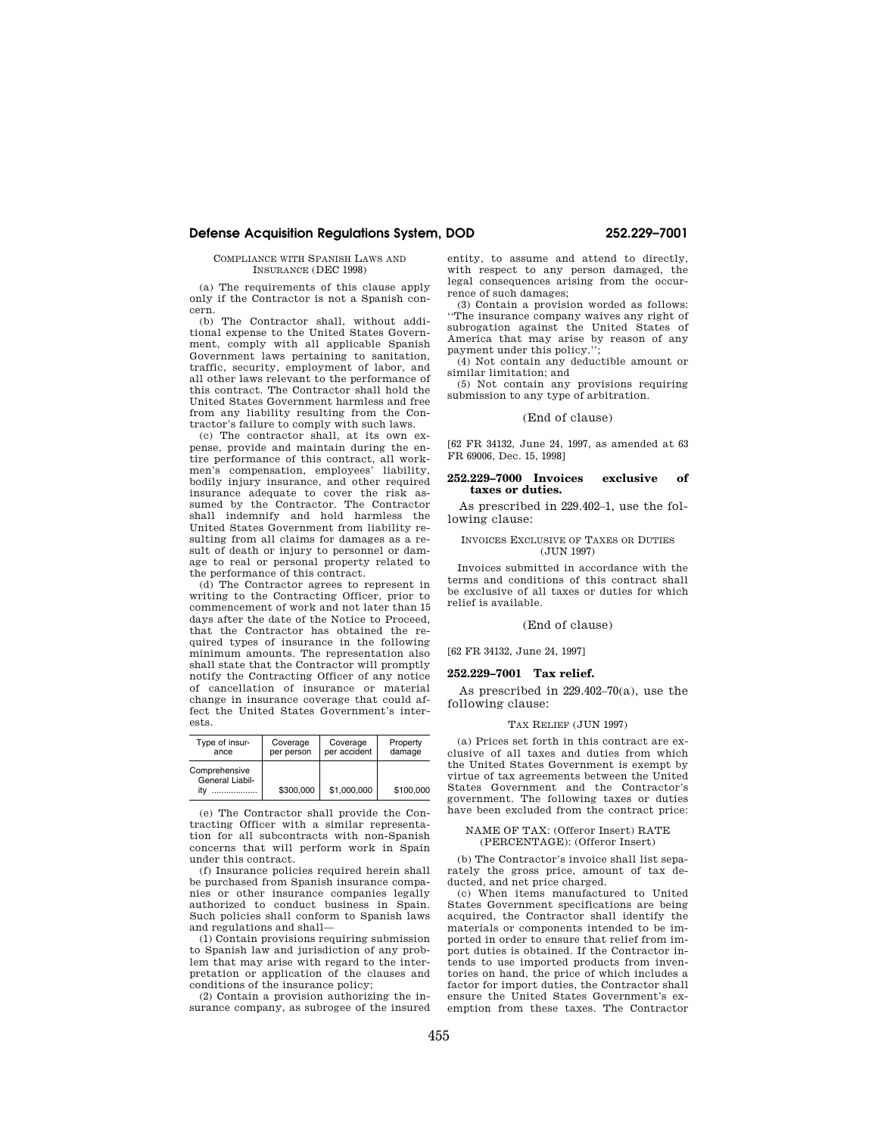# **Defense Acquisition Regulations System, DOD 252.229–7001**

COMPLIANCE WITH SPANISH LAWS AND INSURANCE (DEC 1998)

(a) The requirements of this clause apply only if the Contractor is not a Spanish concern.

(b) The Contractor shall, without additional expense to the United States Government, comply with all applicable Spanish Government laws pertaining to sanitation, traffic, security, employment of labor, and all other laws relevant to the performance of this contract. The Contractor shall hold the United States Government harmless and free from any liability resulting from the Contractor's failure to comply with such laws.

(c) The contractor shall, at its own expense, provide and maintain during the entire performance of this contract, all workmen's compensation, employees' liability, bodily injury insurance, and other required insurance adequate to cover the risk assumed by the Contractor. The Contractor shall indemnify and hold harmless the United States Government from liability resulting from all claims for damages as a result of death or injury to personnel or damage to real or personal property related to the performance of this contract.

(d) The Contractor agrees to represent in writing to the Contracting Officer, prior to commencement of work and not later than 15 days after the date of the Notice to Proceed, that the Contractor has obtained the required types of insurance in the following minimum amounts. The representation also shall state that the Contractor will promptly notify the Contracting Officer of any notice of cancellation of insurance or material change in insurance coverage that could affect the United States Government's interests.

| Type of insur-                          | Coverage   | Coverage     | Property  |
|-----------------------------------------|------------|--------------|-----------|
| ance                                    | per person | per accident | damage    |
| Comprehensive<br>General Liabil-<br>itv | \$300,000  | \$1,000,000  | \$100,000 |

(e) The Contractor shall provide the Contracting Officer with a similar representation for all subcontracts with non-Spanish concerns that will perform work in Spain under this contract.

(f) Insurance policies required herein shall be purchased from Spanish insurance companies or other insurance companies legally authorized to conduct business in Spain. Such policies shall conform to Spanish laws and regulations and shall—

(1) Contain provisions requiring submission to Spanish law and jurisdiction of any problem that may arise with regard to the interpretation or application of the clauses and conditions of the insurance policy;

(2) Contain a provision authorizing the insurance company, as subrogee of the insured

entity, to assume and attend to directly, with respect to any person damaged, the legal consequences arising from the occurrence of such damages;

(3) Contain a provision worded as follows: ''The insurance company waives any right of subrogation against the United States of America that may arise by reason of any payment under this policy."

(4) Not contain any deductible amount or similar limitation; and

(5) Not contain any provisions requiring submission to any type of arbitration.

# (End of clause)

[62 FR 34132, June 24, 1997, as amended at 63 FR 69006, Dec. 15, 1998]

# **252.229–7000 Invoices exclusive of taxes or duties.**

As prescribed in 229.402–1, use the following clause:

#### INVOICES EXCLUSIVE OF TAXES OR DUTIES (JUN 1997)

Invoices submitted in accordance with the terms and conditions of this contract shall be exclusive of all taxes or duties for which relief is available.

# (End of clause)

[62 FR 34132, June 24, 1997]

# **252.229–7001 Tax relief.**

As prescribed in 229.402–70(a), use the following clause:

# TAX RELIEF (JHN 1997)

(a) Prices set forth in this contract are exclusive of all taxes and duties from which the United States Government is exempt by virtue of tax agreements between the United States Government and the Contractor's government. The following taxes or duties have been excluded from the contract price:

# NAME OF TAX: (Offeror Insert) RATE (PERCENTAGE): (Offeror Insert)

(b) The Contractor's invoice shall list separately the gross price, amount of tax deducted, and net price charged.

(c) When items manufactured to United States Government specifications are being acquired, the Contractor shall identify the materials or components intended to be imported in order to ensure that relief from import duties is obtained. If the Contractor intends to use imported products from inventories on hand, the price of which includes a factor for import duties, the Contractor shall ensure the United States Government's exemption from these taxes. The Contractor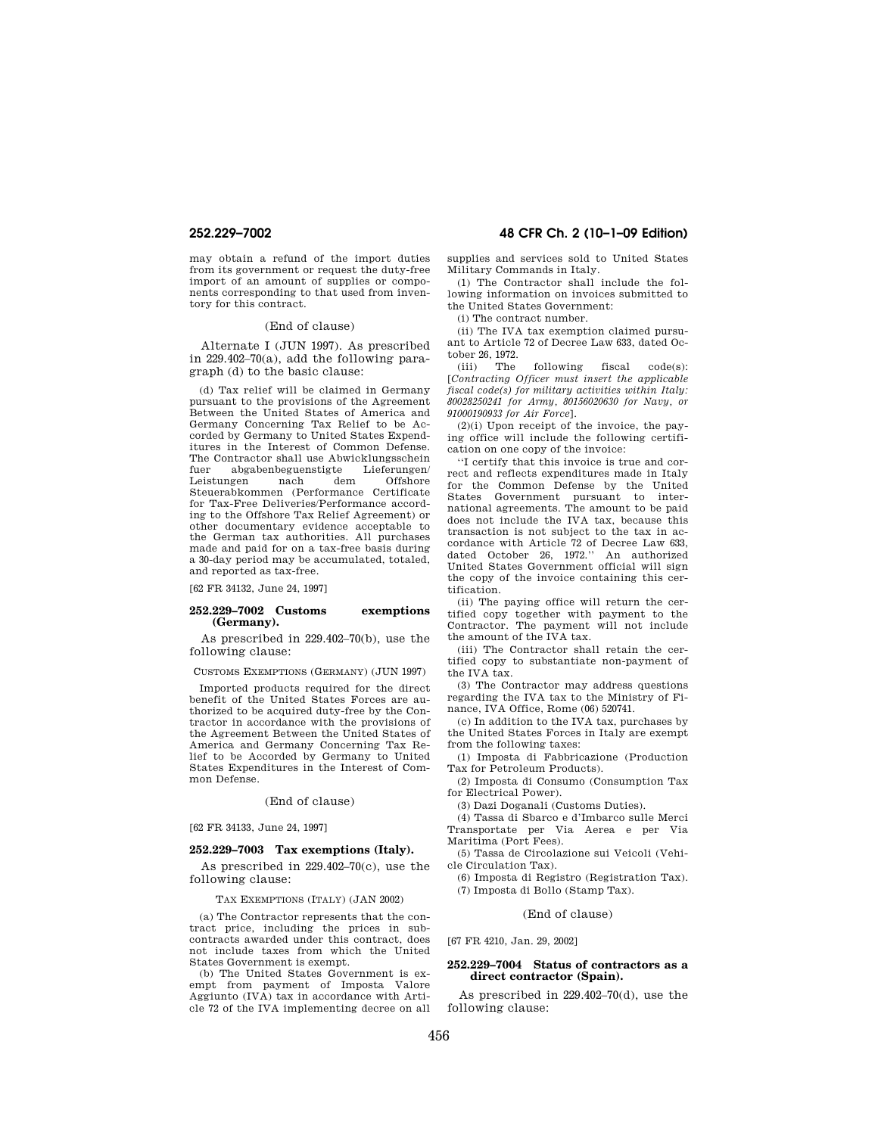may obtain a refund of the import duties from its government or request the duty-free import of an amount of supplies or components corresponding to that used from inventory for this contract.

# (End of clause)

Alternate I (JUN 1997). As prescribed in 229.402–70(a), add the following paragraph (d) to the basic clause:

(d) Tax relief will be claimed in Germany pursuant to the provisions of the Agreement Between the United States of America and Germany Concerning Tax Relief to be Accorded by Germany to United States Expenditures in the Interest of Common Defense. The Contractor shall use Abwicklungsschein<br>fuer abgabenbeguenstigte Lieferungen/ abgabenbeguenstigte Leistungen nach dem Offshore Steuerabkommen (Performance Certificate for Tax-Free Deliveries/Performance according to the Offshore Tax Relief Agreement) or other documentary evidence acceptable to the German tax authorities. All purchases made and paid for on a tax-free basis during a 30-day period may be accumulated, totaled, and reported as tax-free.

[62 FR 34132, June 24, 1997]

# **252.229–7002 Customs exemptions (Germany).**

As prescribed in 229.402–70(b), use the following clause:

CUSTOMS EXEMPTIONS (GERMANY) (JUN 1997)

Imported products required for the direct benefit of the United States Forces are authorized to be acquired duty-free by the Contractor in accordance with the provisions of the Agreement Between the United States of America and Germany Concerning Tax Relief to be Accorded by Germany to United States Expenditures in the Interest of Common Defense.

# (End of clause)

[62 FR 34133, June 24, 1997]

# **252.229–7003 Tax exemptions (Italy).**

As prescribed in 229.402–70(c), use the following clause:

TAX EXEMPTIONS (ITALY) (JAN 2002)

(a) The Contractor represents that the contract price, including the prices in subcontracts awarded under this contract, does not include taxes from which the United States Government is exempt.

(b) The United States Government is exempt from payment of Imposta Valore Aggiunto (IVA) tax in accordance with Article 72 of the IVA implementing decree on all

# **252.229–7002 48 CFR Ch. 2 (10–1–09 Edition)**

supplies and services sold to United States Military Commands in Italy.

(1) The Contractor shall include the following information on invoices submitted to the United States Government:

(i) The contract number.

(ii) The IVA tax exemption claimed pursuant to Article 72 of Decree Law 633, dated October 26, 1972.

(iii) The following fiscal code(s): [*Contracting Officer must insert the applicable fiscal code(s) for military activities within Italy: 80028250241 for Army, 80156020630 for Navy, or 91000190933 for Air Force*].

(2)(i) Upon receipt of the invoice, the paying office will include the following certification on one copy of the invoice:

''I certify that this invoice is true and correct and reflects expenditures made in Italy for the Common Defense by the United States Government pursuant to international agreements. The amount to be paid does not include the IVA tax, because this transaction is not subject to the tax in accordance with Article 72 of Decree Law 633, dated October 26, 1972.'' An authorized United States Government official will sign the copy of the invoice containing this certification.

(ii) The paying office will return the certified copy together with payment to the Contractor. The payment will not include the amount of the IVA tax.

(iii) The Contractor shall retain the certified copy to substantiate non-payment of the IVA tax.

(3) The Contractor may address questions regarding the IVA tax to the Ministry of Finance, IVA Office, Rome (06) 520741.

(c) In addition to the IVA tax, purchases by the United States Forces in Italy are exempt from the following taxes:

(1) Imposta di Fabbricazione (Production Tax for Petroleum Products).

(2) Imposta di Consumo (Consumption Tax for Electrical Power).

(3) Dazi Doganali (Customs Duties).

(4) Tassa di Sbarco e d'Imbarco sulle Merci Transportate per Via Aerea e per Via Maritima (Port Fees).

(5) Tassa de Circolazione sui Veicoli (Vehicle Circulation Tax).

(6) Imposta di Registro (Registration Tax). (7) Imposta di Bollo (Stamp Tax).

# (End of clause)

[67 FR 4210, Jan. 29, 2002]

# **252.229–7004 Status of contractors as a direct contractor (Spain).**

As prescribed in 229.402–70(d), use the following clause: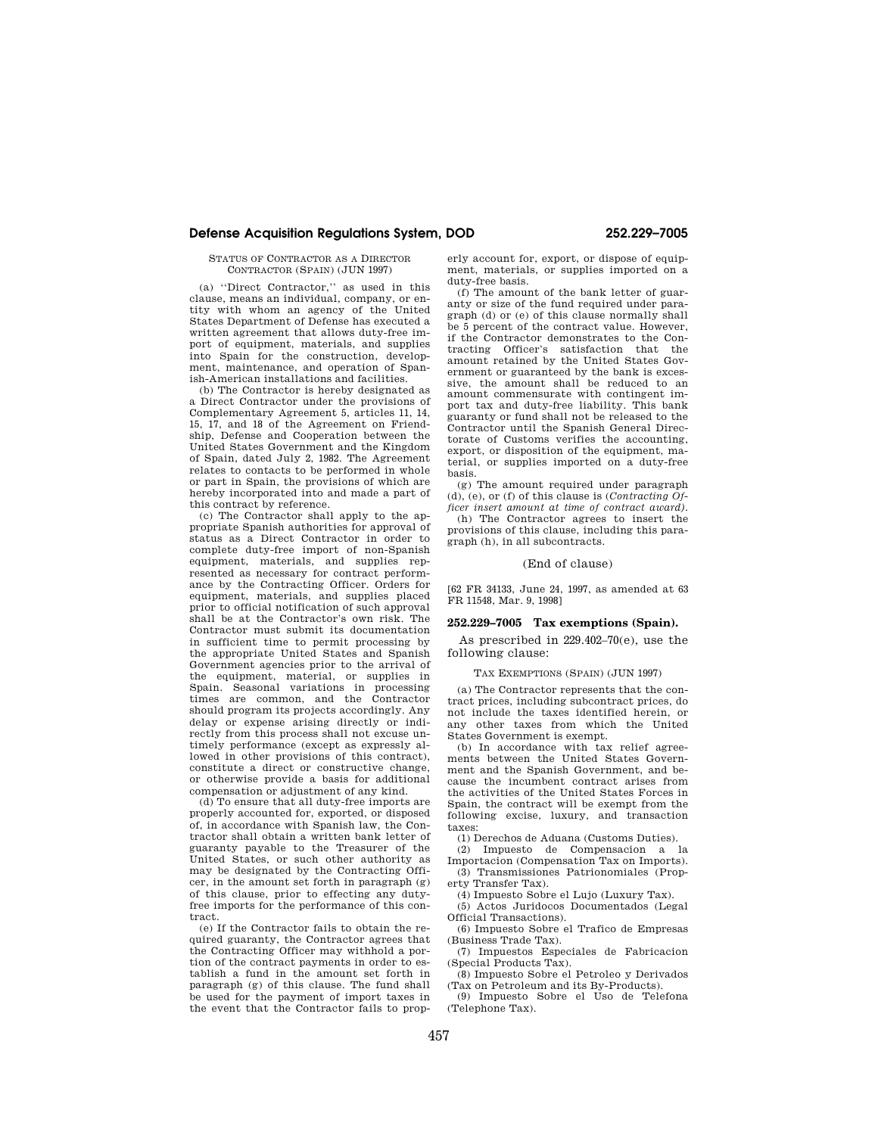# **Defense Acquisition Regulations System, DOD 252.229–7005**

STATUS OF CONTRACTOR AS A DIRECTOR CONTRACTOR (SPAIN) (JUN 1997)

(a) ''Direct Contractor,'' as used in this clause, means an individual, company, or entity with whom an agency of the United States Department of Defense has executed a written agreement that allows duty-free import of equipment, materials, and supplies into Spain for the construction, development, maintenance, and operation of Spanish-American installations and facilities.

(b) The Contractor is hereby designated as a Direct Contractor under the provisions of Complementary Agreement 5, articles 11, 14, 15, 17, and 18 of the Agreement on Friendship, Defense and Cooperation between the United States Government and the Kingdom of Spain, dated July 2, 1982. The Agreement relates to contacts to be performed in whole or part in Spain, the provisions of which are hereby incorporated into and made a part of this contract by reference.

(c) The Contractor shall apply to the appropriate Spanish authorities for approval of status as a Direct Contractor in order to complete duty-free import of non-Spanish equipment, materials, and supplies represented as necessary for contract performance by the Contracting Officer. Orders for equipment, materials, and supplies placed prior to official notification of such approval shall be at the Contractor's own risk. The Contractor must submit its documentation in sufficient time to permit processing by the appropriate United States and Spanish Government agencies prior to the arrival of the equipment, material, or supplies in Spain. Seasonal variations in processing times are common, and the Contractor should program its projects accordingly. Any delay or expense arising directly or indirectly from this process shall not excuse untimely performance (except as expressly allowed in other provisions of this contract), constitute a direct or constructive change, or otherwise provide a basis for additional compensation or adjustment of any kind.

(d) To ensure that all duty-free imports are properly accounted for, exported, or disposed of, in accordance with Spanish law, the Contractor shall obtain a written bank letter of guaranty payable to the Treasurer of the United States, or such other authority as may be designated by the Contracting Officer, in the amount set forth in paragraph (g) of this clause, prior to effecting any dutyfree imports for the performance of this contract.

(e) If the Contractor fails to obtain the required guaranty, the Contractor agrees that the Contracting Officer may withhold a portion of the contract payments in order to establish a fund in the amount set forth in paragraph (g) of this clause. The fund shall be used for the payment of import taxes in the event that the Contractor fails to properly account for, export, or dispose of equipment, materials, or supplies imported on a duty-free basis.

(f) The amount of the bank letter of guaranty or size of the fund required under paragraph (d) or (e) of this clause normally shall be 5 percent of the contract value. However, if the Contractor demonstrates to the Contracting Officer's satisfaction that the amount retained by the United States Government or guaranteed by the bank is excessive, the amount shall be reduced to an amount commensurate with contingent import tax and duty-free liability. This bank guaranty or fund shall not be released to the Contractor until the Spanish General Directorate of Customs verifies the accounting, export, or disposition of the equipment, material, or supplies imported on a duty-free basis.

(g) The amount required under paragraph (d), (e), or (f) of this clause is (*Contracting Officer insert amount at time of contract award).* 

(h) The Contractor agrees to insert the provisions of this clause, including this paragraph (h), in all subcontracts.

#### (End of clause)

[62 FR 34133, June 24, 1997, as amended at 63 FR 11548, Mar. 9, 1998]

# **252.229–7005 Tax exemptions (Spain).**

As prescribed in 229.402–70(e), use the following clause:

TAX EXEMPTIONS (SPAIN) (JUN 1997)

(a) The Contractor represents that the contract prices, including subcontract prices, do not include the taxes identified herein, or any other taxes from which the United States Government is exempt.

(b) In accordance with tax relief agreements between the United States Government and the Spanish Government, and because the incumbent contract arises from the activities of the United States Forces in Spain, the contract will be exempt from the following excise, luxury, and transaction taxes:

(1) Derechos de Aduana (Customs Duties).

(2) Impuesto de Compensacion a la Importacion (Compensation Tax on Imports).

(3) Transmissiones Patrionomiales (Property Transfer Tax).

(4) Impuesto Sobre el Lujo (Luxury Tax). (5) Actos Juridocos Documentados (Legal Official Transactions).

(6) Impuesto Sobre el Trafico de Empresas (Business Trade Tax).

(7) Impuestos Especiales de Fabricacion (Special Products Tax).

(8) Impuesto Sobre el Petroleo y Derivados (Tax on Petroleum and its By-Products).

(9) Impuesto Sobre el Uso de Telefona (Telephone Tax).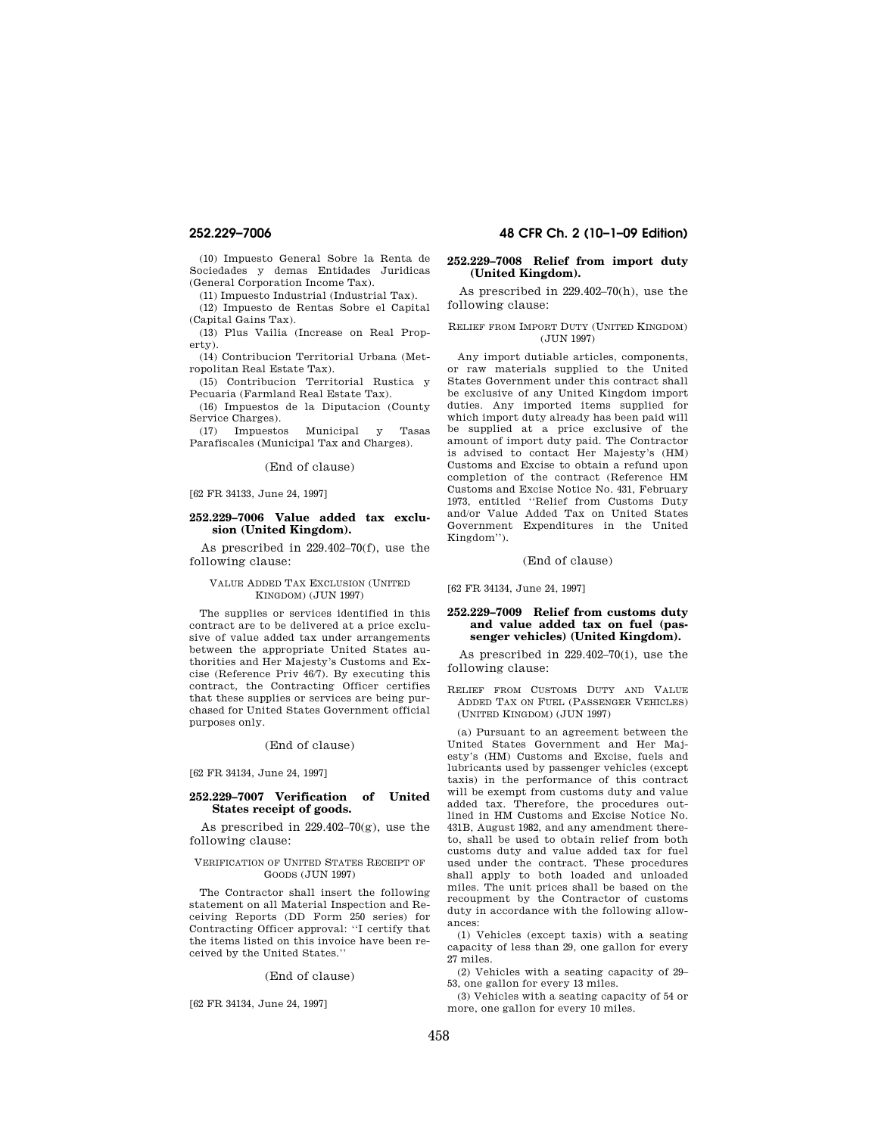(10) Impuesto General Sobre la Renta de Sociedades y demas Entidades Juridicas (General Corporation Income Tax).

(11) Impuesto Industrial (Industrial Tax).

(12) Impuesto de Rentas Sobre el Capital (Capital Gains Tax).

(13) Plus Vailia (Increase on Real Property).

(14) Contribucion Territorial Urbana (Metropolitan Real Estate Tax).

(15) Contribucion Territorial Rustica y Pecuaria (Farmland Real Estate Tax).

(16) Impuestos de la Diputacion (County Service Charges).

(17) Impuestos Municipal y Tasas Parafiscales (Municipal Tax and Charges).

# (End of clause)

[62 FR 34133, June 24, 1997]

# **252.229–7006 Value added tax exclusion (United Kingdom).**

As prescribed in 229.402–70(f), use the following clause:

# VALUE ADDED TAX EXCLUSION (UNITED KINGDOM) (JUN 1997)

The supplies or services identified in this contract are to be delivered at a price exclusive of value added tax under arrangements between the appropriate United States authorities and Her Majesty's Customs and Excise (Reference Priv 46/7). By executing this contract, the Contracting Officer certifies that these supplies or services are being purchased for United States Government official purposes only.

(End of clause)

[62 FR 34134, June 24, 1997]

# **252.229–7007 Verification of United States receipt of goods.**

As prescribed in 229.402–70(g), use the following clause:

#### VERIFICATION OF UNITED STATES RECEIPT OF GOODS (JUN 1997)

The Contractor shall insert the following statement on all Material Inspection and Receiving Reports (DD Form 250 series) for Contracting Officer approval: ''I certify that the items listed on this invoice have been received by the United States.''

(End of clause)

# [62 FR 34134, June 24, 1997]

# **252.229–7006 48 CFR Ch. 2 (10–1–09 Edition)**

# **252.229–7008 Relief from import duty (United Kingdom).**

As prescribed in 229.402–70(h), use the following clause:

# RELIEF FROM IMPORT DUTY (UNITED KINGDOM)  $($ JUN 1997 $)$

Any import dutiable articles, components, or raw materials supplied to the United States Government under this contract shall be exclusive of any United Kingdom import duties. Any imported items supplied for which import duty already has been paid will be supplied at a price exclusive of the amount of import duty paid. The Contractor is advised to contact Her Majesty's (HM) Customs and Excise to obtain a refund upon completion of the contract (Reference HM Customs and Excise Notice No. 431, February 1973, entitled ''Relief from Customs Duty and/or Value Added Tax on United States Government Expenditures in the United Kingdom'').

# (End of clause)

[62 FR 34134, June 24, 1997]

# **252.229–7009 Relief from customs duty and value added tax on fuel (passenger vehicles) (United Kingdom).**

As prescribed in 229.402–70(i), use the following clause:

RELIEF FROM CUSTOMS DUTY AND VALUE ADDED TAX ON FUEL (PASSENGER VEHICLES) (UNITED KINGDOM) (JUN 1997)

(a) Pursuant to an agreement between the United States Government and Her Majesty's (HM) Customs and Excise, fuels and lubricants used by passenger vehicles (except taxis) in the performance of this contract will be exempt from customs duty and value added tax. Therefore, the procedures outlined in HM Customs and Excise Notice No. 431B, August 1982, and any amendment thereto, shall be used to obtain relief from both customs duty and value added tax for fuel used under the contract. These procedures shall apply to both loaded and unloaded miles. The unit prices shall be based on the recoupment by the Contractor of customs duty in accordance with the following allowances:

(1) Vehicles (except taxis) with a seating capacity of less than 29, one gallon for every 27 miles.

(2) Vehicles with a seating capacity of 29– 53, one gallon for every 13 miles.

(3) Vehicles with a seating capacity of 54 or more, one gallon for every 10 miles.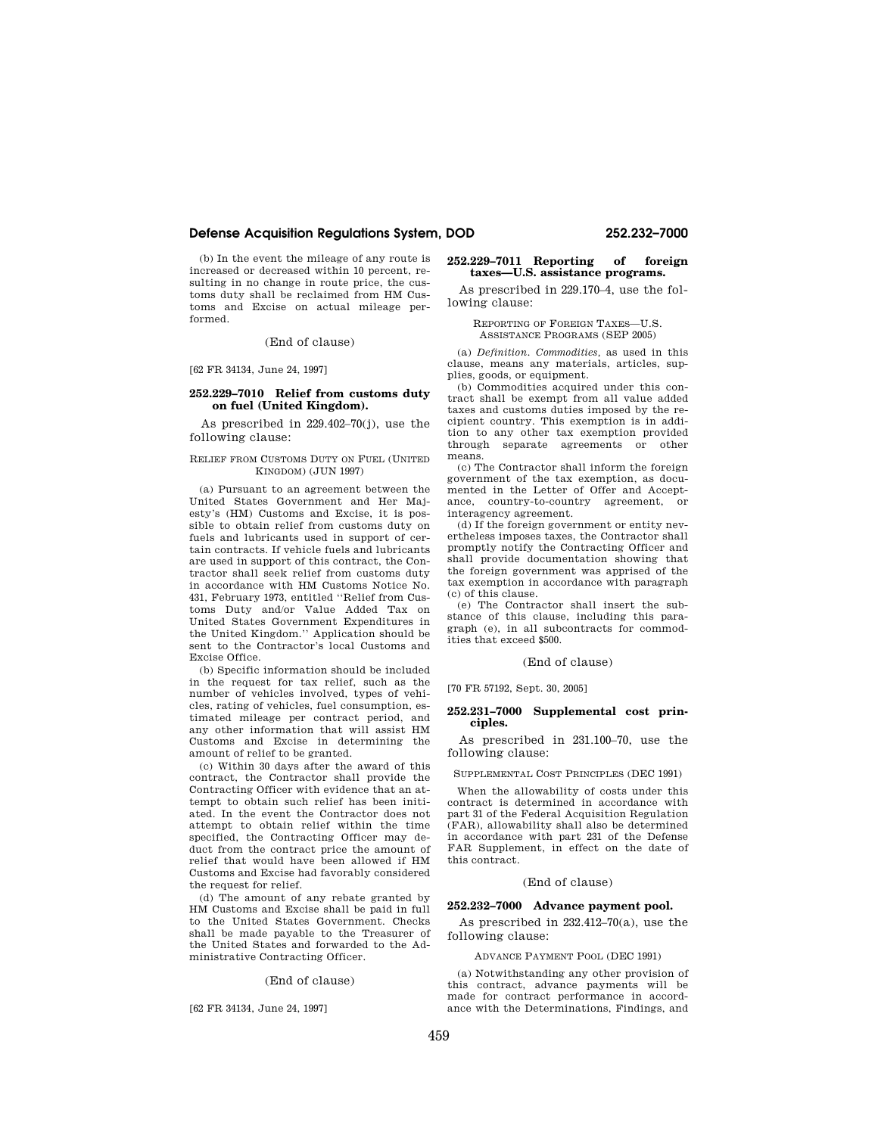# **Defense Acquisition Regulations System, DOD 252.232–7000**

(b) In the event the mileage of any route is increased or decreased within 10 percent, resulting in no change in route price, the customs duty shall be reclaimed from HM Customs and Excise on actual mileage performed.

(End of clause)

[62 FR 34134, June 24, 1997]

# **252.229–7010 Relief from customs duty on fuel (United Kingdom).**

As prescribed in 229.402–70(j), use the following clause:

# RELIEF FROM CUSTOMS DUTY ON FUEL (UNITED KINGDOM) (JUN 1997)

(a) Pursuant to an agreement between the United States Government and Her Majesty's (HM) Customs and Excise, it is possible to obtain relief from customs duty on fuels and lubricants used in support of certain contracts. If vehicle fuels and lubricants are used in support of this contract, the Contractor shall seek relief from customs duty in accordance with HM Customs Notice No. 431, February 1973, entitled ''Relief from Customs Duty and/or Value Added Tax on United States Government Expenditures in the United Kingdom.'' Application should be sent to the Contractor's local Customs and Excise Office.

(b) Specific information should be included in the request for tax relief, such as the number of vehicles involved, types of vehicles, rating of vehicles, fuel consumption, estimated mileage per contract period, and any other information that will assist HM Customs and Excise in determining the amount of relief to be granted.

(c) Within 30 days after the award of this contract, the Contractor shall provide the Contracting Officer with evidence that an attempt to obtain such relief has been initiated. In the event the Contractor does not attempt to obtain relief within the time specified, the Contracting Officer may deduct from the contract price the amount of relief that would have been allowed if HM Customs and Excise had favorably considered the request for relief.

(d) The amount of any rebate granted by HM Customs and Excise shall be paid in full to the United States Government. Checks shall be made payable to the Treasurer of the United States and forwarded to the Administrative Contracting Officer.

(End of clause)

# [62 FR 34134, June 24, 1997]

# **252.229–7011 Reporting of foreign**

# **taxes—U.S. assistance programs.**  As prescribed in 229.170–4, use the fol-

lowing clause:

#### REPORTING OF FOREIGN TAXES—U.S. ASSISTANCE PROGRAMS (SEP 2005)

(a) *Definition. Commodities,* as used in this clause, means any materials, articles, supplies, goods, or equipment.

(b) Commodities acquired under this contract shall be exempt from all value added taxes and customs duties imposed by the recipient country. This exemption is in addition to any other tax exemption provided through separate agreements or other means.

(c) The Contractor shall inform the foreign government of the tax exemption, as documented in the Letter of Offer and Acceptance, country-to-country agreement, or interagency agreement.

(d) If the foreign government or entity nevertheless imposes taxes, the Contractor shall promptly notify the Contracting Officer and shall provide documentation showing that the foreign government was apprised of the tax exemption in accordance with paragraph (c) of this clause.

(e) The Contractor shall insert the substance of this clause, including this paragraph (e), in all subcontracts for commodities that exceed \$500.

# (End of clause)

[70 FR 57192, Sept. 30, 2005]

#### **252.231–7000 Supplemental cost principles.**

As prescribed in 231.100–70, use the following clause:

SUPPLEMENTAL COST PRINCIPLES (DEC 1991)

When the allowability of costs under this contract is determined in accordance with part 31 of the Federal Acquisition Regulation (FAR), allowability shall also be determined in accordance with part 231 of the Defense FAR Supplement, in effect on the date of this contract.

# (End of clause)

# **252.232–7000 Advance payment pool.**

As prescribed in 232.412–70(a), use the following clause:

#### ADVANCE PAYMENT POOL (DEC 1991)

(a) Notwithstanding any other provision of this contract, advance payments will be made for contract performance in accordance with the Determinations, Findings, and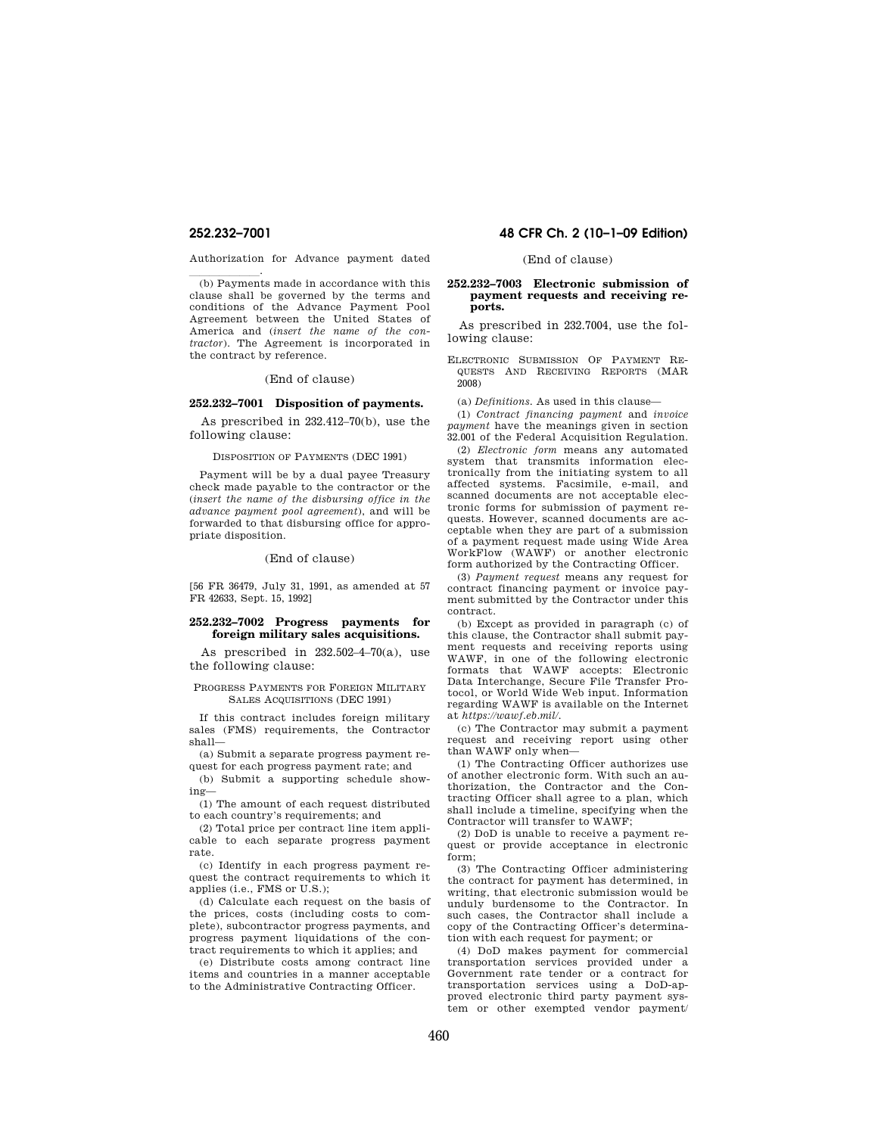Authorization for Advance payment dated

 $\overline{\phantom{a}}$  (b) Payments made in accordance with this clause shall be governed by the terms and conditions of the Advance Payment Pool Agreement between the United States of America and (*insert the name of the contractor*). The Agreement is incorporated in the contract by reference.

# (End of clause)

# **252.232–7001 Disposition of payments.**

As prescribed in 232.412–70(b), use the following clause:

#### DISPOSITION OF PAYMENTS (DEC 1991)

Payment will be by a dual payee Treasury check made payable to the contractor or the (*insert the name of the disbursing office in the advance payment pool agreement*), and will be forwarded to that disbursing office for appropriate disposition.

# (End of clause)

[56 FR 36479, July 31, 1991, as amended at 57 FR 42633, Sept. 15, 1992]

# **252.232–7002 Progress payments for foreign military sales acquisitions.**

As prescribed in  $232.502 - 4 - 70(a)$ , use the following clause:

PROGRESS PAYMENTS FOR FOREIGN MILITARY SALES ACQUISITIONS (DEC 1991)

If this contract includes foreign military sales (FMS) requirements, the Contractor shall—

(a) Submit a separate progress payment request for each progress payment rate; and

(b) Submit a supporting schedule showing—

(1) The amount of each request distributed to each country's requirements; and

(2) Total price per contract line item applicable to each separate progress payment rate.

(c) Identify in each progress payment request the contract requirements to which it applies (i.e., FMS or U.S.);

(d) Calculate each request on the basis of the prices, costs (including costs to complete), subcontractor progress payments, and progress payment liquidations of the contract requirements to which it applies; and

(e) Distribute costs among contract line items and countries in a manner acceptable to the Administrative Contracting Officer.

# **252.232–7001 48 CFR Ch. 2 (10–1–09 Edition)**

# (End of clause)

# **252.232–7003 Electronic submission of payment requests and receiving reports.**

As prescribed in 232.7004, use the following clause:

ELECTRONIC SUBMISSION OF PAYMENT RE-QUESTS AND RECEIVING REPORTS (MAR 2008)

(a) *Definitions.* As used in this clause—

(1) *Contract financing payment* and *invoice payment* have the meanings given in section 32.001 of the Federal Acquisition Regulation.

(2) *Electronic form* means any automated system that transmits information electronically from the initiating system to all affected systems. Facsimile, e-mail, and scanned documents are not acceptable electronic forms for submission of payment requests. However, scanned documents are acceptable when they are part of a submission of a payment request made using Wide Area WorkFlow (WAWF) or another electronic form authorized by the Contracting Officer.

(3) *Payment request* means any request for contract financing payment or invoice payment submitted by the Contractor under this contract.

(b) Except as provided in paragraph (c) of this clause, the Contractor shall submit payment requests and receiving reports using WAWF, in one of the following electronic formats that WAWF accepts: Electronic Data Interchange, Secure File Transfer Protocol, or World Wide Web input. Information regarding WAWF is available on the Internet at *https://wawf.eb.mil/*.

(c) The Contractor may submit a payment request and receiving report using other than WAWF only when—

(1) The Contracting Officer authorizes use of another electronic form. With such an authorization, the Contractor and the Contracting Officer shall agree to a plan, which shall include a timeline, specifying when the Contractor will transfer to WAWF;

(2) DoD is unable to receive a payment request or provide acceptance in electronic form;

(3) The Contracting Officer administering the contract for payment has determined, in writing, that electronic submission would be unduly burdensome to the Contractor. In such cases, the Contractor shall include a copy of the Contracting Officer's determination with each request for payment; or

(4) DoD makes payment for commercial transportation services provided under a Government rate tender or a contract for transportation services using a DoD-approved electronic third party payment system or other exempted vendor payment/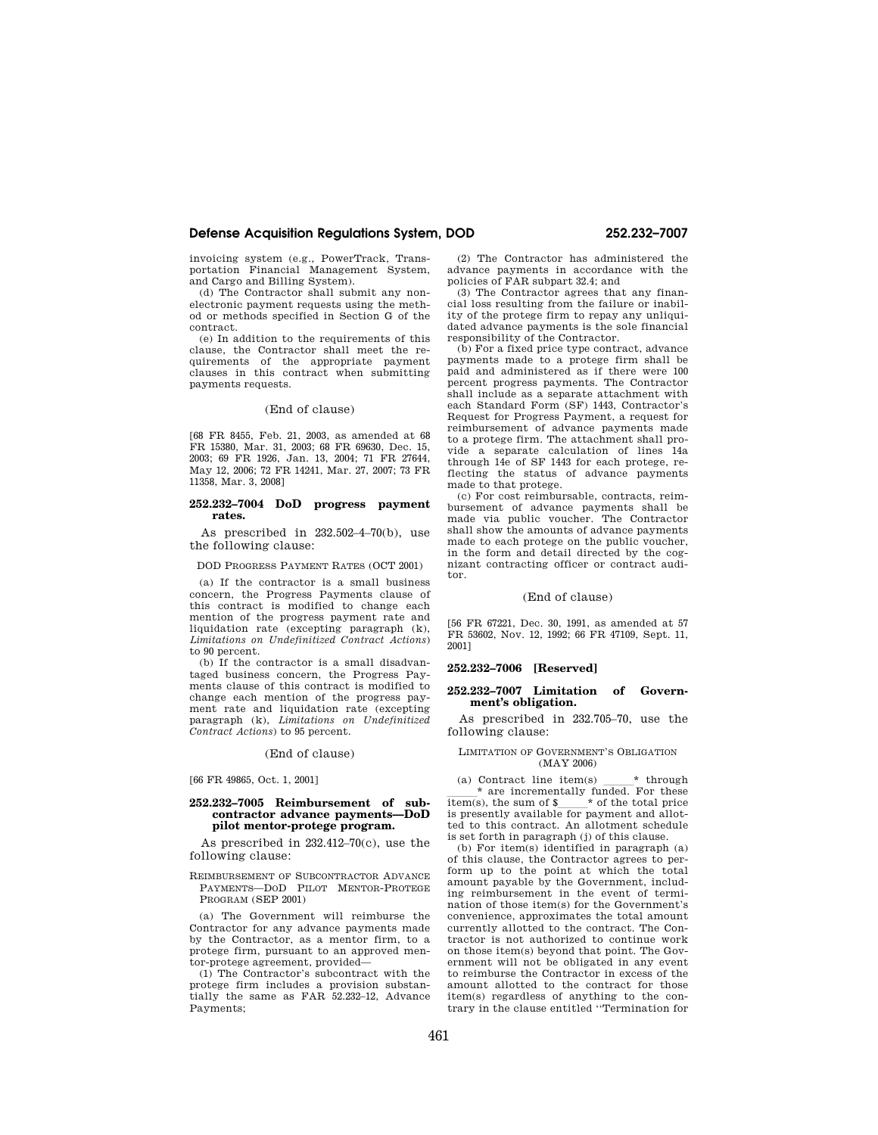# **Defense Acquisition Regulations System, DOD 252.232–7007**

invoicing system (e.g., PowerTrack, Transportation Financial Management System, and Cargo and Billing System).

(d) The Contractor shall submit any nonelectronic payment requests using the method or methods specified in Section G of the contract.

(e) In addition to the requirements of this clause, the Contractor shall meet the requirements of the appropriate payment clauses in this contract when submitting payments requests.

# (End of clause)

[68 FR 8455, Feb. 21, 2003, as amended at 68 FR 15380, Mar. 31, 2003; 68 FR 69630, Dec. 15, 2003; 69 FR 1926, Jan. 13, 2004; 71 FR 27644, May 12, 2006; 72 FR 14241, Mar. 27, 2007; 73 FR 11358, Mar. 3, 2008]

# **252.232–7004 DoD progress payment rates.**

As prescribed in 232.502–4–70(b), use the following clause:

DOD PROGRESS PAYMENT RATES (OCT 2001)

(a) If the contractor is a small business concern, the Progress Payments clause of this contract is modified to change each mention of the progress payment rate and liquidation rate (excepting paragraph (k), *Limitations on Undefinitized Contract Actions*) to 90 percent.

(b) If the contractor is a small disadvantaged business concern, the Progress Payments clause of this contract is modified to change each mention of the progress payment rate and liquidation rate (excepting paragraph (k), *Limitations on Undefinitized Contract Actions*) to 95 percent.

#### (End of clause)

[66 FR 49865, Oct. 1, 2001]

## **252.232–7005 Reimbursement of subcontractor advance payments—DoD pilot mentor-protege program.**

As prescribed in 232.412–70(c), use the following clause:

#### REIMBURSEMENT OF SUBCONTRACTOR ADVANCE PAYMENTS—DOD PILOT MENTOR-PROTEGE PROGRAM (SEP 2001)

(a) The Government will reimburse the Contractor for any advance payments made by the Contractor, as a mentor firm, to a protege firm, pursuant to an approved mentor-protege agreement, provided—

(1) The Contractor's subcontract with the protege firm includes a provision substantially the same as FAR 52.232–12, Advance Payments;

(2) The Contractor has administered the advance payments in accordance with the policies of FAR subpart 32.4; and

(3) The Contractor agrees that any financial loss resulting from the failure or inability of the protege firm to repay any unliquidated advance payments is the sole financial responsibility of the Contractor.

(b) For a fixed price type contract, advance payments made to a protege firm shall be paid and administered as if there were 100 percent progress payments. The Contractor shall include as a separate attachment with each Standard Form (SF) 1443, Contractor's Request for Progress Payment, a request for reimbursement of advance payments made to a protege firm. The attachment shall provide a separate calculation of lines 14a through 14e of SF 1443 for each protege, reflecting the status of advance payments made to that protege.

(c) For cost reimbursable, contracts, reimbursement of advance payments shall be made via public voucher. The Contractor shall show the amounts of advance payments made to each protege on the public voucher, in the form and detail directed by the cognizant contracting officer or contract auditor.

# (End of clause)

[56 FR 67221, Dec. 30, 1991, as amended at 57 FR 53602, Nov. 12, 1992; 66 FR 47109, Sept. 11, 2001]

# **252.232–7006 [Reserved]**

# **252.232–7007 Limitation of Government's obligation.**

As prescribed in 232.705–70, use the following clause:

#### LIMITATION OF GOVERNMENT'S OBLIGATION (MAY 2006)

(a) Contract line item(s)  $\frac{\ast}{\text{true}}$  through  $\frac{\ast}{\text{true}}$  are incrementally funded. For these item(s) the sum of  $\frac{\ast}{\text{true}}$  and the total price item(s), the sum of  $\frac{\ast}{\ast}$  of the total price is presently available for payment and allotted to this contract. An allotment schedule is set forth in paragraph (j) of this clause.

(b) For item(s) identified in paragraph (a) of this clause, the Contractor agrees to perform up to the point at which the total amount payable by the Government, including reimbursement in the event of termination of those item(s) for the Government's convenience, approximates the total amount currently allotted to the contract. The Contractor is not authorized to continue work on those item(s) beyond that point. The Government will not be obligated in any event to reimburse the Contractor in excess of the amount allotted to the contract for those item(s) regardless of anything to the contrary in the clause entitled ''Termination for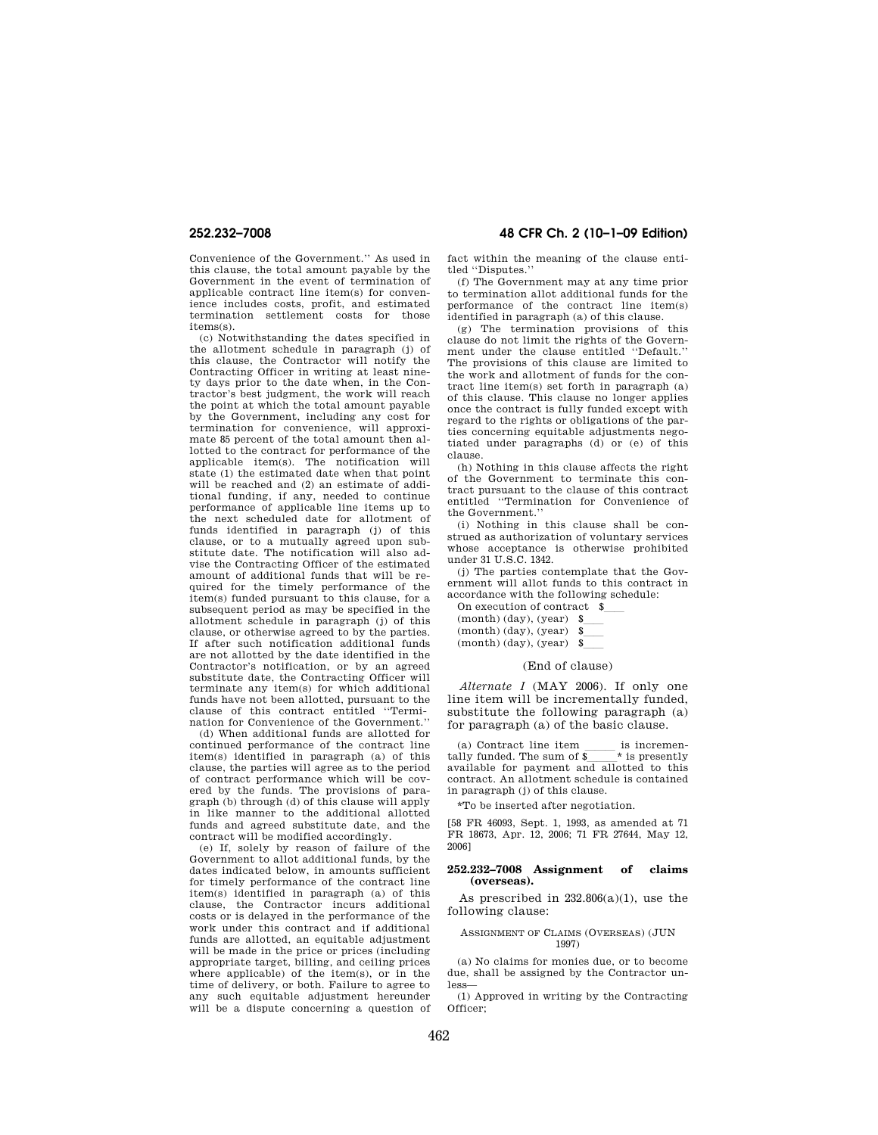Convenience of the Government.'' As used in this clause, the total amount payable by the Government in the event of termination of applicable contract line item(s) for convenience includes costs, profit, and estimated termination settlement costs for those items(s).

(c) Notwithstanding the dates specified in the allotment schedule in paragraph (j) of this clause, the Contractor will notify the Contracting Officer in writing at least ninety days prior to the date when, in the Contractor's best judgment, the work will reach the point at which the total amount payable by the Government, including any cost for termination for convenience, will approximate 85 percent of the total amount then allotted to the contract for performance of the applicable item(s). The notification will state (1) the estimated date when that point will be reached and (2) an estimate of additional funding, if any, needed to continue performance of applicable line items up to the next scheduled date for allotment of funds identified in paragraph (j) of this clause, or to a mutually agreed upon substitute date. The notification will also advise the Contracting Officer of the estimated amount of additional funds that will be required for the timely performance of the item(s) funded pursuant to this clause, for a subsequent period as may be specified in the allotment schedule in paragraph (j) of this clause, or otherwise agreed to by the parties. If after such notification additional funds are not allotted by the date identified in the Contractor's notification, or by an agreed substitute date, the Contracting Officer will terminate any item(s) for which additional funds have not been allotted, pursuant to the clause of this contract entitled ''Termination for Convenience of the Government.''

(d) When additional funds are allotted for continued performance of the contract line item(s) identified in paragraph (a) of this clause, the parties will agree as to the period of contract performance which will be covered by the funds. The provisions of paragraph (b) through (d) of this clause will apply in like manner to the additional allotted funds and agreed substitute date, and the contract will be modified accordingly.

(e) If, solely by reason of failure of the Government to allot additional funds, by the dates indicated below, in amounts sufficient for timely performance of the contract line item(s) identified in paragraph (a) of this clause, the Contractor incurs additional costs or is delayed in the performance of the work under this contract and if additional funds are allotted, an equitable adjustment will be made in the price or prices (including appropriate target, billing, and ceiling prices where applicable) of the item(s), or in the time of delivery, or both. Failure to agree to any such equitable adjustment hereunder will be a dispute concerning a question of

**252.232–7008 48 CFR Ch. 2 (10–1–09 Edition)** 

fact within the meaning of the clause entitled ''Disputes.''

(f) The Government may at any time prior to termination allot additional funds for the performance of the contract line item(s) identified in paragraph (a) of this clause.

(g) The termination provisions of this clause do not limit the rights of the Government under the clause entitled ''Default.'' The provisions of this clause are limited to the work and allotment of funds for the contract line item(s) set forth in paragraph (a) of this clause. This clause no longer applies once the contract is fully funded except with regard to the rights or obligations of the parties concerning equitable adjustments negotiated under paragraphs (d) or (e) of this clause.

(h) Nothing in this clause affects the right of the Government to terminate this contract pursuant to the clause of this contract entitled ''Termination for Convenience of the Government.''

(i) Nothing in this clause shall be construed as authorization of voluntary services whose acceptance is otherwise prohibited under 31 U.S.C. 1342.

(j) The parties contemplate that the Government will allot funds to this contract in accordance with the following schedule:

| On execution of contract<br>-8 |    |  |  |
|--------------------------------|----|--|--|
| $(month)$ $(day)$ , $(year)$   | S. |  |  |
| $(month)$ $(day)$ , $(year)$   | S. |  |  |
| $(month)$ $(day)$ , $(year)$   | £. |  |  |
|                                |    |  |  |

# (End of clause)

*Alternate I* (MAY 2006). If only one line item will be incrementally funded, substitute the following paragraph (a) for paragraph (a) of the basic clause.

(a) Contract line item is incrementally funded. The sum of  $\frac{\ }{8}$   $*$  is presently tally funded. The sum of  $\frac{1}{2}$   $\frac{1}{2}$  is presently available for payment and allotted to this contract. An allotment schedule is contained in paragraph (j) of this clause.

\*To be inserted after negotiation.

[58 FR 46093, Sept. 1, 1993, as amended at 71 FR 18673, Apr. 12, 2006; 71 FR 27644, May 12, 2006]

# **252.232–7008 Assignment of claims (overseas).**

As prescribed in  $232.806(a)(1)$ , use the following clause:

#### ASSIGNMENT OF CLAIMS (OVERSEAS) (JUN 1997)

(a) No claims for monies due, or to become due, shall be assigned by the Contractor unless—

(1) Approved in writing by the Contracting Officer;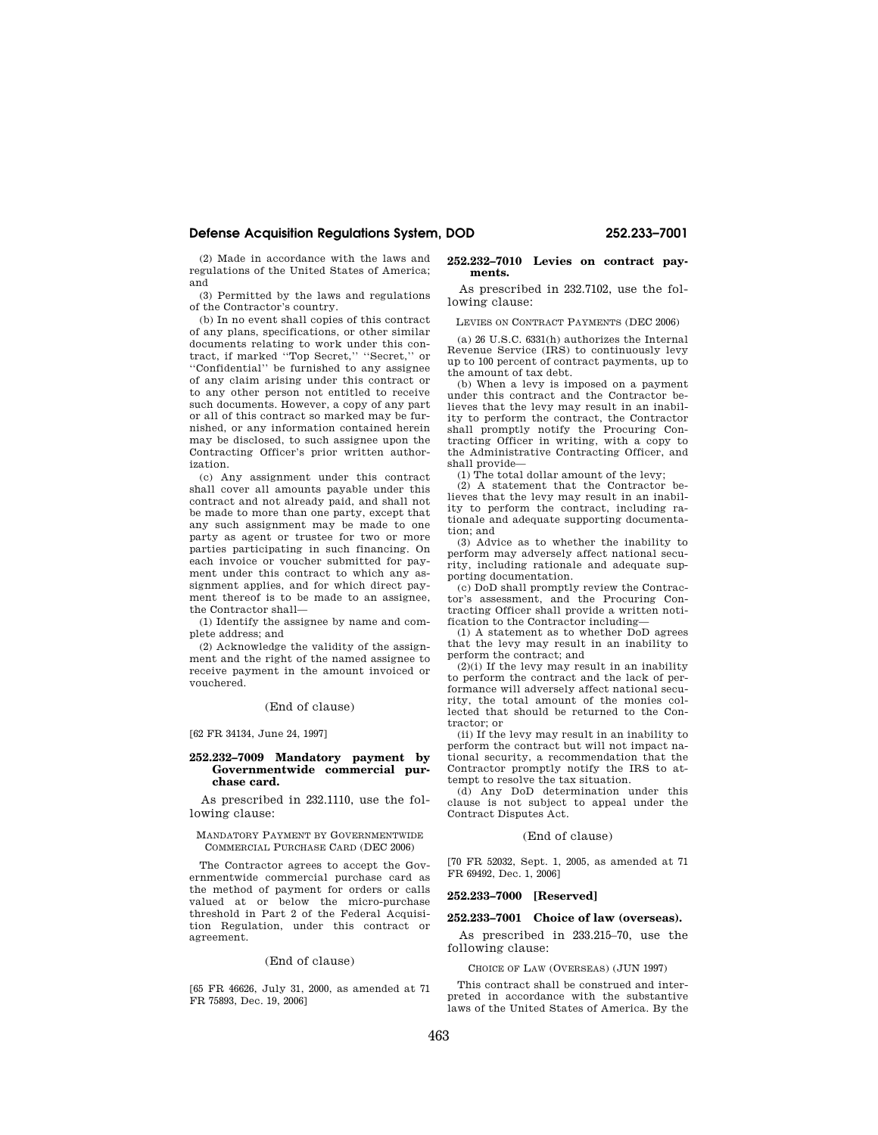# **Defense Acquisition Regulations System, DOD 252.233–7001**

(2) Made in accordance with the laws and regulations of the United States of America; and

(3) Permitted by the laws and regulations of the Contractor's country.

(b) In no event shall copies of this contract of any plans, specifications, or other similar documents relating to work under this contract, if marked ''Top Secret,'' ''Secret,'' or ''Confidential'' be furnished to any assignee of any claim arising under this contract or to any other person not entitled to receive such documents. However, a copy of any part or all of this contract so marked may be furnished, or any information contained herein may be disclosed, to such assignee upon the Contracting Officer's prior written authorization.

(c) Any assignment under this contract shall cover all amounts payable under this contract and not already paid, and shall not be made to more than one party, except that any such assignment may be made to one party as agent or trustee for two or more parties participating in such financing. On each invoice or voucher submitted for payment under this contract to which any assignment applies, and for which direct payment thereof is to be made to an assignee, the Contractor shall—

(1) Identify the assignee by name and complete address; and

(2) Acknowledge the validity of the assignment and the right of the named assignee to receive payment in the amount invoiced or vouchered.

# (End of clause)

[62 FR 34134, June 24, 1997]

# **252.232–7009 Mandatory payment by Governmentwide commercial purchase card.**

As prescribed in 232.1110, use the following clause:

#### MANDATORY PAYMENT BY GOVERNMENTWIDE COMMERCIAL PURCHASE CARD (DEC 2006)

The Contractor agrees to accept the Governmentwide commercial purchase card as the method of payment for orders or calls valued at or below the micro-purchase threshold in Part 2 of the Federal Acquisition Regulation, under this contract or agreement.

# (End of clause)

[65 FR 46626, July 31, 2000, as amended at 71 FR 75893, Dec. 19, 2006]

#### **252.232–7010 Levies on contract payments.**

As prescribed in 232.7102, use the following clause:

LEVIES ON CONTRACT PAYMENTS (DEC 2006)

(a)  $26$  U.S.C.  $6331(\mathrm{h})$  authorizes the Internal Revenue Service (IRS) to continuously levy up to 100 percent of contract payments, up to the amount of tax debt.

(b) When a levy is imposed on a payment under this contract and the Contractor believes that the levy may result in an inability to perform the contract, the Contractor shall promptly notify the Procuring Contracting Officer in writing, with a copy to the Administrative Contracting Officer, and shall provide—

(1) The total dollar amount of the levy;

(2) A statement that the Contractor believes that the levy may result in an inability to perform the contract, including rationale and adequate supporting documentation; and

(3) Advice as to whether the inability to perform may adversely affect national security, including rationale and adequate supporting documentation.

(c) DoD shall promptly review the Contractor's assessment, and the Procuring Contracting Officer shall provide a written notification to the Contractor including—

(1) A statement as to whether DoD agrees that the levy may result in an inability to perform the contract; and

 $(2)(i)$  If the levy may result in an inability to perform the contract and the lack of performance will adversely affect national security, the total amount of the monies collected that should be returned to the Contractor; or

(ii) If the levy may result in an inability to perform the contract but will not impact national security, a recommendation that the Contractor promptly notify the IRS to attempt to resolve the tax situation.

(d) Any DoD determination under this clause is not subject to appeal under the Contract Disputes Act.

# (End of clause)

[70 FR 52032, Sept. 1, 2005, as amended at 71 FR 69492, Dec. 1, 2006]

# **252.233–7000 [Reserved]**

**252.233–7001 Choice of law (overseas).** 

As prescribed in 233.215–70, use the following clause:

CHOICE OF LAW (OVERSEAS) (JUN 1997)

This contract shall be construed and interpreted in accordance with the substantive laws of the United States of America. By the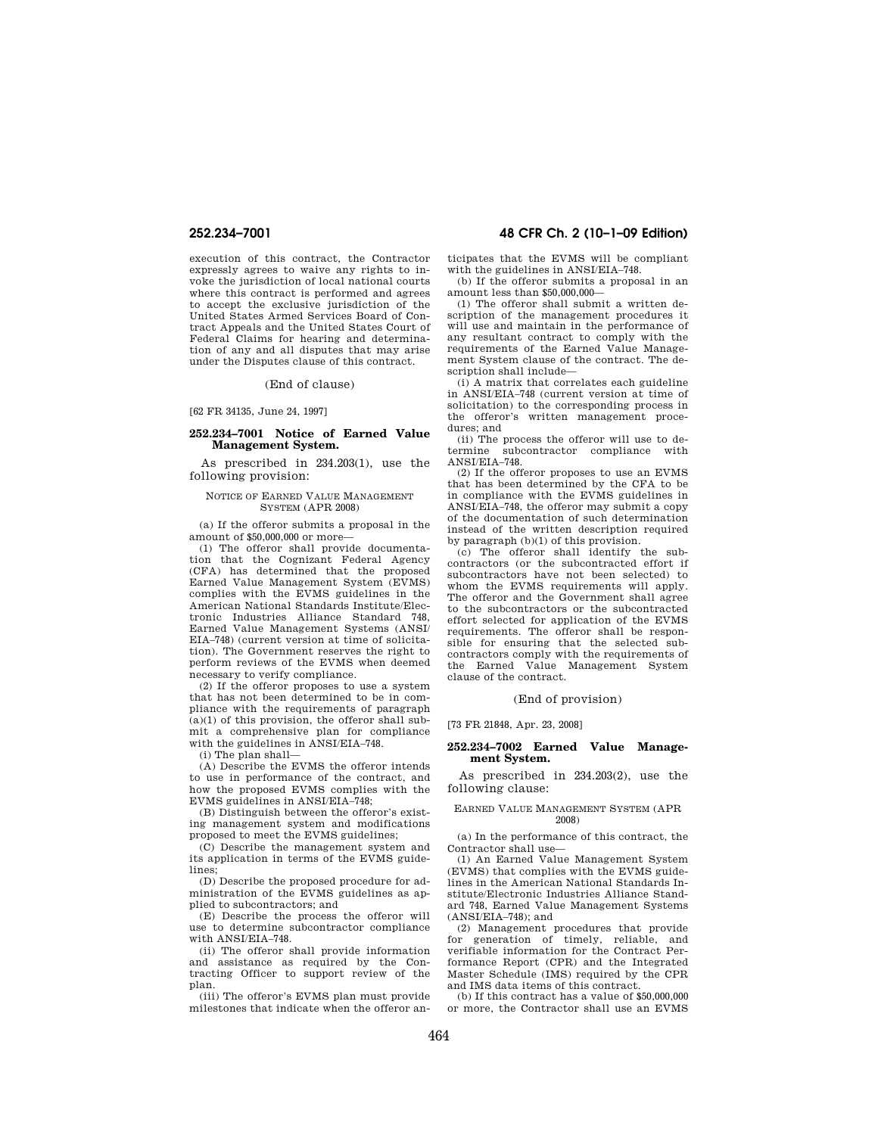execution of this contract, the Contractor expressly agrees to waive any rights to invoke the jurisdiction of local national courts where this contract is performed and agrees to accept the exclusive jurisdiction of the United States Armed Services Board of Contract Appeals and the United States Court of Federal Claims for hearing and determination of any and all disputes that may arise under the Disputes clause of this contract.

(End of clause)

[62 FR 34135, June 24, 1997]

# **252.234–7001 Notice of Earned Value Management System.**

As prescribed in 234.203(1), use the following provision:

#### NOTICE OF EARNED VALUE MANAGEMENT SYSTEM (APR 2008)

(a) If the offeror submits a proposal in the amount of \$50,000,000 or more—

(1) The offeror shall provide documentation that the Cognizant Federal Agency (CFA) has determined that the proposed Earned Value Management System (EVMS) complies with the EVMS guidelines in the American National Standards Institute/Electronic Industries Alliance Standard 748, Earned Value Management Systems (ANSI/ EIA–748) (current version at time of solicitation). The Government reserves the right to perform reviews of the EVMS when deemed necessary to verify compliance.

(2) If the offeror proposes to use a system that has not been determined to be in compliance with the requirements of paragraph  $(a)(1)$  of this provision, the offeror shall submit a comprehensive plan for compliance with the guidelines in ANSI/EIA–748.

(i) The plan shall—

(A) Describe the EVMS the offeror intends to use in performance of the contract, and how the proposed EVMS complies with the EVMS guidelines in ANSI/EIA–748;

(B) Distinguish between the offeror's existing management system and modifications proposed to meet the EVMS guidelines;

(C) Describe the management system and its application in terms of the EVMS guidelines;

(D) Describe the proposed procedure for administration of the EVMS guidelines as applied to subcontractors; and

(E) Describe the process the offeror will use to determine subcontractor compliance with ANSI/EIA–748.

(ii) The offeror shall provide information and assistance as required by the Contracting Officer to support review of the plan.

(iii) The offeror's EVMS plan must provide milestones that indicate when the offeror an-

# **252.234–7001 48 CFR Ch. 2 (10–1–09 Edition)**

ticipates that the EVMS will be compliant with the guidelines in ANSI/EIA–748.

(b) If the offeror submits a proposal in an amount less than \$50,000,000—

(1) The offeror shall submit a written description of the management procedures it will use and maintain in the performance of any resultant contract to comply with the requirements of the Earned Value Management System clause of the contract. The description shall include—

(i) A matrix that correlates each guideline in ANSI/EIA–748 (current version at time of solicitation) to the corresponding process in the offeror's written management procedures; and

(ii) The process the offeror will use to determine subcontractor compliance with ANSI/EIA–748.

(2) If the offeror proposes to use an EVMS that has been determined by the CFA to be in compliance with the EVMS guidelines in ANSI/EIA–748, the offeror may submit a copy of the documentation of such determination instead of the written description required by paragraph (b)(1) of this provision.

(c) The offeror shall identify the subcontractors (or the subcontracted effort if subcontractors have not been selected) to whom the EVMS requirements will apply. The offeror and the Government shall agree to the subcontractors or the subcontracted effort selected for application of the EVMS requirements. The offeror shall be responsible for ensuring that the selected subcontractors comply with the requirements of the Earned Value Management System clause of the contract.

# (End of provision)

[73 FR 21848, Apr. 23, 2008]

# **252.234–7002 Earned Value Management System.**

As prescribed in 234.203(2), use the following clause:

#### EARNED VALUE MANAGEMENT SYSTEM (APR 2008)

(a) In the performance of this contract, the Contractor shall use—

(1) An Earned Value Management System (EVMS) that complies with the EVMS guidelines in the American National Standards Institute/Electronic Industries Alliance Standard 748, Earned Value Management Systems (ANSI/EIA–748); and

(2) Management procedures that provide for generation of timely, reliable, and verifiable information for the Contract Performance Report (CPR) and the Integrated Master Schedule (IMS) required by the CPR and IMS data items of this contract.

(b) If this contract has a value of \$50,000,000 or more, the Contractor shall use an EVMS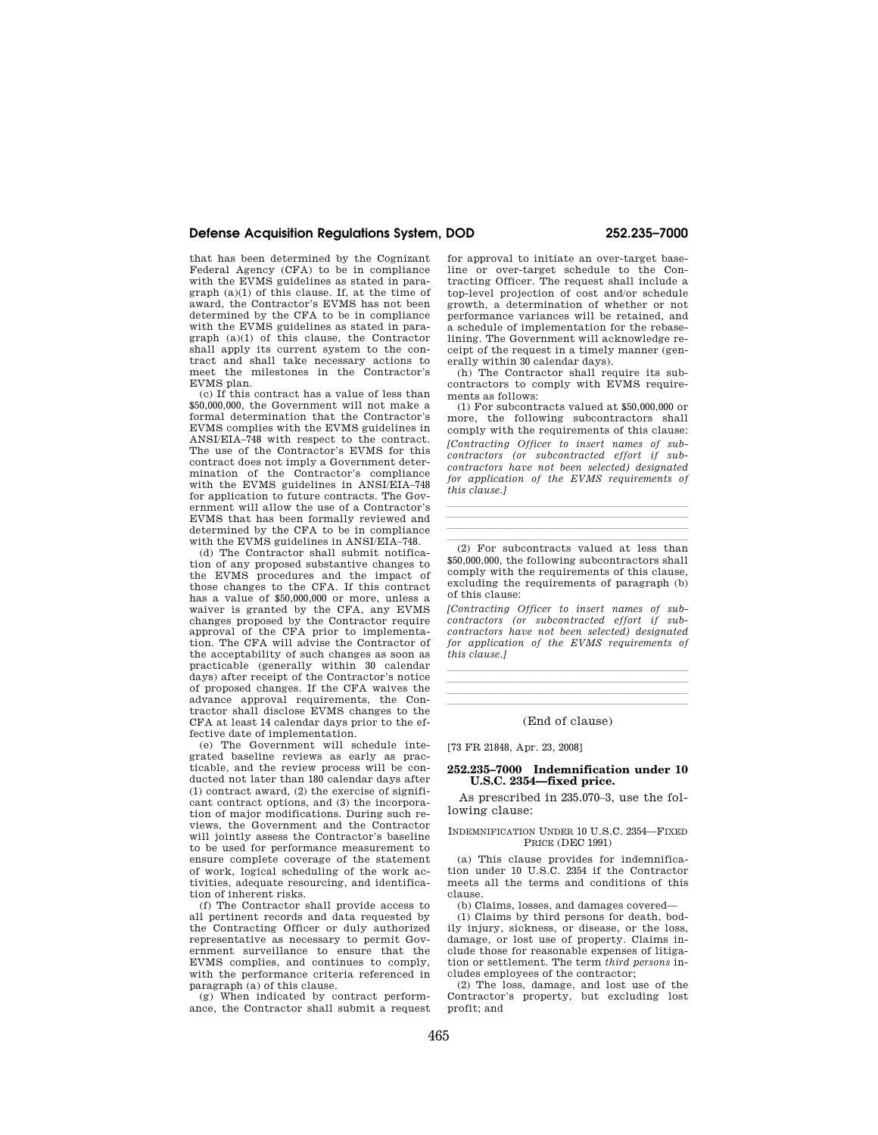# **Defense Acquisition Regulations System, DOD 252.235–7000**

that has been determined by the Cognizant Federal Agency (CFA) to be in compliance with the EVMS guidelines as stated in paragraph (a)(1) of this clause. If, at the time of award, the Contractor's EVMS has not been determined by the CFA to be in compliance with the EVMS guidelines as stated in paragraph (a)(1) of this clause, the Contractor shall apply its current system to the contract and shall take necessary actions to meet the milestones in the Contractor's EVMS plan.

(c) If this contract has a value of less than \$50,000,000, the Government will not make a formal determination that the Contractor's EVMS complies with the EVMS guidelines in ANSI/EIA–748 with respect to the contract. The use of the Contractor's EVMS for this contract does not imply a Government determination of the Contractor's compliance with the EVMS guidelines in ANSI/EIA–748 for application to future contracts. The Government will allow the use of a Contractor's EVMS that has been formally reviewed and determined by the CFA to be in compliance with the EVMS guidelines in ANSI/EIA–748.

(d) The Contractor shall submit notification of any proposed substantive changes to the EVMS procedures and the impact of those changes to the CFA. If this contract has a value of \$50,000,000 or more, unless a waiver is granted by the CFA, any EVMS changes proposed by the Contractor require approval of the CFA prior to implementation. The CFA will advise the Contractor of the acceptability of such changes as soon as practicable (generally within 30 calendar days) after receipt of the Contractor's notice of proposed changes. If the CFA waives the advance approval requirements, the Contractor shall disclose EVMS changes to the CFA at least 14 calendar days prior to the effective date of implementation.

(e) The Government will schedule integrated baseline reviews as early as practicable, and the review process will be conducted not later than 180 calendar days after (1) contract award, (2) the exercise of significant contract options, and (3) the incorporation of major modifications. During such reviews, the Government and the Contractor will jointly assess the Contractor's baseline to be used for performance measurement to ensure complete coverage of the statement of work, logical scheduling of the work activities, adequate resourcing, and identification of inherent risks.

(f) The Contractor shall provide access to all pertinent records and data requested by the Contracting Officer or duly authorized representative as necessary to permit Government surveillance to ensure that the EVMS complies, and continues to comply, with the performance criteria referenced in paragraph (a) of this clause.

(g) When indicated by contract performance, the Contractor shall submit a request

for approval to initiate an over-target baseline or over-target schedule to the Contracting Officer. The request shall include a top-level projection of cost and/or schedule growth, a determination of whether or not performance variances will be retained, and a schedule of implementation for the rebaselining. The Government will acknowledge receipt of the request in a timely manner (generally within 30 calendar days).

(h) The Contractor shall require its subcontractors to comply with EVMS requirements as follows:

(1) For subcontracts valued at \$50,000,000 or more, the following subcontractors shall comply with the requirements of this clause: *[Contracting Officer to insert names of subcontractors (or subcontracted effort if subcontractors have not been selected) designated for application of the EVMS requirements of this clause.]* 

 $\overline{a}$  (2) For subcontracts valued at less than \$50,000,000, the following subcontractors shall comply with the requirements of this clause, excluding the requirements of paragraph (b) of this clause:

llland i senator and a senator and a senator and a senator and a senator and a senator and llland i senator and a senator and a senator and a senator and a senator and a senator and llland av den stadsmannsna og stadsmannsna og stadsmannsna og stadsmannsna og stadsmannsna og stadsmannsna og

*[Contracting Officer to insert names of subcontractors (or subcontracted effort if subcontractors have not been selected) designated for application of the EVMS requirements of this clause.]* 

lllalla sin anno 1980. I se anno 1980 anno 1980 anno 1980 anno 1980 anno 1980 anno 1980. llland i senator and a senator and a senator and a senator and a senator and a senator and

llland av den stadsmannsna og stadsmannsna og stadsmannsna og stadsmannsna og stadsmannsna og stadsmannsna og llland av den stadsmannsna og stadsmannsna og stadsmannsna og stadsmannsna og stadsmannsna og stadsmannsna og (End of clause)

[73 FR 21848, Apr. 23, 2008]

#### **252.235–7000 Indemnification under 10 U.S.C. 2354—fixed price.**

As prescribed in 235.070–3, use the following clause:

#### INDEMNIFICATION UNDER 10 U.S.C. 2354—FIXED PRICE (DEC 1991)

(a) This clause provides for indemnification under 10 U.S.C. 2354 if the Contractor meets all the terms and conditions of this clause.

(b) Claims, losses, and damages covered—

(1) Claims by third persons for death, bodily injury, sickness, or disease, or the loss, damage, or lost use of property. Claims include those for reasonable expenses of litigation or settlement. The term *third persons* includes employees of the contractor;

(2) The loss, damage, and lost use of the Contractor's property, but excluding lost profit; and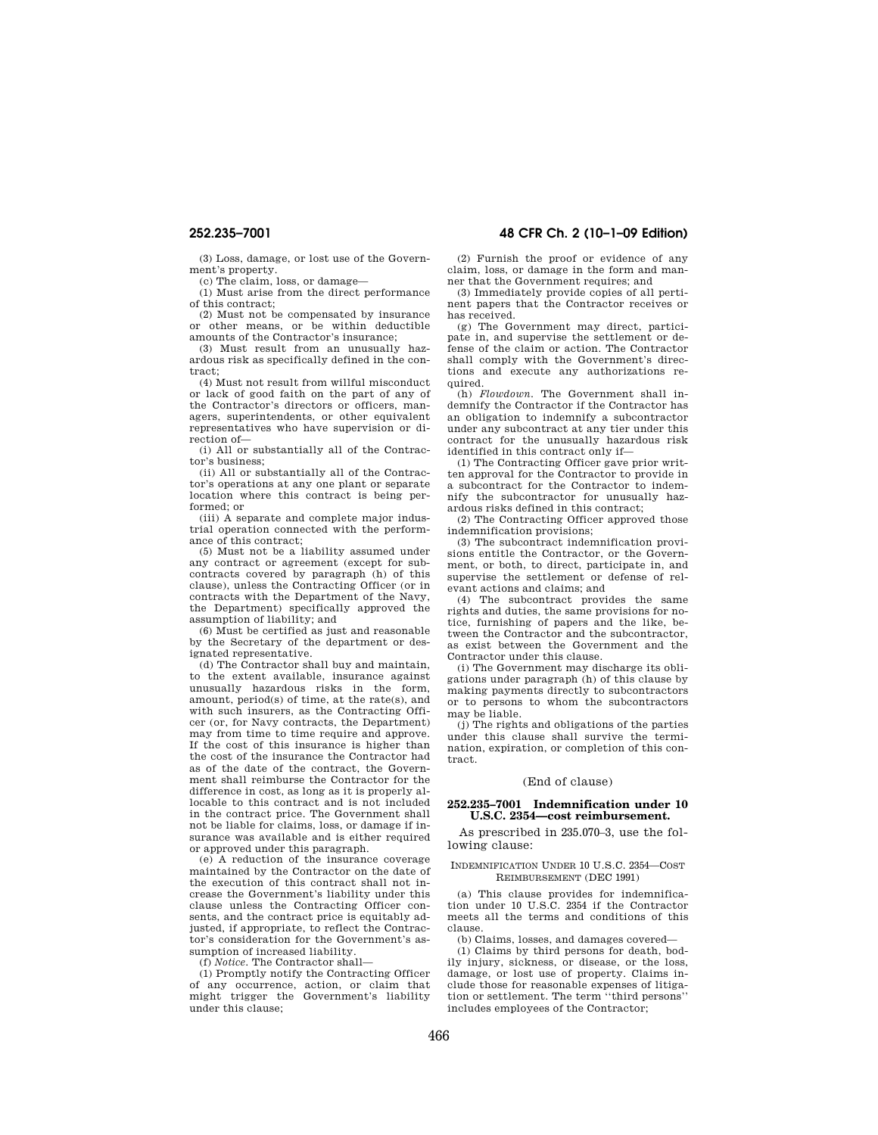(3) Loss, damage, or lost use of the Government's property.

(c) The claim, loss, or damage— (1) Must arise from the direct performance of this contract;

(2) Must not be compensated by insurance or other means, or be within deductible amounts of the Contractor's insurance;

(3) Must result from an unusually hazardous risk as specifically defined in the contract;

(4) Must not result from willful misconduct or lack of good faith on the part of any of the Contractor's directors or officers, managers, superintendents, or other equivalent representatives who have supervision or direction of—

(i) All or substantially all of the Contractor's business;

(ii) All or substantially all of the Contractor's operations at any one plant or separate location where this contract is being performed; or

(iii) A separate and complete major industrial operation connected with the performance of this contract;

(5) Must not be a liability assumed under any contract or agreement (except for subcontracts covered by paragraph (h) of this clause), unless the Contracting Officer (or in contracts with the Department of the Navy, the Department) specifically approved the assumption of liability; and

(6) Must be certified as just and reasonable by the Secretary of the department or designated representative.

(d) The Contractor shall buy and maintain, to the extent available, insurance against unusually hazardous risks in the form, amount, period(s) of time, at the rate(s), and with such insurers, as the Contracting Officer (or, for Navy contracts, the Department) may from time to time require and approve. If the cost of this insurance is higher than the cost of the insurance the Contractor had as of the date of the contract, the Government shall reimburse the Contractor for the difference in cost, as long as it is properly allocable to this contract and is not included in the contract price. The Government shall not be liable for claims, loss, or damage if insurance was available and is either required or approved under this paragraph.

(e) A reduction of the insurance coverage maintained by the Contractor on the date of the execution of this contract shall not increase the Government's liability under this clause unless the Contracting Officer consents, and the contract price is equitably adjusted, if appropriate, to reflect the Contractor's consideration for the Government's assumption of increased liability.

(f) *Notice.* The Contractor shall—

(1) Promptly notify the Contracting Officer of any occurrence, action, or claim that might trigger the Government's liability under this clause;

**252.235–7001 48 CFR Ch. 2 (10–1–09 Edition)** 

(2) Furnish the proof or evidence of any claim, loss, or damage in the form and manner that the Government requires; and

(3) Immediately provide copies of all pertinent papers that the Contractor receives or has received.

(g) The Government may direct, participate in, and supervise the settlement or defense of the claim or action. The Contractor shall comply with the Government's directions and execute any authorizations required.

(h) *Flowdown.* The Government shall indemnify the Contractor if the Contractor has an obligation to indemnify a subcontractor under any subcontract at any tier under this contract for the unusually hazardous risk identified in this contract only if—

(1) The Contracting Officer gave prior written approval for the Contractor to provide in a subcontract for the Contractor to indemnify the subcontractor for unusually hazardous risks defined in this contract;

(2) The Contracting Officer approved those indemnification provisions;

(3) The subcontract indemnification provisions entitle the Contractor, or the Government, or both, to direct, participate in, and supervise the settlement or defense of relevant actions and claims; and

(4) The subcontract provides the same rights and duties, the same provisions for notice, furnishing of papers and the like, between the Contractor and the subcontractor, as exist between the Government and the Contractor under this clause.

(i) The Government may discharge its obligations under paragraph (h) of this clause by making payments directly to subcontractors or to persons to whom the subcontractors may be liable.

(j) The rights and obligations of the parties under this clause shall survive the termination, expiration, or completion of this contract.

# (End of clause)

# **252.235–7001 Indemnification under 10 U.S.C. 2354—cost reimbursement.**

As prescribed in 235.070–3, use the following clause:

# INDEMNIFICATION UNDER 10 U.S.C. 2354—COST REIMBURSEMENT (DEC 1991)

(a) This clause provides for indemnification under 10 U.S.C. 2354 if the Contractor meets all the terms and conditions of this clause.

(b) Claims, losses, and damages covered—

(1) Claims by third persons for death, bodily injury, sickness, or disease, or the loss, damage, or lost use of property. Claims include those for reasonable expenses of litigation or settlement. The term ''third persons'' includes employees of the Contractor;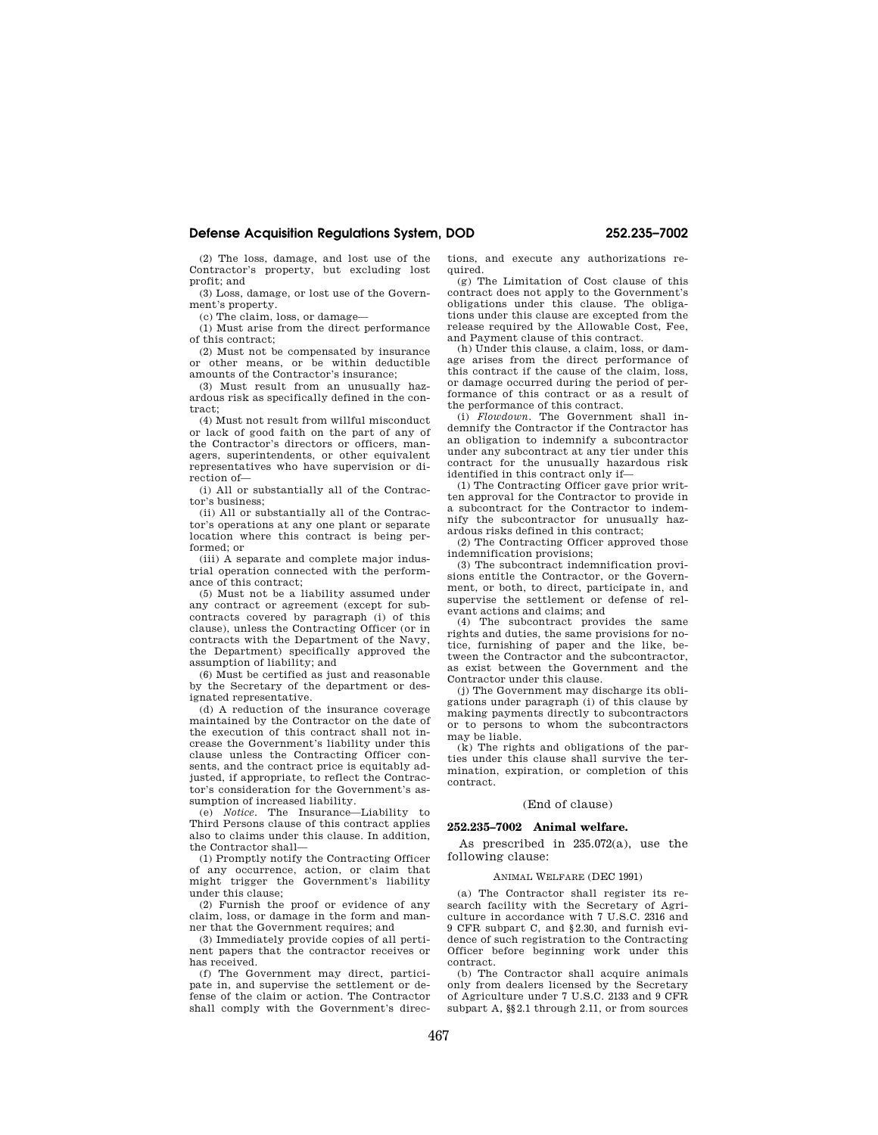# **Defense Acquisition Regulations System, DOD 252.235–7002**

(2) The loss, damage, and lost use of the Contractor's property, but excluding lost profit; and

(3) Loss, damage, or lost use of the Government's property.

(c) The claim, loss, or damage—

(1) Must arise from the direct performance of this contract;

(2) Must not be compensated by insurance or other means, or be within deductible amounts of the Contractor's insurance;

(3) Must result from an unusually hazardous risk as specifically defined in the contract;

(4) Must not result from willful misconduct or lack of good faith on the part of any of the Contractor's directors or officers, managers, superintendents, or other equivalent representatives who have supervision or direction of—

(i) All or substantially all of the Contractor's business;

(ii) All or substantially all of the Contractor's operations at any one plant or separate location where this contract is being performed; or

(iii) A separate and complete major industrial operation connected with the performance of this contract;

(5) Must not be a liability assumed under any contract or agreement (except for subcontracts covered by paragraph (i) of this clause), unless the Contracting Officer (or in contracts with the Department of the Navy, the Department) specifically approved the assumption of liability; and

(6) Must be certified as just and reasonable by the Secretary of the department or designated representative.

(d) A reduction of the insurance coverage maintained by the Contractor on the date of the execution of this contract shall not increase the Government's liability under this clause unless the Contracting Officer consents, and the contract price is equitably adjusted, if appropriate, to reflect the Contractor's consideration for the Government's assumption of increased liability.

(e) *Notice.* The Insurance—Liability to Third Persons clause of this contract applies also to claims under this clause. In addition, the Contractor shall—

(1) Promptly notify the Contracting Officer of any occurrence, action, or claim that might trigger the Government's liability under this clause;

(2) Furnish the proof or evidence of any claim, loss, or damage in the form and manner that the Government requires; and

(3) Immediately provide copies of all pertinent papers that the contractor receives or has received.

(f) The Government may direct, participate in, and supervise the settlement or defense of the claim or action. The Contractor shall comply with the Government's direc-

tions, and execute any authorizations required.

(g) The Limitation of Cost clause of this contract does not apply to the Government's obligations under this clause. The obligations under this clause are excepted from the release required by the Allowable Cost, Fee, and Payment clause of this contract.

(h) Under this clause, a claim, loss, or damage arises from the direct performance of this contract if the cause of the claim, loss, or damage occurred during the period of performance of this contract or as a result of the performance of this contract.

(i) *Flowdown.* The Government shall indemnify the Contractor if the Contractor has an obligation to indemnify a subcontractor under any subcontract at any tier under this contract for the unusually hazardous risk identified in this contract only if—

(1) The Contracting Officer gave prior written approval for the Contractor to provide in a subcontract for the Contractor to indemnify the subcontractor for unusually hazardous risks defined in this contract;

(2) The Contracting Officer approved those indemnification provisions;

(3) The subcontract indemnification provisions entitle the Contractor, or the Government, or both, to direct, participate in, and supervise the settlement or defense of relevant actions and claims; and

(4) The subcontract provides the same rights and duties, the same provisions for notice, furnishing of paper and the like, between the Contractor and the subcontractor, as exist between the Government and the Contractor under this clause.

(j) The Government may discharge its obligations under paragraph (i) of this clause by making payments directly to subcontractors or to persons to whom the subcontractors may be liable.

(k) The rights and obligations of the parties under this clause shall survive the termination, expiration, or completion of this contract.

# (End of clause)

# **252.235–7002 Animal welfare.**

As prescribed in 235.072(a), use the following clause:

# ANIMAL WELFARE (DEC 1991)

(a) The Contractor shall register its research facility with the Secretary of Agriculture in accordance with 7 U.S.C. 2316 and 9 CFR subpart C, and §2.30, and furnish evidence of such registration to the Contracting Officer before beginning work under this contract.

(b) The Contractor shall acquire animals only from dealers licensed by the Secretary of Agriculture under 7 U.S.C. 2133 and 9 CFR subpart A, §§2.1 through 2.11, or from sources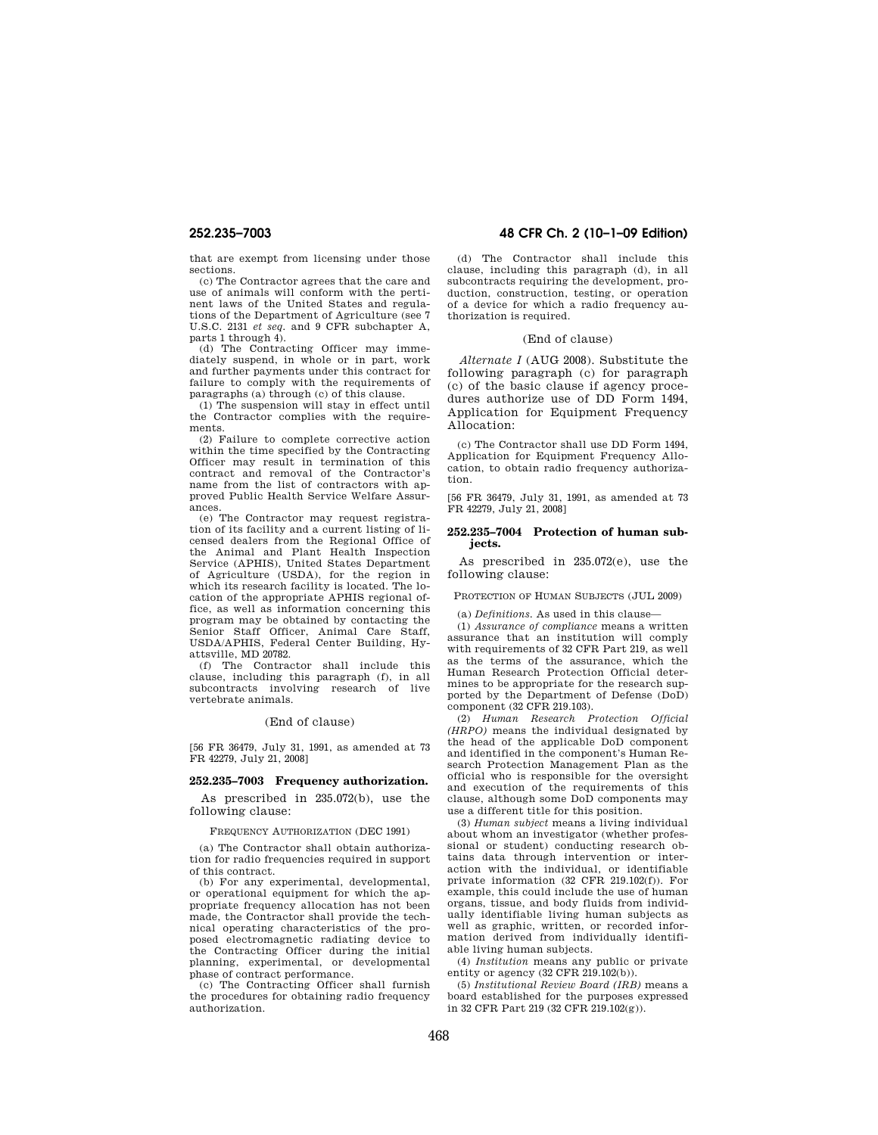that are exempt from licensing under those sections.

(c) The Contractor agrees that the care and use of animals will conform with the pertinent laws of the United States and regulations of the Department of Agriculture (see 7 U.S.C. 2131 *et seq.* and 9 CFR subchapter A, parts 1 through 4).

(d) The Contracting Officer may immediately suspend, in whole or in part, work and further payments under this contract for failure to comply with the requirements of paragraphs (a) through (c) of this clause.

(1) The suspension will stay in effect until the Contractor complies with the requirements.

(2) Failure to complete corrective action within the time specified by the Contracting Officer may result in termination of this contract and removal of the Contractor's name from the list of contractors with approved Public Health Service Welfare Assurances.

(e) The Contractor may request registration of its facility and a current listing of licensed dealers from the Regional Office of the Animal and Plant Health Inspection Service (APHIS), United States Department of Agriculture (USDA), for the region in which its research facility is located. The location of the appropriate APHIS regional office, as well as information concerning this program may be obtained by contacting the Senior Staff Officer, Animal Care Staff, USDA/APHIS, Federal Center Building, Hyattsville, MD 20782.

(f) The Contractor shall include this clause, including this paragraph (f), in all subcontracts involving research of live vertebrate animals.

#### (End of clause)

[56 FR 36479, July 31, 1991, as amended at 73 FR 42279, July 21, 2008]

# **252.235–7003 Frequency authorization.**

As prescribed in 235.072(b), use the following clause:

FREQUENCY AUTHORIZATION (DEC 1991)

(a) The Contractor shall obtain authorization for radio frequencies required in support of this contract.

(b) For any experimental, developmental, or operational equipment for which the appropriate frequency allocation has not been made, the Contractor shall provide the technical operating characteristics of the proposed electromagnetic radiating device to the Contracting Officer during the initial planning, experimental, or developmental phase of contract performance.

(c) The Contracting Officer shall furnish the procedures for obtaining radio frequency authorization.

# **252.235–7003 48 CFR Ch. 2 (10–1–09 Edition)**

(d) The Contractor shall include this clause, including this paragraph (d), in all subcontracts requiring the development, production, construction, testing, or operation of a device for which a radio frequency authorization is required.

# (End of clause)

*Alternate I* (AUG 2008). Substitute the following paragraph (c) for paragraph (c) of the basic clause if agency procedures authorize use of DD Form 1494, Application for Equipment Frequency Allocation:

(c) The Contractor shall use DD Form 1494, Application for Equipment Frequency Allocation, to obtain radio frequency authorization.

[56 FR 36479, July 31, 1991, as amended at 73 FR 42279, July 21, 2008]

#### **252.235–7004 Protection of human subjects.**

As prescribed in 235.072(e), use the following clause:

PROTECTION OF HUMAN SUBJECTS (JUL 2009)

(a) *Definitions.* As used in this clause—

(1) *Assurance of compliance* means a written assurance that an institution will comply with requirements of 32 CFR Part 219, as well as the terms of the assurance, which the Human Research Protection Official determines to be appropriate for the research supported by the Department of Defense (DoD) component (32 CFR 219.103).

(2) *Human Research Protection Official (HRPO)* means the individual designated by the head of the applicable DoD component and identified in the component's Human Research Protection Management Plan as the official who is responsible for the oversight and execution of the requirements of this clause, although some DoD components may use a different title for this position.

(3) *Human subject* means a living individual about whom an investigator (whether professional or student) conducting research obtains data through intervention or interaction with the individual, or identifiable private information (32 CFR 219.102(f)). For example, this could include the use of human organs, tissue, and body fluids from individually identifiable living human subjects as well as graphic, written, or recorded information derived from individually identifiable living human subjects.

(4) *Institution* means any public or private entity or agency (32 CFR 219.102(b)).

(5) *Institutional Review Board (IRB)* means a board established for the purposes expressed in 32 CFR Part 219 (32 CFR 219.102(g)).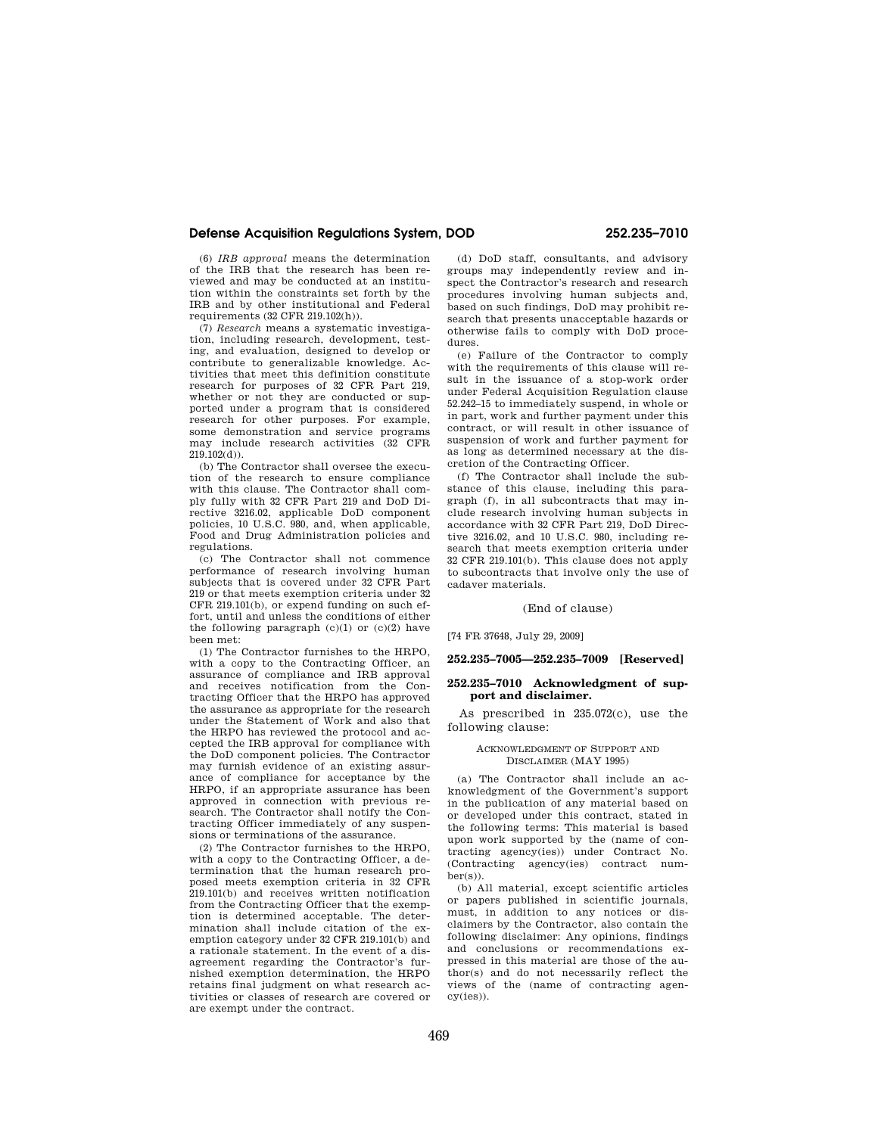# **Defense Acquisition Regulations System, DOD 252.235–7010**

(6) *IRB approval* means the determination of the IRB that the research has been reviewed and may be conducted at an institution within the constraints set forth by the IRB and by other institutional and Federal requirements (32 CFR 219.102(h)).

(7) *Research* means a systematic investigation, including research, development, testing, and evaluation, designed to develop or contribute to generalizable knowledge. Activities that meet this definition constitute research for purposes of 32 CFR Part 219, whether or not they are conducted or supported under a program that is considered research for other purposes. For example, some demonstration and service programs may include research activities (32 CFR 219.102(d)).

(b) The Contractor shall oversee the execution of the research to ensure compliance with this clause. The Contractor shall comply fully with 32 CFR Part 219 and DoD Directive 3216.02, applicable DoD component policies, 10 U.S.C. 980, and, when applicable, Food and Drug Administration policies and regulations.

(c) The Contractor shall not commence performance of research involving human subjects that is covered under 32 CFR Part 219 or that meets exemption criteria under 32 CFR 219.101(b), or expend funding on such effort, until and unless the conditions of either the following paragraph  $(c)(1)$  or  $(c)(2)$  have been met:

(1) The Contractor furnishes to the HRPO, with a copy to the Contracting Officer, an assurance of compliance and IRB approval and receives notification from the Contracting Officer that the HRPO has approved the assurance as appropriate for the research under the Statement of Work and also that the HRPO has reviewed the protocol and accepted the IRB approval for compliance with the DoD component policies. The Contractor may furnish evidence of an existing assurance of compliance for acceptance by the HRPO, if an appropriate assurance has been approved in connection with previous research. The Contractor shall notify the Contracting Officer immediately of any suspensions or terminations of the assurance.

(2) The Contractor furnishes to the HRPO, with a copy to the Contracting Officer, a determination that the human research proposed meets exemption criteria in 32 CFR 219.101(b) and receives written notification from the Contracting Officer that the exemption is determined acceptable. The determination shall include citation of the exemption category under 32 CFR 219.101(b) and a rationale statement. In the event of a disagreement regarding the Contractor's furnished exemption determination, the HRPO retains final judgment on what research activities or classes of research are covered or are exempt under the contract.

(d) DoD staff, consultants, and advisory groups may independently review and inspect the Contractor's research and research procedures involving human subjects and, based on such findings, DoD may prohibit research that presents unacceptable hazards or otherwise fails to comply with DoD procedures.

(e) Failure of the Contractor to comply with the requirements of this clause will result in the issuance of a stop-work order under Federal Acquisition Regulation clause 52.242–15 to immediately suspend, in whole or in part, work and further payment under this contract, or will result in other issuance of suspension of work and further payment for as long as determined necessary at the discretion of the Contracting Officer.

(f) The Contractor shall include the substance of this clause, including this paragraph (f), in all subcontracts that may include research involving human subjects in accordance with 32 CFR Part 219, DoD Directive 3216.02, and 10 U.S.C. 980, including research that meets exemption criteria under 32 CFR 219.101(b). This clause does not apply to subcontracts that involve only the use of cadaver materials.

# (End of clause)

[74 FR 37648, July 29, 2009]

# **252.235–7005—252.235–7009 [Reserved]**

# **252.235–7010 Acknowledgment of support and disclaimer.**

As prescribed in 235.072(c), use the following clause:

#### ACKNOWLEDGMENT OF SUPPORT AND DISCLAIMER (MAY 1995)

(a) The Contractor shall include an acknowledgment of the Government's support in the publication of any material based on or developed under this contract, stated in the following terms: This material is based upon work supported by the (name of contracting agency(ies)) under Contract No. (Contracting agency(ies) contract num $ber(s)$ ).

(b) All material, except scientific articles or papers published in scientific journals, must, in addition to any notices or disclaimers by the Contractor, also contain the following disclaimer: Any opinions, findings and conclusions or recommendations expressed in this material are those of the author(s) and do not necessarily reflect the views of the (name of contracting agency(ies)).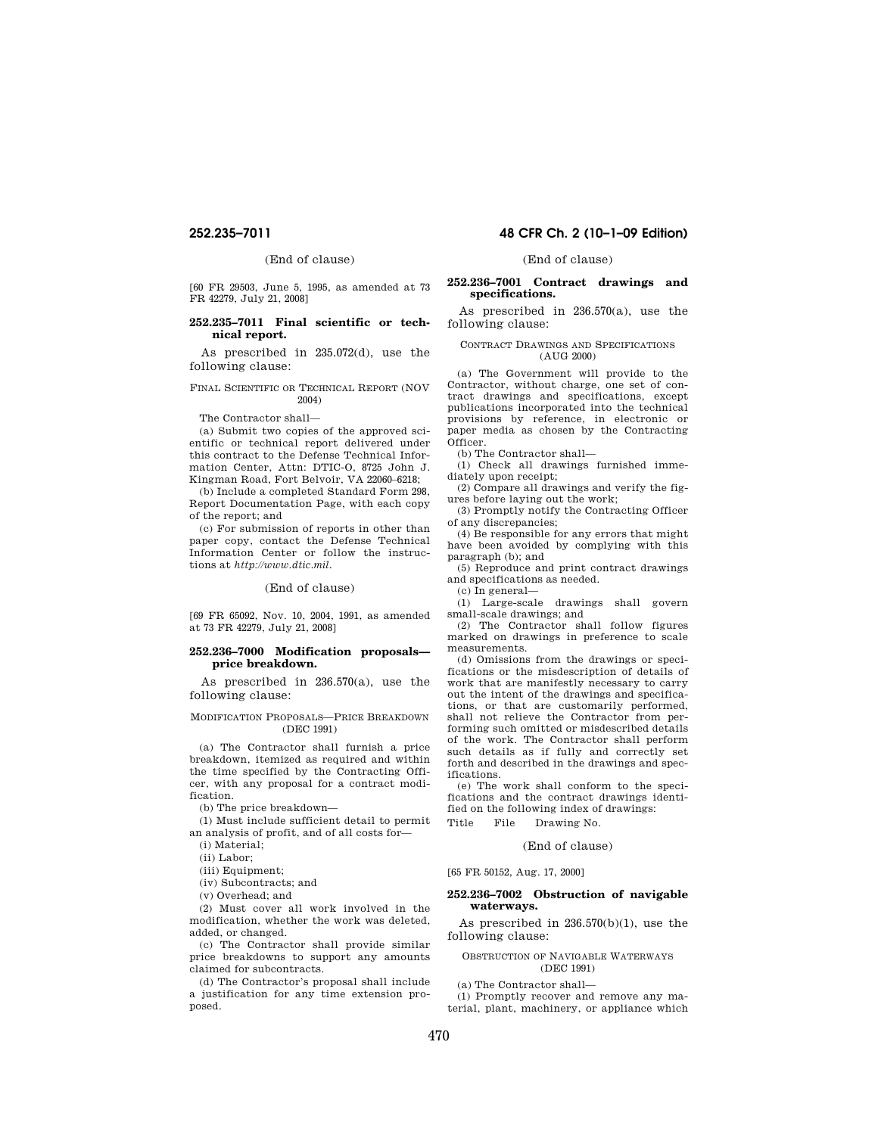# (End of clause)

[60 FR 29503, June 5, 1995, as amended at 73 FR 42279, July 21, 2008]

# **252.235–7011 Final scientific or technical report.**

As prescribed in 235.072(d), use the following clause:

FINAL SCIENTIFIC OR TECHNICAL REPORT (NOV 2004)

The Contractor shall—

(a) Submit two copies of the approved scientific or technical report delivered under this contract to the Defense Technical Information Center, Attn: DTIC-O, 8725 John J. Kingman Road, Fort Belvoir, VA 22060–6218;

(b) Include a completed Standard Form 298, Report Documentation Page, with each copy of the report; and

(c) For submission of reports in other than paper copy, contact the Defense Technical Information Center or follow the instructions at *http://www.dtic.mil.* 

(End of clause)

[69 FR 65092, Nov. 10, 2004, 1991, as amended at 73 FR 42279, July 21, 2008]

# **252.236–7000 Modification proposals price breakdown.**

As prescribed in 236.570(a), use the following clause:

# MODIFICATION PROPOSALS—PRICE BREAKDOWN (DEC 1991)

(a) The Contractor shall furnish a price breakdown, itemized as required and within the time specified by the Contracting Officer, with any proposal for a contract modification.

(b) The price breakdown—

(1) Must include sufficient detail to permit an analysis of profit, and of all costs for—

(i) Material;

(ii) Labor;

(iii) Equipment;

(iv) Subcontracts; and

(v) Overhead; and

(2) Must cover all work involved in the modification, whether the work was deleted, added, or changed.

(c) The Contractor shall provide similar price breakdowns to support any amounts claimed for subcontracts.

(d) The Contractor's proposal shall include a justification for any time extension proposed.

# **252.235–7011 48 CFR Ch. 2 (10–1–09 Edition)**

# (End of clause)

# **252.236–7001 Contract drawings and specifications.**

As prescribed in 236.570(a), use the following clause:

# CONTRACT DRAWINGS AND SPECIFICATIONS (AUG 2000)

(a) The Government will provide to the Contractor, without charge, one set of contract drawings and specifications, except publications incorporated into the technical provisions by reference, in electronic or paper media as chosen by the Contracting Officer.

(b) The Contractor shall—

(1) Check all drawings furnished immediately upon receipt;

(2) Compare all drawings and verify the figures before laying out the work;

(3) Promptly notify the Contracting Officer of any discrepancies;

(4) Be responsible for any errors that might have been avoided by complying with this paragraph (b); and

(5) Reproduce and print contract drawings and specifications as needed.

(c) In general—

(1) Large-scale drawings shall govern small-scale drawings; and

(2) The Contractor shall follow figures marked on drawings in preference to scale measurements.

(d) Omissions from the drawings or specifications or the misdescription of details of work that are manifestly necessary to carry out the intent of the drawings and specifications, or that are customarily performed, shall not relieve the Contractor from performing such omitted or misdescribed details of the work. The Contractor shall perform such details as if fully and correctly set forth and described in the drawings and specifications.

(e) The work shall conform to the specifications and the contract drawings identified on the following index of drawings: Title File Drawing No.

#### (End of clause)

[65 FR 50152, Aug. 17, 2000]

# **252.236–7002 Obstruction of navigable waterways.**

As prescribed in 236.570(b)(1), use the following clause:

#### OBSTRUCTION OF NAVIGABLE WATERWAYS (DEC 1991)

(a) The Contractor shall—

(1) Promptly recover and remove any material, plant, machinery, or appliance which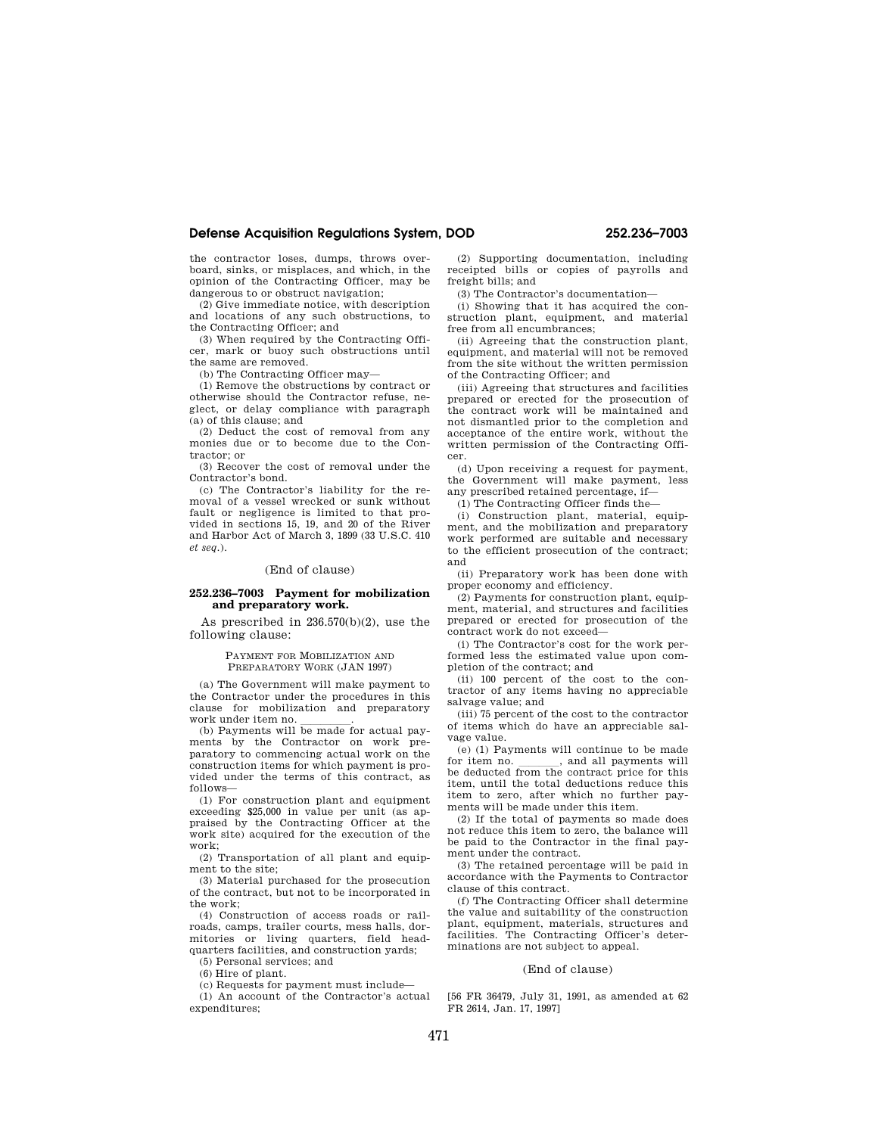# **Defense Acquisition Regulations System, DOD 252.236–7003**

the contractor loses, dumps, throws overboard, sinks, or misplaces, and which, in the opinion of the Contracting Officer, may be dangerous to or obstruct navigation;

(2) Give immediate notice, with description and locations of any such obstructions, to the Contracting Officer; and

(3) When required by the Contracting Officer, mark or buoy such obstructions until the same are removed.

(b) The Contracting Officer may—

(1) Remove the obstructions by contract or otherwise should the Contractor refuse, neglect, or delay compliance with paragraph (a) of this clause; and

(2) Deduct the cost of removal from any monies due or to become due to the Contractor; or

(3) Recover the cost of removal under the Contractor's bond.

(c) The Contractor's liability for the removal of a vessel wrecked or sunk without fault or negligence is limited to that provided in sections 15, 19, and 20 of the River and Harbor Act of March 3, 1899 (33 U.S.C. 410 *et seq.*).

#### (End of clause)

# **252.236–7003 Payment for mobilization and preparatory work.**

As prescribed in 236.570(b)(2), use the following clause:

# PAYMENT FOR MOBILIZATION AND PREPARATORY WORK (JAN 1997)

(a) The Government will make payment to the Contractor under the procedures in this clause for mobilization and preparatory

work under item no.<br>(b) Payments will be made for actual payments by the Contractor on work preparatory to commencing actual work on the construction items for which payment is provided under the terms of this contract, as follows—

(1) For construction plant and equipment exceeding \$25,000 in value per unit (as appraised by the Contracting Officer at the work site) acquired for the execution of the work;

(2) Transportation of all plant and equipment to the site;

(3) Material purchased for the prosecution of the contract, but not to be incorporated in the work;

(4) Construction of access roads or railroads, camps, trailer courts, mess halls, dormitories or living quarters, field headquarters facilities, and construction yards;

(5) Personal services; and

(6) Hire of plant.

(c) Requests for payment must include—

(1) An account of the Contractor's actual expenditures;

(2) Supporting documentation, including receipted bills or copies of payrolls and freight bills; and

(3) The Contractor's documentation—

(i) Showing that it has acquired the construction plant, equipment, and material free from all encumbrances;

(ii) Agreeing that the construction plant, equipment, and material will not be removed from the site without the written permission of the Contracting Officer; and

(iii) Agreeing that structures and facilities prepared or erected for the prosecution of the contract work will be maintained and not dismantled prior to the completion and acceptance of the entire work, without the written permission of the Contracting Officer.

(d) Upon receiving a request for payment, the Government will make payment, less any prescribed retained percentage, if—

(1) The Contracting Officer finds the—

(i) Construction plant, material, equipment, and the mobilization and preparatory work performed are suitable and necessary to the efficient prosecution of the contract; and

(ii) Preparatory work has been done with proper economy and efficiency.

(2) Payments for construction plant, equipment, material, and structures and facilities prepared or erected for prosecution of the contract work do not exceed—

(i) The Contractor's cost for the work performed less the estimated value upon completion of the contract; and

(ii) 100 percent of the cost to the contractor of any items having no appreciable salvage value; and

(iii) 75 percent of the cost to the contractor of items which do have an appreciable salvage value.

(e) (1) Payments will continue to be made<br>for item no. , and all payments will for item no. \_\_\_\_\_\_, and all payments will<br>be deducted from the contract price for this item, until the total deductions reduce this item to zero, after which no further payments will be made under this item.

(2) If the total of payments so made does not reduce this item to zero, the balance will be paid to the Contractor in the final payment under the contract.

(3) The retained percentage will be paid in accordance with the Payments to Contractor clause of this contract.

(f) The Contracting Officer shall determine the value and suitability of the construction plant, equipment, materials, structures and facilities. The Contracting Officer's determinations are not subject to appeal.

# (End of clause)

[56 FR 36479, July 31, 1991, as amended at 62 FR 2614, Jan. 17, 1997]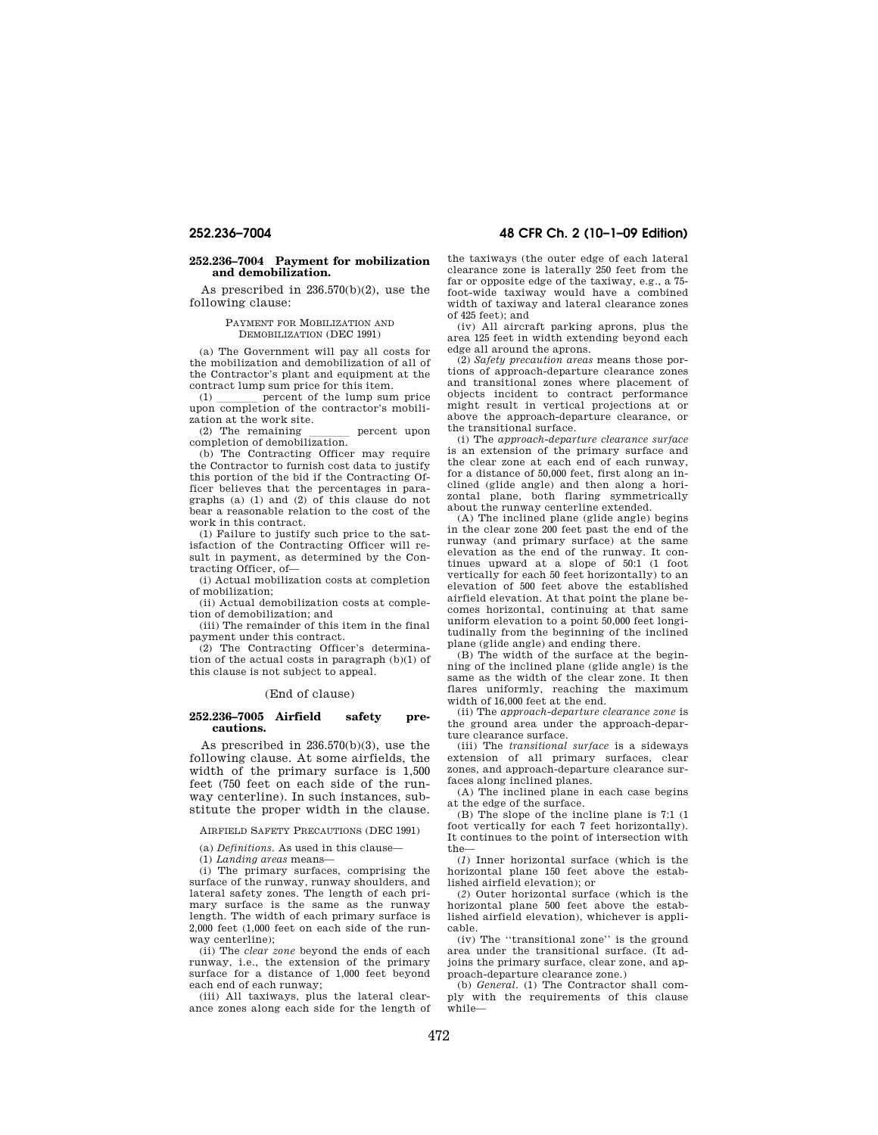# **252.236–7004 Payment for mobilization and demobilization.**

As prescribed in 236.570(b)(2), use the following clause:

# PAYMENT FOR MOBILIZATION AND DEMOBILIZATION (DEC 1991)

(a) The Government will pay all costs for the mobilization and demobilization of all of the Contractor's plant and equipment at the contract lump sum price for this item.

 $(1)$  ercent of the lump sum price upon completion of the contractor's mobilization at the work site.<br>(2) The remaining

 $(2)$  The remaining percent upon completion of demobilization.

(b) The Contracting Officer may require the Contractor to furnish cost data to justify this portion of the bid if the Contracting Officer believes that the percentages in paragraphs (a) (1) and (2) of this clause do not bear a reasonable relation to the cost of the work in this contract.

(1) Failure to justify such price to the satisfaction of the Contracting Officer will result in payment, as determined by the Contracting Officer, of—

(i) Actual mobilization costs at completion of mobilization;

(ii) Actual demobilization costs at completion of demobilization; and

(iii) The remainder of this item in the final payment under this contract.

(2) The Contracting Officer's determination of the actual costs in paragraph (b)(1) of this clause is not subject to appeal.

# (End of clause)

# **252.236–7005 Airfield safety precautions.**

As prescribed in 236.570(b)(3), use the following clause. At some airfields, the width of the primary surface is 1,500 feet (750 feet on each side of the runway centerline). In such instances, substitute the proper width in the clause.

AIRFIELD SAFETY PRECAUTIONS (DEC 1991)

(a) *Definitions.* As used in this clause—

(1) *Landing areas* means—

(i) The primary surfaces, comprising the surface of the runway, runway shoulders, and lateral safety zones. The length of each primary surface is the same as the runway length. The width of each primary surface is 2,000 feet (1,000 feet on each side of the runway centerline);

(ii) The *clear zone* beyond the ends of each runway, i.e., the extension of the primary surface for a distance of 1,000 feet beyond each end of each runway;

(iii) All taxiways, plus the lateral clearance zones along each side for the length of

# **252.236–7004 48 CFR Ch. 2 (10–1–09 Edition)**

the taxiways (the outer edge of each lateral clearance zone is laterally 250 feet from the far or opposite edge of the taxiway, e.g., a 75 foot-wide taxiway would have a combined width of taxiway and lateral clearance zones of 425 feet); and

(iv) All aircraft parking aprons, plus the area 125 feet in width extending beyond each edge all around the aprons.

(2) *Safety precaution areas* means those portions of approach-departure clearance zones and transitional zones where placement of objects incident to contract performance might result in vertical projections at or above the approach-departure clearance, or the transitional surface.

(i) The *approach-departure clearance surface*  is an extension of the primary surface and the clear zone at each end of each runway, for a distance of 50,000 feet, first along an inclined (glide angle) and then along a horizontal plane, both flaring symmetrically about the runway centerline extended.

(A) The inclined plane (glide angle) begins in the clear zone 200 feet past the end of the runway (and primary surface) at the same elevation as the end of the runway. It continues upward at a slope of 50:1 (1 foot vertically for each 50 feet horizontally) to an elevation of 500 feet above the established airfield elevation. At that point the plane becomes horizontal, continuing at that same uniform elevation to a point 50,000 feet longitudinally from the beginning of the inclined plane (glide angle) and ending there.

(B) The width of the surface at the beginning of the inclined plane (glide angle) is the same as the width of the clear zone. It then flares uniformly, reaching the maximum width of 16,000 feet at the end.

(ii) The *approach-departure clearance zone* is the ground area under the approach-departure clearance surface.

(iii) The *transitional surface* is a sideways extension of all primary surfaces, clear zones, and approach-departure clearance surfaces along inclined planes.

(A) The inclined plane in each case begins at the edge of the surface.

(B) The slope of the incline plane is 7:1 (1 foot vertically for each 7 feet horizontally). It continues to the point of intersection with the—

(*1*) Inner horizontal surface (which is the horizontal plane 150 feet above the established airfield elevation); or

(*2*) Outer horizontal surface (which is the horizontal plane 500 feet above the established airfield elevation), whichever is applicable.

(iv) The ''transitional zone'' is the ground area under the transitional surface. (It adjoins the primary surface, clear zone, and approach-departure clearance zone.)

(b) *General.* (1) The Contractor shall comply with the requirements of this clause while—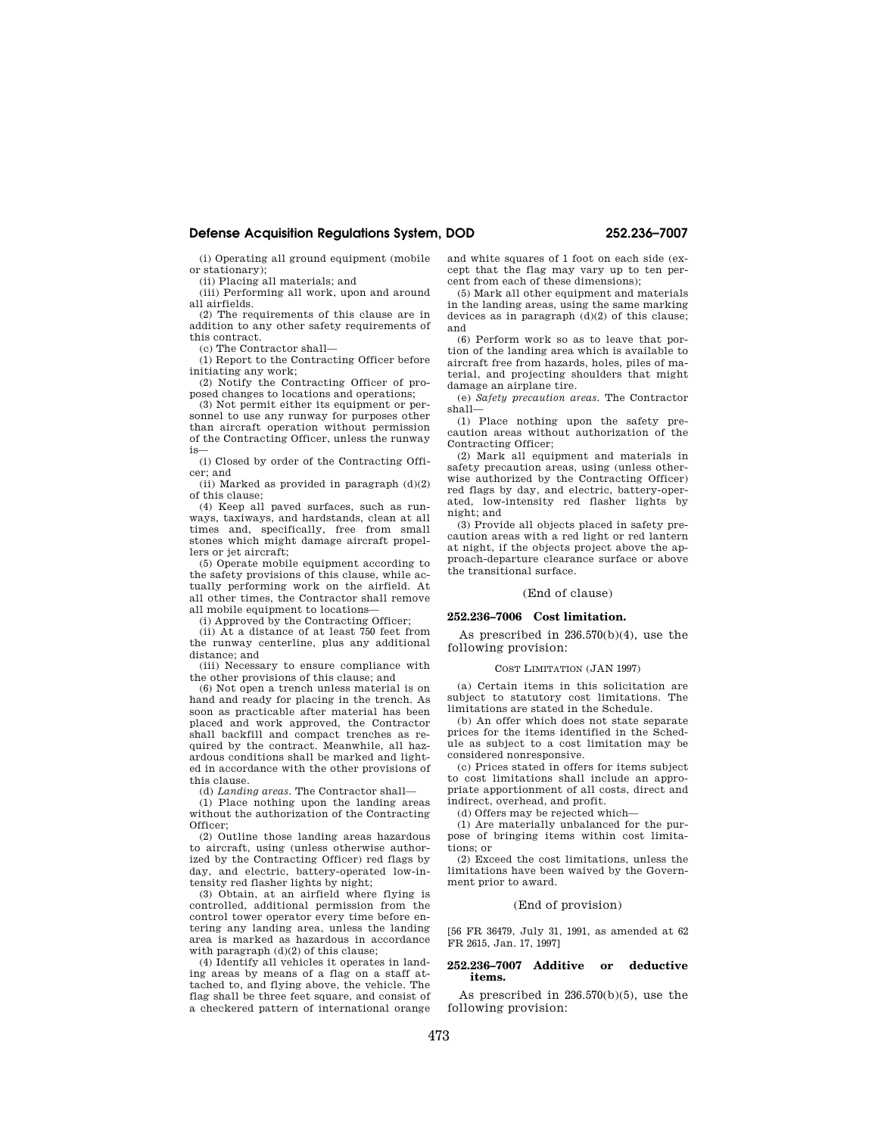# **Defense Acquisition Regulations System, DOD 252.236–7007**

(i) Operating all ground equipment (mobile or stationary);

(ii) Placing all materials; and (iii) Performing all work, upon and around all airfields.

(2) The requirements of this clause are in addition to any other safety requirements of this contract.

(c) The Contractor shall—

(1) Report to the Contracting Officer before initiating any work;

(2) Notify the Contracting Officer of proposed changes to locations and operations;

(3) Not permit either its equipment or personnel to use any runway for purposes other than aircraft operation without permission of the Contracting Officer, unless the runway is—

(i) Closed by order of the Contracting Officer; and

(ii) Marked as provided in paragraph (d)(2) of this clause;

(4) Keep all paved surfaces, such as runways, taxiways, and hardstands, clean at all times and, specifically, free from small stones which might damage aircraft propellers or jet aircraft;

(5) Operate mobile equipment according to the safety provisions of this clause, while actually performing work on the airfield. At all other times, the Contractor shall remove all mobile equipment to locations—

(i) Approved by the Contracting Officer;

(ii) At a distance of at least 750 feet from the runway centerline, plus any additional distance; and

(iii) Necessary to ensure compliance with the other provisions of this clause; and

(6) Not open a trench unless material is on hand and ready for placing in the trench. As soon as practicable after material has been placed and work approved, the Contractor shall backfill and compact trenches as required by the contract. Meanwhile, all hazardous conditions shall be marked and lighted in accordance with the other provisions of this clause.

(d) *Landing areas.* The Contractor shall—

(1) Place nothing upon the landing areas without the authorization of the Contracting Officer;

(2) Outline those landing areas hazardous to aircraft, using (unless otherwise authorized by the Contracting Officer) red flags by day, and electric, battery-operated low-intensity red flasher lights by night;

(3) Obtain, at an airfield where flying is controlled, additional permission from the control tower operator every time before entering any landing area, unless the landing area is marked as hazardous in accordance with paragraph (d)(2) of this clause;

(4) Identify all vehicles it operates in landing areas by means of a flag on a staff attached to, and flying above, the vehicle. The flag shall be three feet square, and consist of a checkered pattern of international orange and white squares of 1 foot on each side (except that the flag may vary up to ten percent from each of these dimensions):

(5) Mark all other equipment and materials in the landing areas, using the same marking devices as in paragraph (d)(2) of this clause; and

(6) Perform work so as to leave that portion of the landing area which is available to aircraft free from hazards, holes, piles of material, and projecting shoulders that might damage an airplane tire.

(e) *Safety precaution areas.* The Contractor shall—

(1) Place nothing upon the safety precaution areas without authorization of the Contracting Officer;

(2) Mark all equipment and materials in safety precaution areas, using (unless otherwise authorized by the Contracting Officer) red flags by day, and electric, battery-operated, low-intensity red flasher lights by night; and

(3) Provide all objects placed in safety precaution areas with a red light or red lantern at night, if the objects project above the approach-departure clearance surface or above the transitional surface.

# (End of clause)

# **252.236–7006 Cost limitation.**

As prescribed in  $236.570(b)(4)$ , use the following provision:

#### COST LIMITATION (JAN 1997)

(a) Certain items in this solicitation are subject to statutory cost limitations. The limitations are stated in the Schedule.

(b) An offer which does not state separate prices for the items identified in the Schedule as subject to a cost limitation may be considered nonresponsive.

(c) Prices stated in offers for items subject to cost limitations shall include an appropriate apportionment of all costs, direct and indirect, overhead, and profit.

(d) Offers may be rejected which—

(1) Are materially unbalanced for the purpose of bringing items within cost limitations; or

(2) Exceed the cost limitations, unless the limitations have been waived by the Government prior to award.

# (End of provision)

[56 FR 36479, July 31, 1991, as amended at 62 FR 2615, Jan. 17, 1997]

#### **252.236–7007 Additive or deductive items.**

As prescribed in 236.570(b)(5), use the following provision: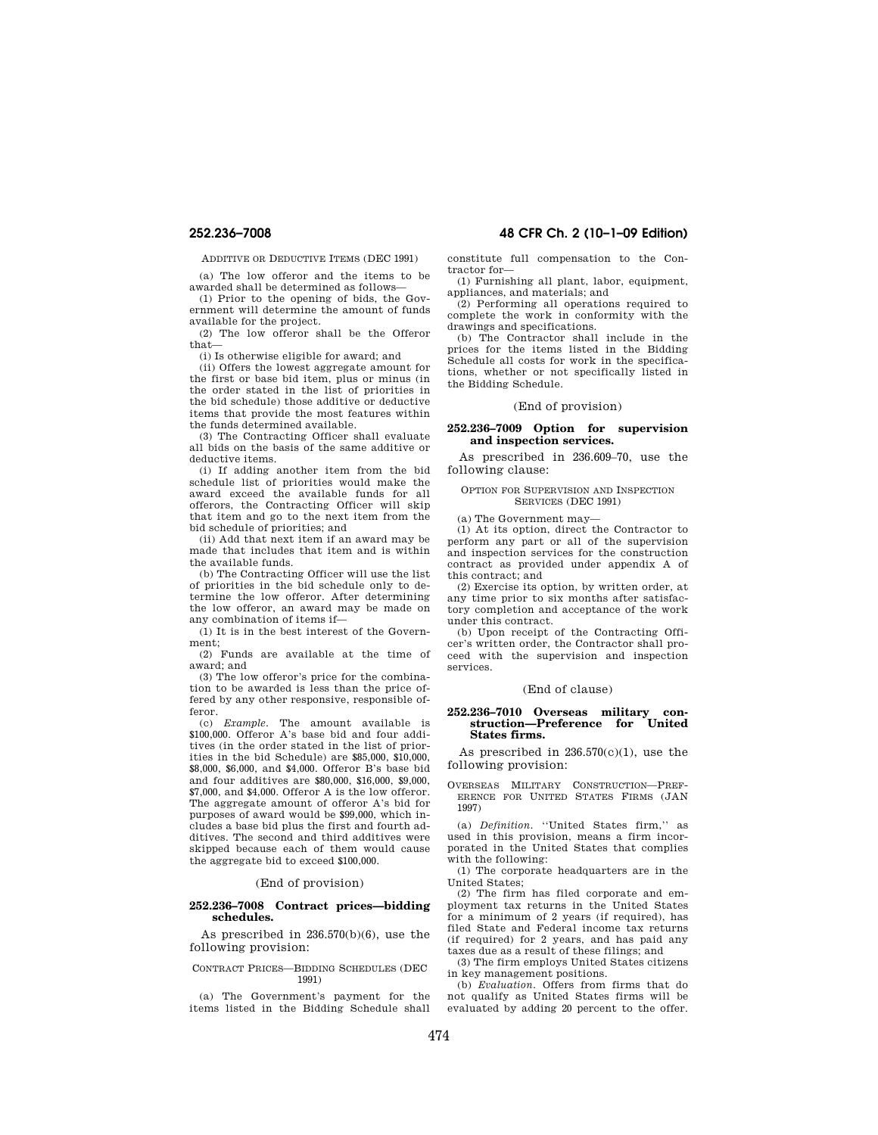ADDITIVE OR DEDUCTIVE ITEMS (DEC 1991)

(a) The low offeror and the items to be awarded shall be determined as follows—

(1) Prior to the opening of bids, the Government will determine the amount of funds available for the project.

(2) The low offeror shall be the Offeror that—

(i) Is otherwise eligible for award; and

(ii) Offers the lowest aggregate amount for the first or base bid item, plus or minus (in the order stated in the list of priorities in the bid schedule) those additive or deductive items that provide the most features within the funds determined available.

(3) The Contracting Officer shall evaluate all bids on the basis of the same additive or deductive items.

(i) If adding another item from the bid schedule list of priorities would make the award exceed the available funds for all offerors, the Contracting Officer will skip that item and go to the next item from the bid schedule of priorities; and

(ii) Add that next item if an award may be made that includes that item and is within the available funds.

(b) The Contracting Officer will use the list of priorities in the bid schedule only to determine the low offeror. After determining the low offeror, an award may be made on any combination of items if—

(1) It is in the best interest of the Government;

(2) Funds are available at the time of award; and

(3) The low offeror's price for the combination to be awarded is less than the price offered by any other responsive, responsible offeror.

(c) *Example.* The amount available is \$100,000. Offeror A's base bid and four additives (in the order stated in the list of priorities in the bid Schedule) are \$85,000, \$10,000, \$8,000, \$6,000, and \$4,000. Offeror B's base bid and four additives are \$80,000, \$16,000, \$9,000, \$7,000, and \$4,000. Offeror A is the low offeror. The aggregate amount of offeror A's bid for purposes of award would be \$99,000, which includes a base bid plus the first and fourth additives. The second and third additives were skipped because each of them would cause the aggregate bid to exceed \$100,000.

# (End of provision)

#### **252.236–7008 Contract prices—bidding schedules.**

As prescribed in  $236.570(b)(6)$ , use the following provision:

# CONTRACT PRICES—BIDDING SCHEDULES (DEC 1991)

(a) The Government's payment for the items listed in the Bidding Schedule shall

# **252.236–7008 48 CFR Ch. 2 (10–1–09 Edition)**

constitute full compensation to the Contractor for—

(1) Furnishing all plant, labor, equipment, appliances, and materials; and

(2) Performing all operations required to complete the work in conformity with the drawings and specifications.

(b) The Contractor shall include in the prices for the items listed in the Bidding Schedule all costs for work in the specifications, whether or not specifically listed in the Bidding Schedule.

# (End of provision)

# **252.236–7009 Option for supervision and inspection services.**

As prescribed in 236.609–70, use the following clause:

# OPTION FOR SUPERVISION AND INSPECTION SERVICES (DEC 1991)

(a) The Government may—

(1) At its option, direct the Contractor to perform any part or all of the supervision and inspection services for the construction contract as provided under appendix A of this contract; and

(2) Exercise its option, by written order, at any time prior to six months after satisfactory completion and acceptance of the work under this contract.

(b) Upon receipt of the Contracting Officer's written order, the Contractor shall proceed with the supervision and inspection services.

# (End of clause)

# **252.236–7010 Overseas military construction—Preference for United States firms.**

As prescribed in  $236.570(c)(1)$ , use the following provision:

OVERSEAS MILITARY CONSTRUCTION—PREF-ERENCE FOR UNITED STATES FIRMS (JAN 1997)

(a) *Definition.* ''United States firm,'' as used in this provision, means a firm incorporated in the United States that complies with the following:

(1) The corporate headquarters are in the United States;

(2) The firm has filed corporate and employment tax returns in the United States for a minimum of 2 years (if required), has filed State and Federal income tax returns (if required) for 2 years, and has paid any taxes due as a result of these filings; and

(3) The firm employs United States citizens in key management positions.

(b) *Evaluation.* Offers from firms that do not qualify as United States firms will be evaluated by adding 20 percent to the offer.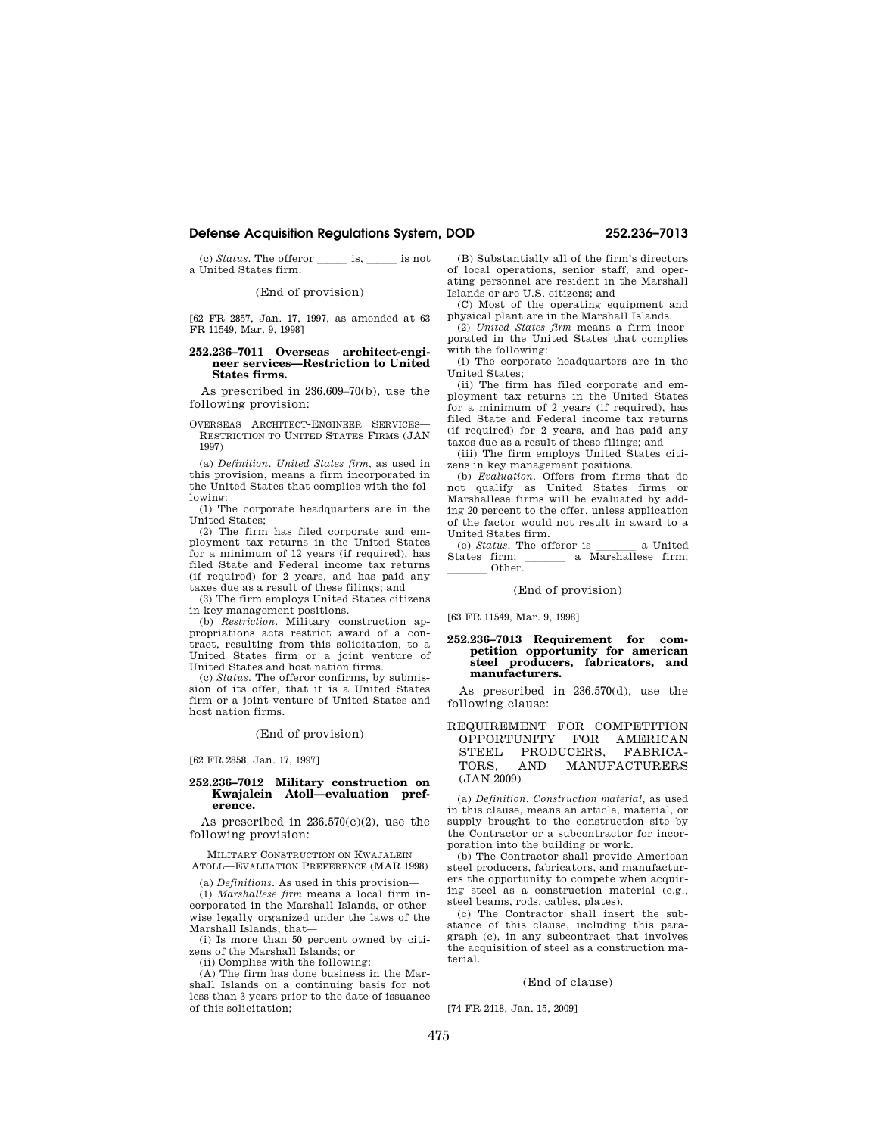# **Defense Acquisition Regulations System, DOD 252.236–7013**

(c) *Status*. The offeror is, is not a United States firm.

# (End of provision)

[62 FR 2857, Jan. 17, 1997, as amended at 63 FR 11549, Mar. 9, 1998]

#### **252.236–7011 Overseas architect-engineer services—Restriction to United States firms.**

As prescribed in 236.609–70(b), use the following provision:

OVERSEAS ARCHITECT-ENGINEER SERVICES— RESTRICTION TO UNITED STATES FIRMS (JAN 1997)

(a) *Definition. United States firm,* as used in this provision, means a firm incorporated in the United States that complies with the following:

(1) The corporate headquarters are in the United States;

(2) The firm has filed corporate and employment tax returns in the United States for a minimum of 12 years (if required), has filed State and Federal income tax returns (if required) for 2 years, and has paid any taxes due as a result of these filings; and

(3) The firm employs United States citizens in key management positions.

(b) *Restriction.* Military construction ap-propriations acts restrict award of a contract, resulting from this solicitation, to a United States firm or a joint venture of United States and host nation firms.

(c) *Status.* The offeror confirms, by submission of its offer, that it is a United States firm or a joint venture of United States and host nation firms.

# (End of provision)

[62 FR 2858, Jan. 17, 1997]

## **252.236–7012 Military construction on Kwajalein Atoll—evaluation preference.**

As prescribed in  $236.570(c)(2)$ , use the following provision:

MILITARY CONSTRUCTION ON KWAJALEIN ATOLL—EVALUATION PREFERENCE (MAR 1998)

(a) *Definitions.* As used in this provision—

(1) *Marshallese firm* means a local firm incorporated in the Marshall Islands, or otherwise legally organized under the laws of the Marshall Islands, that—

(i) Is more than 50 percent owned by citizens of the Marshall Islands; or

(ii) Complies with the following:

(A) The firm has done business in the Marshall Islands on a continuing basis for not less than 3 years prior to the date of issuance of this solicitation;

(B) Substantially all of the firm's directors of local operations, senior staff, and operating personnel are resident in the Marshall Islands or are U.S. citizens; and

(C) Most of the operating equipment and physical plant are in the Marshall Islands.

(2) *United States firm* means a firm incorporated in the United States that complies with the following:

(i) The corporate headquarters are in the United States;

(ii) The firm has filed corporate and employment tax returns in the United States for a minimum of 2 years (if required), has filed State and Federal income tax returns (if required) for 2 years, and has paid any taxes due as a result of these filings; and

(iii) The firm employs United States citizens in key management positions.

(b) *Evaluation.* Offers from firms that do not qualify as United States firms or Marshallese firms will be evaluated by adding 20 percent to the offer, unless application of the factor would not result in award to a United States firm.

(c) *Status*. The offeror is a United States firm; a Marshallese firm; a Marshallese firm; Other.

# (End of provision)

[63 FR 11549, Mar. 9, 1998]

# **252.236–7013 Requirement for competition opportunity for american steel producers, fabricators, and manufacturers.**

As prescribed in 236.570(d), use the following clause:

# REQUIREMENT FOR COMPETITION OPPORTUNITY FOR AMERICAN STEEL PRODUCERS, FABRICA-TORS. AND MANUFACTURERS AND MANUFACTURERS (JAN 2009)

(a) *Definition. Construction material,* as used in this clause, means an article, material, or supply brought to the construction site by the Contractor or a subcontractor for incorporation into the building or work.

(b) The Contractor shall provide American steel producers, fabricators, and manufacturers the opportunity to compete when acquiring steel as a construction material (e.g., steel beams, rods, cables, plates).

(c) The Contractor shall insert the substance of this clause, including this paragraph (c), in any subcontract that involves the acquisition of steel as a construction material.

#### (End of clause)

[74 FR 2418, Jan. 15, 2009]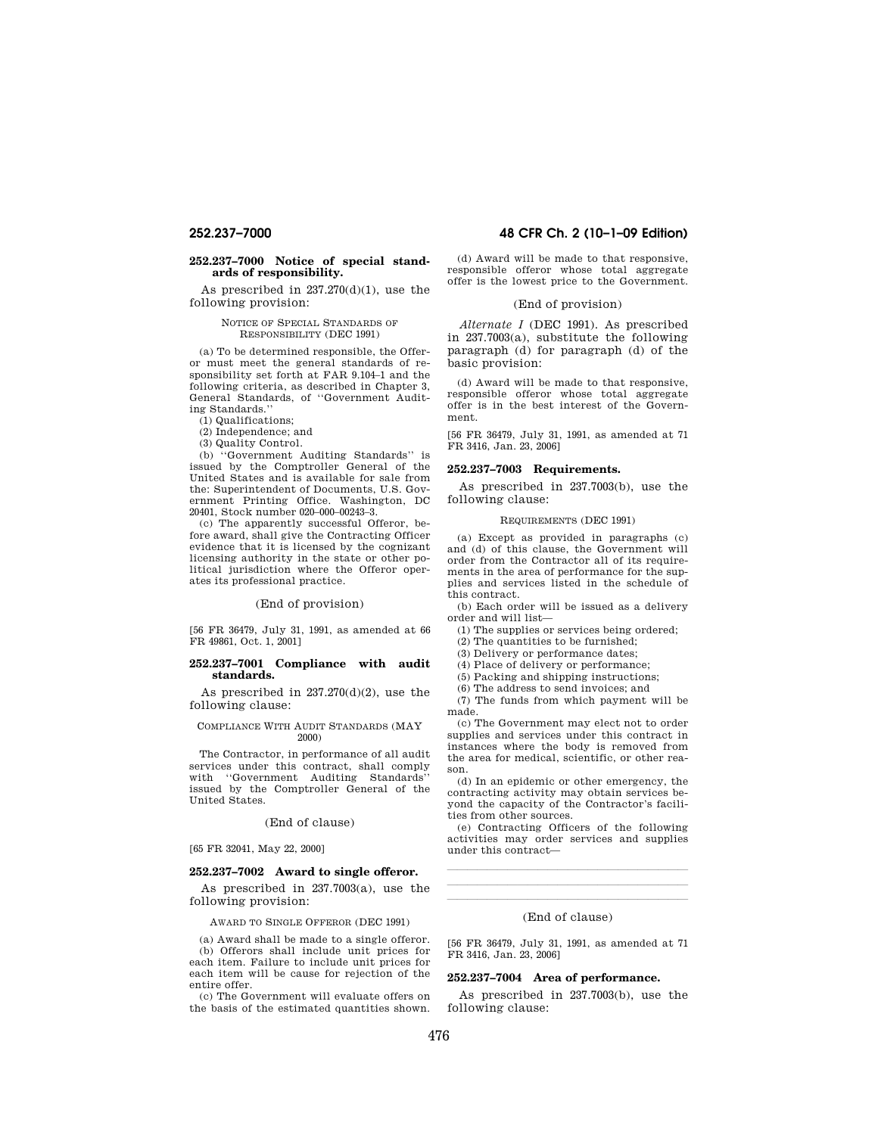# **252.237–7000 Notice of special standards of responsibility.**

As prescribed in  $237.270(d)(1)$ , use the following provision:

# NOTICE OF SPECIAL STANDARDS OF RESPONSIBILITY (DEC 1991)

(a) To be determined responsible, the Offeror must meet the general standards of responsibility set forth at FAR 9.104–1 and the following criteria, as described in Chapter 3, General Standards, of ''Government Auditing Standards.''

(1) Qualifications;

(2) Independence; and

(3) Quality Control.

(b) ''Government Auditing Standards'' is issued by the Comptroller General of the United States and is available for sale from the: Superintendent of Documents, U.S. Government Printing Office. Washington, DC 20401, Stock number 020–000–00243–3.

(c) The apparently successful Offeror, before award, shall give the Contracting Officer evidence that it is licensed by the cognizant licensing authority in the state or other political jurisdiction where the Offeror operates its professional practice.

#### (End of provision)

[56 FR 36479, July 31, 1991, as amended at 66 FR 49861, Oct. 1, 2001]

# **252.237–7001 Compliance with audit standards.**

As prescribed in  $237.270(d)(2)$ , use the following clause:

# COMPLIANCE WITH AUDIT STANDARDS (MAY 2000)

The Contractor, in performance of all audit services under this contract, shall comply with ''Government Auditing Standards'' issued by the Comptroller General of the United States.

# (End of clause)

[65 FR 32041, May 22, 2000]

entire offer.

# **252.237–7002 Award to single offeror.**

As prescribed in 237.7003(a), use the following provision:

AWARD TO SINGLE OFFEROR (DEC 1991)

(a) Award shall be made to a single offeror. (b) Offerors shall include unit prices for each item. Failure to include unit prices for each item will be cause for rejection of the

(c) The Government will evaluate offers on the basis of the estimated quantities shown.

# **252.237–7000 48 CFR Ch. 2 (10–1–09 Edition)**

(d) Award will be made to that responsive, responsible offeror whose total aggregate offer is the lowest price to the Government.

# (End of provision)

*Alternate I* (DEC 1991). As prescribed in 237.7003(a), substitute the following paragraph (d) for paragraph (d) of the basic provision:

(d) Award will be made to that responsive, responsible offeror whose total aggregate offer is in the best interest of the Government.

[56 FR 36479, July 31, 1991, as amended at 71 FR 3416, Jan. 23, 2006]

# **252.237–7003 Requirements.**

As prescribed in 237.7003(b), use the following clause:

# REQUIREMENTS (DEC 1991)

(a) Except as provided in paragraphs (c) and (d) of this clause, the Government will order from the Contractor all of its requirements in the area of performance for the supplies and services listed in the schedule of this contract.

(b) Each order will be issued as a delivery order and will list—

(1) The supplies or services being ordered;

(2) The quantities to be furnished;

(3) Delivery or performance dates;

- (4) Place of delivery or performance;
- (5) Packing and shipping instructions;
- (6) The address to send invoices; and

(7) The funds from which payment will be made.

(c) The Government may elect not to order supplies and services under this contract in instances where the body is removed from the area for medical, scientific, or other reason.

(d) In an epidemic or other emergency, the contracting activity may obtain services beyond the capacity of the Contractor's facilities from other sources.

(e) Contracting Officers of the following activities may order services and supplies under this contract—

llland i senator and a senator and a senator and a senator and a senator and a senator and llland i senator and a senator and a senator and a senator and a senator and a senator and

# lllalla sin anno 1980. I se anno 1980 anno 1980 anno 1980 anno 1980 anno 1980 anno 1980. (End of clause)

[56 FR 36479, July 31, 1991, as amended at 71 FR 3416, Jan. 23, 2006]

# **252.237–7004 Area of performance.**

As prescribed in 237.7003(b), use the following clause: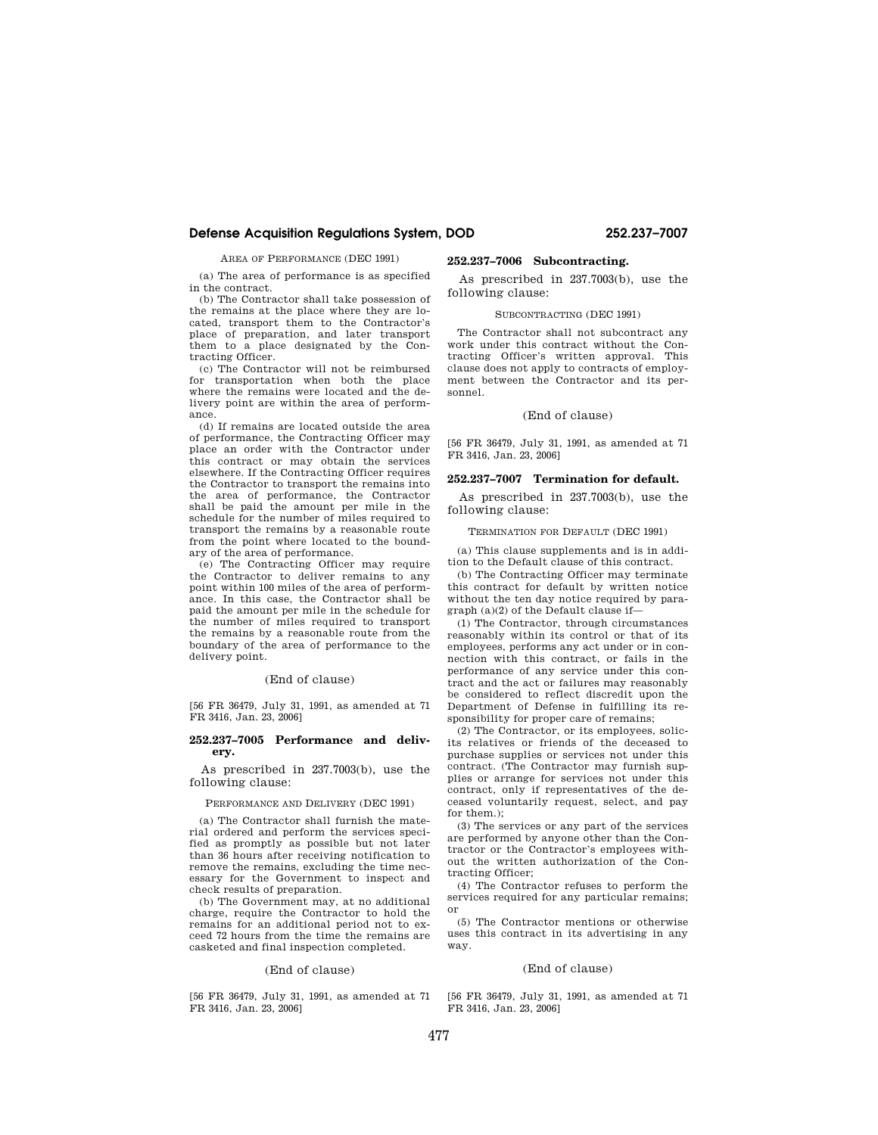# **Defense Acquisition Regulations System, DOD 252.237–7007**

AREA OF PERFORMANCE (DEC 1991)

(a) The area of performance is as specified in the contract.

(b) The Contractor shall take possession of the remains at the place where they are located, transport them to the Contractor's place of preparation, and later transport them to a place designated by the Contracting Officer.

(c) The Contractor will not be reimbursed for transportation when both the place where the remains were located and the delivery point are within the area of performance.

(d) If remains are located outside the area of performance, the Contracting Officer may place an order with the Contractor under this contract or may obtain the services elsewhere. If the Contracting Officer requires the Contractor to transport the remains into the area of performance, the Contractor shall be paid the amount per mile in the schedule for the number of miles required to transport the remains by a reasonable route from the point where located to the boundary of the area of performance.

(e) The Contracting Officer may require the Contractor to deliver remains to any point within 100 miles of the area of performance. In this case, the Contractor shall be paid the amount per mile in the schedule for the number of miles required to transport the remains by a reasonable route from the boundary of the area of performance to the delivery point.

# (End of clause)

[56 FR 36479, July 31, 1991, as amended at 71 FR 3416, Jan. 23, 2006]

#### **252.237–7005 Performance and delivery.**

As prescribed in 237.7003(b), use the following clause:

# PERFORMANCE AND DELIVERY (DEC 1991)

(a) The Contractor shall furnish the material ordered and perform the services specified as promptly as possible but not later than 36 hours after receiving notification to remove the remains, excluding the time necessary for the Government to inspect and check results of preparation.

(b) The Government may, at no additional charge, require the Contractor to hold the remains for an additional period not to exceed 72 hours from the time the remains are casketed and final inspection completed.

# (End of clause)

[56 FR 36479, July 31, 1991, as amended at 71 FR 3416, Jan. 23, 2006]

# **252.237–7006 Subcontracting.**

As prescribed in 237.7003(b), use the following clause:

# SUBCONTRACTING (DEC 1991)

The Contractor shall not subcontract any work under this contract without the Contracting Officer's written approval. This clause does not apply to contracts of employment between the Contractor and its personnel.

# (End of clause)

[56 FR 36479, July 31, 1991, as amended at 71 FR 3416, Jan. 23, 2006]

# **252.237–7007 Termination for default.**

As prescribed in 237.7003(b), use the following clause:

TERMINATION FOR DEFAULT (DEC 1991)

(a) This clause supplements and is in addition to the Default clause of this contract.

(b) The Contracting Officer may terminate this contract for default by written notice without the ten day notice required by paragraph (a)(2) of the Default clause if—

(1) The Contractor, through circumstances reasonably within its control or that of its employees, performs any act under or in connection with this contract, or fails in the performance of any service under this contract and the act or failures may reasonably be considered to reflect discredit upon the Department of Defense in fulfilling its responsibility for proper care of remains;

(2) The Contractor, or its employees, solicits relatives or friends of the deceased to purchase supplies or services not under this contract. (The Contractor may furnish supplies or arrange for services not under this contract, only if representatives of the deceased voluntarily request, select, and pay for them.);

(3) The services or any part of the services are performed by anyone other than the Contractor or the Contractor's employees without the written authorization of the Contracting Officer;

(4) The Contractor refuses to perform the services required for any particular remains; or

(5) The Contractor mentions or otherwise uses this contract in its advertising in any way.

# (End of clause)

[56 FR 36479, July 31, 1991, as amended at 71 FR 3416, Jan. 23, 2006]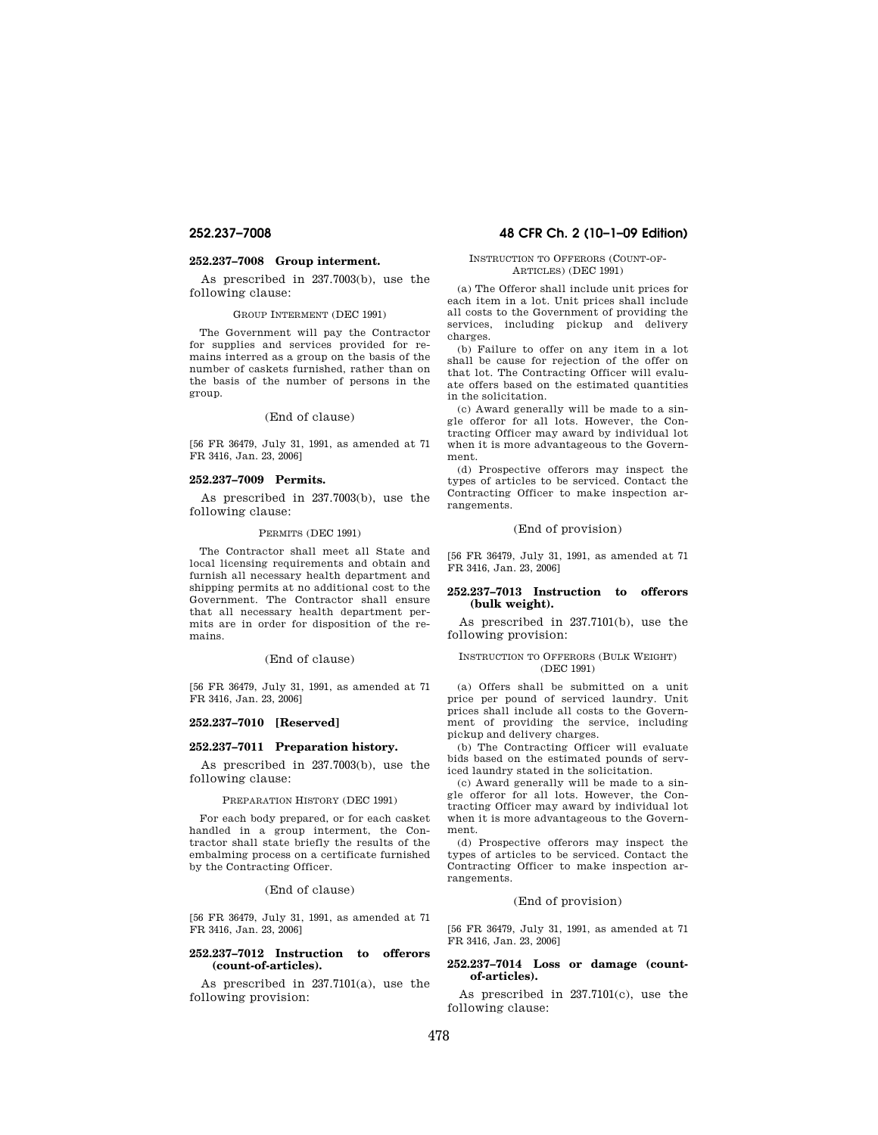## **252.237–7008 Group interment.**

As prescribed in 237.7003(b), use the following clause:

### GROUP INTERMENT (DEC 1991)

The Government will pay the Contractor for supplies and services provided for remains interred as a group on the basis of the number of caskets furnished, rather than on the basis of the number of persons in the group.

(End of clause)

[56 FR 36479, July 31, 1991, as amended at 71 FR 3416, Jan. 23, 2006]

## **252.237–7009 Permits.**

As prescribed in 237.7003(b), use the following clause:

#### PERMITS (DEC 1991)

The Contractor shall meet all State and local licensing requirements and obtain and furnish all necessary health department and shipping permits at no additional cost to the Government. The Contractor shall ensure that all necessary health department permits are in order for disposition of the remains.

## (End of clause)

[56 FR 36479, July 31, 1991, as amended at 71 FR 3416, Jan. 23, 2006]

## **252.237–7010 [Reserved]**

## **252.237–7011 Preparation history.**

As prescribed in 237.7003(b), use the following clause:

#### PREPARATION HISTORY (DEC 1991)

For each body prepared, or for each casket handled in a group interment, the Contractor shall state briefly the results of the embalming process on a certificate furnished by the Contracting Officer.

#### (End of clause)

[56 FR 36479, July 31, 1991, as amended at 71 FR 3416, Jan. 23, 2006]

## **252.237–7012 Instruction to offerors (count-of-articles).**

As prescribed in 237.7101(a), use the following provision:

# **252.237–7008 48 CFR Ch. 2 (10–1–09 Edition)**

#### INSTRUCTION TO OFFERORS (COUNT-OF-ARTICLES) (DEC 1991)

(a) The Offeror shall include unit prices for each item in a lot. Unit prices shall include all costs to the Government of providing the services, including pickup and delivery charges.

(b) Failure to offer on any item in a lot shall be cause for rejection of the offer on that lot. The Contracting Officer will evaluate offers based on the estimated quantities in the solicitation.

(c) Award generally will be made to a single offeror for all lots. However, the Contracting Officer may award by individual lot when it is more advantageous to the Government.

(d) Prospective offerors may inspect the types of articles to be serviced. Contact the Contracting Officer to make inspection arrangements.

## (End of provision)

[56 FR 36479, July 31, 1991, as amended at 71 FR 3416, Jan. 23, 2006]

## **252.237–7013 Instruction to offerors (bulk weight).**

As prescribed in 237.7101(b), use the following provision:

#### INSTRUCTION TO OFFERORS (BULK WEIGHT) (DEC 1991)

(a) Offers shall be submitted on a unit price per pound of serviced laundry. Unit prices shall include all costs to the Government of providing the service, including pickup and delivery charges.

(b) The Contracting Officer will evaluate bids based on the estimated pounds of serviced laundry stated in the solicitation.

(c) Award generally will be made to a single offeror for all lots. However, the Contracting Officer may award by individual lot when it is more advantageous to the Government.

(d) Prospective offerors may inspect the types of articles to be serviced. Contact the Contracting Officer to make inspection arrangements.

## (End of provision)

[56 FR 36479, July 31, 1991, as amended at 71 FR 3416, Jan. 23, 2006]

## **252.237–7014 Loss or damage (countof-articles).**

As prescribed in 237.7101(c), use the following clause: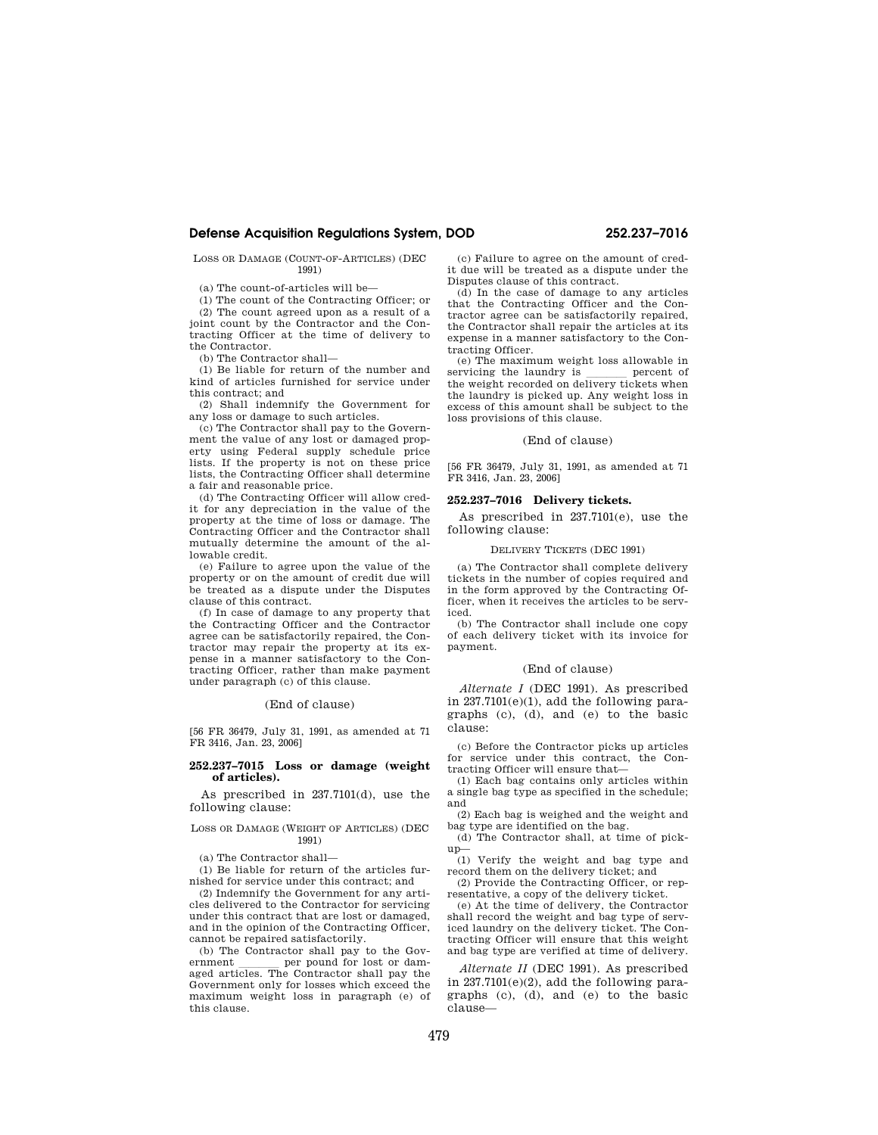## LOSS OR DAMAGE (COUNT-OF-ARTICLES) (DEC 1991)

(a) The count-of-articles will be—

(1) The count of the Contracting Officer; or (2) The count agreed upon as a result of a joint count by the Contractor and the Contracting Officer at the time of delivery to the Contractor.

(b) The Contractor shall—

(1) Be liable for return of the number and kind of articles furnished for service under this contract; and

(2) Shall indemnify the Government for any loss or damage to such articles.

(c) The Contractor shall pay to the Government the value of any lost or damaged property using Federal supply schedule price lists. If the property is not on these price lists, the Contracting Officer shall determine a fair and reasonable price.

(d) The Contracting Officer will allow credit for any depreciation in the value of the property at the time of loss or damage. The Contracting Officer and the Contractor shall mutually determine the amount of the allowable credit.

(e) Failure to agree upon the value of the property or on the amount of credit due will be treated as a dispute under the Disputes clause of this contract.

(f) In case of damage to any property that the Contracting Officer and the Contractor agree can be satisfactorily repaired, the Contractor may repair the property at its expense in a manner satisfactory to the Contracting Officer, rather than make payment under paragraph (c) of this clause.

## (End of clause)

[56 FR 36479, July 31, 1991, as amended at 71 FR 3416, Jan. 23, 2006]

## **252.237–7015 Loss or damage (weight of articles).**

As prescribed in 237.7101(d), use the following clause:

## LOSS OR DAMAGE (WEIGHT OF ARTICLES) (DEC 1991)

(a) The Contractor shall—

(1) Be liable for return of the articles furnished for service under this contract; and

(2) Indemnify the Government for any articles delivered to the Contractor for servicing under this contract that are lost or damaged, and in the opinion of the Contracting Officer, cannot be repaired satisfactorily.

(b) The Contractor shall pay to the Government \_\_\_\_\_\_ per pound for lost or dam-<br>aged articles. The Contractor shall pay the Government only for losses which exceed the maximum weight loss in paragraph (e) of this clause.

(c) Failure to agree on the amount of credit due will be treated as a dispute under the Disputes clause of this contract.

(d) In the case of damage to any articles that the Contracting Officer and the Contractor agree can be satisfactorily repaired, the Contractor shall repair the articles at its expense in a manner satisfactory to the Contracting Officer.

(e) The maximum weight loss allowable in ervicing the laundry is  $\_$ servicing the laundry is ellergies berecent of the weight recorded on delivery tickets when the laundry is picked up. Any weight loss in excess of this amount shall be subject to the loss provisions of this clause.

#### (End of clause)

[56 FR 36479, July 31, 1991, as amended at 71 FR 3416, Jan. 23, 2006]

## **252.237–7016 Delivery tickets.**

As prescribed in 237.7101(e), use the following clause:

#### DELIVERY TICKETS (DEC 1991)

(a) The Contractor shall complete delivery tickets in the number of copies required and in the form approved by the Contracting Officer, when it receives the articles to be serviced.

(b) The Contractor shall include one copy of each delivery ticket with its invoice for payment.

## (End of clause)

*Alternate I* (DEC 1991). As prescribed in 237.7101(e)(1), add the following paragraphs (c), (d), and (e) to the basic clause:

(c) Before the Contractor picks up articles for service under this contract, the Contracting Officer will ensure that—

(1) Each bag contains only articles within a single bag type as specified in the schedule; and

(2) Each bag is weighed and the weight and bag type are identified on the bag.

(d) The Contractor shall, at time of pickup—

 $(1)$  Verify the weight and bag type and record them on the delivery ticket; and

(2) Provide the Contracting Officer, or representative, a copy of the delivery ticket.

(e) At the time of delivery, the Contractor shall record the weight and bag type of serviced laundry on the delivery ticket. The Contracting Officer will ensure that this weight and bag type are verified at time of delivery.

*Alternate II* (DEC 1991). As prescribed in 237.7101(e)(2), add the following paragraphs (c), (d), and (e) to the basic clause—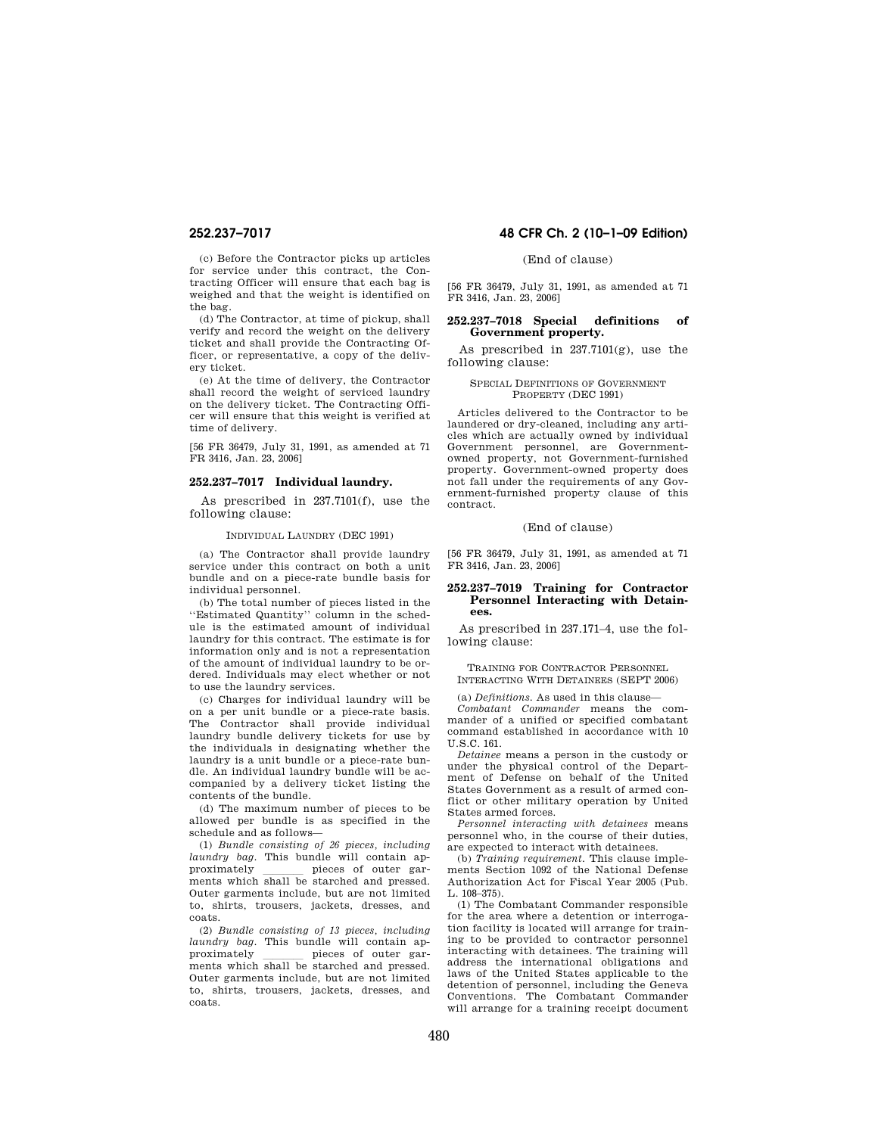(c) Before the Contractor picks up articles for service under this contract, the Contracting Officer will ensure that each bag is weighed and that the weight is identified on the bag.

(d) The Contractor, at time of pickup, shall verify and record the weight on the delivery ticket and shall provide the Contracting Officer, or representative, a copy of the delivery ticket.

(e) At the time of delivery, the Contractor shall record the weight of serviced laundry on the delivery ticket. The Contracting Officer will ensure that this weight is verified at time of delivery.

[56 FR 36479, July 31, 1991, as amended at 71 FR 3416, Jan. 23, 2006]

## **252.237–7017 Individual laundry.**

As prescribed in 237.7101(f), use the following clause:

### INDIVIDUAL LAUNDRY (DEC 1991)

(a) The Contractor shall provide laundry service under this contract on both a unit bundle and on a piece-rate bundle basis for individual personnel.

(b) The total number of pieces listed in the ''Estimated Quantity'' column in the schedule is the estimated amount of individual laundry for this contract. The estimate is for information only and is not a representation of the amount of individual laundry to be ordered. Individuals may elect whether or not to use the laundry services.

(c) Charges for individual laundry will be on a per unit bundle or a piece-rate basis. The Contractor shall provide individual laundry bundle delivery tickets for use by the individuals in designating whether the laundry is a unit bundle or a piece-rate bundle. An individual laundry bundle will be accompanied by a delivery ticket listing the contents of the bundle.

(d) The maximum number of pieces to be allowed per bundle is as specified in the schedule and as follows—

(1) *Bundle consisting of 26 pieces, including laundry bag.* This bundle will contain approximately llll pieces of outer gar-ments which shall be starched and pressed. Outer garments include, but are not limited to, shirts, trousers, jackets, dresses, and coats.

(2) *Bundle consisting of 13 pieces, including laundry bag.* This bundle will contain approximately pieces of outer garproximately llll pieces of outer gar-ments which shall be starched and pressed. Outer garments include, but are not limited to, shirts, trousers, jackets, dresses, and coats.

# **252.237–7017 48 CFR Ch. 2 (10–1–09 Edition)**

## (End of clause)

# [56 FR 36479, July 31, 1991, as amended at 71 FR 3416, Jan. 23, 2006] **252.237–7018 Special definitions of**

**Government property.** 

As prescribed in 237.7101(g), use the following clause:

#### SPECIAL DEFINITIONS OF GOVERNMENT PROPERTY (DEC 1991)

Articles delivered to the Contractor to be laundered or dry-cleaned, including any articles which are actually owned by individual Government personnel, are Governmentowned property, not Government-furnished property. Government-owned property does not fall under the requirements of any Government-furnished property clause of this contract.

## (End of clause)

[56 FR 36479, July 31, 1991, as amended at 71 FR 3416, Jan. 23, 2006]

## **252.237–7019 Training for Contractor Personnel Interacting with Detainees.**

As prescribed in 237.171–4, use the following clause:

#### TRAINING FOR CONTRACTOR PERSONNEL INTERACTING WITH DETAINEES (SEPT 2006)

(a) *Definitions.* As used in this clause—

*Combatant Commander* means the commander of a unified or specified combatant command established in accordance with 10 U.S.C. 161.

*Detainee* means a person in the custody or under the physical control of the Department of Defense on behalf of the United States Government as a result of armed conflict or other military operation by United States armed forces.

*Personnel interacting with detainees* means personnel who, in the course of their duties, are expected to interact with detainees.

(b) *Training requirement.* This clause implements Section 1092 of the National Defense Authorization Act for Fiscal Year 2005 (Pub. L. 108–375).

(1) The Combatant Commander responsible for the area where a detention or interrogation facility is located will arrange for training to be provided to contractor personnel interacting with detainees. The training will address the international obligations and laws of the United States applicable to the detention of personnel, including the Geneva Conventions. The Combatant Commander will arrange for a training receipt document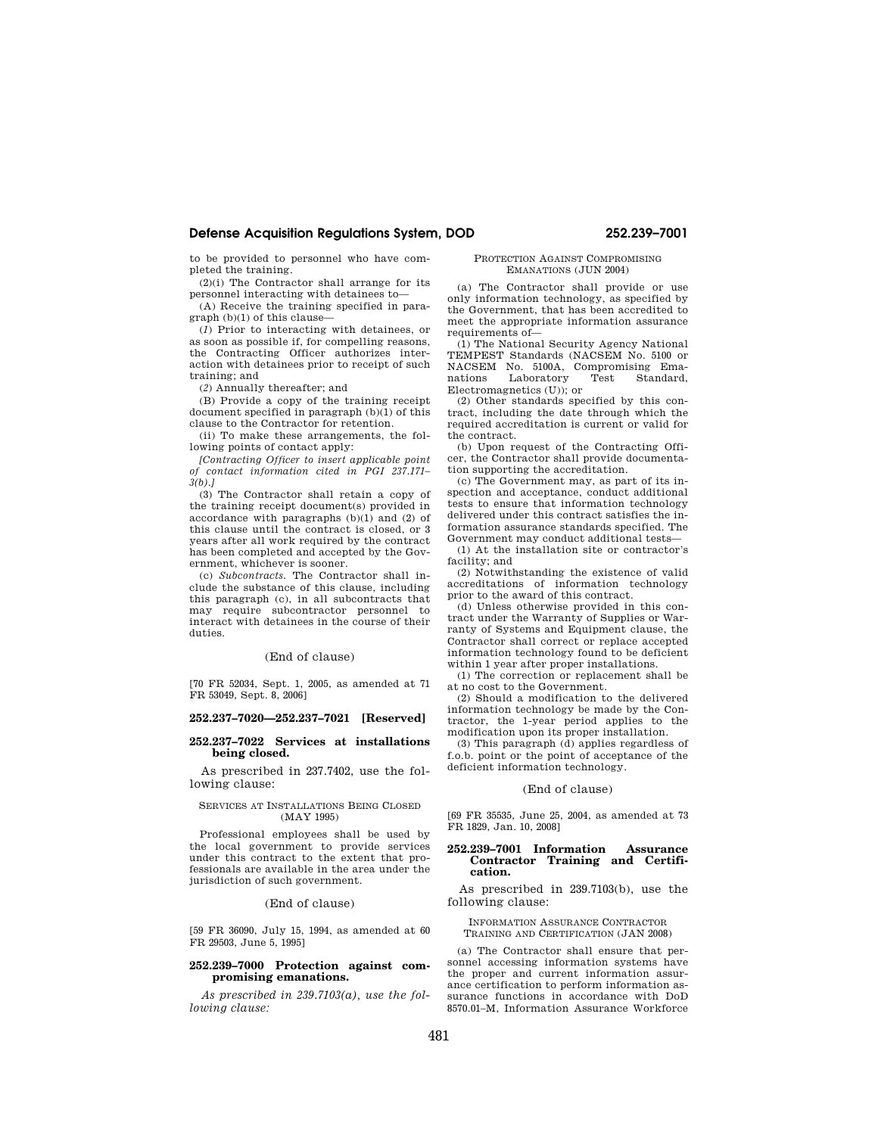to be provided to personnel who have completed the training.

(2)(i) The Contractor shall arrange for its personnel interacting with detainees to—

(A) Receive the training specified in paragraph (b)(1) of this clause—

(*1*) Prior to interacting with detainees, or as soon as possible if, for compelling reasons, the Contracting Officer authorizes interaction with detainees prior to receipt of such training; and

(*2*) Annually thereafter; and

(B) Provide a copy of the training receipt document specified in paragraph (b)(1) of this clause to the Contractor for retention.

(ii) To make these arrangements, the following points of contact apply:

*[Contracting Officer to insert applicable point of contact information cited in PGI 237.171– 3(b).]* 

(3) The Contractor shall retain a copy of the training receipt document(s) provided in accordance with paragraphs  $(b)(1)$  and  $(2)$  of this clause until the contract is closed, or 3 years after all work required by the contract has been completed and accepted by the Government, whichever is sooner.

(c) *Subcontracts.* The Contractor shall include the substance of this clause, including this paragraph (c), in all subcontracts that may require subcontractor personnel to interact with detainees in the course of their duties.

#### (End of clause)

[70 FR 52034, Sept. 1, 2005, as amended at 71 FR 53049, Sept. 8, 2006]

## **252.237–7020—252.237–7021 [Reserved]**

### **252.237–7022 Services at installations being closed.**

As prescribed in 237.7402, use the following clause:

## SERVICES AT INSTALLATIONS BEING CLOSED (MAY 1995)

Professional employees shall be used by the local government to provide services under this contract to the extent that professionals are available in the area under the jurisdiction of such government.

## (End of clause)

[59 FR 36090, July 15, 1994, as amended at 60 FR 29503, June 5, 1995]

## **252.239–7000 Protection against compromising emanations.**

*As prescribed in 239.7103(a), use the following clause:* 

#### PROTECTION AGAINST COMPROMISING EMANATIONS (JUN 2004)

(a) The Contractor shall provide or use only information technology, as specified by the Government, that has been accredited to meet the appropriate information assurance requirements of—

(1) The National Security Agency National TEMPEST Standards (NACSEM No. 5100 or NACSEM No. 5100A, Compromising Ema-Laboratory Electromagnetics (U)); or

(2) Other standards specified by this contract, including the date through which the required accreditation is current or valid for the contract.

(b) Upon request of the Contracting Officer, the Contractor shall provide documentation supporting the accreditation.

(c) The Government may, as part of its inspection and acceptance, conduct additional tests to ensure that information technology delivered under this contract satisfies the information assurance standards specified. The Government may conduct additional tests—

(1) At the installation site or contractor's facility; and

(2) Notwithstanding the existence of valid accreditations of information technology prior to the award of this contract.

(d) Unless otherwise provided in this contract under the Warranty of Supplies or Warranty of Systems and Equipment clause, the Contractor shall correct or replace accepted information technology found to be deficient within 1 year after proper installations.

(1) The correction or replacement shall be at no cost to the Government.

(2) Should a modification to the delivered information technology be made by the Contractor, the 1-year period applies to the modification upon its proper installation.

(3) This paragraph (d) applies regardless of f.o.b. point or the point of acceptance of the deficient information technology.

## (End of clause)

[69 FR 35535, June 25, 2004, as amended at 73 FR 1829, Jan. 10, 2008]

## **252.239–7001 Information Assurance Contractor Training and Certification.**

As prescribed in 239.7103(b), use the following clause:

INFORMATION ASSURANCE CONTRACTOR TRAINING AND CERTIFICATION (JAN 2008)

(a) The Contractor shall ensure that personnel accessing information systems have the proper and current information assurance certification to perform information assurance functions in accordance with DoD 8570.01–M, Information Assurance Workforce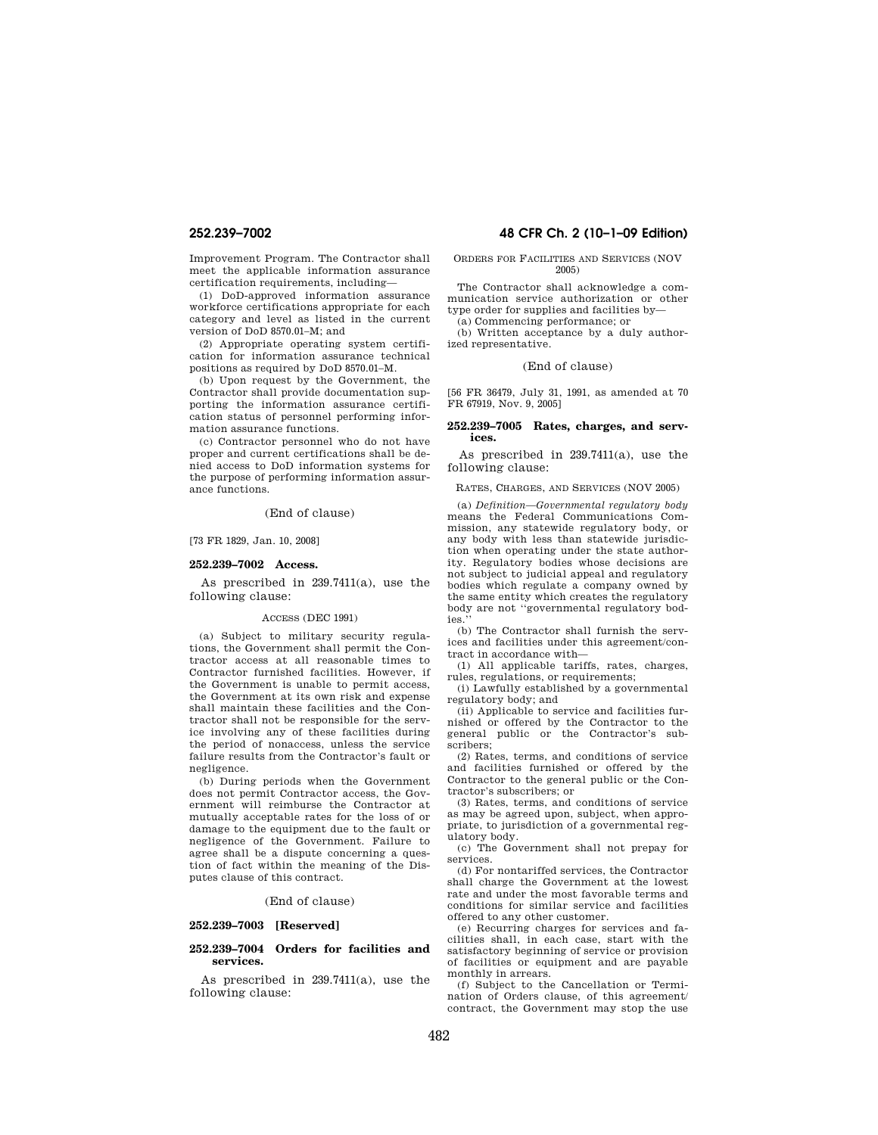Improvement Program. The Contractor shall meet the applicable information assurance certification requirements, including—

(1) DoD-approved information assurance workforce certifications appropriate for each category and level as listed in the current version of DoD 8570.01–M; and

(2) Appropriate operating system certification for information assurance technical positions as required by DoD 8570.01–M.

(b) Upon request by the Government, the Contractor shall provide documentation supporting the information assurance certification status of personnel performing information assurance functions.

(c) Contractor personnel who do not have proper and current certifications shall be denied access to DoD information systems for the purpose of performing information assurance functions.

#### (End of clause)

[73 FR 1829, Jan. 10, 2008]

## **252.239–7002 Access.**

As prescribed in 239.7411(a), use the following clause:

### ACCESS (DEC 1991)

(a) Subject to military security regulations, the Government shall permit the Contractor access at all reasonable times to Contractor furnished facilities. However, if the Government is unable to permit access, the Government at its own risk and expense shall maintain these facilities and the Contractor shall not be responsible for the service involving any of these facilities during the period of nonaccess, unless the service failure results from the Contractor's fault or negligence.

(b) During periods when the Government does not permit Contractor access, the Government will reimburse the Contractor at mutually acceptable rates for the loss of or damage to the equipment due to the fault or negligence of the Government. Failure to agree shall be a dispute concerning a question of fact within the meaning of the Disputes clause of this contract.

## (End of clause)

# **252.239–7003 [Reserved]**

#### **252.239–7004 Orders for facilities and services.**

As prescribed in 239.7411(a), use the following clause:

# **252.239–7002 48 CFR Ch. 2 (10–1–09 Edition)**

ORDERS FOR FACILITIES AND SERVICES (NOV 2005)

The Contractor shall acknowledge a communication service authorization or other type order for supplies and facilities by—

(a) Commencing performance; or

(b) Written acceptance by a duly authorized representative.

### (End of clause)

[56 FR 36479, July 31, 1991, as amended at 70 FR 67919, Nov. 9, 2005]

#### **252.239–7005 Rates, charges, and services.**

As prescribed in 239.7411(a), use the following clause:

RATES, CHARGES, AND SERVICES (NOV 2005)

(a) *Definition*—*Governmental regulatory body*  means the Federal Communications Commission, any statewide regulatory body, or any body with less than statewide jurisdiction when operating under the state authority. Regulatory bodies whose decisions are not subject to judicial appeal and regulatory bodies which regulate a company owned by the same entity which creates the regulatory body are not ''governmental regulatory bodies.''

(b) The Contractor shall furnish the services and facilities under this agreement/contract in accordance with—

(1) All applicable tariffs, rates, charges, rules, regulations, or requirements;

(i) Lawfully established by a governmental regulatory body; and

(ii) Applicable to service and facilities furnished or offered by the Contractor to the general public or the Contractor's subscribers;

(2) Rates, terms, and conditions of service and facilities furnished or offered by the Contractor to the general public or the Contractor's subscribers; or

(3) Rates, terms, and conditions of service as may be agreed upon, subject, when appropriate, to jurisdiction of a governmental regulatory body.

(c) The Government shall not prepay for services.

(d) For nontariffed services, the Contractor shall charge the Government at the lowest rate and under the most favorable terms and conditions for similar service and facilities offered to any other customer.

(e) Recurring charges for services and facilities shall, in each case, start with the satisfactory beginning of service or provision of facilities or equipment and are payable monthly in arrears.

(f) Subject to the Cancellation or Termination of Orders clause, of this agreement/ contract, the Government may stop the use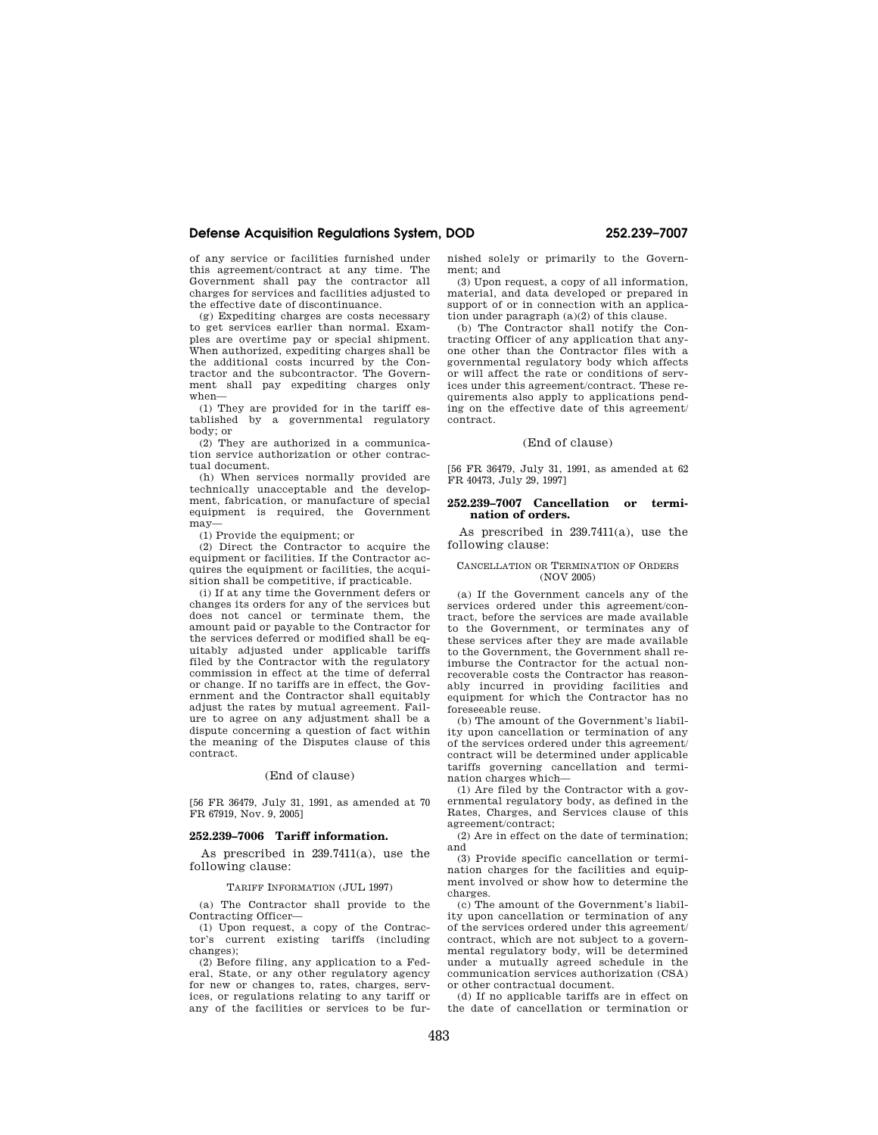of any service or facilities furnished under this agreement/contract at any time. The Government shall pay the contractor all charges for services and facilities adjusted to the effective date of discontinuance.

(g) Expediting charges are costs necessary to get services earlier than normal. Examples are overtime pay or special shipment. When authorized, expediting charges shall be the additional costs incurred by the Contractor and the subcontractor. The Government shall pay expediting charges only when—

(1) They are provided for in the tariff established by a governmental regulatory body; or

(2) They are authorized in a communication service authorization or other contractual document.

(h) When services normally provided are technically unacceptable and the development, fabrication, or manufacture of special equipment is required, the Government may—

(1) Provide the equipment; or

(2) Direct the Contractor to acquire the equipment or facilities. If the Contractor acquires the equipment or facilities, the acquisition shall be competitive, if practicable.

(i) If at any time the Government defers or changes its orders for any of the services but does not cancel or terminate them, the amount paid or payable to the Contractor for the services deferred or modified shall be equitably adjusted under applicable tariffs filed by the Contractor with the regulatory commission in effect at the time of deferral or change. If no tariffs are in effect, the Government and the Contractor shall equitably adjust the rates by mutual agreement. Failure to agree on any adjustment shall be a dispute concerning a question of fact within the meaning of the Disputes clause of this contract.

## (End of clause)

[56 FR 36479, July 31, 1991, as amended at 70 FR 67919, Nov. 9, 2005]

## **252.239–7006 Tariff information.**

As prescribed in 239.7411(a), use the following clause:

#### TARIFF INFORMATION (JIII, 1997)

(a) The Contractor shall provide to the Contracting Officer—

(1) Upon request, a copy of the Contractor's current existing tariffs (including changes);

(2) Before filing, any application to a Federal, State, or any other regulatory agency for new or changes to, rates, charges, services, or regulations relating to any tariff or any of the facilities or services to be furnished solely or primarily to the Government; and

(3) Upon request, a copy of all information, material, and data developed or prepared in support of or in connection with an application under paragraph (a)(2) of this clause.

(b) The Contractor shall notify the Contracting Officer of any application that anyone other than the Contractor files with a governmental regulatory body which affects or will affect the rate or conditions of services under this agreement/contract. These requirements also apply to applications pending on the effective date of this agreement/ contract.

## (End of clause)

[56 FR 36479, July 31, 1991, as amended at 62 FR 40473, July 29, 1997]

## **252.239–7007 Cancellation or termination of orders.**

As prescribed in 239.7411(a), use the following clause:

#### CANCELLATION OR TERMINATION OF ORDERS (NOV 2005)

(a) If the Government cancels any of the services ordered under this agreement/contract, before the services are made available to the Government, or terminates any of these services after they are made available to the Government, the Government shall reimburse the Contractor for the actual nonrecoverable costs the Contractor has reasonably incurred in providing facilities and equipment for which the Contractor has no foreseeable reuse.

(b) The amount of the Government's liability upon cancellation or termination of any of the services ordered under this agreement/ contract will be determined under applicable tariffs governing cancellation and termination charges which—

(1) Are filed by the Contractor with a governmental regulatory body, as defined in the Rates, Charges, and Services clause of this agreement/contract;

(2) Are in effect on the date of termination; and

(3) Provide specific cancellation or termination charges for the facilities and equipment involved or show how to determine the charges.

(c) The amount of the Government's liability upon cancellation or termination of any of the services ordered under this agreement/ contract, which are not subject to a governmental regulatory body, will be determined under a mutually agreed schedule in the communication services authorization (CSA) or other contractual document.

(d) If no applicable tariffs are in effect on the date of cancellation or termination or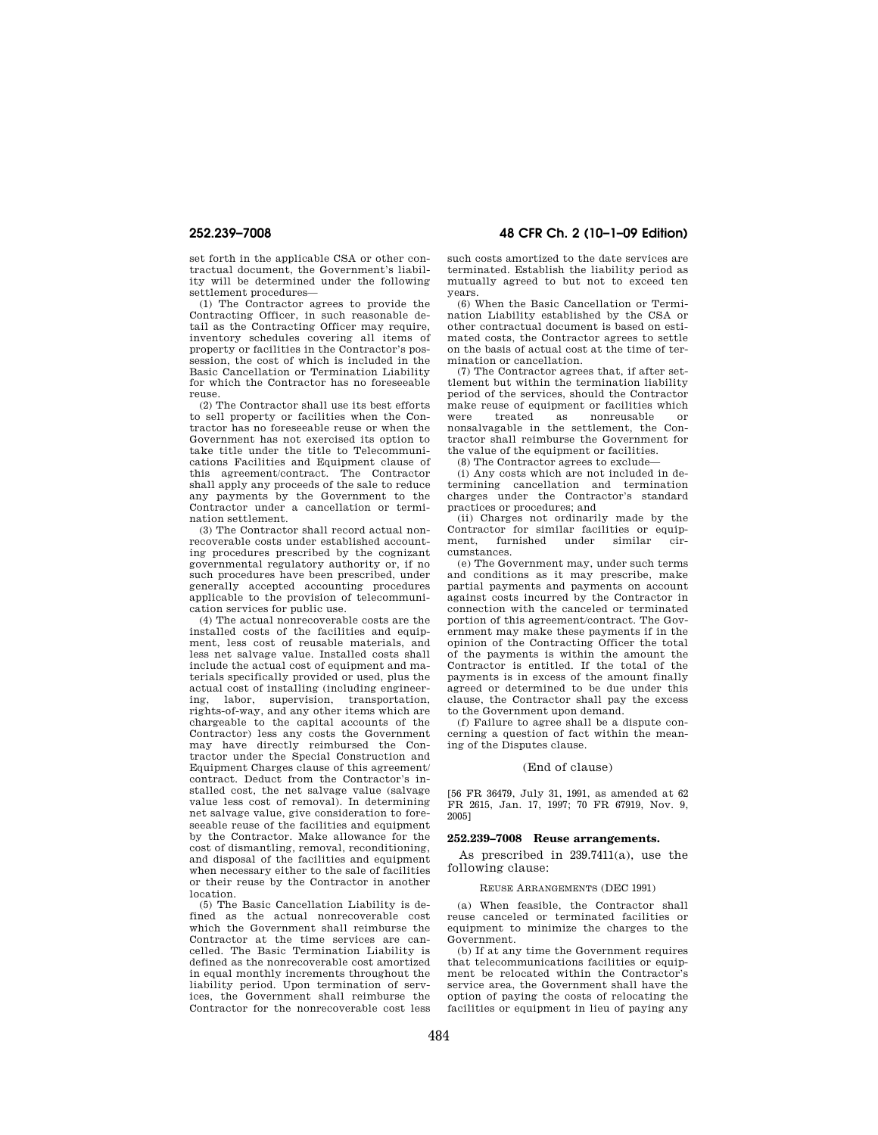set forth in the applicable CSA or other contractual document, the Government's liability will be determined under the following settlement procedures—

(1) The Contractor agrees to provide the Contracting Officer, in such reasonable detail as the Contracting Officer may require, inventory schedules covering all items of property or facilities in the Contractor's possession, the cost of which is included in the Basic Cancellation or Termination Liability for which the Contractor has no foreseeable reuse.

(2) The Contractor shall use its best efforts to sell property or facilities when the Contractor has no foreseeable reuse or when the Government has not exercised its option to take title under the title to Telecommunications Facilities and Equipment clause of this agreement/contract. The Contractor shall apply any proceeds of the sale to reduce any payments by the Government to the Contractor under a cancellation or termination settlement.

(3) The Contractor shall record actual nonrecoverable costs under established accounting procedures prescribed by the cognizant governmental regulatory authority or, if no such procedures have been prescribed, under generally accepted accounting procedures applicable to the provision of telecommunication services for public use.

(4) The actual nonrecoverable costs are the installed costs of the facilities and equipment, less cost of reusable materials, and less net salvage value. Installed costs shall include the actual cost of equipment and materials specifically provided or used, plus the actual cost of installing (including engineering, labor, supervision, transportation, rights-of-way, and any other items which are chargeable to the capital accounts of the Contractor) less any costs the Government may have directly reimbursed the Contractor under the Special Construction and Equipment Charges clause of this agreement/ contract. Deduct from the Contractor's installed cost, the net salvage value (salvage value less cost of removal). In determining net salvage value, give consideration to foreseeable reuse of the facilities and equipment by the Contractor. Make allowance for the cost of dismantling, removal, reconditioning, and disposal of the facilities and equipment when necessary either to the sale of facilities or their reuse by the Contractor in another location.

(5) The Basic Cancellation Liability is defined as the actual nonrecoverable cost which the Government shall reimburse the Contractor at the time services are cancelled. The Basic Termination Liability is defined as the nonrecoverable cost amortized in equal monthly increments throughout the liability period. Upon termination of services, the Government shall reimburse the Contractor for the nonrecoverable cost less

# **252.239–7008 48 CFR Ch. 2 (10–1–09 Edition)**

such costs amortized to the date services are terminated. Establish the liability period as mutually agreed to but not to exceed ten years.

(6) When the Basic Cancellation or Termination Liability established by the CSA or other contractual document is based on estimated costs, the Contractor agrees to settle on the basis of actual cost at the time of termination or cancellation.

(7) The Contractor agrees that, if after settlement but within the termination liability period of the services, should the Contractor make reuse of equipment or facilities which<br>were treated as nonreusable or were treated as nonreusable or nonsalvagable in the settlement, the Contractor shall reimburse the Government for the value of the equipment or facilities.

(8) The Contractor agrees to exclude—

(i) Any costs which are not included in determining cancellation and termination charges under the Contractor's standard practices or procedures; and

(ii) Charges not ordinarily made by the Contractor for similar facilities or equipment, furnished under similar circumstances.

(e) The Government may, under such terms and conditions as it may prescribe, make partial payments and payments on account against costs incurred by the Contractor in connection with the canceled or terminated portion of this agreement/contract. The Government may make these payments if in the opinion of the Contracting Officer the total of the payments is within the amount the Contractor is entitled. If the total of the payments is in excess of the amount finally agreed or determined to be due under this clause, the Contractor shall pay the excess to the Government upon demand.

(f) Failure to agree shall be a dispute concerning a question of fact within the meaning of the Disputes clause.

#### (End of clause)

[56 FR 36479, July 31, 1991, as amended at 62 FR 2615, Jan. 17, 1997; 70 FR 67919, Nov. 9, 2005]

#### **252.239–7008 Reuse arrangements.**

As prescribed in 239.7411(a), use the following clause:

## REUSE ARRANGEMENTS (DEC 1991)

(a) When feasible, the Contractor shall reuse canceled or terminated facilities or equipment to minimize the charges to the Government.

(b) If at any time the Government requires that telecommunications facilities or equipment be relocated within the Contractor's service area, the Government shall have the option of paying the costs of relocating the facilities or equipment in lieu of paying any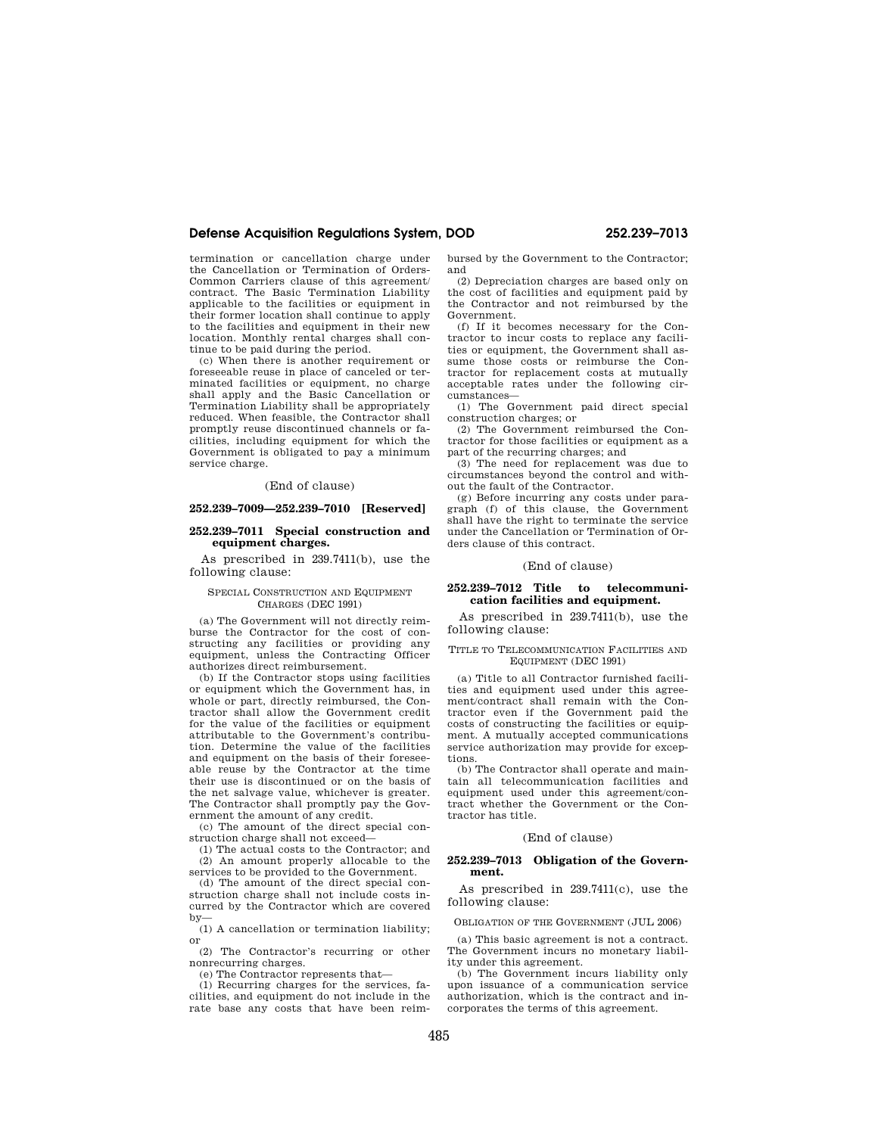termination or cancellation charge under the Cancellation or Termination of Orders-Common Carriers clause of this agreement/ contract. The Basic Termination Liability applicable to the facilities or equipment in their former location shall continue to apply to the facilities and equipment in their new location. Monthly rental charges shall continue to be paid during the period.

(c) When there is another requirement or foreseeable reuse in place of canceled or terminated facilities or equipment, no charge shall apply and the Basic Cancellation or Termination Liability shall be appropriately reduced. When feasible, the Contractor shall promptly reuse discontinued channels or facilities, including equipment for which the Government is obligated to pay a minimum service charge.

## (End of clause)

# **252.239–7009—252.239–7010 [Reserved]**

## **252.239–7011 Special construction and equipment charges.**

As prescribed in 239.7411(b), use the following clause:

#### SPECIAL CONSTRUCTION AND EQUIPMENT CHARGES (DEC 1991)

(a) The Government will not directly reimburse the Contractor for the cost of constructing any facilities or providing any equipment, unless the Contracting Officer authorizes direct reimbursement.

(b) If the Contractor stops using facilities or equipment which the Government has, in whole or part, directly reimbursed, the Contractor shall allow the Government credit for the value of the facilities or equipment attributable to the Government's contribution. Determine the value of the facilities and equipment on the basis of their foreseeable reuse by the Contractor at the time their use is discontinued or on the basis of the net salvage value, whichever is greater. The Contractor shall promptly pay the Government the amount of any credit.

(c) The amount of the direct special construction charge shall not exceed—

(1) The actual costs to the Contractor; and (2) An amount properly allocable to the services to be provided to the Government.

(d) The amount of the direct special construction charge shall not include costs incurred by the Contractor which are covered by—

 $(1)$  A cancellation or termination liability; or

(2) The Contractor's recurring or other nonrecurring charges.

(e) The Contractor represents that—

(1) Recurring charges for the services, facilities, and equipment do not include in the rate base any costs that have been reimbursed by the Government to the Contractor; and

(2) Depreciation charges are based only on the cost of facilities and equipment paid by the Contractor and not reimbursed by the Government.

(f) If it becomes necessary for the Contractor to incur costs to replace any facilities or equipment, the Government shall assume those costs or reimburse the Contractor for replacement costs at mutually acceptable rates under the following circumstances—

(1) The Government paid direct special construction charges; or

(2) The Government reimbursed the Contractor for those facilities or equipment as a part of the recurring charges; and

(3) The need for replacement was due to circumstances beyond the control and without the fault of the Contractor.

(g) Before incurring any costs under paragraph (f) of this clause, the Government shall have the right to terminate the service under the Cancellation or Termination of Orders clause of this contract.

## (End of clause)

## **252.239–7012 Title to telecommunication facilities and equipment.**

As prescribed in 239.7411(b), use the following clause:

#### TITLE TO TELECOMMUNICATION FACILITIES AND EQUIPMENT (DEC 1991)

(a) Title to all Contractor furnished facilities and equipment used under this agreement/contract shall remain with the Contractor even if the Government paid the costs of constructing the facilities or equipment. A mutually accepted communications service authorization may provide for exceptions.

(b) The Contractor shall operate and maintain all telecommunication facilities and equipment used under this agreement/contract whether the Government or the Contractor has title.

## (End of clause)

#### **252.239–7013 Obligation of the Government.**

As prescribed in 239.7411(c), use the following clause:

OBLIGATION OF THE GOVERNMENT (JUL 2006)

(a) This basic agreement is not a contract. The Government incurs no monetary liability under this agreement.

(b) The Government incurs liability only upon issuance of a communication service authorization, which is the contract and incorporates the terms of this agreement.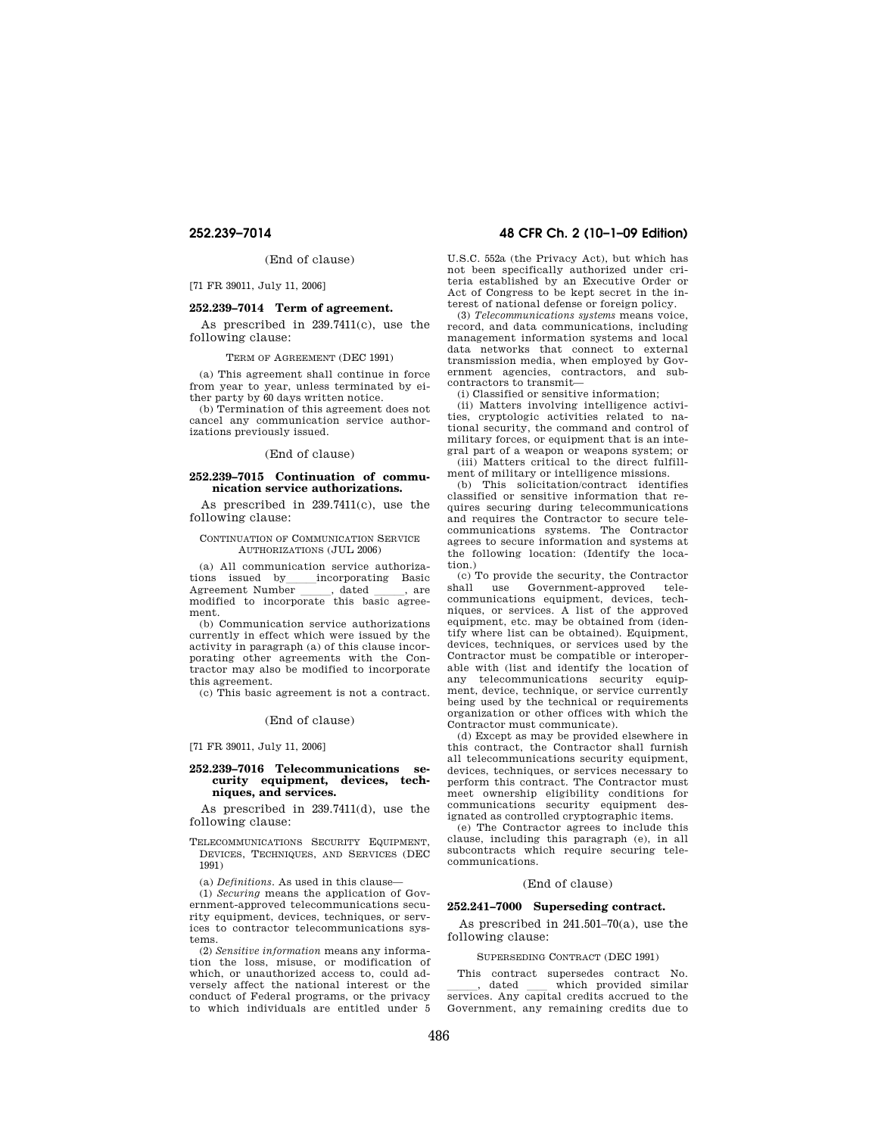(End of clause)

[71 FR 39011, July 11, 2006]

# **252.239–7014 Term of agreement.**

As prescribed in 239.7411(c), use the following clause:

#### TERM OF AGREEMENT (DEC 1991)

(a) This agreement shall continue in force from year to year, unless terminated by either party by 60 days written notice.

(b) Termination of this agreement does not cancel any communication service authorizations previously issued.

#### (End of clause)

## **252.239–7015 Continuation of communication service authorizations.**

As prescribed in 239.7411(c), use the following clause:

## CONTINUATION OF COMMUNICATION SERVICE AUTHORIZATIONS (JUL 2006)

(a) All communication service authorizations issued by \_\_\_incorporating Basic<br>Agreement Number , dated , are Agreement Number \_\_\_\_\_, dated \_\_\_\_, are modified to incorporate this basic agreement.

(b) Communication service authorizations currently in effect which were issued by the activity in paragraph (a) of this clause incorporating other agreements with the Contractor may also be modified to incorporate this agreement.

(c) This basic agreement is not a contract.

(End of clause)

[71 FR 39011, July 11, 2006]

## **252.239–7016 Telecommunications security equipment, devices, techniques, and services.**

As prescribed in 239.7411(d), use the following clause:

TELECOMMUNICATIONS SECURITY EQUIPMENT, DEVICES, TECHNIQUES, AND SERVICES (DEC 1991)

(a) *Definitions.* As used in this clause—

(1) *Securing* means the application of Government-approved telecommunications security equipment, devices, techniques, or services to contractor telecommunications systems.

(2) *Sensitive information* means any information the loss, misuse, or modification of which, or unauthorized access to, could adversely affect the national interest or the conduct of Federal programs, or the privacy to which individuals are entitled under 5

# **252.239–7014 48 CFR Ch. 2 (10–1–09 Edition)**

U.S.C. 552a (the Privacy Act), but which has not been specifically authorized under criteria established by an Executive Order or Act of Congress to be kept secret in the interest of national defense or foreign policy.

(3) *Telecommunications systems* means voice, record, and data communications, including management information systems and local data networks that connect to external transmission media, when employed by Government agencies, contractors, and subcontractors to transmit—

(i) Classified or sensitive information;

(ii) Matters involving intelligence activities, cryptologic activities related to national security, the command and control of military forces, or equipment that is an integral part of a weapon or weapons system; or

(iii) Matters critical to the direct fulfillment of military or intelligence missions.

(b) This solicitation/contract identifies classified or sensitive information that requires securing during telecommunications and requires the Contractor to secure telecommunications systems. The Contractor agrees to secure information and systems at the following location: (Identify the location.)

(c) To provide the security, the Contractor shall use Government-approved telecommunications equipment, devices, techniques, or services. A list of the approved equipment, etc. may be obtained from (identify where list can be obtained). Equipment, devices, techniques, or services used by the Contractor must be compatible or interoperable with (list and identify the location of any telecommunications security equipment, device, technique, or service currently being used by the technical or requirements organization or other offices with which the Contractor must communicate).

(d) Except as may be provided elsewhere in this contract, the Contractor shall furnish all telecommunications security equipment, devices, techniques, or services necessary to perform this contract. The Contractor must meet ownership eligibility conditions for communications security equipment designated as controlled cryptographic items.

(e) The Contractor agrees to include this clause, including this paragraph (e), in all subcontracts which require securing telecommunications.

## (End of clause)

## **252.241–7000 Superseding contract.**

As prescribed in 241.501–70(a), use the following clause:

#### SUPERSEDING CONTRACT (DEC 1991)

This contract supersedes contract No. Illem, dated similar which provided similar<br>services. Any capital credits accrued to the Government, any remaining credits due to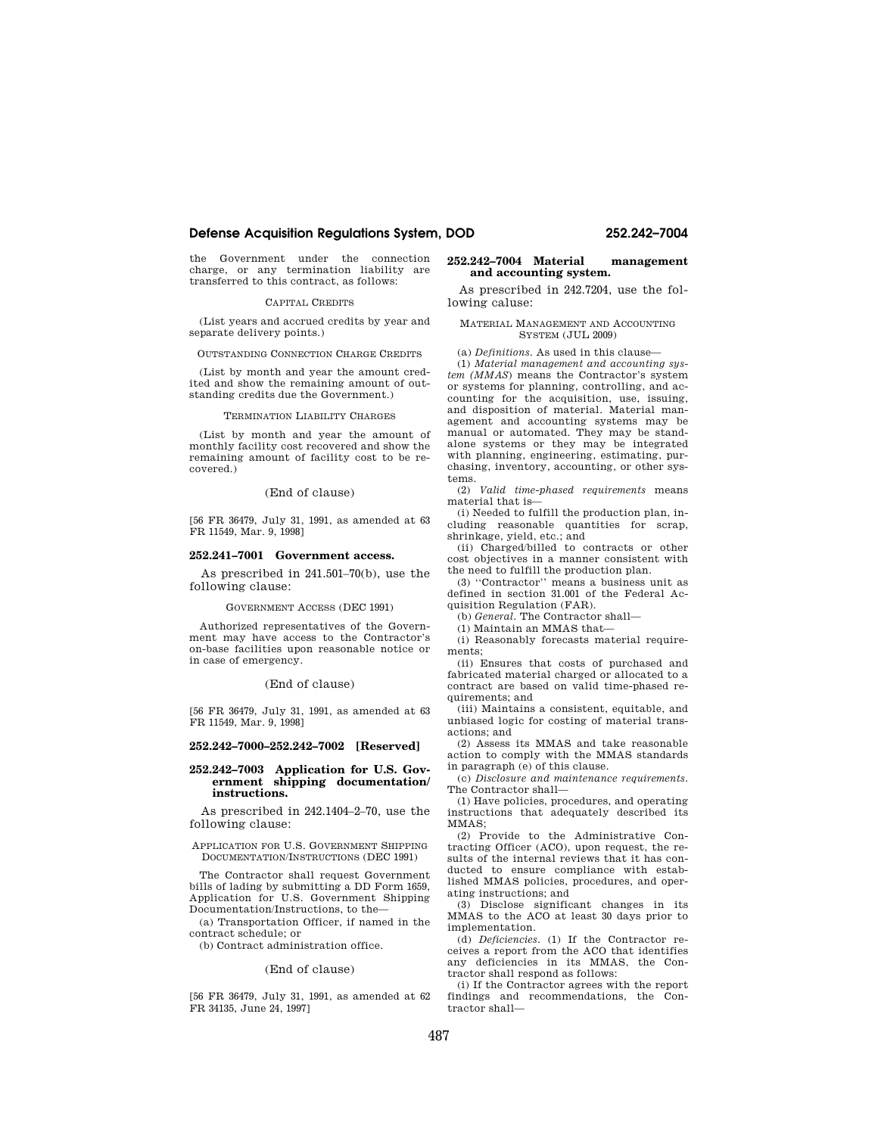the Government under the connection charge, or any termination liability are transferred to this contract, as follows:

#### CAPITAL CREDITS

(List years and accrued credits by year and separate delivery points.)

OUTSTANDING CONNECTION CHARGE CREDITS

(List by month and year the amount credited and show the remaining amount of outstanding credits due the Government.)

### TERMINATION LIABILITY CHARGES

(List by month and year the amount of monthly facility cost recovered and show the remaining amount of facility cost to be recovered.)

## (End of clause)

[56 FR 36479, July 31, 1991, as amended at 63 FR 11549, Mar. 9, 1998]

#### **252.241–7001 Government access.**

As prescribed in 241.501–70(b), use the following clause:

### GOVERNMENT ACCESS (DEC 1991)

Authorized representatives of the Government may have access to the Contractor's on-base facilities upon reasonable notice or in case of emergency.

(End of clause)

[56 FR 36479, July 31, 1991, as amended at 63 FR 11549, Mar. 9, 1998]

#### **252.242–7000–252.242–7002 [Reserved]**

#### **252.242–7003 Application for U.S. Government shipping documentation/ instructions.**

As prescribed in 242.1404–2–70, use the following clause:

#### APPLICATION FOR U.S. GOVERNMENT SHIPPING DOCUMENTATION/INSTRUCTIONS (DEC 1991)

The Contractor shall request Government bills of lading by submitting a DD Form 1659, Application for U.S. Government Shipping Documentation/Instructions, to the—

(a) Transportation Officer, if named in the contract schedule; or

(b) Contract administration office.

## (End of clause)

[56 FR 36479, July 31, 1991, as amended at 62 FR 34135, June 24, 1997]

## **252.242–7004 Material management and accounting system.**

As prescribed in 242.7204, use the following caluse:

#### MATERIAL MANAGEMENT AND ACCOUNTING SYSTEM (JUL 2009)

(a) *Definitions.* As used in this clause—

(1) *Material management and accounting system (MMAS*) means the Contractor's system or systems for planning, controlling, and accounting for the acquisition, use, issuing, and disposition of material. Material management and accounting systems may be manual or automated. They may be standalone systems or they may be integrated with planning, engineering, estimating, purchasing, inventory, accounting, or other systems.

(2) *Valid time-phased requirements* means material that is—

(i) Needed to fulfill the production plan, including reasonable quantities for scrap, shrinkage, yield, etc.; and

(ii) Charged/billed to contracts or other cost objectives in a manner consistent with the need to fulfill the production plan.

(3) ''Contractor'' means a business unit as defined in section 31.001 of the Federal Acquisition Regulation (FAR).

(b) *General*. The Contractor shall-

(1) Maintain an MMAS that—

(i) Reasonably forecasts material requirements;

(ii) Ensures that costs of purchased and fabricated material charged or allocated to a contract are based on valid time-phased requirements; and

(iii) Maintains a consistent, equitable, and unbiased logic for costing of material transactions; and

(2) Assess its MMAS and take reasonable action to comply with the MMAS standards in paragraph (e) of this clause.

(c) *Disclosure and maintenance requirements.*  The Contractor shall—

(1) Have policies, procedures, and operating instructions that adequately described its MMAS;

(2) Provide to the Administrative Contracting Officer (ACO), upon request, the results of the internal reviews that it has conducted to ensure compliance with established MMAS policies, procedures, and operating instructions; and

(3) Disclose significant changes in its MMAS to the ACO at least 30 days prior to implementation.

(d) *Deficiencies.* (1) If the Contractor receives a report from the ACO that identifies any deficiencies in its MMAS, the Contractor shall respond as follows:

(i) If the Contractor agrees with the report findings and recommendations, the Contractor shall—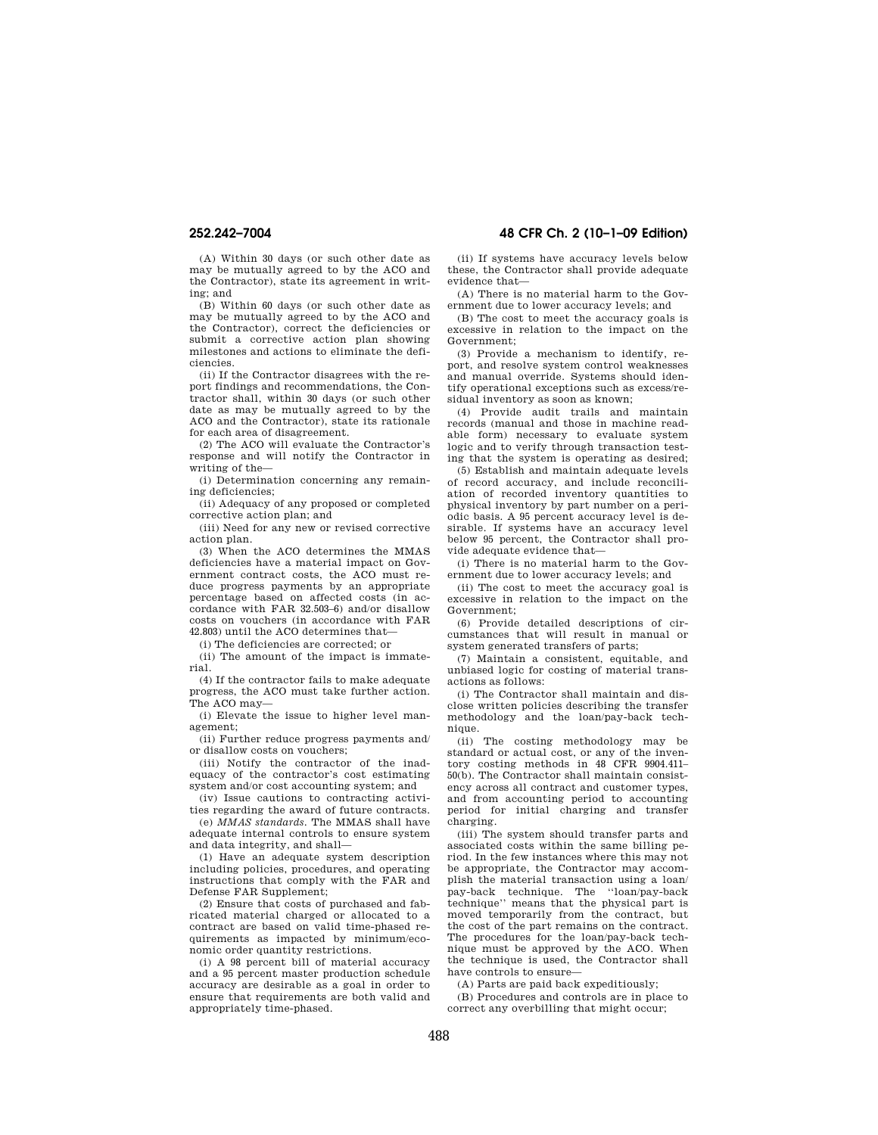(A) Within 30 days (or such other date as may be mutually agreed to by the ACO and the Contractor), state its agreement in writing; and

(B) Within 60 days (or such other date as may be mutually agreed to by the ACO and the Contractor), correct the deficiencies or submit a corrective action plan showing milestones and actions to eliminate the deficiencies.

(ii) If the Contractor disagrees with the report findings and recommendations, the Contractor shall, within 30 days (or such other date as may be mutually agreed to by the ACO and the Contractor), state its rationale for each area of disagreement.

(2) The ACO will evaluate the Contractor's response and will notify the Contractor in writing of the—

(i) Determination concerning any remaining deficiencies;

(ii) Adequacy of any proposed or completed corrective action plan; and

(iii) Need for any new or revised corrective action plan.

(3) When the ACO determines the MMAS deficiencies have a material impact on Government contract costs, the ACO must reduce progress payments by an appropriate percentage based on affected costs (in accordance with FAR 32.503–6) and/or disallow costs on vouchers (in accordance with FAR 42.803) until the ACO determines that—

(i) The deficiencies are corrected; or

(ii) The amount of the impact is immaterial.

(4) If the contractor fails to make adequate progress, the ACO must take further action. The ACO may

(i) Elevate the issue to higher level management;

(ii) Further reduce progress payments and/ or disallow costs on vouchers;

(iii) Notify the contractor of the inadequacy of the contractor's cost estimating system and/or cost accounting system; and

(iv) Issue cautions to contracting activities regarding the award of future contracts.

(e) *MMAS standards.* The MMAS shall have adequate internal controls to ensure system and data integrity, and shall—

(1) Have an adequate system description including policies, procedures, and operating instructions that comply with the FAR and Defense FAR Supplement;

(2) Ensure that costs of purchased and fabricated material charged or allocated to a contract are based on valid time-phased requirements as impacted by minimum/economic order quantity restrictions.

(i) A 98 percent bill of material accuracy and a 95 percent master production schedule accuracy are desirable as a goal in order to ensure that requirements are both valid and appropriately time-phased.

**252.242–7004 48 CFR Ch. 2 (10–1–09 Edition)** 

(ii) If systems have accuracy levels below these, the Contractor shall provide adequate evidence that—

(A) There is no material harm to the Government due to lower accuracy levels; and

(B) The cost to meet the accuracy goals is excessive in relation to the impact on the Government;

(3) Provide a mechanism to identify, report, and resolve system control weaknesses and manual override. Systems should identify operational exceptions such as excess/residual inventory as soon as known;

(4) Provide audit trails and maintain records (manual and those in machine readable form) necessary to evaluate system logic and to verify through transaction testing that the system is operating as desired;

(5) Establish and maintain adequate levels of record accuracy, and include reconciliation of recorded inventory quantities to physical inventory by part number on a periodic basis. A 95 percent accuracy level is desirable. If systems have an accuracy level below 95 percent, the Contractor shall provide adequate evidence that—

(i) There is no material harm to the Government due to lower accuracy levels; and

(ii) The cost to meet the accuracy goal is excessive in relation to the impact on the Government;

(6) Provide detailed descriptions of circumstances that will result in manual or system generated transfers of parts;

(7) Maintain a consistent, equitable, and unbiased logic for costing of material transactions as follows:

(i) The Contractor shall maintain and disclose written policies describing the transfer methodology and the loan/pay-back technique.

(ii) The costing methodology may be standard or actual cost, or any of the inventory costing methods in 48 CFR 9904.411– 50(b). The Contractor shall maintain consistency across all contract and customer types, and from accounting period to accounting period for initial charging and transfer charging.

(iii) The system should transfer parts and associated costs within the same billing period. In the few instances where this may not be appropriate, the Contractor may accomplish the material transaction using a loan/ pay-back technique. The ''loan/pay-back technique'' means that the physical part is moved temporarily from the contract, but the cost of the part remains on the contract. The procedures for the loan/pay-back technique must be approved by the ACO. When the technique is used, the Contractor shall have controls to ensure—

(A) Parts are paid back expeditiously;

(B) Procedures and controls are in place to correct any overbilling that might occur;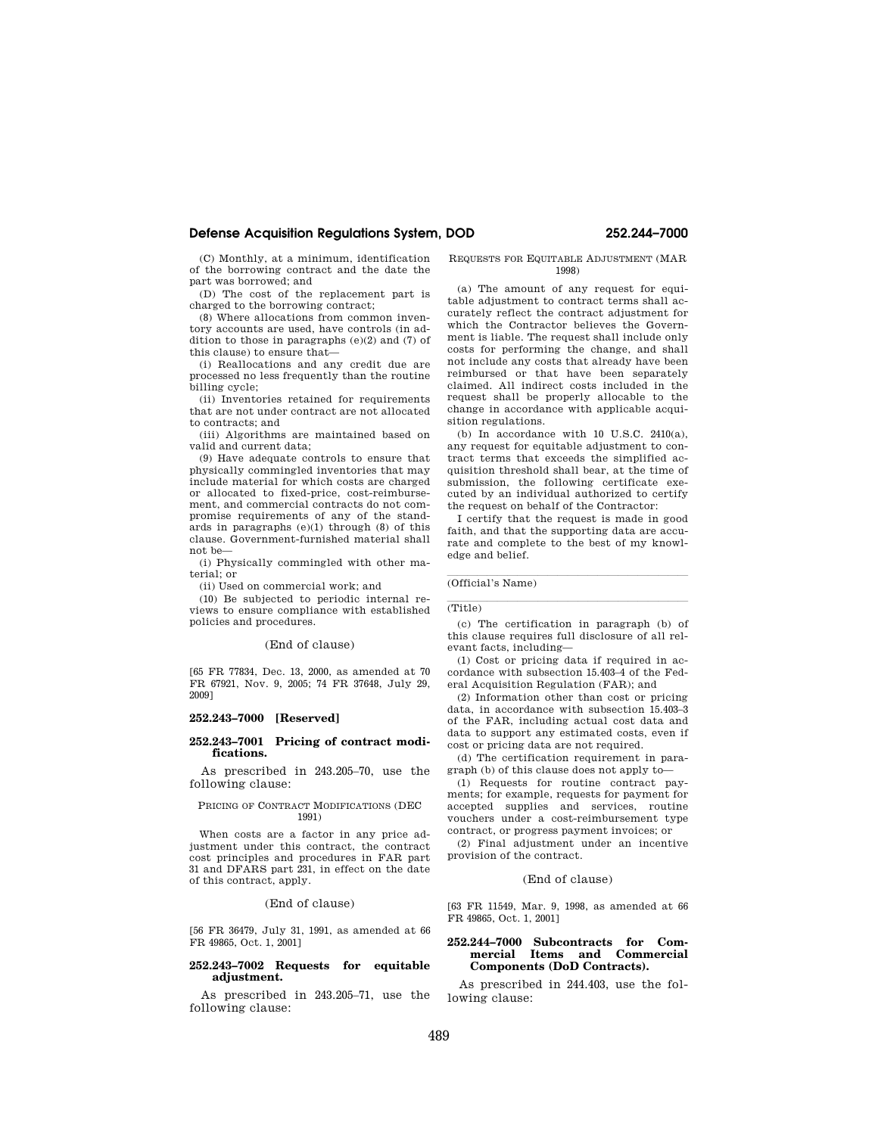(C) Monthly, at a minimum, identification of the borrowing contract and the date the part was borrowed; and

(D) The cost of the replacement part is charged to the borrowing contract;

(8) Where allocations from common inventory accounts are used, have controls (in addition to those in paragraphs (e)(2) and (7) of this clause) to ensure that—

(i) Reallocations and any credit due are processed no less frequently than the routine billing cycle;

(ii) Inventories retained for requirements that are not under contract are not allocated to contracts; and

(iii) Algorithms are maintained based on valid and current data;

(9) Have adequate controls to ensure that physically commingled inventories that may include material for which costs are charged or allocated to fixed-price, cost-reimbursement, and commercial contracts do not compromise requirements of any of the standards in paragraphs (e)(1) through (8) of this clause. Government-furnished material shall not be—

(i) Physically commingled with other material; or

(ii) Used on commercial work; and

(10) Be subjected to periodic internal reviews to ensure compliance with established policies and procedures.

#### (End of clause)

[65 FR 77834, Dec. 13, 2000, as amended at 70 FR 67921, Nov. 9, 2005; 74 FR 37648, July 29, 2009]

## **252.243–7000 [Reserved]**

#### **252.243–7001 Pricing of contract modifications.**

As prescribed in 243.205–70, use the following clause:

#### PRICING OF CONTRACT MODIFICATIONS (DEC 1991)

When costs are a factor in any price adjustment under this contract, the contract cost principles and procedures in FAR part 31 and DFARS part 231, in effect on the date of this contract, apply.

## (End of clause)

[56 FR 36479, July 31, 1991, as amended at 66 FR 49865, Oct. 1, 2001]

## **252.243–7002 Requests for equitable adjustment.**

As prescribed in 243.205–71, use the following clause:

#### REQUESTS FOR EQUITABLE ADJUSTMENT (MAR 1998)

(a) The amount of any request for equitable adjustment to contract terms shall accurately reflect the contract adjustment for which the Contractor believes the Government is liable. The request shall include only costs for performing the change, and shall not include any costs that already have been reimbursed or that have been separately claimed. All indirect costs included in the request shall be properly allocable to the change in accordance with applicable acquisition regulations.

(b) In accordance with 10 U.S.C. 2410(a), any request for equitable adjustment to contract terms that exceeds the simplified acquisition threshold shall bear, at the time of submission, the following certificate executed by an individual authorized to certify the request on behalf of the Contractor:

I certify that the request is made in good faith, and that the supporting data are accurate and complete to the best of my knowledge and belief.

(Official's Name)

# (Title)

(c) The certification in paragraph (b) of this clause requires full disclosure of all relevant facts, including—

(1) Cost or pricing data if required in accordance with subsection 15.403–4 of the Federal Acquisition Regulation (FAR); and

(2) Information other than cost or pricing data, in accordance with subsection 15.403–3 of the FAR, including actual cost data and data to support any estimated costs, even if cost or pricing data are not required.

(d) The certification requirement in paragraph (b) of this clause does not apply to—

(1) Requests for routine contract payments; for example, requests for payment for accepted supplies and services, routine vouchers under a cost-reimbursement type contract, or progress payment invoices; or

(2) Final adjustment under an incentive provision of the contract.

### (End of clause)

[63 FR 11549, Mar. 9, 1998, as amended at 66 FR 49865, Oct. 1, 2001]

## **252.244–7000 Subcontracts for Commercial Items and Commercial Components (DoD Contracts).**

As prescribed in 244.403, use the following clause: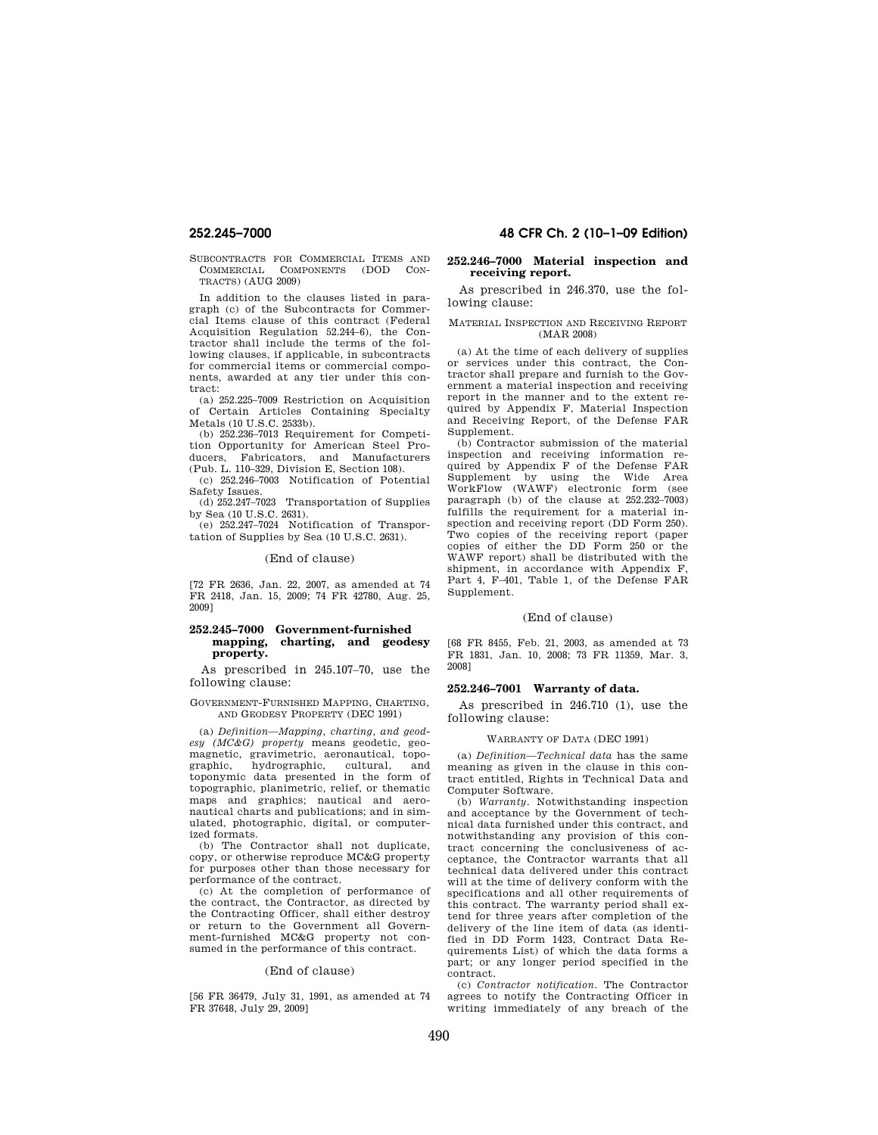SUBCONTRACTS FOR COMMERCIAL ITEMS AND COMMERCIAL COMPONENTS (DOD CON-TRACTS) (AUG 2009)

In addition to the clauses listed in paragraph (c) of the Subcontracts for Commercial Items clause of this contract (Federal Acquisition Regulation 52.244–6), the Contractor shall include the terms of the following clauses, if applicable, in subcontracts for commercial items or commercial components, awarded at any tier under this contract:

(a) 252.225–7009 Restriction on Acquisition of Certain Articles Containing Specialty Metals (10 U.S.C. 2533b).

(b) 252.236–7013 Requirement for Competition Opportunity for American Steel Producers, Fabricators, and Manufacturers (Pub. L. 110–329, Division E, Section 108).

(c) 252.246–7003 Notification of Potential Safety Issues.

(d) 252.247–7023 Transportation of Supplies by Sea (10 U.S.C. 2631).

(e) 252.247–7024 Notification of Transportation of Supplies by Sea (10 U.S.C. 2631).

## (End of clause)

[72 FR 2636, Jan. 22, 2007, as amended at 74 FR 2418, Jan. 15, 2009; 74 FR 42780, Aug. 25, 2009]

## **252.245–7000 Government-furnished mapping, charting, and geodesy property.**

As prescribed in 245.107–70, use the following clause:

## GOVERNMENT-FURNISHED MAPPING, CHARTING, AND GEODESY PROPERTY (DEC 1991)

(a) *Definition—Mapping, charting, and geodesy (MC&G) property* means geodetic, geomagnetic, gravimetric, aeronautical, topo-<br>graphic, hydrographic, cultural, and hydrographic, cultural, and toponymic data presented in the form of topographic, planimetric, relief, or thematic maps and graphics; nautical and aeronautical charts and publications; and in simulated, photographic, digital, or computerized formats.

(b) The Contractor shall not duplicate, copy, or otherwise reproduce MC&G property for purposes other than those necessary for performance of the contract.

(c) At the completion of performance of the contract, the Contractor, as directed by the Contracting Officer, shall either destroy or return to the Government all Government-furnished MC&G property not consumed in the performance of this contract.

#### (End of clause)

[56 FR 36479, July 31, 1991, as amended at 74 FR 37648, July 29, 2009]

# **252.245–7000 48 CFR Ch. 2 (10–1–09 Edition)**

## **252.246–7000 Material inspection and receiving report.**

As prescribed in 246.370, use the following clause:

#### MATERIAL INSPECTION AND RECEIVING REPORT (MAR 2008)

(a) At the time of each delivery of supplies or services under this contract, the Contractor shall prepare and furnish to the Government a material inspection and receiving report in the manner and to the extent required by Appendix F, Material Inspection and Receiving Report, of the Defense FAR Supplement.

(b) Contractor submission of the material inspection and receiving information required by Appendix F of the Defense FAR<br>Supplement by using the Wide Area by using the Wide Area WorkFlow (WAWF) electronic form (see paragraph (b) of the clause at 252.232–7003) fulfills the requirement for a material inspection and receiving report (DD Form 250). Two copies of the receiving report (paper copies of either the DD Form 250 or the WAWF report) shall be distributed with the shipment, in accordance with Appendix F, Part 4, F–401, Table 1, of the Defense FAR Supplement.

### (End of clause)

[68 FR 8455, Feb. 21, 2003, as amended at 73 FR 1831, Jan. 10, 2008; 73 FR 11359, Mar. 3, 2008]

## **252.246–7001 Warranty of data.**

As prescribed in 246.710 (1), use the following clause:

### WARRANTY OF DATA (DEC 1991)

(a) *Definition—Technical data* has the same meaning as given in the clause in this contract entitled, Rights in Technical Data and Computer Software.

(b) *Warranty.* Notwithstanding inspection and acceptance by the Government of technical data furnished under this contract, and notwithstanding any provision of this contract concerning the conclusiveness of acceptance, the Contractor warrants that all technical data delivered under this contract will at the time of delivery conform with the specifications and all other requirements of this contract. The warranty period shall extend for three years after completion of the delivery of the line item of data (as identified in DD Form 1423, Contract Data Requirements List) of which the data forms a part; or any longer period specified in the contract.

(c) *Contractor notification.* The Contractor agrees to notify the Contracting Officer in writing immediately of any breach of the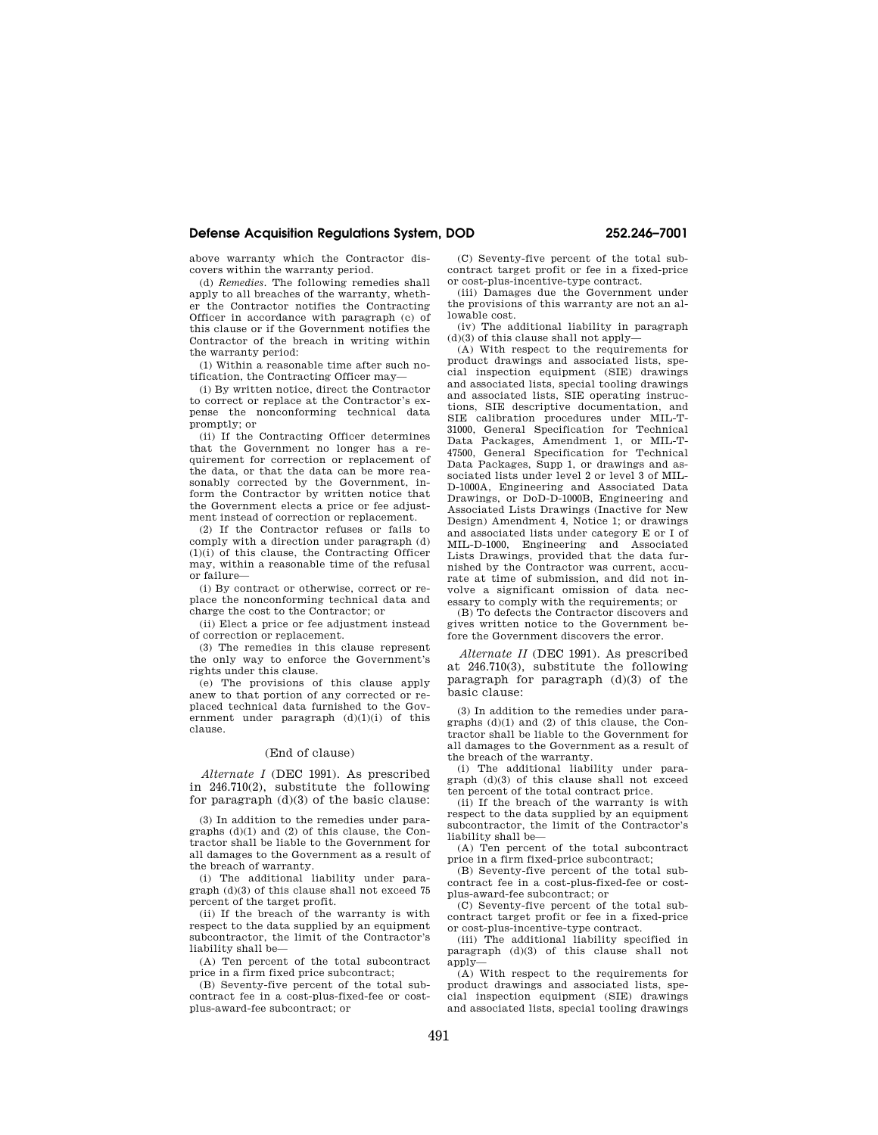above warranty which the Contractor discovers within the warranty period.

(d) *Remedies.* The following remedies shall apply to all breaches of the warranty, whether the Contractor notifies the Contracting Officer in accordance with paragraph (c) of this clause or if the Government notifies the Contractor of the breach in writing within the warranty period:

(1) Within a reasonable time after such notification, the Contracting Officer may—

(i) By written notice, direct the Contractor to correct or replace at the Contractor's expense the nonconforming technical data promptly; or

(ii) If the Contracting Officer determines that the Government no longer has a requirement for correction or replacement of the data, or that the data can be more reasonably corrected by the Government, inform the Contractor by written notice that the Government elects a price or fee adjustment instead of correction or replacement.

(2) If the Contractor refuses or fails to comply with a direction under paragraph (d) (1)(i) of this clause, the Contracting Officer may, within a reasonable time of the refusal or failure—

(i) By contract or otherwise, correct or replace the nonconforming technical data and charge the cost to the Contractor; or

(ii) Elect a price or fee adjustment instead of correction or replacement.

(3) The remedies in this clause represent the only way to enforce the Government's rights under this clause.

(e) The provisions of this clause apply anew to that portion of any corrected or replaced technical data furnished to the Government under paragraph (d)(1)(i) of this clause.

### (End of clause)

*Alternate I* (DEC 1991). As prescribed in 246.710(2), substitute the following for paragraph (d)(3) of the basic clause:

(3) In addition to the remedies under paragraphs (d)(1) and (2) of this clause, the Contractor shall be liable to the Government for all damages to the Government as a result of the breach of warranty.

(i) The additional liability under paragraph  $(d)(3)$  of this clause shall not exceed 75 percent of the target profit.

(ii) If the breach of the warranty is with respect to the data supplied by an equipment subcontractor, the limit of the Contractor's liability shall be—

(A) Ten percent of the total subcontract price in a firm fixed price subcontract;

(B) Seventy-five percent of the total subcontract fee in a cost-plus-fixed-fee or costplus-award-fee subcontract; or

(C) Seventy-five percent of the total subcontract target profit or fee in a fixed-price or cost-plus-incentive-type contract.

(iii) Damages due the Government under the provisions of this warranty are not an allowable cost.

(iv) The additional liability in paragraph  $(d)(3)$  of this clause shall not apply-

(A) With respect to the requirements for product drawings and associated lists, special inspection equipment (SIE) drawings and associated lists, special tooling drawings and associated lists, SIE operating instructions, SIE descriptive documentation, and SIE calibration procedures under MIL-T-31000, General Specification for Technical Data Packages, Amendment 1, or MIL-T-47500, General Specification for Technical Data Packages, Supp 1, or drawings and associated lists under level 2 or level 3 of MIL-D-1000A, Engineering and Associated Data Drawings, or DoD-D-1000B, Engineering and Associated Lists Drawings (Inactive for New Design) Amendment 4, Notice 1; or drawings and associated lists under category E or I of MIL-D-1000, Engineering and Associated Lists Drawings, provided that the data furnished by the Contractor was current, accurate at time of submission, and did not involve a significant omission of data necessary to comply with the requirements; or

(B) To defects the Contractor discovers and gives written notice to the Government before the Government discovers the error.

*Alternate II* (DEC 1991). As prescribed at 246.710(3), substitute the following paragraph for paragraph (d)(3) of the basic clause:

(3) In addition to the remedies under paragraphs (d)(1) and (2) of this clause, the Contractor shall be liable to the Government for all damages to the Government as a result of the breach of the warranty.

(i) The additional liability under paragraph (d)(3) of this clause shall not exceed ten percent of the total contract price.

(ii) If the breach of the warranty is with respect to the data supplied by an equipment subcontractor, the limit of the Contractor's liability shall be—

(A) Ten percent of the total subcontract price in a firm fixed-price subcontract;

(B) Seventy-five percent of the total subcontract fee in a cost-plus-fixed-fee or costplus-award-fee subcontract; or

(C) Seventy-five percent of the total subcontract target profit or fee in a fixed-price

or cost-plus-incentive-type contract. (iii) The additional liability specified in paragraph (d)(3) of this clause shall not apply—

(A) With respect to the requirements for product drawings and associated lists, special inspection equipment (SIE) drawings and associated lists, special tooling drawings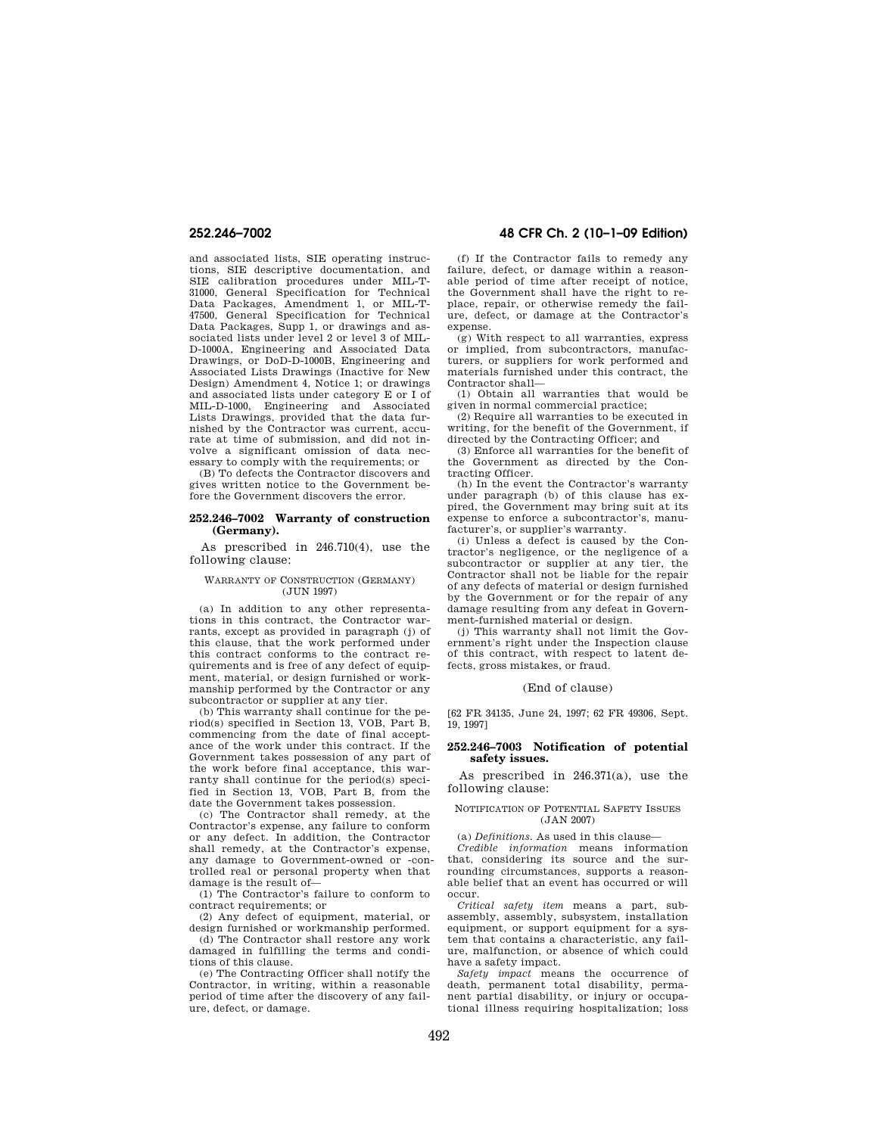and associated lists, SIE operating instructions, SIE descriptive documentation, and SIE calibration procedures under MIL-T-31000, General Specification for Technical Data Packages, Amendment 1, or MIL-T-47500, General Specification for Technical Data Packages, Supp 1, or drawings and associated lists under level 2 or level 3 of MIL-D-1000A, Engineering and Associated Data Drawings, or DoD-D-1000B, Engineering and Associated Lists Drawings (Inactive for New Design) Amendment 4, Notice 1; or drawings and associated lists under category E or I of MIL-D-1000, Engineering and Associated Lists Drawings, provided that the data furnished by the Contractor was current, accurate at time of submission, and did not involve a significant omission of data necessary to comply with the requirements; or

(B) To defects the Contractor discovers and gives written notice to the Government before the Government discovers the error.

## **252.246–7002 Warranty of construction (Germany).**

As prescribed in 246.710(4), use the following clause:

#### WARRANTY OF CONSTRUCTION (GERMANY) (JUN 1997)

(a) In addition to any other representations in this contract, the Contractor warrants, except as provided in paragraph (j) of this clause, that the work performed under this contract conforms to the contract requirements and is free of any defect of equipment, material, or design furnished or workmanship performed by the Contractor or any subcontractor or supplier at any tier.

(b) This warranty shall continue for the period(s) specified in Section 13, VOB, Part B, commencing from the date of final acceptance of the work under this contract. If the Government takes possession of any part of the work before final acceptance, this warranty shall continue for the period(s) specified in Section 13, VOB, Part B, from the date the Government takes possession.

(c) The Contractor shall remedy, at the Contractor's expense, any failure to conform or any defect. In addition, the Contractor shall remedy, at the Contractor's expense, any damage to Government-owned or -controlled real or personal property when that damage is the result of—

(1) The Contractor's failure to conform to contract requirements; or

(2) Any defect of equipment, material, or design furnished or workmanship performed.

(d) The Contractor shall restore any work damaged in fulfilling the terms and conditions of this clause.

(e) The Contracting Officer shall notify the Contractor, in writing, within a reasonable period of time after the discovery of any failure, defect, or damage.

# **252.246–7002 48 CFR Ch. 2 (10–1–09 Edition)**

(f) If the Contractor fails to remedy any failure, defect, or damage within a reasonable period of time after receipt of notice, the Government shall have the right to replace, repair, or otherwise remedy the failure, defect, or damage at the Contractor's expense.

(g) With respect to all warranties, express or implied, from subcontractors, manufacturers, or suppliers for work performed and materials furnished under this contract, the Contractor shall—

(1) Obtain all warranties that would be given in normal commercial practice;

(2) Require all warranties to be executed in writing, for the benefit of the Government, if directed by the Contracting Officer; and

(3) Enforce all warranties for the benefit of the Government as directed by the Contracting Officer.

(h) In the event the Contractor's warranty under paragraph (b) of this clause has expired, the Government may bring suit at its expense to enforce a subcontractor's, manufacturer's, or supplier's warranty.

(i) Unless a defect is caused by the Contractor's negligence, or the negligence of a subcontractor or supplier at any tier, the Contractor shall not be liable for the repair of any defects of material or design furnished by the Government or for the repair of any damage resulting from any defeat in Government-furnished material or design.

(j) This warranty shall not limit the Government's right under the Inspection clause of this contract, with respect to latent defects, gross mistakes, or fraud.

### (End of clause)

[62 FR 34135, June 24, 1997; 62 FR 49306, Sept. 19, 1997]

## **252.246–7003 Notification of potential safety issues.**

As prescribed in 246.371(a), use the following clause:

#### NOTIFICATION OF POTENTIAL SAFETY ISSUES (JAN 2007)

(a) *Definitions.* As used in this clause—

*Credible information* means information that, considering its source and the surrounding circumstances, supports a reasonable belief that an event has occurred or will occur.

*Critical safety item* means a part, subassembly, assembly, subsystem, installation equipment, or support equipment for a system that contains a characteristic, any failure, malfunction, or absence of which could have a safety impact.

*Safety impact* means the occurrence of death, permanent total disability, permanent partial disability, or injury or occupational illness requiring hospitalization; loss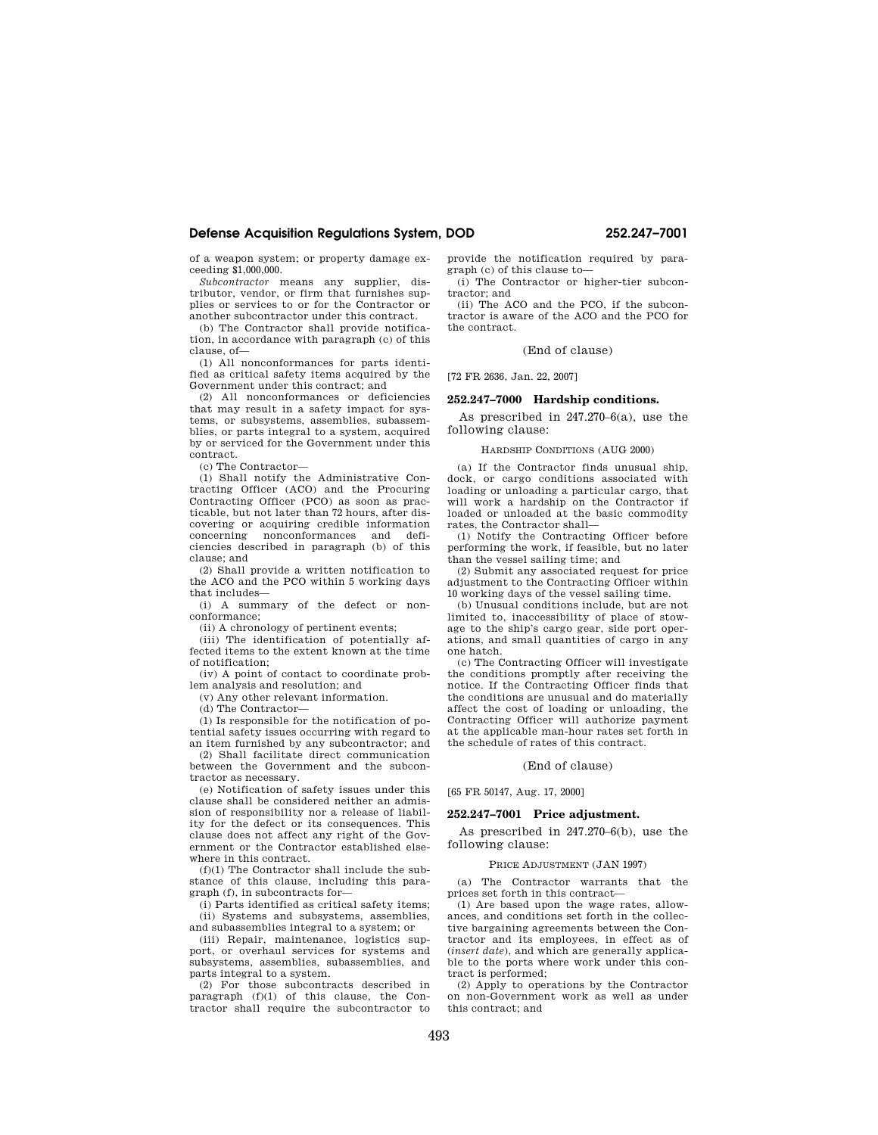of a weapon system; or property damage exceeding \$1,000,000.

*Subcontractor* means any supplier, distributor, vendor, or firm that furnishes supplies or services to or for the Contractor or another subcontractor under this contract.

(b) The Contractor shall provide notification, in accordance with paragraph (c) of this clause, of—

(1) All nonconformances for parts identified as critical safety items acquired by the Government under this contract; and

(2) All nonconformances or deficiencies that may result in a safety impact for systems, or subsystems, assemblies, subassemblies, or parts integral to a system, acquired by or serviced for the Government under this contract.

(c) The Contractor—

(1) Shall notify the Administrative Contracting Officer (ACO) and the Procuring Contracting Officer (PCO) as soon as practicable, but not later than 72 hours, after discovering or acquiring credible information concerning nonconformances and deficiencies described in paragraph (b) of this clause; and

(2) Shall provide a written notification to the ACO and the PCO within 5 working days that includes—

(i) A summary of the defect or nonconformance;

(ii) A chronology of pertinent events;

(iii) The identification of potentially affected items to the extent known at the time of notification;

(iv) A point of contact to coordinate problem analysis and resolution; and

(v) Any other relevant information.

(d) The Contractor—

(1) Is responsible for the notification of potential safety issues occurring with regard to an item furnished by any subcontractor; and

(2) Shall facilitate direct communication between the Government and the subcontractor as necessary.

(e) Notification of safety issues under this clause shall be considered neither an admission of responsibility nor a release of liability for the defect or its consequences. This clause does not affect any right of the Government or the Contractor established elsewhere in this contract.

(f)(1) The Contractor shall include the substance of this clause, including this paragraph (f), in subcontracts for—

(i) Parts identified as critical safety items; (ii) Systems and subsystems, assemblies, and subassemblies integral to a system; or

(iii) Repair, maintenance, logistics support, or overhaul services for systems and subsystems, assemblies, subassemblies, and parts integral to a system.

(2) For those subcontracts described in paragraph (f)(1) of this clause, the Contractor shall require the subcontractor to provide the notification required by paragraph (c) of this clause to—

(i) The Contractor or higher-tier subcontractor; and

(ii) The ACO and the PCO, if the subcontractor is aware of the ACO and the PCO for the contract.

#### (End of clause)

[72 FR 2636, Jan. 22, 2007]

**252.247–7000 Hardship conditions.** 

As prescribed in 247.270–6(a), use the following clause:

## HARDSHIP CONDITIONS (AUG 2000)

(a) If the Contractor finds unusual ship, dock, or cargo conditions associated with loading or unloading a particular cargo, that will work a hardship on the Contractor if loaded or unloaded at the basic commodity rates, the Contractor shall—

(1) Notify the Contracting Officer before performing the work, if feasible, but no later than the vessel sailing time; and

(2) Submit any associated request for price adjustment to the Contracting Officer within 10 working days of the vessel sailing time.

(b) Unusual conditions include, but are not limited to, inaccessibility of place of stowage to the ship's cargo gear, side port operations, and small quantities of cargo in any one hatch.

(c) The Contracting Officer will investigate the conditions promptly after receiving the notice. If the Contracting Officer finds that the conditions are unusual and do materially affect the cost of loading or unloading, the Contracting Officer will authorize payment at the applicable man-hour rates set forth in the schedule of rates of this contract.

## (End of clause)

[65 FR 50147, Aug. 17, 2000]

## **252.247–7001 Price adjustment.**

As prescribed in 247.270–6(b), use the following clause:

#### PRICE ADJUSTMENT (JAN 1997)

(a) The Contractor warrants that the prices set forth in this contract—

(1) Are based upon the wage rates, allowances, and conditions set forth in the collective bargaining agreements between the Contractor and its employees, in effect as of (*insert date*), and which are generally applicable to the ports where work under this contract is performed;

(2) Apply to operations by the Contractor on non-Government work as well as under this contract; and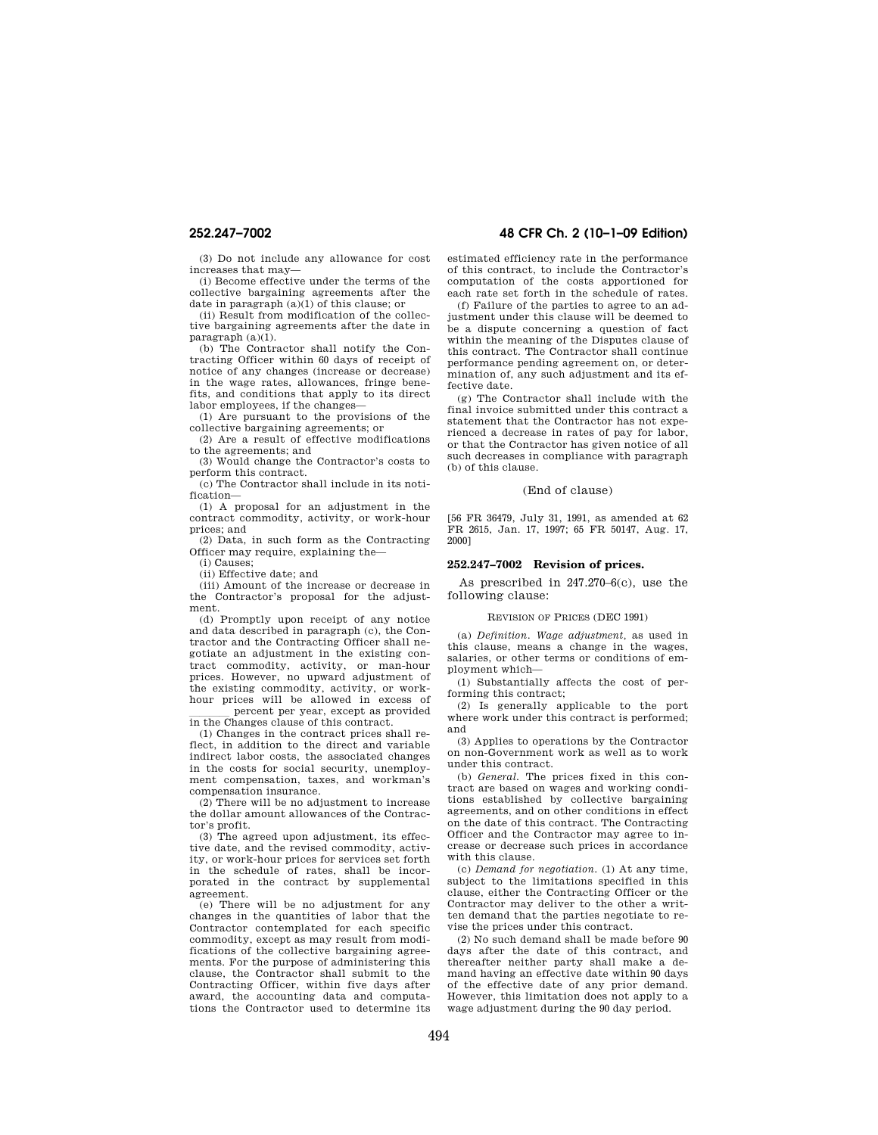(3) Do not include any allowance for cost increases that may—

(i) Become effective under the terms of the collective bargaining agreements after the date in paragraph (a)(1) of this clause; or

(ii) Result from modification of the collective bargaining agreements after the date in paragraph  $(a)(1)$ .

(b) The Contractor shall notify the Contracting Officer within 60 days of receipt of notice of any changes (increase or decrease) in the wage rates, allowances, fringe benefits, and conditions that apply to its direct labor employees, if the changes-

(1) Are pursuant to the provisions of the collective bargaining agreements; or

(2) Are a result of effective modifications to the agreements; and

(3) Would change the Contractor's costs to perform this contract.

(c) The Contractor shall include in its notification—

(1) A proposal for an adjustment in the contract commodity, activity, or work-hour prices; and

(2) Data, in such form as the Contracting Officer may require, explaining the—

(i) Causes;

(ii) Effective date; and

(iii) Amount of the increase or decrease in the Contractor's proposal for the adjustment.

(d) Promptly upon receipt of any notice and data described in paragraph (c), the Contractor and the Contracting Officer shall negotiate an adjustment in the existing contract commodity, activity, or man-hour prices. However, no upward adjustment of the existing commodity, activity, or workhour prices will be allowed in excess of

percent per year, except as provided in the Changes clause of this contract.

(1) Changes in the contract prices shall reflect, in addition to the direct and variable indirect labor costs, the associated changes in the costs for social security, unemployment compensation, taxes, and workman's compensation insurance.

(2) There will be no adjustment to increase the dollar amount allowances of the Contractor's profit.

(3) The agreed upon adjustment, its effective date, and the revised commodity, activity, or work-hour prices for services set forth in the schedule of rates, shall be incorporated in the contract by supplemental agreement.

(e) There will be no adjustment for any changes in the quantities of labor that the Contractor contemplated for each specific commodity, except as may result from modifications of the collective bargaining agreements. For the purpose of administering this clause, the Contractor shall submit to the Contracting Officer, within five days after award, the accounting data and computations the Contractor used to determine its

# **252.247–7002 48 CFR Ch. 2 (10–1–09 Edition)**

estimated efficiency rate in the performance of this contract, to include the Contractor's computation of the costs apportioned for each rate set forth in the schedule of rates.

(f) Failure of the parties to agree to an adjustment under this clause will be deemed to be a dispute concerning a question of fact within the meaning of the Disputes clause of this contract. The Contractor shall continue performance pending agreement on, or determination of, any such adjustment and its effective date.

(g) The Contractor shall include with the final invoice submitted under this contract a statement that the Contractor has not experienced a decrease in rates of pay for labor, or that the Contractor has given notice of all such decreases in compliance with paragraph (b) of this clause.

#### (End of clause)

[56 FR 36479, July 31, 1991, as amended at 62 FR 2615, Jan. 17, 1997; 65 FR 50147, Aug. 17, 2000]

### **252.247–7002 Revision of prices.**

As prescribed in 247.270–6(c), use the following clause:

## REVISION OF PRICES (DEC 1991)

(a) *Definition. Wage adjustment,* as used in this clause, means a change in the wages, salaries, or other terms or conditions of employment which—

(1) Substantially affects the cost of performing this contract;

(2) Is generally applicable to the port where work under this contract is performed; and

(3) Applies to operations by the Contractor on non-Government work as well as to work under this contract.

(b) *General.* The prices fixed in this contract are based on wages and working conditions established by collective bargaining agreements, and on other conditions in effect on the date of this contract. The Contracting Officer and the Contractor may agree to increase or decrease such prices in accordance with this clause.

(c) *Demand for negotiation.* (1) At any time, subject to the limitations specified in this clause, either the Contracting Officer or the Contractor may deliver to the other a written demand that the parties negotiate to revise the prices under this contract.

(2) No such demand shall be made before 90 days after the date of this contract, and thereafter neither party shall make a demand having an effective date within 90 days of the effective date of any prior demand. However, this limitation does not apply to a wage adjustment during the 90 day period.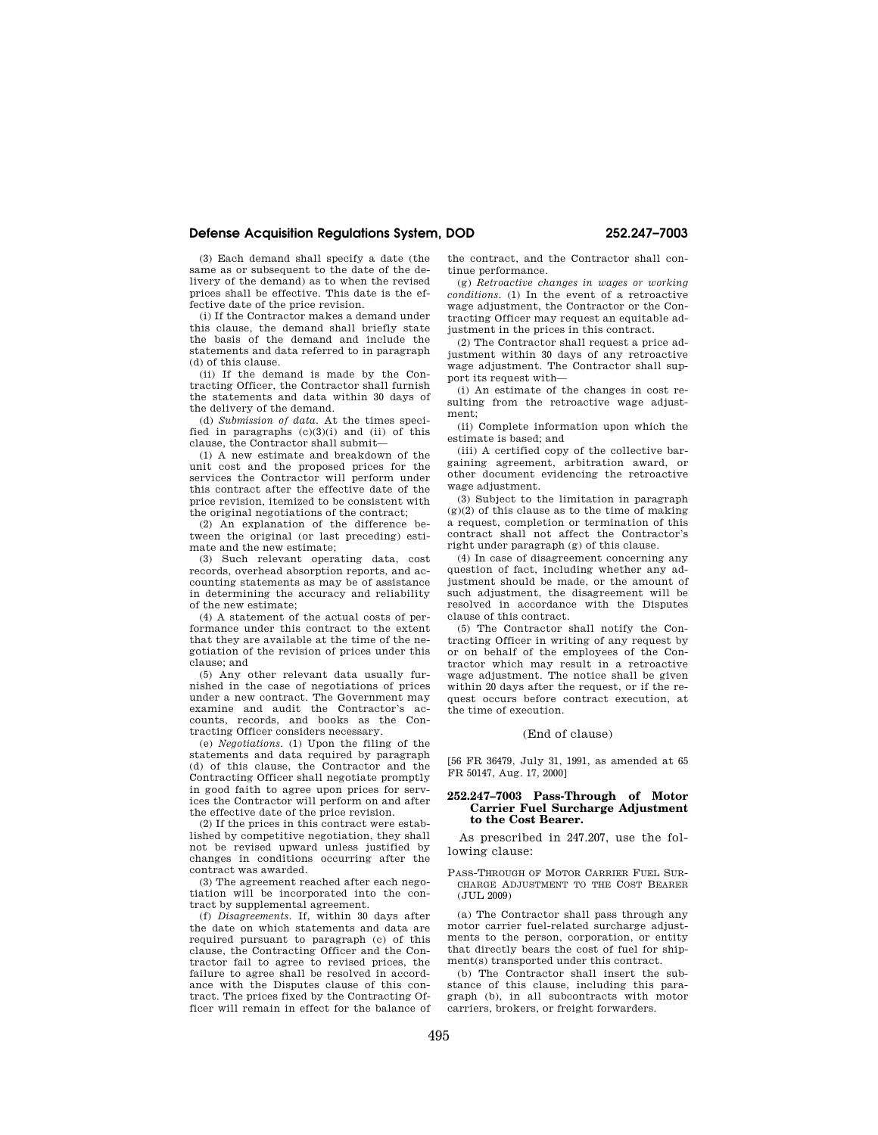(3) Each demand shall specify a date (the same as or subsequent to the date of the delivery of the demand) as to when the revised prices shall be effective. This date is the effective date of the price revision.

(i) If the Contractor makes a demand under this clause, the demand shall briefly state the basis of the demand and include the statements and data referred to in paragraph (d) of this clause.

(ii) If the demand is made by the Contracting Officer, the Contractor shall furnish the statements and data within 30 days of the delivery of the demand.

(d) *Submission of data.* At the times specified in paragraphs  $(c)(3)(i)$  and  $(ii)$  of this clause, the Contractor shall submit—

(1) A new estimate and breakdown of the unit cost and the proposed prices for the services the Contractor will perform under this contract after the effective date of the price revision, itemized to be consistent with the original negotiations of the contract;

(2) An explanation of the difference between the original (or last preceding) estimate and the new estimate;

(3) Such relevant operating data, cost records, overhead absorption reports, and accounting statements as may be of assistance in determining the accuracy and reliability of the new estimate;

(4) A statement of the actual costs of performance under this contract to the extent that they are available at the time of the negotiation of the revision of prices under this clause; and

(5) Any other relevant data usually furnished in the case of negotiations of prices under a new contract. The Government may examine and audit the Contractor's accounts, records, and books as the Contracting Officer considers necessary.

(e) *Negotiations.* (1) Upon the filing of the statements and data required by paragraph (d) of this clause, the Contractor and the Contracting Officer shall negotiate promptly in good faith to agree upon prices for services the Contractor will perform on and after the effective date of the price revision.

(2) If the prices in this contract were established by competitive negotiation, they shall not be revised upward unless justified by changes in conditions occurring after the contract was awarded.

(3) The agreement reached after each negotiation will be incorporated into the contract by supplemental agreement.

(f) *Disagreements.* If, within 30 days after the date on which statements and data are required pursuant to paragraph (c) of this clause, the Contracting Officer and the Contractor fail to agree to revised prices, the failure to agree shall be resolved in accordance with the Disputes clause of this contract. The prices fixed by the Contracting Officer will remain in effect for the balance of the contract, and the Contractor shall continue performance.

(g) *Retroactive changes in wages or working conditions.* (1) In the event of a retroactive wage adjustment, the Contractor or the Contracting Officer may request an equitable adjustment in the prices in this contract.

(2) The Contractor shall request a price adjustment within 30 days of any retroactive wage adjustment. The Contractor shall support its request with—

(i) An estimate of the changes in cost resulting from the retroactive wage adjustment;

(ii) Complete information upon which the estimate is based; and

(iii) A certified copy of the collective bargaining agreement, arbitration award, or other document evidencing the retroactive wage adjustment.

(3) Subject to the limitation in paragraph  $(g)(2)$  of this clause as to the time of making a request, completion or termination of this contract shall not affect the Contractor's right under paragraph (g) of this clause.

(4) In case of disagreement concerning any question of fact, including whether any adjustment should be made, or the amount of such adjustment, the disagreement will be resolved in accordance with the Disputes clause of this contract.

(5) The Contractor shall notify the Contracting Officer in writing of any request by or on behalf of the employees of the Contractor which may result in a retroactive wage adjustment. The notice shall be given within 20 days after the request, or if the request occurs before contract execution, at the time of execution.

## (End of clause)

[56 FR 36479, July 31, 1991, as amended at 65 FR 50147, Aug. 17, 2000]

## **252.247–7003 Pass-Through of Motor Carrier Fuel Surcharge Adjustment to the Cost Bearer.**

As prescribed in 247.207, use the following clause:

PASS-THROUGH OF MOTOR CARRIER FUEL SUR-CHARGE ADJUSTMENT TO THE COST BEARER  $($ .JIII.  $2009)$ 

(a) The Contractor shall pass through any motor carrier fuel-related surcharge adjustments to the person, corporation, or entity that directly bears the cost of fuel for shipment(s) transported under this contract.

(b) The Contractor shall insert the substance of this clause, including this paragraph (b), in all subcontracts with motor carriers, brokers, or freight forwarders.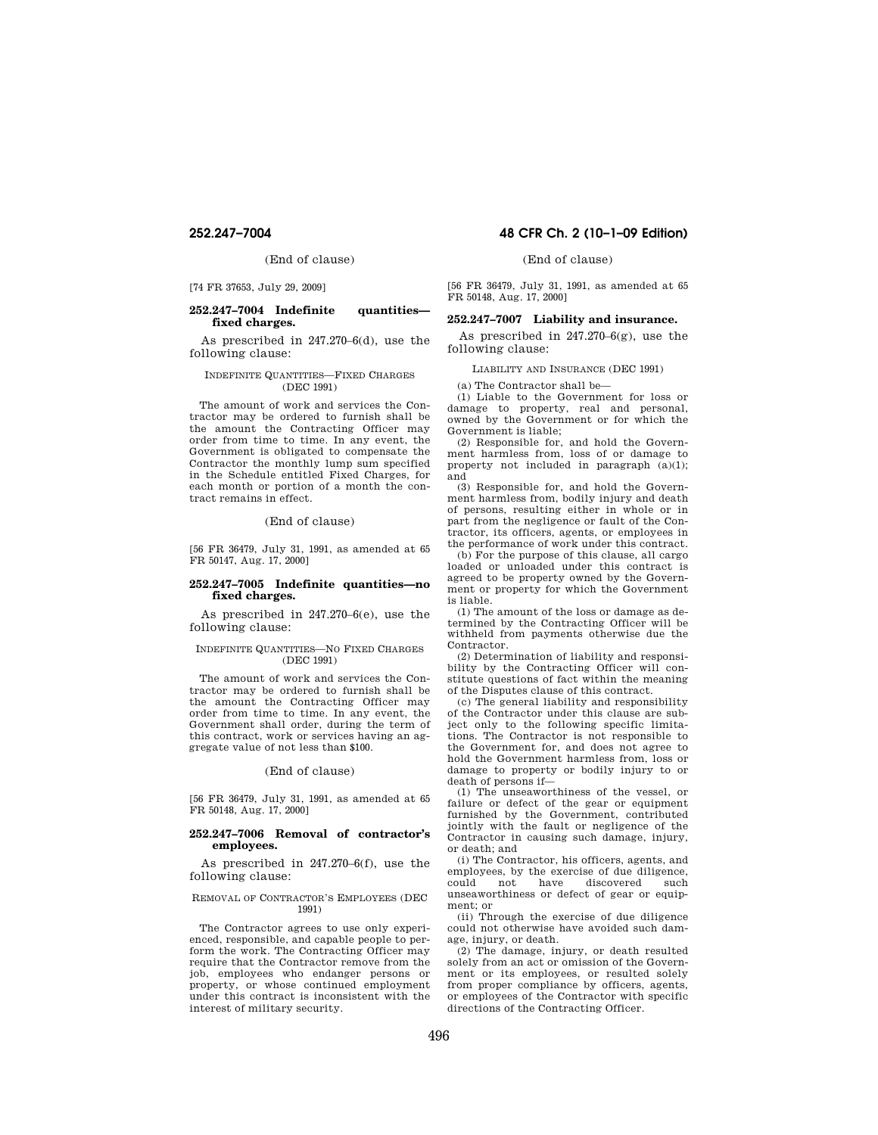(End of clause)

[74 FR 37653, July 29, 2009]

## **252.247–7004 Indefinite quantities fixed charges.**

As prescribed in 247.270–6(d), use the following clause:

## INDEFINITE QUANTITIES—FIXED CHARGES (DEC 1991)

The amount of work and services the Contractor may be ordered to furnish shall be the amount the Contracting Officer may order from time to time. In any event, the Government is obligated to compensate the Contractor the monthly lump sum specified in the Schedule entitled Fixed Charges, for each month or portion of a month the contract remains in effect.

(End of clause)

[56 FR 36479, July 31, 1991, as amended at 65 FR 50147, Aug. 17, 2000]

## **252.247–7005 Indefinite quantities—no fixed charges.**

As prescribed in 247.270–6(e), use the following clause:

#### INDEFINITE QUANTITIES—NO FIXED CHARGES (DEC 1991)

The amount of work and services the Contractor may be ordered to furnish shall be the amount the Contracting Officer may order from time to time. In any event, the Government shall order, during the term of this contract, work or services having an aggregate value of not less than \$100.

### (End of clause)

[56 FR 36479, July 31, 1991, as amended at 65 FR 50148, Aug. 17, 2000]

## **252.247–7006 Removal of contractor's employees.**

As prescribed in 247.270–6(f), use the following clause:

## REMOVAL OF CONTRACTOR'S EMPLOYEES (DEC 1991)

The Contractor agrees to use only experienced, responsible, and capable people to perform the work. The Contracting Officer may require that the Contractor remove from the job, employees who endanger persons or property, or whose continued employment under this contract is inconsistent with the interest of military security.

# **252.247–7004 48 CFR Ch. 2 (10–1–09 Edition)**

## (End of clause)

[56 FR 36479, July 31, 1991, as amended at 65 FR 50148, Aug. 17, 2000]

## **252.247–7007 Liability and insurance.**

As prescribed in  $247.270-6(g)$ , use the following clause:

LIABILITY AND INSURANCE (DEC 1991)

(a) The Contractor shall be—

(1) Liable to the Government for loss or damage to property, real and personal, owned by the Government or for which the Government is liable;

(2) Responsible for, and hold the Government harmless from, loss of or damage to property not included in paragraph (a)(1); and

(3) Responsible for, and hold the Government harmless from, bodily injury and death of persons, resulting either in whole or in part from the negligence or fault of the Contractor, its officers, agents, or employees in the performance of work under this contract.

(b) For the purpose of this clause, all cargo loaded or unloaded under this contract is agreed to be property owned by the Government or property for which the Government is liable.

(1) The amount of the loss or damage as determined by the Contracting Officer will be withheld from payments otherwise due the Contractor.

(2) Determination of liability and responsibility by the Contracting Officer will constitute questions of fact within the meaning of the Disputes clause of this contract.

(c) The general liability and responsibility of the Contractor under this clause are subject only to the following specific limitations. The Contractor is not responsible to the Government for, and does not agree to hold the Government harmless from, loss or damage to property or bodily injury to or death of persons if—

(1) The unseaworthiness of the vessel, or failure or defect of the gear or equipment furnished by the Government, contributed jointly with the fault or negligence of the Contractor in causing such damage, injury, or death; and

(i) The Contractor, his officers, agents, and employees, by the exercise of due diligence, could not have discovered such unseaworthiness or defect of gear or equipment; or

(ii) Through the exercise of due diligence could not otherwise have avoided such damage, injury, or death.

(2) The damage, injury, or death resulted solely from an act or omission of the Government or its employees, or resulted solely from proper compliance by officers, agents, or employees of the Contractor with specific directions of the Contracting Officer.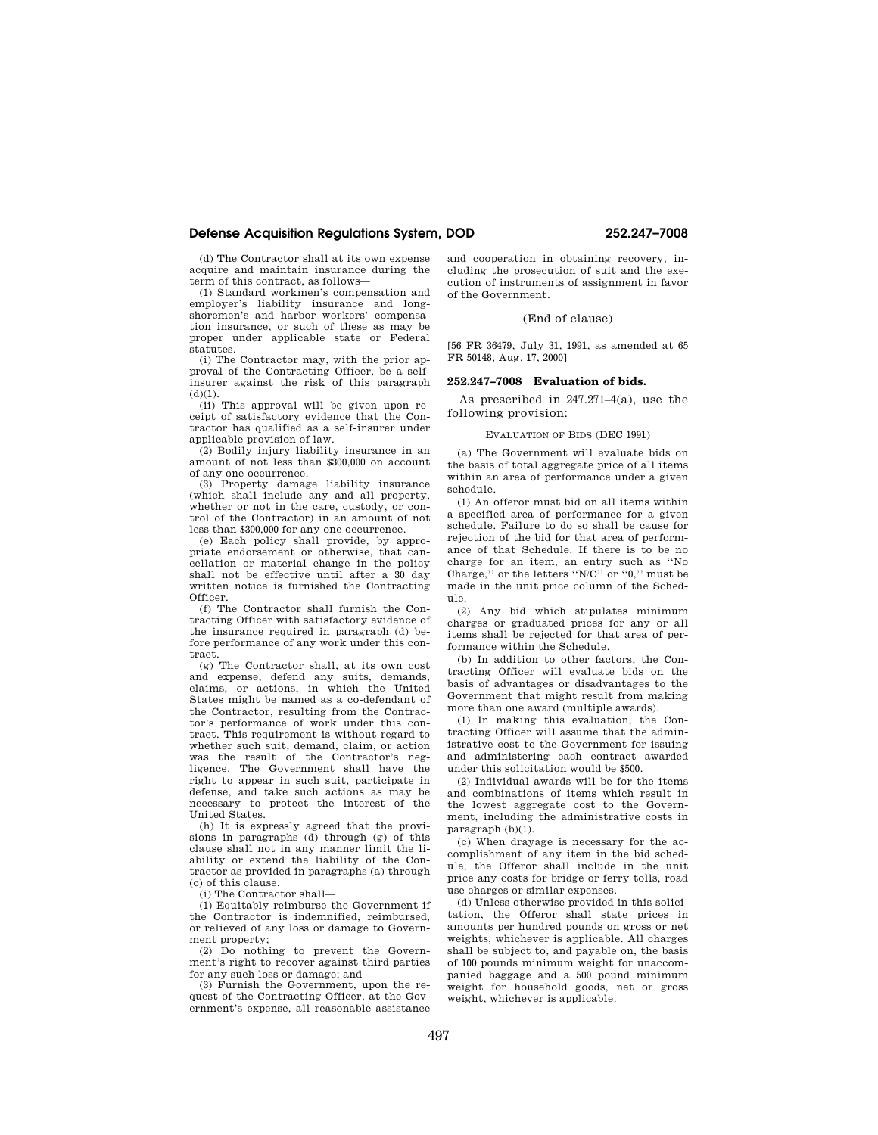(d) The Contractor shall at its own expense acquire and maintain insurance during the term of this contract, as follows—

(1) Standard workmen's compensation and employer's liability insurance and longshoremen's and harbor workers' compensation insurance, or such of these as may be proper under applicable state or Federal statutes.

(i) The Contractor may, with the prior approval of the Contracting Officer, be a selfinsurer against the risk of this paragraph  $(d)(1)$ .

(ii) This approval will be given upon receipt of satisfactory evidence that the Contractor has qualified as a self-insurer under applicable provision of law.

(2) Bodily injury liability insurance in an amount of not less than \$300,000 on account of any one occurrence.

(3) Property damage liability insurance (which shall include any and all property, whether or not in the care, custody, or control of the Contractor) in an amount of not less than \$300,000 for any one occurrence.

(e) Each policy shall provide, by appropriate endorsement or otherwise, that cancellation or material change in the policy shall not be effective until after a 30 day written notice is furnished the Contracting Officer.

(f) The Contractor shall furnish the Contracting Officer with satisfactory evidence of the insurance required in paragraph (d) before performance of any work under this contract.

(g) The Contractor shall, at its own cost and expense, defend any suits, demands, claims, or actions, in which the United States might be named as a co-defendant of the Contractor, resulting from the Contractor's performance of work under this contract. This requirement is without regard to whether such suit, demand, claim, or action was the result of the Contractor's negligence. The Government shall have the right to appear in such suit, participate in defense, and take such actions as may be necessary to protect the interest of the United States.

(h) It is expressly agreed that the provisions in paragraphs (d) through (g) of this clause shall not in any manner limit the liability or extend the liability of the Contractor as provided in paragraphs (a) through (c) of this clause.

(i) The Contractor shall—

(1) Equitably reimburse the Government if the Contractor is indemnified, reimbursed, or relieved of any loss or damage to Govern-

ment property; (2) Do nothing to prevent the Government's right to recover against third parties for any such loss or damage; and

(3) Furnish the Government, upon the request of the Contracting Officer, at the Government's expense, all reasonable assistance and cooperation in obtaining recovery, including the prosecution of suit and the execution of instruments of assignment in favor of the Government.

## (End of clause)

[56 FR 36479, July 31, 1991, as amended at 65 FR 50148, Aug. 17, 2000]

## **252.247–7008 Evaluation of bids.**

As prescribed in 247.271–4(a), use the following provision:

## EVALUATION OF BIDS (DEC 1991)

(a) The Government will evaluate bids on the basis of total aggregate price of all items within an area of performance under a given schedule.

(1) An offeror must bid on all items within a specified area of performance for a given schedule. Failure to do so shall be cause for rejection of the bid for that area of performance of that Schedule. If there is to be no charge for an item, an entry such as ''No Charge,'' or the letters ''N/C'' or ''0,'' must be made in the unit price column of the Schedule.

(2) Any bid which stipulates minimum charges or graduated prices for any or all items shall be rejected for that area of performance within the Schedule.

(b) In addition to other factors, the Contracting Officer will evaluate bids on the basis of advantages or disadvantages to the Government that might result from making more than one award (multiple awards).

(1) In making this evaluation, the Contracting Officer will assume that the administrative cost to the Government for issuing and administering each contract awarded under this solicitation would be \$500.

(2) Individual awards will be for the items and combinations of items which result in the lowest aggregate cost to the Government, including the administrative costs in paragraph (b)(1).

(c) When drayage is necessary for the accomplishment of any item in the bid schedule, the Offeror shall include in the unit price any costs for bridge or ferry tolls, road use charges or similar expenses.

(d) Unless otherwise provided in this solicitation, the Offeror shall state prices in amounts per hundred pounds on gross or net weights, whichever is applicable. All charges shall be subject to, and payable on, the basis of 100 pounds minimum weight for unaccompanied baggage and a 500 pound minimum weight for household goods, net or gross weight, whichever is applicable.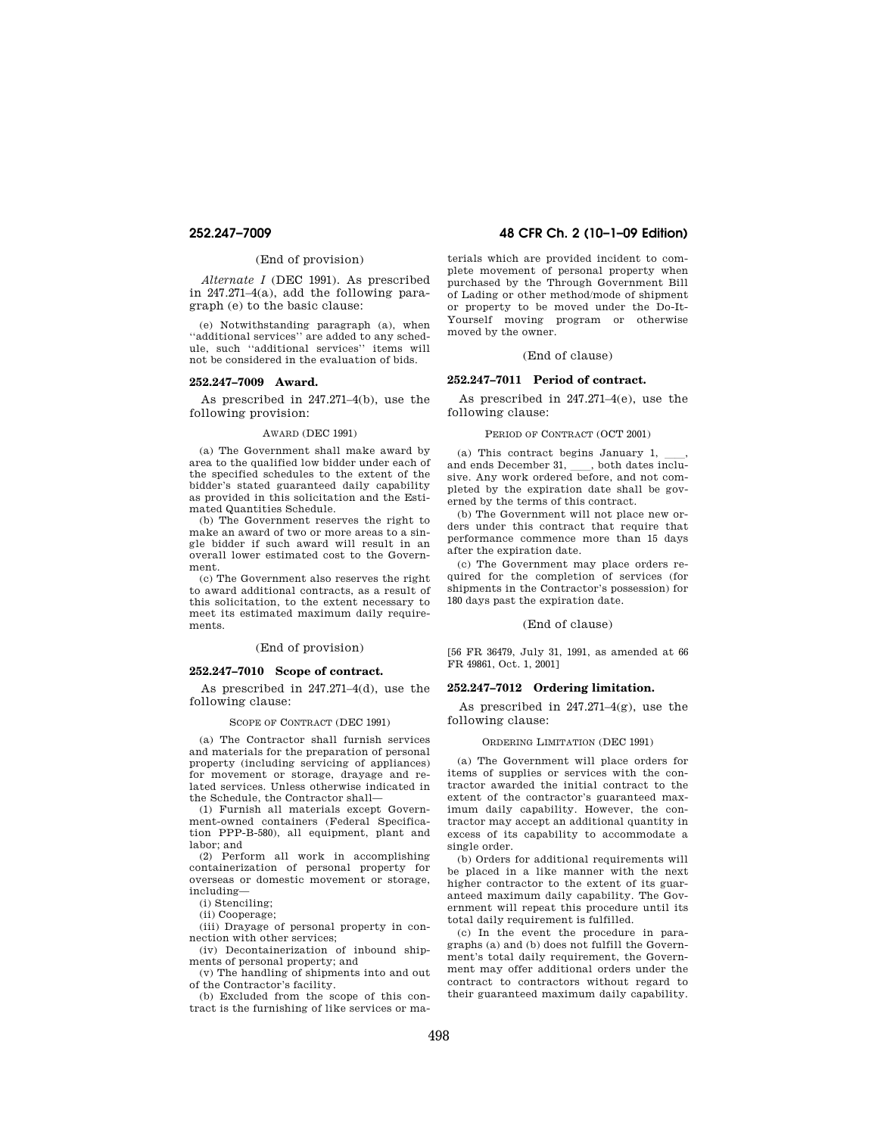## (End of provision)

*Alternate I* (DEC 1991). As prescribed in 247.271–4(a), add the following paragraph (e) to the basic clause:

(e) Notwithstanding paragraph (a), when ''additional services'' are added to any schedule, such ''additional services'' items will not be considered in the evaluation of bids.

## **252.247–7009 Award.**

As prescribed in 247.271–4(b), use the following provision:

#### AWARD (DEC 1991)

(a) The Government shall make award by area to the qualified low bidder under each of the specified schedules to the extent of the bidder's stated guaranteed daily capability as provided in this solicitation and the Estimated Quantities Schedule.

(b) The Government reserves the right to make an award of two or more areas to a single bidder if such award will result in an overall lower estimated cost to the Government.

(c) The Government also reserves the right to award additional contracts, as a result of this solicitation, to the extent necessary to meet its estimated maximum daily requirements.

## (End of provision)

## **252.247–7010 Scope of contract.**

As prescribed in 247.271–4(d), use the following clause:

#### SCOPE OF CONTRACT (DEC 1991)

(a) The Contractor shall furnish services and materials for the preparation of personal property (including servicing of appliances) for movement or storage, drayage and related services. Unless otherwise indicated in the Schedule, the Contractor shall—

(1) Furnish all materials except Government-owned containers (Federal Specification PPP-B-580), all equipment, plant and labor; and

(2) Perform all work in accomplishing containerization of personal property for overseas or domestic movement or storage, including—

(i) Stenciling;

(ii) Cooperage;

(iii) Drayage of personal property in connection with other services;

(iv) Decontainerization of inbound shipments of personal property; and

(v) The handling of shipments into and out of the Contractor's facility.

(b) Excluded from the scope of this contract is the furnishing of like services or ma-

# **252.247–7009 48 CFR Ch. 2 (10–1–09 Edition)**

terials which are provided incident to complete movement of personal property when purchased by the Through Government Bill of Lading or other method/mode of shipment or property to be moved under the Do-It-Yourself moving program or otherwise moved by the owner.

## (End of clause)

# **252.247–7011 Period of contract.**

As prescribed in 247.271–4(e), use the following clause:

#### PERIOD OF CONTRACT (OCT 2001)

(a) This contract begins January 1,  $\frac{\ }{2}$ ,<br>ed ends December 31 both dates incluand ends December 31,  $\_\_$ , both dates inclu-<br>sive Any work ordered before and not comsive. Any work ordered before, and not completed by the expiration date shall be governed by the terms of this contract.

(b) The Government will not place new orders under this contract that require that performance commence more than 15 days after the expiration date.

(c) The Government may place orders required for the completion of services (for shipments in the Contractor's possession) for 180 days past the expiration date.

## (End of clause)

[56 FR 36479, July 31, 1991, as amended at 66 FR 49861, Oct. 1, 2001]

## **252.247–7012 Ordering limitation.**

As prescribed in  $247.271-4(g)$ , use the following clause:

## ORDERING LIMITATION (DEC 1991)

(a) The Government will place orders for items of supplies or services with the contractor awarded the initial contract to the extent of the contractor's guaranteed maximum daily capability. However, the contractor may accept an additional quantity in excess of its capability to accommodate a single order.

(b) Orders for additional requirements will be placed in a like manner with the next higher contractor to the extent of its guaranteed maximum daily capability. The Government will repeat this procedure until its total daily requirement is fulfilled.

(c) In the event the procedure in paragraphs (a) and (b) does not fulfill the Government's total daily requirement, the Government may offer additional orders under the contract to contractors without regard to their guaranteed maximum daily capability.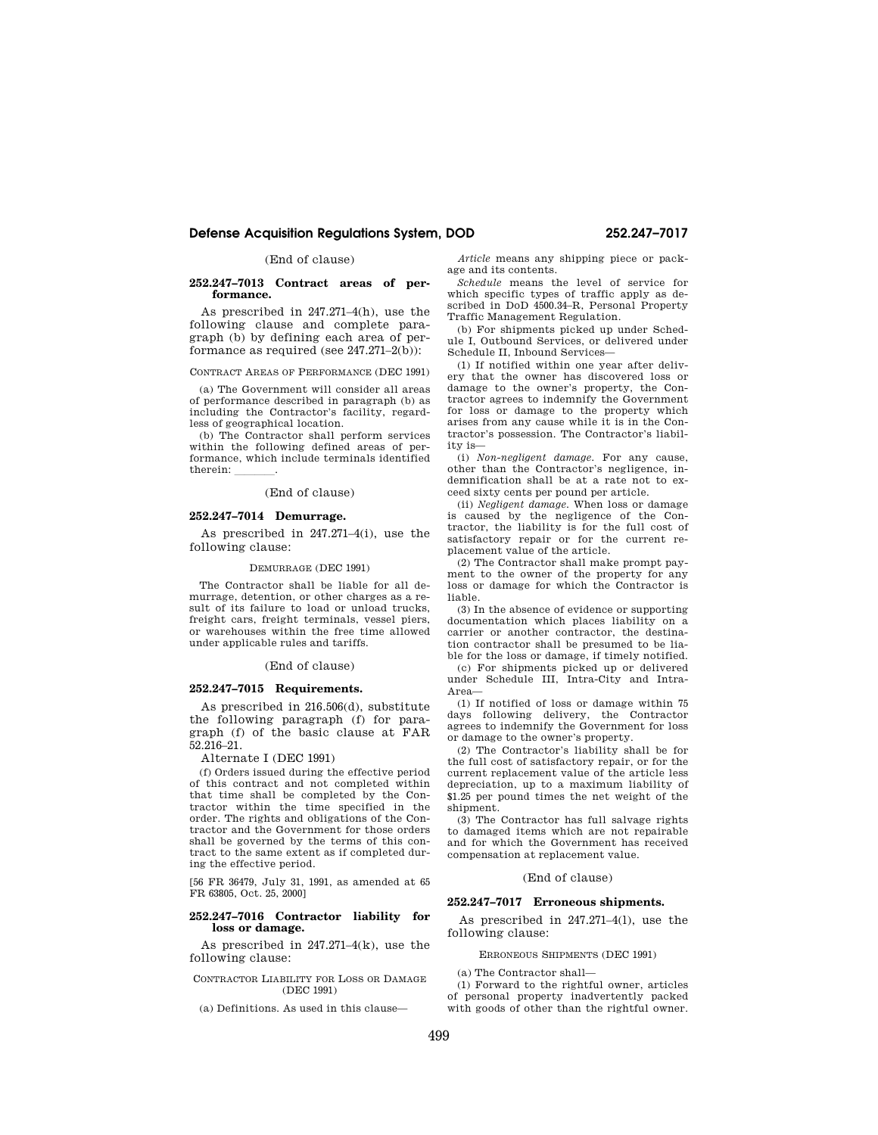(End of clause)

#### **252.247–7013 Contract areas of performance.**

As prescribed in 247.271–4(h), use the following clause and complete paragraph (b) by defining each area of performance as required (see 247.271–2(b)):

## CONTRACT AREAS OF PERFORMANCE (DEC 1991)

(a) The Government will consider all areas of performance described in paragraph (b) as including the Contractor's facility, regardless of geographical location.

(b) The Contractor shall perform services within the following defined areas of performance, which include terminals identified therein:

#### (End of clause)

# **252.247–7014 Demurrage.**

As prescribed in 247.271–4(i), use the following clause:

## DEMURRAGE (DEC 1991)

The Contractor shall be liable for all demurrage, detention, or other charges as a result of its failure to load or unload trucks, freight cars, freight terminals, vessel piers, or warehouses within the free time allowed under applicable rules and tariffs.

(End of clause)

# **252.247–7015 Requirements.**

As prescribed in 216.506(d), substitute the following paragraph (f) for paragraph (f) of the basic clause at FAR 52.216–21.

Alternate I (DEC 1991)

(f) Orders issued during the effective period of this contract and not completed within that time shall be completed by the Contractor within the time specified in the order. The rights and obligations of the Contractor and the Government for those orders shall be governed by the terms of this contract to the same extent as if completed during the effective period.

[56 FR 36479, July 31, 1991, as amended at 65 FR 63805, Oct. 25, 2000]

## **252.247–7016 Contractor liability for loss or damage.**

As prescribed in 247.271–4(k), use the following clause:

## CONTRACTOR LIABILITY FOR LOSS OR DAMAGE (DEC 1991)

(a) Definitions. As used in this clause—

*Article* means any shipping piece or package and its contents.

*Schedule* means the level of service for which specific types of traffic apply as described in DoD 4500.34–R, Personal Property Traffic Management Regulation.

(b) For shipments picked up under Schedule I, Outbound Services, or delivered under Schedule II, Inbound Services—

(1) If notified within one year after delivery that the owner has discovered loss or damage to the owner's property, the Contractor agrees to indemnify the Government for loss or damage to the property which arises from any cause while it is in the Contractor's possession. The Contractor's liability is—

(i) *Non-negligent damage.* For any cause, other than the Contractor's negligence, indemnification shall be at a rate not to exceed sixty cents per pound per article.

(ii) *Negligent damage.* When loss or damage is caused by the negligence of the Contractor, the liability is for the full cost of satisfactory repair or for the current replacement value of the article.

(2) The Contractor shall make prompt payment to the owner of the property for any loss or damage for which the Contractor is liable.

(3) In the absence of evidence or supporting documentation which places liability on a carrier or another contractor, the destination contractor shall be presumed to be liable for the loss or damage, if timely notified.

(c) For shipments picked up or delivered under Schedule III, Intra-City and Intra-Area—

(1) If notified of loss or damage within 75 days following delivery, the Contractor agrees to indemnify the Government for loss or damage to the owner's property.

(2) The Contractor's liability shall be for the full cost of satisfactory repair, or for the current replacement value of the article less depreciation, up to a maximum liability of \$1.25 per pound times the net weight of the shipment.

(3) The Contractor has full salvage rights to damaged items which are not repairable and for which the Government has received compensation at replacement value.

## (End of clause)

#### **252.247–7017 Erroneous shipments.**

As prescribed in 247.271–4(l), use the following clause:

ERRONEOUS SHIPMENTS (DEC 1991)

(a) The Contractor shall—

(1) Forward to the rightful owner, articles of personal property inadvertently packed with goods of other than the rightful owner.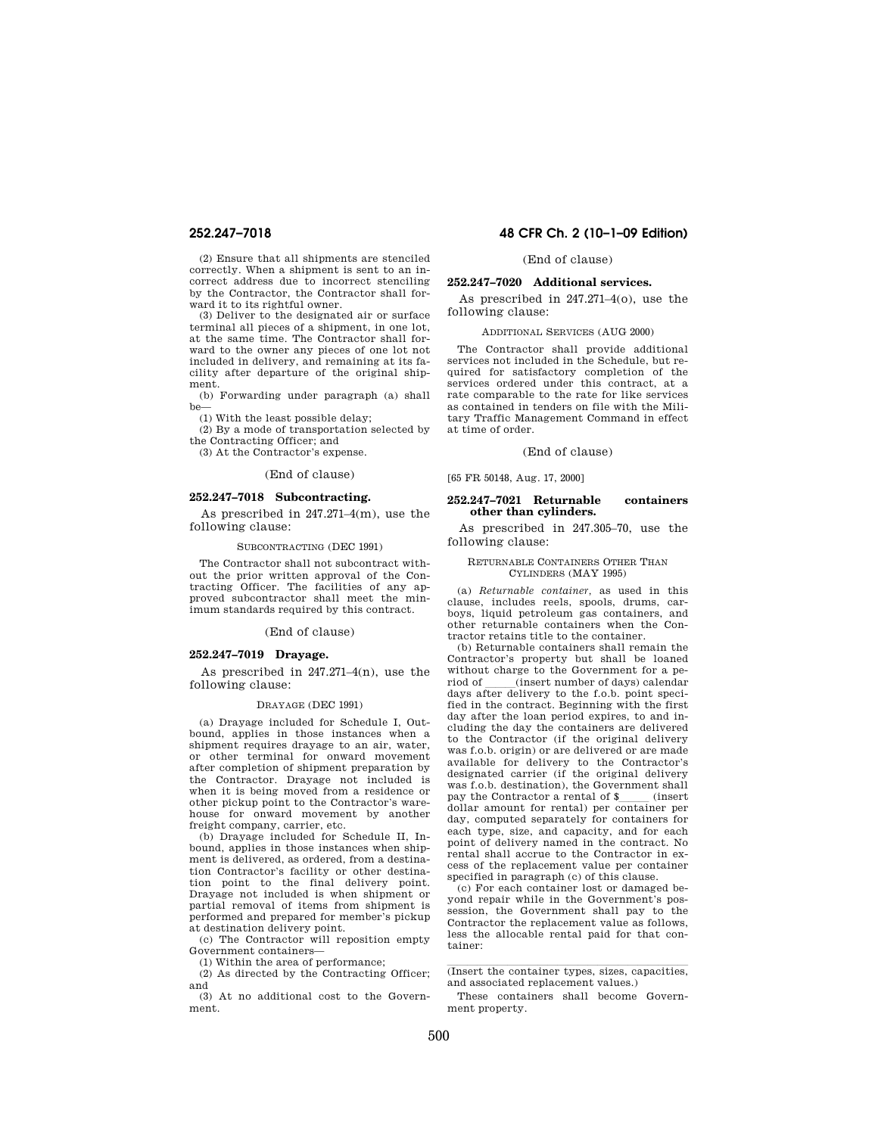(2) Ensure that all shipments are stenciled correctly. When a shipment is sent to an incorrect address due to incorrect stenciling by the Contractor, the Contractor shall forward it to its rightful owner.

(3) Deliver to the designated air or surface terminal all pieces of a shipment, in one lot, at the same time. The Contractor shall forward to the owner any pieces of one lot not included in delivery, and remaining at its facility after departure of the original shipment.

(b) Forwarding under paragraph (a) shall be—

(1) With the least possible delay;

(2) By a mode of transportation selected by the Contracting Officer; and

(3) At the Contractor's expense.

# (End of clause)

# **252.247–7018 Subcontracting.**

As prescribed in 247.271–4(m), use the following clause:

### SUBCONTRACTING (DEC 1991)

The Contractor shall not subcontract without the prior written approval of the Contracting Officer. The facilities of any approved subcontractor shall meet the minimum standards required by this contract.

## (End of clause)

## **252.247–7019 Drayage.**

As prescribed in 247.271–4(n), use the following clause:

## DRAYAGE (DEC 1991)

(a) Drayage included for Schedule I, Outbound, applies in those instances when a shipment requires drayage to an air, water, or other terminal for onward movement after completion of shipment preparation by the Contractor. Drayage not included is when it is being moved from a residence or other pickup point to the Contractor's warehouse for onward movement by another freight company, carrier, etc.

(b) Drayage included for Schedule II, Inbound, applies in those instances when shipment is delivered, as ordered, from a destination Contractor's facility or other destination point to the final delivery point. Drayage not included is when shipment or partial removal of items from shipment is performed and prepared for member's pickup at destination delivery point.

(c) The Contractor will reposition empty Government containers—

(1) Within the area of performance;

(2) As directed by the Contracting Officer; and

(3) At no additional cost to the Government.

# **252.247–7018 48 CFR Ch. 2 (10–1–09 Edition)**

## (End of clause)

## **252.247–7020 Additional services.**

As prescribed in 247.271–4(o), use the following clause:

# ADDITIONAL SERVICES (AUG 2000)

The Contractor shall provide additional services not included in the Schedule, but required for satisfactory completion of the services ordered under this contract, at a rate comparable to the rate for like services as contained in tenders on file with the Military Traffic Management Command in effect at time of order.

### (End of clause)

[65 FR 50148, Aug. 17, 2000]

## **252.247–7021 Returnable containers other than cylinders.**

As prescribed in 247.305–70, use the following clause:

#### RETURNABLE CONTAINERS OTHER THAN CYLINDERS (MAY 1995)

(a) *Returnable container,* as used in this clause, includes reels, spools, drums, carboys, liquid petroleum gas containers, and other returnable containers when the Contractor retains title to the container.

(b) Returnable containers shall remain the Contractor's property but shall be loaned without charge to the Government for a period of lll(insert number of days) calendar days after delivery to the f.o.b. point specified in the contract. Beginning with the first day after the loan period expires, to and including the day the containers are delivered to the Contractor (if the original delivery was f.o.b. origin) or are delivered or are made available for delivery to the Contractor's designated carrier (if the original delivery was f.o.b. destination), the Government shall pay the Contractor a rental of \$\_\_\_\_ (insert dollar amount for rental) per container per day, computed separately for containers for each type, size, and capacity, and for each point of delivery named in the contract. No rental shall accrue to the Contractor in excess of the replacement value per container specified in paragraph (c) of this clause.

(c) For each container lost or damaged beyond repair while in the Government's possession, the Government shall pay to the Contractor the replacement value as follows, less the allocable rental paid for that container:

 $(Insert the container types, sizes, capacities,$ and associated replacement values.)

These containers shall become Government property.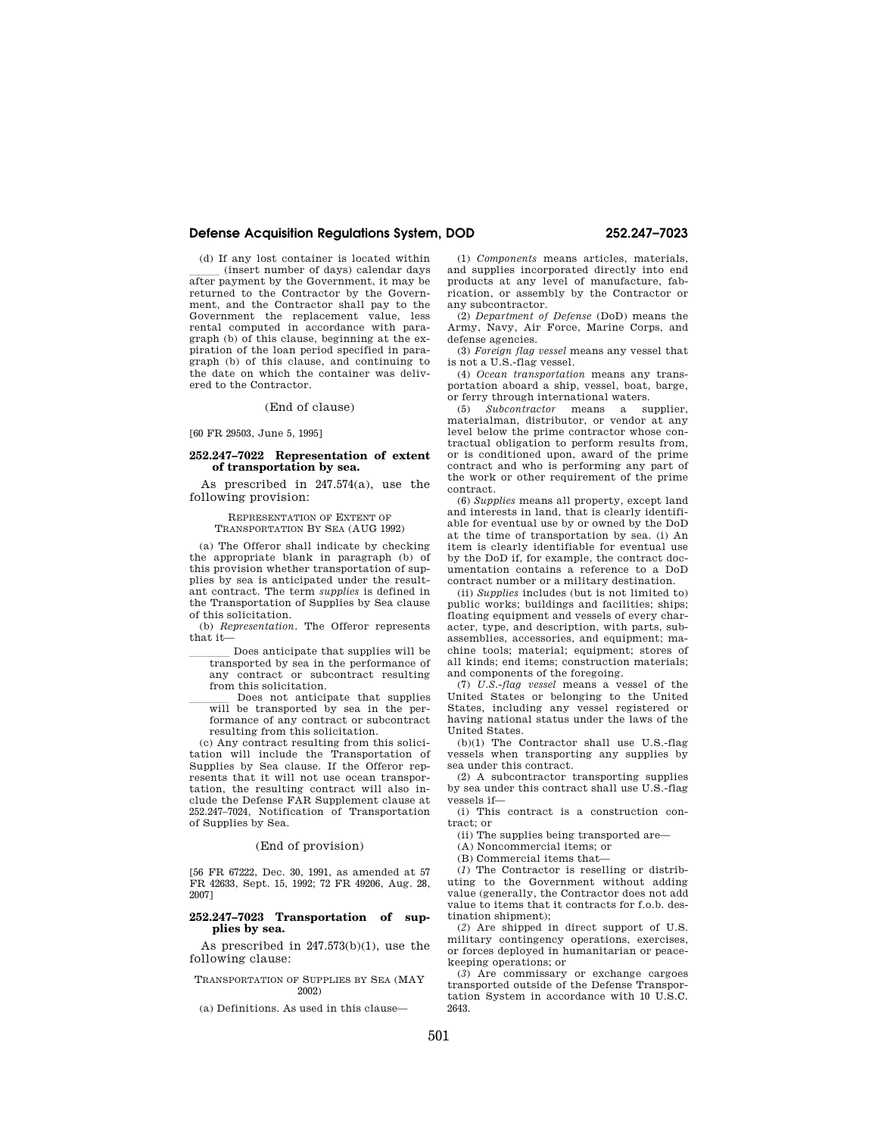(d) If any lost container is located within (insert number of days) calendar days<br>after payment by the Government, it may be returned to the Contractor by the Government, and the Contractor shall pay to the Government the replacement value, less rental computed in accordance with paragraph (b) of this clause, beginning at the expiration of the loan period specified in paragraph (b) of this clause, and continuing to the date on which the container was delivered to the Contractor.

### (End of clause)

[60 FR 29503, June 5, 1995]

### **252.247–7022 Representation of extent of transportation by sea.**

As prescribed in 247.574(a), use the following provision:

### REPRESENTATION OF EXTENT OF TRANSPORTATION BY SEA (AUG 1992)

(a) The Offeror shall indicate by checking the appropriate blank in paragraph (b) of this provision whether transportation of supplies by sea is anticipated under the resultant contract. The term *supplies* is defined in the Transportation of Supplies by Sea clause of this solicitation.

(b) *Representation.* The Offeror represents that it—

- Does anticipate that supplies will be transported by sea in the performance of any contract or subcontract resulting from this solicitation.<br>Does not anticipate that supplies
- Does not anticipate that supplies<br>will be transported by sea in the performance of any contract or subcontract resulting from this solicitation.

(c) Any contract resulting from this solicitation will include the Transportation of Supplies by Sea clause. If the Offeror represents that it will not use ocean transportation, the resulting contract will also include the Defense FAR Supplement clause at 252.247–7024, Notification of Transportation of Supplies by Sea.

#### (End of provision)

[56 FR 67222, Dec. 30, 1991, as amended at 57 FR 42633, Sept. 15, 1992; 72 FR 49206, Aug. 28, 2007]

## **252.247–7023 Transportation of supplies by sea.**

As prescribed in 247.573(b)(1), use the following clause:

TRANSPORTATION OF SUPPLIES BY SEA (MAY 2002)

(a) Definitions. As used in this clause—

(1) *Components* means articles, materials, and supplies incorporated directly into end products at any level of manufacture, fabrication, or assembly by the Contractor or any subcontractor.

(2) *Department of Defense* (DoD) means the Army, Navy, Air Force, Marine Corps, and defense agencies.

(3) *Foreign flag vessel* means any vessel that is not a U.S.-flag vessel.

(4) *Ocean transportation* means any transportation aboard a ship, vessel, boat, barge, or ferry through international waters.

(5) *Subcontractor* means a supplier, materialman, distributor, or vendor at any level below the prime contractor whose contractual obligation to perform results from, or is conditioned upon, award of the prime contract and who is performing any part of the work or other requirement of the prime contract.

(6) *Supplies* means all property, except land and interests in land, that is clearly identifiable for eventual use by or owned by the DoD at the time of transportation by sea. (i) An item is clearly identifiable for eventual use by the DoD if, for example, the contract documentation contains a reference to a DoD contract number or a military destination.

(ii) *Supplies* includes (but is not limited to) public works; buildings and facilities; ships; floating equipment and vessels of every character, type, and description, with parts, subassemblies, accessories, and equipment; machine tools; material; equipment; stores of all kinds; end items; construction materials; and components of the foregoing.

(7) *U.S.-flag vessel* means a vessel of the United States or belonging to the United States, including any vessel registered or having national status under the laws of the United States.

(b)(1) The Contractor shall use U.S.-flag vessels when transporting any supplies by sea under this contract.

(2) A subcontractor transporting supplies by sea under this contract shall use U.S.-flag vessels if—

(i) This contract is a construction contract; or

(ii) The supplies being transported are—

(A) Noncommercial items; or

(B) Commercial items that—

(*1*) The Contractor is reselling or distributing to the Government without adding value (generally, the Contractor does not add value to items that it contracts for f.o.b. destination shipment);

(*2*) Are shipped in direct support of U.S. military contingency operations, exercises, or forces deployed in humanitarian or peacekeeping operations; or

(*3*) Are commissary or exchange cargoes transported outside of the Defense Transportation System in accordance with 10 U.S.C. 2643.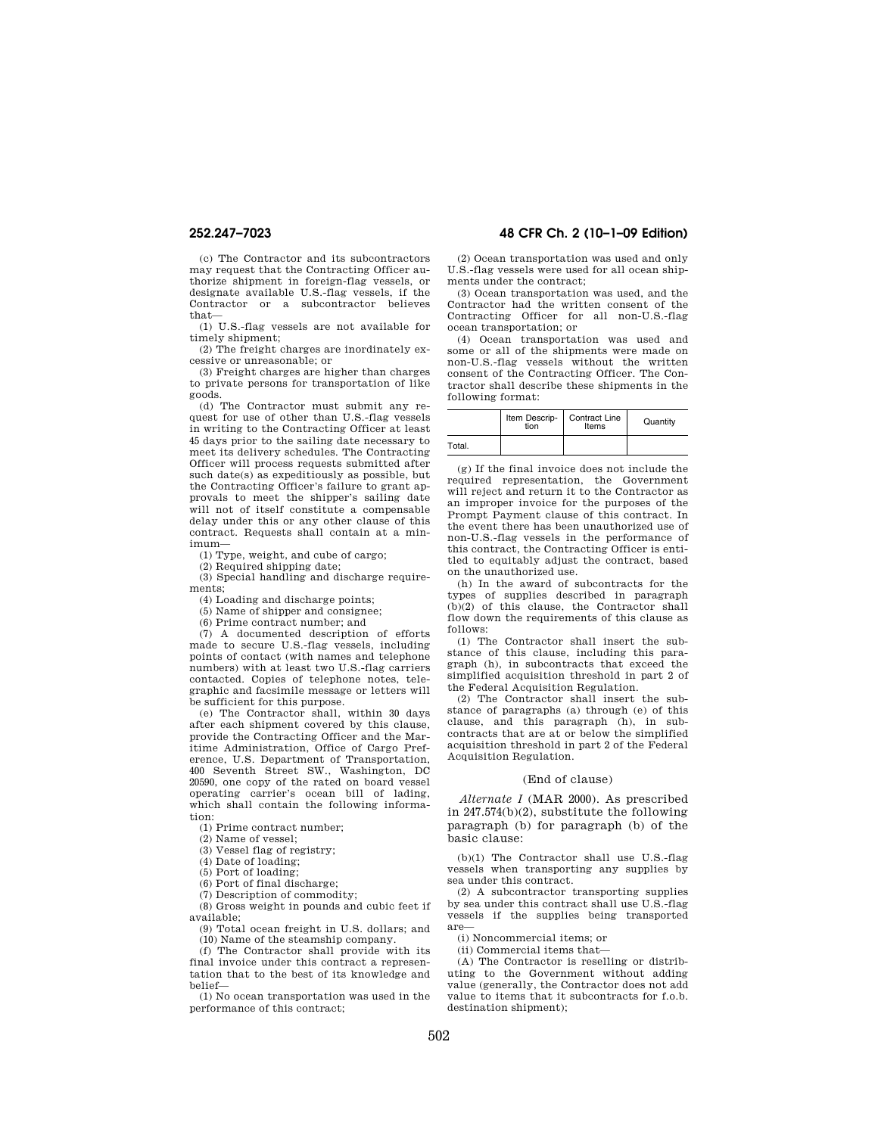(c) The Contractor and its subcontractors may request that the Contracting Officer authorize shipment in foreign-flag vessels, or designate available U.S.-flag vessels, if the Contractor or a subcontractor believes that—

(1) U.S.-flag vessels are not available for timely shipment;

(2) The freight charges are inordinately excessive or unreasonable; or

(3) Freight charges are higher than charges to private persons for transportation of like goods.

(d) The Contractor must submit any request for use of other than U.S.-flag vessels in writing to the Contracting Officer at least 45 days prior to the sailing date necessary to meet its delivery schedules. The Contracting Officer will process requests submitted after such date(s) as expeditiously as possible, but the Contracting Officer's failure to grant approvals to meet the shipper's sailing date will not of itself constitute a compensable delay under this or any other clause of this contract. Requests shall contain at a minimum—

(1) Type, weight, and cube of cargo;

(2) Required shipping date;

(3) Special handling and discharge requirements;

(4) Loading and discharge points;

(5) Name of shipper and consignee; (6) Prime contract number; and

(7) A documented description of efforts made to secure U.S.-flag vessels, including points of contact (with names and telephone numbers) with at least two U.S.-flag carriers contacted. Copies of telephone notes, telegraphic and facsimile message or letters will be sufficient for this purpose.

(e) The Contractor shall, within 30 days after each shipment covered by this clause, provide the Contracting Officer and the Maritime Administration, Office of Cargo Preference, U.S. Department of Transportation, 400 Seventh Street SW., Washington, DC 20590, one copy of the rated on board vessel operating carrier's ocean bill of lading, which shall contain the following information:

(1) Prime contract number;

(2) Name of vessel;

(3) Vessel flag of registry;

(4) Date of loading;

(5) Port of loading;

(6) Port of final discharge;

(7) Description of commodity;

(8) Gross weight in pounds and cubic feet if available;

(9) Total ocean freight in U.S. dollars; and (10) Name of the steamship company.

(f) The Contractor shall provide with its final invoice under this contract a representation that to the best of its knowledge and belief—

(1) No ocean transportation was used in the performance of this contract;

# **252.247–7023 48 CFR Ch. 2 (10–1–09 Edition)**

(2) Ocean transportation was used and only U.S.-flag vessels were used for all ocean shipments under the contract:

(3) Ocean transportation was used, and the Contractor had the written consent of the Contracting Officer for all non-U.S.-flag ocean transportation; or

(4) Ocean transportation was used and some or all of the shipments were made on non-U.S.-flag vessels without the written consent of the Contracting Officer. The Contractor shall describe these shipments in the following format:

|        | Item Descrip-<br>tion | Contract Line<br>Items | Quantity |
|--------|-----------------------|------------------------|----------|
| Total. |                       |                        |          |

(g) If the final invoice does not include the required representation, the Government will reject and return it to the Contractor as an improper invoice for the purposes of the Prompt Payment clause of this contract. In the event there has been unauthorized use of non-U.S.-flag vessels in the performance of this contract, the Contracting Officer is entitled to equitably adjust the contract, based on the unauthorized use.

(h) In the award of subcontracts for the types of supplies described in paragraph (b)(2) of this clause, the Contractor shall flow down the requirements of this clause as follows:

(1) The Contractor shall insert the substance of this clause, including this paragraph (h), in subcontracts that exceed the simplified acquisition threshold in part 2 of the Federal Acquisition Regulation.

(2) The Contractor shall insert the substance of paragraphs (a) through (e) of this clause, and this paragraph (h), in subcontracts that are at or below the simplified acquisition threshold in part 2 of the Federal Acquisition Regulation.

## (End of clause)

*Alternate I* (MAR 2000). As prescribed in 247.574(b)(2), substitute the following paragraph (b) for paragraph (b) of the basic clause:

(b)(1) The Contractor shall use U.S.-flag vessels when transporting any supplies by sea under this contract.

(2) A subcontractor transporting supplies by sea under this contract shall use U.S.-flag vessels if the supplies being transported are—

(i) Noncommercial items; or

(ii) Commercial items that—

(A) The Contractor is reselling or distributing to the Government without adding value (generally, the Contractor does not add value to items that it subcontracts for f.o.b. destination shipment);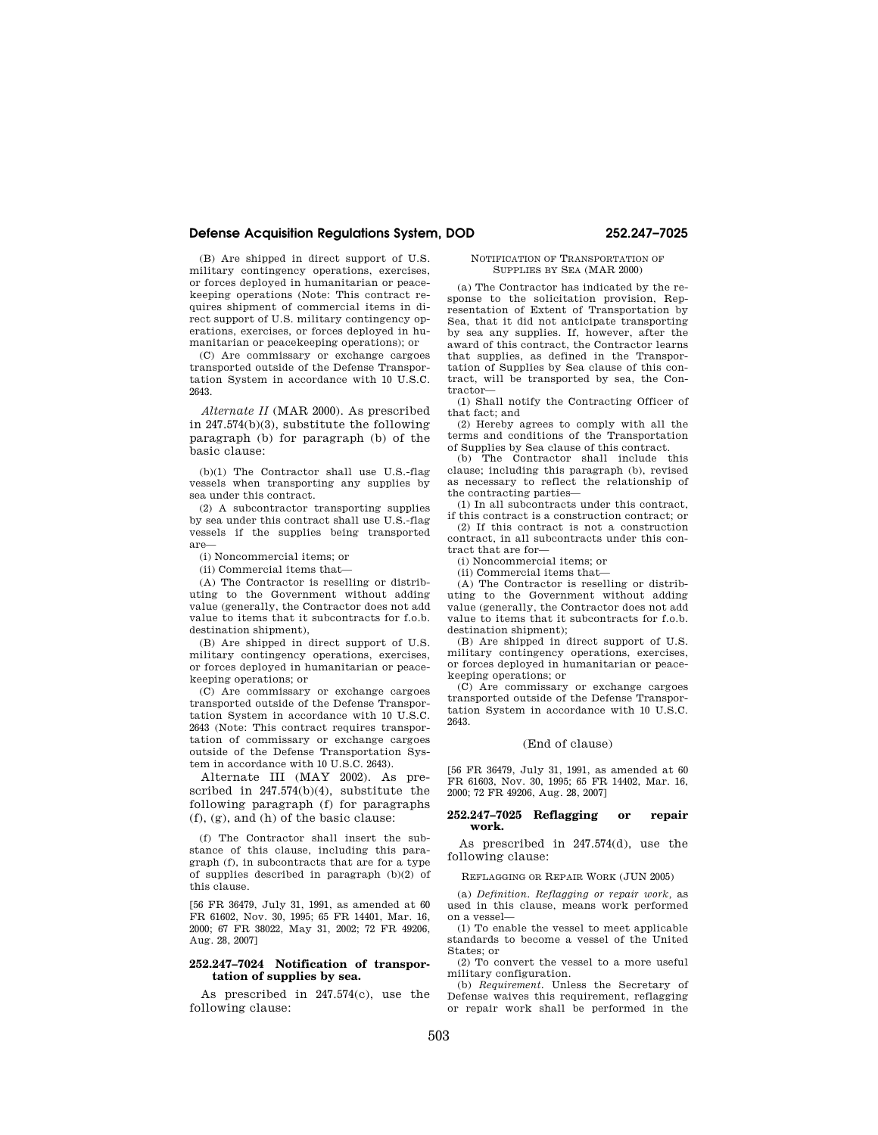(B) Are shipped in direct support of U.S. military contingency operations, exercises, or forces deployed in humanitarian or peacekeeping operations (Note: This contract requires shipment of commercial items in direct support of U.S. military contingency operations, exercises, or forces deployed in humanitarian or peacekeeping operations); or

(C) Are commissary or exchange cargoes transported outside of the Defense Transportation System in accordance with 10 U.S.C. 2643.

*Alternate II* (MAR 2000). As prescribed in 247.574(b)(3), substitute the following paragraph (b) for paragraph (b) of the basic clause:

(b)(1) The Contractor shall use U.S.-flag vessels when transporting any supplies by sea under this contract.

(2) A subcontractor transporting supplies by sea under this contract shall use U.S.-flag vessels if the supplies being transported are—

(i) Noncommercial items; or

(ii) Commercial items that—

(A) The Contractor is reselling or distributing to the Government without adding value (generally, the Contractor does not add value to items that it subcontracts for f.o.b. destination shipment),

(B) Are shipped in direct support of U.S. military contingency operations, exercises, or forces deployed in humanitarian or peacekeeping operations; or

(C) Are commissary or exchange cargoes transported outside of the Defense Transportation System in accordance with 10 U.S.C. 2643 (Note: This contract requires transportation of commissary or exchange cargoes outside of the Defense Transportation System in accordance with 10 U.S.C. 2643).

Alternate III (MAY 2002). As prescribed in 247.574(b)(4), substitute the following paragraph (f) for paragraphs (f), (g), and (h) of the basic clause:

(f) The Contractor shall insert the substance of this clause, including this paragraph (f), in subcontracts that are for a type of supplies described in paragraph (b)(2) of this clause.

[56 FR 36479, July 31, 1991, as amended at 60 FR 61602, Nov. 30, 1995; 65 FR 14401, Mar. 16, 2000; 67 FR 38022, May 31, 2002; 72 FR 49206, Aug. 28, 2007]

## **252.247–7024 Notification of transportation of supplies by sea.**

As prescribed in 247.574(c), use the following clause:

## NOTIFICATION OF TRANSPORTATION OF SUPPLIES BY SEA (MAR 2000)

(a) The Contractor has indicated by the response to the solicitation provision, Representation of Extent of Transportation by Sea, that it did not anticipate transporting by sea any supplies. If, however, after the award of this contract, the Contractor learns that supplies, as defined in the Transportation of Supplies by Sea clause of this contract, will be transported by sea, the Contractor—

(1) Shall notify the Contracting Officer of that fact; and

(2) Hereby agrees to comply with all the terms and conditions of the Transportation of Supplies by Sea clause of this contract.

(b) The Contractor shall include this clause; including this paragraph (b), revised as necessary to reflect the relationship of the contracting parties—

(1) In all subcontracts under this contract, if this contract is a construction contract; or

(2) If this contract is not a construction contract, in all subcontracts under this contract that are for—

(i) Noncommercial items; or

(ii) Commercial items that—

(A) The Contractor is reselling or distributing to the Government without adding value (generally, the Contractor does not add value to items that it subcontracts for f.o.b. destination shipment);

(B) Are shipped in direct support of U.S. military contingency operations, exercises, or forces deployed in humanitarian or peacekeeping operations; or

(C) Are commissary or exchange cargoes transported outside of the Defense Transportation System in accordance with 10 U.S.C. 2643.

#### (End of clause)

[56 FR 36479, July 31, 1991, as amended at 60 FR 61603, Nov. 30, 1995; 65 FR 14402, Mar. 16, 2000; 72 FR 49206, Aug. 28, 2007]

## **252.247–7025 Reflagging or repair work.**

As prescribed in 247.574(d), use the following clause:

REFLAGGING OR REPAIR WORK (JUN 2005)

(a) *Definition. Reflagging or repair work,* as used in this clause, means work performed on a vessel—

(1) To enable the vessel to meet applicable standards to become a vessel of the United States; or

(2) To convert the vessel to a more useful military configuration.

(b) *Requirement.* Unless the Secretary of Defense waives this requirement, reflagging or repair work shall be performed in the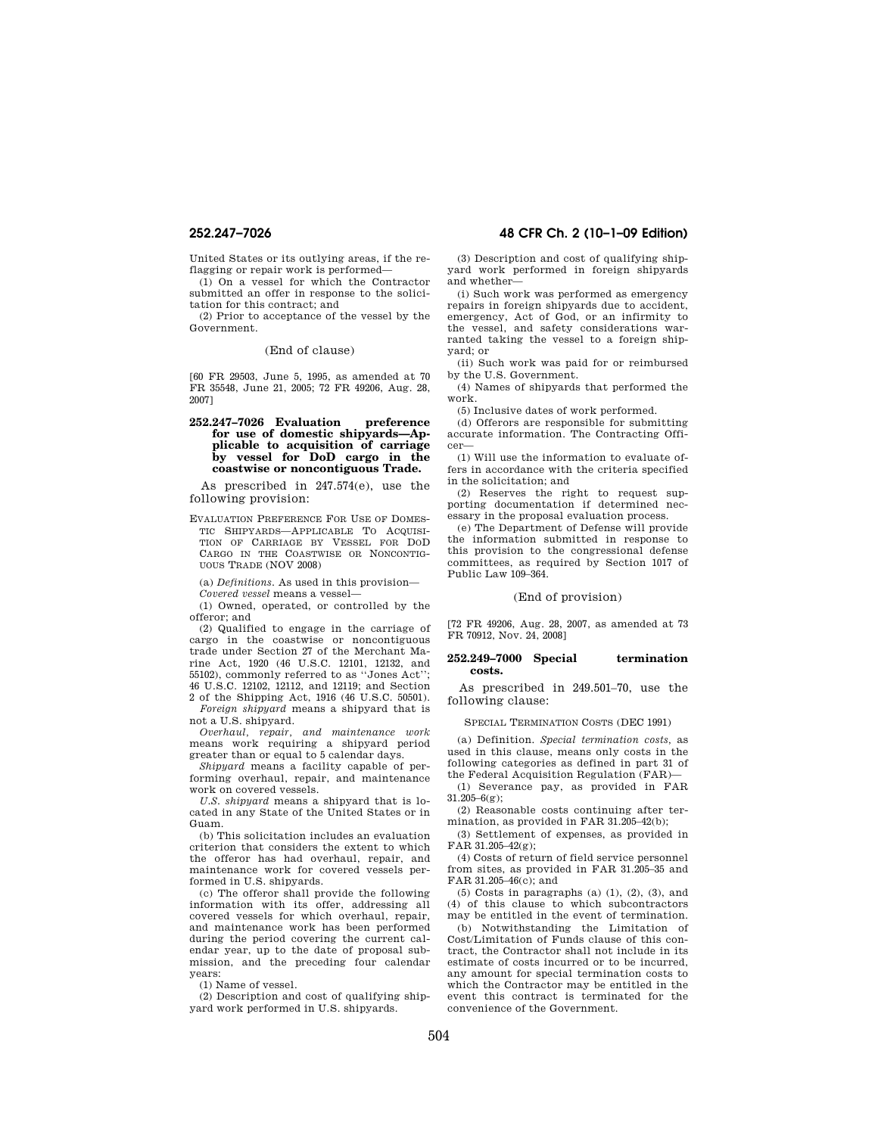United States or its outlying areas, if the reflagging or repair work is performed—

(1) On a vessel for which the Contractor submitted an offer in response to the solicitation for this contract; and

(2) Prior to acceptance of the vessel by the Government.

#### (End of clause)

[60 FR 29503, June 5, 1995, as amended at 70 FR 35548, June 21, 2005; 72 FR 49206, Aug. 28, 2007]

## **252.247–7026 Evaluation preference for use of domestic shipyards—Applicable to acquisition of carriage by vessel for DoD cargo in the coastwise or noncontiguous Trade.**

As prescribed in 247.574(e), use the following provision:

EVALUATION PREFERENCE FOR USE OF DOMES-TIC SHIPYARDS—APPLICABLE TO ACQUISI-TION OF CARRIAGE BY VESSEL FOR DOD CARGO IN THE COASTWISE OR NONCONTIG-UOUS TRADE (NOV 2008)

(a) *Definitions.* As used in this provision—

*Covered vessel* means a vessel—

(1) Owned, operated, or controlled by the offeror; and

(2) Qualified to engage in the carriage of cargo in the coastwise or noncontiguous trade under Section 27 of the Merchant Marine Act, 1920 (46 U.S.C. 12101, 12132, and 55102), commonly referred to as ''Jones Act''; 46 U.S.C. 12102, 12112, and 12119; and Section

2 of the Shipping Act, 1916 (46 U.S.C. 50501). *Foreign shipyard* means a shipyard that is not a U.S. shipyard.

*Overhaul, repair, and maintenance work*  means work requiring a shipyard period greater than or equal to 5 calendar days.

*Shipyard* means a facility capable of performing overhaul, repair, and maintenance work on covered vessels.

*U.S. shipyard* means a shipyard that is located in any State of the United States or in Guam.

(b) This solicitation includes an evaluation criterion that considers the extent to which the offeror has had overhaul, repair, and maintenance work for covered vessels performed in U.S. shipyards.

(c) The offeror shall provide the following information with its offer, addressing all covered vessels for which overhaul, repair, and maintenance work has been performed during the period covering the current calendar year, up to the date of proposal submission, and the preceding four calendar years:

(1) Name of vessel.

(2) Description and cost of qualifying shipyard work performed in U.S. shipyards.

# **252.247–7026 48 CFR Ch. 2 (10–1–09 Edition)**

(3) Description and cost of qualifying shipyard work performed in foreign shipyards and whether—

(i) Such work was performed as emergency repairs in foreign shipyards due to accident, emergency, Act of God, or an infirmity to the vessel, and safety considerations warranted taking the vessel to a foreign shipyard; or

(ii) Such work was paid for or reimbursed by the U.S. Government.

(4) Names of shipyards that performed the work.

(5) Inclusive dates of work performed.

(d) Offerors are responsible for submitting accurate information. The Contracting Officer—

(1) Will use the information to evaluate offers in accordance with the criteria specified in the solicitation; and

(2) Reserves the right to request supporting documentation if determined necessary in the proposal evaluation process.

(e) The Department of Defense will provide the information submitted in response to this provision to the congressional defense committees, as required by Section 1017 of Public Law 109–364.

## (End of provision)

[72 FR 49206, Aug. 28, 2007, as amended at 73 FR 70912, Nov. 24, 2008]

#### **252.249–7000 Special termination costs.**

As prescribed in 249.501–70, use the following clause:

#### SPECIAL TERMINATION COSTS (DEC 1991)

(a) Definition. *Special termination costs,* as used in this clause, means only costs in the following categories as defined in part 31 of the Federal Acquisition Regulation (FAR)—

(1) Severance pay, as provided in FAR  $31.205-6(g);$ 

(2) Reasonable costs continuing after termination, as provided in FAR 31.205–42(b);

(3) Settlement of expenses, as provided in  $FAR 31.205 - 42(g)$ ;

(4) Costs of return of field service personnel from sites, as provided in FAR 31.205–35 and FAR 31.205–46(c); and

(5) Costs in paragraphs (a) (1), (2), (3), and (4) of this clause to which subcontractors may be entitled in the event of termination.

(b) Notwithstanding the Limitation of Cost/Limitation of Funds clause of this contract, the Contractor shall not include in its estimate of costs incurred or to be incurred, any amount for special termination costs to which the Contractor may be entitled in the event this contract is terminated for the convenience of the Government.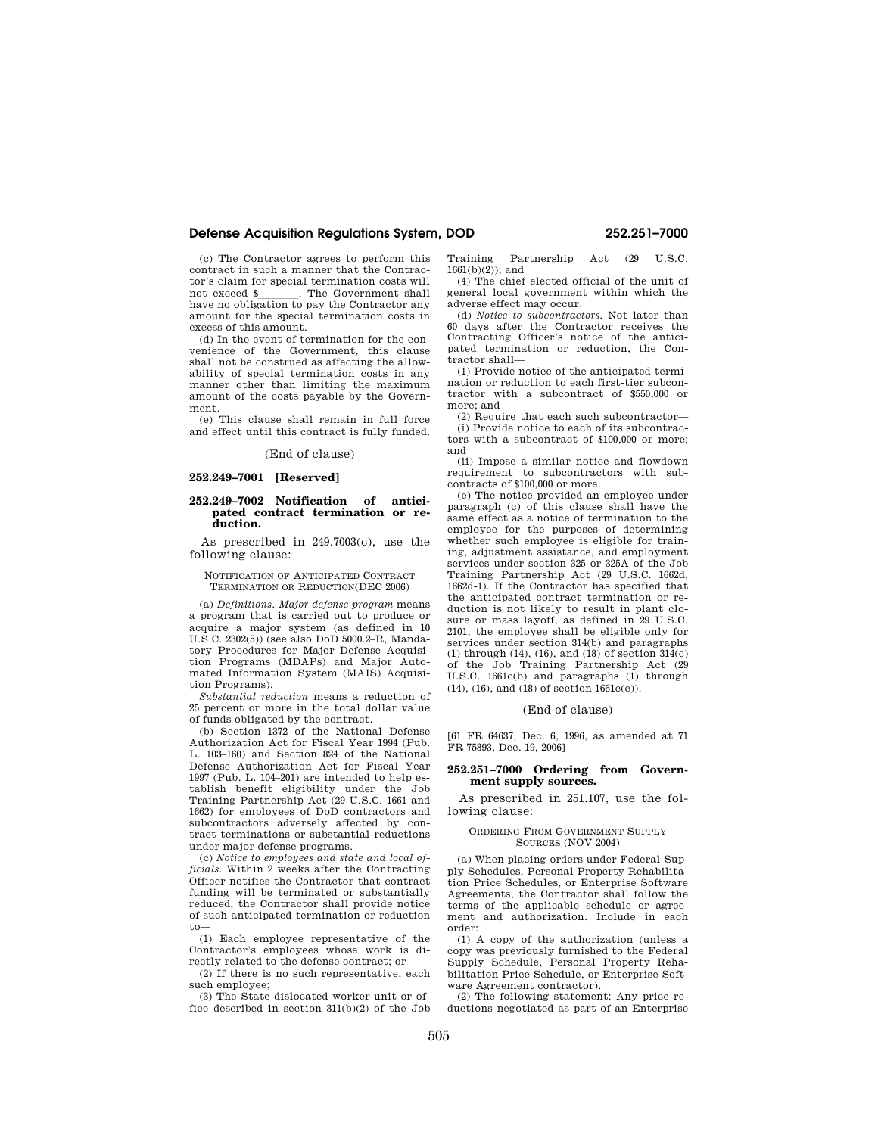(c) The Contractor agrees to perform this contract in such a manner that the Contractor's claim for special termination costs will<br>not exceed  $\S$  . The Government shall not exceed \$\_\_\_\_\_\_\_\_. The Government shall have no obligation to pay the Contractor any amount for the special termination costs in excess of this amount.

(d) In the event of termination for the convenience of the Government, this clause shall not be construed as affecting the allowability of special termination costs in any manner other than limiting the maximum amount of the costs payable by the Government.

(e) This clause shall remain in full force and effect until this contract is fully funded.

## (End of clause)

## **252.249–7001 [Reserved]**

## **252.249–7002 Notification of anticipated contract termination or reduction.**

As prescribed in 249.7003(c), use the following clause:

#### NOTIFICATION OF ANTICIPATED CONTRACT TERMINATION OR REDUCTION(DEC 2006)

(a) *Definitions. Major defense program* means a program that is carried out to produce or acquire a major system (as defined in 10 U.S.C. 2302(5)) (see also DoD 5000.2–R, Mandatory Procedures for Major Defense Acquisition Programs (MDAPs) and Major Automated Information System (MAIS) Acquisition Programs).

*Substantial reduction* means a reduction of 25 percent or more in the total dollar value of funds obligated by the contract.

(b) Section 1372 of the National Defense Authorization Act for Fiscal Year 1994 (Pub. L. 103–160) and Section 824 of the National Defense Authorization Act for Fiscal Year 1997 (Pub. L. 104–201) are intended to help establish benefit eligibility under the Job Training Partnership Act (29 U.S.C. 1661 and 1662) for employees of DoD contractors and subcontractors adversely affected by contract terminations or substantial reductions under major defense programs.

(c) *Notice to employees and state and local officials.* Within 2 weeks after the Contracting Officer notifies the Contractor that contract funding will be terminated or substantially reduced, the Contractor shall provide notice of such anticipated termination or reduction to—

(1) Each employee representative of the Contractor's employees whose work is directly related to the defense contract; or

(2) If there is no such representative, each such employee;

(3) The State dislocated worker unit or office described in section 311(b)(2) of the Job Training Partnership Act (29 U.S.C.  $1661(b)(2)$ ; and

(4) The chief elected official of the unit of general local government within which the adverse effect may occur.

(d) *Notice to subcontractors.* Not later than 60 days after the Contractor receives the Contracting Officer's notice of the anticipated termination or reduction, the Contractor shall—

(1) Provide notice of the anticipated termination or reduction to each first-tier subcontractor with a subcontract of \$550,000 or more; and

(2) Require that each such subcontractor— (i) Provide notice to each of its subcontractors with a subcontract of \$100,000 or more; and

(ii) Impose a similar notice and flowdown requirement to subcontractors with subcontracts of \$100,000 or more.

(e) The notice provided an employee under paragraph (c) of this clause shall have the same effect as a notice of termination to the employee for the purposes of determining whether such employee is eligible for training, adjustment assistance, and employment services under section 325 or 325A of the Job Training Partnership Act (29 U.S.C. 1662d, 1662d-1). If the Contractor has specified that the anticipated contract termination or reduction is not likely to result in plant closure or mass layoff, as defined in 29 U.S.C. 2101, the employee shall be eligible only for services under section 314(b) and paragraphs (1) through (14), (16), and (18) of section 314(c) of the Job Training Partnership Act (29 U.S.C. 1661c(b) and paragraphs (1) through (14), (16), and (18) of section 1661c(c)).

#### (End of clause)

[61 FR 64637, Dec. 6, 1996, as amended at 71 FR 75893, Dec. 19, 2006]

## **252.251–7000 Ordering from Government supply sources.**

As prescribed in 251.107, use the following clause:

#### ORDERING FROM GOVERNMENT SUPPLY SOURCES (NOV 2004)

(a) When placing orders under Federal Supply Schedules, Personal Property Rehabilitation Price Schedules, or Enterprise Software Agreements, the Contractor shall follow the terms of the applicable schedule or agreement and authorization. Include in each order:

(1) A copy of the authorization (unless a copy was previously furnished to the Federal Supply Schedule, Personal Property Rehabilitation Price Schedule, or Enterprise Software Agreement contractor).

(2) The following statement: Any price reductions negotiated as part of an Enterprise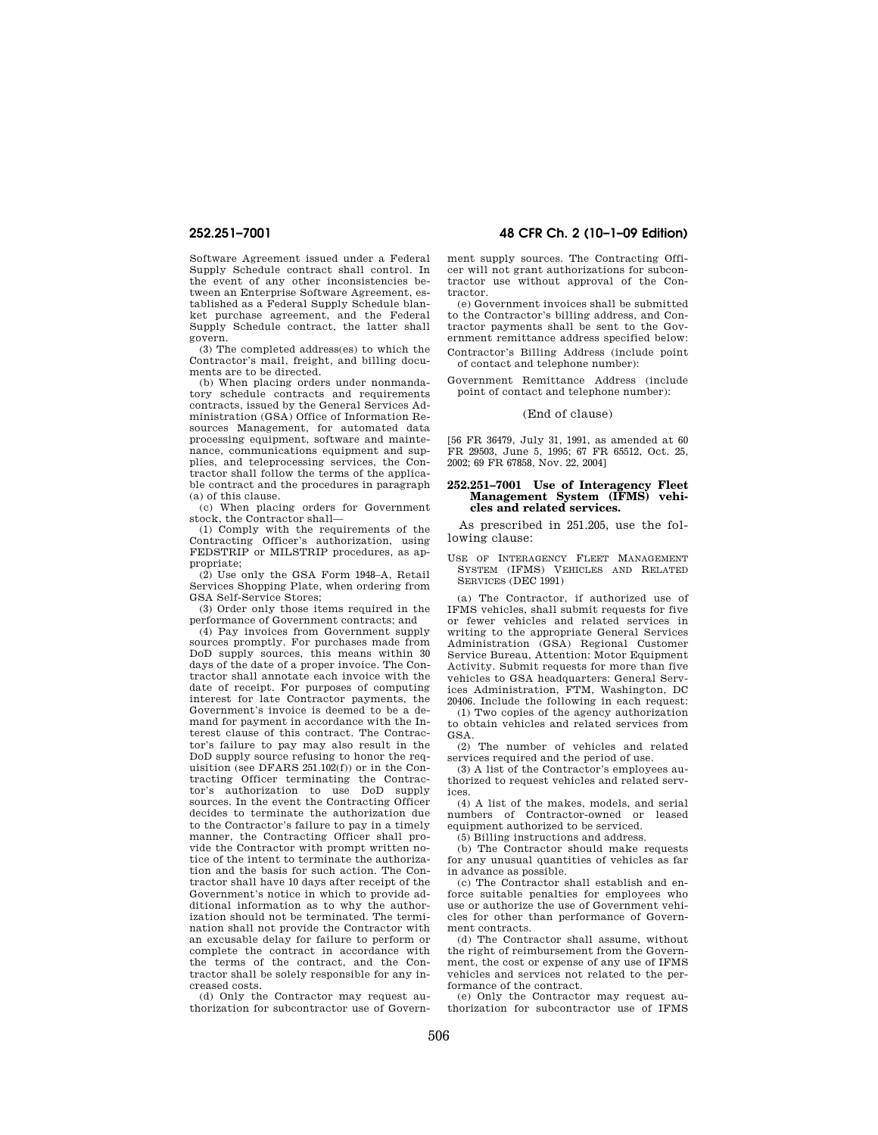Software Agreement issued under a Federal Supply Schedule contract shall control. In the event of any other inconsistencies between an Enterprise Software Agreement, established as a Federal Supply Schedule blanket purchase agreement, and the Federal Supply Schedule contract, the latter shall govern.

(3) The completed address(es) to which the Contractor's mail, freight, and billing documents are to be directed.

(b) When placing orders under nonmandatory schedule contracts and requirements contracts, issued by the General Services Administration (GSA) Office of Information Resources Management, for automated data processing equipment, software and maintenance, communications equipment and supplies, and teleprocessing services, the Contractor shall follow the terms of the applicable contract and the procedures in paragraph (a) of this clause.

(c) When placing orders for Government stock, the Contractor shall—

(1) Comply with the requirements of the Contracting Officer's authorization, using FEDSTRIP or MILSTRIP procedures, as appropriate;

(2) Use only the GSA Form 1948–A, Retail Services Shopping Plate, when ordering from GSA Self-Service Stores;

(3) Order only those items required in the performance of Government contracts; and

(4) Pay invoices from Government supply sources promptly. For purchases made from DoD supply sources, this means within 30 days of the date of a proper invoice. The Contractor shall annotate each invoice with the date of receipt. For purposes of computing interest for late Contractor payments, the Government's invoice is deemed to be a demand for payment in accordance with the Interest clause of this contract. The Contractor's failure to pay may also result in the DoD supply source refusing to honor the requisition (see DFARS 251.102(f)) or in the Contracting Officer terminating the Contractor's authorization to use DoD supply sources. In the event the Contracting Officer decides to terminate the authorization due to the Contractor's failure to pay in a timely manner, the Contracting Officer shall provide the Contractor with prompt written notice of the intent to terminate the authorization and the basis for such action. The Contractor shall have 10 days after receipt of the Government's notice in which to provide additional information as to why the authorization should not be terminated. The termination shall not provide the Contractor with an excusable delay for failure to perform or complete the contract in accordance with the terms of the contract, and the Contractor shall be solely responsible for any increased costs.

(d) Only the Contractor may request authorization for subcontractor use of Govern-

**252.251–7001 48 CFR Ch. 2 (10–1–09 Edition)** 

ment supply sources. The Contracting Officer will not grant authorizations for subcontractor use without approval of the Contractor.

(e) Government invoices shall be submitted to the Contractor's billing address, and Contractor payments shall be sent to the Government remittance address specified below: Contractor's Billing Address (include point of contact and telephone number):

Government Remittance Address (include

point of contact and telephone number):

## (End of clause)

[56 FR 36479, July 31, 1991, as amended at 60 FR 29503, June 5, 1995; 67 FR 65512, Oct. 25, 2002; 69 FR 67858, Nov. 22, 2004]

## **252.251–7001 Use of Interagency Fleet Management System (IFMS) vehicles and related services.**

As prescribed in 251.205, use the following clause:

USE OF INTERAGENCY FLEET MANAGEMENT SYSTEM (IFMS) VEHICLES AND RELATED SERVICES (DEC 1991)

(a) The Contractor, if authorized use of IFMS vehicles, shall submit requests for five or fewer vehicles and related services in writing to the appropriate General Services Administration (GSA) Regional Customer Service Bureau, Attention: Motor Equipment Activity. Submit requests for more than five vehicles to GSA headquarters: General Services Administration, FTM, Washington, DC 20406. Include the following in each request:

(1) Two copies of the agency authorization to obtain vehicles and related services from GSA.

(2) The number of vehicles and related services required and the period of use.

(3) A list of the Contractor's employees authorized to request vehicles and related services.

(4) A list of the makes, models, and serial numbers of Contractor-owned or leased equipment authorized to be serviced.

(5) Billing instructions and address.

(b) The Contractor should make requests for any unusual quantities of vehicles as far in advance as possible.

(c) The Contractor shall establish and enforce suitable penalties for employees who use or authorize the use of Government vehicles for other than performance of Government contracts.

(d) The Contractor shall assume, without the right of reimbursement from the Government, the cost or expense of any use of IFMS vehicles and services not related to the performance of the contract.

(e) Only the Contractor may request authorization for subcontractor use of IFMS